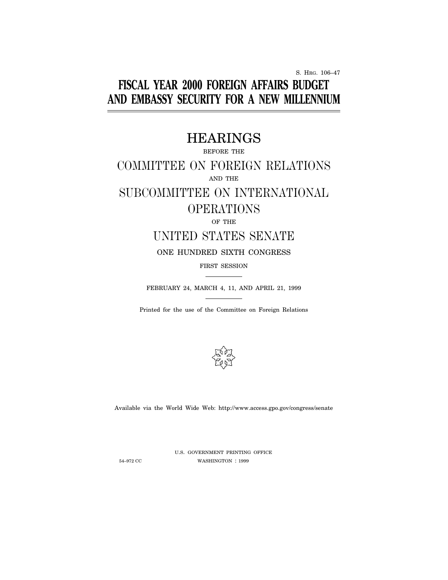S. HRG. 106–47

# **FISCAL YEAR 2000 FOREIGN AFFAIRS BUDGET AND EMBASSY SECURITY FOR A NEW MILLENNIUM**

# HEARINGS

BEFORE THE

# COMMITTEE ON FOREIGN RELATIONS AND THE SUBCOMMITTEE ON INTERNATIONAL

# OPERATIONS

## OF THE

# UNITED STATES SENATE

## ONE HUNDRED SIXTH CONGRESS

## FIRST SESSION

FEBRUARY 24, MARCH 4, 11, AND APRIL 21, 1999

Printed for the use of the Committee on Foreign Relations



Available via the World Wide Web: http://www.access.gpo.gov/congress/senate

U.S. GOVERNMENT PRINTING OFFICE 54–972 CC WASHINGTON : 1999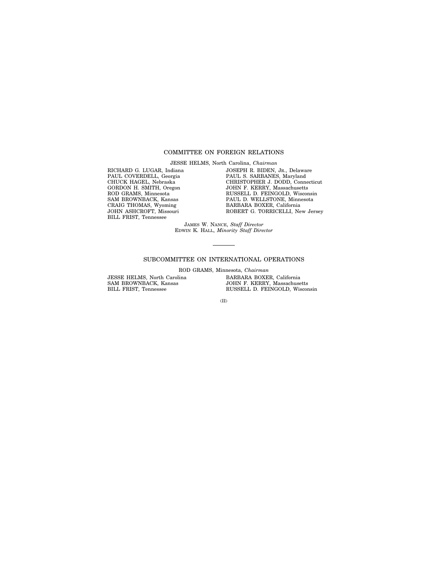## COMMITTEE ON FOREIGN RELATIONS

JESSE HELMS, North Carolina, *Chairman*

RICHARD G. LUGAR, Indiana PAUL COVERDELL, Georgia CHUCK HAGEL, Nebraska GORDON H. SMITH, Oregon ROD GRAMS, Minnesota SAM BROWNBACK, Kansas CRAIG THOMAS, Wyoming JOHN ASHCROFT, Missouri BILL FRIST, Tennessee

JOSEPH R. BIDEN, JR., Delaware PAUL S. SARBANES, Maryland CHRISTOPHER J. DODD, Connecticut JOHN F. KERRY, Massachusetts RUSSELL D. FEINGOLD, Wisconsin PAUL D. WELLSTONE, Minnesota BARBARA BOXER, California ROBERT G. TORRICELLI, New Jersey

JAMES W. NANCE, *Staff Director* EDWIN K. HALL, *Minority Staff Director*

## SUBCOMMITTEE ON INTERNATIONAL OPERATIONS

ROD GRAMS, Minnesota, *Chairman*

JESSE HELMS, North Carolina SAM BROWNBACK, Kansas BILL FRIST, Tennessee

BARBARA BOXER, California JOHN F. KERRY, Massachusetts RUSSELL D. FEINGOLD, Wisconsin

(II)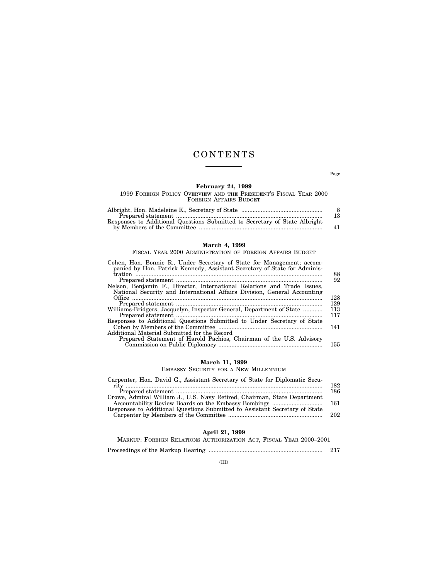# CONTENTS

Page

## **February 24, 1999**

1999 FOREIGN POLICY OVERVIEW AND THE PRESIDENT'S FISCAL YEAR 2000 FOREIGN AFFAIRS BUDGET

|                                                                            | -8 |
|----------------------------------------------------------------------------|----|
|                                                                            | 13 |
| Responses to Additional Questions Submitted to Secretary of State Albright |    |
|                                                                            | 41 |

## **March 4, 1999**

FISCAL YEAR 2000 ADMINISTRATION OF FOREIGN AFFAIRS BUDGET

| Cohen, Hon. Bonnie R., Under Secretary of State for Management; accom-<br>panied by Hon. Patrick Kennedy, Assistant Secretary of State for Adminis- |     |
|-----------------------------------------------------------------------------------------------------------------------------------------------------|-----|
|                                                                                                                                                     | 88  |
|                                                                                                                                                     | 92  |
| Nelson, Benjamin F., Director, International Relations and Trade Issues,                                                                            |     |
| National Security and International Affairs Division, General Accounting                                                                            |     |
|                                                                                                                                                     | 128 |
|                                                                                                                                                     | 129 |
| Williams-Bridgers, Jacquelyn, Inspector General, Department of State                                                                                | 113 |
|                                                                                                                                                     | 117 |
| Responses to Additional Questions Submitted to Under Secretary of State                                                                             |     |
|                                                                                                                                                     | 141 |
| Additional Material Submitted for the Record                                                                                                        |     |
| Prepared Statement of Harold Pachios, Chairman of the U.S. Advisory                                                                                 |     |
|                                                                                                                                                     | 155 |
|                                                                                                                                                     |     |

## **March 11, 1999**

EMBASSY SECURITY FOR A NEW MILLENNIUM

| Carpenter, Hon. David G., Assistant Secretary of State for Diplomatic Secu- |       |
|-----------------------------------------------------------------------------|-------|
|                                                                             | 182.  |
|                                                                             | 186   |
| Crowe, Admiral William J., U.S. Navy Retired, Chairman, State Department    |       |
|                                                                             |       |
| Responses to Additional Questions Submitted to Assistant Secretary of State |       |
|                                                                             | - 202 |
|                                                                             |       |

## **April 21, 1999**

| MARKUP: FOREIGN RELATIONS AUTHORIZATION ACT, FISCAL YEAR 2000–2001 |     |
|--------------------------------------------------------------------|-----|
|                                                                    | 217 |

(III)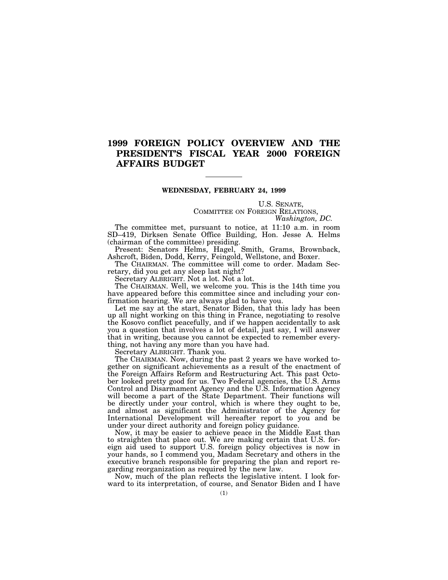# **1999 FOREIGN POLICY OVERVIEW AND THE PRESIDENT'S FISCAL YEAR 2000 FOREIGN AFFAIRS BUDGET**

## **WEDNESDAY, FEBRUARY 24, 1999**

U.S. SENATE, COMMITTEE ON FOREIGN RELATIONS, *Washington, DC.*

The committee met, pursuant to notice, at 11:10 a.m. in room SD–419, Dirksen Senate Office Building, Hon. Jesse A. Helms (chairman of the committee) presiding.

Present: Senators Helms, Hagel, Smith, Grams, Brownback, Ashcroft, Biden, Dodd, Kerry, Feingold, Wellstone, and Boxer.

The CHAIRMAN. The committee will come to order. Madam Secretary, did you get any sleep last night?

Secretary ALBRIGHT. Not a lot. Not a lot.

The CHAIRMAN. Well, we welcome you. This is the 14th time you have appeared before this committee since and including your confirmation hearing. We are always glad to have you.

Let me say at the start, Senator Biden, that this lady has been up all night working on this thing in France, negotiating to resolve the Kosovo conflict peacefully, and if we happen accidentally to ask you a question that involves a lot of detail, just say, I will answer that in writing, because you cannot be expected to remember everything, not having any more than you have had.

Secretary ALBRIGHT. Thank you.

The CHAIRMAN. Now, during the past 2 years we have worked together on significant achievements as a result of the enactment of the Foreign Affairs Reform and Restructuring Act. This past October looked pretty good for us. Two Federal agencies, the U.S. Arms Control and Disarmament Agency and the U.S. Information Agency will become a part of the State Department. Their functions will be directly under your control, which is where they ought to be, and almost as significant the Administrator of the Agency for International Development will hereafter report to you and be under your direct authority and foreign policy guidance.

Now, it may be easier to achieve peace in the Middle East than to straighten that place out. We are making certain that U.S. foreign aid used to support U.S. foreign policy objectives is now in your hands, so I commend you, Madam Secretary and others in the executive branch responsible for preparing the plan and report regarding reorganization as required by the new law.

Now, much of the plan reflects the legislative intent. I look forward to its interpretation, of course, and Senator Biden and I have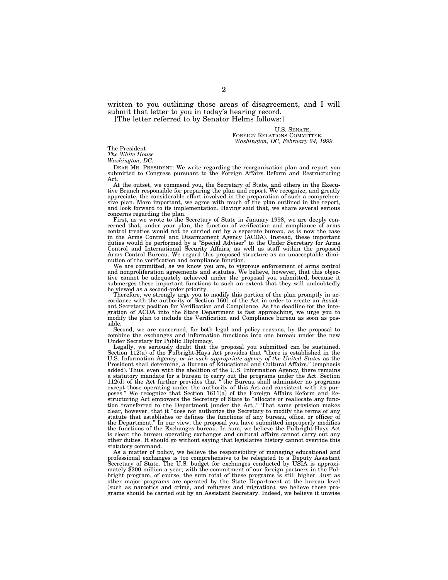written to you outlining those areas of disagreement, and I will submit that letter to you in today's hearing record. [The letter referred to by Senator Helms follows:]

U.S. SENATE, FOREIGN RELATIONS COMMITTEE, *Washington, DC, February 24, 1999.*

The President

*The White House*

*Washington, DC.*

DEAR MR. PRESIDENT: We write regarding the reorganization plan and report you submitted to Congress pursuant to the Foreign Affairs Reform and Restructuring Act.

At the outset, we commend you, the Secretary of State, and others in the Execu-tive Branch responsible for preparing the plan and report. We recognize, and greatly appreciate, the considerable effort involved in the preparation of such a comprehen-sive plan. More important, we agree with much of the plan outlined in the report, and look forward to its implementation. Having said that, we share several serious concerns regarding the plan.

First, as we wrote to the Secretary of State in January 1998, we are deeply concerned that, under your plan, the function of verification and compliance of arms control treaties would not be carried out by a separate bureau, as is now the case in the Arms Control and Disarmament Agency (ACDA). Instead, these important<br>duties would be performed by a "Special Adviser" to the Under Secretary for Arms<br>Control and International Security Affairs, as well as staff with Arms Control Bureau. We regard this proposed structure as an unacceptable diminution of the verification and compliance function.

We are committed, as we know you are, to vigorous enforcement of arms control and nonproliferation agreements and statutes. We believe, however, that this objective cannot be adequately achieved under the proposal you submitted, because it submerges these important functions to such an extent that they will undoubtedly be viewed as a second-order priority.

Therefore, we strongly urge you to modify this portion of the plan promptly in ac-cordance with the authority of Section 1601 of the Act in order to create an Assistant Secretary position for Verification and Compliance. As the deadline for the inte-gration of ACDA into the State Department is fast approaching, we urge you to modify the plan to include the Verification and Compliance bureau as soon as possible.

Second, we are concerned, for both legal and policy reasons, by the proposal to combine the exchanges and information functions into one bureau under the new

Under Secretary for Public Diplomacy. Legally, we seriously doubt that the proposal you submitted can be sustained. Section 112(a) of the Fulbright-Hays Act provides that ''there is established in the U.S. Information Agency, *or in such appropriate agency of the United States* as the President shall determine, a Bureau of Educational and Cultural Affairs.'' (emphasis added). Thus, even with the abolition of the U.S. Information Agency, there remains a statutory mandate for a bureau to carry out the programs under the Act. Section 112(d) of the Act further provides that ''[the Bureau shall administer no programs except those operating under the authority of this Act and consistent with its purposes.'' We recognize that Section 1611(a) of the Foreign Affairs Reform and Restructuring Act empowers the Secretary of State to ''allocate or reallocate any function transferred to the Department [under the Act].'' That same provision makes clear, however, that it ''does not authorize the Secretary to modify the terms of any statute that establishes or defines the functions of any bureau, office, or officer of the Department.'' In our view, the proposal you have submitted improperly modifies the functions of the Exchanges bureau. In sum, we believe the Fulbright-Hays Act is clear: the bureau operating exchanges and cultural affairs cannot carry out any other duties. It should go without saying that legislative history cannot override this statutory command.

As a matter of policy, we believe the responsibility of managing educational and professional exchanges is too comprehensive to be relegated to a Deputy Assistant Secretary of State. The U.S. budget for exchanges conducted by USIA is approximately \$200 million a year; with the commitment of our foreign partners in the Fulbright program, of course, the sum total of these programs is still higher. Just as other major programs are operated by the State Department at the bureau level (such as narcotics and crime, and refugees and migration), we believe these pro-grams should be carried out by an Assistant Secretary. Indeed, we believe it unwise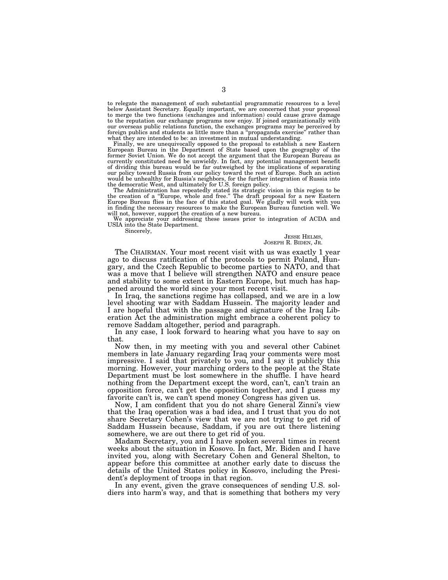to relegate the management of such substantial programmatic resources to a level below Assistant Secretary. Equally important, we are concerned that your proposal to merge the two functions (exchanges and information) could cause grave damage to the reputation our exchange programs now enjoy. If joined organizationally with our overseas public relations function, the exchanges programs may be perceived by foreign publics and students as little more than a ''propaganda exercise'' rather than what they are intended to be: an investment in mutual understanding.

Finally, we are unequivocally opposed to the proposal to establish a new Eastern European Bureau in the Department of State based upon the geography of the former Soviet Union. We do not accept the argument that the European Bureau as currently constituted need be unwieldy. In fact, any potential management benefit of dividing this bureau would be far outweighed by the implications of separating our policy toward Russia from our policy toward the rest of Europe. Such an action would be unhealthy for Russia's neighbors, for the further integration of Russia into the democratic West, and ultimately for U.S. foreign policy.

The Administration has repeatedly stated its strategic vision in this region to be the creation of a "Europe, whole and free." The draft proposal for a new Eastern Europe Burope Burope Burope Burope Burope Burope Burope Bu will not, however, support the creation of a new bureau.

We appreciate your addressing these issues prior to integration of ACDA and USIA into the State Department.

Sincerely,

### JESSE HELMS, JOSEPH R. BIDEN, JR.

The CHAIRMAN. Your most recent visit with us was exactly 1 year ago to discuss ratification of the protocols to permit Poland, Hungary, and the Czech Republic to become parties to NATO, and that was a move that I believe will strengthen NATO and ensure peace and stability to some extent in Eastern Europe, but much has happened around the world since your most recent visit.

In Iraq, the sanctions regime has collapsed, and we are in a low level shooting war with Saddam Hussein. The majority leader and I are hopeful that with the passage and signature of the Iraq Liberation Act the administration might embrace a coherent policy to remove Saddam altogether, period and paragraph.

In any case, I look forward to hearing what you have to say on that.

Now then, in my meeting with you and several other Cabinet members in late January regarding Iraq your comments were most impressive. I said that privately to you, and I say it publicly this morning. However, your marching orders to the people at the State Department must be lost somewhere in the shuffle. I have heard nothing from the Department except the word, can't, can't train an opposition force, can't get the opposition together, and I guess my favorite can't is, we can't spend money Congress has given us.

Now, I am confident that you do not share General Zinni's view that the Iraq operation was a bad idea, and I trust that you do not share Secretary Cohen's view that we are not trying to get rid of Saddam Hussein because, Saddam, if you are out there listening somewhere, we are out there to get rid of you.

Madam Secretary, you and I have spoken several times in recent weeks about the situation in Kosovo. In fact, Mr. Biden and I have invited you, along with Secretary Cohen and General Shelton, to appear before this committee at another early date to discuss the details of the United States policy in Kosovo, including the President's deployment of troops in that region.

In any event, given the grave consequences of sending U.S. soldiers into harm's way, and that is something that bothers my very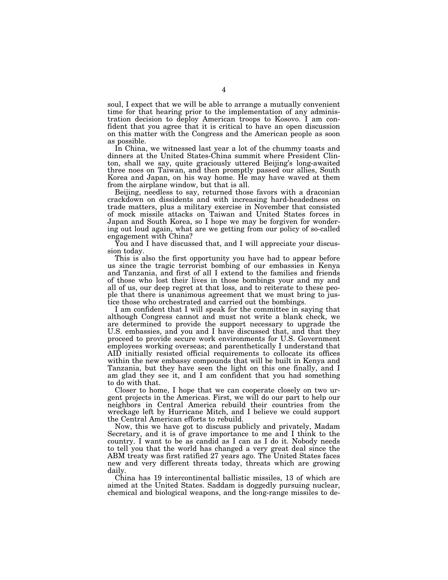soul, I expect that we will be able to arrange a mutually convenient time for that hearing prior to the implementation of any administration decision to deploy American troops to Kosovo. I am confident that you agree that it is critical to have an open discussion on this matter with the Congress and the American people as soon as possible.

In China, we witnessed last year a lot of the chummy toasts and dinners at the United States-China summit where President Clinton, shall we say, quite graciously uttered Beijing's long-awaited three noes on Taiwan, and then promptly passed our allies, South Korea and Japan, on his way home. He may have waved at them from the airplane window, but that is all.

Beijing, needless to say, returned those favors with a draconian crackdown on dissidents and with increasing hard-headedness on trade matters, plus a military exercise in November that consisted of mock missile attacks on Taiwan and United States forces in Japan and South Korea, so I hope we may be forgiven for wondering out loud again, what are we getting from our policy of so-called engagement with China?

You and I have discussed that, and I will appreciate your discussion today.

This is also the first opportunity you have had to appear before us since the tragic terrorist bombing of our embassies in Kenya and Tanzania, and first of all I extend to the families and friends of those who lost their lives in those bombings your and my and all of us, our deep regret at that loss, and to reiterate to these people that there is unanimous agreement that we must bring to justice those who orchestrated and carried out the bombings.

I am confident that I will speak for the committee in saying that although Congress cannot and must not write a blank check, we are determined to provide the support necessary to upgrade the U.S. embassies, and you and I have discussed that, and that they proceed to provide secure work environments for U.S. Government employees working overseas; and parenthetically I understand that AID initially resisted official requirements to collocate its offices within the new embassy compounds that will be built in Kenya and Tanzania, but they have seen the light on this one finally, and I am glad they see it, and I am confident that you had something to do with that.

Closer to home, I hope that we can cooperate closely on two urgent projects in the Americas. First, we will do our part to help our neighbors in Central America rebuild their countries from the wreckage left by Hurricane Mitch, and I believe we could support the Central American efforts to rebuild.

Now, this we have got to discuss publicly and privately, Madam Secretary, and it is of grave importance to me and I think to the country. I want to be as candid as I can as I do it. Nobody needs to tell you that the world has changed a very great deal since the ABM treaty was first ratified 27 years ago. The United States faces new and very different threats today, threats which are growing daily.

China has 19 intercontinental ballistic missiles, 13 of which are aimed at the United States. Saddam is doggedly pursuing nuclear, chemical and biological weapons, and the long-range missiles to de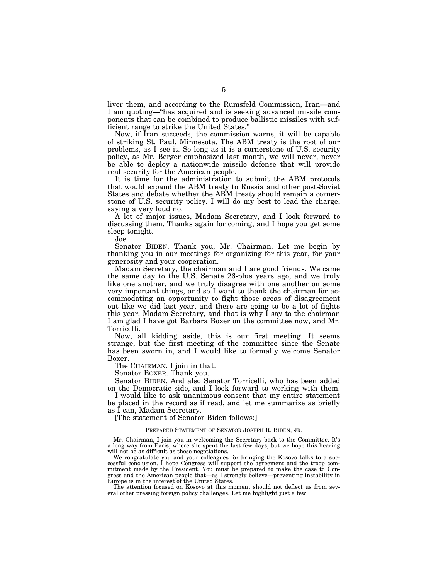liver them, and according to the Rumsfeld Commission, Iran—and I am quoting—''has acquired and is seeking advanced missile components that can be combined to produce ballistic missiles with sufficient range to strike the United States.''

Now, if Iran succeeds, the commission warns, it will be capable of striking St. Paul, Minnesota. The ABM treaty is the root of our problems, as I see it. So long as it is a cornerstone of U.S. security policy, as Mr. Berger emphasized last month, we will never, never be able to deploy a nationwide missile defense that will provide real security for the American people.

It is time for the administration to submit the ABM protocols that would expand the ABM treaty to Russia and other post-Soviet States and debate whether the ABM treaty should remain a cornerstone of U.S. security policy. I will do my best to lead the charge, saying a very loud no.

A lot of major issues, Madam Secretary, and I look forward to discussing them. Thanks again for coming, and I hope you get some sleep tonight.

Joe.

Senator BIDEN. Thank you, Mr. Chairman. Let me begin by thanking you in our meetings for organizing for this year, for your generosity and your cooperation.

Madam Secretary, the chairman and I are good friends. We came the same day to the U.S. Senate 26-plus years ago, and we truly like one another, and we truly disagree with one another on some very important things, and so I want to thank the chairman for accommodating an opportunity to fight those areas of disagreement out like we did last year, and there are going to be a lot of fights this year, Madam Secretary, and that is why I say to the chairman I am glad I have got Barbara Boxer on the committee now, and Mr. Torricelli.

Now, all kidding aside, this is our first meeting. It seems strange, but the first meeting of the committee since the Senate has been sworn in, and I would like to formally welcome Senator Boxer.

The CHAIRMAN. I join in that.

Senator BOXER. Thank you.

Senator BIDEN. And also Senator Torricelli, who has been added on the Democratic side, and I look forward to working with them.

I would like to ask unanimous consent that my entire statement be placed in the record as if read, and let me summarize as briefly as I can, Madam Secretary.

[The statement of Senator Biden follows:]

## PREPARED STATEMENT OF SENATOR JOSEPH R. BIDEN, JR.

Mr. Chairman, I join you in welcoming the Secretary back to the Committee. It's a long way from Paris, where she spent the last few days, but we hope this hearing will not be as difficult as those negotiations.

We congratulate you and your colleagues for bringing the Kosovo talks to a successful conclusion. I hope Congress will support the agreement and the troop commitment made by the President. You must be prepared to make the case to Congress and the American people that—as I strongly believe—preventing instability in Europe is in the interest of the United States.

The attention focused on Kosovo at this moment should not deflect us from several other pressing foreign policy challenges. Let me highlight just a few.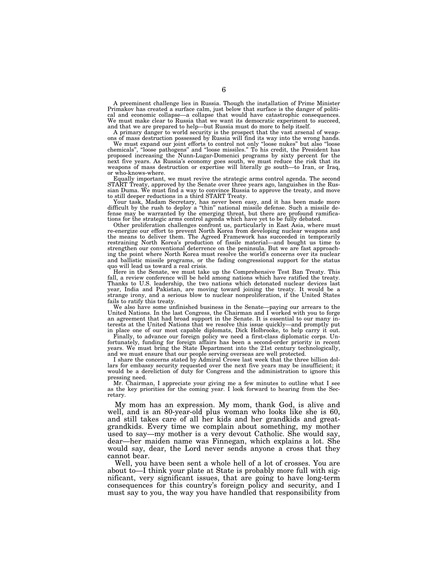A preeminent challenge lies in Russia. Though the installation of Prime Minister Primakov has created a surface calm, just below that surface is the danger of political and economic collapse—a collapse that would have catastrophic consequences. We must make clear to Russia that we want its democratic experiment to succeed, and that we are prepared to help—but Russia must do more to help itself.

A primary danger to world security is the prospect that the vast arsenal of weap-ons of mass destruction possessed by Russia will find its way into the wrong hands.

We must expand our joint efforts to control not only ''loose nukes'' but also ''loose chemicals'', ''loose pathogens'' and ''loose missiles.'' To his credit, the President has proposed increasing the Nunn-Lugar-Domenici programs by sixty percent for the next five years. As Russia's economy goes south, we must reduce the risk that its weapons of mass destruction or expertise will literally go south—to Iran, or Iraq, or who-knows-where.

Equally important, we must revive the strategic arms control agenda. The second START Treaty, approved by the Senate over three years ago, languishes in the Russian Duma. We must find a way to convince Russia to approve the treaty, and move to still deeper reductions in a third START Treaty.

Your task, Madam Secretary, has never been easy, and it has been made more difficult by the rush to deploy a ''thin'' national missile defense. Such a missile defense may be warranted by the emerging threat, but there are profound ramifications for the strategic arms control agenda which have yet to be fully debated.

Other proliferation challenges confront us, particularly in East Asia, where must re-energize our effort to prevent North Korea from developing nuclear weapons and the means to deliver them. The Agreed Framework has succeeded in temporarily restraining North Korea's production of fissile material—and bought us time to strengthen our conventional deterrence on the peninsula. But we are fast approaching the point where North Korea must resolve the world's concerns over its nuclear and ballistic missile programs, or the fading congressional support for the status quo will lead us toward a real crisis.

Here in the Senate, we must take up the Comprehensive Test Ban Treaty. This fall, a review conference will be held among nations which have ratified the treaty. Thanks to U.S. leadership, the two nations which detonated nuclear devices last year, India and Pakistan, are moving toward joining the treaty. It would be a strange irony, and a serious blow to nuclear nonproliferation, if the United States fails to ratify this treaty.

We also have some unfinished business in the Senate—paying our arrears to the United Nations. In the last Congress, the Chairman and I worked with you to forge an agreement that had broad support in the Senate. It is essential to our many interests at the United Nations that we resolve this issue quickly—and promptly put in place one of our most capable diplomats, Dick Holbrooke, to help carry it out.

Finally, to advance our foreign policy we need a first-class diplomatic corps. Unfortunately, funding for foreign affairs has been a second-order priority in recent years. We must bring the State Department into the 21st century technologically, and we must ensure that our people serving overseas are well protected.

I share the concerns stated by Admiral Crowe last week that the three billion dollars for embassy security requested over the next five years may be insufficient; it would be a dereliction of duty for Congress and the administration to ignore this pressing need.

Mr. Chairman, I appreciate your giving me a few minutes to outline what I see as the key priorities for the coming year. I look forward to hearing from the Secretary.

My mom has an expression. My mom, thank God, is alive and well, and is an 80-year-old plus woman who looks like she is 60, and still takes care of all her kids and her grandkids and greatgrandkids. Every time we complain about something, my mother used to say—my mother is a very devout Catholic. She would say, dear—her maiden name was Finnegan, which explains a lot. She would say, dear, the Lord never sends anyone a cross that they cannot bear.

Well, you have been sent a whole hell of a lot of crosses. You are about to—I think your plate at State is probably more full with significant, very significant issues, that are going to have long-term consequences for this country's foreign policy and security, and I must say to you, the way you have handled that responsibility from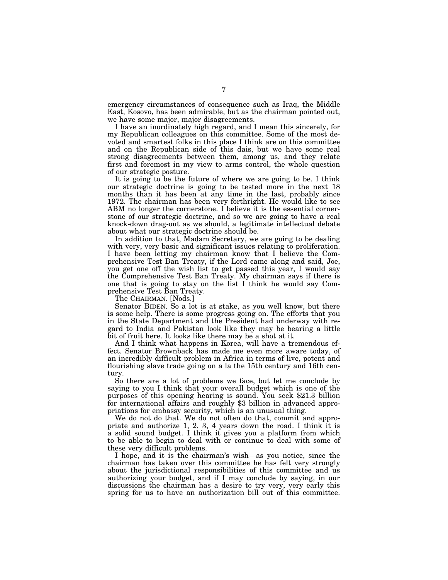emergency circumstances of consequence such as Iraq, the Middle East, Kosovo, has been admirable, but as the chairman pointed out, we have some major, major disagreements.

I have an inordinately high regard, and I mean this sincerely, for my Republican colleagues on this committee. Some of the most devoted and smartest folks in this place I think are on this committee and on the Republican side of this dais, but we have some real strong disagreements between them, among us, and they relate first and foremost in my view to arms control, the whole question of our strategic posture.

It is going to be the future of where we are going to be. I think our strategic doctrine is going to be tested more in the next 18 months than it has been at any time in the last, probably since 1972. The chairman has been very forthright. He would like to see ABM no longer the cornerstone. I believe it is the essential cornerstone of our strategic doctrine, and so we are going to have a real knock-down drag-out as we should, a legitimate intellectual debate about what our strategic doctrine should be.

In addition to that, Madam Secretary, we are going to be dealing with very, very basic and significant issues relating to proliferation. I have been letting my chairman know that I believe the Comprehensive Test Ban Treaty, if the Lord came along and said, Joe, you get one off the wish list to get passed this year, I would say the Comprehensive Test Ban Treaty. My chairman says if there is one that is going to stay on the list I think he would say Comprehensive Test Ban Treaty.

The CHAIRMAN. [Nods.]

Senator BIDEN. So a lot is at stake, as you well know, but there is some help. There is some progress going on. The efforts that you in the State Department and the President had underway with regard to India and Pakistan look like they may be bearing a little bit of fruit here. It looks like there may be a shot at it.

And I think what happens in Korea, will have a tremendous effect. Senator Brownback has made me even more aware today, of an incredibly difficult problem in Africa in terms of live, potent and flourishing slave trade going on a la the 15th century and 16th century.

So there are a lot of problems we face, but let me conclude by saying to you I think that your overall budget which is one of the purposes of this opening hearing is sound. You seek \$21.3 billion for international affairs and roughly \$3 billion in advanced appropriations for embassy security, which is an unusual thing.

We do not do that. We do not often do that, commit and appropriate and authorize  $1, 2, 3, 4$  years down the road. I think it is a solid sound budget. I think it gives you a platform from which to be able to begin to deal with or continue to deal with some of these very difficult problems.

I hope, and it is the chairman's wish—as you notice, since the chairman has taken over this committee he has felt very strongly about the jurisdictional responsibilities of this committee and us authorizing your budget, and if I may conclude by saying, in our discussions the chairman has a desire to try very, very early this spring for us to have an authorization bill out of this committee.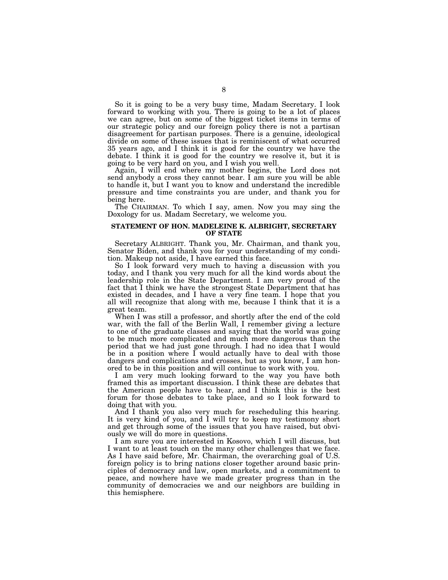So it is going to be a very busy time, Madam Secretary. I look forward to working with you. There is going to be a lot of places we can agree, but on some of the biggest ticket items in terms of our strategic policy and our foreign policy there is not a partisan disagreement for partisan purposes. There is a genuine, ideological divide on some of these issues that is reminiscent of what occurred 35 years ago, and I think it is good for the country we have the debate. I think it is good for the country we resolve it, but it is going to be very hard on you, and I wish you well.

Again, I will end where my mother begins, the Lord does not send anybody a cross they cannot bear. I am sure you will be able to handle it, but I want you to know and understand the incredible pressure and time constraints you are under, and thank you for being here.

The CHAIRMAN. To which I say, amen. Now you may sing the Doxology for us. Madam Secretary, we welcome you.

## **STATEMENT OF HON. MADELEINE K. ALBRIGHT, SECRETARY OF STATE**

Secretary ALBRIGHT. Thank you, Mr. Chairman, and thank you, Senator Biden, and thank you for your understanding of my condition. Makeup not aside, I have earned this face.

So I look forward very much to having a discussion with you today, and I thank you very much for all the kind words about the leadership role in the State Department. I am very proud of the fact that I think we have the strongest State Department that has existed in decades, and I have a very fine team. I hope that you all will recognize that along with me, because I think that it is a great team.

When I was still a professor, and shortly after the end of the cold war, with the fall of the Berlin Wall, I remember giving a lecture to one of the graduate classes and saying that the world was going to be much more complicated and much more dangerous than the period that we had just gone through. I had no idea that I would be in a position where I would actually have to deal with those dangers and complications and crosses, but as you know, I am honored to be in this position and will continue to work with you.

I am very much looking forward to the way you have both framed this as important discussion. I think these are debates that the American people have to hear, and I think this is the best forum for those debates to take place, and so I look forward to doing that with you.

And I thank you also very much for rescheduling this hearing. It is very kind of you, and I will try to keep my testimony short and get through some of the issues that you have raised, but obviously we will do more in questions.

I am sure you are interested in Kosovo, which I will discuss, but I want to at least touch on the many other challenges that we face. As I have said before, Mr. Chairman, the overarching goal of U.S. foreign policy is to bring nations closer together around basic principles of democracy and law, open markets, and a commitment to peace, and nowhere have we made greater progress than in the community of democracies we and our neighbors are building in this hemisphere.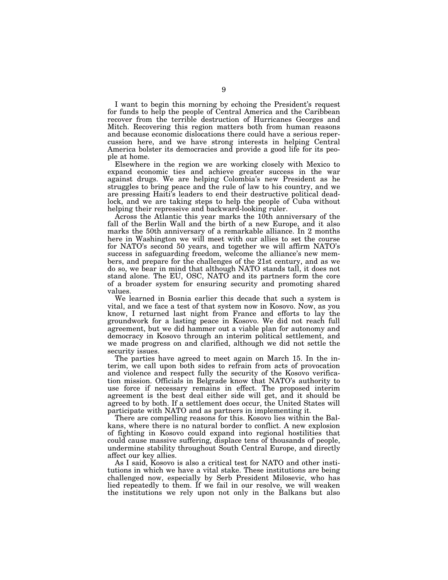I want to begin this morning by echoing the President's request for funds to help the people of Central America and the Caribbean recover from the terrible destruction of Hurricanes Georges and Mitch. Recovering this region matters both from human reasons and because economic dislocations there could have a serious repercussion here, and we have strong interests in helping Central America bolster its democracies and provide a good life for its people at home.

Elsewhere in the region we are working closely with Mexico to expand economic ties and achieve greater success in the war against drugs. We are helping Colombia's new President as he struggles to bring peace and the rule of law to his country, and we are pressing Haiti's leaders to end their destructive political deadlock, and we are taking steps to help the people of Cuba without helping their repressive and backward-looking ruler.

Across the Atlantic this year marks the 10th anniversary of the fall of the Berlin Wall and the birth of a new Europe, and it also marks the 50th anniversary of a remarkable alliance. In 2 months here in Washington we will meet with our allies to set the course for NATO's second 50 years, and together we will affirm NATO's success in safeguarding freedom, welcome the alliance's new members, and prepare for the challenges of the 21st century, and as we do so, we bear in mind that although NATO stands tall, it does not stand alone. The EU, OSC, NATO and its partners form the core of a broader system for ensuring security and promoting shared values.

We learned in Bosnia earlier this decade that such a system is vital, and we face a test of that system now in Kosovo. Now, as you know, I returned last night from France and efforts to lay the groundwork for a lasting peace in Kosovo. We did not reach full agreement, but we did hammer out a viable plan for autonomy and democracy in Kosovo through an interim political settlement, and we made progress on and clarified, although we did not settle the security issues.

The parties have agreed to meet again on March 15. In the interim, we call upon both sides to refrain from acts of provocation and violence and respect fully the security of the Kosovo verification mission. Officials in Belgrade know that NATO's authority to use force if necessary remains in effect. The proposed interim agreement is the best deal either side will get, and it should be agreed to by both. If a settlement does occur, the United States will participate with NATO and as partners in implementing it.

There are compelling reasons for this. Kosovo lies within the Balkans, where there is no natural border to conflict. A new explosion of fighting in Kosovo could expand into regional hostilities that could cause massive suffering, displace tens of thousands of people, undermine stability throughout South Central Europe, and directly affect our key allies.

As I said, Kosovo is also a critical test for NATO and other institutions in which we have a vital stake. These institutions are being challenged now, especially by Serb President Milosevic, who has lied repeatedly to them. If we fail in our resolve, we will weaken the institutions we rely upon not only in the Balkans but also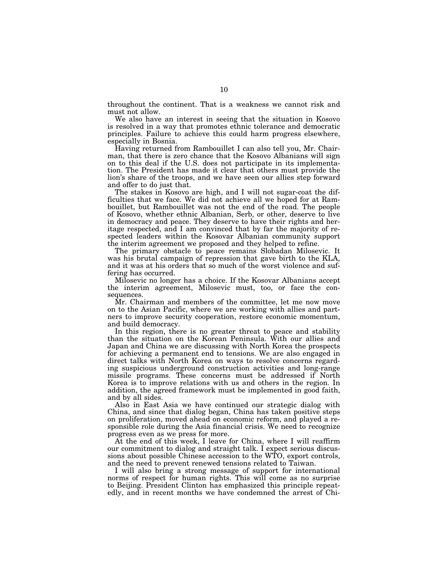throughout the continent. That is a weakness we cannot risk and must not allow.

We also have an interest in seeing that the situation in Kosovo is resolved in a way that promotes ethnic tolerance and democratic principles. Failure to achieve this could harm progress elsewhere, especially in Bosnia.

Having returned from Rambouillet I can also tell you, Mr. Chairman, that there is zero chance that the Kosovo Albanians will sign on to this deal if the U.S. does not participate in its implementation. The President has made it clear that others must provide the lion's share of the troops, and we have seen our allies step forward and offer to do just that.

The stakes in Kosovo are high, and I will not sugar-coat the difficulties that we face. We did not achieve all we hoped for at Rambouillet, but Rambouillet was not the end of the road. The people of Kosovo, whether ethnic Albanian, Serb, or other, deserve to live in democracy and peace. They deserve to have their rights and heritage respected, and I am convinced that by far the majority of respected leaders within the Kosovar Albanian community support the interim agreement we proposed and they helped to refine.

The primary obstacle to peace remains Slobadan Milosevic. It was his brutal campaign of repression that gave birth to the KLA, and it was at his orders that so much of the worst violence and suffering has occurred.

Milosevic no longer has a choice. If the Kosovar Albanians accept the interim agreement, Milosevic must, too, or face the consequences.

Mr. Chairman and members of the committee, let me now move on to the Asian Pacific, where we are working with allies and partners to improve security cooperation, restore economic momentum, and build democracy.

In this region, there is no greater threat to peace and stability than the situation on the Korean Peninsula. With our allies and Japan and China we are discussing with North Korea the prospects for achieving a permanent end to tensions. We are also engaged in direct talks with North Korea on ways to resolve concerns regarding suspicious underground construction activities and long-range missile programs. These concerns must be addressed if North Korea is to improve relations with us and others in the region. In addition, the agreed framework must be implemented in good faith, and by all sides.

Also in East Asia we have continued our strategic dialog with China, and since that dialog began, China has taken positive steps on proliferation, moved ahead on economic reform, and played a responsible role during the Asia financial crisis. We need to recognize progress even as we press for more.

At the end of this week, I leave for China, where I will reaffirm our commitment to dialog and straight talk. I expect serious discussions about possible Chinese accession to the WTO, export controls, and the need to prevent renewed tensions related to Taiwan.

I will also bring a strong message of support for international norms of respect for human rights. This will come as no surprise to Beijing. President Clinton has emphasized this principle repeatedly, and in recent months we have condemned the arrest of Chi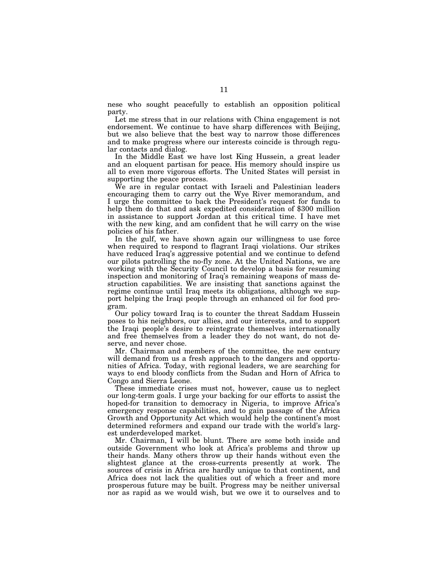nese who sought peacefully to establish an opposition political party.

Let me stress that in our relations with China engagement is not endorsement. We continue to have sharp differences with Beijing, but we also believe that the best way to narrow those differences and to make progress where our interests coincide is through regular contacts and dialog.

In the Middle East we have lost King Hussein, a great leader and an eloquent partisan for peace. His memory should inspire us all to even more vigorous efforts. The United States will persist in supporting the peace process.

We are in regular contact with Israeli and Palestinian leaders encouraging them to carry out the Wye River memorandum, and I urge the committee to back the President's request for funds to help them do that and ask expedited consideration of \$300 million in assistance to support Jordan at this critical time. I have met with the new king, and am confident that he will carry on the wise policies of his father.

In the gulf, we have shown again our willingness to use force when required to respond to flagrant Iraqi violations. Our strikes have reduced Iraq's aggressive potential and we continue to defend our pilots patrolling the no-fly zone. At the United Nations, we are working with the Security Council to develop a basis for resuming inspection and monitoring of Iraq's remaining weapons of mass destruction capabilities. We are insisting that sanctions against the regime continue until Iraq meets its obligations, although we support helping the Iraqi people through an enhanced oil for food program.

Our policy toward Iraq is to counter the threat Saddam Hussein poses to his neighbors, our allies, and our interests, and to support the Iraqi people's desire to reintegrate themselves internationally and free themselves from a leader they do not want, do not deserve, and never chose.

Mr. Chairman and members of the committee, the new century will demand from us a fresh approach to the dangers and opportunities of Africa. Today, with regional leaders, we are searching for ways to end bloody conflicts from the Sudan and Horn of Africa to Congo and Sierra Leone.

These immediate crises must not, however, cause us to neglect our long-term goals. I urge your backing for our efforts to assist the hoped-for transition to democracy in Nigeria, to improve Africa's emergency response capabilities, and to gain passage of the Africa Growth and Opportunity Act which would help the continent's most determined reformers and expand our trade with the world's largest underdeveloped market.

Mr. Chairman, I will be blunt. There are some both inside and outside Government who look at Africa's problems and throw up their hands. Many others throw up their hands without even the slightest glance at the cross-currents presently at work. The sources of crisis in Africa are hardly unique to that continent, and Africa does not lack the qualities out of which a freer and more prosperous future may be built. Progress may be neither universal nor as rapid as we would wish, but we owe it to ourselves and to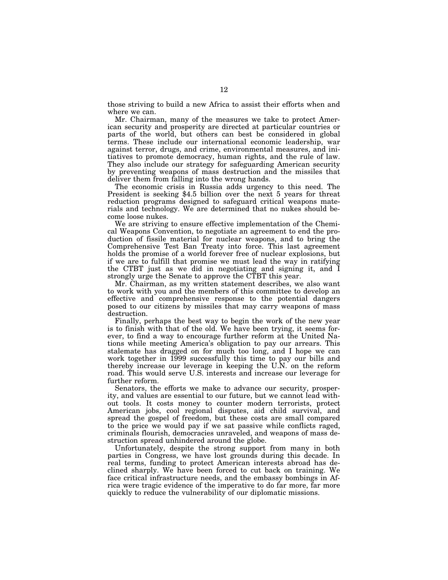those striving to build a new Africa to assist their efforts when and where we can.

Mr. Chairman, many of the measures we take to protect American security and prosperity are directed at particular countries or parts of the world, but others can best be considered in global terms. These include our international economic leadership, war against terror, drugs, and crime, environmental measures, and initiatives to promote democracy, human rights, and the rule of law. They also include our strategy for safeguarding American security by preventing weapons of mass destruction and the missiles that deliver them from falling into the wrong hands.

The economic crisis in Russia adds urgency to this need. The President is seeking \$4.5 billion over the next 5 years for threat reduction programs designed to safeguard critical weapons materials and technology. We are determined that no nukes should become loose nukes.

We are striving to ensure effective implementation of the Chemical Weapons Convention, to negotiate an agreement to end the production of fissile material for nuclear weapons, and to bring the Comprehensive Test Ban Treaty into force. This last agreement holds the promise of a world forever free of nuclear explosions, but if we are to fulfill that promise we must lead the way in ratifying the CTBT just as we did in negotiating and signing it, and I strongly urge the Senate to approve the CTBT this year.

Mr. Chairman, as my written statement describes, we also want to work with you and the members of this committee to develop an effective and comprehensive response to the potential dangers posed to our citizens by missiles that may carry weapons of mass destruction.

Finally, perhaps the best way to begin the work of the new year is to finish with that of the old. We have been trying, it seems forever, to find a way to encourage further reform at the United Nations while meeting America's obligation to pay our arrears. This stalemate has dragged on for much too long, and I hope we can work together in 1999 successfully this time to pay our bills and thereby increase our leverage in keeping the U.N. on the reform road. This would serve U.S. interests and increase our leverage for further reform.

Senators, the efforts we make to advance our security, prosperity, and values are essential to our future, but we cannot lead without tools. It costs money to counter modern terrorists, protect American jobs, cool regional disputes, aid child survival, and spread the gospel of freedom, but these costs are small compared to the price we would pay if we sat passive while conflicts raged, criminals flourish, democracies unraveled, and weapons of mass destruction spread unhindered around the globe.

Unfortunately, despite the strong support from many in both parties in Congress, we have lost grounds during this decade. In real terms, funding to protect American interests abroad has declined sharply. We have been forced to cut back on training. We face critical infrastructure needs, and the embassy bombings in Africa were tragic evidence of the imperative to do far more, far more quickly to reduce the vulnerability of our diplomatic missions.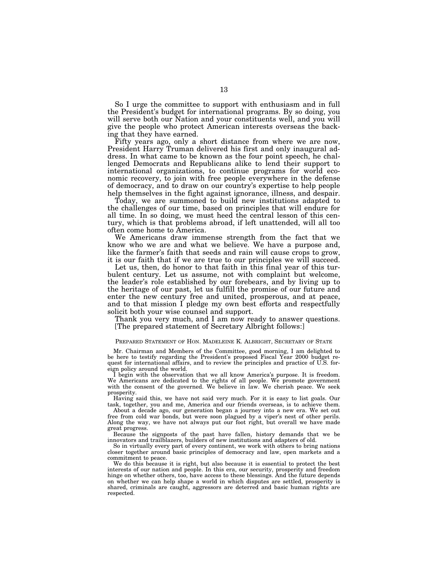So I urge the committee to support with enthusiasm and in full the President's budget for international programs. By so doing, you will serve both our Nation and your constituents well, and you will give the people who protect American interests overseas the backing that they have earned.

Fifty years ago, only a short distance from where we are now, President Harry Truman delivered his first and only inaugural address. In what came to be known as the four point speech, he challenged Democrats and Republicans alike to lend their support to international organizations, to continue programs for world economic recovery, to join with free people everywhere in the defense of democracy, and to draw on our country's expertise to help people help themselves in the fight against ignorance, illness, and despair.

Today, we are summoned to build new institutions adapted to the challenges of our time, based on principles that will endure for all time. In so doing, we must heed the central lesson of this century, which is that problems abroad, if left unattended, will all too often come home to America.

We Americans draw immense strength from the fact that we know who we are and what we believe. We have a purpose and, like the farmer's faith that seeds and rain will cause crops to grow, it is our faith that if we are true to our principles we will succeed.

Let us, then, do honor to that faith in this final year of this turbulent century. Let us assume, not with complaint but welcome, the leader's role established by our forebears, and by living up to the heritage of our past, let us fulfill the promise of our future and enter the new century free and united, prosperous, and at peace, and to that mission I pledge my own best efforts and respectfully solicit both your wise counsel and support.

Thank you very much, and I am now ready to answer questions. [The prepared statement of Secretary Albright follows:]

#### PREPARED STATEMENT OF HON. MADELEINE K. ALBRIGHT, SECRETARY OF STATE

Mr. Chairman and Members of the Committee, good morning, I am delighted to be here to testify regarding the President's proposed Fiscal Year 2000 budget request for international affairs, and to review the principles and practice of U.S. foreign policy around the world.

I begin with the observation that we all know America's purpose. It is freedom. We Americans are dedicated to the rights of all people. We promote government with the consent of the governed. We believe in law. We cherish peace. We seek prosperity.

Having said this, we have not said very much. For it is easy to list goals. Our task, together, you and me, America and our friends overseas, is to achieve them.

About a decade ago, our generation began a journey into a new era. We set out free from cold war bonds, but were soon plagued by a viper's nest of other perils. Along the way, we have not always put our foot right, but overall we have made great progress.

Because the signposts of the past have fallen, history demands that we be innovators and trailblazers, builders of new institutions and adapters of old.

So in virtually every part of every continent, we work with others to bring nations closer together around basic principles of democracy and law, open markets and a commitment to peace.

We do this because it is right, but also because it is essential to protect the best interests of our nation and people. In this era, our security, prosperity and freedom hinge on whether others, too, have access to these blessings. And the future depends on whether we can help shape a world in which disputes are settled, prosperity is shared, criminals are caught, aggressors are deterred and basic human rights are respected.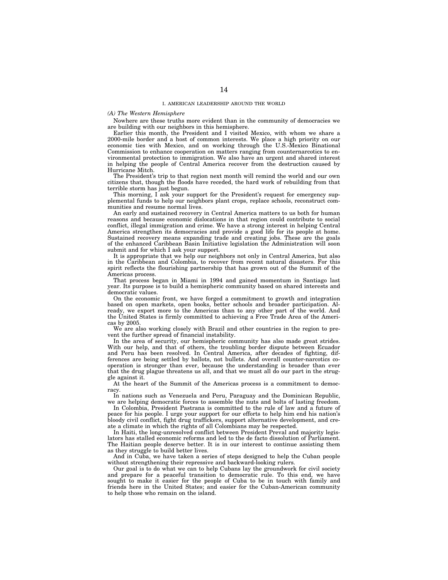### *(A) The Western Hemisphere*

Nowhere are these truths more evident than in the community of democracies we are building with our neighbors in this hemisphere.

Earlier this month, the President and I visited Mexico, with whom we share a 2000-mile border and a host of common interests. We place a high priority on our economic ties with Mexico, and on working through the U.S.-Mexico Binational Commission to enhance cooperation on matters ranging from counternarcotics to environmental protection to immigration. We also have an urgent and shared interest in helping the people of Central America recover from the destruction caused by Hurricane Mitch.

The President's trip to that region next month will remind the world and our own citizens that, though the floods have receded, the hard work of rebuilding from that terrible storm has just begun.

This morning, I ask your support for the President's request for emergency supplemental funds to help our neighbors plant crops, replace schools, reconstruct communities and resume normal lives.

An early and sustained recovery in Central America matters to us both for human reasons and because economic dislocations in that region could contribute to social conflict, illegal immigration and crime. We have a strong interest in helping Central America strengthen its democracies and provide a good life for its people at home. Sustained recovery means expanding trade and creating jobs. These are the goals of the enhanced Caribbean Basin Initiative legislation the Administration will soon submit and for which I ask your support.

It is appropriate that we help our neighbors not only in Central America, but also in the Caribbean and Colombia, to recover from recent natural disasters. For this spirit reflects the flourishing partnership that has grown out of the Summit of the Americas process.

That process began in Miami in 1994 and gained momentum in Santiago last year. Its purpose is to build a hemispheric community based on shared interests and democratic values.

On the economic front, we have forged a commitment to growth and integration based on open markets, open books, better schools and broader participation. Already, we export more to the Americas than to any other part of the world. And the United States is firmly committed to achieving a Free Trade Area of the Americas by 2005.

We are also working closely with Brazil and other countries in the region to prevent the further spread of financial instability.

In the area of security, our hemispheric community has also made great strides. With our help, and that of others, the troubling border dispute between Ecuador and Peru has been resolved. In Central America, after decades of fighting, differences are being settled by ballots, not bullets. And overall counter-narcotics cooperation is stronger than ever, because the understanding is broader than ever that the drug plague threatens us all, and that we must all do our part in the struggle against it.

At the heart of the Summit of the Americas process is a commitment to democracy.

In nations such as Venezuela and Peru, Paraguay and the Dominican Republic, we are helping democratic forces to assemble the nuts and bolts of lasting freedom.

In Colombia, President Pastrana is committed to the rule of law and a future of peace for his people. I urge your support for our efforts to help him end his nation's bloody civil conflict, fight drug traffickers, support alternative development, and create a climate in which the rights of all Colombians may be respected.

In Haiti, the long-unresolved conflict between President Preval and majority legislators has stalled economic reforms and led to the de facto dissolution of Parliament. The Haitian people deserve better. It is in our interest to continue assisting them as they struggle to build better lives.

And in Cuba, we have taken a series of steps designed to help the Cuban people without strengthening their repressive and backward-looking rulers.

Our goal is to do what we can to help Cubans lay the groundwork for civil society and prepare for a peaceful transition to democratic rule. To this end, we have sought to make it easier for the people of Cuba to be in touch with family and friends here in the United States; and easier for the Cuban-American community to help those who remain on the island.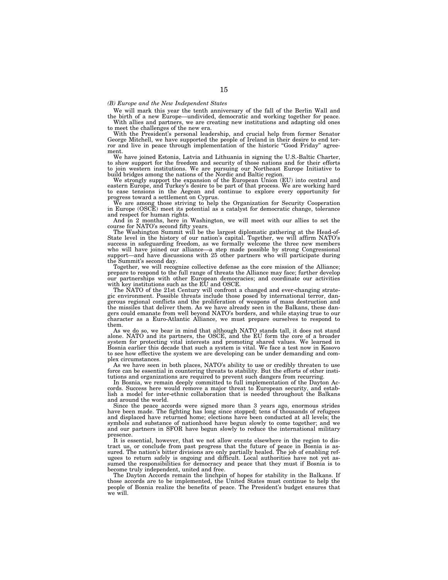### *(B) Europe and the New Independent States*

We will mark this year the tenth anniversary of the fall of the Berlin Wall and

the birth of a new Europe—undivided, democratic and working together for peace. With allies and partners, we are creating new institutions and adapting old ones

to meet the challenges of the new era. With the President's personal leadership, and crucial help from former Senator George Mitchell, we have supported the people of Ireland in their desire to end ter-<br>ror and live in peace through implementation of the historic "Good Friday" agreement.

We have joined Estonia, Latvia and Lithuania in signing the U.S.-Baltic Charter, to show support for the freedom and security of those nations and for their efforts to join western institutions. We are pursuing our Northeast Europe Initiative to build bridges among the nations of the Nordic and Baltic region.

We strongly support the expansion of the European Union (EU) into central and eastern Europe, and Turkey's desire to be part of that process. We are working hard to ease tensions in the Aegean and continue to explore every opportunity for progress toward a settlement on Cyprus.

We are among those striving to help the Organization for Security Cooperation in Europe (OSCE) meet its potential as a catalyst for democratic change, tolerance and respect for human rights.

And in 2 months, here in Washington, we will meet with our allies to set the course for NATO's second fifty years.

The Washington Summit will be the largest diplomatic gathering at the Head-of-State level in the history of our nation's capital. Together, we will affirm NATO's success in safeguarding freedom, as we formally welcome the three new members who will have joined our alliance—a step made possible by strong Congressional support—and have discussions with 25 other partners who will participate during the Summit's second day.

Together, we will recognize collective defense as the core mission of the Alliance; prepare to respond to the full range of threats the Alliance may face; further develop our partnerships with other European democracies; and coordinate our activities with key institutions such as the EU and OSCE.

The NATO of the 21st Century will confront a changed and ever-changing strategic environment. Possible threats include those posed by international terror, dangerous regional conflicts and the proliferation of weapons of mass destruction and the missiles that deliver them. As we have already seen in the Balkans, these dangers could emanate from well beyond NATO's borders, and while staying true to our character as a Euro-Atlantic Alliance, we must prepare ourselves to respond to them.

As we do so, we bear in mind that although NATO stands tall, it does not stand alone. NATO and its partners, the OSCE, and the EU form the core of a broader system for protecting vital interests and promoting shared values. We learned in Bosnia earlier this decade that such a system is vital. We face a test now in Kosovo to see how effective the system we are developing can be under demanding and complex circumstances.

As we have seen in both places, NATO's ability to use or credibly threaten to use force can be essential in countering threats to stability. But the efforts of other insti-

tutions and organizations are required to prevent such dangers from recurring. In Bosnia, we remain deeply committed to full implementation of the Dayton Accords. Success here would remove a major threat to European security, and establish a model for inter-ethnic collaboration that is needed throughout the Balkans and around the world.

Since the peace accords were signed more than 3 years ago, enormous strides have been made. The fighting has long since stopped; tens of thousands of refugees and displaced have returned home; elections have been conducted at all levels; the symbols and substance of nationhood have begun slowly to come together; and we and our partners in SFOR have begun slowly to reduce the international military presence.

It is essential, however, that we not allow events elsewhere in the region to distract us, or conclude from past progress that the future of peace in Bosnia is as-sured. The nation's bitter divisions are only partially healed. The job of enabling refugees to return safely is ongoing and difficult. Local authorities have not yet assumed the responsibilities for democracy and peace that they must if Bosnia is to become truly independent, united and free.

The Dayton Accords remain the linchpin of hopes for stability in the Balkans. If those accords are to be implemented, the United States must continue to help the people of Bosnia realize the benefits of peace. The President's budget ensures that we will.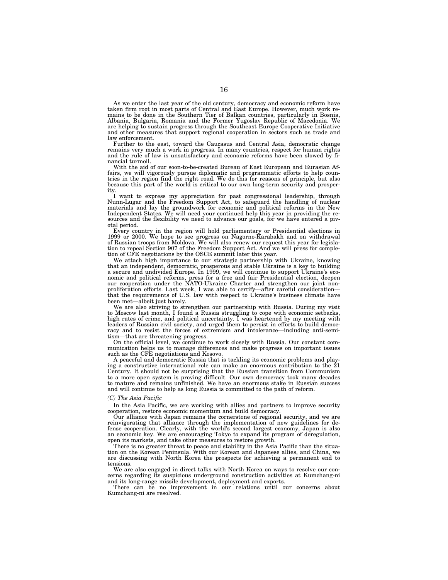As we enter the last year of the old century, democracy and economic reform have taken firm root in most parts of Central and East Europe. However, much work remains to be done in the Southern Tier of Balkan countries, particularly in Bosnia, Albania, Bulgaria, Romania and the Former Yugoslav Republic of Macedonia. We are helping to sustain progress through the Southeast Europe Cooperative Initiative and other measures that support regional cooperation in sectors such as trade and law enforcement.

Further to the east, toward the Caucasus and Central Asia, democratic change remains very much a work in progress. In many countries, respect for human rights and the rule of law is unsatisfactory and economic reforms have been slowed by financial turmoil.

With the aid of our soon-to-be-created Bureau of East European and Eurasian Affairs, we will vigorously pursue diplomatic and programmatic efforts to help countries in the region find the right road. We do this for reasons of principle, but also because this part of the world is critical to our own long-term security and prosperity.

I want to express my appreciation for past congressional leadership, through Nunn-Lugar and the Freedom Support Act, to safeguard the handling of nuclear materials and lay the groundwork for economic and political reforms in the New Independent States. We will need your continued help this year in providing the resources and the flexibility we need to advance our goals, for we have entered a pivotal period.

Every country in the region will hold parliamentary or Presidential elections in 1999 or 2000. We hope to see progress on Nagorno-Karabakh and on withdrawal of Russian troops from Moldova. We will also renew our request this year for legislation to repeal Section 907 of the Freedom Support Act. And we will press for completion of CFE negotiations by the OSCE summit later this year.

We attach high importance to our strategic partnership with Ukraine, knowing that an independent, democratic, prosperous and stable Ukraine is a key to building a secure and undivided Europe. In 1999, we will continue to support Ukraine's economic and political reforms, press for a free and fair Presidential election, deepen our cooperation under the NATO-Ukraine Charter and strengthen our joint nonproliferation efforts. Last week, I was able to certify—after careful consideration that the requirements of U.S. law with respect to Ukraine's business climate have been met—albeit just barely.

We are also striving to strengthen our partnership with Russia. During my visit to Moscow last month, I found a Russia struggling to cope with economic setbacks, high rates of crime, and political uncertainty. I was heartened by my meeting with leaders of Russian civil society, and urged them to persist in efforts to build democracy and to resist the forces of extremism and intolerance—including anti-semitism—that are threatening progress.

On the official level, we continue to work closely with Russia. Our constant communication helps us to manage differences and make progress on important issues such as the CFE negotiations and Kosovo.

A peaceful and democratic Russia that is tackling its economic problems and playing a constructive international role can make an enormous contribution to the 21 Century. It should not be surprising that the Russian transition from Communism to a more open system is proving difficult. Our own democracy took many decades to mature and remains unfinished. We have an enormous stake in Russian success and will continue to help as long Russia is committed to the path of reform.

#### *(C) The Asia Pacific*

In the Asia Pacific, we are working with allies and partners to improve security cooperation, restore economic momentum and build democracy.

Our alliance with Japan remains the cornerstone of regional security, and we are reinvigorating that alliance through the implementation of new guidelines for defense cooperation. Clearly, with the world's second largest economy, Japan is also an economic key. We are encouraging Tokyo to expand its program of deregulation, open its markets, and take other measures to restore growth.

There is no greater threat to peace and stability in the Asia Pacific than the situation on the Korean Peninsula. With our Korean and Japanese allies, and China, we are discussing with North Korea the prospects for achieving a permanent end to tensions.

We are also engaged in direct talks with North Korea on ways to resolve our concerns regarding its suspicious underground construction activities at Kumchang-ni and its long-range missile development, deployment and exports.

There can be no improvement in our relations until our concerns about Kumchang-ni are resolved.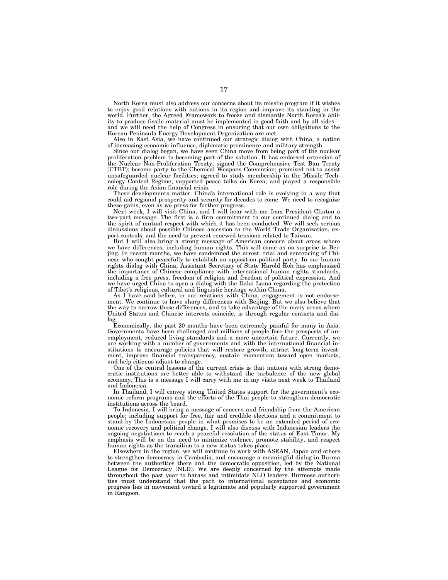North Korea must also address our concerns about its missile program if it wishes to enjoy good relations with nations in its region and improve its standing in the world. Further, the Agreed Framework to freeze and dismantle North Korea's ability to produce fissile material must be implemented in good faith and by all sides and we will need the help of Congress in ensuring that our own obligations to the Korean Peninsula Energy Development Organization are met.

Also in East Asia, we have continued our strategic dialog with China, a nation of increasing economic influence, diplomatic prominence and military strength.

Since our dialog began, we have seen China move from being part of the nuclear proliferation problem to becoming part of the solution. It has endorsed extension of the Nuclear Non-Proliferation Treaty; signed the Comprehensive Test Ban Treaty (CTBT); become party to the Chemical Weapons Convention; promised not to assist unsafeguarded nuclear facilities; agreed to study membership in the Missile Technology Control Regime; supported peace talks on Korea; and played a responsible role during the Asian financial crisis.

These developments matter. China's international role is evolving in a way that could aid regional prosperity and security for decades to come. We need to recognize these gains, even as we press for further progress.

Next week, I will visit China, and I will bear with me from President Clinton a two-part message. The first is a firm commitment to our continued dialog and to the spirit of mutual respect with which it has been conducted. We will seek serious discussions about possible Chinese accession to the World Trade Organization, export controls, and the need to prevent renewed tensions related to Taiwan.

But I will also bring a strong message of American concern about areas where we have differences, including human rights. This will come as no surprise to Beijing. In recent months, we have condemned the arrest, trial and sentencing of Chinese who sought peacefully to establish an opposition political party. In our human rights dialog with China, Assistant Secretary of State Harold Koh has emphasized the importance of Chinese compliance with international human rights standards, including a free press, freedom of religion and freedom of political expression. And we have urged China to open a dialog with the Dalai Lama regarding the protection of Tibet's religious, cultural and linguistic heritage within China.

As I have said before, in our relations with China, engagement is not endorsement. We continue to have sharp differences with Beijing. But we also believe that the way to narrow those differences, and to take advantage of the many areas where United States and Chinese interests coincide, is through regular contacts and dialog.

Economically, the past 20 months have been extremely painful for many in Asia. Governments have been challenged and millions of people face the prospects of unemployment, reduced living standards and a more uncertain future. Currently, we are working with a number of governments and with the international financial institutions to encourage policies that will restore growth, attract long-term investment, improve financial transparency, sustain momentum toward open markets, and help citizens adjust to change.

One of the central lessons of the current crisis is that nations with strong democratic institutions are better able to withstand the turbulence of the new global economy. This is a message I will carry with me in my visits next week to Thailand and Indonesia.

In Thailand, I will convey strong United States support for the government's economic reform programs and the efforts of the Thai people to strengthen democratic institutions across the board.

To Indonesia, I will bring a message of concern and friendship from the American people; including support for free, fair and credible elections and a commitment to stand by the Indonesian people in what promises to be an extended period of economic recovery and political change. I will also discuss with Indonesian leaders the ongoing negotiations to reach a peaceful resolution of the status of East Timor. My emphasis will be on the need to minimize violence, promote stability, and respect human rights as the transition to a new status takes place.

Elsewhere in the region, we will continue to work with ASEAN, Japan and others to strengthen democracy in Cambodia, and encourage a meaningful dialog in Burma between the authorities there and the democratic opposition, led by the National League for Democracy (NLD). We are deeply concerned by the attempts made throughout the past year to harass and intimidate NLD leaders. Burmese authorities must understand that the path to international acceptance and economic progress lies in movement toward a legitimate and popularly supported government in Rangoon.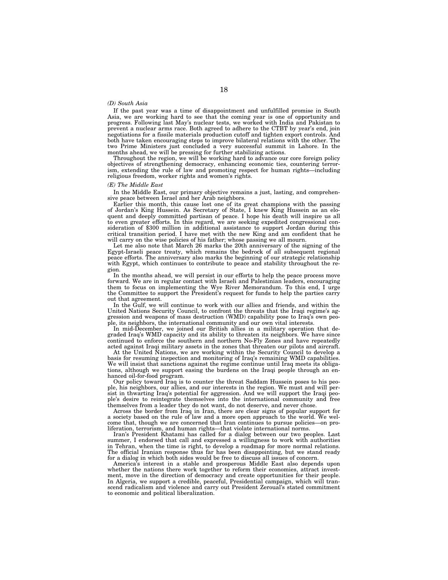## *(D) South Asia*

If the past year was a time of disappointment and unfulfilled promise in South Asia, we are working hard to see that the coming year is one of opportunity and progress. Following last May's nuclear tests, we worked with India and Pakistan to prevent a nuclear arms race. Both agreed to adhere to the CTBT by year's end, join negotiations for a fissile materials production cutoff and tighten export controls. And both have taken encouraging steps to improve bilateral relations with the other. The two Prime Ministers just concluded a very successful summit in Lahore. In the months ahead, we will be pressing for further stabilizing actions.

Throughout the region, we will be working hard to advance our core foreign policy objectives of strengthening democracy, enhancing economic ties, countering terrorism, extending the rule of law and promoting respect for human rights—including religious freedom, worker rights and women's rights.

#### *(E) The Middle East*

In the Middle East, our primary objective remains a just, lasting, and comprehensive peace between Israel and her Arab neighbors.

Earlier this month, this cause lost one of its great champions with the passing of Jordan's King Hussein. As Secretary of State, I knew King Hussein as an eloquent and deeply committed partisan of peace. I hope his death will inspire us all to even greater efforts. In this regard, we are seeking expedited congressional consideration of \$300 million in additional assistance to support Jordan during this critical transition period. I have met with the new King and am confident that he will carry on the wise policies of his father; whose passing we all mourn.

Let me also note that March 26 marks the 20th anniversary of the signing of the Egypt-Israeli peace treaty, which remains the bedrock of all subsequent regional peace efforts. The anniversary also marks the beginning of our strategic relationship with Egypt, which continues to contribute to peace and stability throughout the region.

In the months ahead, we will persist in our efforts to help the peace process move forward. We are in regular contact with Israeli and Palestinian leaders, encouraging them to focus on implementing the Wye River Memorandum. To this end, I urge the Committee to support the President's request for funds to help the parties carry out that agreement.

In the Gulf, we will continue to work with our allies and friends, and within the United Nations Security Council, to confront the threats that the Iraqi regime's aggression and weapons of mass destruction (WMD) capability pose to Iraq's own people, its neighbors, the international community and our own vital interests.

In mid-December, we joined our British allies in a military operation that degraded Iraq's WMD capacity and its ability to threaten its neighbors. We have since continued to enforce the southern and northern No-Fly Zones and have repeatedly acted against Iraqi military assets in the zones that threaten our pilots and aircraft.

At the United Nations, we are working within the Security Council to develop a basis for resuming inspection and monitoring of Iraq's remaining WMD capabilities. We will insist that sanctions against the regime continue until Iraq meets its obligations, although we support easing the burdens on the Iraqi people through an enhanced oil-for-food program.

Our policy toward Iraq is to counter the threat Saddam Hussein poses to his people, his neighbors, our allies, and our interests in the region. We must and will persist in thwarting Iraq's potential for aggression. And we will support the Iraqi people's desire to reintegrate themselves into the international community and free themselves from a leader they do not want, do not deserve, and never chose.

Across the border from Iraq in Iran, there are clear signs of popular support for a society based on the rule of law and a more open approach to the world. We welcome that, though we are concerned that Iran continues to pursue policies—on proliferation, terrorism, and human rights—that violate international norms.

Iran's President Khatami has called for a dialog between our two peoples. Last summer, I endorsed that call and expressed a willingness to work with authorities in Tehran, when the time is right, to develop a roadmap for more normal relations. The official Iranian response thus far has been disappointing, but we stand ready for a dialog in which both sides would be free to discuss all issues of concern.

America's interest in a stable and prosperous Middle East also depends upon whether the nations there work together to reform their economies, attract investment, move in the direction of democracy and create opportunities for their people. In Algeria, we support a credible, peaceful, Presidential campaign, which will transcend radicalism and violence and carry out President Zeroual's stated commitment to economic and political liberalization.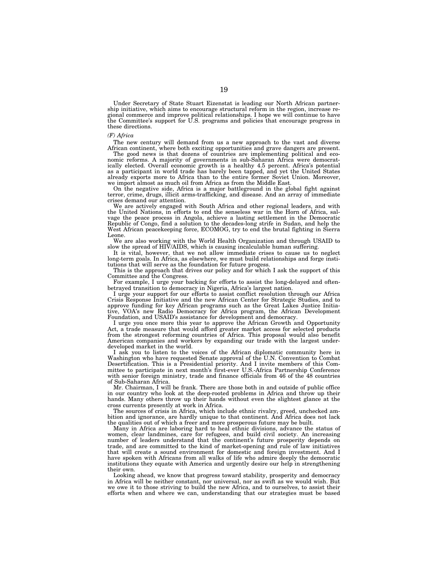Under Secretary of State Stuart Eizenstat is leading our North African partnership initiative, which aims to encourage structural reform in the region, increase regional commerce and improve political relationships. I hope we will continue to have the Committee's support for U.S. programs and policies that encourage progress in these directions.

#### *(F) Africa*

The new century will demand from us a new approach to the vast and diverse African continent, where both exciting opportunities and grave dangers are present.

The good news is that dozens of countries are implementing political and economic reforms. A majority of governments in sub-Saharan Africa were democratically elected. Overall economic growth is a healthy 4.5 percent. Africa's potential as a participant in world trade has barely been tapped, and yet the United States already exports more to Africa than to the entire former Soviet Union. Moreover, we import almost as much oil from Africa as from the Middle East.

On the negative side, Africa is a major battleground in the global fight against terror, crime, drugs, illicit arms-trafficking, and disease. And an array of immediate crises demand our attention.

We are actively engaged with South Africa and other regional leaders, and with the United Nations, in efforts to end the senseless war in the Horn of Africa, salvage the peace process in Angola, achieve a lasting settlement in the Democratic Republic of Congo, find a solution to the decades-long strife in Sudan, and help the West African peacekeeping force, ECOMOG, try to end the brutal fighting in Sierra Leone.

We are also working with the World Health Organization and through USAID to slow the spread of HIV/AIDS, which is causing incalculable human suffering.

It is vital, however, that we not allow immediate crises to cause us to neglect long-term goals. In Africa, as elsewhere, we must build relationships and forge institutions that will serve as the foundation for future progess.

This is the approach that drives our policy and for which I ask the support of this Committee and the Congress.

For example, I urge your backing for efforts to assist the long-delayed and oftenbetrayed transition to democracy in Nigeria, Africa's largest nation.

I urge your support for our efforts to assist conflict resolution through our Africa Crisis Response Initiative and the new African Center for Strategic Studies, and to approve funding for key African programs such as the Great Lakes Justice Initiative, VOA's new Radio Democracy for Africa program, the African Development Foundation, and USAID's assistance for development and democracy.

I urge you once more this year to approve the African Growth and Opportunity Act, a trade measure that would afford greater market access for selected products from the strongest reforming countries of Africa. This proposal would also benefit American companies and workers by expanding our trade with the largest underdeveloped market in the world.

I ask you to listen to the voices of the African diplomatic community here in Washington who have requested Senate approval of the U.N. Convention to Combat Desertification. This is a Presidential priority. And I invite members of this Committee to participate in next month's first-ever U.S.-Africa Partnership Conference with senior foreign ministry, trade and finance officials from 46 of the 48 countries of Sub-Saharan Africa.

Mr. Chairman, I will be frank. There are those both in and outside of public office in our country who look at the deep-rooted problems in Africa and throw up their hands. Many others throw up their hands without even the slightest glance at the cross currents presently at work in Africa.

The sources of crisis in Africa, which include ethnic rivalry, greed, unchecked ambition and ignorance, are hardly unique to that continent. And Africa does not lack the qualities out of which a freer and more prosperous future may be built.

Many in Africa are laboring hard to heal ethnic divisions, advance the status of women, clear landmines, care for refugees, and build civil society. An increasing number of leaders understand that the continent's future prosperity depends on trade, and are committed to the kind of market-opening and rule of law initiatives that will create a sound environment for domestic and foreign investment. And I have spoken with Africans from all walks of life who admire deeply the democratic institutions they equate with America and urgently desire our help in strengthening their own.

Looking ahead, we know that progress toward stability, prosperity and democracy in Africa will be neither constant, nor universal, nor as swift as we would wish. But we owe it to those striving to build the new Africa, and to ourselves, to assist their efforts when and where we can, understanding that our strategies must be based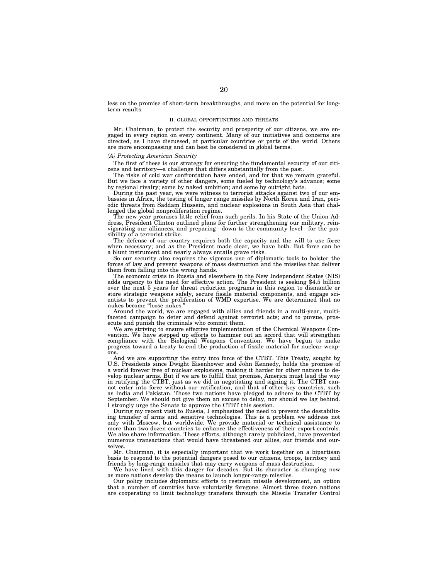less on the promise of short-term breakthroughs, and more on the potential for longterm results.

## II. GLOBAL OPPORTUNITIES AND THREATS

Mr. Chairman, to protect the security and prosperity of our citizens, we are engaged in every region on every continent. Many of our initiatives and concerns are directed, as I have discussed, at particular countries or parts of the world. Others are more encompassing and can best be considered in global terms.

## *(A) Protecting American Security*

The first of these is our strategy for ensuring the fundamental security of our citizens and territory—a challenge that differs substantially from the past.

The risks of cold war confrontation have ended, and for that we remain grateful. But we face a variety of other dangers, some fueled by technology's advance; some by regional rivalry; some by naked ambition; and some by outright hate.

During the past year, we were witness to terrorist attacks against two of our embassies in Africa, the testing of longer range missiles by North Korea and Iran, periodic threats from Saddam Hussein, and nuclear explosions in South Asia that challenged the global nonproliferation regime.

The new year promises little relief from such perils. In his State of the Union Address, President Clinton outlined plans for further strengthening our military, reinvigorating our alliances, and preparing—down to the community level—for the possibility of a terrorist strike.

The defense of our country requires both the capacity and the will to use force when necessary; and as the President made clear, we have both. But force can be a blunt instrument and nearly always entails grave risks.

So our security also requires the vigorous use of diplomatic tools to bolster the forces of law and prevent weapons of mass destruction and the missiles that deliver them from falling into the wrong hands.

The economic crisis in Russia and elsewhere in the New Independent States (NIS) adds urgency to the need for effective action. The President is seeking \$4.5 billion over the next 5 years for threat reduction programs in this region to dismantle or store strategic weapons safely, secure fissile material components, and engage scientists to prevent the proliferation of WMD expertise. We are determined that no nukes become ''loose nukes.''

Around the world, we are engaged with allies and friends in a multi-year, multifaceted campaign to deter and defend against terrorist acts; and to pursue, prosecute and punish the criminals who commit them.

We are striving to ensure effective implementation of the Chemical Weapons Convention. We have stepped up efforts to hammer out an accord that will strengthen compliance with the Biological Weapons Convention. We have begun to make progress toward a treaty to end the production of fissile material for nuclear weapons.

And we are supporting the entry into force of the CTBT. This Treaty, sought by U.S. Presidents since Dwight Eisenhower and John Kennedy, holds the promise of a world forever free of nuclear explosions, making it harder for other nations to develop nuclear arms. But if we are to fulfill that promise, America must lead the way in ratifying the CTBT, just as we did in negotiating and signing it. The CTBT cannot enter into force without our ratification, and that of other key countries, such as India and Pakistan. Those two nations have pledged to adhere to the CTBT by September. We should not give them an excuse to delay, nor should we lag behind. I strongly urge the Senate to approve the CTBT this session.

During my recent visit to Russia, I emphasized the need to prevent the destabilizing transfer of arms and sensitive technologies. This is a problem we address not only with Moscow, but worldwide. We provide material or technical assistance to more than two dozen countries to enhance the effectiveness of their export controls. We also share information. These efforts, although rarely publicized, have prevented numerous transactions that would have threatened our allies, our friends and ourselves.

Mr. Chairman, it is especially important that we work together on a bipartisan basis to respond to the potential dangers posed to our citizens, troops, territory and friends by long-range missiles that may carry weapons of mass destruction.

We have lived with this danger for decades. But its character is changing now as more nations develop the means to launch longer-range missiles.

Our policy includes diplomatic efforts to restrain missile development, an option that a number of countries have voluntarily foregone. Almost three dozen nations are cooperating to limit technology transfers through the Missile Transfer Control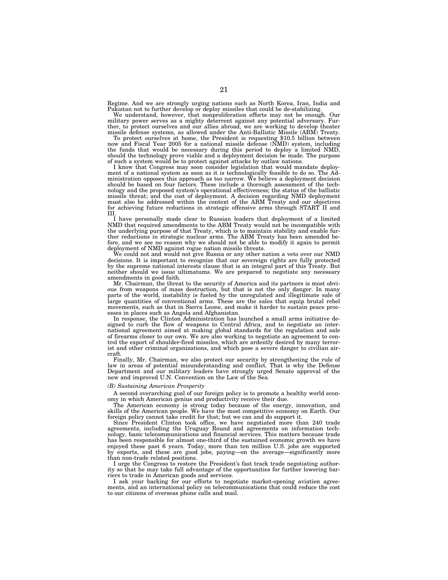Regime. And we are strongly urging nations such as North Korea, Iran, India and Pakistan not to further develop or deploy missiles that could be de-stabilizing.

We understand, however, that nonproliferation efforts may not be enough. Our military power serves as a mighty deterrent against any potential adversary. Further, to protect ourselves and our allies abroad, we are working to develop theater missile defense systems, as allowed under the Anti-Ballistic Missile (ABM) Treaty. To protect ourselves at home, the President is requesting \$10.5 billion between

now and Fiscal Year 2005 for a national missile defense (NMD) system, including the funds that would be necessary during this period to deploy a limited NMD, should the technology prove viable and a deployment decision be made. The purpose of such a system would be to protect against attacks by outlaw nations.

I know that Congress may soon consider legislation that would mandate deployment of a national system as soon as it is technologically feasible to do so. The Administration opposes this approach as too narrow. We believe a deployment decision should be based on four factors. These include a thorough assessment of the technology and the proposed system's operational effectiveness; the status of the ballistic missile threat; and the cost of deployment. A decision regarding NMD deployment must also be addressed within the context of the ABM Treaty and our objectives for achieving future reductions in strategic offensive arms through START II and III.

I have personally made clear to Russian leaders that deployment of a limited NMD that required amendments to the ABM Treaty would not be incompatible with the underlying purpose of that Treaty, which is to maintain stability and enable further reductions in strategic nuclear arms. The ABM Treaty has been amended before, and we see no reason why we should not be able to modify it again to permit deployment of NMD against rogue nation missile threats.

We could not and would not give Russia or any other nation a veto over our NMD decisions. It is important to recognize that our sovereign rights are fully protected by the supreme national interests clause that is an integral part of this Treaty. But neither should we issue ultimatums. We are prepared to negotiate any necessary amendments in good faith.

Mr. Chairman, the threat to the security of America and its partners is most obvious from weapons of mass destruction, but that is not the only danger. In many parts of the world, instability is fueled by the unregulated and illegitimate sale of large quantities of conventional arms. These are the sales that equip brutal rebel movements, such as that in Sierra Leone, and make it harder to sustain peace processes in places such as Angola and Afghanistan.

In response, the Clinton Administration has launched a small arms initiative designed to curb the flow of weapons to Central Africa, and to negotiate an international agreement aimed at making global standards for the regulation and sale of firearms closer to our own. We are also working to negotiate an agreement to control the export of shoulder-fired missiles, which are ardently desired by many terrorist and other criminal organizations, and which pose a severe danger to civilian aircraft.

Finally, Mr. Chairman, we also protect our security by strengthening the rule of law in areas of potential misunderstanding and conflict. That is why the Defense Department and our military leaders have strongly urged Senate approval of the new and improved U.N. Convention on the Law of the Sea.

### *(B) Sustaining American Prosperity*

A second overarching goal of our foreign policy is to promote a healthy world economy in which American genius and productivity receive their due.

The American economy is strong today because of the energy, innovation, and skills of the American people. We have the most competitive economy on Earth. Our foreign policy cannot take credit for that; but we can and do support it.

Since President Clinton took office, we have negotiated more than 240 trade agreements, including the Uruguay Round and agreements on information technology, basic telecommunications and financial services. This matters because trade has been responsible for almost one-third of the sustained economic growth we have enjoyed these past 6 years. Today, more than ten million U.S. jobs are supported by exports, and these are good jobs, paying—on the average—significantly more than non-trade related positions.

I urge the Congress to restore the President's fast track trade negotiating authority so that he may take full advantage of the opportunities for further lowering barriers to trade in American goods and services.

I ask your backing for our efforts to negotiate market-opening aviation agreements, and an international policy on telecommunications that could reduce the cost to our citizens of overseas phone calls and mail.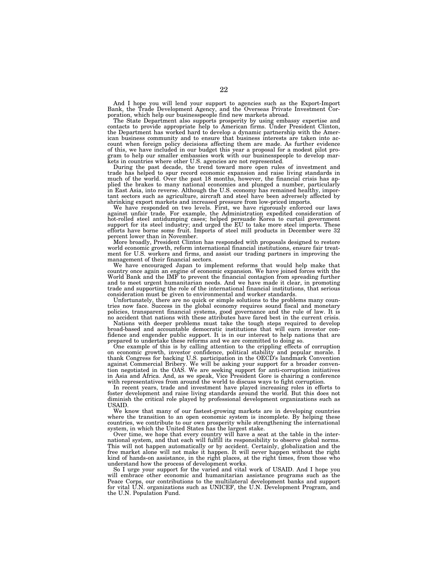And I hope you will lend your support to agencies such as the Export-Import Bank, the Trade Development Agency, and the Overseas Private Investment Cor-poration, which help our businesspeople find new markets abroad.

The State Department also supports prosperity by using embassy expertise and contacts to provide appropriate help to American firms. Under President Clinton, the Department has worked hard to develop a dynamic partnership with the American business community and to ensure that business interests are taken into account when foreign policy decisions affecting them are made. As further evidence of this, we have included in our budget this year a proposal for a modest pilot program to help our smaller embassies work with our businesspeople to develop mar-kets in countries where other U.S. agencies are not represented.

During the past decade, the trend toward more open rules of investment and trade has helped to spur record economic expansion and raise living standards in much of the world. Over the past 18 months, however, the financial crisis has applied the brakes to many national economies and plunged a number, particularly in East Asia, into reverse. Although the U.S. economy has remained healthy, important sectors such as agriculture, aircraft and steel have been adversely affected by shrinking export markets and increased pressure from low-priced imports.

We have responded on two levels. First, we have rigorously enforced our laws against unfair trade. For example, the Administration expedited consideration of hot-rolled steel antidumping cases; helped persuade Korea to curtail government support for its steel industry; and urged the EU to take more steel imports. These efforts have borne some fruit. Imports of steel mill products in December were 32 percent lower than in November.

More broadly, President Clinton has responded with proposals designed to restore world economic growth, reform international financial institutions, ensure fair treatment for U.S. workers and firms, and assist our trading partners in improving the management of their financial sectors.

We have encouraged Japan to implement reforms that would help make that country once again an engine of economic expansion. We have joined forces with the World Bank and the IMF to prevent the financial contagion from spreading further and to meet urgent humanitarian needs. And we have made it clear, in promoting trade and supporting the role of the international financial institutions, that serious consideration must be given to environmental and worker standards.

Unfortunately, there are no quick or simple solutions to the problems many countries now face. Success in the global economy requires sound fiscal and monetary policies, transparent financial systems, good governance and the rule of law. It is

no accident that nations with these attributes have fared best in the current crisis. Nations with deeper problems must take the tough steps required to develop broad-based and accountable democratic institutions that will earn investor confidence and engender public support. It is in our interest to help nations that are prepared to undertake these reforms and we are committed to doing so.

One example of this is by calling attention to the crippling effects of corruption on economic growth, investor confidence, political stability and popular morale. I thank Congress for backing U.S. participation in the OECD's landmark Convention against Commercial Bribery. We will be asking your support for a broader convention negotiated in the OAS. We are seeking support for anti-corruption initiatives in Asia and Africa. And, as we speak, Vice President Gore is chairing a conference with representatives from around the world to discuss ways to fight corruption.

In recent years, trade and investment have played increasing roles in efforts to foster development and raise living standards around the world. But this does not diminish the critical role played by professional development organizations such as USAID.

We know that many of our fastest-growing markets are in developing countries where the transition to an open economic system is incomplete. By helping these countries, we contribute to our own prosperity while strengthening the international system, in which the United States has the largest stake.

Over time, we hope that every country will have a seat at the table in the international system, and that each will fulfill its responsibility to observe global norms. This will not happen automatically or by accident. Certainly, globalization and the free market alone will not make it happen. It will never happen without the right kind of hands-on assistance, in the right places, at the right times, from those who understand how the process of development works.

So I urge your support for the varied and vital work of USAID. And I hope you will embrace other economic and humanitarian assistance programs such as the Peace Corps, our contributions to the multilateral development banks and support for vital U.N. organizations such as UNICEF, the U.N. Development Program, and the U.N. Population Fund.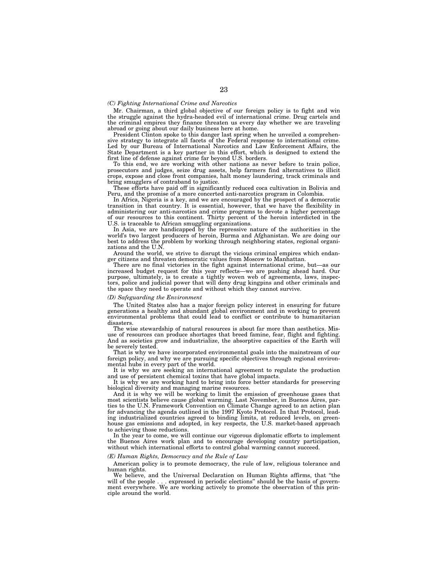### *(C) Fighting International Crime and Narcotics*

Mr. Chairman, a third global objective of our foreign policy is to fight and win the struggle against the hydra-headed evil of international crime. Drug cartels and the criminal empires they finance threaten us every day whether we are traveling abroad or going about our daily business here at home.

President Clinton spoke to this danger last spring when he unveiled a comprehensive strategy to integrate all facets of the Federal response to international crime. Led by our Bureau of International Narcotics and Law Enforcement Affairs, the State Department is a key partner in this effort, which is designed to extend the first line of defense against crime far beyond U.S. borders.

To this end, we are working with other nations as never before to train police, prosecutors and judges, seize drug assets, help farmers find alternatives to illicit crops, expose and close front companies, halt money laundering, track criminals and bring smugglers of contraband to justice.

These efforts have paid off in significantly reduced coca cultivation in Bolivia and Peru, and the promise of a more concerted anti-narcotics program in Colombia.

In Africa, Nigeria is a key, and we are encouraged by the prospect of a democratic transition in that country. It is essential, however, that we have the flexibility in administering our anti-narcotics and crime programs to devote a higher percentage of our resources to this continent. Thirty percent of the heroin interdicted in the U.S. is traceable to African smuggling organizations.

In Asia, we are handicapped by the repressive nature of the authorities in the world's two largest producers of heroin, Burma and Afghanistan. We are doing our best to address the problem by working through neighboring states, regional organizations and the U.N.

Around the world, we strive to disrupt the vicious criminal empires which endanger citizens and threaten democratic values from Moscow to Manhattan.

There are no final victories in the fight against international crime, but—as our increased budget request for this year reflects—we are pushing ahead hard. Our purpose, ultimately, is to create a tightly woven web of agreements, laws, inspectors, police and judicial power that will deny drug kingpins and other criminals and the space they need to operate and without which they cannot survive.

#### *(D) Safeguarding the Environment*

The United States also has a major foreign policy interest in ensuring for future generations a healthy and abundant global environment and in working to prevent environmental problems that could lead to conflict or contribute to humanitarian disasters.

The wise stewardship of natural resources is about far more than aesthetics. Misuse of resources can produce shortages that breed famine, fear, flight and fighting. And as societies grow and industrialize, the absorptive capacities of the Earth will be severely tested.

That is why we have incorporated environmental goals into the mainstream of our foreign policy, and why we are pursuing specific objectives through regional environmental hubs in every part of the world.

It is why we are seeking an international agreement to regulate the production and use of persistent chemical toxins that have global impacts.

It is why we are working hard to bring into force better standards for preserving biological diversity and managing marine resources.

And it is why we will be working to limit the emission of greenhouse gases that most scientists believe cause global warming. Last November, in Buenos Aires, parties to the U.N. Framework Convention on Climate Change agreed to an action plan for advancing the agenda outlined in the 1997 Kyoto Protocol. In that Protocol, leading industrialized countries agreed to binding limits, at reduced levels, on greenhouse gas emissions and adopted, in key respects, the U.S. market-based approach to achieving those reductions.

In the year to come, we will continue our vigorous diplomatic efforts to implement the Buenos Aires work plan and to encourage developing country participation, without which international efforts to control global warming cannot succeed.

### *(E) Human Rights, Democracy and the Rule of Law*

American policy is to promote democracy, the rule of law, religious tolerance and human rights.

We believe, and the Universal Declaration on Human Rights affirms, that ''the will of the people . . . expressed in periodic elections" should be the basis of government everywhere. We are working actively to promote the observation of this principle around the world.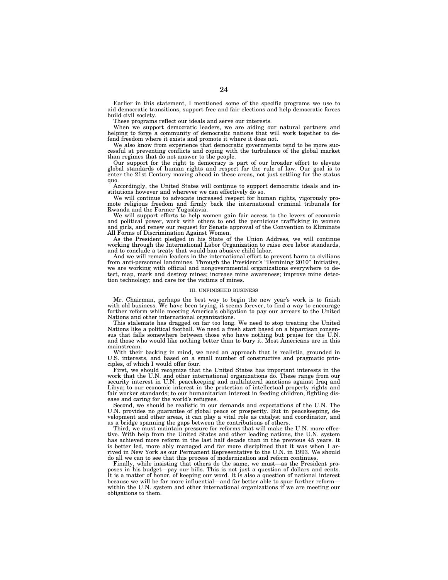Earlier in this statement, I mentioned some of the specific programs we use to aid democratic transitions, support free and fair elections and help democratic forces build civil society.

These programs reflect our ideals and serve our interests.

When we support democratic leaders, we are aiding our natural partners and helping to forge a community of democratic nations that will work together to defend freedom where it exists and promote it where it does not.

We also know from experience that democratic governments tend to be more successful at preventing conflicts and coping with the turbulence of the global market than regimes that do not answer to the people.

Our support for the right to democracy is part of our broader effort to elevate global standards of human rights and respect for the rule of law. Our goal is to enter the 21st Century moving ahead in these areas, not just settling for the status quo.

Accordingly, the United States will continue to support democratic ideals and institutions however and wherever we can effectively do so.

We will continue to advocate increased respect for human rights, vigorously promote religious freedom and firmly back the international criminal tribunals for Rwanda and the Former Yugoslavia.

We will support efforts to help women gain fair access to the levers of economic and political power, work with others to end the pernicious trafficking in women and girls, and renew our request for Senate approval of the Convention to Eliminate All Forms of Discrimination Against Women.

As the President pledged in his State of the Union Address, we will continue working through the International Labor Organization to raise core labor standards, and to conclude a treaty that would ban abusive child labor.

And we will remain leaders in the international effort to prevent harm to civilians from anti-personnel landmines. Through the President's ''Demining 2010'' Initiative, we are working with official and nongovernmental organizations everywhere to detect, map, mark and destroy mines; increase mine awareness; improve mine detection technology; and care for the victims of mines.

#### III. UNFINISHED BUSINESS

Mr. Chairman, perhaps the best way to begin the new year's work is to finish with old business. We have been trying, it seems forever, to find a way to encourage further reform while meeting America's obligation to pay our arrears to the United Nations and other international organizations.

This stalemate has dragged on far too long. We need to stop treating the United Nations like a political football. We need a fresh start based on a bipartisan consensus that falls somewhere between those who have nothing but praise for the U.N. and those who would like nothing better than to bury it. Most Americans are in this mainstream.

With their backing in mind, we need an approach that is realistic, grounded in U.S. interests, and based on a small number of constructive and pragmatic principles, of which I would offer four.

First, we should recognize that the United States has important interests in the work that the U.N. and other international organizations do. These range from our security interest in U.N. peacekeeping and multilateral sanctions against Iraq and Libya; to our economic interest in the protection of intellectual property rights and fair worker standards; to our humanitarian interest in feeding children, fighting disease and caring for the world's refugees.

Second, we should be realistic in our demands and expectations of the U.N. The U.N. provides no guarantee of global peace or prosperity. But in peacekeeping, development and other areas, it can play a vital role as catalyst and coordinator, and as a bridge spanning the gaps between the contributions of others.

Third, we must maintain pressure for reforms that will make the U.N. more effective. With help from the United States and other leading nations, the U.N. system has achieved more reform in the last half decade than in the previous 45 years. It is better led, more ably managed and far more disciplined that it was when I arrived in New York as our Permanent Representative to the U.N. in 1993. We should do all we can to see that this process of modernization and reform continues.

Finally, while insisting that others do the same, we must—as the President proposes in his budget—pay our bills. This is not just a question of dollars and cents. It is a matter of honor, of keeping our word. It is also a question of national interest because we will be far more influential—and far better able to spur further reform within the U.N. system and other international organizations if we are meeting our obligations to them.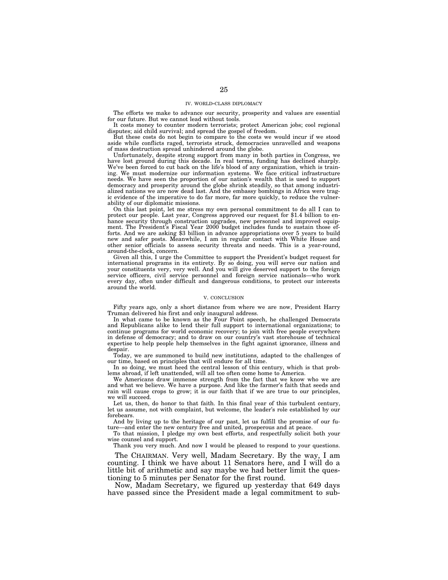#### IV. WORLD-CLASS DIPLOMACY

The efforts we make to advance our security, prosperity and values are essential for our future. But we cannot lead without tools.

It costs money to counter modern terrorists; protect American jobs; cool regional disputes; aid child survival; and spread the gospel of freedom.

But these costs do not begin to compare to the costs we would incur if we stood aside while conflicts raged, terrorists struck, democracies unravelled and weapons of mass destruction spread unhindered around the globe.

Unfortunately, despite strong support from many in both parties in Congress, we have lost ground during this decade. In real terms, funding has declined sharply. We've been forced to cut back on the life's blood of any organization, which is training. We must modernize our information systems. We face critical infrastructure needs. We have seen the proportion of our nation's wealth that is used to support democracy and prosperity around the globe shrink steadily, so that among industrialized nations we are now dead last. And the embassy bombings in Africa were tragic evidence of the imperative to do far more, far more quickly, to reduce the vulnerability of our diplomatic missions.

On this last point, let me stress my own personal commitment to do all I can to protect our people. Last year, Congress approved our request for \$1.4 billion to enhance security through construction upgrades, new personnel and improved equipment. The President's Fiscal Year 2000 budget includes funds to sustain those efforts. And we are asking \$3 billion in advance appropriations over 5 years to build new and safer posts. Meanwhile, I am in regular contact with White House and other senior officials to assess security threats and needs. This is a year-round, around-the-clock, concern.

Given all this, I urge the Committee to support the President's budget request for international programs in its entirety. By so doing, you will serve our nation and your constituents very, very well. And you will give deserved support to the foreign service officers, civil service personnel and foreign service nationals—who work every day, often under difficult and dangerous conditions, to protect our interests around the world.

## V. CONCLUSION

Fifty years ago, only a short distance from where we are now, President Harry Truman delivered his first and only inaugural address.

In what came to be known as the Four Point speech, he challenged Democrats and Republicans alike to lend their full support to international organizations; to continue programs for world economic recovery; to join with free people everywhere in defense of democracy; and to draw on our country's vast storehouse of technical expertise to help people help themselves in the fight against ignorance, illness and despair.

Today, we are summoned to build new institutions, adapted to the challenges of our time, based on principles that will endure for all time.

In so doing, we must heed the central lesson of this century, which is that problems abroad, if left unattended, will all too often come home to America.

We Americans draw immense strength from the fact that we know who we are and what we believe. We have a purpose. And like the farmer's faith that seeds and rain will cause crops to grow; it is our faith that if we are true to our principles, we will succeed.

Let us, then, do honor to that faith. In this final year of this turbulent century, let us assume, not with complaint, but welcome, the leader's role established by our forebears.

And by living up to the heritage of our past, let us fulfill the promise of our future—and enter the new century free and united, prosperous and at peace.

To that mission, I pledge my own best efforts, and respectfully solicit both your wise counsel and support.

Thank you very much. And now I would be pleased to respond to your questions.

The CHAIRMAN. Very well, Madam Secretary. By the way, I am counting. I think we have about 11 Senators here, and I will do a little bit of arithmetic and say maybe we had better limit the questioning to 5 minutes per Senator for the first round.

Now, Madam Secretary, we figured up yesterday that 649 days have passed since the President made a legal commitment to sub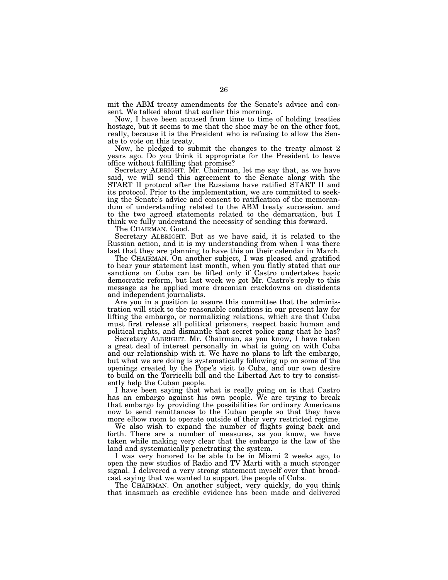mit the ABM treaty amendments for the Senate's advice and consent. We talked about that earlier this morning.

Now, I have been accused from time to time of holding treaties hostage, but it seems to me that the shoe may be on the other foot, really, because it is the President who is refusing to allow the Senate to vote on this treaty.

Now, he pledged to submit the changes to the treaty almost 2 years ago. Do you think it appropriate for the President to leave office without fulfilling that promise?

Secretary ALBRIGHT. Mr. Chairman, let me say that, as we have said, we will send this agreement to the Senate along with the START II protocol after the Russians have ratified START II and its protocol. Prior to the implementation, we are committed to seeking the Senate's advice and consent to ratification of the memorandum of understanding related to the ABM treaty succession, and to the two agreed statements related to the demarcation, but I think we fully understand the necessity of sending this forward.

The CHAIRMAN. Good.

Secretary ALBRIGHT. But as we have said, it is related to the Russian action, and it is my understanding from when I was there last that they are planning to have this on their calendar in March.

The CHAIRMAN. On another subject, I was pleased and gratified to hear your statement last month, when you flatly stated that our sanctions on Cuba can be lifted only if Castro undertakes basic democratic reform, but last week we got Mr. Castro's reply to this message as he applied more draconian crackdowns on dissidents and independent journalists.

Are you in a position to assure this committee that the administration will stick to the reasonable conditions in our present law for lifting the embargo, or normalizing relations, which are that Cuba must first release all political prisoners, respect basic human and political rights, and dismantle that secret police gang that he has?

Secretary ALBRIGHT. Mr. Chairman, as you know, I have taken a great deal of interest personally in what is going on with Cuba and our relationship with it. We have no plans to lift the embargo, but what we are doing is systematically following up on some of the openings created by the Pope's visit to Cuba, and our own desire to build on the Torricelli bill and the Libertad Act to try to consistently help the Cuban people.

I have been saying that what is really going on is that Castro has an embargo against his own people. We are trying to break that embargo by providing the possibilities for ordinary Americans now to send remittances to the Cuban people so that they have more elbow room to operate outside of their very restricted regime.

We also wish to expand the number of flights going back and forth. There are a number of measures, as you know, we have taken while making very clear that the embargo is the law of the land and systematically penetrating the system.

I was very honored to be able to be in Miami 2 weeks ago, to open the new studios of Radio and TV Marti with a much stronger signal. I delivered a very strong statement myself over that broadcast saying that we wanted to support the people of Cuba.

The CHAIRMAN. On another subject, very quickly, do you think that inasmuch as credible evidence has been made and delivered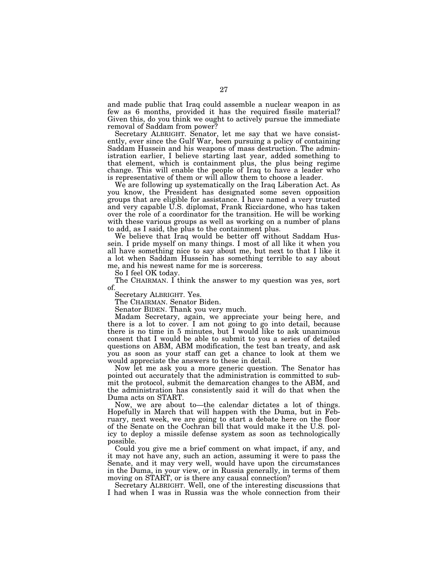and made public that Iraq could assemble a nuclear weapon in as few as 6 months, provided it has the required fissile material? Given this, do you think we ought to actively pursue the immediate removal of Saddam from power?

Secretary ALBRIGHT. Senator, let me say that we have consistently, ever since the Gulf War, been pursuing a policy of containing Saddam Hussein and his weapons of mass destruction. The administration earlier, I believe starting last year, added something to that element, which is containment plus, the plus being regime change. This will enable the people of Iraq to have a leader who is representative of them or will allow them to choose a leader.

We are following up systematically on the Iraq Liberation Act. As you know, the President has designated some seven opposition groups that are eligible for assistance. I have named a very trusted and very capable U.S. diplomat, Frank Ricciardone, who has taken over the role of a coordinator for the transition. He will be working with these various groups as well as working on a number of plans to add, as I said, the plus to the containment plus.

We believe that Iraq would be better off without Saddam Hussein. I pride myself on many things. I most of all like it when you all have something nice to say about me, but next to that I like it a lot when Saddam Hussein has something terrible to say about me, and his newest name for me is sorceress.

So I feel OK today.

The CHAIRMAN. I think the answer to my question was yes, sort of.

Secretary ALBRIGHT. Yes.

The CHAIRMAN. Senator Biden.

Senator BIDEN. Thank you very much.

Madam Secretary, again, we appreciate your being here, and there is a lot to cover. I am not going to go into detail, because there is no time in 5 minutes, but I would like to ask unanimous consent that I would be able to submit to you a series of detailed questions on ABM, ABM modification, the test ban treaty, and ask you as soon as your staff can get a chance to look at them we would appreciate the answers to these in detail.

Now let me ask you a more generic question. The Senator has pointed out accurately that the administration is committed to submit the protocol, submit the demarcation changes to the ABM, and the administration has consistently said it will do that when the Duma acts on START.

Now, we are about to—the calendar dictates a lot of things. Hopefully in March that will happen with the Duma, but in February, next week, we are going to start a debate here on the floor of the Senate on the Cochran bill that would make it the U.S. policy to deploy a missile defense system as soon as technologically possible.

Could you give me a brief comment on what impact, if any, and it may not have any, such an action, assuming it were to pass the Senate, and it may very well, would have upon the circumstances in the Duma, in your view, or in Russia generally, in terms of them moving on START, or is there any causal connection?

Secretary ALBRIGHT. Well, one of the interesting discussions that I had when I was in Russia was the whole connection from their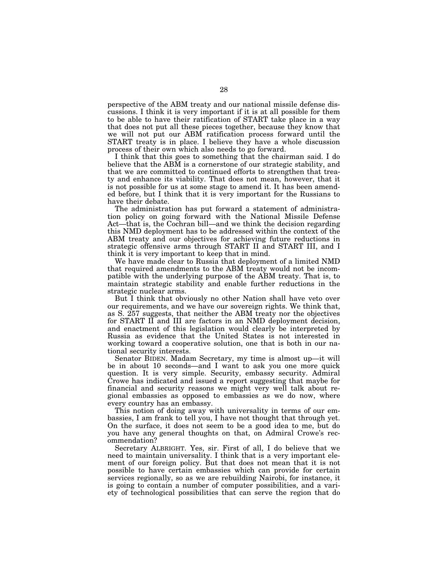perspective of the ABM treaty and our national missile defense discussions. I think it is very important if it is at all possible for them to be able to have their ratification of START take place in a way that does not put all these pieces together, because they know that we will not put our ABM ratification process forward until the START treaty is in place. I believe they have a whole discussion process of their own which also needs to go forward.

I think that this goes to something that the chairman said. I do believe that the ABM is a cornerstone of our strategic stability, and that we are committed to continued efforts to strengthen that treaty and enhance its viability. That does not mean, however, that it is not possible for us at some stage to amend it. It has been amended before, but I think that it is very important for the Russians to have their debate.

The administration has put forward a statement of administration policy on going forward with the National Missile Defense Act—that is, the Cochran bill—and we think the decision regarding this NMD deployment has to be addressed within the context of the ABM treaty and our objectives for achieving future reductions in strategic offensive arms through START II and START III, and I think it is very important to keep that in mind.

We have made clear to Russia that deployment of a limited NMD that required amendments to the ABM treaty would not be incompatible with the underlying purpose of the ABM treaty. That is, to maintain strategic stability and enable further reductions in the strategic nuclear arms.

But I think that obviously no other Nation shall have veto over our requirements, and we have our sovereign rights. We think that, as S. 257 suggests, that neither the ABM treaty nor the objectives for START II and III are factors in an NMD deployment decision, and enactment of this legislation would clearly be interpreted by Russia as evidence that the United States is not interested in working toward a cooperative solution, one that is both in our national security interests.

Senator BIDEN. Madam Secretary, my time is almost up—it will be in about 10 seconds—and I want to ask you one more quick question. It is very simple. Security, embassy security. Admiral Crowe has indicated and issued a report suggesting that maybe for financial and security reasons we might very well talk about regional embassies as opposed to embassies as we do now, where every country has an embassy.

This notion of doing away with universality in terms of our embassies, I am frank to tell you, I have not thought that through yet. On the surface, it does not seem to be a good idea to me, but do you have any general thoughts on that, on Admiral Crowe's recommendation?

Secretary ALBRIGHT. Yes, sir. First of all, I do believe that we need to maintain universality. I think that is a very important element of our foreign policy. But that does not mean that it is not possible to have certain embassies which can provide for certain services regionally, so as we are rebuilding Nairobi, for instance, it is going to contain a number of computer possibilities, and a variety of technological possibilities that can serve the region that do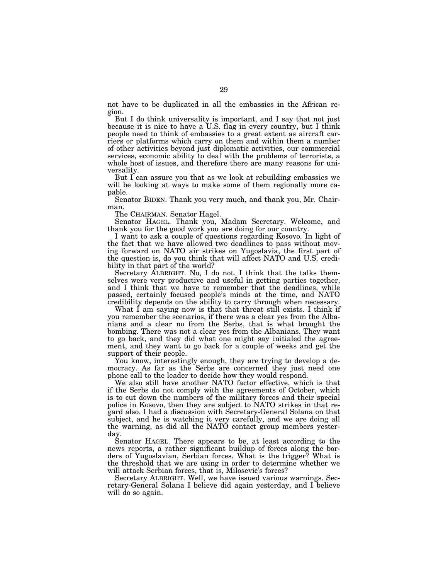not have to be duplicated in all the embassies in the African region.

But I do think universality is important, and I say that not just because it is nice to have a U.S. flag in every country, but I think people need to think of embassies to a great extent as aircraft carriers or platforms which carry on them and within them a number of other activities beyond just diplomatic activities, our commercial services, economic ability to deal with the problems of terrorists, a whole host of issues, and therefore there are many reasons for universality.

But I can assure you that as we look at rebuilding embassies we will be looking at ways to make some of them regionally more capable.

Senator BIDEN. Thank you very much, and thank you, Mr. Chairman.

The CHAIRMAN. Senator Hagel.

Senator HAGEL. Thank you, Madam Secretary. Welcome, and thank you for the good work you are doing for our country.

I want to ask a couple of questions regarding Kosovo. In light of the fact that we have allowed two deadlines to pass without moving forward on NATO air strikes on Yugoslavia, the first part of the question is, do you think that will affect NATO and U.S. credibility in that part of the world?

Secretary ALBRIGHT. No, I do not. I think that the talks themselves were very productive and useful in getting parties together, and I think that we have to remember that the deadlines, while passed, certainly focused people's minds at the time, and NATO credibility depends on the ability to carry through when necessary.

What I am saying now is that that threat still exists. I think if you remember the scenarios, if there was a clear yes from the Albanians and a clear no from the Serbs, that is what brought the bombing. There was not a clear yes from the Albanians. They want to go back, and they did what one might say initialed the agreement, and they want to go back for a couple of weeks and get the support of their people.

You know, interestingly enough, they are trying to develop a democracy. As far as the Serbs are concerned they just need one phone call to the leader to decide how they would respond.

We also still have another NATO factor effective, which is that if the Serbs do not comply with the agreements of October, which is to cut down the numbers of the military forces and their special police in Kosovo, then they are subject to NATO strikes in that regard also. I had a discussion with Secretary-General Solana on that subject, and he is watching it very carefully, and we are doing all the warning, as did all the NATO contact group members yesterday.

Senator HAGEL. There appears to be, at least according to the news reports, a rather significant buildup of forces along the borders of Yugoslavian, Serbian forces. What is the trigger? What is the threshold that we are using in order to determine whether we will attack Serbian forces, that is, Milosevic's forces?

Secretary ALBRIGHT. Well, we have issued various warnings. Secretary-General Solana I believe did again yesterday, and I believe will do so again.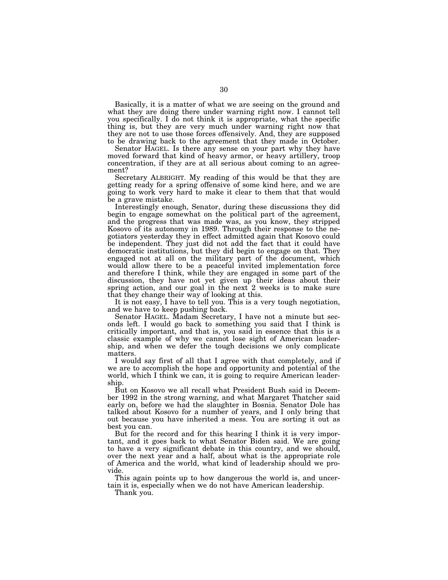Basically, it is a matter of what we are seeing on the ground and what they are doing there under warning right now. I cannot tell you specifically. I do not think it is appropriate, what the specific thing is, but they are very much under warning right now that they are not to use those forces offensively. And, they are supposed to be drawing back to the agreement that they made in October.

Senator HAGEL. Is there any sense on your part why they have moved forward that kind of heavy armor, or heavy artillery, troop concentration, if they are at all serious about coming to an agreement?

Secretary ALBRIGHT. My reading of this would be that they are getting ready for a spring offensive of some kind here, and we are going to work very hard to make it clear to them that that would be a grave mistake.

Interestingly enough, Senator, during these discussions they did begin to engage somewhat on the political part of the agreement, and the progress that was made was, as you know, they stripped Kosovo of its autonomy in 1989. Through their response to the negotiators yesterday they in effect admitted again that Kosovo could be independent. They just did not add the fact that it could have democratic institutions, but they did begin to engage on that. They engaged not at all on the military part of the document, which would allow there to be a peaceful invited implementation force and therefore I think, while they are engaged in some part of the discussion, they have not yet given up their ideas about their spring action, and our goal in the next 2 weeks is to make sure that they change their way of looking at this.

It is not easy, I have to tell you. This is a very tough negotiation, and we have to keep pushing back.

Senator HAGEL. Madam Secretary, I have not a minute but seconds left. I would go back to something you said that I think is critically important, and that is, you said in essence that this is a classic example of why we cannot lose sight of American leadership, and when we defer the tough decisions we only complicate matters.

I would say first of all that I agree with that completely, and if we are to accomplish the hope and opportunity and potential of the world, which I think we can, it is going to require American leadership.

But on Kosovo we all recall what President Bush said in December 1992 in the strong warning, and what Margaret Thatcher said early on, before we had the slaughter in Bosnia. Senator Dole has talked about Kosovo for a number of years, and I only bring that out because you have inherited a mess. You are sorting it out as best you can.

But for the record and for this hearing I think it is very important, and it goes back to what Senator Biden said. We are going to have a very significant debate in this country, and we should, over the next year and a half, about what is the appropriate role of America and the world, what kind of leadership should we provide.

This again points up to how dangerous the world is, and uncertain it is, especially when we do not have American leadership.

Thank you.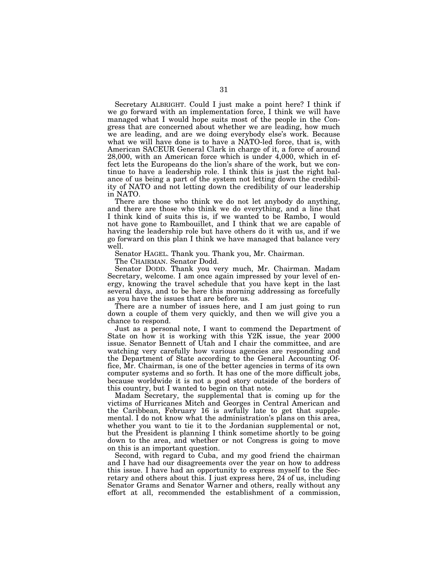Secretary ALBRIGHT. Could I just make a point here? I think if we go forward with an implementation force, I think we will have managed what I would hope suits most of the people in the Congress that are concerned about whether we are leading, how much we are leading, and are we doing everybody else's work. Because what we will have done is to have a NATO-led force, that is, with American SACEUR General Clark in charge of it, a force of around 28,000, with an American force which is under 4,000, which in effect lets the Europeans do the lion's share of the work, but we continue to have a leadership role. I think this is just the right balance of us being a part of the system not letting down the credibility of NATO and not letting down the credibility of our leadership in NATO.

There are those who think we do not let anybody do anything, and there are those who think we do everything, and a line that I think kind of suits this is, if we wanted to be Rambo, I would not have gone to Rambouillet, and I think that we are capable of having the leadership role but have others do it with us, and if we go forward on this plan I think we have managed that balance very well.

Senator HAGEL. Thank you. Thank you, Mr. Chairman.

The CHAIRMAN. Senator Dodd.

Senator DODD. Thank you very much, Mr. Chairman. Madam Secretary, welcome. I am once again impressed by your level of energy, knowing the travel schedule that you have kept in the last several days, and to be here this morning addressing as forcefully as you have the issues that are before us.

There are a number of issues here, and I am just going to run down a couple of them very quickly, and then we will give you a chance to respond.

Just as a personal note, I want to commend the Department of State on how it is working with this Y2K issue, the year 2000 issue. Senator Bennett of Utah and I chair the committee, and are watching very carefully how various agencies are responding and the Department of State according to the General Accounting Office, Mr. Chairman, is one of the better agencies in terms of its own computer systems and so forth. It has one of the more difficult jobs, because worldwide it is not a good story outside of the borders of this country, but I wanted to begin on that note.

Madam Secretary, the supplemental that is coming up for the victims of Hurricanes Mitch and Georges in Central American and the Caribbean, February 16 is awfully late to get that supplemental. I do not know what the administration's plans on this area, whether you want to tie it to the Jordanian supplemental or not, but the President is planning I think sometime shortly to be going down to the area, and whether or not Congress is going to move on this is an important question.

Second, with regard to Cuba, and my good friend the chairman and I have had our disagreements over the year on how to address this issue. I have had an opportunity to express myself to the Secretary and others about this. I just express here, 24 of us, including Senator Grams and Senator Warner and others, really without any effort at all, recommended the establishment of a commission,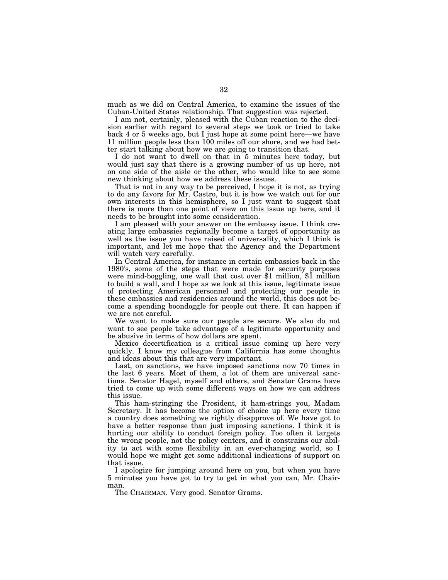much as we did on Central America, to examine the issues of the Cuban-United States relationship. That suggestion was rejected.

I am not, certainly, pleased with the Cuban reaction to the decision earlier with regard to several steps we took or tried to take back 4 or 5 weeks ago, but I just hope at some point here—we have 11 million people less than 100 miles off our shore, and we had better start talking about how we are going to transition that.

I do not want to dwell on that in 5 minutes here today, but would just say that there is a growing number of us up here, not on one side of the aisle or the other, who would like to see some new thinking about how we address these issues.

That is not in any way to be perceived, I hope it is not, as trying to do any favors for Mr. Castro, but it is how we watch out for our own interests in this hemisphere, so I just want to suggest that there is more than one point of view on this issue up here, and it needs to be brought into some consideration.

I am pleased with your answer on the embassy issue. I think creating large embassies regionally become a target of opportunity as well as the issue you have raised of universality, which I think is important, and let me hope that the Agency and the Department will watch very carefully.

In Central America, for instance in certain embassies back in the 1980's, some of the steps that were made for security purposes were mind-boggling, one wall that cost over \$1 million, \$1 million to build a wall, and I hope as we look at this issue, legitimate issue of protecting American personnel and protecting our people in these embassies and residencies around the world, this does not become a spending boondoggle for people out there. It can happen if we are not careful.

We want to make sure our people are secure. We also do not want to see people take advantage of a legitimate opportunity and be abusive in terms of how dollars are spent.

Mexico decertification is a critical issue coming up here very quickly. I know my colleague from California has some thoughts and ideas about this that are very important.

Last, on sanctions, we have imposed sanctions now 70 times in the last 6 years. Most of them, a lot of them are universal sanctions. Senator Hagel, myself and others, and Senator Grams have tried to come up with some different ways on how we can address this issue.

This ham-stringing the President, it ham-strings you, Madam Secretary. It has become the option of choice up here every time a country does something we rightly disapprove of. We have got to have a better response than just imposing sanctions. I think it is hurting our ability to conduct foreign policy. Too often it targets the wrong people, not the policy centers, and it constrains our ability to act with some flexibility in an ever-changing world, so I would hope we might get some additional indications of support on that issue.

I apologize for jumping around here on you, but when you have 5 minutes you have got to try to get in what you can, Mr. Chairman.

The CHAIRMAN. Very good. Senator Grams.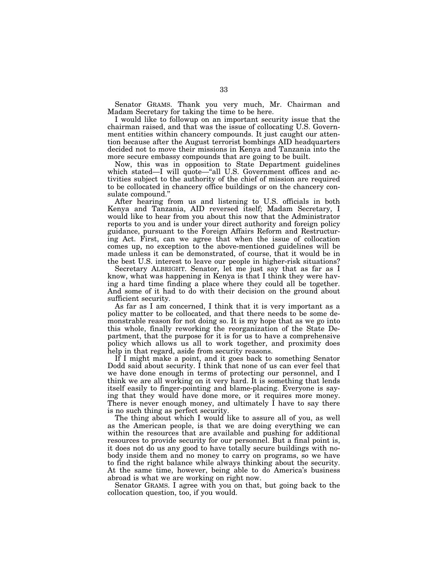Senator GRAMS. Thank you very much, Mr. Chairman and Madam Secretary for taking the time to be here.

I would like to followup on an important security issue that the chairman raised, and that was the issue of collocating U.S. Government entities within chancery compounds. It just caught our attention because after the August terrorist bombings AID headquarters decided not to move their missions in Kenya and Tanzania into the more secure embassy compounds that are going to be built.

Now, this was in opposition to State Department guidelines which stated—I will quote—"all U.S. Government offices and activities subject to the authority of the chief of mission are required to be collocated in chancery office buildings or on the chancery consulate compound.''

After hearing from us and listening to U.S. officials in both Kenya and Tanzania, AID reversed itself; Madam Secretary, I would like to hear from you about this now that the Administrator reports to you and is under your direct authority and foreign policy guidance, pursuant to the Foreign Affairs Reform and Restructuring Act. First, can we agree that when the issue of collocation comes up, no exception to the above-mentioned guidelines will be made unless it can be demonstrated, of course, that it would be in the best U.S. interest to leave our people in higher-risk situations?

Secretary ALBRIGHT. Senator, let me just say that as far as I know, what was happening in Kenya is that I think they were having a hard time finding a place where they could all be together. And some of it had to do with their decision on the ground about sufficient security.

As far as I am concerned, I think that it is very important as a policy matter to be collocated, and that there needs to be some demonstrable reason for not doing so. It is my hope that as we go into this whole, finally reworking the reorganization of the State Department, that the purpose for it is for us to have a comprehensive policy which allows us all to work together, and proximity does help in that regard, aside from security reasons.

If I might make a point, and it goes back to something Senator Dodd said about security. I think that none of us can ever feel that we have done enough in terms of protecting our personnel, and I think we are all working on it very hard. It is something that lends itself easily to finger-pointing and blame-placing. Everyone is saying that they would have done more, or it requires more money. There is never enough money, and ultimately I have to say there is no such thing as perfect security.

The thing about which I would like to assure all of you, as well as the American people, is that we are doing everything we can within the resources that are available and pushing for additional resources to provide security for our personnel. But a final point is, it does not do us any good to have totally secure buildings with nobody inside them and no money to carry on programs, so we have to find the right balance while always thinking about the security. At the same time, however, being able to do America's business abroad is what we are working on right now.

Senator GRAMS. I agree with you on that, but going back to the collocation question, too, if you would.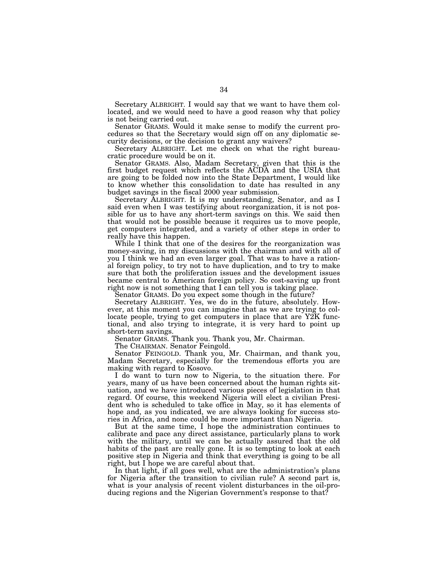Secretary ALBRIGHT. I would say that we want to have them collocated, and we would need to have a good reason why that policy is not being carried out.

Senator GRAMS. Would it make sense to modify the current procedures so that the Secretary would sign off on any diplomatic security decisions, or the decision to grant any waivers?

Secretary ALBRIGHT. Let me check on what the right bureaucratic procedure would be on it.

Senator GRAMS. Also, Madam Secretary, given that this is the first budget request which reflects the ACDA and the USIA that are going to be folded now into the State Department, I would like to know whether this consolidation to date has resulted in any budget savings in the fiscal 2000 year submission.

Secretary ALBRIGHT. It is my understanding, Senator, and as I said even when I was testifying about reorganization, it is not possible for us to have any short-term savings on this. We said then that would not be possible because it requires us to move people, get computers integrated, and a variety of other steps in order to really have this happen.

While I think that one of the desires for the reorganization was money-saving, in my discussions with the chairman and with all of you I think we had an even larger goal. That was to have a rational foreign policy, to try not to have duplication, and to try to make sure that both the proliferation issues and the development issues became central to American foreign policy. So cost-saving up front right now is not something that I can tell you is taking place.

Senator GRAMS. Do you expect some though in the future?

Secretary ALBRIGHT. Yes, we do in the future, absolutely. However, at this moment you can imagine that as we are trying to collocate people, trying to get computers in place that are Y2K functional, and also trying to integrate, it is very hard to point up short-term savings.

Senator GRAMS. Thank you. Thank you, Mr. Chairman.

The CHAIRMAN. Senator Feingold.

Senator FEINGOLD. Thank you, Mr. Chairman, and thank you, Madam Secretary, especially for the tremendous efforts you are making with regard to Kosovo.

I do want to turn now to Nigeria, to the situation there. For years, many of us have been concerned about the human rights situation, and we have introduced various pieces of legislation in that regard. Of course, this weekend Nigeria will elect a civilian President who is scheduled to take office in May, so it has elements of hope and, as you indicated, we are always looking for success stories in Africa, and none could be more important than Nigeria.

But at the same time, I hope the administration continues to calibrate and pace any direct assistance, particularly plans to work with the military, until we can be actually assured that the old habits of the past are really gone. It is so tempting to look at each positive step in Nigeria and think that everything is going to be all right, but I hope we are careful about that.

In that light, if all goes well, what are the administration's plans for Nigeria after the transition to civilian rule? A second part is, what is your analysis of recent violent disturbances in the oil-producing regions and the Nigerian Government's response to that?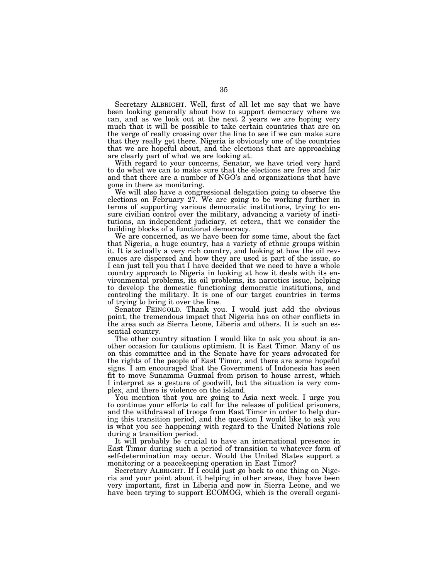Secretary ALBRIGHT. Well, first of all let me say that we have been looking generally about how to support democracy where we can, and as we look out at the next 2 years we are hoping very much that it will be possible to take certain countries that are on the verge of really crossing over the line to see if we can make sure that they really get there. Nigeria is obviously one of the countries that we are hopeful about, and the elections that are approaching are clearly part of what we are looking at.

With regard to your concerns, Senator, we have tried very hard to do what we can to make sure that the elections are free and fair and that there are a number of NGO's and organizations that have gone in there as monitoring.

We will also have a congressional delegation going to observe the elections on February 27. We are going to be working further in terms of supporting various democratic institutions, trying to ensure civilian control over the military, advancing a variety of institutions, an independent judiciary, et cetera, that we consider the building blocks of a functional democracy.

We are concerned, as we have been for some time, about the fact that Nigeria, a huge country, has a variety of ethnic groups within it. It is actually a very rich country, and looking at how the oil revenues are dispersed and how they are used is part of the issue, so I can just tell you that I have decided that we need to have a whole country approach to Nigeria in looking at how it deals with its environmental problems, its oil problems, its narcotics issue, helping to develop the domestic functioning democratic institutions, and controling the military. It is one of our target countries in terms of trying to bring it over the line.

Senator FEINGOLD. Thank you. I would just add the obvious point, the tremendous impact that Nigeria has on other conflicts in the area such as Sierra Leone, Liberia and others. It is such an essential country.

The other country situation I would like to ask you about is another occasion for cautious optimism. It is East Timor. Many of us on this committee and in the Senate have for years advocated for the rights of the people of East Timor, and there are some hopeful signs. I am encouraged that the Government of Indonesia has seen fit to move Sunamma Guzmal from prison to house arrest, which I interpret as a gesture of goodwill, but the situation is very complex, and there is violence on the island.

You mention that you are going to Asia next week. I urge you to continue your efforts to call for the release of political prisoners, and the withdrawal of troops from East Timor in order to help during this transition period, and the question I would like to ask you is what you see happening with regard to the United Nations role during a transition period.

It will probably be crucial to have an international presence in East Timor during such a period of transition to whatever form of self-determination may occur. Would the United States support a monitoring or a peacekeeping operation in East Timor?

Secretary ALBRIGHT. If I could just go back to one thing on Nigeria and your point about it helping in other areas, they have been very important, first in Liberia and now in Sierra Leone, and we have been trying to support ECOMOG, which is the overall organi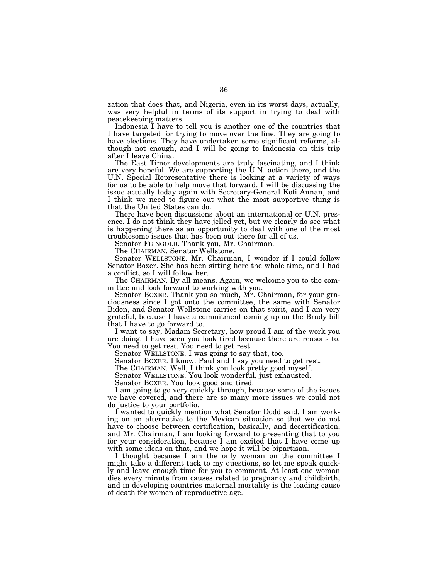zation that does that, and Nigeria, even in its worst days, actually, was very helpful in terms of its support in trying to deal with peacekeeping matters.

Indonesia I have to tell you is another one of the countries that I have targeted for trying to move over the line. They are going to have elections. They have undertaken some significant reforms, although not enough, and I will be going to Indonesia on this trip after I leave China.

The East Timor developments are truly fascinating, and I think are very hopeful. We are supporting the U.N. action there, and the U.N. Special Representative there is looking at a variety of ways for us to be able to help move that forward. I will be discussing the issue actually today again with Secretary-General Kofi Annan, and I think we need to figure out what the most supportive thing is that the United States can do.

There have been discussions about an international or U.N. presence. I do not think they have jelled yet, but we clearly do see what is happening there as an opportunity to deal with one of the most troublesome issues that has been out there for all of us.

Senator FEINGOLD. Thank you, Mr. Chairman.

The CHAIRMAN. Senator Wellstone.

Senator WELLSTONE. Mr. Chairman, I wonder if I could follow Senator Boxer. She has been sitting here the whole time, and I had a conflict, so I will follow her.

The CHAIRMAN. By all means. Again, we welcome you to the committee and look forward to working with you.

Senator BOXER. Thank you so much, Mr. Chairman, for your graciousness since I got onto the committee, the same with Senator Biden, and Senator Wellstone carries on that spirit, and I am very grateful, because I have a commitment coming up on the Brady bill that I have to go forward to.

I want to say, Madam Secretary, how proud I am of the work you are doing. I have seen you look tired because there are reasons to. You need to get rest. You need to get rest.

Senator WELLSTONE. I was going to say that, too.

Senator BOXER. I know. Paul and I say you need to get rest.

The CHAIRMAN. Well, I think you look pretty good myself.

Senator WELLSTONE. You look wonderful, just exhausted.

Senator BOXER. You look good and tired.

I am going to go very quickly through, because some of the issues we have covered, and there are so many more issues we could not do justice to your portfolio.

I wanted to quickly mention what Senator Dodd said. I am working on an alternative to the Mexican situation so that we do not have to choose between certification, basically, and decertification, and Mr. Chairman, I am looking forward to presenting that to you for your consideration, because I am excited that I have come up with some ideas on that, and we hope it will be bipartisan.

I thought because I am the only woman on the committee I might take a different tack to my questions, so let me speak quickly and leave enough time for you to comment. At least one woman dies every minute from causes related to pregnancy and childbirth, and in developing countries maternal mortality is the leading cause of death for women of reproductive age.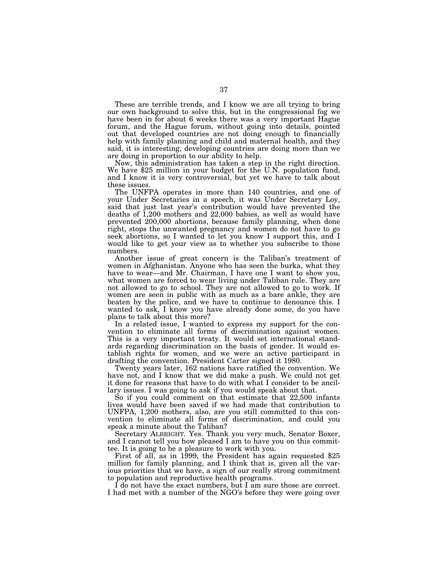These are terrible trends, and I know we are all trying to bring our own background to solve this, but in the congressional fog we have been in for about 6 weeks there was a very important Hague forum, and the Hague forum, without going into details, pointed out that developed countries are not doing enough to financially help with family planning and child and maternal health, and they said, it is interesting, developing countries are doing more than we are doing in proportion to our ability to help.

Now, this administration has taken a step in the right direction. We have \$25 million in your budget for the U.N. population fund, and I know it is very controversial, but yet we have to talk about these issues.

The UNFPA operates in more than 140 countries, and one of your Under Secretaries in a speech, it was Under Secretary Loy, said that just last year's contribution would have prevented the deaths of 1,200 mothers and 22,000 babies, as well as would have prevented 200,000 abortions, because family planning, when done right, stops the unwanted pregnancy and women do not have to go seek abortions, so I wanted to let you know I support this, and I would like to get your view as to whether you subscribe to those numbers.

Another issue of great concern is the Taliban's treatment of women in Afghanistan. Anyone who has seen the burka, what they have to wear—and Mr. Chairman, I have one I want to show you, what women are forced to wear living under Taliban rule. They are not allowed to go to school. They are not allowed to go to work. If women are seen in public with as much as a bare ankle, they are beaten by the police, and we have to continue to denounce this. I wanted to ask, I know you have already done some, do you have plans to talk about this more?

In a related issue, I wanted to express my support for the convention to eliminate all forms of discrimination against women. This is a very important treaty. It would set international standards regarding discrimination on the basis of gender. It would establish rights for women, and we were an active participant in drafting the convention. President Carter signed it 1980.

Twenty years later, 162 nations have ratified the convention. We have not, and I know that we did make a push. We could not get it done for reasons that have to do with what I consider to be ancillary issues. I was going to ask if you would speak about that.

So if you could comment on that estimate that 22,500 infants lives would have been saved if we had made that contribution to UNFPA, 1,200 mothers, also, are you still committed to this convention to eliminate all forms of discrimination, and could you speak a minute about the Taliban?

Secretary ALBRIGHT. Yes. Thank you very much, Senator Boxer, and I cannot tell you how pleased I am to have you on this committee. It is going to be a pleasure to work with you.

First of all, as in 1999, the President has again requested \$25 million for family planning, and I think that is, given all the various priorities that we have, a sign of our really strong commitment to population and reproductive health programs.

I do not have the exact numbers, but I am sure those are correct. I had met with a number of the NGO's before they were going over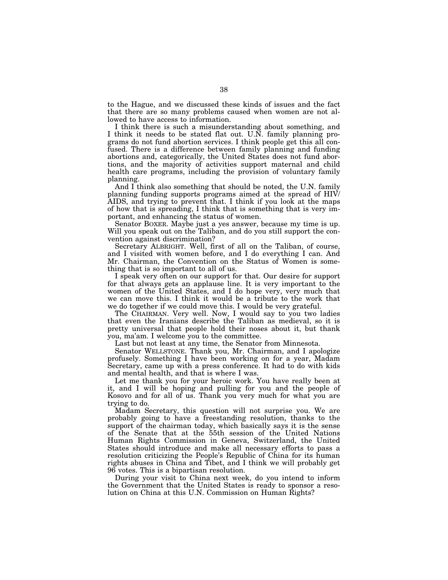to the Hague, and we discussed these kinds of issues and the fact that there are so many problems caused when women are not allowed to have access to information.

I think there is such a misunderstanding about something, and I think it needs to be stated flat out. U.N. family planning programs do not fund abortion services. I think people get this all confused. There is a difference between family planning and funding abortions and, categorically, the United States does not fund abortions, and the majority of activities support maternal and child health care programs, including the provision of voluntary family planning.

And I think also something that should be noted, the U.N. family planning funding supports programs aimed at the spread of HIV/ AIDS, and trying to prevent that. I think if you look at the maps of how that is spreading, I think that is something that is very important, and enhancing the status of women.

Senator BOXER. Maybe just a yes answer, because my time is up. Will you speak out on the Taliban, and do you still support the convention against discrimination?

Secretary ALBRIGHT. Well, first of all on the Taliban, of course, and I visited with women before, and I do everything I can. And Mr. Chairman, the Convention on the Status of Women is something that is so important to all of us.

I speak very often on our support for that. Our desire for support for that always gets an applause line. It is very important to the women of the United States, and I do hope very, very much that we can move this. I think it would be a tribute to the work that we do together if we could move this. I would be very grateful.

The CHAIRMAN. Very well. Now, I would say to you two ladies that even the Iranians describe the Taliban as medieval, so it is pretty universal that people hold their noses about it, but thank you, ma'am. I welcome you to the committee.

Last but not least at any time, the Senator from Minnesota.

Senator WELLSTONE. Thank you, Mr. Chairman, and I apologize profusely. Something I have been working on for a year, Madam Secretary, came up with a press conference. It had to do with kids and mental health, and that is where I was.

Let me thank you for your heroic work. You have really been at it, and I will be hoping and pulling for you and the people of Kosovo and for all of us. Thank you very much for what you are trying to do.

Madam Secretary, this question will not surprise you. We are probably going to have a freestanding resolution, thanks to the support of the chairman today, which basically says it is the sense of the Senate that at the 55th session of the United Nations Human Rights Commission in Geneva, Switzerland, the United States should introduce and make all necessary efforts to pass a resolution criticizing the People's Republic of China for its human rights abuses in China and Tibet, and I think we will probably get 96 votes. This is a bipartisan resolution.

During your visit to China next week, do you intend to inform the Government that the United States is ready to sponsor a resolution on China at this U.N. Commission on Human Rights?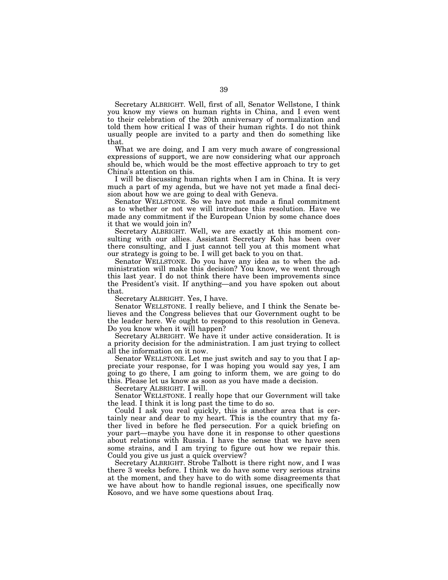Secretary ALBRIGHT. Well, first of all, Senator Wellstone, I think you know my views on human rights in China, and I even went to their celebration of the 20th anniversary of normalization and told them how critical I was of their human rights. I do not think usually people are invited to a party and then do something like that.

What we are doing, and I am very much aware of congressional expressions of support, we are now considering what our approach should be, which would be the most effective approach to try to get China's attention on this.

I will be discussing human rights when I am in China. It is very much a part of my agenda, but we have not yet made a final decision about how we are going to deal with Geneva.

Senator WELLSTONE. So we have not made a final commitment as to whether or not we will introduce this resolution. Have we made any commitment if the European Union by some chance does it that we would join in?

Secretary ALBRIGHT. Well, we are exactly at this moment consulting with our allies. Assistant Secretary Koh has been over there consulting, and I just cannot tell you at this moment what our strategy is going to be. I will get back to you on that.

Senator WELLSTONE. Do you have any idea as to when the administration will make this decision? You know, we went through this last year. I do not think there have been improvements since the President's visit. If anything—and you have spoken out about that.

Secretary ALBRIGHT. Yes, I have.

Senator WELLSTONE. I really believe, and I think the Senate believes and the Congress believes that our Government ought to be the leader here. We ought to respond to this resolution in Geneva. Do you know when it will happen?

Secretary ALBRIGHT. We have it under active consideration. It is a priority decision for the administration. I am just trying to collect all the information on it now.

Senator WELLSTONE. Let me just switch and say to you that I appreciate your response, for I was hoping you would say yes, I am going to go there, I am going to inform them, we are going to do this. Please let us know as soon as you have made a decision.

Secretary ALBRIGHT. I will.

Senator WELLSTONE. I really hope that our Government will take the lead. I think it is long past the time to do so.

Could I ask you real quickly, this is another area that is certainly near and dear to my heart. This is the country that my father lived in before he fled persecution. For a quick briefing on your part—maybe you have done it in response to other questions about relations with Russia. I have the sense that we have seen some strains, and I am trying to figure out how we repair this. Could you give us just a quick overview?

Secretary ALBRIGHT. Strobe Talbott is there right now, and I was there 3 weeks before. I think we do have some very serious strains at the moment, and they have to do with some disagreements that we have about how to handle regional issues, one specifically now Kosovo, and we have some questions about Iraq.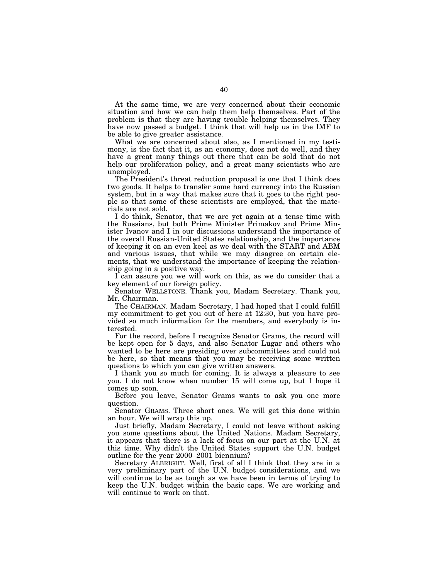At the same time, we are very concerned about their economic situation and how we can help them help themselves. Part of the problem is that they are having trouble helping themselves. They have now passed a budget. I think that will help us in the IMF to be able to give greater assistance.

What we are concerned about also, as I mentioned in my testimony, is the fact that it, as an economy, does not do well, and they have a great many things out there that can be sold that do not help our proliferation policy, and a great many scientists who are unemployed.

The President's threat reduction proposal is one that I think does two goods. It helps to transfer some hard currency into the Russian system, but in a way that makes sure that it goes to the right people so that some of these scientists are employed, that the materials are not sold.

I do think, Senator, that we are yet again at a tense time with the Russians, but both Prime Minister Primakov and Prime Minister Ivanov and I in our discussions understand the importance of the overall Russian-United States relationship, and the importance of keeping it on an even keel as we deal with the START and ABM and various issues, that while we may disagree on certain elements, that we understand the importance of keeping the relationship going in a positive way.

I can assure you we will work on this, as we do consider that a key element of our foreign policy.

Senator WELLSTONE. Thank you, Madam Secretary. Thank you, Mr. Chairman.

The CHAIRMAN. Madam Secretary, I had hoped that I could fulfill my commitment to get you out of here at 12:30, but you have provided so much information for the members, and everybody is interested.

For the record, before I recognize Senator Grams, the record will be kept open for 5 days, and also Senator Lugar and others who wanted to be here are presiding over subcommittees and could not be here, so that means that you may be receiving some written questions to which you can give written answers.

I thank you so much for coming. It is always a pleasure to see you. I do not know when number 15 will come up, but I hope it comes up soon.

Before you leave, Senator Grams wants to ask you one more question.

Senator GRAMS. Three short ones. We will get this done within an hour. We will wrap this up.

Just briefly, Madam Secretary, I could not leave without asking you some questions about the United Nations. Madam Secretary, it appears that there is a lack of focus on our part at the U.N. at this time. Why didn't the United States support the U.N. budget outline for the year 2000–2001 biennium?

Secretary ALBRIGHT. Well, first of all I think that they are in a very preliminary part of the U.N. budget considerations, and we will continue to be as tough as we have been in terms of trying to keep the U.N. budget within the basic caps. We are working and will continue to work on that.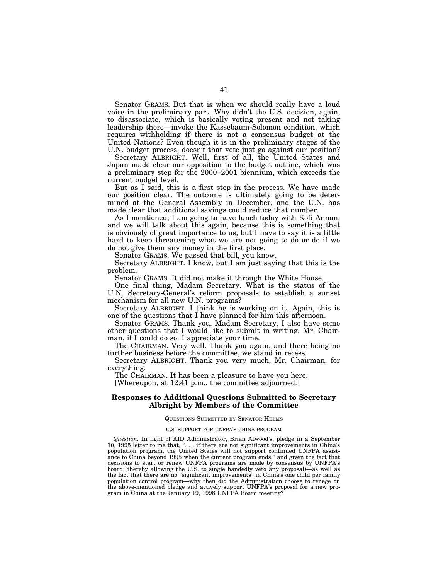Senator GRAMS. But that is when we should really have a loud voice in the preliminary part. Why didn't the U.S. decision, again, to disassociate, which is basically voting present and not taking leadership there—invoke the Kassebaum-Solomon condition, which requires withholding if there is not a consensus budget at the United Nations? Even though it is in the preliminary stages of the U.N. budget process, doesn't that vote just go against our position?

Secretary ALBRIGHT. Well, first of all, the United States and Japan made clear our opposition to the budget outline, which was a preliminary step for the 2000–2001 biennium, which exceeds the current budget level.

But as I said, this is a first step in the process. We have made our position clear. The outcome is ultimately going to be determined at the General Assembly in December, and the U.N. has made clear that additional savings could reduce that number.

As I mentioned, I am going to have lunch today with Kofi Annan, and we will talk about this again, because this is something that is obviously of great importance to us, but I have to say it is a little hard to keep threatening what we are not going to do or do if we do not give them any money in the first place.

Senator GRAMS. We passed that bill, you know.

Secretary ALBRIGHT. I know, but I am just saying that this is the problem.

Senator GRAMS. It did not make it through the White House.

One final thing, Madam Secretary. What is the status of the U.N. Secretary-General's reform proposals to establish a sunset mechanism for all new U.N. programs?

Secretary ALBRIGHT. I think he is working on it. Again, this is one of the questions that I have planned for him this afternoon.

Senator GRAMS. Thank you. Madam Secretary, I also have some other questions that I would like to submit in writing. Mr. Chairman, if I could do so. I appreciate your time.

The CHAIRMAN. Very well. Thank you again, and there being no further business before the committee, we stand in recess.

Secretary ALBRIGHT. Thank you very much, Mr. Chairman, for everything.

The CHAIRMAN. It has been a pleasure to have you here.

[Whereupon, at 12:41 p.m., the committee adjourned.]

# **Responses to Additional Questions Submitted to Secretary Albright by Members of the Committee**

### QUESTIONS SUBMITTED BY SENATOR HELMS

### U.S. SUPPORT FOR UNFPA'S CHINA PROGRAM

*Question.* In light of AID Administrator, Brian Atwood's, pledge in a September 10, 1995 letter to me that, "... if there are not significant improvements in China's population program, the United States will not support continued UNFPA assistance to China beyond 1995 when the current program ends,'' and given the fact that decisions to start or renew UNFPA programs are made by consensus by UNFPA's board (thereby allowing the U.S. to single handedly veto any proposal)—as well as the fact that there are no "significant improvements" in China's one child per family population control program—why then did the Administration choose to renege on the above-mentioned pledge and actively support UNFPA's proposal for a new program in China at the January 19, 1998 UNFPA Board meeting?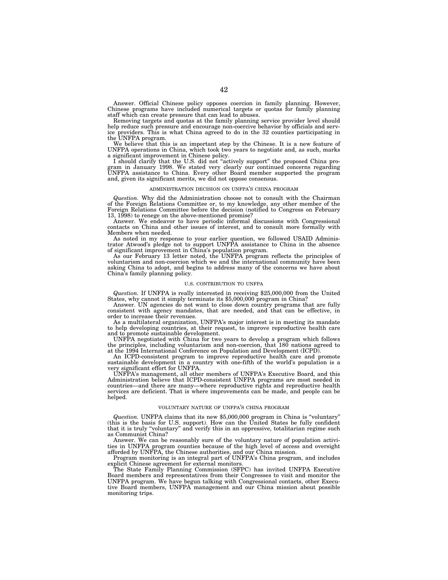Answer. Official Chinese policy opposes coercion in family planning. However, Chinese programs have included numerical targets or quotas for family planning staff which can create pressure that can lead to abuses.

Removing targets and quotas at the family planning service provider level should help reduce such pressure and encourage non-coercive behavior by officials and service providers. This is what China agreed to do in the 32 counties participating in the UNFPA program.

We believe that this is an important step by the Chinese. It is a new feature of UNFPA operations in China, which took two years to negotiate and, as such, marks

a significant improvement in Chinese policy. I should clarify that the U.S. did not ''actively support'' the proposed China program in January 1998. We stated very clearly our continued concerns regarding UNFPA assistance to China. Every other Board member supported the program and, given its significant merits, we did not oppose consensus.

### ADMINISTRATION DECISION ON UNFPA'S CHINA PROGRAM

*Question.* Why did the Administration choose not to consult with the Chairman of the Foreign Relations Committee or, to my knowledge, any other member of the Foreign Relations Committee before the decision (notified to Congress on February 13, 1998) to renege on the above-mentioned promise?

Answer. We endeavor to have periodic informal discussions with Congressional contacts on China and other issues of interest, and to consult more formally with Members when needed.

As noted in my response to your earlier question, we followed USAID Administrator Atwood's pledge not to support UNFPA assistance to China in the absence of significant improvement in China's population program.

As our February 13 letter noted, the UNFPA program reflects the principles of voluntarism and non-coercion which we and the international community have been asking China to adopt, and begins to address many of the concerns we have about China's family planning policy.

#### U.S. CONTRIBUTION TO UNFPA

*Question.* If UNFPA is really interested in receiving \$25,000,000 from the United States, why cannot it simply terminate its \$5,000,000 program in China?

Answer. UN agencies do not want to close down country programs that are fully consistent with agency mandates, that are needed, and that can be effective, in order to increase their revenues.

As a multilateral organization, UNFPA's major interest is in meeting its mandate to help developing countries, at their request, to improve reproductive health care and to promote sustainable development.

UNFPA negotiated with China for two years to develop a program which follows the principles, including voluntarism and non-coercion, that 180 nations agreed to at the 1994 International Conference on Population and Development (ICPD).

An ICPD-consistent program to improve reproductive health care and promote sustainable development in a country with one-fifth of the world's population is a very significant effort for UNFPA.

UNFPA's management, all other members of UNFPA's Executive Board, and this Administration believe that ICPD-consistent UNFPA programs are most needed in countries—and there are many—where reproductive rights and reproductive health services are deficient. That is where improvements can be made, and people can be helped.

### VOLUNTARY NATURE OF UNFPA'S CHINA PROGRAM

*Question.* UNFPA claims that its new \$5,000,000 program in China is ''voluntary'' (this is the basis for U.S. support). How can the United States be fully confident that it is truly ''voluntary'' and verify this in an oppressive, totalitarian regime such as Communist China?

Answer. We can be reasonably sure of the voluntary nature of population activities in UNFPA program counties because of the high level of access and oversight afforded by UNFPA, the Chinese authorities, and our China mission.

Program monitoring is an integral part of UNFPA's China program, and includes explicit Chinese agreement for external monitors.

The State Family Planning Commission (SFPC) has invited UNFPA Executive Board members and representatives from their Congresses to visit and monitor the UNFPA program. We have begun talking with Congressional contacts, other Executive Board members, UNFPA management and our China mission about possible monitoring trips.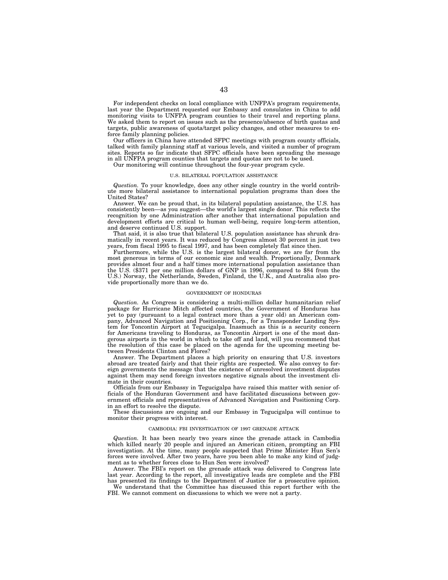For independent checks on local compliance with UNFPA's program requirements, last year the Department requested our Embassy and consulates in China to add monitoring visits to UNFPA program counties to their travel and reporting plans. We asked them to report on issues such as the presence/absence of birth quotas and targets, public awareness of quota/target policy changes, and other measures to enforce family planning policies.

Our officers in China have attended SFPC meetings with program county officials, talked with family planning staff at various levels, and visited a number of program sites. Reports so far indicate that SFPC officials have been spreading the message in all UNFPA program counties that targets and quotas are not to be used.

Our monitoring will continue throughout the four-year program cycle.

#### U.S. BILATERAL POPULATION ASSISTANCE

*Question.* To your knowledge, does any other single country in the world contribute more bilateral assistance to international population programs than does the United States?

Answer. We can be proud that, in its bilateral population assistance, the U.S. has consistently been—as you suggest—the world's largest single donor. This reflects the recognition by one Administration after another that international population and development efforts are critical to human well-being, require long-term attention, and deserve continued U.S. support.

That said, it is also true that bilateral U.S. population assistance has shrunk dramatically in recent years. It was reduced by Congress almost 30 percent in just two years, from fiscal 1995 to fiscal 1997, and has been completely flat since then.

Furthermore, while the U.S. is the largest bilateral donor, we are far from the most generous in terms of our economic size and wealth. Proportionally, Denmark provides almost four and a half times more international population assistance than the U.S. (\$371 per one million dollars of GNP in 1996, compared to \$84 from the U.S.) Norway, the Netherlands, Sweden, Finland, the U.K., and Australia also provide proportionally more than we do.

### GOVERNMENT OF HONDURAS

*Question.* As Congress is considering a multi-million dollar humanitarian relief package for Hurricane Mitch affected countries, the Government of Honduras has yet to pay (pursuant to a legal contract more than a year old) an American company, Advanced Navigation and Positioning Corp., for a Transponder Landing System for Toncontin Airport at Tegucigalpa. Inasmuch as this is a security concern for Americans traveling to Honduras, as Toncontin Airport is one of the most dangerous airports in the world in which to take off and land, will you recommend that the resolution of this case be placed on the agenda for the upcoming meeting between Presidents Clinton and Flores?

Answer. The Department places a high priority on ensuring that U.S. investors abroad are treated fairly and that their rights are respected. We also convey to foreign governments the message that the existence of unresolved investment disputes against them may send foreign investors negative signals about the investment climate in their countries.

Officials from our Embassy in Tegucigalpa have raised this matter with senior officials of the Honduran Government and have facilitated discussions between government officials and representatives of Advanced Navigation and Positioning Corp. in an effort to resolve the dispute.

These discussions are ongoing and our Embassy in Tegucigalpa will continue to monitor their progress with interest.

#### CAMBODIA: FBI INVESTIGATION OF 1997 GRENADE ATTACK

*Question.* It has been nearly two years since the grenade attack in Cambodia which killed nearly 20 people and injured an American citizen, prompting an FBI investigation. At the time, many people suspected that Prime Minister Hun Sen's forces were involved. After two years, have you been able to make any kind of judgment as to whether forces close to Hun Sen were involved?

Answer. The FBI's report on the grenade attack was delivered to Congress late last year. According to the report, all investigative leads are complete and the FBI has presented its findings to the Department of Justice for a prosecutive opinion.

We understand that the Committee has discussed this report further with the FBI. We cannot comment on discussions to which we were not a party.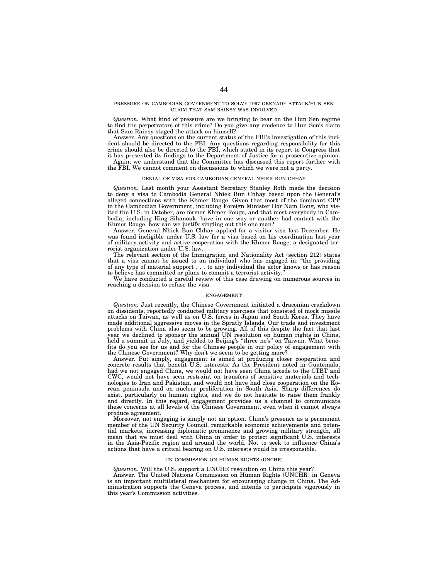### PRESSURE ON CAMBODIAN GOVERNMENT TO SOLVE 1997 GRENADE ATTACK/HUN SEN CLAIM THAT SAM RAINSY WAS INVOLVED

*Question.* What kind of pressure are we bringing to bear on the Hun Sen regime to find the perpetrators of this crime? Do you give any credence to Hun Sen's claim that Sam Rainsy staged the attack on himself?

Answer. Any questions on the current status of the FBI's investigation of this incident should be directed to the FBI. Any questions regarding responsibility for this crime should also be directed to the FBI, which stated in its report to Congress that it has presented its findings to the Department of Justice for a prosecutive opinion.

Again, we understand that the Committee has discussed this report further with the FBI. We cannot comment on discussions to which we were not a party.

#### DENIAL OF VISA FOR CAMBODIAN GENERAL NHIEK BUN CHHAY

*Question.* Last month your Assistant Secretary Stanley Roth made the decision to deny a visa to Cambodia General Nhiek Bun Chhay based upon the General's alleged connections with the Khmer Rouge. Given that most of the dominant CPP in the Cambodian Government, including Foreign Minister Hor Nam Hong, who visited the U.S. in October, are former Khmer Rouge, and that most everybody in Cambodia, including King Sihanouk, have in one way or another had contact with the Khmer Rouge, how can we justify singling out this one man?

Answer. General Nhiek Bun Chhay applied for a visitor visa last December. He was found ineligible under U.S. law for a visa based on his coordination last year of military activity and active cooperation with the Khmer Rouge, a designated terrorist organization under U.S. law.

The relevant section of the Immigration and Nationality Act (section 212) states that a visa cannot be issued to an individual who has engaged in: ''the providing of any type of material support . . . to any individual the actor knows or has reason to believe has committed or plans to commit a terrorist activity.''

We have conducted a careful review of this case drawing on numerous sources in reaching a decision to refuse the visa.

## ENGAGEMENT

*Question.* Just recently, the Chinese Government initiated a draconian crackdown on dissidents, reportedly conducted military exercises that consisted of mock missile attacks on Taiwan, as well as on U.S. forces in Japan and South Korea. They have made additional aggressive moves in the Spratly Islands. Our trade and investment problems with China also seem to be growing. All of this despite the fact that last year we declined to sponsor the annual UN resolution on human rights in China, held a summit in July, and yielded to Beijing's "three no's" on Taiwan. What benefits do you see for us and for the Chinese people in our policy of engagement with the Chinese Government? Why don't we seem to be getting more?

Answer. Put simply, engagement is aimed at producing closer cooperation and concrete results that benefit U.S. interests. As the President noted in Guatemala, had we not engaged China, we would not have seen China accede to the CTBT and CWC, would not have seen restraint on transfers of sensitive materials and technologies to Iran and Pakistan, and would not have had close cooperation on the Korean peninsula and on nuclear proliferation in South Asia. Sharp differences do exist, particularly on human rights, and we do not hesitate to raise them frankly and directly. In this regard, engagement provides us a channel to communicate these concerns at all levels of the Chinese Government, even when it cannot always produce agreement.

Moreover, not engaging is simply not an option. China's presence as a permanent member of the UN Security Council, remarkable economic achievements and potential markets, increasing diplomatic prominence and growing military strength, all mean that we must deal with China in order to protect significant U.S. interests in the Asia-Pacific region and around the world. Not to seek to influence China's actions that have a critical bearing on U.S. interests would be irresponsible.

### UN COMMISSION ON HUMAN RIGHTS (UNCHR)

*Question.* Will the U.S. support a UNCHR resolution on China this year? Answer. The United Nations Commission on Human Rights (UNCHR) in Geneva is an important multilateral mechanism for encouraging change in China. The Administration supports the Geneva process, and intends to participate vigorously in this year's Commission activities.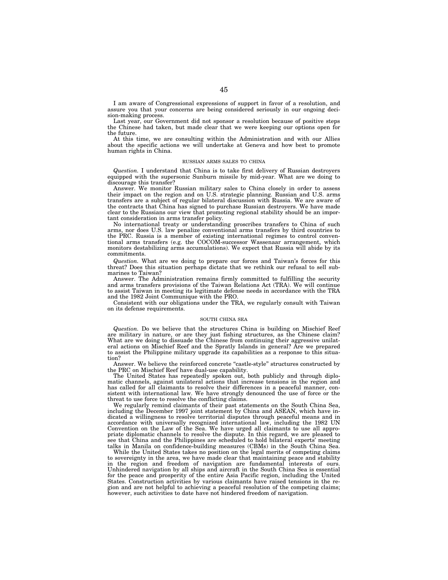I am aware of Congressional expressions of support in favor of a resolution, and assure you that your concerns are being considered seriously in our ongoing decision-making process.

Last year, our Government did not sponsor a resolution because of positive steps the Chinese had taken, but made clear that we were keeping our options open for the future.

At this time, we are consulting within the Administration and with our Allies about the specific actions we will undertake at Geneva and how best to promote human rights in China.

### RUSSIAN ARMS SALES TO CHINA

*Question.* I understand that China is to take first delivery of Russian destroyers equipped with the supersonic Sunburn missile by mid-year. What are we doing to discourage this transfer?

Answer. We monitor Russian military sales to China closely in order to assess their impact on the region and on U.S. strategic planning. Russian and U.S. arms transfers are a subject of regular bilateral discussion with Russia. We are aware of the contracts that China has signed to purchase Russian destroyers. We have made clear to the Russians our view that promoting regional stability should be an important consideration in arms transfer policy.

No international treaty or understanding proscribes transfers to China of such arms, nor does U.S. law penalize conventional arms transfers by third countries to the PRC. Russia is a member of existing international regimes to control conventional arms transfers (e.g. the COCOM-successor Wassenaar arrangement, which monitors destabilizing arms accumulations). We expect that Russia will abide by its commitments.

*Question.* What are we doing to prepare our forces and Taiwan's forces for this threat? Does this situation perhaps dictate that we rethink our refusal to sell submarines to Taiwan?

Answer. The Administration remains firmly committed to fulfilling the security and arms transfers provisions of the Taiwan Relations Act (TRA). We will continue to assist Taiwan in meeting its legitimate defense needs in accordance with the TRA and the 1982 Joint Communique with the PRO.

Consistent with our obligations under the TRA, we regularly consult with Taiwan on its defense requirements.

### SOUTH CHINA SEA

*Question.* Do we believe that the structures China is building on Mischief Reef are military in nature, or are they just fishing structures, as the Chinese claim? What are we doing to dissuade the Chinese from continuing their aggressive unilateral actions on Mischief Reef and the Spratly Islands in general? Are we prepared to assist the Philippine military upgrade its capabilities as a response to this situation?

Answer. We believe the reinforced concrete ''castle-style'' structures constructed by the PRC on Mischief Reef have dual-use capability.

The United States has repeatedly spoken out, both publicly and through diplomatic channels, against unilateral actions that increase tensions in the region and has called for all claimants to resolve their differences in a peaceful manner, consistent with international law. We have strongly denounced the use of force or the threat to use force to resolve the conflicting claims.

We regularly remind claimants of their past statements on the South China Sea, including the December 1997 joint statement by China and ASEAN, which have indicated a willingness to resolve territorial disputes through peaceful means and in accordance with universally recognized international law, including the 1982 UN Convention on the Law of the Sea. We have urged all claimants to use all appropriate diplomatic channels to resolve the dispute. In this regard, we are pleased to see that China and the Philippines are scheduled to hold bilateral experts' meeting talks in Manila on confidence-building measures (CBMs) in the South China Sea.

While the United States takes no position on the legal merits of competing claims to sovereignty in the area, we have made clear that maintaining peace and stability in the region and freedom of navigation are fundamental interests of ours. Unhindered navigation by all ships and aircraft in the South China Sea is essential for the peace and prosperity of the entire Asia Pacific region, including the United States. Construction activities by various claimants have raised tensions in the region and are not helpful to achieving a peaceful resolution of the competing claims; however, such activities to date have not hindered freedom of navigation.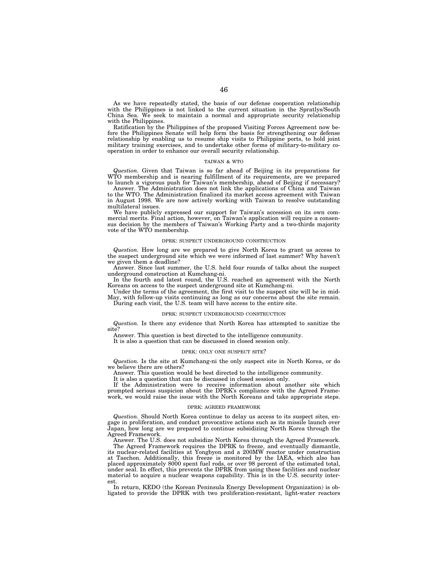As we have repeatedly stated, the basis of our defense cooperation relationship with the Philippines is not linked to the current situation in the Spratlys/South China Sea. We seek to maintain a normal and appropriate security relationship with the Philippines.

Ratification by the Philippines of the proposed Visiting Forces Agreement now before the Philippines Senate will help form the basis for strengthening our defense relationship by enabling us to resume ship visits to Philippine ports, to hold joint military training exercises, and to undertake other forms of military-to-military cooperation in order to enhance our overall security relationship.

#### TAIWAN & WTO

*Question.* Given that Taiwan is so far ahead of Beijing in its preparations for WTO membership and is nearing fulfillment of its requirements, are we prepared to launch a vigorous push for Taiwan's membership, ahead of Beijing if necessary?

Answer. The Administration does not link the applications of China and Taiwan to the WTO. The Administration finalized its market access agreement with Taiwan in August 1998. We are now actively working with Taiwan to resolve outstanding multilateral issues.

We have publicly expressed our support for Taiwan's accession on its own commercial merits. Final action, however, on Taiwan's application will require a consensus decision by the members of Taiwan's Working Party and a two-thirds majority vote of the WTO membership.

## DPRK: SUSPECT UNDERGROUND CONSTRUCTION

*Question.* How long are we prepared to give North Korea to grant us access to the suspect underground site which we were informed of last summer? Why haven't we given them a deadline?

Answer. Since last summer, the U.S. held four rounds of talks about the suspect underground construction at Kumchang-ni.

In the fourth and latest round, the U.S. reached an agreement with the North Koreans on access to the suspect underground site at Kumchang-ni.

Under the terms of the agreement, the first visit to the suspect site will be in mid-May, with follow-up visits continuing as long as our concerns about the site remain. During each visit, the U.S. team will have access to the entire site.

#### DPRK: SUSPECT UNDERGROUND CONSTRUCTION

*Question.* Is there any evidence that North Korea has attempted to sanitize the site?

Answer. This question is best directed to the intelligence community.

It is also a question that can be discussed in closed session only.

### DPRK: ONLY ONE SUSPECT SITE?

*Question.* Is the site at Kumchang-ni the only suspect site in North Korea, or do we believe there are others?

Answer. This question would be best directed to the intelligence community.

It is also a question that can be discussed in closed session only. If the Administration were to receive information about another site which prompted serious suspicion about the DPRK's compliance with the Agreed Framework, we would raise the issue with the North Koreans and take appropriate steps.

### DPRK: AGREED FRAMEWORK

*Question.* Should North Korea continue to delay us access to its suspect sites, engage in proliferation, and conduct provocative actions such as its missile launch over Japan, how long are we prepared to continue subsidizing North Korea through the Agreed Framework.

Answer. The U.S. does not subsidize North Korea through the Agreed Framework.

The Agreed Framework requires the DPRK to freeze, and eventually dismantle, its nuclear-related facilities at Yongbyon and a 200MW reactor under construction at Taechon. Additionally, this freeze is monitored by the IAEA, which also has placed approximately 8000 spent fuel rods, or over 98 percent of the estimated total, under seal. In effect, this prevents the DPRK from using these facilities and nuclear material to acquire a nuclear weapons capability. This is in the U.S. security interest.

In return, KEDO (the Korean Peninsula Energy Development Organization) is obligated to provide the DPRK with two proliferation-resistant, light-water reactors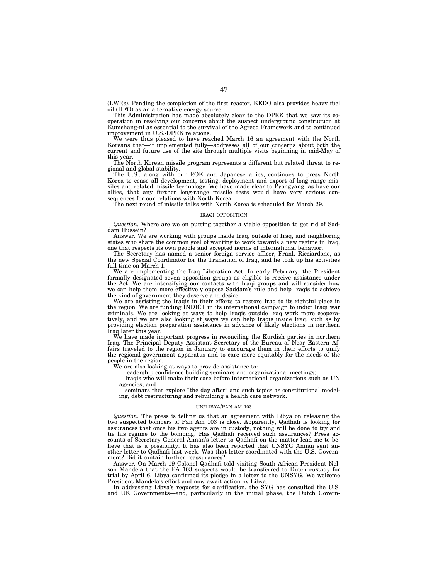(LWRs). Pending the completion of the first reactor, KEDO also provides heavy fuel oil (HFO) as an alternative energy source.

This Administration has made absolutely clear to the DPRK that we saw its cooperation in resolving our concerns about the suspect underground construction at Kumchang-ni as essential to the survival of the Agreed Framework and to continued improvement in U.S.-DPRK relations.

We were thus pleased to have reached March 16 an agreement with the North Koreans that—if implemented fully—addresses all of our concerns about both the current and future use of the site through multiple visits beginning in mid-May of this year.

The North Korean missile program represents a different but related threat to regional and global stability.

The U.S., along with our ROK and Japanese allies, continues to press North Korea to cease all development, testing, deployment and export of long-range missiles and related missile technology. We have made clear to Pyongyang, as have our allies, that any further long-range missile tests would have very serious consequences for our relations with North Korea.

The next round of missile talks with North Korea is scheduled for March 29.

### IRAQI OPPOSITION

*Question.* Where are we on putting together a viable opposition to get rid of Saddam Hussein?

Answer. We are working with groups inside Iraq, outside of Iraq, and neighboring states who share the common goal of wanting to work towards a new regime in Iraq, one that respects its own people and accepted norms of international behavior.

The Secretary has named a senior foreign service officer, Frank Ricciardone, as the new Special Coordinator for the Transition of Iraq, and he took up his activities full-time on March 1.

We are implementing the Iraq Liberation Act. In early February, the President formally designated seven opposition groups as eligible to receive assistance under the Act. We are intensifying our contacts with Iraqi groups and will consider how we can help them more effectively oppose Saddam's rule and help Iraqis to achieve the kind of government they deserve and desire.

We are assisting the Iraqis in their efforts to restore Iraq to its rightful place in the region. We are funding INDICT in its international campaign to indict Iraqi war criminals. We are looking at ways to help Iraqis outside Iraq work more cooperatively, and we are also looking at ways we can help Iraqis inside Iraq, such as by providing election preparation assistance in advance of likely elections in northern Iraq later this year.

We have made important progress in reconciling the Kurdish parties in northern Iraq. The Principal Deputy Assistant Secretary of the Bureau of Near Eastern Affairs traveled to the region in January to encourage them in their efforts to unify the regional government apparatus and to care more equitably for the needs of the people in the region.

We are also looking at ways to provide assistance to:

leadership confidence building seminars and organizational meetings;

Iraqis who will make their case before international organizations such as UN agencies; and

seminars that explore "the day after" and such topics as constitutional modeling, debt restructuring and rebuilding a health care network.

### UN/LIBYA/PAN AM 103

*Question.* The press is telling us that an agreement with Libya on releasing the two suspected bombers of Pan Am 103 is close. Apparently, Qadhafi is looking for assurances that once his two agents are in custody, nothing will be done to try and tie his regime to the bombing. Has Qadhafi received such assurances? Press accounts of Secretary General Annan's letter to Qadhafi on the matter lead me to believe that is a possibility. It has also been reported that UNSYG Annan sent another letter to Qadhafi last week. Was that letter coordinated with the U.S. Government? Did it contain further reassurances?

Answer. On March 19 Colonel Qadhafi told visiting South African President Nelson Mandela that the PA 103 suspects would be transferred to Dutch custody for trial by April 6. Libya confirmed its pledge in a letter to the UNSYG. We welcome President Mandela's effort and now await action by Libya.

In addressing Libya's requests for clarification, the SYG has consulted the U.S. and UK Governments—and, particularly in the initial phase, the Dutch Govern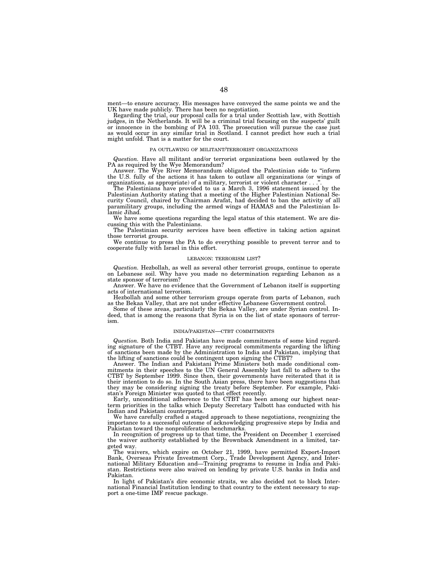ment—to ensure accuracy. His messages have conveyed the same points we and the UK have made publicly. There has been no negotiation.

Regarding the trial, our proposal calls for a trial under Scottish law, with Scottish judges, in the Netherlands. It will be a criminal trial focusing on the suspects' guilt or innocence in the bombing of PA 103. The prosecution will pursue the case just as would occur in any similar trial in Scotland. I cannot predict how such a trial might unfold. That is a matter for the court.

# PA OUTLAWING OF MILITANT/TERRORIST ORGANIZATIONS

*Question.* Have all militant and/or terrorist organizations been outlawed by the PA as required by the Wye Memorandum?

Answer. The Wye River Memorandum obligated the Palestinian side to ''inform the U.S. fully of the actions it has taken to outlaw all organizations (or wings of organizations, as appropriate) of a military, terrorist or violent character . . .''.

The Palestinians have provided to us a March 3, 1996 statement issued by the Palestinian Authority stating that a meeting of the Higher Palestinian National Security Council, chaired by Chairman Arafat, had decided to ban the activity of all paramilitary groups, including the armed wings of HAMAS and the Palestinian Islamic Jihad.

We have some questions regarding the legal status of this statement. We are discussing this with the Palestinians.

The Palestinian security services have been effective in taking action against those terrorist groups.

We continue to press the PA to do everything possible to prevent terror and to cooperate fully with Israel in this effort.

### LEBANON: TERRORISM LIST?

*Question.* Hezbollah, as well as several other terrorist groups, continue to operate on Lebanese soil. Why have you made no determination regarding Lebanon as a state sponsor of terrorism?

Answer. We have no evidence that the Government of Lebanon itself is supporting acts of international terrorism.

Hezbollah and some other terrorism groups operate from parts of Lebanon, such as the Bekaa Valley, that are not under effective Lebanese Government control.

Some of these areas, particularly the Bekaa Valley, are under Syrian control. Indeed, that is among the reasons that Syria is on the list of state sponsors of terrorism.

#### INDIA/PAKISTAN—CTBT COMMITMENTS

*Question.* Both India and Pakistan have made commitments of some kind regarding signature of the CTBT. Have any reciprocal commitments regarding the lifting of sanctions been made by the Administration to India and Pakistan, implying that the lifting of sanctions could be contingent upon signing the CTBT?

Answer. The Indian and Pakistani Prime Ministers both made conditional commitments in their speeches to the UN General Assembly last fall to adhere to the CTBT by September 1999. Since then, their governments have reiterated that it is their intention to do so. In the South Asian press, there have been suggestions that they may be considering signing the treaty before September. For example, Pakistan's Foreign Minister was quoted to that effect recently.

Early, unconditional adherence to the CTBT has been among our highest nearterm priorities in the talks which Deputy Secretary Talbott has conducted with his Indian and Pakistani counterparts.

We have carefully crafted a staged approach to these negotiations, recognizing the importance to a successful outcome of acknowledging progressive steps by India and Pakistan toward the nonproliferation benchmarks.

In recognition of progress up to that time, the President on December 1 exercised the waiver authority established by the Brownback Amendment in a limited, targeted way.

The waivers, which expire on October 21, 1999, have permitted Export-Import Bank, Overseas Private Investment Corp., Trade Development Agency, and International Military Education and—Training programs to resume in India and Pakistan. Restrictions were also waived on lending by private U.S. banks in India and Pakistan.

In light of Pakistan's dire economic straits, we also decided not to block International Financial Institution lending to that country to the extent necessary to support a one-time IMF rescue package.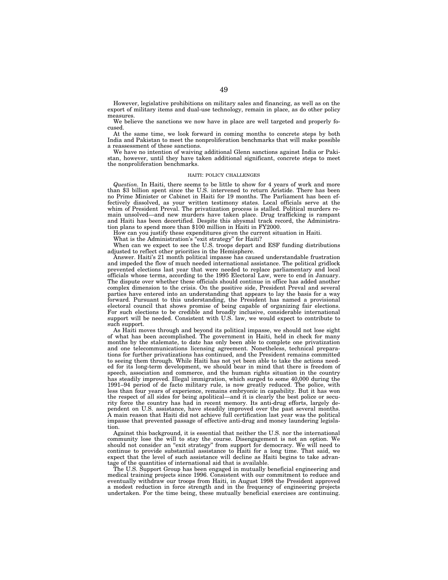However, legislative prohibitions on military sales and financing, as well as on the export of military items and dual-use technology, remain in place, as do other policy measures.

We believe the sanctions we now have in place are well targeted and properly focused.

At the same time, we look forward in coming months to concrete steps by both India and Pakistan to meet the nonproliferation benchmarks that will make possible a reassessment of these sanctions.

We have no intention of waiving additional Glenn sanctions against India or Pakistan, however, until they have taken additional significant, concrete steps to meet the nonproliferation benchmarks.

#### HAITI: POLICY CHALLENGES

*Question.* In Haiti, there seems to be little to show for 4 years of work and more than \$3 billion spent since the U.S. intervened to return Aristide. There has been no Prime Minister or Cabinet in Haiti for 19 months. The Parliament has been effectively dissolved, as your written testimony states. Local officials serve at the whim of President Preval. The privatization process is stalled. Political murders remain unsolved—and new murders have taken place. Drug trafficking is rampant and Haiti has been decertified. Despite this abysmal track record, the Administration plans to spend more than \$100 million in Haiti in FY2000.

How can you justify these expenditures given the current situation in Haiti.

What is the Administration's "exit strategy" for Haiti?

When can we expect to see the U.S. troops depart and ESF funding distributions adjusted to reflect other priorities in the Hemisphere.

Answer. Haiti's 21 month political impasse has caused understandable frustration and impeded the flow of much needed international assistance. The political gridlock prevented elections last year that were needed to replace parliamentary and local officials whose terms, according to the 1995 Electoral Law, were to end in January. The dispute over whether these officials should continue in office has added another complex dimension to the crisis. On the positive side, President Preval and several parties have entered into an understanding that appears to lay the basis for a way forward. Pursuant to this understanding, the President has named a provisional electoral council that shows promise of being capable of organizing fair elections. For such elections to be credible and broadly inclusive, considerable international support will be needed. Consistent with U.S. law, we would expect to contribute to such support.

As Haiti moves through and beyond its political impasse, we should not lose sight of what has been accomplished. The government in Haiti, held in check for many months by the stalemate, to date has only been able to complete one privatization and one telecommunications licensing agreement. Nonetheless, technical preparations for further privatizations has continued, and the President remains committed to seeing them through. While Haiti has not yet been able to take the actions needed for its long-term development, we should bear in mind that there is freedom of speech, association and commerce, and the human rights situation in the country has steadily improved. Illegal immigration, which surged to some 40,000 during the 1991–94 period of de facto military rule, is now greatly reduced. The police, with less than four years of experience, remains embryonic in capability. But it has won the respect of all sides for being apolitical—and it is clearly the best police or security force the country has had in recent memory. Its anti-drug efforts, largely dependent on U.S. assistance, have steadily improved over the past several months. A main reason that Haiti did not achieve full certification last year was the political impasse that prevented passage of effective anti-drug and money laundering legislation.

Against this background, it is essential that neither the U.S. nor the international community lose the will to stay the course. Disengagement is not an option. We should not consider an ''exit strategy'' from support for democracy. We will need to continue to provide substantial assistance to Haiti for a long time. That said, we expect that the level of such assistance will decline as Haiti begins to take advantage of the quantities of international aid that is available.

The U.S. Support Group has been engaged in mutually beneficial engineering and medical training projects since 1996. Consistent with our commitment to reduce and eventually withdraw our troops from Haiti, in August 1998 the President approved a modest reduction in force strength and in the frequency of engineering projects undertaken. For the time being, these mutually beneficial exercises are continuing.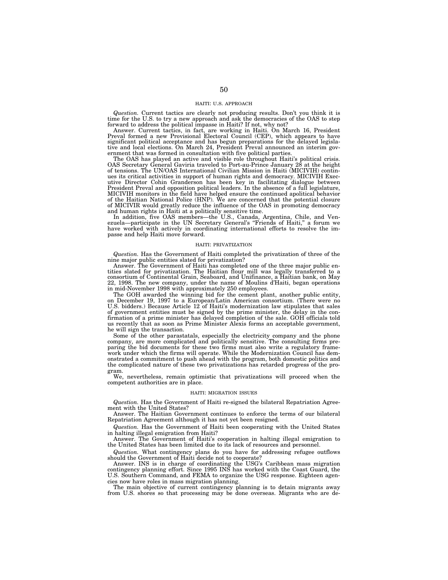### HAITI: U.S. APPROACH

*Question.* Current tactics are clearly not producing results. Don't you think it is time for the U.S. to try a new approach and ask the democracies of the OAS to step forward to address the political impasse in Haiti? If not, why not?

Answer. Current tactics, in fact, are working in Haiti. On March 16, President Preval formed a new Provisional Electoral Council (CEP), which appears to have significant political acceptance and has begun preparations for the delayed legislative and local elections. On March 24, President Preval announced an interim government that was formed in consultation with five political parties.

The OAS has played an active and visible role throughout Haiti's political crisis. OAS Secretary General Gaviria traveled to Port-au-Prince January 28 at the height of tensions. The UN/OAS International Civilian Mission in Haiti (MICIVIH) continues its critical activities in support of human rights and democracy. MICIVIH Executive Director Cohin Granderson has been key in facilitating dialogue between President Preval and opposition political leaders. In the absence of a full legislature, MICIVIH monitors in the field have helped ensure the continued apolitical behavior of the Haitian National Police (HNP). We are concerned that the potential closure of MICIVIR would greatly reduce the influence of the OAS in promoting democracy and human rights in Haiti at a politically sensitive time.

In addition, five OAS members—the U.S., Canada, Argentina, Chile, and Ven-<br>ezuela—participate in the UN Secretary General's "Friends of Haiti," a forum we have worked with actively in coordinating international efforts to resolve the impasse and help Haiti move forward.

### HAITI: PRIVATIZATION

*Question.* Has the Government of Haiti completed the privatization of three of the

nine major public entities slated for privatization? Answer. The Government of Haiti has completed one of the three major public entities slated for privatization. The Haitian flour mill was legally transferred to a consortium of Continental Grain, Seaboard, and Unifinance, a Haitian bank, on May 22, 1998. The new company, under the name of Moulins d'Haiti, began operations in mid-November 1998 with approximately 250 employees.

The GOH awarded the winning bid for the cement plant, another public entity, on December 19, 1997 to a European/Latin American consortium. (There were no U.S. bidders.) Because Article 12 of Haiti's modernization law stipulates that sales of government entities must be signed by the prime minister, the delay in the confirmation of a prime minister has delayed completion of the sale. GOH officials told us recently that as soon as Prime Minister Alexis forms an acceptable government, he will sign the transaction.

Some of the other parastatals, especially the electricity company and the phone company, are more complicated and politically sensitive. The consulting firms preparing the bid documents for these two firms must also write a regulatory framework under which the firms will operate. While the Modernization Council has demonstrated a commitment to push ahead with the program, both domestic politics and the complicated nature of these two privatizations has retarded progress of the program.

We, nevertheless, remain optimistic that privatizations will proceed when the competent authorities are in place.

#### HAITI: MIGRATION ISSUES

*Question.* Has the Government of Haiti re-signed the bilateral Repatriation Agreement with the United States?

Answer. The Haitian Government continues to enforce the terms of our bilateral Repatriation Agreement although it has not yet been resigned.

*Question.* Has the Government of Haiti been cooperating with the United States in halting illegal emigration from Haiti?

Answer. The Government of Haiti's cooperation in halting illegal emigration to the United States has been limited due to its lack of resources and personnel.

*Question.* What contingency plans do you have for addressing refugee outflows should the Government of Haiti decide not to cooperate?

Answer. INS is in charge of coordinating the USG's Caribbean mass migration contingency planning effort. Since 1995 INS has worked with the Coast Guard, the U.S. Southern Command, and FEMA to organize the USG response. Eighteen agencies now have roles in mass migration planning.

The main objective of current contingency planning is to detain migrants away from U.S. shores so that processing may be done overseas. Migrants who are de-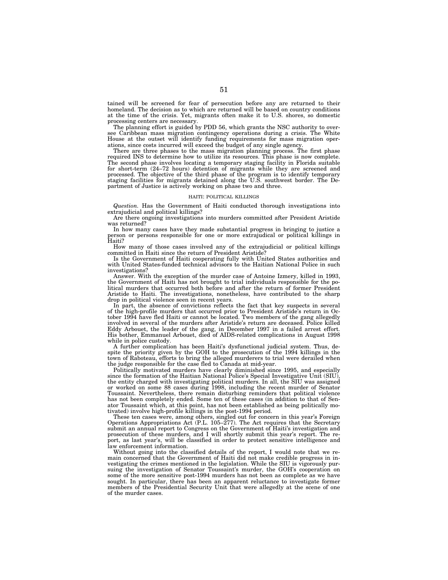tained will be screened for fear of persecution before any are returned to their homeland. The decision as to which are returned will be based on country conditions at the time of the crisis. Yet, migrants often make it to U.S. shores, so domestic processing centers are necessary.

The planning effort is guided by PDD 56, which grants the NSC authority to oversee Caribbean mass migration contingency operations during a crisis. The White House at the outset will identify funding requirements for mass migration operations, since costs incurred will exceed the budget of any single agency.

There are three phases to the mass migration planning process. The first phase required INS to determine how to utilize its resources. This phase is now complete. The second phase involves locating a temporary staging facility in Florida suitable for short-term (24–72 hours) detention of migrants while they are screened and processed. The objective of the third phase of the program is to identify temporary staging facilities for migrants detained along the U.S. southwest border. The Department of Justice is actively working on phase two and three.

#### HAITI: POLITICAL KILLINGS

*Question.* Has the Government of Haiti conducted thorough investigations into extrajudicial and political killings?

Are there ongoing investigations into murders committed after President Aristide was returned?

In how many cases have they made substantial progress in bringing to justice a person or persons responsible for one or more extrajudical or political killings in Haiti?

How many of those cases involved any of the extrajudicial or political killings committed in Haiti since the return of President Aristide?

Is the Government of Haiti cooperating fully with United States authorities and with United States-funded technical advisors to the Haitian National Police in such investigations?

Answer. With the exception of the murder case of Antoine Izmery, killed in 1993, the Government of Haiti has not brought to trial individuals responsible for the political murders that occurred both before and after the return of former President Aristide to Haiti. The investigations, nonetheless, have contributed to the sharp drop in political violence seen in recent years.

In part, the absence of convictions reflects the fact that key suspects in several of the high-profile murders that occurred prior to President Aristide's return in October 1994 have fled Haiti or cannot be located. Two members of the gang allegedly involved in several of the murders after Aristide's return are deceased. Police killed Eddy Arbouet, the leader of the gang, in December 1997 in a failed arrest effort. His bother, Emmanuel Arbouet, died of AIDS-related complications in August 1998 while in police custody.

A further complication has been Haiti's dysfunctional judicial system. Thus, despite the priority given by the GOH to the prosecution of the 1994 killings in the town of Raboteau, efforts to bring the alleged murderers to trial were derailed when the judge responsible for the case fled to Canada at mid-year.

Politically motivated murders have clearly diminished since 1995, and especially since the formation of the Haitian National Police's Special Investigative Unit (SIU), the entity charged with investigating political murders. In all, the SIU was assigned or worked on some 88 cases during 1998, including the recent murder of Senator Toussaint. Nevertheless, there remain disturbing reminders that political violence has not been completely ended. Some ten of these cases (in addition to that of Senator Toussaint which, at this point, has not been established as being politically motivated) involve high-profile killings in the post-1994 period.

These ten cases were, among others, singled out for concern in this year's Foreign Operations Appropriations Act (P.L. 105–277). The Act requires that the Secretary submit an annual report to Congress on the Government of Haiti's investigation and prosecution of these murders, and I will shortly submit this year's report. The report, as last year's, will be classified in order to protect sensitive intelligence and law enforcement information.

Without going into the classified details of the report, I would note that we remain concerned that the Government of Haiti did not make credible progress in investigating the crimes mentioned in the legislation. While the SIU is vigorously pursuing the investigation of Senator Toussaint's murder, the GOH's cooperation on some of the more sensitive post-1994 murders has not been as complete as we have sought. In particular, there has been an apparent reluctance to investigate former members of the Presidential Security Unit that were allegedly at the scene of one of the murder cases.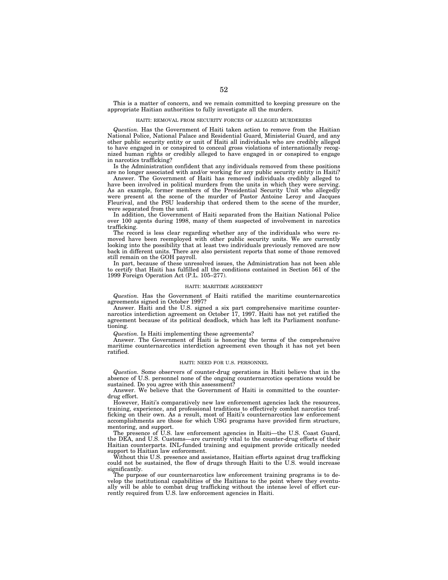This is a matter of concern, and we remain committed to keeping pressure on the appropriate Haitian authorities to fully investigate all the murders.

## HAITI: REMOVAL FROM SECURITY FORCES OF ALLEGED MURDERERS

*Question.* Has the Government of Haiti taken action to remove from the Haitian National Police, National Palace and Residential Guard, Ministerial Guard, and any other public security entity or unit of Haiti all individuals who are credibly alleged to have engaged in or conspired to conceal gross violations of internationally recognized human rights or credibly alleged to have engaged in or conspired to engage in narcotics trafficking?

Is the Administration confident that any individuals removed from these positions are no longer associated with and/or working for any public security entity in Haiti?

Answer. The Government of Haiti has removed individuals credibly alleged to have been involved in political murders from the units in which they were serving. As an example, former members of the Presidential Security Unit who allegedly were present at the scene of the murder of Pastor Antoine Leroy and Jacques Fleurival, and the PSU leadership that ordered them to the scene of the murder, were separated from the unit.

In addition, the Government of Haiti separated from the Haitian National Police over 100 agents during 1998, many of them suspected of involvement in narcotics trafficking.

The record is less clear regarding whether any of the individuals who were removed have been reemployed with other public security units. We are currently looking into the possibility that at least two individuals previously removed are now back in different units. There are also persistent reports that some of those removed still remain on the GOH payroll.

In part, because of these unresolved issues, the Administration has not been able to certify that Haiti has fulfilled all the conditions contained in Section 561 of the 1999 Foreign Operation Act (P.L. 105–277).

## HAITI: MARITIME AGREEMENT

*Question.* Has the Government of Haiti ratified the maritime counternarcotics agreements signed in October 1997?

Answer. Haiti and the U.S. signed a six part comprehensive maritime counternarcotics interdiction agreement on October 17, 1997. Haiti has not yet ratified the agreement because of its political deadlock, which has left its Parliament nonfunctioning.

*Question.* Is Haiti implementing these agreements?

Answer. The Government of Haiti is honoring the terms of the comprehensive maritime counternarcotics interdiction agreement even though it has not yet been ratified.

#### HAITI: NEED FOR U.S. PERSONNEL

*Question.* Some observers of counter-drug operations in Haiti believe that in the absence of U.S. personnel none of the ongoing counternarcotics operations would be sustained. Do you agree with this assessment?

Answer. We believe that the Government of Haiti is committed to the counterdrug effort.

However, Haiti's comparatively new law enforcement agencies lack the resources, training, experience, and professional traditions to effectively combat narcotics trafficking on their own. As a result, most of Haiti's counternarcotics law enforcement accomplishments are those for which USG programs have provided firm structure, mentoring, and support.

The presence of U.S. law enforcement agencies in Haiti—the U.S. Coast Guard, the DEA, and U.S. Customs—are currently vital to the counter-drug efforts of their Haitian counterparts. INL-funded training and equipment provide critically needed support to Haitian law enforcement.

Without this U.S. presence and assistance, Haitian efforts against drug trafficking could not be sustained, the flow of drugs through Haiti to the U.S. would increase significantly.

The purpose of our counternarcotics law enforcement training programs is to develop the institutional capabilities of the Haitians to the point where they eventually will be able to combat drug trafficking without the intense level of effort currently required from U.S. law enforcement agencies in Haiti.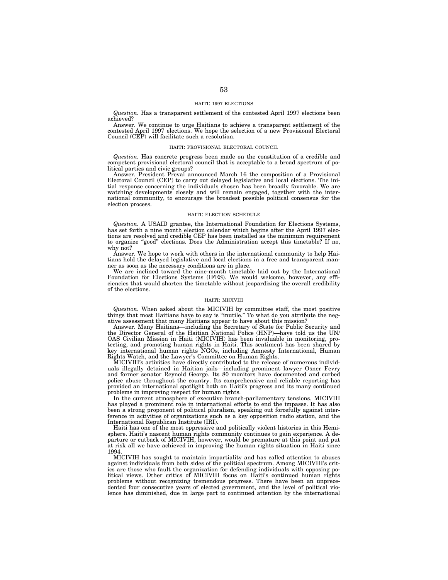#### HAITI: 1997 ELECTIONS

*Question.* Has a transparent settlement of the contested April 1997 elections been achieved?

Answer. We continue to urge Haitians to achieve a transparent settlement of the contested April 1997 elections. We hope the selection of a new Provisional Electoral Council (CEP) will facilitate such a resolution.

### HAITI: PROVISIONAL ELECTORAL COUNCIL

*Question.* Has concrete progress been made on the constitution of a credible and competent provisional electoral council that is acceptable to a broad spectrum of political parties and civic groups?

Answer. President Preval announced March 16 the composition of a Provisional Electoral Council (CEP) to carry out delayed legislative and local elections. The initial response concerning the individuals chosen has been broadly favorable. We are watching developments closely and will remain engaged, together with the international community, to encourage the broadest possible political consensus for the election process.

## HAITI: ELECTION SCHEDULE

*Question.* A USAID grantee, the International Foundation for Elections Systems, has set forth a nine month election calendar which begins after the April 1997 elections are resolved and credible CEP has been installed as the minimum requirement to organize ''good'' elections. Does the Administration accept this timetable? If no, why not?

Answer. We hope to work with others in the international community to help Haitians hold the delayed legislative and local elections in a free and transparent manner as soon as the necessary conditions are in place.

We are inclined toward the nine-month timetable laid out by the International Foundation for Elections Systems (IFES). We would welcome, however, any efficiencies that would shorten the timetable without jeopardizing the overall credibility of the elections.

### HAITI: MICIVIH

*Question.* When asked about the MICIVIH by committee staff, the most positive things that most Haitians have to say is ''inutile.'' To what do you attribute the negative assessment that many Haitians appear to have about this mission?

Answer. Many Haitians—including the Secretary of State for Public Security and the Director General of the Haitian National Police (HNP)—have told us the UN/ OAS Civilian Mission in Haiti (MICIVIH) has been invaluable in monitoring, protecting, and promoting human rights in Haiti. This sentiment has been shared by key international human rights NGOs, including Amnesty International, Human Rights Watch, and the Lawyer's Committee on Human Rights.

MICIVIH's activities have directly contributed to the release of numerous individuals illegally detained in Haitian jails—including prominent lawyer Osner Fevry and former senator Reynold George. Its 80 monitors have documented and curbed police abuse throughout the country. Its comprehensive and reliable reporting has provided an international spotlight both on Haiti's progress and its many continued problems in improving respect for human rights.

In the current atmosphere of executive branch-parliamentary tensions, MICIVIH has played a prominent role in international efforts to end the impasse. It has also been a strong proponent of political pluralism, speaking out forcefully against interference in activities of organizations such as a key opposition radio station, and the International Republican Institute (IRI).

Haiti has one of the most oppressive and politically violent histories in this Hemisphere. Haiti's nascent human rights community continues to gain experience. A departure or cutback of MICIVIH, however, would be premature at this point and put at risk all we have achieved in improving the human rights situation in Haiti since 1994.

MICIVIH has sought to maintain impartiality and has called attention to abuses against individuals from both sides of the political spectrum. Among MICIVIH's critics are those who fault the organization for defending individuals with opposing political views. Other critics of MICIVIH focus on Haiti's continued human rights problems without recognizing tremendous progress. There have been an unprecedented four consecutive years of elected government, and the level of political violence has diminished, due in large part to continued attention by the international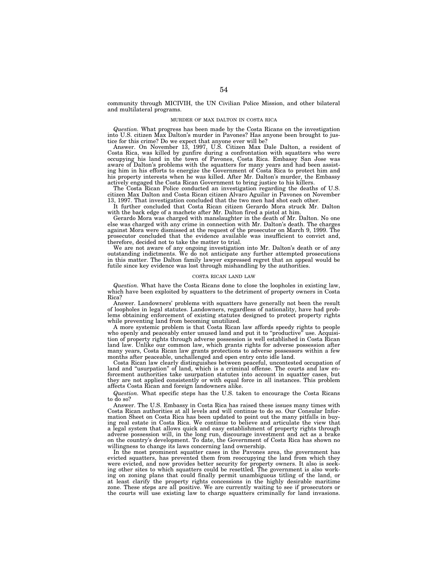community through MICIVIH, the UN Civilian Police Mission, and other bilateral and multilateral programs.

## MURDER OF MAX DALTON IN COSTA RICA

*Question.* What progress has been made by the Costa Ricans on the investigation into U.S. citizen Max Dalton's murder in Pavones? Has anyone been brought to justice for this crime? Do we expect that anyone ever will be?

Answer. On November 13, 1997, U.S. Citizen Max Dale Dalton, a resident of Costa Rica, was killed by gunfire during a confrontation with squatters who were occupying his land in the town of Pavones, Costa Rica. Embassy San Jose was aware of Dalton's problems with the squatters for many years and had been assisting him in his efforts to energize the Government of Costa Rica to protect him and his property interests when he was killed. After Mr. Dalton's murder, the Embassy actively engaged the Costa Rican Government to bring justice to his killers.

The Costa Rican Police conducted an investigation regarding the deaths of U.S. citizen Max Dalton and Costa Rican citizen Alvaro Aguilar in Pavones on November 13, 1997. That investigation concluded that the two men had shot each other.

It further concluded that Costa Rican citizen Gerardo Mora struck Mr. Dalton with the back edge of a machete after Mr. Dalton fired a pistol at him.

Gerardo Mora was charged with manslaughter in the death of Mr. Dalton. No one else was charged with any crime in connection with Mr. Dalton's death. The charges against Mora were dismissed at the request of the prosecutor on March 9, 1999. The prosecutor concluded that the evidence available was insufficient to convict and, therefore, decided not to take the matter to trial.

We are not aware of any ongoing investigation into Mr. Dalton's death or of any outstanding indictments. We do not anticipate any further attempted prosecutions in this matter. The Dalton family lawyer expressed regret that an appeal would be futile since key evidence was lost through mishandling by the authorities.

### COSTA RICAN LAND LAW

*Question.* What have the Costa Ricans done to close the loopholes in existing law, which have been exploited by squatters to the detriment of property owners in Costa Rica?

Answer. Landowners' problems with squatters have generally not been the result of loopholes in legal statutes. Landowners, regardless of nationality, have had problems obtaining enforcement of existing statutes designed to protect property rights while preventing land from becoming unutilized.

A more systemic problem is that Costa Rican law affords speedy rights to people who openly and peaceably enter unused land and put it to "productive" use. Acquisition of property rights through adverse possession is well established in Costa Rican land law. Unlike our common law, which grants rights for adverse possession after many years, Costa Rican law grants protections to adverse possessors within a few months after peaceable, unchallenged and open entry onto idle land.

Costa Rican law clearly distinguishes between peaceful, uncontested occupation of land and "usurpation" of land, which is a criminal offense. The courts and law enforcement authorities take usurpation statutes into account in squatter cases, but they are not applied consistently or with equal force in all instances. This problem affects Costa Rican and foreign landowners alike.

*Question.* What specific steps has the U.S. taken to encourage the Costa Ricans to do so?

Answer. The U.S. Embassy in Costa Rica has raised these issues many times with Costa Rican authorities at all levels and will continue to do so. Our Consular Information Sheet on Costa Rica has been updated to point out the many pitfalls in buying real estate in Costa Rica. We continue to believe and articulate the view that a legal system that allows quick and easy establishment of property rights through adverse possession will, in the long run, discourage investment and act as a brake on the country's development. To date, the Government of Costa Rica has shown no willingness to change its laws concerning land ownership.

In the most prominent squatter cases in the Pavones area, the government has evicted squatters, has prevented them from reoccupying the land from which they were evicted, and now provides better security for property owners. It also is seeking other sites to which squatters could be resettled. The government is also working on zoning plans that could finally permit unambiguous titling of the land, or at least clarify the property rights concessions in the highly desirable maritime zone. These steps are all positive. We are currently waiting to see if prosecutors or the courts will use existing law to charge squatters criminally for land invasions.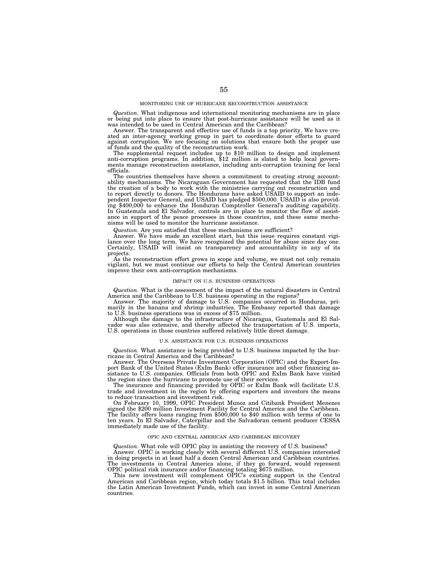### MONITORING USE OF HURRICANE RECONSTRUCTION ASSISTANCE

*Question.* What indigenous and international monitoring mechanisms are in place or being put into place to ensure that post-hurricane assistance will be used as it was intended to be used in Central American and the Caribbean?

Answer. The transparent and effective use of funds is a top priority. We have created an inter-agency working group in part to coordinate donor efforts to guard against corruption. We are focusing on solutions that ensure both the proper use

of funds and the quality of the reconstruction work. The supplemental request includes up to \$10 million to design and implement anti-corruption programs. In addition, \$12 million is slated to help local governments manage reconstruction assistance, including anti-corruption training for local officials.

The countries themselves have shown a commitment to creating strong accountability mechanisms. The Nicaraguan Government has requested that the IDB fund<br>the creation of a body to work with the ministries carrying out reconstruction and<br>to report directly to donors. The Hondurans have asked USAID ing \$400,000 to enhance the Honduran Comptroller General's auditing capability. In Guatemala and El Salvador, controls are in place to monitor the flow of assistance in support of the peace processes in those countries, and these same mecha-nisms will be used to monitor the hurricane assistance.

*Question.* Are you satisfied that these mechanisms are sufficient?

Answer. We have made an excellent start, but this issue requires constant vigilance over the long term. We have recognized the potential for abuse since day one.<br>Certainly, USAID will insist on transparency and accountabil projects.

As the reconstruction effort grows in scope and volume, we must not only remain vigilant, but we must continue our efforts to help the Central American countries improve their own anti-corruption mechanisms.

### IMPACT ON U.S. BUSINESS OPERATIONS

*Question.* What is the assessment of the impact of the natural disasters in Central

America and the Caribbean to U.S. business operating in the regions? Answer. The majority of damage to U.S. companies occurred in Honduras, primarily in the banana and shrimp industries. The Embassy reported that damage to U.S. business operations was in excess of \$75 million.

Although the damage to the infrastructure of Nicaragua, Guatemala and El Salvador was also extensive, and thereby affected the transportation of U.S. imports, U.S. operations in those countries suffered relatively little direct damage.

#### U.S. ASSISTANCE FOR U.S. BUSINESS OPERATIONS

*Question.* What assistance is being provided to U.S. business impacted by the hurricane in Central America and the Caribbean?

Answer. The Overseas Private Investment Corporation (OPIC) and the Export-Import Bank of the United States (ExIm Bank) offer insurance and other financing assistance to U.S. companies. Officials from both OPIC and ExIm Bank have visited the region since the hurricane to promote use of their services.

The insurance and financing provided by OPIC or ExIm Bank will facilitate U.S. trade and investment in the region by offering exporters and investors the means to reduce transaction and investment risk.

On February 10, 1999, OPIC President Munoz and Citibank President Menezes signed the \$200 million Investment Facility for Central America and the Caribbean. The facility offers loans ranging from \$500,000 to \$40 million with terms of one to ten years. In El Salvador, Caterpillar and the Salvadoran cement producer CESSA immediately made use of the facility.

#### OPIC AND CENTRAL AMERICAN AND CARIBBEAN RECOVERY

*Question.* What role will OPIC play in assisting the recovery of U.S. business? Answer. OPIC is working closely with several different U.S. companies interested in doing projects in at least half a dozen Central American and Caribbean countries. The investments in Central America alone, if they go forward, would represent OPIC political risk insurance and/or financing totaling \$675 million.

This new investment will complement OPIC's existing support in the Central American and Caribbean region, which today totals \$1.5 billion. This total includes the Latin American Investment Funds, which can invest in some Central American countries.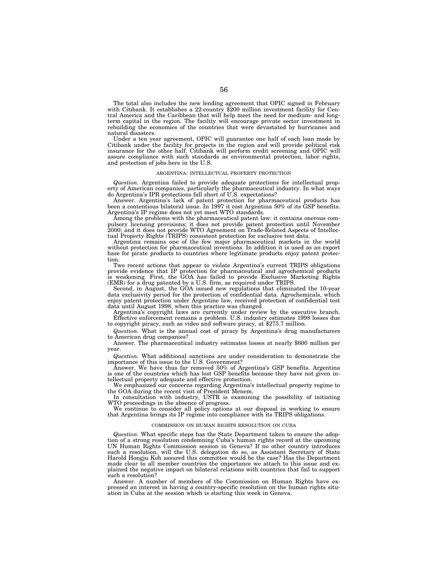The total also includes the new lending agreement that OPIC signed in February with Citibank. It establishes a 22-country \$200 million investment facility for Central America and the Caribbean that will help meet the need for medium- and longterm capital in the region. The facility will encourage private sector investment in rebuilding the economies of the countries that were devastated by hurricanes and natural disasters.

Under a ten year agreement, OPIC will guarantee one half of each loan made by Citibank under the facility for projects in the region and will provide political risk insurance for the other half. Citibank will perform credit screening and OPIC will assure compliance with such standards as environmental protection, labor rights, and protection of jobs here in the U.S.

### ARGENTINA: INTELLECTUAL PROPERTY PROTECTION

*Question.* Argentina failed to provide adequate protections for intellectual property of American companies, particularly the pharmaceutical industry. In what ways do Argentina's IPR protections fall short of U.S. expectations?

Answer. Argentina's lack of patent protection for pharmaceutical products has been a contentious bilateral issue. In 1997 it cost Argentina 50% of its GSP benefits. Argentina's IP regime does not yet meet WTO standards.

Among the problems with the pharmaceutical patent law: it contains onerous compulsory licensing provisions; it does not provide patent protection until November 2000; and it does not provide WTO Agreement on Trade-Related Aspects of Intellectual Property Rights (TRIPS) consistent protection for exclusive test data.

Argentina remains one of the few major pharmaceutical markets in the world without protection for pharmaceutical inventions. In addition it is used as an export base for pirate products to countries where legitimate products enjoy patent protection.

Two recent actions that appear to violate Argentina's current TRIPS obligations provide evidence that IP protection for pharmaceutical and agrochemical products is weakening. First, the GOA has failed to provide Exclusive Marketing Rights (EMR) for a drug patented by a U.S. firm, as required under TRIPS.

Second, in August, the GOA issued new regulations that eliminated the 10-year data exclusivity period for the protection of confidential data. Agrochemicals, which enjoy patent protection under Argentine law, received protection of confidential test data until August 1998, when this practice was changed.

Argentina's copyright laws are currently under review by the executive branch. Effective enforcement remains a problem. U.S. industry estimates 1998 losses due to copyright piracy, such as video and software piracy, at \$275.7 million.

*Question.* What is the annual cost of piracy by Argentina's drug manufacturers to American drug companies?

Answer. The pharmaceutical industry estimates losses at nearly \$600 million per year.

*Question.* What additional sanctions are under consideration to demonstrate the importance of this issue to the U.S. Government?

Answer. We have thus far removed 50% of Argentina's GSP benefits. Argentina is one of the countries which has lost GSP benefits because they have not given intellectual property adequate and effective protection.

We emphasized our concerns regarding Argentina's intellectual property regime to the GOA during the recent visit of President Menem.

In consultation with industry, USTR is examining the possibility of initiating WTO proceedings in the absence of progress.

We continue to consider all policy options at our disposal in working to ensure that Argentina brings its IP regime into compliance with its TRIPS obligations.

#### COMMISSION ON HUMAN RIGHTS RESOLUTION ON CUBA

*Question.* What specific steps has the State Department taken to ensure the adoption of a strong resolution condemning Cuba's human rights record at the upcoming UN Human Rights Commission session in Geneva? If no other country introduces such a resolution, will the U.S. delegation do so, as Assistant Secretary of State Harold Hongju Koh assured this committee would be the case? Has the Department made clear to all member countries the importance we attach to this issue and explained the negative impact on bilateral relations with countries that fail to support such a resolution?

Answer. A number of members of the Commission on Human Rights have expressed an interest in having a country-specific resolution on the human rights situation in Cuba at the session which is starting this week in Geneva.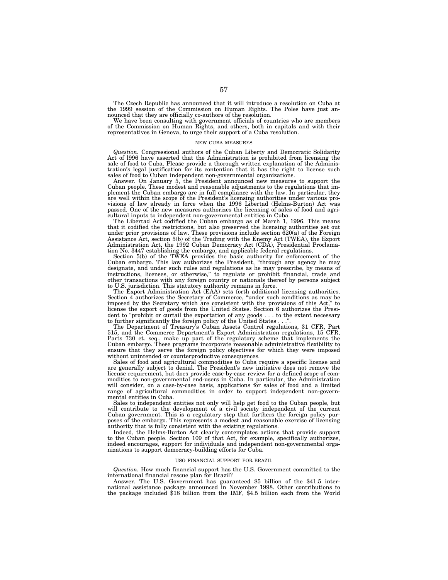The Czech Republic has announced that it will introduce a resolution on Cuba at the 1999 session of the Commission on Human Rights. The Poles have just announced that they are officially co-authors of the resolution.

We have been consulting with government officials of countries who are members of the Commission on Human Rights, and others, both in capitals and with their representatives in Geneva, to urge their support of a Cuba resolution.

### NEW CUBA MEASURES

*Question.* Congressional authors of the Cuban Liberty and Democratic Solidarity Act of l996 have asserted that the Administration is prohibited from licensing the sale of food to Cuba. Please provide a thorough written explanation of the Administration's legal justification for its contention that it has the right to license such sales of food to Cuban independent non-governmental organizations.

Answer. On January 5, the President announced new measures to support the Cuban people. These modest and reasonable adjustments to the regulations that implement the Cuban embargo are in full compliance with the law. In particular, they are well within the scope of the President's licensing authorities under various provisions of law already in force when the 1996 Libertad (Helms-Burton) Act was passed. One of the new measures authorizes the licensing of sales of food and agricultural inputs to independent non-governmental entities in Cuba.

The Libertad Act codified the Cuban embargo as of March 1, 1996. This means that it codified the restrictions, but also preserved the licensing authorities set out under prior provisions of law. These provisions include section  $\bar{6}20(a)$  of the Foreign Assistance Act, section 5(b) of the Trading with the Enemy Act (TWEA), the Export Administration Act, the 1992 Cuban Democracy Act (CDA), Presidential Proclamation No. 3447 establishing the embargo, and applicable federal regulations.

Section 5(b) of the TWEA provides the basic authority for enforcement of the Cuban embargo. This law authorizes the President, ''through any agency he may designate, and under such rules and regulations as he may prescribe, by means of instructions, licenses, or otherwise,'' to regulate or prohibit financial, trade and other transactions with any foreign country or nationals thereof by persons subject to U.S. jurisdiction. This statutory authority remains in force.

The Export Administration Act (EAA) sets forth additional licensing authorities. Section 4 authorizes the Secretary of Commerce, "under such conditions as may be imposed by the Secretary which are consistent with the provisions of this Act,'' to license the export of goods from the United States. Section 6 authorizes the President to "prohibit or curtail the exportation of any goods . . . to the extent necessary to further significantly the foreign policy of the United States . . .''.

The Department of Treasury's Cuban Assets Control regulations, 31 CFR, Part 515, and the Commerce Department's Export Administration regulations, 15 CFR, Parts 730 et. seq., make up part of the regulatory scheme that implements the Cuban embargo. These programs incorporate reasonable administrative flexibility to ensure that they serve the foreign policy objectives for which they were imposed without unintended or counterproductive consequences.

Sales of food and agricultural commodities to Cuba require a specific license and are generally subject to denial. The President's new initiative does not remove the license requirement, but does provide case-by-case review for a defined scope of commodities to non-governmental end-users in Cuba. In particular, the Administration will consider, on a case-by-case basis, applications for sales of food and a limited range of agricultural commodities in order to support independent non-governmental entities in Cuba.

Sales to independent entities not only will help get food to the Cuban people, but will contribute to the development of a civil society independent of the current Cuban government. This is a regulatory step that furthers the foreign policy purposes of the embargo. This represents a modest and reasonable exercise of licensing authority that is fully consistent with the existing regulations.

Indeed, the Helms-Burton Act clearly contemplates actions that provide support to the Cuban people. Section 109 of that Act, for example, specifically authorizes, indeed encourages, support for individuals and independent non-governmental organizations to support democracy-building efforts for Cuba.

### USG FINANCIAL SUPPORT FOR BRAZIL

*Question.* How much financial support has the U.S. Government committed to the international financial rescue plan for Brazil?

Answer. The U.S. Government has guaranteed \$5 billion of the \$41.5 international assistance package announced in November 1998. Other contributions to the package included \$18 billion from the IMF, \$4.5 billion each from the World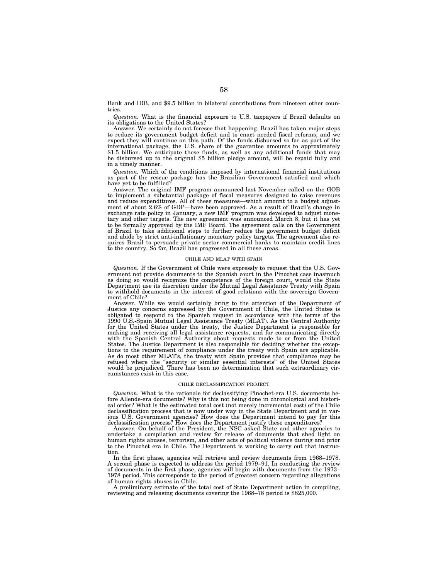Bank and IDB, and \$9.5 billion in bilateral contributions from nineteen other countries.

*Question.* What is the financial exposure to U.S. taxpayers if Brazil defaults on its obligations to the United States?

Answer. We certainly do not foresee that happening. Brazil has taken major steps to reduce its government budget deficit and to enact needed fiscal reforms, and we expect they will continue on this path. Of the funds disbursed so far as part of the international package, the U.S. share of the guarantee amounts to approximately \$1.5 billion. We anticipate these funds, as well as any additional funds that may be disbursed up to the original \$5 billion pledge amount, will be repaid fully and in a timely manner.

*Question.* Which of the conditions imposed by international financial institutions as part of the rescue package has the Brazilian Government satisfied and which have yet to be fulfilled?

Answer. The original IMF program announced last November called on the GOB to implement a substantial package of fiscal measures designed to raise revenues and reduce expenditures. All of these measures—which amount to a budget adjustment of about 2.6% of GDP—have been approved. As a result of Brazil's change in exchange rate policy in January, a new IMF program was developed to adjust monetary and other targets. The new agreement was announced March 8, but it has yet to be formally approved by the IMF Board. The agreement calls on the Government of Brazil to take additional steps to further reduce the government budget deficit and abide by strict anti-inflationary monetary policy targets. The agreement also requires Brazil to persuade private sector commercial banks to maintain credit lines to the country. So far, Brazil has progressed in all these areas.

#### CHILE AND MLAT WITH SPAIN

*Question.* If the Government of Chile were expressly to request that the U.S. Government not provide documents to the Spanish court in the Pinochet case inasmuch as doing so would recognize the competence of the foreign court, would the State Department use its discretion under the Mutual Legal Assistance Treaty with Spain to withhold documents in the interest of good relations with the sovereign Government of Chile?

Answer. While we would certainly bring to the attention of the Department of Justice any concerns expressed by the Government of Chile, the United States is obligated to respond to the Spanish request in accordance with the terms of the 1990 U.S.-Spain Mutual Legal Assistance Treaty (MLAT). As the Central Authority for the United States under the treaty, the Justice Department is responsible for making and receiving all legal assistance requests, and for communicating directly with the Spanish Central Authority about requests made to or from the United States. The Justice Department is also responsible for deciding whether the exceptions to the requirement of compliance under the treaty with Spain are applicable. As do most other MLAT's, the treaty with Spain provides that compliance may be refused where the ''security or similar essential interests'' of the United States would be prejudiced. There has been no determination that such extraordinary circumstances exist in this case.

### CHILE DECLASSIFICATION PROJECT

*Question.* What is the rationale for declassifying Pinochet-era U.S. documents before Allende-era documents? Why is this not being done in chronological and historical order? What is the estimated total cost (not merely incremental cost) of the Chile declassification process that is now under way in the State Department and in various U.S. Government agencies? How does the Department intend to pay for this declassification process? How does the Department justify these expenditures?

Answer. On behalf of the President, the NSC asked State and other agencies to undertake a compilation and review for release of documents that shed light on human rights abuses, terrorism, and other acts of political violence during and prior to the Pinochet era in Chile. The Department is working to carry out that instruction.

In the first phase, agencies will retrieve and review documents from 1968–1978. A second phase is expected to address the period 1979–91. In conducting the review of documents in the first phase, agencies will begin with documents from the 1973– 1978 period. This corresponds to the period of greatest concern regarding allegations of human rights abuses in Chile.

A preliminary estimate of the total cost of State Department action in compiling, reviewing and releasing documents covering the 1968–78 period is \$825,000.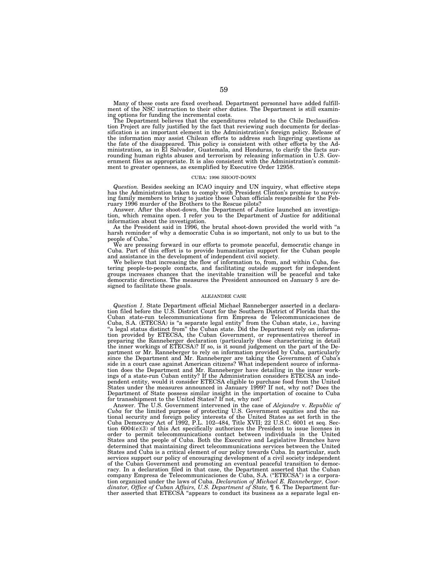Many of these costs are fixed overhead. Department personnel have added fulfillment of the NSC instruction to their other duties. The Department is still examining options for funding the incremental costs.

The Department believes that the expenditures related to the Chile Declassification Project are fully justified by the fact that reviewing such documents for declassification is an important element in the Administration's foreign policy. Release of the information may assist Chilean efforts to address such lingering questions as the fate of the disappeared. This policy is consistent with other efforts by the Ad-ministration, as in El Salvador, Guatemala, and Honduras, to clarify the facts surrounding human rights abuses and terrorism by releasing information in U.S. Government files as appropriate. It is also consistent with the Administration's commitment to greater openness, as exemplified by Executive Order 12958.

### CUBA: 1996 SHOOT-DOWN

*Question.* Besides seeking an ICAO inquiry and UN inquiry, what effective steps has the Administration taken to comply with President Clinton's promise to surviving family members to bring to justice those Cuban officials responsible for the February 1996 murder of the Brothers to the Rescue pilots?

Answer. After the shoot-down, the Department of Justice launched an investigation, which remains open. I refer you to the Department of Justice for additional information about the investigation.

As the President said in 1996, the brutal shoot-down provided the world with ''a harsh reminder of why a democratic Cuba is so important, not only to us but to the people of Cuba.''

We are pressing forward in our efforts to promote peaceful, democratic change in Cuba. Part of this effort is to provide humanitarian support for the Cuban people and assistance in the development of independent civil society.

We believe that increasing the flow of information to, from, and within Cuba, fostering people-to-people contacts, and facilitating outside support for independent groups increases chances that the inevitable transition will be peaceful and take democratic directions. The measures the President announced on January 5 are designed to facilitate these goals.

### ALEJANDRE CASE

*Question 1.* State Department official Michael Ranneberger asserted in a declaration filed before the U.S. District Court for the Southern District of Florida that the Cuban state-run telecommunications firm Empresa de Telecommunicaciones de Cuba, S.A. (ETECSA) is ''a separate legal entity'' from the Cuban state, i.e., having "a legal status distinct from" the Cuban state. Did the Department rely on information provided by ETECSA, the Cuban Government, or representatives thereof in preparing the Ranneberger declaration (particularly those characterizing in detail the inner workings of ETECSA)? If so, is it sound judgement on the part of the Department or Mr. Ranneberger to rely on information provided by Cuba, particularly since the Department and Mr. Ranneberger are taking the Government of Cuba's side in a court case against American citizens? What independent source of information does the Department and Mr. Ranneberger have detailing in the inner workings of a state-run Cuban entity? If the Administration considers ETECSA an independent entity, would it consider ETECSA eligible to purchase food from the United States under the measures announced in January 1999? If not, why not? Does the Department of State possess similar insight in the importation of cocaine to Cuba for transshipment to the United States? If not, why not?

Answer. The U.S. Government intervened in the case of *Alejandre* v. *Republic of Cuba* for the limited purpose of protecting U.S. Government equities and the national security and foreign policy interests of the United States as set forth in the Cuba Democracy Act of 1992, P.L. 102–484, Title XVII; 22 U.S.C. 6001 et seq. Section 6004(e)(3) of this Act specifically authorizes the President to issue licenses in order to permit telecommunications contact between individuals in the United States and the people of Cuba. Both the Executive and Legislative Branches have determined that maintaining direct telecommunications services between the United States and Cuba is a critical element of our policy towards Cuba. In particular, such services support our policy of encouraging development of a civil society independent of the Cuban Government and promoting an eventual peaceful transition to democracy. In a declaration filed in that case, the Department asserted that the Cuban company Empresa de Telecommunicaciones de Cuba, S.A. (''ETECSA'') is a corporation organized under the laws of Cuba. *Declaration of Michael E. Ranneberger, Coor*dinator, Office of Cuban Affairs, U.S. Department of State,  $\parallel$  6. The Department fur-<br>ther asserted that ETECSA "appears to conduct its business as a separate legal en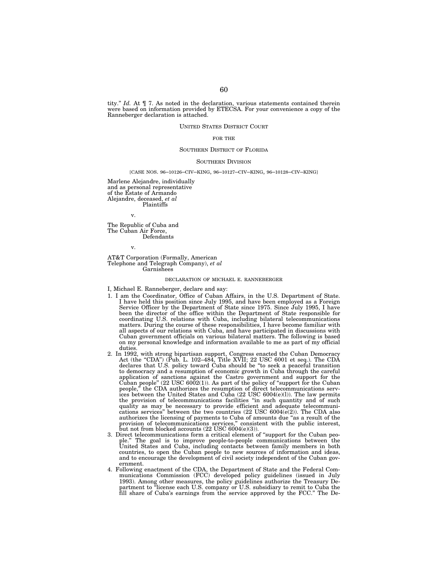tity.'' *Id.* At ¶ 7. As noted in the declaration, various statements contained therein were based on information provided by ETECSA. For your convenience a copy of the Ranneberger declaration is attached.

## UNITED STATES DISTRICT COURT

## FOR THE

#### SOUTHERN DISTRICT OF FLORIDA

## SOUTHERN DIVISION

## [CASE NOS. 96–10126–CIV–KING, 96–10127–CIV–KING, 96–10128–CIV–KING]

Marlene Alejandre, individually and as personal representative of the Estate of Armando Alejandre, deceased, *et al* Plaintiffs

v.

The Republic of Cuba and The Cuban Air Force, Defendants

v.

AT&T Corporation (Formally, American Telephone and Telegraph Company), *et al* Garnishees

### DECLARATION OF MICHAEL E. RANNEBERGER

## I, Michael E. Ranneberger, declare and say:

- 1. I am the Coordinator, Office of Cuban Affairs, in the U.S. Department of State. I have held this position since July 1995, and have been employed as a Foreign Service Officer by the Department of State since 1975. Since July 1995, I have been the director of the office within the Department of State responsible for coordinating U.S. relations with Cuba, including bilateral telecommunications matters. During the course of these responsibilities, I have become familiar with all aspects of our relations with Cuba, and have participated in discussions with Cuban government officials on various bilateral matters. The following is based on my personal knowledge and information available to me as part of my official duties.
- 2. In 1992, with strong bipartisan support, Congress enacted the Cuban Democracy Act (the ''CDA'') (Pub. L. 102–484, Title XVII; 22 USC 6001 et seq.). The CDA declares that U.S. policy toward Cuba should be ''to seek a peaceful transition to democracy and a resumption of economic growth in Cuba through the careful application of sanctions against the Castro government and support for the Cuban people" (22 USC 6002(1)). As part of the policy of "support for the Cuban people," the CDA authorizes the resumption of direct telecommunicat ices between the United States and Cuba (22 USC 6004(e)(l)). The law permits the provision of telecommunications facilities ''in such quantity and of such quality as may be necessary to provide efficient and adequate telecommuni-cations services'' between the two countries (22 USC 6004(e(2)). The CDA also authorizes the licensing of payments to Cuba of amounts due ''as a result of the provision of telecommunications services,'' consistent with the public interest, but not from blocked accounts  $(22 \text{ USC } 6004(e)(3))$ .
- 3. Direct telecommunications form a critical element of "support for the Cuban people." The goal is to improve people-to-people communications between the United States and Cuba, including contacts between family members i and to encourage the development of civil society independent of the Cuban government.
- 4. Following enactment of the CDA, the Department of State and the Federal Communications Commission (FCC) developed policy guidelines (issued in July 1993). Among other measures, the policy guidelines authorize the Treasury Department to ''license each U.S. company or U.S. subsidiary to remit to Cuba the fill share of Cuba's earnings from the service approved by the FCC.'' The De-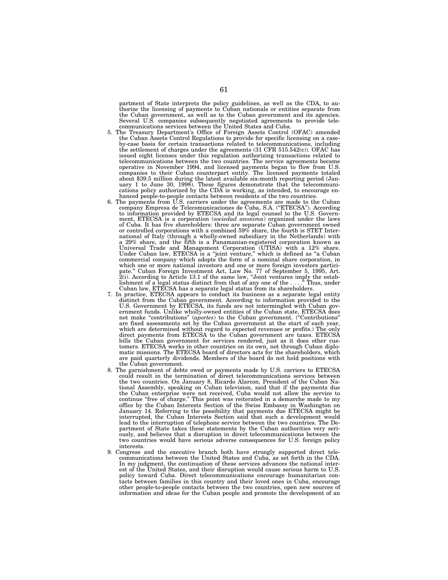partment of State interprets the policy guidelines, as well as the CDA, to authorize the licensing of payments to Cuban nationals or entities separate from the Cuban government, as well as to the Cuban government and its agencies. Several U.S. companies subsequently negotiated agreements to provide tele-communications services between the United States and Cuba.

- 5. The Treasury Department's Office of Foreign Assets Control (OFAC) amended the Cuban Assets Control Regulations to provide for specific licensing on a caseby-case basis for certain transactions related to telecommunications, including the settlement of charges under the agreements (31 CFR 515.542(c)). OFAC has issued eight licenses under this regulation authorizing transactions related to telecommunications between the two countries. The service agreements became operative in November 1994, and licensed payments began to flow from U.S. companies to their Cuban counterpart entity. The licensed payments totaled about \$39.5 million during the latest available six-month reporting period (Jan-uary 1 to June 30, 1998). These figures demonstrate that the telecommunications policy authorized by the CDA is working, as intended, to encourage enhanced people-to-people contacts between residents of the two countries.
- 6. The payments from U.S. carriers under the agreements are made to the Cuban company Empresa de Telecomunicaciones de Cuba, S.A. (''ETECSA''). According to information provided by ETECSA and its legal counsel to the U.S. Government, ETECSA is a corporation (*sociedad anonima*) organized under the laws of Cuba. It has five shareholders: three are separate Cuban government owned or controlled corporations with a combined 59% share, the fourth is STET International of Italy (through a wholly-owned subsidiary in the Netherlands) with a 29% share, and the fifth is a Panamanian-registered corporation known as<br>Universal Trade and Management Corporation (UTISA) with a 12% share.<br>Under Cuban law, ETECSA is a "joint venture," which is defined as "a Cuban<br>com which one or more national investors and one or more foreign investors partici-<br>pate." Cuban Foreign Investment Act, Law No. 77 of September 5, 1995, Art.<br>2(i). According to Article 13.1 of the same law, "Joint ventures im lishment of a legal status distinct from that of any one of the . . . .'' Thus, under Cuban law, ETECSA has a separate legal status from its shareholders.
- 7. In practice, ETECSA appears to conduct its business as a separate legal entity distinct from the Cuban government. According to information provided to the U.S. Government by ETECSA, its funds are not intermingled with Cuban gov-ernment funds. Unlike wholly-owned entities of the Cuban state, ETECSA does not make ''contributions'' (*aportes*) to the Cuban government. (''Contributions'' are fixed assessments set by the Cuban government at the start of each year, which are determined without regard to expected revenues or profits.) The only direct payments from ETECSA to the Cuban government are taxes. ETECSA bills the Cuban government for services rendered, just as it does other customers. ETECSA works in other countries on its own, not through Cuban diplomatic missions. The ETECSA board of directors acts for the shareholders, which are paid quarterly dividends. Members of the board do not hold positions with the Cuban government.
- 8. The garnishment of debts owed or payments made by U.S. carriers to ETECSA could result in the termination of direct telecommunications services between the two countries. On January 8, Ricardo Alarcon, President of the Cuban National Assembly, speaking on Cuban television, said that if the payments due the Cuban enterprise were not received, Cuba would not allow the service to continue ''free of charge.'' This point was reiterated in a demarche made to my office by the Cuban Interests Section of the Swiss Embassy in Washington on January 14. Referring to the possibility that payments due ETECSA might be interrupted, the Cuban Interests Section said that such a development would lead to the interruption of telephone service between the two countries. The Department of State takes these statements by the Cuban authorities very seriously, and believes that a disruption in direct telecommunications between the two countries would have serious adverse consequences for U.S. foreign policy interests.
- 9. Congress and the executive branch both have strongly supported direct telecommunications between the United States and Cuba, as set forth in the CDA. In my judgment, the continuation of these services advances the national interest of the United States, and their disruption would cause serious harm to U.S. policy toward Cuba. Direct telecommunications encourage humanitarian contacts between families in this country and their loved ones in Cuba, encourage other people-to-people contacts between the two countries, open new sources of information and ideas for the Cuban people and promote the development of an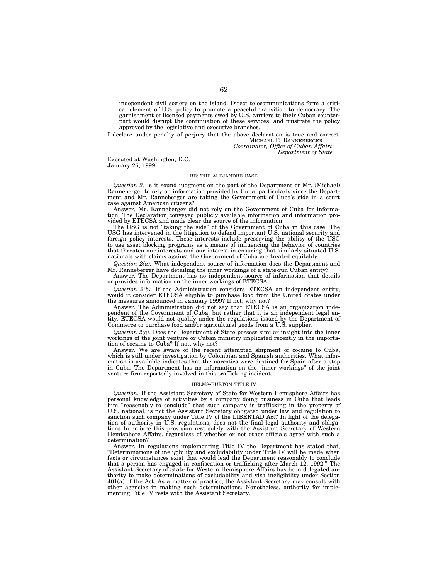independent civil society on the island. Direct telecommunications form a critical element of U.S. policy to promote a peaceful transition to democracy. The garnishment of licensed payments owed by U.S. carriers to their Cuban counterpart would disrupt the continuation of these services, and frustrate the policy approved by the legislative and executive branches.

I declare under penalty of perjury that the above declaration is true and correct. MICHAEL E. RANNEBERGER *Coordinator, Office of Cuban Affairs,*

*Department of State.*

Executed at Washington, D.C. January 26, 1999.

## RE: THE ALEJANDRE CASE

*Question 2.* Is it sound judgment on the part of the Department or Mr. (Michael) Ranneberger to rely on information provided by Cuba, particularly since the Department and Mr. Ranneberger are taking the Government of Cuba's side in a court case against American citizens?

Answer. Mr. Ranneberger did not rely on the Government of Cuba for information. The Declaration conveyed publicly available information and information provided by ETECSA and made clear the source of the information.

The USG is not ''taking the side'' of the Government of Cuba in this case. The USG has intervened in the litigation to defend important U.S. national security and foreign policy interests. These interests include preserving the ability of the USG to use asset blocking programs as a means of influencing the behavior of countries that threaten our interests and our interest in ensuring that similarly situated U.S. nationals with claims against the Government of Cuba are treated equitably.

*Question 2(a).* What independent source of information does the Department and Mr. Ranneberger have detailing the inner workings of a state-run Cuban entity?

Answer. The Department has no independent source of information that details or provides information on the inner workings of ETECSA.

*Question 2(b).* If the Administration considers ETECSA an independent entity, would it consider ETECSA eligible to purchase food from the United States under the measures announced in January 1999? If not, why not?

Answer. The Administration did not say that ETECSA is an organization independent of the Government of Cuba, but rather that it is an independent legal entity. ETECSA would not qualify under the regulations issued by the Department of Commerce to purchase food and/or agricultural goods from a U.S. supplier.

*Question 2(c).* Does the Department of State possess similar insight into the inner workings of the joint venture or Cuban ministry implicated recently in the importation of cocaine to Cuba? If not, why not?

Answer. We are aware of the recent attempted shipment of cocaine to Cuba, which is still under investigation by Colombian and Spanish authorities. What information is available indicates that the narcotics were destined for Spain after a stop in Cuba. The Department has no information on the ''inner workings'' of the joint venture firm reportedly involved in this trafficking incident.

## HELMS-BURTON TITLE IV

*Question.* If the Assistant Secretary of State for Western Hemisphere Affairs has personal knowledge of activities by a company doing business in Cuba that leads him "reasonably to conclude" that such company is trafficking in the property of U.S. national, is not the Assistant Secretary obligated under law and regulation to sanction such company under Title IV of the LIBERTAD Act? In light of the delegation of authority in U.S. regulations, does not the final legal authority and obligations to enforce this provision rest solely with the Assistant Secretary of Western Hemisphere Affairs, regardless of whether or not other officials agree with such a determination?

Answer. In regulations implementing Title IV the Department has stated that, ''Determinations of ineligibility and excludability under Title IV will be made when facts or circumstances exist that would lead the Department reasonably to conclude that a person has engaged in confiscation or trafficking after March 12, 1992." The Assistant Secretary of State for Western Hemisphere Affairs has been delegated authority to make determinations of excludability and visa ineligibility under Section 401(a) of the Act. As a matter of practice, the Assistant Secretary may consult with other agencies in making such determinations. Nonetheless, authority for imple-menting Title IV rests with the Assistant Secretary.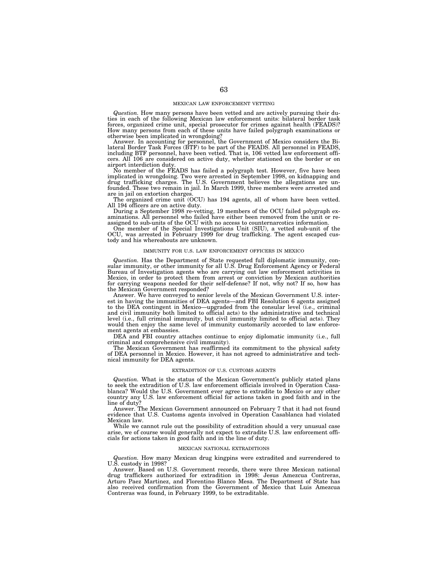#### MEXICAN LAW ENFORCEMENT VETTING

*Question.* How many persons have been vetted and are actively pursuing their duties in each of the following Mexican law enforcement units: bilateral border task forces, organized crime unit, special prosecutor for crimes against health (FEADS)? How many persons from each of these units have failed polygraph examinations or otherwise been implicated in wrongdoing?

Answer. In accounting for personnel, the Government of Mexico considers the Bi-<br>lateral Border Task Forces (BTF) to be part of the FEADS. All personnel in FEADS,<br>including BTF personnel, have been vetted. That is, 106 vett cers. All 106 are considered on active duty, whether stationed on the border or on airport interdiction duty.

No member of the FEADS has failed a polygraph test. However, five have been<br>implicated in wrongdoing. Two were arrested in September 1998, on kidnapping and<br>drug trafficking charges. The U.S. Government believes the allega are in jail on extortion charges.

The organized crime unit (OCU) has 194 agents, all of whom have been vetted. All 194 officers are on active duty. During a September 1998 re-vetting, 19 members of the OCU failed polygraph ex-

aminations. All personnel who failed have either been removed from the unit or re-<br>assigned to sub-units of the OCU with no access to counternarcotics information.

One member of the Special Investigations Unit (SIU), a vetted sub-unit of the OCU, was arrested in February 1999 for drug trafficking. The agent escaped custody and his whereabouts are unknown.

#### IMMUNITY FOR U.S. LAW ENFORCEMENT OFFICERS IN MEXICO

*Question.* Has the Department of State requested full diplomatic immunity, consular immunity, or other immunity for all U.S. Drug Enforcement Agency or Federal Bureau of Investigation agents who are carrying out law enforcement activities in Mexico, in order to protect them from arrest or conviction by Mexican authorities for carrying weapons needed for their self-defense? If not, why not? If so, how has the Mexican Government responded?

Answer. We have conveyed to senior levels of the Mexican Government U.S. interest in having the immunities of DEA agents—and FBI Resolution 6 agents assigned to the DEA contingent in Mexico—upgraded from the consular level (i.e., criminal and civil immunity both limited to official acts) to the administrative and technical level (i.e., full criminal immunity, but civil immunity limited to official acts). They would then enjoy the same level of immunity customarily accorded to law enforcement agents at embassies.

DEA and FBI country attaches continue to enjoy diplomatic immunity (i.e., full criminal and comprehensive civil immunity).

The Mexican Government has reaffirmed its commitment to the physical safety of DEA personnel in Mexico. However, it has not agreed to administrative and technical immunity for DEA agents.

## EXTRADITION OF U.S. CUSTOMS AGENTS

*Question.* What is the status of the Mexican Government's publicly stated plans to seek the extradition of U.S. law enforcement officials involved in Operation Casablanca? Would the U.S. Government ever agree to extradite to Mexico or any other country any U.S. law enforcement official for actions taken in good faith and in the line of duty?

Answer. The Mexican Government announced on February 7 that it had not found evidence that U.S. Customs agents involved in Operation Casablanca had violated Mexican law.

While we cannot rule out the possibility of extradition should a very unusual case arise, we of course would generally not expect to extradite U.S. law enforcement officials for actions taken in good faith and in the line of duty.

### MEXICAN NATIONAL EXTRADITIONS

*Question.* How many Mexican drug kingpins were extradited and surrendered to U.S. custody in 1998?

Answer. Based on U.S. Government records, there were three Mexican national drug traffickers authorized for extradition in 1998: Jesus Amezcua Contreras, Arturo Paez Martinez, and Florentino Blanco Mesa. The Department of State has also received confirmation from the Government of Mexico that Luis Amezcua Contreras was found, in February 1999, to be extraditable.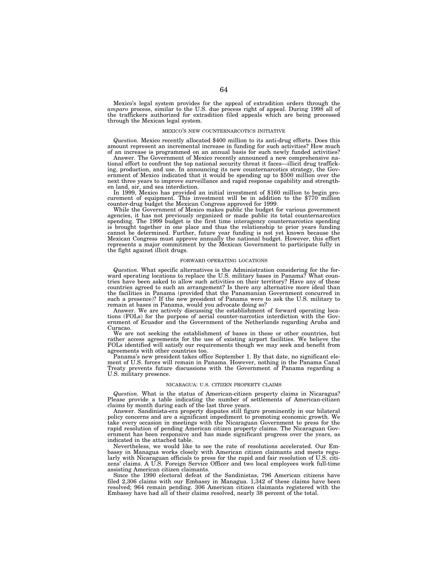Mexico's legal system provides for the appeal of extradition orders through the *amparo* process, similar to the U.S. due process right of appeal. During 1998 all of the traffickers authorized for extradition filed appeals which are being processed through the Mexican legal system.

#### MEXICO'S NEW COUNTERNARCOTICS INITIATIVE

*Question.* Mexico recently allocated \$400 million to its anti-drug efforts. Does this amount represent an incremental increase in funding for such activities? How much of an increase is programmed on an annual basis for such newly funded activities?

Answer. The Government of Mexico recently announced a new comprehensive national effort to confront the top national security threat it faces—illicit drug trafficking, production, and use. In announcing its new counternarcotics strategy, the Government of Mexico indicated that it would be spending up to \$500 million over the next three years to improve surveillance and rapid response capability and strength-

en land, air, and sea interdiction. In 1999, Mexico has provided an initial investment of \$160 million to begin pro- curement of equipment. This investment will be in addition to the \$770 million curement of equipment. This investment will be in addition to the \$770 million counter-drug budget the Mexican Congress approved for 1999.

While the Government of Mexico makes public the budget for various government agencies, it has not previously organized or made public its total counternarcotics spending. The 1999 budget is the first time interagency counternarcotics spending is brought together in one place and thus the relationship to prior years funding cannot be determined. Further, future year funding is not yet known because the Mexican Congress must approve annually the national budget. However, this effort represents a major commitment by the Mexican Government to participate fully in the fight against illicit drugs.

## FORWARD OPERATING LOCATIONS

*Question.* What specific alternatives is the Administration considering for the forward operating locations to replace the U.S. military bases in Panama? What countries have been asked to allow such activities on their territory? Have any of these countries agreed to such an arrangement? Is there any alternative more ideal than the facilities in Panama (provided that the Panamanian Government concurred in such a presence)? If the new president of Panama were to ask the U.S. military to remain at bases in Panama, would you advocate doing so?

Answer. We are actively discussing the establishment of forward operating locations (FOLs) for the purpose of aerial counter-narcotics interdiction with the Government of Ecuador and the Government of the Netherlands regarding Aruba and Curacao.

We are not seeking the establishment of bases in these or other countries, but rather access agreements for the use of existing airport facilities. We believe the FOLs identified will satisfy our requirements though we may seek and benefit from agreements with other countries too.

Panama's new president takes office September 1. By that date, no significant element of U.S. forces will remain in Panama. However, nothing in the Panama Canal Treaty prevents future discussions with the Government of Panama regarding a U.S. military presence.

### NICARAGUA: U.S. CITIZEN PROPERTY CLAIMS

*Question.* What is the status of American-citizen property claims in Nicaragua? Please provide a table indicating the number of settlements of American-citizen claims by month during each of the last three years.

Answer. Sandinista-era property disputes still figure prominently in our bilateral policy concerns and are a significant impediment to promoting economic growth. We take every occasion in meetings with the Nicaraguan Government to press for the rapid resolution of pending American citizen property claims. The Nicaraguan Government has been responsive and has made significant progress over the years, as indicated in the attached table.

Nevertheless, we would like to see the rate of resolutions accelerated. Our Embassy in Managua works closely with American citizen claimants and meets regularly with Nicaraguan officials to press for the rapid and fair resolution of U.S. citizens' claims. A U.S. Foreign Service Officer and two local employees work full-time assisting American citizen claimants.

Since the 1990 electoral defeat of the Sandinistas, 796 American citizens have filed 2,306 claims with our Embassy in Managua. 1,342 of these claims have been resolved; 964 remain pending. 306 American citizen claimants registered with the Embassy have had all of their claims resolved, nearly 38 percent of the total.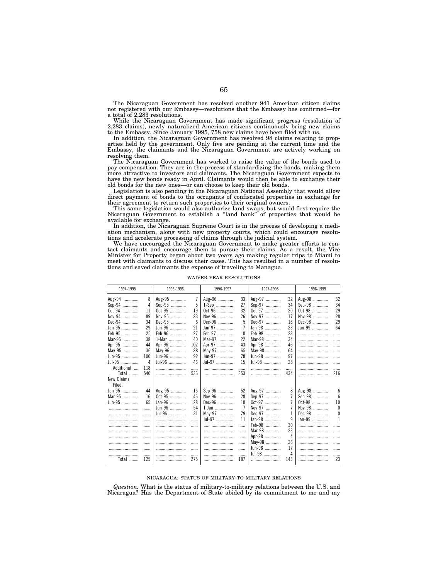The Nicaraguan Government has resolved another 941 American citizen claims not registered with our Embassy—resolutions that the Embassy has confirmed—for a total of 2,283 resolutions.

While the Nicaraguan Government has made significant progress (resolution of 2,283 claims), newly naturalized American citizens continuously bring new claims to the Embassy. Since January 1995, 758 new claims have been filed with us.

In addition, the Nicaraguan Government has resolved 98 claims relating to properties held by the government. Only five are pending at the current time and the Embassy, the claimants and the Nicaraguan Government are actively working on resolving them.

The Nicaraguan Government has worked to raise the value of the bonds used to pay compensation. They are in the process of standardizing the bonds, making them more attractive to investors and claimants. The Nicaraguan Government expects to have the new bonds ready in April. Claimants would then be able to exchange their old bonds for the new ones—or can choose to keep their old bonds.

Legislation is also pending in the Nicaraguan National Assembly that would allow direct payment of bonds to the occupants of confiscated properties in exchange for their agreement to return such properties to their original owners.

This same legislation would also authorize land swaps, but would first require the Nicaraguan Government to establish a ''land bank'' of properties that would be available for exchange.

In addition, the Nicaraguan Supreme Court is in the process of developing a mediation mechanism, along with new property courts, which could encourage resolutions and accelerate processing of claims through the judicial system.

We have encouraged the Nicaraguan Government to make greater efforts to contact claimants and encourage them to pursue their claims. As a result, the Vice Minister for Property began about two years ago making regular trips to Miami to meet with claimants to discuss their cases. This has resulted in a number of resolutions and saved claimants the expense of traveling to Managua.

| 1994-1995  |     | 1995-1996 |                | 1996-1997 |                | 1997-1998 |                | 1998-1999 |                 |
|------------|-----|-----------|----------------|-----------|----------------|-----------|----------------|-----------|-----------------|
| Aug-94     | 8   | Aug-95    | $\overline{7}$ | Aug-96    | 33             | Aug-97    | 32             | Aug-98    | 32              |
| Sep-94     | 4   | Sep-95    | 5              | 1-Sep     | 27             | Sep-97    | 34             | Sep-98    | 34              |
| Oct-94     | 11  | Oct-95    | 19             | Oct-96    | 32             | Oct-97    | 20             | Oct-98    | 29              |
| Nov-94     | 89  | Nov-95    | 83             | Nov-96    | 26             | Nov-97    | 17             | Nov-98    | 28              |
| Dec-94     | 34  | Dec-95    | 6              | Dec-96    | 5              | Dec-97    | 16             | Dec-98    | 29              |
| Jan-95     | 29  | Jan-96    | 21             | Jan-97    | 7              | $Jan-98$  | 23             | $Jan-99$  | 64              |
| Feb-95     | 25  | Feb-96    | 27             | Feb-97    | $\mathbf{0}$   | Feb-98    | 23             |           | .               |
| Mar-95     | 38  | 1-Mar     | 40             | Mar-97    | 22             | Mar-98    | 34             |           | 1.1.1.1         |
| Apr-95     | 44  | Apr-96    | 102            | Apr-97    | 43             | Apr-98    | 46             |           | 1.1.1.1         |
| May-95     | 36  | May-96    | 88             | May-97    | 65             | May-98    | 64             |           | 1.1.1.1         |
| Jun-95     | 100 | $Jun-96$  | 92             | Jun-97    | 78             | $Jun-98$  | 97             |           | 1.1.1.1         |
| Jul-95     | 4   | Jul-96    | 46             | Jul-97    | 15             | Jul-98    | 28             |           | .               |
| Additional | 118 |           |                |           | .              |           | .              |           | .               |
| Total      | 540 |           | 536            |           | 353            |           | 434            |           | 216             |
| New Claims |     |           |                |           |                |           |                |           |                 |
| Filed:     |     |           |                |           |                |           |                |           |                 |
| Jan-95     | 44  | Aug-95    | 16             | Sep-96    | 52             | Aug-97    | 8              | Aug-98    | 6               |
| Mar-95     | 16  | Oct-95    | 46             | Nov-96    | 28             | Sep-97    | 7              | Sep-98    | $6\overline{6}$ |
| Jun-95     | 65  | Jan-96    | 128            | Dec-96    | 10             | Oct-97    | 7              | Oct-98    | 10              |
|            |     | Jun-96    | 54             | 1-Jan     | $\overline{7}$ | Nov-97    | 7              | Nov-98    | 0               |
|            | .   | Jul-96    | 31             | May-97    | 79             | Dec-97    | 1              | Dec-98    | $\theta$        |
|            |     |           | .              | Jul-97    | 11             | Jan-98    | 9              | $Jan-99$  | 1               |
|            | .   |           | .              |           | .              | Feb-98    | 30             |           | .               |
|            | .   |           | .              |           |                | Mar-98    | 23             |           | 1.1.1.1         |
|            | .   |           |                |           |                | Apr-98    | $\overline{4}$ |           | 1.1.1.1         |
|            | .   |           | .              |           |                | May-98    | 26             |           | 1.1.1.1         |
|            | .   |           | .              |           |                | Jun-98    | 17             |           | 1.1.1.1         |
|            | .   |           | .              |           | .              | Jul-98    | 4              |           | .               |
| Total      | 125 |           | 275            |           | 187            |           | 143            |           | 23              |

WAIVER YEAR RESOLUTIONS

### NICARAGUA: STATUS OF MILITARY-TO-MILITARY RELATIONS

*Question.* What is the status of military-to-military relations between the U.S. and Nicaragua? Has the Department of State abided by its commitment to me and my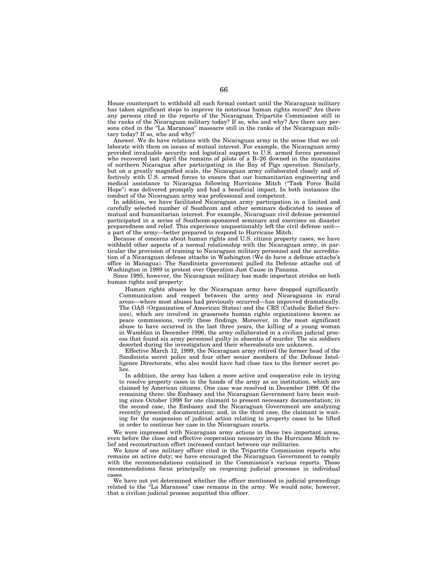House counterpart to withhold all such formal contact until the Nicaraguan military has taken significant steps to improve its notorious human rights record? Are there any persons cited in the reports of the Nicaraguan Tripartite Commission still in the ranks of the Nicaraguan military today? If so, who and why? Are there any persons cited in the ''La Maranosa'' massacre still in the ranks of the Nicaraguan military today? If so, who and why?

Answer. We do have relations with the Nicaraguan army in the sense that we collaborate with them on issues of mutual interest. For example, the Nicaraguan army provided invaluable security and logistical support to U.S. armed forces personnel who recovered last April the remains of pilots of a B–26 downed in the mountains of northern Nicaragua after participating in the Bay of Pigs operation. Similarly, but on a greatly magnified scale, the Nicaraguan army collaborated closely and effectively with U.S. armed forces to ensure that our humanitarian engineering and medical assistance to Nicaragua following Hurricane Mitch (''Task Force Build Hope'') was delivered promptly and had a beneficial impact. In both instances the conduct of the Nicaraguan army was professional and competent.

In addition, we have facilitated Nicaraguan army participation in a limited and carefully selected number of Southcom and other seminars dedicated to issues of mutual and humanitarian interest. For example, Nicaraguan civil defense personnel participated in a series of Southcom-sponsored seminars and exercises on disaster preparedness and relief. This experience unquestionably left the civil defense unit a part of the army—better prepared to respond to Hurricane Mitch.

Because of concerns about human rights and U.S. citizen property cases, we have withheld other aspects of a normal relationship with the Nicaraguan army, in particular the provision of training to Nicaraguan military personnel and the accreditation of a Nicaraguan defense attache in Washington (We do have a defense attache's office in Managua). The Sandinista government pulled its Defense attache out of Washington in 1989 in protest over Operation Just Cause in Panama.

Since 1995, however, the Nicaraguan military has made important strides on both human rights and property:

Human rights abuses by the Nicaraguan army have dropped significantly. Communication and respect between the army and Nicaraguans in rural areas—where most abuses had previously occurred—has improved dramatically. The OAS (Organization of American States) and the CRS (Catholic Relief Services), which are involved in grassroots human rights organizations known as peace commissions, verify these findings. Moreover, in the most significant abuse to have occurred in the last three years, the killing of a young woman in Wamblan in December 1996, the army collaborated in a civilian judicial process that found six army personnel guilty in absentia of murder. The six soldiers deserted during the investigation and their whereabouts are unknown.

Effective March 12, 1999, the Nicaraguan army retired the former head of the Sandinista secret police and four other senior members of the Defense Intelligence Directorate, who also would have had close ties to the former secret police.

In addition, the army has taken a more active and cooperative role in trying to resolve property cases in the hands of the army as an institution, which are claimed by American citizens. One case was resolved in December 1998. Of the remaining three: the Embassy and the Nicaraguan Government have been waiting since October 1998 for one claimant to present necessary documentation; in the second case, the Embassy and the Nicaraguan Government are analyzing recently presented documentation; and, in the third case, the claimant is waiting for the suspension of judicial action relating to property cases to be lifted in order to continue her case in the Nicaraguan courts.

We were impressed with Nicaraguan army actions in these two important areas, even before the close and effective cooperation necessary in the Hurricane Mitch relief and reconstruction effort increased contact between our militaries.

We know of one military officer cited in the Tripartite Commission reports who remains on active duty; we have encouraged the Nicaraguan Government to comply with the recommendations contained in the Commission's various reports. Those recommendations focus principally on reopening judicial processes in individual cases.

We have not yet determined whether the officer mentioned in judicial proceedings related to the "La Maranosa" case remains in the army. We would note, however, that a civilian judicial process acquitted this officer.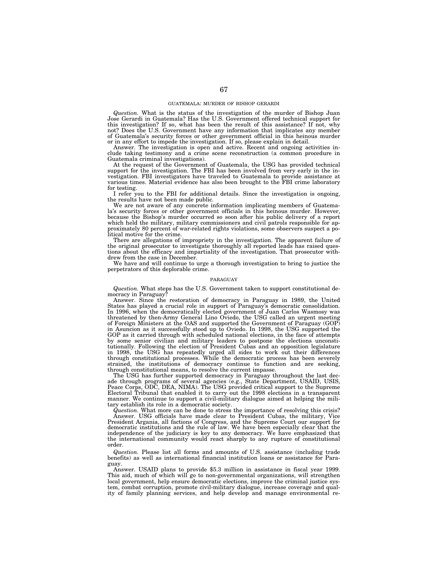### GUATEMALA: MURDER OF BISHOP GERARDI

*Question.* What is the status of the investigation of the murder of Bishop Juan Jose Gerardi in Guatemala? Has the U.S. Government offered technical support for this investigation? If so, what has been the result of this assistance? If not, why not? Does the U.S. Government have any information that implicates any member of Guatemala's security forces or other government official in this heinous murder or in any effort to impede the investigation. If so, please explain in detail.

Answer. The investigation is open and active. Recent and ongoing activities include taking testimony and a crime scene reconstruction (a common procedure in Guatemala criminal investigations).

At the request of the Government of Guatemala, the USG has provided technical support for the investigation. The FBI has been involved from very early in the in-vestigation. FBI investigators have traveled to Guatemala to provide assistance at various times. Material evidence has also been brought to the FBI crime laboratory for testing.

I refer you to the FBI for additional details. Since the investigation is ongoing, the results have not been made public.

We are not aware of any concrete information implicating members of Guatema-la's security forces or other government officials in this heinous murder. However, because the Bishop's murder occurred so soon after his public delivery of a report which held the military, military commissioners and civil patrols responsible for approximately 80 percent of war-related rights violations, some observers suspect a po-litical motive for the crime.

There are allegations of impropriety in the investigation. The apparent failure of the original prosecutor to investigate thoroughly all reported leads has raised questions about the efficacy and impartiality of the investigation. That prosecutor withdrew from the case in December.

We have and will continue to urge a thorough investigation to bring to justice the perpetrators of this deplorable crime.

#### PARAGUAY

*Question.* What steps has the U.S. Government taken to support constitutional de-

mocracy in Paraguay? Answer. Since the restoration of democracy in Paraguay in 1989, the United States has played a crucial role in support of Paraguay's democratic consolidation. In 1996, when the democratically elected government of Juan Carlos Wasmosy was threatened by then-Army General Lino Oviedo, the USG called an urgent meeting of Foreign Ministers at the OAS and supported the Government of Paraguay (GOP) in Asuncion as it successfully stood up to Oviedo. In 1998, the USG supported the GOP as it carried through with scheduled national elections, in the face of attempts by some senior civilian and military leaders to postpone the elections unconsti-tutionally. Following the election of President Cubas and an opposition legislature in 1998, the USG has repeatedly urged all sides to work out their differences through constitutional processes. While the democratic process has been severely strained, the institutions of democracy continue to function and are seeking, through constitutional means, to resolve the current impasse.

The USG has further supported democracy in Paraguay throughout the last decade through programs of several agencies (e.g., State Department, USAID, USIS,<br>Peace Corps, ODC, DEA, NIMA). The USG provided critical support to the Supreme<br>Electoral Tribunal that enabled it to carry out the 1998 electio manner. We continue to support a civil-military dialogue aimed at helping the military establish its role in a democratic society.

*Question.* What more can be done to stress the importance of resolving this crisis? Answer. USG officials have made clear to President Cubas, the military, Vice Answer. USG of Congress and the Suprement Cubas, the minitary, vice<br>President Argania, all factions of Congress, and the Supreme Court our support for<br>democratic institutions and the rule of law. We have been especially cl independence of the judiciary is key to any democracy. We have emphasized that the international community would react sharply to any rupture of constitutional order.

*Question.* Please list all forms and amounts of U.S. assistance (including trade benefits) as well as international financial institution loans or assistance for Paraguay.

Answer. USAID plans to provide \$5.3 million in assistance in fiscal year 1999. This aid, much of which will go to non-governmental organizations, will strengthen local government, help ensure democratic elections, improve the criminal justice system, combat corruption, promote civil-military dialogue, increase coverage and qual-ity of family planning services, and help develop and manage environmental re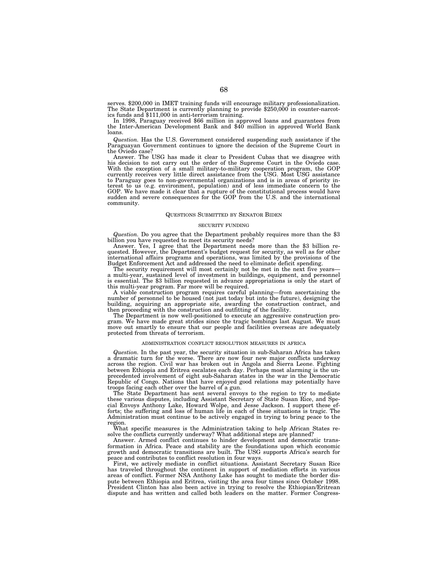serves. \$200,000 in IMET training funds will encourage military professionalization. The State Department is currently planning to provide \$250,000 in counter-narcot-

In 1998, Paraguay received \$66 million in approved loans and guarantees from the Inter-American Development Bank and \$40 million in approved World Bank loans.

*Question.* Has the U.S. Government considered suspending such assistance if the Paraguayan Government continues to ignore the decision of the Supreme Court in the Oviedo case?

Answer. The USG has made it clear to President Cubas that we disagree with his decision to not carry out the order of the Supreme Court in the Oviedo case. With the exception of a small military-to-military cooperation program, the GOP<br>currently receives very little direct assistance from the USG. Most USG assistance<br>to Paraguay goes to non-governmental organizations and is i terest to us (e.g. environment, population) and of less immediate concern to the GOP. We have made it clear that a rupture of the constitutional process would have sudden and severe consequences for the GOP from the U.S. and the international community.

### QUESTIONS SUBMITTED BY SENATOR BIDEN

### SECURITY FUNDING

*Question.* Do you agree that the Department probably requires more than the \$3 billion you have requested to meet its security needs?

billion you have requested to meet its security needs? Answer. Yes, I agree that the Department needs more than the \$3 billion re-quested. However, the Department's budget request for security, as well as for other international affairs programs and operations, was limited by the provisions of the Budget Enforcement Act and addressed the need to eliminate deficit spending.

The security requirement will most certainly not be met in the next five yearsa multi-year, sustained level of investment in buildings, equipment, and personnel is essential. The \$3 billion requested in advance appropriations is only the start of this multi-year program. Far more will be required.

A viable construction program requires careful planning—from ascertaining the number of personnel to be housed (not just today but into the future), designing the building, acquiring an appropriate site, awarding the construction contract, and

then proceeding with the construction and outfitting of the facility. The Department is now well-positioned to execute an aggressive construction program. We have made great strides since the tragic bombings last August. We must move out smartly to ensure that our people and facilities overseas are adequately protected from threats of terrorism.

### ADMINISTRATION CONFLICT RESOLUTION MEASURES IN AFRICA

*Question.* In the past year, the security situation in sub-Saharan Africa has taken a dramatic turn for the worse. There are now four new major conflicts underway across the region. Civil war has broken out in Angola and Sierra Leone. Fighting between Ethiopia and Eritrea escalates each day. Perhaps most alarming is the unprecedented involvement of eight sub-Saharan states in the war in the Democratic Republic of Congo. Nations that have enjoyed good relations may potentially have troops facing each other over the barrel of a gun.

The State Department has sent several envoys to the region to try to mediate these various disputes, including Assistant Secretary of State Susan Rice, and Special Envoys Anthony Lake, Howard Wolpe, and Jesse Jackson. I support these efforts; the suffering and loss of human life in each of these situations is tragic. The Administration must continue to be actively engaged in trying to bring peace to the region.

What specific measures is the Administration taking to help African States resolve the conflicts currently underway? What additional steps are planned? solve the conflicts currently underway? What additional steps are planned?<br>Answer. Armed conflict continues to hinder development and democratic trans-

formation in Africa. Peace and stability are the foundations upon which economic growth and democratic transitions are built. The USG supports Africa's search for peace and contributes to conflict resolution in four ways.

First, we actively mediate in conflict situations. Assistant Secretary Susan Rice has traveled throughout the continent in support of mediation efforts in various areas of conflict. Former NSA Anthony Lake has sought to mediate the border dispute between Ethiopia and Eritrea, visiting the area four times since October 1998. President Clinton has also been active in trying to resolve the Ethiopian/Eritrean dispute and has written and called both leaders on the matter. Former Congress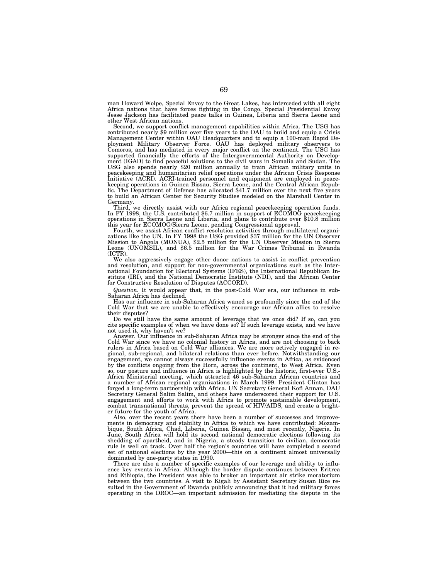man Howard Wolpe, Special Envoy to the Great Lakes, has interceded with all eight Africa nations that have forces fighting in the Congo. Special Presidential Envoy Jesse Jackson has facilitated peace talks in Guinea, Liberia and Sierra Leone and

other West African nations.<br>Second, we support conflict management capabilities within Africa. The USG has Second, we support conflict management capabilities within Africa. The USG has<br>contributed nearly \$9 million over five years to the OAU to build and equip a Crisis<br>Management Center within OAU Headquarters and to equip a 1 ployment Military Observer Force. OAU has deployed military observers to Comoros, and has mediated in every major conflict on the continent. The USG has supported financially the efforts of the Intergovernmental Authority on Develop-ment (IGAD) to find peaceful solutions to the civil wars in Somalia and Sudan. The USG also spends nearly \$20 million annually to train African military units in peacekeeping and humanitarian relief operations under the African Crisis Response Initiative (ACRI). ACRI-trained personnel and equipment are employed in peacekeeping operations in Guinea Bissau, Sierra Leone, and the Central African Republic. The Department of Defense has allocated \$41.7 million over the next five years to build an African Center for Security Studies modeled on the Marshall Center in Germany.

Third, we directly assist with our Africa regional peacekeeping operation funds.<br>In FY 1998, the U.S. contributed \$6.7 million in support of ECOMOG peacekeeping<br>operations in Sierra Leone and Liberia, and plans to contribu this year for ECOMOG/Sierra Leone, pending Congressional approval.

Fourth, we assist African conflict resolution activities through multilateral organizations like the UN. In FY 1998 the USG provided \$37 million for the UN Observer Mission to Angola (MONUA), \$2.5 million for the UN Observ (ICTR).

We also aggressively engage other donor nations to assist in conflict prevention and resolution, and support for non-governmental organizations such as the Inter-national Foundation for Electoral Systems (IFES), the International Republican Institute (IRI), and the National Democratic Institute (NDI), and the African Center for Constructive Resolution of Disputes (ACCORD).

*Question.* It would appear that, in the post-Cold War era, our influence in sub-Saharan Africa has declined.

Has our influence in sub-Saharan Africa waned so profoundly since the end of the Cold War that we are unable to effectively encourage our African allies to resolve their disputes?

Do we still have the same amount of leverage that we once did? If so, can you cite specific examples of when we have done so? If such leverage exists, and we have not used it, why haven't we?

Answer. Our influence in sub-Saharan Africa may be stronger since the end of the Cold War since we have no colonial history in Africa, and are not choosing to back rulers in Africa based on Cold War alliances. We are more actively engaged in regional, sub-regional, and bilateral relations than ever before. Notwithstanding our engagement, we cannot always successfully influence events in Africa, as evidenced by the conflicts ongoing from the Horn, across the continent, to West Africa. Even so, our posture and influence in Africa is highlighted by the historic, first-ever U.S.- Africa Ministerial meeting, which attracted 46 sub-Saharan African countries and a number of African regional organizations in March 1999. President Clinton has forged a long-term partnership with Africa. UN Secretary General Kofi Annan, OAU Secretary General Salim Salim, and others have underscored their support for U.S. engagement and efforts to work with Africa to promote sustainable development, combat transnational threats, prevent the spread of HIV/AIDS, and create a brighter future for the youth of Africa.

Also, over the recent years there have been a number of successes and improvements in democracy and stability in Africa to which we have contributed: Mozambique, South Africa, Chad, Liberia, Guinea Bissau, and most recently, Nigeria. In June, South Africa will hold its second national democratic elections following its shedding of apartheid, and in Nigeria, a steady transition to civilian, democratic rule is well on track. Over half the region's countries will have completed a second set of national elections by the year  $\tilde{2}000$ —this on a continent almost universally dominated by one-party states in 1990.

There are also a number of specific examples of our leverage and ability to influence key events in Africa. Although the border dispute continues between Eritrea and Ethiopia, the President was able to broker an important air strike moratorium between the two countries. A visit to Kigali by Assistant Secretary Susan Rice resulted in the Government of Rwanda publicly announcing that it had military forces operating in the DROC—an important admission for mediating the dispute in the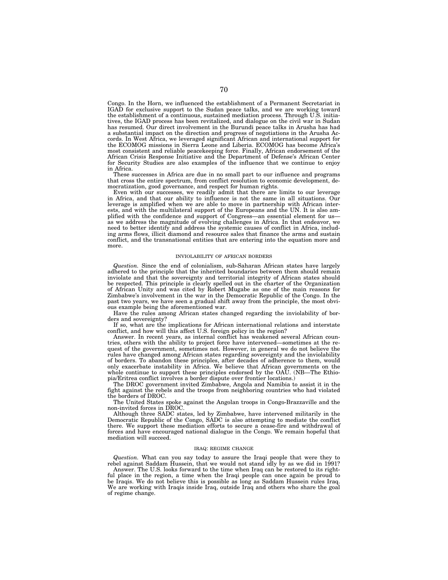Congo. In the Horn, we influenced the establishment of a Permanent Secretariat in IGAD for exclusive support to the Sudan peace talks, and we are working toward the establishment of a continuous, sustained mediation process. Through U.S. initiatives, the IGAD process has been revitalized, and dialogue on the civil war in Sudan has resumed. Our direct involvement in the Burundi peace talks in Arusha has had a substantial impact on the direction and progress of negotiations in the Arusha Accords. In West Africa, we leveraged significant African and international support for the ECOMOG missions in Sierra Leone and Liberia. ECOMOG has become Africa's most consistent and reliable peacekeeping force. Finally, African endorsement of the African Crisis Response Initiative and the Department of Defense's African Center for Security Studies are also examples of the influence that we continue to enjoy in Africa.

These successes in Africa are due in no small part to our influence and programs that cross the entire spectrum, from conflict resolution to economic development, democratization, good governance, and respect for human rights.

Even with our successes, we readily admit that there are limits to our leverage in Africa, and that our ability to influence is not the same in all situations. Our leverage is amplified when we are able to move in partnership with African interests, and with the multilateral support of the Europeans and the UN. It is also amplified with the confidence and support of Congress—an essential element for us as we address the magnitude of evolving challenges in Africa. In that endeavor, we need to better identify and address the systemic causes of conflict in Africa, including arms flows, illicit diamond and resource sales that finance the arms and sustain conflict, and the transnational entities that are entering into the equation more and more.

#### INVIOLABILITY OF AFRICAN BORDERS

*Question.* Since the end of colonialism, sub-Saharan African states have largely adhered to the principle that the inherited boundaries between them should remain inviolate and that the sovereignty and territorial integrity of African states should be respected. This principle is clearly spelled out in the charter of the Organization of African Unity and was cited by Robert Mugabe as one of the main reasons for Zimbabwe's involvement in the war in the Democratic Republic of the Congo. In the past two years, we have seen a gradual shift away from the principle, the most obvious example being the aforementioned war.

Have the rules among African states changed regarding the inviolability of borders and sovereignty?

If so, what are the implications for African international relations and interstate conflict, and how will this affect U.S. foreign policy in the region?

Answer. In recent years, as internal conflict has weakened several African countries, others with the ability to project force have intervened—sometimes at the request of the government, sometimes not. However, in general we do not believe the rules have changed among African states regarding sovereignty and the inviolability of borders. To abandon these principles, after decades of adherence to them, would only exacerbate instability in Africa. We believe that African governments on the whole continue to support these principles endorsed by the OAU. (NB—The Ethiopia/Eritrea conflict involves a border dispute over frontier locations.)

The DROC government invited Zimbabwe, Angola and Namibia to assist it in the fight against the rebels and the troops from neighboring countries who had violated the borders of DROC.

The United States spoke against the Angolan troops in Congo-Brazzaville and the non-invited forces in DROC.

Although three SADC states, led by Zimbabwe, have intervened militarily in the Democratic Republic of the Congo, SADC is also attempting to mediate the conflict there. We support these mediation efforts to secure a cease-fire and withdrawal of forces and have encouraged national dialogue in the Congo. We remain hopeful that mediation will succeed.

## IRAQ: REGIME CHANGE

*Question.* What can you say today to assure the Iraqi people that were they to rebel against Saddam Hussein, that we would not stand idly by as we did in 1991?

Answer. The U.S. looks forward to the time when Iraq can be restored to its rightful place in the region, a time when the Iraqi people can once again be proud to be Iraqis. We do not believe this is possible as long as Saddam Hussein rules Iraq. We are working with Iraqis inside Iraq, outside Iraq and others who share the goal of regime change.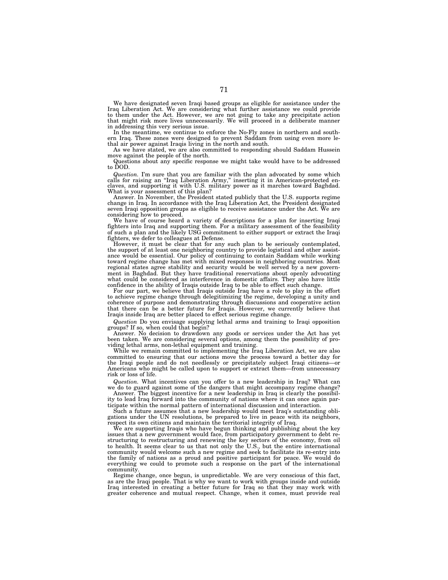We have designated seven Iraqi based groups as eligible for assistance under the Iraq Liberation Act. We are considering what further assistance we could provide to them under the Act. However, we are not going to take any precipitate action that might risk more lives unnecessarily. We will proceed in a deliberate manner in addressing this very serious issue.

In the meantime, we continue to enforce the No-Fly zones in northern and southern Iraq. These zones were designed to prevent Saddam from using even more lethal air power against Iraqis living in the north and south.

As we have stated, we are also committed to responding should Saddam Hussein move against the people of the north.

Questions about any specific response we might take would have to be addressed to DOD.

*Question.* I'm sure that you are familiar with the plan advocated by some which calls for raising an "Iraq Liberation Army," inserting it in American-protected enclaves, and supporting it with U.S. military power as it marches toward Baghdad. What is your assessment of this plan?

Answer. In November, the President stated publicly that the U.S. supports regime change in Iraq. In accordance with the Iraq Liberation Act, the President designated seven Iraqi opposition groups as eligible to receive assistance under the Act. We are considering how to proceed.

We have of course heard a variety of descriptions for a plan for inserting Iraqi fighters into Iraq and supporting them. For a military assessment of the feasibility of such a plan and the likely USG commitment to either support or extract the Iraqi fighters, we defer to colleagues at Defense.

However, it must be clear that for any such plan to be seriously contemplated, the support of at least one neighboring country to provide logistical and other assistance would be essential. Our policy of continuing to contain Saddam while working toward regime change has met with mixed responses in neighboring countries. Most regional states agree stability and security would be well served by a new government in Baghdad. But they have traditional reservations about openly advocating what could be considered as interference in domestic affairs. They also have little confidence in the ability of Iraqis outside Iraq to be able to effect such change.

For our part, we believe that Iraqis outside Iraq have a role to play in the effort to achieve regime change through delegitimizing the regime, developing a unity and coherence of purpose and demonstrating through discussions and cooperative action that there can be a better future for Iraqis. However, we currently believe that Iraqis inside Iraq are better placed to effect serious regime change.

*Question* Do you envisage supplying lethal arms and training to Iraqi opposition groups? If so, when could that begin?

Answer. No decision to drawdown any goods or services under the Act has yet been taken. We are considering several options, among them the possibility of providing lethal arms, non-lethal equipment and training.

While we remain committed to implementing the Iraq Liberation Act, we are also committed to ensuring that our actions move the process toward a better day for the Iraqi people and do not needlessly or precipitately subject Iraqi citizens—or Americans who might be called upon to support or extract them—from unnecessary risk or loss of life.

*Question.* What incentives can you offer to a new leadership in Iraq? What can we do to guard against some of the dangers that might accompany regime change?

Answer. The biggest incentive for a new leadership in Iraq is clearly the possibility to lead Iraq forward into the community of nations where it can once again participate within the normal pattern of international discussion and interaction.

Such a future assumes that a new leadership would meet Iraq's outstanding obligations under the UN resolutions, be prepared to live in peace with its neighbors, respect its own citizens and maintain the territorial integrity of Iraq.

We are supporting Iraqis who have begun thinking and publishing about the key issues that a new government would face, from participatory government to debt restructuring to restructuring and renewing the key sectors of the economy, from oil to health. It seems clear to us that not only the U.S., but the entire international community would welcome such a new regime and seek to facilitate its re-entry into the family of nations as a proud and positive participant for peace. We would do everything we could to promote such a response on the part of the international community.

Regime change, once begun, is unpredictable. We are very conscious of this fact, as are the Iraqi people. That is why we want to work with groups inside and outside Iraq interested in creating a better future for Iraq so that they may work with greater coherence and mutual respect. Change, when it comes, must provide real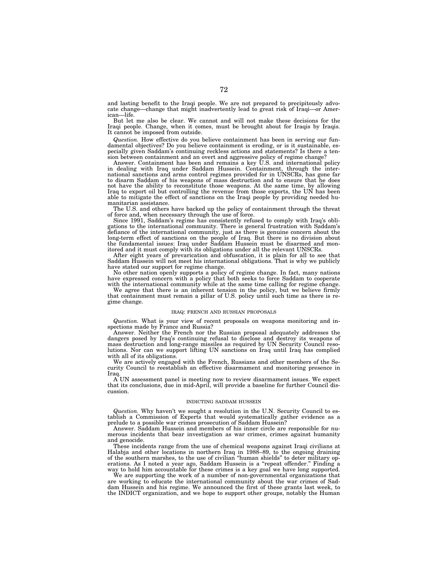and lasting benefit to the Iraqi people. We are not prepared to precipitously advocate change—change that might inadvertently lead to great risk of Iraqi—or American—life.

But let me also be clear. We cannot and will not make these decisions for the Iraqi people. Change, when it comes, must be brought about for Iraqis by Iraqis. It cannot be imposed from outside.

*Question.* How effective do you believe containment has been in serving our fundamental objectives? Do you believe containment is eroding, or is it sustainable, especially given Saddam's continuing reckless actions and statements? Is there a tension between containment and an overt and aggressive policy of regime change?

Answer. Containment has been and remains a key U.S. and international policy in dealing with Iraq under Saddam Hussein. Containment, through the international sanctions and arms control regimes provided for in UNSCRs, has gone far to disarm Saddam of his weapons of mass destruction and to ensure that he does not have the ability to reconstitute those weapons. At the same time, by allowing Iraq to export oil but controlling the revenue from those exports, the UN has been able to mitigate the effect of sanctions on the Iraqi people by providing needed humanitarian assistance.

The U.S. and others have backed up the policy of containment through the threat of force and, when necessary through the use of force.

Since 1991, Saddam's regime has consistently refused to comply with Iraq's obli-gations to the international community. There is general frustration with Saddam's defiance of the international community, just as there is genuine concern about the long-term effect of sanctions on the people of Iraq. But there is no division about the fundamental issues: Iraq under Saddam Hussein must be disarmed and monitored and it must comply with its obligations under all the relevant UNSCRs.

After eight years of prevarication and obfuscation, it is plain for all to see that Saddam Hussein will not meet his international obligations. That is why we publicly have stated our support for regime change.

No other nation openly supports a policy of regime change. In fact, many nations have expressed concern with a policy that both seeks to force Saddam to cooperate with the international community while at the same time calling for regime change.

We agree that there is an inherent tension in the policy, but we believe firmly that containment must remain a pillar of U.S. policy until such time as there is regime change.

#### IRAQ: FRENCH AND RUSSIAN PROPOSALS

*Question.* What is your view of recent proposals on weapons monitoring and in-spections made by France and Russia?

Answer. Neither the French nor the Russian proposal adequately addresses the dangers posed by Iraq's continuing refusal to disclose and destroy its weapons of mass destruction and long-range missiles as required by UN Security Council resolutions. Nor can we support lifting UN sanctions on Iraq until Iraq has complied with all of its obligations.

We are actively engaged with the French, Russians and other members of the Security Council to reestablish an effective disarmament and monitoring presence in Iraq.

A UN assessment panel is meeting now to review disarmament issues. We expect that its conclusions, due in mid-April, will provide a baseline for further Council discussion.

## INDICTING SADDAM HUSSEIN

*Question.* Why haven't we sought a resolution in the U.N. Security Council to establish a Commission of Experts that would systematically gather evidence as a prelude to a possible war crimes prosecution of Saddam Hussein?

Answer. Saddam Hussein and members of his inner circle are responsible for numerous incidents that bear investigation as war crimes, crimes against humanity and genocide.

These incidents range from the use of chemical weapons against Iraqi civilians at Halabja and other locations in northern Iraq in 1988–89, to the ongoing draining of the southern marshes, to the use of civilian ''human shields'' to deter military operations. As I noted a year ago, Saddam Hussein is a "repeat offender." Finding a way to hold him accountable for these crimes is a key goal we have long supported.

We are supporting the work of a number of non-governmental organizations that are working to educate the international community about the war crimes of Saddam Hussein and his regime. We announced the first of these grants last week, to the INDICT organization, and we hope to support other groups, notably the Human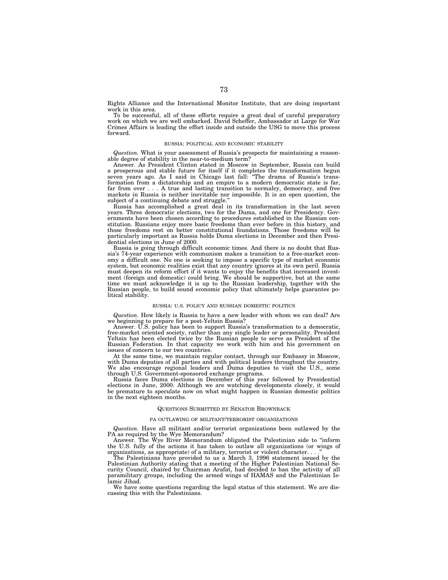Rights Alliance and the International Monitor Institute, that are doing important work in this area.

To be successful, all of these efforts require a great deal of careful preparatory work on which we are well embarked. David Scheffer, Ambassador at Large for War Crimes Affairs is leading the effort inside and outside the USG to move this process forward.

### RUSSIA: POLITICAL AND ECONOMIC STABILITY

*Question.* What is your assessment of Russia's prospects for maintaining a reasonable degree of stability in the near-to-medium term?

Answer. As President Clinton stated in Moscow in September, Russia can build a prosperous and stable future for itself if it completes the transformation begun seven years ago. As I said in Chicago last fall: ''The drama of Russia's transformation from a dictatorship and an empire to a modern democratic state is far, far from over . . . A true and lasting transition to normalcy, democracy, and free markets in Russia is neither inevitable nor impossible. It is an open question, the subject of a continuing debate and struggle.''

Russia has accomplished a great deal in its transformation in the last seven years. Three democratic elections, two for the Duma, and one for Presidency. Governments have been chosen according to procedures established in the Russian constitution. Russians enjoy more basic freedoms than ever before in this history, and those freedoms rest on better constitutional foundations. Those freedoms will be particularly important as Russia holds Duma elections in December and then Presidential elections in June of 2000.

Russia is going through difficult economic times. And there is no doubt that Russia's 74-year experience with communism makes a transition to a free-market economy a difficult one. No one is seeking to impose a specific type of market economic system, but economic realities exist that any country ignores at its own peril. Russia must deepen its reform effort if it wants to enjoy the benefits that increased investment (foreign and domestic) could bring. We should be supportive, but at the same time we must acknowledge it is up to the Russian leadership, together with the Russian people, to build sound economic policy that ultimately helps guarantee political stability.

## RUSSIA: U.S. POLICY AND RUSSIAN DOMESTIC POLITICS

*Question.* How likely is Russia to have a new leader with whom we can deal? Are we beginning to prepare for a post-Yeltsin Russia?

Answer. U.S. policy has been to support Russia's transformation to a democratic, free-market oriented society, rather than any single leader or personality. President Yeltsin has been elected twice by the Russian people to serve as President of the Russian Federation. In that capacity we work with him and his government on issues of concern to our two countries.

At the same time, we maintain regular contact, through our Embassy in Moscow, with Duma deputies of all parties and with political leaders throughout the country. We also encourage regional leaders and Duma deputies to visit the U.S., some through U.S. Government-sponsored exchange programs.

Russia faces Duma elections in December of this year followed by Presidential elections in June, 2000. Although we are watching developments closely, it would be premature to speculate now on what might happen in Russian domestic politics in the next eighteen months.

#### QUESTIONS SUBMITTED BY SENATOR BROWNBACK

## PA OUTLAWING OF MILITANT/TERRORIST ORGANIZATIONS

*Question.* Have all militant and/or terrorist organizations been outlawed by the PA as required by the Wye Memorandum?

Answer. The Wye River Memorandum obligated the Palestinian side to ''inform the U.S. fully of the actions it has taken to outlaw all organizations (or wings of organizations, as appropriate) of a military, terrorist or violent character. . . .''

The Palestinians have provided to us a March 3, 1996 statement issued by the Palestinian Authority stating that a meeting of the Higher Palestinian National Security Council, chaired by Chairman Arafat, had decided to ban the activity of all paramilitary groups, including the armed wings of HAMAS and the Palestinian Islamic Jihad.

We have some questions regarding the legal status of this statement. We are discussing this with the Palestinians.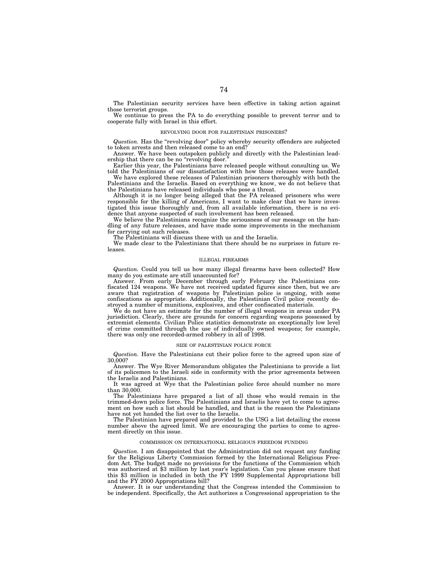The Palestinian security services have been effective in taking action against those terrorist groups.

We continue to press the PA to do everything possible to prevent terror and to cooperate fully with Israel in this effort.

#### REVOLVING DOOR FOR PALESTINIAN PRISONERS?

*Question.* Has the ''revolving door'' policy whereby security offenders are subjected to token arrests and then released come to an end?

Answer. We have been outspoken publicly and directly with the Palestinian leadership that there can be no "revolving door."

Earlier this year, the Palestinians have released people without consulting us. We told the Palestinians of our dissatisfaction with how those releases were handled.

We have explored these releases of Palestinian prisoners thoroughly with both the Palestinians and the Israelis. Based on everything we know, we do not believe that the Palestinians have released individuals who pose a threat.

Although it is no longer being alleged that the PA released prisoners who were responsible for the killing of Americans, I want to make clear that we have investigated this issue thoroughly and, from all available information, there is no evidence that anyone suspected of such involvement has been released.

We believe the Palestinians recognize the seriousness of our message on the handling of any future releases, and have made some improvements in the mechanism for carrying out such releases.

The Palestinians will discuss these with us and the Israelis.

We made clear to the Palestinians that there should be no surprises in future releases.

### ILLEGAL FIREARMS

*Question.* Could you tell us how many illegal firearms have been collected? How many do you estimate are still unaccounted for?

Answer. From early December through early February the Palestinians confiscated 124 weapons. We have not received updated figures since then, but we are aware that registration of weapons by Palestinian police is ongoing, with some confiscations as appropriate. Additionally, the Palestinian Civil police recently destroyed a number of munitions, explosives, and other confiscated materials.

We do not have an estimate for the number of illegal weapons in areas under PA jurisdiction. Clearly, there are grounds for concern regarding weapons possessed by extremist elements. Civilian Police statistics demonstrate an exceptionally low level of crime committed through the use of individually owned weapons; for example, there was only one recorded-armed robbery in all of 1998.

### SIZE OF PALESTINIAN POLICE FORCE

*Question.* Have the Palestinians cut their police force to the agreed upon size of 30,000?

Answer. The Wye River Memorandum obligates the Palestinians to provide a list of its policemen to the Israeli side in conformity with the prior agreements between the Israelis and Palestinians.

It was agreed at Wye that the Palestinian police force should number no more than 30,000.

The Palestinians have prepared a list of all those who would remain in the trimmed-down police force. The Palestinians and Israelis have yet to come to agreement on how such a list should be handled, and that is the reason the Palestinians have not yet handed the list over to the Israelis.

The Palestinian have prepared and provided to the USG a list detailing the excess number above the agreed limit. We are encouraging the parties to come to agreement directly on this issue.

### COMMISSION ON INTERNATIONAL RELIGIOUS FREEDOM FUNDING

*Question.* I am disappointed that the Administration did not request any funding for the Religious Liberty Commission formed by the International Religious Freedom Act. The budget made no provisions for the functions of the Commission which was authorized at \$3 million by last year's legislation. Can you please ensure that this \$3 million is included in both the FY 1999 Supplemental Appropriations bill and the FY 2000 Appropriations bill?

Answer. It is our understanding that the Congress intended the Commission to be independent. Specifically, the Act authorizes a Congressional appropriation to the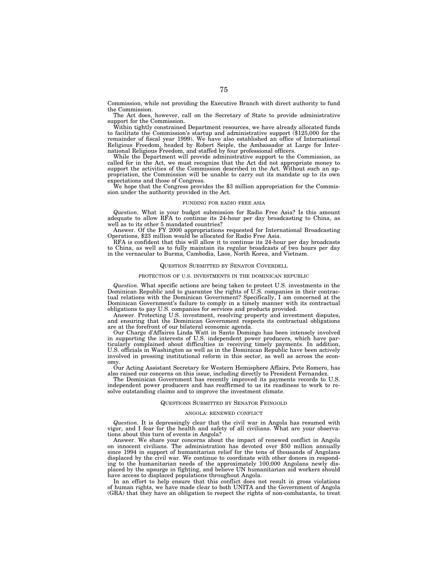Commission, while not providing the Executive Branch with direct authority to fund the Commission.

The Act does, however, call on the Secretary of State to provide administrative support for the Commission.

Within tightly constrained Department resources, we have already allocated funds to facilitate the Commission's startup and administrative support (\$125,000 for the remainder of fiscal year 1999). We have also established an office of International Religious Freedom, headed by Robert Seiple, the Ambassador at Large for International Religious Freedom, and staffed by four professional officers.

While the Department will provide administrative support to the Commission, as called for in the Act, we must recognize that the Act did not appropriate money to support the activities of the Commission described in the Act. Without such an appropriation, the Commission will be unable to carry out its mandate up to its own expectations and those of Congress.

We hope that the Congress provides the \$3 million appropriation for the Commission under the authority provided in the Act.

### FUNDING FOR RADIO FREE ASIA

*Question.* What is your budget submission for Radio Free Asia? Is this amount adequate to allow RFA to continue its 24-hour per day broadcasting to China, as well as to its other 5 mandated countries?

Answer. Of the FY 2000 appropriations requested for International Broadcasting Operations, \$23 million would be allocated for Radio Free Asia.

RFA is confident that this will allow it to continue its 24-hour per day broadcasts to China, as well as to fully maintain its regular broadcasts of two hours per day in the vernacular to Burma, Cambodia, Laos, North Korea, and Vietnam.

## QUESTION SUBMITTED BY SENATOR COVERDELL

#### PROTECTION OF U.S. INVESTMENTS IN THE DOMINICAN REPUBLIC

*Question.* What specific actions are being taken to protect U.S. investments in the Dominican Republic and to guarantee the rights of U.S. companies in their contractual relations with the Dominican Government? Specifically, I am concerned at the Dominican Government's failure to comply in a timely manner with its contractual obligations to pay U.S. companies for services and products provided.

Answer. Protecting U.S. investment, resolving property and investment disputes, and ensuring that the Dominican Government respects its contractual obligations are at the forefront of our bilateral economic agenda.

Our Charge d'Affaires Linda Watt in Santo Domingo has been intensely involved in supporting the interests of U.S. independent power producers, which have particularly complained about difficulties in receiving timely payments. In addition, U.S. officials in Washington as well as in the Dominican Republic have been actively involved in pressing institutional reform in this sector, as well as across the economy.

Our Acting Assistant Secretary for Western Hemisphere Affairs, Pete Romero, has also raised our concerns on this issue, including directly to President Fernandez.

The Dominican Government has recently improved its payments records to U.S. independent power producers and has reaffirmed to us its readiness to work to resolve outstanding claims and to improve the investment climate.

#### QUESTIONS SUBMITTED BY SENATOR FEINGOLD

#### ANGOLA: RENEWED CONFLICT

*Question.* It is depressingly clear that the civil war in Angola has resumed with vigor, and I fear for the health and safety of all civilians. What are your observations about this turn of events in Angola?

Answer. We share your concerns about the impact of renewed conflict in Angola on innocent civilians. The administration has devoted over \$50 million annually since 1994 in support of humanitarian relief for the tens of thousands of Angolans displaced by the civil war. We continue to coordinate with other donors in responding to the humanitarian needs of the approximately 100,000 Angolans newly displaced by the upsurge in fighting, and believe UN humanitarian aid workers should have access to displaced populations throughout Angola.

In an effort to help ensure that this conflict does not result in gross violations of human rights, we have made clear to both UNITA and the Government of Angola (GRA) that they have an obligation to respect the rights of non-combatants, to treat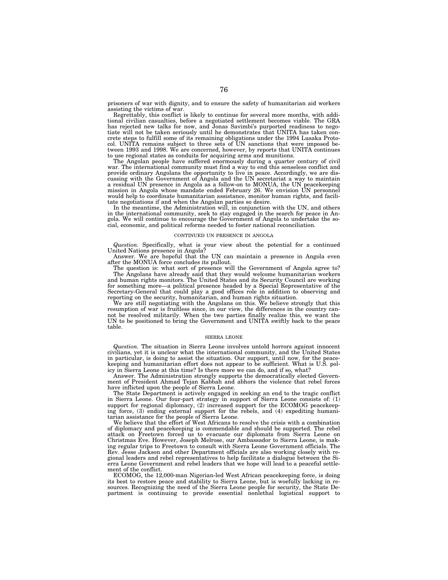prisoners of war with dignity, and to ensure the safety of humanitarian aid workers assisting the victims of war.

Regrettably, this conflict is likely to continue for several more months, with additional civilian casualties, before a negotiated settlement becomes viable. The GRA has rejected new talks for now, and Jonas Savimbi's purported readiness to negotiate will not be taken seriously until he demonstrates that UNITA has taken concrete steps to fulfill some of its remaining obligations under the 1994 Lusaka Protocol. UNITA remains subject to three sets of UN sanctions that were imposed be-tween 1993 and 1998. We are concerned, however, by reports that UNITA continues to use regional states as conduits for acquiring arms and munitions.

The Angolan people have suffered enormously during a quarter century of civil war. The international community must find a way to end this senseless conflict and provide ordinary Angolans the opportunity to live in peace. Accordingly, we are discussing with the Government of Angola and the UN secretariat a way to maintain a residual UN presence in Angola as a follow-on to MONUA, the UN peacekeeping mission in Angola whose mandate ended February 26. We envision UN personnel would help to coordinate humanitarian assistance, monitor human rights, and facili-

tate negotiations if and when the Angolan parties so desire. In the meantime, the Administration will, in conjunction with the UN, and others in the international community, seek to stay engaged in the search for peace in Angola. We will continue to encourage the Government of Angola to undertake the social, economic, and political reforms needed to foster national reconciliation.

#### CONTINUED UN PRESENCE IN ANGOLA

*Question.* Specifically, what is your view about the potential for a continued United Nations presence in Angola?

Answer. We are hopeful that the UN can maintain a presence in Angola even after the MONUA force concludes its pullout.

The question is: what sort of presence will the Government of Angola agree to? The Angolans have already said that they would welcome humanitarian workers and human rights monitors. The United States and its Security Council are working for something more—a political presence headed by a Special Representative of the Secretary-General that could play a good offices role in addition to observing and reporting on the security, humanitarian, and human rights situation.

We are still negotiating with the Angolans on this. We believe strongly that this resumption of war is fruitless since, in our view, the differences in the country cannot be resolved militarily. When the two parties finally realize this, we want the UN to be positioned to bring the Government and UNITA swiftly back to the peace table.

## SIERRA LEONE

*Question.* The situation in Sierra Leone involves untold horrors against innocent civilians, yet it is unclear what the international community, and the United States in particular, is doing to assist the situation. Our support, until now, for the peacekeeping and humanitarian effort does not appear to be sufficient. What is U.S. policy in Sierra Leone at this time? Is there more we can do, and if so, what?

Answer. The Administration strongly supports the democratically elected Government of President Ahmad Tejan Kabbah and abhors the violence that rebel forces have inflicted upon the people of Sierra Leone.

The State Department is actively engaged in seeking an end to the tragic conflict in Sierra Leone. Our four-part strategy in support of Sierra Leone consists of: (1) support for regional diplomacy, (2) increased support for the ECOMOG peacekeeping force, (3) ending external support for the rebels, and (4) expediting humanitarian assistance for the people of Sierra Leone.

We believe that the effort of West Africans to resolve the crisis with a combination of diplomacy and peacekeeping is commendable and should be supported. The rebel attack on Freetown forced us to evacuate our diplomats from Sierra Leone on Christmas Eve. However, Joseph Melrose, our Ambassador to Sierra Leone, is making regular trips to Freetown to consult with Sierra Leone Government officials. The Rev. Jesse Jackson and other Department officials are also working closely with regional leaders and rebel representatives to help facilitate a dialogue between the Sierra Leone Government and rebel leaders that we hope will lead to a peaceful settlement of the conflict.

ECOMOG, the 12,000-man Nigerian-led West African peacekeeping force, is doing its best to restore peace and stability to Sierra Leone, but is woefully lacking in resources. Recognizing the need of the Sierra Leone people for security, the State De-partment is continuing to provide essential nonlethal logistical support to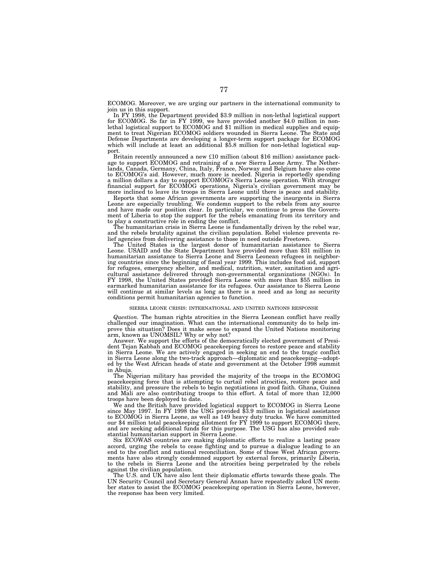ECOMOG. Moreover, we are urging our partners in the international community to join us in this support.

In FY 1998, the Department provided \$3.9 million in non-lethal logistical support for ECOMOG. So far in FY 1999, we have provided another \$4.0 million in nonlethal logistical support to ECOMOG and \$1 million in medical supplies and equipment to treat Nigerian ECOMOG soldiers wounded in Sierra Leone. The State and Defense Departments are developing a longer-term support package for ECOMOG which will include at least an additional \$5.8 million for non-lethal logistical support.

Britain recently announced a new £10 million (about \$16 million) assistance package to support ECOMOG and retraining of a new Sierra Leone Army. The Netherlands, Canada, Germany, China, Italy, France, Norway and Belgium have also come to ECOMOG's aid. However, much more is needed. Nigeria is reportedly spending a million dollars a day to support ECOMOG's Sierra Leone operation. With stronger financial support for ECOMOG operations, Nigeria's civilian government may be more inclined to leave its troops in Sierra Leone until there is peace and stability.

Reports that some African governments are supporting the insurgents in Sierra Leone are especially troubling. We condemn support to the rebels from any source and have made our position clear. In particular, we continue to press the Government of Liberia to stop the support for the rebels emanating from its territory and to play a constructive role in ending the conflict.

The humanitarian crisis in Sierra Leone is fundamentally driven by the rebel war, and the rebels brutality against the civilian population. Rebel violence prevents relief agencies from delivering assistance to those in need outside Freetown.

The United States is the largest donor of humanitarian assistance to Sierra Leone. USAID and the State Department have provided more than \$31 million in humanitarian assistance to Sierra Leone and Sierra Leonean refugees in neighboring countries since the beginning of fiscal year 1999. This includes food aid, support for refugees, emergency shelter, and medical, nutrition, water, sanitation and agricultural assistance delivered through non-governmental organizations (NGOs). In FY 1998, the United States provided Sierra Leone with more than \$55 million in earmarked humanitarian assistance for its refugees. Our assistance to Sierra Leone will continue at similar levels as long as there is a need and as long as security conditions permit humanitarian agencies to function.

#### SIERRA LEONE CRISIS: INTERNATIONAL AND UNITED NATIONS RESPONSE

*Question.* The human rights atrocities in the Sierra Leonean conflict have really challenged our imagination. What can the international community do to help improve this situation? Does it make sense to expand the United Nations monitoring arm, known as UNOMSIL? Why or why not?

Answer. We support the efforts of the democratically elected government of President Tejan Kabbah and ECOMOG peacekeeping forces to restore peace and stability in Sierra Leone. We are actively engaged in seeking an end to the tragic conflict in Sierra Leone along the two-track approach—diplomatic and peacekeeping—adopted by the West African heads of state and government at the October 1998 summit in Abuja.

The Nigerian military has provided the majority of the troops in the ECOMOG peacekeeping force that is attempting to curtail rebel atrocities, restore peace and stability, and pressure the rebels to begin negotiations in good faith. Ghana, Guinea and Mali are also contributing troops to this effort. A total of more than 12,000 troops have been deployed to date.

We and the British have provided logistical support to ECOMOG in Sierra Leone since May 1997. In FY 1998 the USG provided \$3.9 million in logistical assistance to ECOMOG in Sierra Leone, as well as 149 heavy duty trucks. We have committed our \$4 million total peacekeeping allotment for FY 1999 to support ECOMOG there, and are seeking additional funds for this purpose. The USG has also provided substantial humanitarian support in Sierra Leone.

Six ECOWAS countries are making diplomatic efforts to realize a lasting peace accord, urging the rebels to cease fighting and to pursue a dialogue leading to an end to the conflict and national reconciliation. Some of those West African governments have also strongly condemned support by external forces, primarily Liberia, to the rebels in Sierra Leone and the atrocities being perpetrated by the rebels against the civilian population.

The U.S. and UK have also lent their diplomatic efforts towards these goals. The UN Security Council and Secretary General Annan have repeatedly asked UN member states to assist the ECOMOG peacekeeping operation in Sierra Leone, however, the response has been very limited.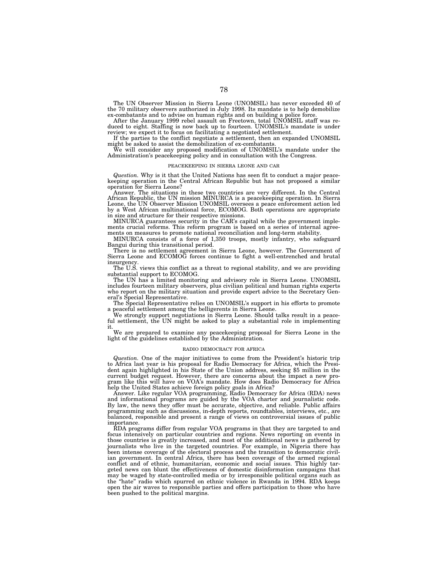The UN Observer Mission in Sierra Leone (UNOMSIL) has never exceeded 40 of the 70 military observers authorized in July 1998. Its mandate is to help demobilize ex-combatants and to advise on human rights and on building a police force.

After the January 1999 rebel assault on Freetown, total UNOMSIL staff was re-duced to eight. Staffing is now back up to fourteen. UNOMSIL's mandate is under review; we expect it to focus on facilitating a negotiated settlement.

If the parties to the conflict negotiate a settlement, then an expanded UNOMSIL

might be asked to assist the demobilization of ex-combatants. We will consider any proposed modification of UNOMSIL's mandate under the Administration's peacekeeping policy and in consultation with the Congress.

## PEACEKEEPING IN SIERRA LEONE AND CAR

*Question.* Why is it that the United Nations has seen fit to conduct a major peacekeeping operation in the Central African Republic but has not proposed a similar operation for Sierra Leone?

Answer. The situations in these two countries are very different. In the Central African Republic, the UN mission MINURCA is a peacekeeping operation. In Sierra Leone, the UN Observer Mission UNOMSIL oversees a peace enforcement action led by a West African multinational force, ECOMOG. Both operations are appropriate in size and structure for their respective missions.

MINURCA guarantees security in the CAR's capital while the government implements crucial reforms. This reform program is based on a series of internal agreements on measures to promote national reconciliation and long-term stability.

MINURCA consists of a force of 1,350 troops, mostly infantry, who safeguard Bangui during this transitional period.

There is no settlement agreement in Sierra Leone, however. The Government of Sierra Leone and ECOMOG forces continue to fight a well-entrenched and brutal insurgency.

The U.S. views this conflict as a threat to regional stability, and we are providing substantial support to ECOMOG.

The UN has a limited monitoring and advisory role in Sierra Leone. UNOMSIL includes fourteen military observers, plus civilian political and human rights experts who report on the military situation and provide expert advice to the Secretary General's Special Representative.

The Special Representative relies on UNOMSIL's support in his efforts to promote a peaceful settlement among the belligerents in Sierra Leone.

We strongly support negotiations in Sierra Leone. Should talks result in a peaceful settlement, the UN might be asked to play a substantial role in implementing it.

We are prepared to examine any peacekeeping proposal for Sierra Leone in the light of the guidelines established by the Administration.

#### RADIO DEMOCRACY FOR AFRICA

*Question.* One of the major initiatives to come from the President's historic trip to Africa last year is his proposal for Radio Democracy for Africa, which the President again highlighted in his State of the Union address, seeking \$5 million in the current budget request. However, there are concerns about the impact a new program like this will have on VOA's mandate. How does Radio Democracy for Africa help the United States achieve foreign policy goals in Africa?

Answer. Like regular VOA programming, Radio Democracy for Africa (RDA) news and informational programs are guided by the VOA charter and journalistic code. By law, the news they offer must be accurate, objective, and reliable. Public affairs programming such as discussions, in-depth reports, roundtables, interviews, etc., are balanced, responsible and present a range of views on controversial issues of public importance.

RDA programs differ from regular VOA programs in that they are targeted to and focus intensively on particular countries and regions. News reporting on events in those countries is greatly increased, and most of the additional news is gathered by journalists who live in the targeted countries. For example, in Nigeria there has been intense coverage of the electoral process and the transition to democratic civilian government. In central Africa, there has been coverage of the armed regional conflict and of ethnic, humanitarian, economic and social issues. This highly targeted news can blunt the effectiveness of domestic disinformation campaigns that may be waged by state-controlled media or by irresponsible political organs such as the ''hate'' radio which spurred on ethnic violence in Rwanda in 1994. RDA keeps open the air waves to responsible parties and offers participation to those who have been pushed to the political margins.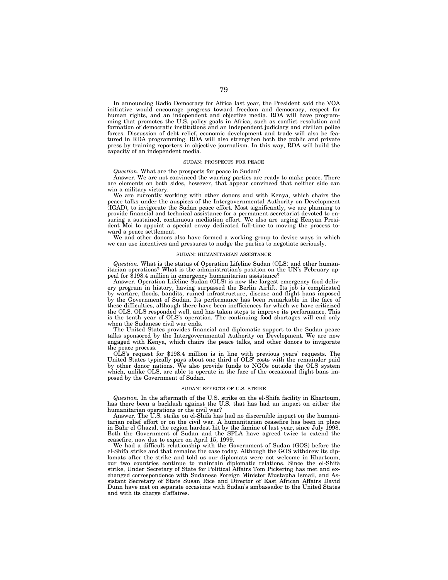In announcing Radio Democracy for Africa last year, the President said the VOA initiative would encourage progress toward freedom and democracy, respect for human rights, and an independent and objective media. RDA will have programming that promotes the U.S. policy goals in Africa, such as conflict resolution and formation of democratic institutions and an independent judiciary and civilian police forces. Discussion of debt relief, economic development and trade will also be featured in RDA programming. RDA will also strengthen both the public and private press by training reporters in objective journalism. In this way, RDA will build the capacity of an independent media.

## SUDAN: PROSPECTS FOR PEACE

## *Question.* What are the prospects for peace in Sudan?

Answer. We are not convinced the warring parties are ready to make peace. There are elements on both sides, however, that appear convinced that neither side can win a military victory.

We are currently working with other donors and with Kenya, which chairs the peace talks under the auspices of the Intergovernmental Authority on Development (IGAD), to invigorate the Sudan peace effort. Most significantly, we are planning to provide financial and technical assistance for a permanent secretariat devoted to ensuring a sustained, continuous mediation effort. We also are urging Kenyan President Moi to appoint a special envoy dedicated full-time to moving the process toward a peace settlement.

We and other donors also have formed a working group to devise ways in which we can use incentives and pressures to nudge the parties to negotiate seriously.

## SUDAN: HUMANITARIAN ASSISTANCE

*Question.* What is the status of Operation Lifeline Sudan (OLS) and other humanitarian operations? What is the administration's position on the UN's February appeal for \$198.4 million in emergency humanitarian assistance?

Answer. Operation Lifeline Sudan (OLS) is now the largest emergency food delivery program in history, having surpassed the Berlin Airlift. Its job is complicated by warfare, floods, bandits, ruined infrastructure, disease and flight bans imposed by the Government of Sudan. Its performance has been remarkable in the face of these difficulties, although there have been inefficiences for which we have criticized the OLS. OLS responded well, and has taken steps to improve its performance. This is the tenth year of OLS's operation. The continuing food shortages will end only when the Sudanese civil war ends.

The United States provides financial and diplomatic support to the Sudan peace talks sponsored by the Intergovernmental Authority on Development. We are now engaged with Kenya, which chairs the peace talks, and other donors to invigorate the peace process.

OLS's request for \$198.4 million is in line with previous years' requests. The United States typically pays about one third of OLS' costs with the remainder paid by other donor nations. We also provide funds to NGOs outside the OLS system which, unlike OLS, are able to operate in the face of the occasional flight bans imposed by the Government of Sudan.

#### SUDAN: EFFECTS OF U.S. STRIKE

*Question.* In the aftermath of the U.S. strike on the el-Shifa facility in Khartoum, has there been a backlash against the U.S. that has had an impact on either the humanitarian operations or the civil war?

Answer. The  $\hat{U}$ .S. strike on el-Shifa has had no discernible impact on the humanitarian relief effort or on the civil war. A humanitarian ceasefire has been in place in Bahr el Ghazal, the region hardest hit by the famine of last year, since July 1998. Both the Government of Sudan and the SPLA have agreed twice to extend the ceasefire, now due to expire on April 15, 1999.

We had a difficult relationship with the Government of Sudan (GOS) before the el-Shifa strike and that remains the case today. Although the GOS withdrew its diplomats after the strike and told us our diplomats were not welcome in Khartoum, our two countries continue to maintain diplomatic relations. Since the el-Shifa strike, Under Secretary of State for Political Affairs Tom Pickering has met and exchanged correspondence with Sudanese Foreign Minister Mustapha Ismail, and Assistant Secretary of State Susan Rice and Director of East African Affairs David Dunn have met on separate occasions with Sudan's ambassador to the United States and with its charge d'affaires.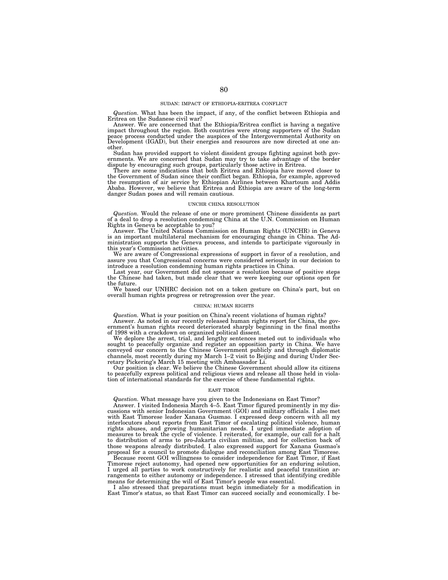*Question.* What has been the impact, if any, of the conflict between Ethiopia and Eritrea on the Sudanese civil war?

Answer. We are concerned that the Ethiopia/Eritrea conflict is having a negative impact throughout the region. Both countries were strong supporters of the Sudan<br>peace process conducted under the auspices of the Intergovernmental Authority on<br>Development (IGAD), but their energies and resources are now other.

Sudan has provided support to violent dissident groups fighting against both governments. We are concerned that Sudan may try to take advantage of the border dispute by encouraging such groups, particularly those active in Eritrea.

There are some indications that both Eritrea and Ethiopia have moved closer to the Government of Sudan since their conflict began. Ethiopia, for example, approved the resumption of air service by Ethiopian Airlines between Khartoum and Addis Ababa. However, we believe that Eritrea and Ethiopia are aware of the long-term danger Sudan poses and will remain cautious.

#### UNCHR CHINA RESOLUTION

*Question.* Would the release of one or more prominent Chinese dissidents as part of a deal to drop a resolution condemning China at the U.N. Commission on Human Rights in Geneva be acceptable to you?

Answer. The United Nations Commission on Human Rights (UNCHR) in Geneva is an important multilateral mechanism for encouraging change in China. The Administration supports the Geneva process, and intends to participate vigorously in this year's Commission activities.

We are aware of Congressional expressions of support in favor of a resolution, and assure you that Congressional concerns were considered seriously in our decision to introduce a resolution condemning human rights practices in China.

Last year, our Government did not sponsor a resolution because of positive steps the Chinese had taken, but made clear that we were keeping our options open for the future.

We based our UNHRC decision not on a token gesture on China's part, but on overall human rights progress or retrogression over the year.

#### CHINA: HUMAN RIGHTS

*Question.* What is your position on China's recent violations of human rights?

Answer. As noted in our recently released human rights report for China, the government's human rights record deteriorated sharply beginning in the final months of 1998 with a crackdown on organized political dissent.

We deplore the arrest, trial, and lengthy sentences meted out to individuals who sought to peacefully organize and register an opposition party in China. We have conveyed our concern to the Chinese Government publicly and through diplomatic channels, most recently during my March 1–2 visit to Beijing and during Under Secretary Pickering's March 15 meeting with Ambassador Li.

Our position is clear. We believe the Chinese Government should allow its citizens to peacefully express political and religious views and release all those held in violation of international standards for the exercise of these fundamental rights.

#### EAST TIMOR

*Question.* What message have you given to the Indonesians on East Timor?

Answer. I visited Indonesia March 4–5. East Timor figured prominently in my discussions with senior Indonesian Government (GOI) and military officials. I also met with East Timorese leader Xanana Gusmao. I expressed deep concern with all my interlocutors about reports from East Timor of escalating political violence, human rights abuses, and growing humanitarian needs. I urged immediate adoption of measures to break the cycle of violence. I reiterated, for example, our call for a halt to distribution of arms to pro-Jakarta civilian militias, and for collection back of those weapons already distributed. I also expressed support for Xanana Gusmao's proposal for a council to promote dialogue and reconciliation among East Timorese.

Because recent GOI willingness to consider independence for East Timor, if East Timorese reject autonomy, had opened new opportunities for an enduring solution, I urged all parties to work constructively for realistic and peaceful transition arrangements to either autonomy or independence. I stressed that identifying credible means for determining the will of East Timor's people was essential.

I also stressed that preparations must begin immediately for a modification in East Timor's status, so that East Timor can succeed socially and economically. I be-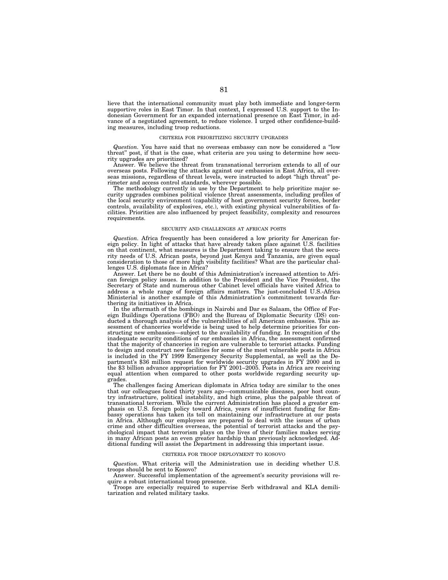lieve that the international community must play both immediate and longer-term supportive roles in East Timor. In that context, I expressed U.S. support to the Indonesian Government for an expanded international presence on East Timor, in advance of a negotiated agreement, to reduce violence. I urged other confidence-building measures, including troop reductions.

## CRITERIA FOR PRIORITIZING SECURITY UPGRADES

*Question.* You have said that no overseas embassy can now be considered a ''low threat'' post, if that is the case, what criteria are you using to determine how security upgrades are prioritized?

Answer. We believe the threat from transnational terrorism extends to all of our overseas posts. Following the attacks against our embassies in East Africa, all overseas missions, regardless of threat levels, were instructed to adopt ''high threat'' perimeter and access control standards, wherever possible.

The methodology currently in use by the Department to help prioritize major security upgrades combines political violence threat assessments, including profiles of the local security environment (capability of host government security forces, border controls, availability of explosives, etc.), with existing physical vulnerabilities of facilities. Priorities are also influenced by project feasibility, complexity and resources requirements.

## SECURITY AND CHALLENGES AT AFRICAN POSTS

*Question.* Africa frequently has been considered a low priority for American foreign policy. In light of attacks that have already taken place against U.S. facilities on that continent, what measures is the Department taking to ensure that the security needs of U.S. African posts, beyond just Kenya and Tanzania, are given equal consideration to those of more high visibility facilities? What are the particular challenges U.S. diplomats face in Africa?

Answer. Let there be no doubt of this Administration's increased attention to African foreign policy issues. In addition to the President and the Vice President, the Secretary of State and numerous other Cabinet level officials have visited Africa to address a whole range of foreign affairs matters. The just-concluded U.S.-Africa Ministerial is another example of this Administration's commitment towards furthering its initiatives in Africa.

In the aftermath of the bombings in Nairobi and Dar es Salaam, the Office of Foreign Buildings Operations (FBO) and the Bureau of Diplomatic Security (DS) conducted a thorough analysis of the vulnerabilities of all American embassies. This assessment of chanceries worldwide is being used to help determine priorities for constructing new embassies—subject to the availability of funding. In recognition of the inadequate security conditions of our embassies in Africa, the assessment confirmed that the majority of chanceries in region are vulnerable to terrorist attacks. Funding to design and construct new facilities for some of the most vulnerable posts in Africa is included in the FY 1999 Emergency Security Supplemental, as well as the Department's \$36 million request for worldwide security upgrades in FY 2000 and in the \$3 billion advance appropriation for FY 2001–2005. Posts in Africa are receiving equal attention when compared to other posts worldwide regarding security upgrades.

The challenges facing American diplomats in Africa today are similar to the ones that our colleagues faced thirty years ago—communicable diseases, poor host country infrastructure, political instability, and high crime, plus the palpable threat of transnational terrorism. While the current Administration has placed a greater emphasis on U.S. foreign policy toward Africa, years of insufficient funding for Embassy operations has taken its toll on maintaining our infrastructure at our posts in Africa. Although our employees are prepared to deal with the issues of urban crime and other difficulties overseas, the potential of terrorist attacks and the psychological impact that terrorism plays on the lives of their families makes serving in many African posts an even greater hardship than previously acknowledged. Additional funding will assist the Department in addressing this important issue.

## CRITERIA FOR TROOP DEPLOYMENT TO KOSOVO

*Question.* What criteria will the Administration use in deciding whether U.S. troops should be sent to Kosovo?

Answer. Successful implementation of the agreement's security provisions will require a robust international troop presence.

Troops are especially required to supervise Serb withdrawal and KLA demili-tarization and related military tasks.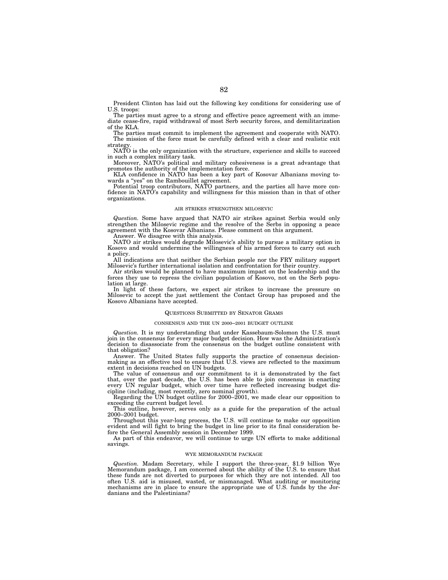President Clinton has laid out the following key conditions for considering use of U.S. troops:

The parties must agree to a strong and effective peace agreement with an immediate cease-fire, rapid withdrawal of most Serb security forces, and demilitarization of the KLA.

The parties must commit to implement the agreement and cooperate with NATO. The mission of the force must be carefully defined with a clear and realistic exit strateg

NATO is the only organization with the structure, experience and skills to succeed in such a complex military task.

Moreover, NATO's political and military cohesiveness is a great advantage that promotes the authority of the implementation force.

KLA confidence in NATO has been a key part of Kosovar Albanians moving towards a ''yes'' on the Rambouillet agreement.

Potential troop contributors, NATO partners, and the parties all have more confidence in NATO's capability and willingness for this mission than in that of other organizations.

## AIR STRIKES STRENGTHEN MILOSEVIC

*Question.* Some have argued that NATO air strikes against Serbia would only strengthen the Milosevic regime and the resolve of the Serbs in opposing a peace agreement with the Kosovar Albanians. Please comment on this argument.

Answer. We disagree with this analysis.

NATO air strikes would degrade Milosevic's ability to pursue a military option in Kosovo and would undermine the willingness of his armed forces to carry out such a policy.

All indications are that neither the Serbian people nor the FRY military support Milosevic's further international isolation and confrontation for their country.

Air strikes would be planned to have maximum impact on the leadership and the forces they use to repress the civilian population of Kosovo, not on the Serb population at large.

In light of these factors, we expect air strikes to increase the pressure on Milosevic to accept the just settlement the Contact Group has proposed and the Kosovo Albanians have accepted.

## QUESTIONS SUBMITTED BY SENATOR GRAMS

## CONSENSUS AND THE UN 2000–2001 BUDGET OUTLINE

*Question.* It is my understanding that under Kassebaum-Solomon the U.S. must join in the consensus for every major budget decision. How was the Administration's decision to disassociate from the consensus on the budget outline consistent with that obligation?

Answer. The United States fully supports the practice of consensus decisionmaking as an effective tool to ensure that U.S. views are reflected to the maximum extent in decisions reached on UN budgets.

The value of consensus and our commitment to it is demonstrated by the fact that, over the past decade, the U.S. has been able to join consensus in enacting every UN regular budget, which over time have reflected increasing budget discipline (including, most recently, zero nominal growth).

Regarding the UN budget outline for 2000–2001, we made clear our opposition to exceeding the current budget level.

This outline, however, serves only as a guide for the preparation of the actual 2000–2001 budget.

Throughout this year-long process, the U.S. will continue to make our opposition evident and will fight to bring the budget in line prior to its final consideration before the General Assembly session in December 1999.

As part of this endeavor, we will continue to urge UN efforts to make additional savings.

## WYE MEMORANDUM PACKAGE

*Question.* Madam Secretary, while I support the three-year, \$1.9 billion Wye Memorandum package, I am concerned about the ability of the U.S. to ensure that these funds are not diverted to purposes for which they are not intended. All too often U.S. aid is misused, wasted, or mismanaged. What auditing or monitoring mechanisms are in place to ensure the appropriate use of U.S. funds by the Jordanians and the Palestinians?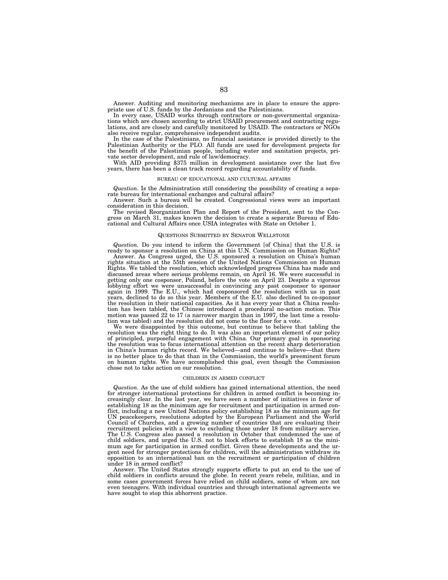Answer. Auditing and monitoring mechanisms are in place to ensure the appropriate use of U.S. funds by the Jordanians and the Palestinians.

In every case, USAID works through contractors or non-governmental organizations which are chosen according to strict USAID procurement and contracting regulations, and are closely and carefully monitored by USAID. The contractors or NGOs also receive regular, comprehensive independent audits.

In the case of the Palestinians, no financial assistance is provided directly to the Palestinian Authority or the PLO. All funds are used for development projects for the benefit of the Palestinian people, including water and sanitation projects, private sector development, and rule of law/democracy.

With AID providing \$375 million in development assistance over the last five years, there has been a clean track record regarding accountability of funds.

#### BUREAU OF EDUCATIONAL AND CULTURAL AFFAIRS

*Question.* Is the Administration still considering the possibility of creating a separate bureau for international exchanges and cultural affairs?

Answer. Such a bureau will be created. Congressional views were an important consideration in this decision.

The revised Reorganization Plan and Report of the President, sent to the Congress on March 31, makes known the decision to create a separate Bureau of Educational and Cultural Affairs once USIA integrates with State on October 1.

#### QUESTIONS SUBMITTED BY SENATOR WELLSTONE

*Question.* Do you intend to inform the Government [of China] that the U.S. is ready to sponsor a resolution on China at this U.N. Commission on Human Rights?

Answer. As Congress urged, the U.S. sponsored a resolution on China's human rights situation at the 55th session of the United Nations Commission on Human Rights. We tabled the resolution, which acknowledged progress China has made and discussed areas where serious problems remain, on April 16. We were successful in getting only one cosponsor, Poland, before the vote on April 23. Despite a vigorous lobbying effort we were unsuccessful in convincing any past cosponsor to sponsor again in 1999. The E.U., which had cosponsored the resolution with us in past years, declined to do so this year. Members of the E.U. also declined to co-sponsor the resolution in their national capacities. As it has every year that a China resolution has been tabled, the Chinese introduced a procedural no-action motion. This motion was passed 22 to 17 (a narrower margin than in 1997, the last time a resolution was tabled) and the resolution did not come to the floor for a vote.

We were disappointed by this outcome, but continue to believe that tabling the resolution was the right thing to do. It was also an important element of our policy of principled, purposeful engagement with China. Our primary goal in sponsoring the resolution was to focus international attention on the recent sharp deterioration in China's human rights record. We believed—and continue to believe—that there is no better place to do that than in the Commission, the world's preeminent forum on human rights. We have accomplished this goal, even though the Commission chose not to take action on our resolution.

#### CHILDREN IN ARMED CONFLICT

*Question.* As the use of child soldiers has gained international attention, the need for stronger international protections for children in armed conflict is becoming increasingly clear. In the last year, we have seen a number of initiatives in favor of establishing 18 as the minimum age for recruitment and participation in armed conflict, including a new United Nations policy establishing 18 as the minimum age for UN peacekeepers, resolutions adopted by the European Parliament and the World Council of Churches, and a growing number of countries that are evaluating their recruitment policies with a view to excluding those under 18 from military service. The U.S. Congress also passed a resolution in October that condemned the use of child soldiers, and urged the U.S. not to block efforts to establish 18 as the minimum age for participation in armed conflict. Given these developments and the urgent need for stronger protections for children, will the administration withdraw its opposition to an international ban on the recruitment or participation of children under 18 in armed conflict?

Answer. The United States strongly supports efforts to put an end to the use of child soldiers in conflicts around the globe. In recent years rebels, militias, and in some cases government forces have relied on child soldiers, some of whom are not even teenagers. With individual countries and through international agreements we have sought to stop this abhorrent practice.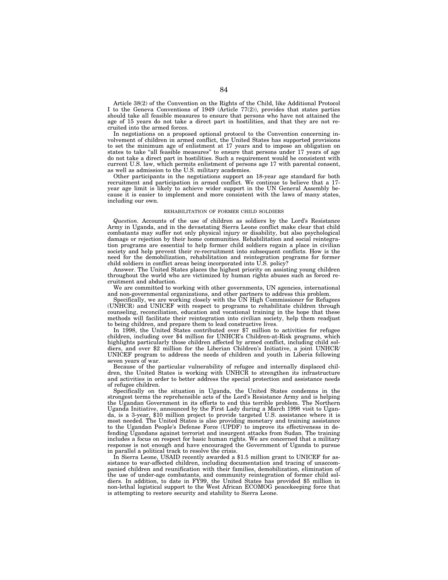Article 38(2) of the Convention on the Rights of the Child, like Additional Protocol I to the Geneva Conventions of 1949 (Article 77(2)), provides that states parties should take all feasible measures to ensure that persons who have not attained the age of 15 years do not take a direct part in hostilities, and that they are not recruited into the armed forces.

In negotiations on a proposed optional protocol to the Convention concerning involvement of children in armed conflict, the United States has supported provisions to set the minimum age of enlistment at 17 years and to impose an obligation on states to take ''all feasible measures'' to ensure that persons under 17 years of age do not take a direct part in hostilities. Such a requirement would be consistent with current U.S. law, which permits enlistment of persons age 17 with parental consent, as well as admission to the U.S. military academies.

Other participants in the negotiations support an 18-year age standard for both recruitment and participation in armed conflict. We continue to believe that a 17 year age limit is likely to achieve wider support in the UN General Assembly because it is easier to implement and more consistent with the laws of many states, including our own.

## REHABILITATION OF FORMER CHILD SOLDIERS

*Question.* Accounts of the use of children as soldiers by the Lord's Resistance Army in Uganda, and in the devastating Sierra Leone conflict make clear that child combatants may suffer not only physical injury or disability, but also psychological damage or rejection by their home communities. Rehabilitation and social reintegration programs are essential to help former child soldiers regain a place in civilian society and help prevent their re-recruitment into subsequent conflicts. How is the need for the demobilization, rehabilitation and reintegration programs for former child soldiers in conflict areas being incorporated into U.S. policy?

Answer. The United States places the highest priority on assisting young children throughout the world who are victimized by human rights abuses such as forced recruitment and abduction.

We are committed to working with other governments, UN agencies, international and non-governmental organizations, and other partners to address this problem.

Specifically, we are working closely with the UN High Commissioner for Refugees (UNHCR) and UNICEF with respect to programs to rehabilitate children through counseling, reconciliation, education and vocational training in the hope that these methods will facilitate their reintegration into civilian society, help them readjust to being children, and prepare them to lead constructive lives.

In 1998, the United States contributed over \$7 million to activities for refugee children, including over \$4 million for UNHCR's Children-at-Risk programs, which highlights particularly those children affected by armed conflict, including child soldiers, and over \$2 million for the Liberian Children's Initiative, a joint UNHCR/ UNICEF program to address the needs of children and youth in Liberia following seven years of war.

Because of the particular vulnerability of refugee and internally displaced children, the United States is working with UNHCR to strengthen its infrastructure and activities in order to better address the special protection and assistance needs of refugee children.

Specifically on the situation in Uganda, the United States condemns in the strongest terms the reprehensible acts of the Lord's Resistance Army and is helping the Ugandan Government in its efforts to end this terrible problem. The Northern Uganda Initiative, announced by the First Lady during a March 1998 visit to Uganda, is a 3-year, \$10 million project to provide targeted U.S. assistance where it is most needed. The United States is also providing monetary and training assistance to the Ugandan People's Defense Force (UPDF) to improve its effectiveness in defending Ugandans against terrorist and insurgent attacks from Sudan. The training includes a focus on respect for basic human rights. We are concerned that a military response is not enough and have encouraged the Government of Uganda to pursue in parallel a political track to resolve the crisis.

In Sierra Leone, USAID recently awarded a \$1.5 million grant to UNICEF for assistance to war-affected children, including documentation and tracing of unaccompanied children and reunification with their families, demobilization, elimination of the use of under-age combatants, and community reintegration of former child soldiers. In addition, to date in FY99, the United States has provided \$5 million in non-lethal logistical support to the West African ECOMOG peacekeeping force that is attempting to restore security and stability to Sierra Leone.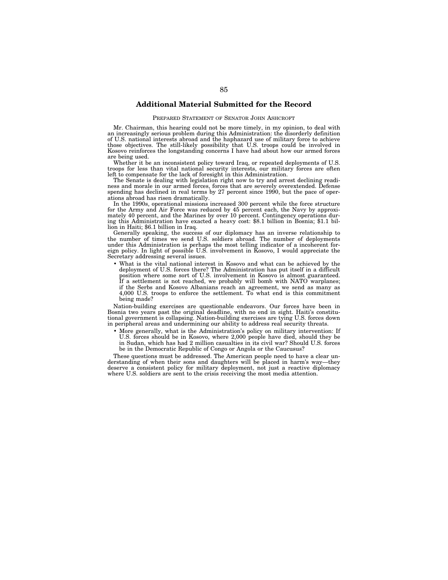## **Additional Material Submitted for the Record**

## PREPARED STATEMENT OF SENATOR JOHN ASHCROFT

Mr. Chairman, this hearing could not be more timely, in my opinion, to deal with an increasingly serious problem during this Administration: the disorderly definition of U.S. national interests abroad and the haphazard use of military force to achieve those objectives. The still-likely possibility that U.S. troops could be involved in Kosovo reinforces the longstanding concerns I have had about how our armed forces are being used.

Whether it be an inconsistent policy toward Iraq, or repeated deployments of U.S. troops for less than vital national security interests, our military forces are often left to compensate for the lack of foresight in this Administration.

The Senate is dealing with legislation right now to try and arrest declining readiness and morale in our armed forces, forces that are severely overextended. Defense spending has declined in real terms by 27 percent since 1990, but the pace of operations abroad has risen dramatically.

In the 1990s, operational missions increased 300 percent while the force structure for the Army and Air Force was reduced by 45 percent each, the Navy by approximately 40 percent, and the Marines by over 10 percent. Contingency operations during this Administration have exacted a heavy cost: \$8.1 billion in Bosnia; \$1.1 billion in Haiti; \$6.1 billion in Iraq.

Generally speaking, the success of our diplomacy has an inverse relationship to the number of times we send U.S. soldiers abroad. The number of deployments under this Administration is perhaps the most telling indicator of a incoherent foreign policy. In light of possible U.S. involvement in Kosovo, I would appreciate the Secretary addressing several issues.

• What is the vital national interest in Kosovo and what can be achieved by the deployment of U.S. forces there? The Administration has put itself in a difficult position where some sort of U.S. involvement in Kosovo is almost guaranteed. If a settlement is not reached, we probably will bomb with NATO warplanes; if the Serbs and Kosovo Albanians reach an agreement, we send as many as 4,000 U.S. troops to enforce the settlement. To what end is this commitment being made?

Nation-building exercises are questionable endeavors. Our forces have been in Bosnia two years past the original deadline, with no end in sight. Haiti's constitutional government is collapsing. Nation-building exercises are tying U.S. forces down in peripheral areas and undermining our ability to address real security threats.

• More generally, what is the Administration's policy on military intervention: If U.S. forces should be in Kosovo, where 2,000 people have died, should they be in Sudan, which has had 2 million casualties in its civil war? Should U.S. forces be in the Democratic Republic of Congo or Angola or the Caucusus?

These questions must be addressed. The American people need to have a clear understanding of when their sons and daughters will be placed in harm's way—they deserve a consistent policy for military deployment, not just a reactive diplomacy where U.S. soldiers are sent to the crisis receiving the most media attention.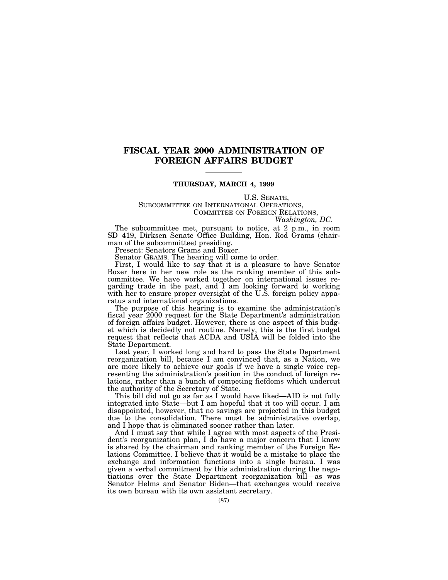# **FISCAL YEAR 2000 ADMINISTRATION OF FOREIGN AFFAIRS BUDGET**

## **THURSDAY, MARCH 4, 1999**

U.S. SENATE,<br>SUBCOMMITTEE ON INTERNATIONAL OPERATIONS,<br>COMMITTEE ON FOREIGN RELATIONS,<br>*Washington, DC.* 

The subcommittee met, pursuant to notice, at 2 p.m., in room SD–419, Dirksen Senate Office Building, Hon. Rod Grams (chairman of the subcommittee) presiding.

Present: Senators Grams and Boxer.

Senator GRAMS. The hearing will come to order.

First, I would like to say that it is a pleasure to have Senator Boxer here in her new role as the ranking member of this subcommittee. We have worked together on international issues regarding trade in the past, and I am looking forward to working with her to ensure proper oversight of the U.S. foreign policy apparatus and international organizations.

The purpose of this hearing is to examine the administration's fiscal year 2000 request for the State Department's administration of foreign affairs budget. However, there is one aspect of this budget which is decidedly not routine. Namely, this is the first budget request that reflects that ACDA and USIA will be folded into the State Department.

Last year, I worked long and hard to pass the State Department reorganization bill, because I am convinced that, as a Nation, we are more likely to achieve our goals if we have a single voice representing the administration's position in the conduct of foreign relations, rather than a bunch of competing fiefdoms which undercut the authority of the Secretary of State.

This bill did not go as far as I would have liked—AID is not fully integrated into State—but I am hopeful that it too will occur. I am disappointed, however, that no savings are projected in this budget due to the consolidation. There must be administrative overlap, and I hope that is eliminated sooner rather than later.

And I must say that while I agree with most aspects of the President's reorganization plan, I do have a major concern that I know is shared by the chairman and ranking member of the Foreign Relations Committee. I believe that it would be a mistake to place the exchange and information functions into a single bureau. I was given a verbal commitment by this administration during the negotiations over the State Department reorganization bill—as was Senator Helms and Senator Biden—that exchanges would receive its own bureau with its own assistant secretary.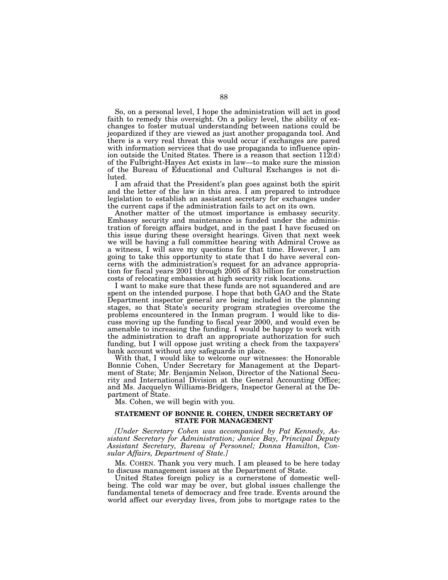So, on a personal level, I hope the administration will act in good faith to remedy this oversight. On a policy level, the ability of exchanges to foster mutual understanding between nations could be jeopardized if they are viewed as just another propaganda tool. And there is a very real threat this would occur if exchanges are pared with information services that do use propaganda to influence opinion outside the United States. There is a reason that section  $112(d)$ of the Fulbright-Hayes Act exists in law—to make sure the mission of the Bureau of Educational and Cultural Exchanges is not diluted.

I am afraid that the President's plan goes against both the spirit and the letter of the law in this area. I am prepared to introduce legislation to establish an assistant secretary for exchanges under the current caps if the administration fails to act on its own.

Another matter of the utmost importance is embassy security. Embassy security and maintenance is funded under the administration of foreign affairs budget, and in the past I have focused on this issue during these oversight hearings. Given that next week we will be having a full committee hearing with Admiral Crowe as a witness, I will save my questions for that time. However, I am going to take this opportunity to state that I do have several concerns with the administration's request for an advance appropriation for fiscal years 2001 through 2005 of \$3 billion for construction costs of relocating embassies at high security risk locations.

I want to make sure that these funds are not squandered and are spent on the intended purpose. I hope that both GAO and the State Department inspector general are being included in the planning stages, so that State's security program strategies overcome the problems encountered in the Inman program. I would like to discuss moving up the funding to fiscal year 2000, and would even be amenable to increasing the funding. I would be happy to work with the administration to draft an appropriate authorization for such funding, but I will oppose just writing a check from the taxpayers' bank account without any safeguards in place.

With that, I would like to welcome our witnesses: the Honorable Bonnie Cohen, Under Secretary for Management at the Department of State; Mr. Benjamin Nelson, Director of the National Security and International Division at the General Accounting Office; and Ms. Jacquelyn Williams-Bridgers, Inspector General at the Department of State.

Ms. Cohen, we will begin with you.

## **STATEMENT OF BONNIE R. COHEN, UNDER SECRETARY OF STATE FOR MANAGEMENT**

*[Under Secretary Cohen was accompanied by Pat Kennedy, Assistant Secretary for Administration; Janice Bay, Principal Deputy Assistant Secretary, Bureau of Personnel; Donna Hamilton, Consular Affairs, Department of State.]*

Ms. COHEN. Thank you very much. I am pleased to be here today to discuss management issues at the Department of State.

United States foreign policy is a cornerstone of domestic wellbeing. The cold war may be over, but global issues challenge the fundamental tenets of democracy and free trade. Events around the world affect our everyday lives, from jobs to mortgage rates to the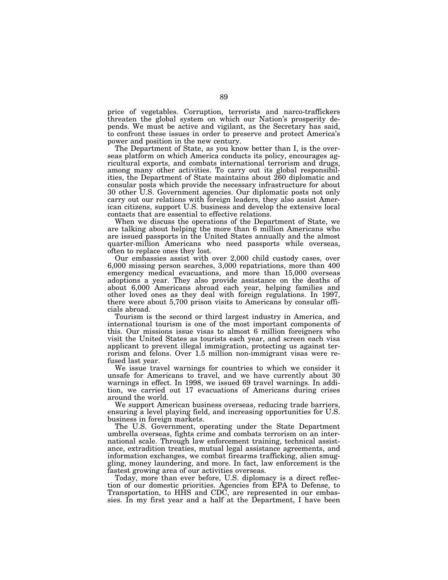price of vegetables. Corruption, terrorists and narco-traffickers threaten the global system on which our Nation's prosperity depends. We must be active and vigilant, as the Secretary has said, to confront these issues in order to preserve and protect America's power and position in the new century.

The Department of State, as you know better than I, is the overseas platform on which America conducts its policy, encourages agricultural exports, and combats international terrorism and drugs, among many other activities. To carry out its global responsibilities, the Department of State maintains about 260 diplomatic and consular posts which provide the necessary infrastructure for about 30 other U.S. Government agencies. Our diplomatic posts not only carry out our relations with foreign leaders, they also assist American citizens, support U.S. business and develop the extensive local contacts that are essential to effective relations.

When we discuss the operations of the Department of State, we are talking about helping the more than 6 million Americans who are issued passports in the United States annually and the almost quarter-million Americans who need passports while overseas, often to replace ones they lost.

Our embassies assist with over 2,000 child custody cases, over 6,000 missing person searches, 3,000 repatriations, more than 400 emergency medical evacuations, and more than 15,000 overseas adoptions a year. They also provide assistance on the deaths of about 6,000 Americans abroad each year, helping families and other loved ones as they deal with foreign regulations. In 1997, there were about 5,700 prison visits to Americans by consular officials abroad.

Tourism is the second or third largest industry in America, and international tourism is one of the most important components of this. Our missions issue visas to almost 6 million foreigners who visit the United States as tourists each year, and screen each visa applicant to prevent illegal immigration, protecting us against terrorism and felons. Over 1.5 million non-immigrant visas were refused last year.

We issue travel warnings for countries to which we consider it unsafe for Americans to travel, and we have currently about 30 warnings in effect. In 1998, we issued 69 travel warnings. In addition, we carried out 17 evacuations of Americans during crises around the world.

We support American business overseas, reducing trade barriers, ensuring a level playing field, and increasing opportunities for U.S. business in foreign markets.

The U.S. Government, operating under the State Department umbrella overseas, fights crime and combats terrorism on an international scale. Through law enforcement training, technical assistance, extradition treaties, mutual legal assistance agreements, and information exchanges, we combat firearms trafficking, alien smuggling, money laundering, and more. In fact, law enforcement is the fastest growing area of our activities overseas.

Today, more than ever before, U.S. diplomacy is a direct reflection of our domestic priorities. Agencies from EPA to Defense, to Transportation, to HHS and CDC, are represented in our embassies. In my first year and a half at the Department, I have been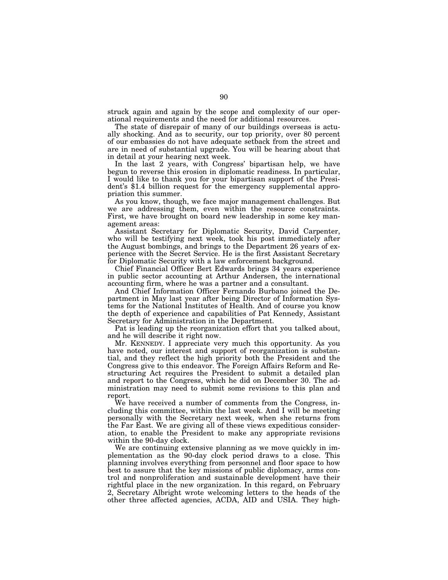struck again and again by the scope and complexity of our operational requirements and the need for additional resources.

The state of disrepair of many of our buildings overseas is actually shocking. And as to security, our top priority, over 80 percent of our embassies do not have adequate setback from the street and are in need of substantial upgrade. You will be hearing about that in detail at your hearing next week.

In the last 2 years, with Congress' bipartisan help, we have begun to reverse this erosion in diplomatic readiness. In particular, I would like to thank you for your bipartisan support of the President's \$1.4 billion request for the emergency supplemental appropriation this summer.

As you know, though, we face major management challenges. But we are addressing them, even within the resource constraints. First, we have brought on board new leadership in some key management areas:

Assistant Secretary for Diplomatic Security, David Carpenter, who will be testifying next week, took his post immediately after the August bombings, and brings to the Department 26 years of experience with the Secret Service. He is the first Assistant Secretary for Diplomatic Security with a law enforcement background.

Chief Financial Officer Bert Edwards brings 34 years experience in public sector accounting at Arthur Andersen, the international accounting firm, where he was a partner and a consultant.

And Chief Information Officer Fernando Burbano joined the Department in May last year after being Director of Information Systems for the National Institutes of Health. And of course you know the depth of experience and capabilities of Pat Kennedy, Assistant Secretary for Administration in the Department.

Pat is leading up the reorganization effort that you talked about, and he will describe it right now.

Mr. KENNEDY. I appreciate very much this opportunity. As you have noted, our interest and support of reorganization is substantial, and they reflect the high priority both the President and the Congress give to this endeavor. The Foreign Affairs Reform and Restructuring Act requires the President to submit a detailed plan and report to the Congress, which he did on December 30. The administration may need to submit some revisions to this plan and report.

We have received a number of comments from the Congress, including this committee, within the last week. And I will be meeting personally with the Secretary next week, when she returns from the Far East. We are giving all of these views expeditious consideration, to enable the President to make any appropriate revisions within the 90-day clock.

We are continuing extensive planning as we move quickly in implementation as the 90-day clock period draws to a close. This planning involves everything from personnel and floor space to how best to assure that the key missions of public diplomacy, arms control and nonproliferation and sustainable development have their rightful place in the new organization. In this regard, on February 2, Secretary Albright wrote welcoming letters to the heads of the other three affected agencies, ACDA, AID and USIA. They high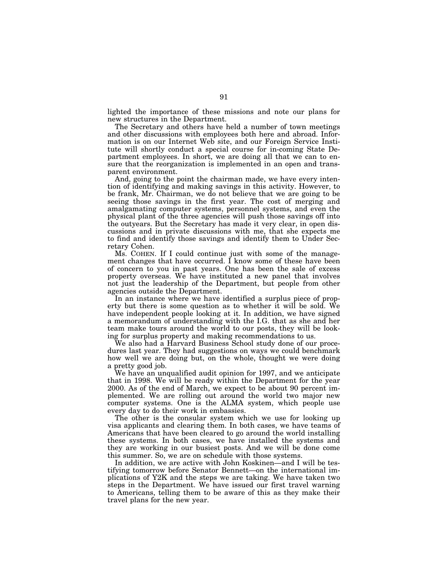lighted the importance of these missions and note our plans for new structures in the Department.

The Secretary and others have held a number of town meetings and other discussions with employees both here and abroad. Information is on our Internet Web site, and our Foreign Service Institute will shortly conduct a special course for in-coming State Department employees. In short, we are doing all that we can to ensure that the reorganization is implemented in an open and transparent environment.

And, going to the point the chairman made, we have every intention of identifying and making savings in this activity. However, to be frank, Mr. Chairman, we do not believe that we are going to be seeing those savings in the first year. The cost of merging and amalgamating computer systems, personnel systems, and even the physical plant of the three agencies will push those savings off into the outyears. But the Secretary has made it very clear, in open discussions and in private discussions with me, that she expects me to find and identify those savings and identify them to Under Secretary Cohen.

Ms. COHEN. If I could continue just with some of the management changes that have occurred. I know some of these have been of concern to you in past years. One has been the sale of excess property overseas. We have instituted a new panel that involves not just the leadership of the Department, but people from other agencies outside the Department.

In an instance where we have identified a surplus piece of property but there is some question as to whether it will be sold. We have independent people looking at it. In addition, we have signed a memorandum of understanding with the I.G. that as she and her team make tours around the world to our posts, they will be looking for surplus property and making recommendations to us.

We also had a Harvard Business School study done of our procedures last year. They had suggestions on ways we could benchmark how well we are doing but, on the whole, thought we were doing a pretty good job.

We have an unqualified audit opinion for 1997, and we anticipate that in 1998. We will be ready within the Department for the year 2000. As of the end of March, we expect to be about 90 percent implemented. We are rolling out around the world two major new computer systems. One is the ALMA system, which people use every day to do their work in embassies.

The other is the consular system which we use for looking up visa applicants and clearing them. In both cases, we have teams of Americans that have been cleared to go around the world installing these systems. In both cases, we have installed the systems and they are working in our busiest posts. And we will be done come this summer. So, we are on schedule with those systems.

In addition, we are active with John Koskinen—and I will be testifying tomorrow before Senator Bennett—on the international implications of Y2K and the steps we are taking. We have taken two steps in the Department. We have issued our first travel warning to Americans, telling them to be aware of this as they make their travel plans for the new year.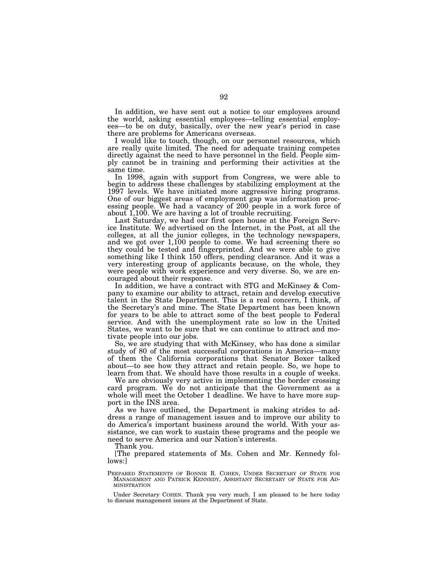In addition, we have sent out a notice to our employees around the world, asking essential employees—telling essential employees—to be on duty, basically, over the new year's period in case there are problems for Americans overseas.

I would like to touch, though, on our personnel resources, which are really quite limited. The need for adequate training competes directly against the need to have personnel in the field. People simply cannot be in training and performing their activities at the same time.

In 1998, again with support from Congress, we were able to begin to address these challenges by stabilizing employment at the 1997 levels. We have initiated more aggressive hiring programs. One of our biggest areas of employment gap was information processing people. We had a vacancy of 200 people in a work force of about 1,100. We are having a lot of trouble recruiting.

Last Saturday, we had our first open house at the Foreign Service Institute. We advertised on the Internet, in the Post, at all the colleges, at all the junior colleges, in the technology newspapers, and we got over 1,100 people to come. We had screening there so they could be tested and fingerprinted. And we were able to give something like I think 150 offers, pending clearance. And it was a very interesting group of applicants because, on the whole, they were people with work experience and very diverse. So, we are encouraged about their response.

In addition, we have a contract with STG and McKinsey & Company to examine our ability to attract, retain and develop executive talent in the State Department. This is a real concern, I think, of the Secretary's and mine. The State Department has been known for years to be able to attract some of the best people to Federal service. And with the unemployment rate so low in the United States, we want to be sure that we can continue to attract and motivate people into our jobs.

So, we are studying that with McKinsey, who has done a similar study of 80 of the most successful corporations in America—many of them the California corporations that Senator Boxer talked about—to see how they attract and retain people. So, we hope to learn from that. We should have those results in a couple of weeks.

We are obviously very active in implementing the border crossing card program. We do not anticipate that the Government as a whole will meet the October 1 deadline. We have to have more support in the INS area.

As we have outlined, the Department is making strides to address a range of management issues and to improve our ability to do America's important business around the world. With your assistance, we can work to sustain these programs and the people we need to serve America and our Nation's interests.

Thank you.

[The prepared statements of Ms. Cohen and Mr. Kennedy follows:]

PREPARED STATEMENTS OF BONNIE R. COHEN, UNDER SECRETARY OF STATE FOR MANAGEMENT AND PATRICK KENNEDY, ASSISTANT SECRETARY OF STATE FOR AD-MINISTRATION

Under Secretary COHEN. Thank you very much. I am pleased to be here today to discuss management issues at the Department of State.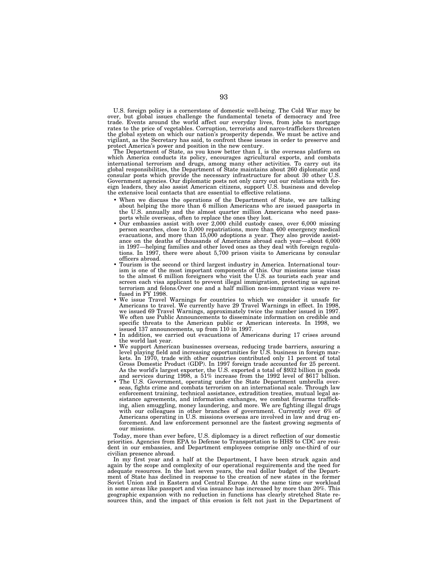U.S. foreign policy is a cornerstone of domestic well-being. The Cold War may be over, but global issues challenge the fundamental tenets of democracy and free trade. Events around the world affect our everyday lives, from jobs to mortgage rates to the price of vegetables. Corruption, terrorists and narco-traffickers threaten the global system on which our nation's prosperity depends. We must be active and vigilant, as the Secretary has said, to confront these issues in order to preserve and protect America's power and position in the new century.

The Department of State, as you know better than I, is the overseas platform on which America conducts its policy, encourages agricultural exports, and combats international terrorism and drugs, among many other activities. To carry out its global responsibilities, the Department of State maintains about 260 diplomatic and consular posts which provide the necessary infrastructure for about 30 other U.S. Government agencies. Our diplomatic posts not only carry out our relations with foreign leaders, they also assist American citizens, support U.S. business and develop the extensive local contacts that are essential to effective relations.

- When we discuss the operations of the Department of State, we are talking about helping the more than 6 million Americans who are issued passports in the U.S. annually and the almost quarter million Americans who need passports while overseas, often to replace the ones they lost.
- Our embassies assist with over 2,000 child custody cases, over 6,000 missing person searches, close to 3,000 repatriations, more than 400 emergency medical evacuations, and more than 15,000 adoptions a year. They also provide assistance on the deaths of thousands of Americans abroad each year—about 6,000 in 1997—helping families and other loved ones as they deal with foreign regulations. In 1997, there were about 5,700 prison visits to Americans by consular officers abroad.
- Tourism is the second or third largest industry in America. International tourism is one of the most important components of this. Our missions issue visas to the almost 6 million foreigners who visit the U.S. as tourists each year and screen each visa applicant to prevent illegal immigration, protecting us against terrorism and felons.Over one and a half million non-immigrant visas were refused in FY 1998.
- We issue Travel Warnings for countries to which we consider it unsafe for Americans to travel. We currently have 29 Travel Warnings in effect. In 1998, we issued 69 Travel Warnings, approximately twice the number issued in 1997. We often use Public Announcements to disseminate information on credible and specific threats to the American public or American interests. In 1998, we issued 137 announcements, up from 110 in 1997.
- In addition, we carried out evacuations of Americans during 17 crises around the world last year.
- We support American businesses overseas, reducing trade barriers, assuring a level playing field and increasing opportunities for U.S. business in foreign markets. In 1970, trade with other countries contributed only 11 percent of total Gross Domestic Product (GDP). In 1997 foreign trade accounted for 25 percent. As the world's largest exporter, the U.S. exported a total of \$932 billion in goods and services during 1998, a 51% increase from the 1992 level of \$617 billion.
- The U.S. Government, operating under the State Department umbrella overseas, fights crime and combats terrorism on an international scale. Through law enforcement training, technical assistance, extradition treaties, mutual legal assistance agreements, and information exchanges, we combat firearms trafficking, alien smuggling, money laundering, and more. We are fighting illegal drugs with our colleagues in other branches of government. Currently over 6% of Americans operating in U.S. missions overseas are involved in law and drug enforcement. And law enforcement personnel are the fastest growing segments of our missions.

Today, more than ever before, U.S. diplomacy is a direct reflection of our domestic priorities. Agencies from EPA to Defense to Transportation to HHS to CDC are resident in our embassies, and Department employees comprise only one-third of our civilian presence abroad.

In my first year and a half at the Department, I have been struck again and again by the scope and complexity of our operational requirements and the need for adequate resources. In the last seven years, the real dollar budget of the Department of State has declined in response to the creation of new states in the former Soviet Union and in Eastern and Central Europe. At the same time our workload in some areas like passport and visa issuance has increased by more than 20%. This geographic expansion with no reduction in functions has clearly stretched State resources thin, and the impact of this erosion is felt not just in the Department of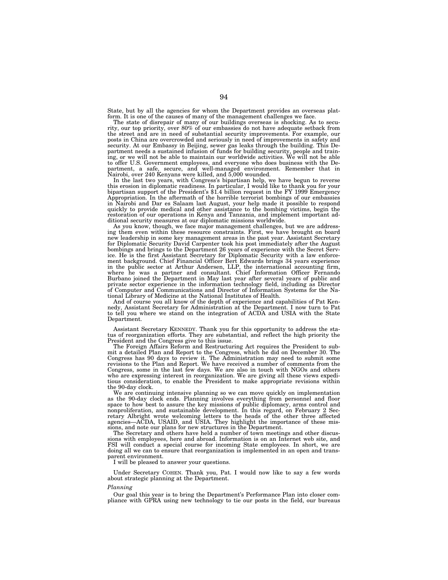State, but by all the agencies for whom the Department provides an overseas platform. It is one of the causes of many of the management challenges we face. The state of disrepair of many of our buildings overseas is shocking. As to secu-

rity, our top priority, over 80% of our embassies do not have adequate setback from the street and are in need of substantial security improvements. For example, our posts in China are overcrowded and seriously in need of improvements in safety and security. At our Embassy in Beijing, sewer gas leaks through the building. This De-<br>partment needs a sustained infusion of funds for building security, people and train-<br>ing, or we will not be able to maintain our worldwid to offer U.S. Government employees, and everyone who does business with the De-partment, a safe, secure, and well-managed environment. Remember that in Nairobi, over 240 Kenyans were killed, and 5,000 wounded.

In the last two years, with Congress's bipartisan help, we have begun to reverse<br>this erosion in diplomatic readiness. In particular, I would like to thank you for your<br>bipartisan support of the President's \$1.4 billion re Appropriation. In the aftermath of the horrible terrorist bombings of our embassies in Nairobi and Dar es Salaam last August, your help made it possible to respond quickly to provide medical and other assistance to the bombing victims, begin the restoration of our operations in Kenya and Tanzania, and implement important additional security measures at our diplomatic missions worldwide.

As you know, though, we face major management challenges, but we are addressing them even within these resource constraints. First, we have brought on board new leadership in some key management areas in the past year. Assistant Secretary for Diplomatic Security David Carpenter took his post immediately after the August bombings and brings to the Department 26 years of experience with the Secret Service. He is the first Assistant Secretary for Diplomatic Security with a law enforce-ment background. Chief Financial Officer Bert Edwards brings 34 years experience in the public sector at Arthur Andersen, LLP, the international accounting firm, where he was a partner and consultant. Chief Information Officer Fernando Burbano joined the Department in May last year after several years of public and private sector experience in the information technology field, including as Director of Computer and Communications and Director of Information Systems for the National Library of Medicine at the National Institutes of Health.

And of course you all know of the depth of experience and capabilities of Pat Kennedy, Assistant Secretary for Administration at the Department. I now turn to Pat to tell you where we stand on the integration of ACDA and USIA with the State Department.

Assistant Secretary KENNEDY. Thank you for this opportunity to address the status of reorganization efforts. They are substantial, and reflect the high priority the President and the Congress give to this issue.

The Foreign Affairs Reform and Restructuring Act requires the President to submit a detailed Plan and Report to the Congress, which he did on December 30. The<br>Congress has 90 days to review it. The Administration may need to submit some<br>revisions to the Plan and Report. We have received a number of Congress, some in the last few days. We are also in touch with NGOs and others who are expressing interest in reorganization. We are giving all these views expeditious consideration, to enable the President to make appropriate revisions within the 90-day clock.

We are continuing intensive planning so we can move quickly on implementation as the 90-day clock ends. Planning involves everything from personnel and floor space to how best to assure the key missions of public diplomacy, arms control and nonproliferation, and sustainable development. In this regard, on February 2 Sec-retary Albright wrote welcoming letters to the heads of the other three affected agencies—ACDA, USAID, and USIA. They highlight the importance of these mis-sions, and note our plans for new structures in the Department.

The Secretary and others have held a number of town meetings and other discus-sions with employees, here and abroad. Information is on an Internet web site, and FSI will conduct a special course for incoming State employees. In short, we are doing all we can to ensure that reorganization is implemented in an open and transparent environment.

I will be pleased to answer your questions.

Under Secretary COHEN. Thank you, Pat. I would now like to say a few words about strategic planning at the Department.

### *Planning*

Our goal this year is to bring the Department's Performance Plan into closer compliance with GPRA using new technology to tie our posts in the field, our bureaus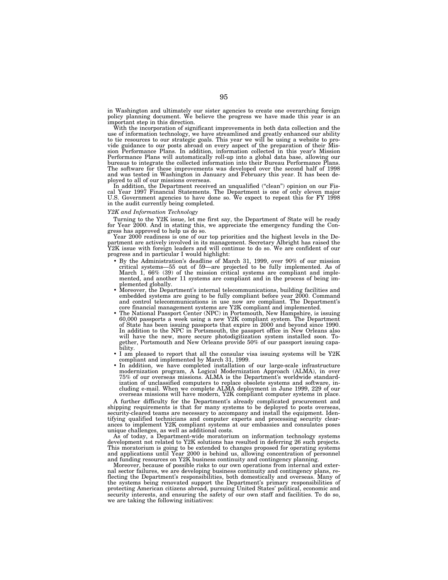in Washington and ultimately our sister agencies to create one overarching foreign policy planning document. We believe the progress we have made this year is an important step in this direction.

With the incorporation of significant improvements in both data collection and the use of information technology, we have streamlined and greatly enhanced our ability to tie resources to our strategic goals. This year we will be using a website to provide guidance to our posts abroad on every aspect of the preparation of their Mission Performance Plans. In addition, information collected in this year's Mission Performance Plans will automatically roll-up into a global data base, allowing our bureaus to integrate the collected information into their Bureau Performance Plans. The software for these improvements was developed over the second half of 1998 and was tested in Washington in January and February this year. It has been deployed to all of our missions overseas.

In addition, the Department received an unqualified ("clean") opinion on our Fiscal Year 1997 Financial Statements. The Department is one of only eleven major U.S. Government agencies to have done so. We expect to repeat t in the audit currently being completed.

## *Y2K and Information Technology*

Turning to the Y2K issue, let me first say, the Department of State will be ready for Year 2000. And in stating this, we appreciate the emergency funding the Congress has approved to help us do so.

Year 2000 readiness is one of our top priorities and the highest levels in the De-partment are actively involved in its management. Secretary Albright has raised the Y2K issue with foreign leaders and will continue to do so. We are confident of our progress and in particular I would highlight:

- By the Administration's deadline of March 31, 1999, over 90% of our mission critical systems—55 out of 59—are projected to be fully implemented. As of March 1, 66% (39) of the mission critical systems are compliant and implemented, and another 11 systems are compliant and in the process of being im-<br>plemented globally.
- Moreover, the Department's internal telecommunications, building facilities and embedded systems are going to be fully compliant before year 2000. Command and control telecommunications in use now are compliant. The Department's core financial management systems are Y2K compliant and implemented.
- core financial management systems are Y2K compliant and implemented. The National Passport Center (NPC) in Portsmouth, New Hampshire, is issuing 60,000 passports a week using a new Y2K compliant system. The Department of State has been issuing passports that expire in 2000 and beyond since 1990. In addition to the NPC in Portsmouth, the passport office in New Orleans also will have the new, more secure photodigitization system installed soon. Together, Portsmouth and New Orleans provide 50% of our passport issuing capa-<br>bility.
- $\bullet$  I am pleased to report that all the consular visa issuing systems will be Y2K compliant and implemented by March 31, 1999.
- In addition, we have completed installation of our large-scale infrastructure modernization program, A Logical Modernization Approach (ALMA), in over 75% of our overseas missions. ALMA is the Department's worldwide standardization of unclassified computers to replace obsolete systems and software, in-cluding e-mail. When we complete ALMA deployment in June 1999, 229 of our overseas missions will have modern, Y2K compliant computer systems in place.

A further difficulty for the Department's already complicated procurement and shipping requirements is that for many systems to be deployed to posts overseas, security-cleared teams are necessary to accompany and install the equipment. Identifying qualified technicians and computer experts and processing security clearances to implement Y2K compliant systems at our embassies and consulates poses unique challenges, as well as additional costs.

As of today, a Department-wide moratorium on information technology systems development not related to Y2K solutions has resulted in deferring 26 such projects. This moratorium is going to be extended to changes proposed for operating systems and applications until Year 2000 is behind us, allowing concentration of personnel and funding resources on Y2K business continuity and contingency planning.

Moreover, because of possible risks to our own operations from internal and external sector failures, we are developing business continuity and contingency plans, reflecting the Department's responsibilities, both domestically and overseas. Many of the systems being renovated support the Department's primary responsibilities of protecting American citizens abroad, pursuing United States' political, economic and security interests, and ensuring the safety of our own staff and facilities. To do so, we are taking the following initiatives: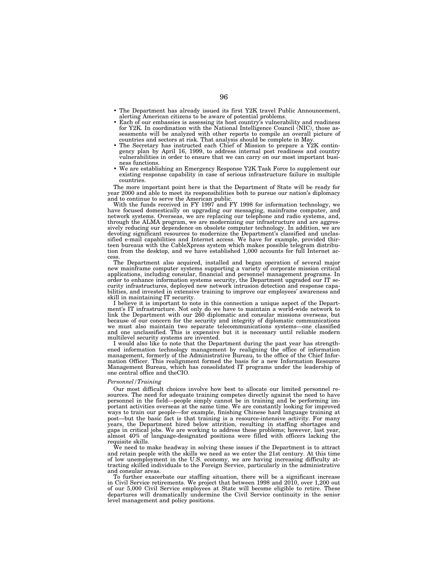- The Department has already issued its first Y2K travel Public Announcement, alerting American citizens to be aware of potential problems.<br>Each of our embassies is assessing its host country's vulnerability and readiness
- for Y2K. In coordination with the National Intelligence Council (NIC), those assessments will be analyzed with other reports to compile an overall picture of countries and sectors at risk. That analysis should be complete in May.
- The Secretary has instructed each Chief of Mission to prepare a Y2K contingency plan by April 16, 1999, to address internal post readiness and country vulnerabilities in order to ensure that we can carry on our most important busi-
- ness functions. We are establishing an Emergency Response Y2K Task Force to supplement our existing response capability in case of serious infrastructure failure in multiple countries.

The more important point here is that the Department of State will be ready for year 2000 and able to meet its responsibilities both to pursue our nation's diplomacy and to continue to serve the American public.

With the funds received in FY 1997 and FY 1998 for information technology, we have focused domestically on upgrading our messaging, mainframe computer, and network systems. Overseas, we are replacing our telephone and radio systems, and, through the ALMA program, we are modernizing our infrastructure and are aggressively reducing our dependence on obsolete computer technology. In addition, we are devoting significant resources to modernize the Department's classified and unclassified e-mail capabilities and Internet access. We have for example, provided thirteen bureaus with the CableXpress system which makes possible telegram distribution from the desktop, and we have established 1,000 accounts for full Internet ac-

The Department also acquired, installed and began operation of several major new mainframe computer systems supporting a variety of corporate mission critical applications, including consular, financial and personnel management programs. In order to enhance information systems security, the Department upgraded our IT security infrastructures, deployed new network intrusion detection and response capabilities, and invested in extensive training to improve our employees' awareness and skill in maintaining IT security.

I believe it is important to note in this connection a unique aspect of the Department's IT infrastructure. Not only do we have to maintain a world-wide network to link the Department with our 260 diplomatic and consular missions overseas, but because of our concern for the security and integrity of diplomatic communications we must also maintain two separate telecommunications systems—one classified and one unclassified. This is expensive but it is necessary until reliable modern multilevel security systems are invented.

I would also like to note that the Department during the past year has strengthened information technology management by realigning the office of information management, formerly of the Administrative Bureau, to the office of the Chief Information Officer. This realignment formed the basis for a new Information Resource Management Bureau, which has consolidated IT programs under the leadership of one central office and theCIO.

## *Personnel/Training*

Our most difficult choices involve how best to allocate our limited personnel resources. The need for adequate training competes directly against the need to have personnel in the field—people simply cannot be in training and be performing important activities overseas at the same time. We are constantly looking for improved ways to train our people—for example, finishing Chinese hard language training at post—but the basic fact is that training is a resource-intensive activity. For many years, the Department hired below attrition, resulting in staffing shortages and gaps in critical jobs. We are working to address these problems; however, last year, almost 40% of language-designated positions were filled with officers lacking the requisite skills.

We need to make headway in solving these issues if the Department is to attract and retain people with the skills we need as we enter the 21st century. At this time of low unemployment in the U.S. economy, we are having increasing difficulty attracting skilled individuals to the Foreign Service, particularly in the administrative and consular areas.

To further exacerbate our staffing situation, there will be a significant increase in Civil Service retirements. We project that between 1998 and 2010, over 1,200 out of our 5,000 Civil Service employees at State will become eligible to retire. These departures will dramatically undermine the Civil Service continuity in the senior level management and policy positions.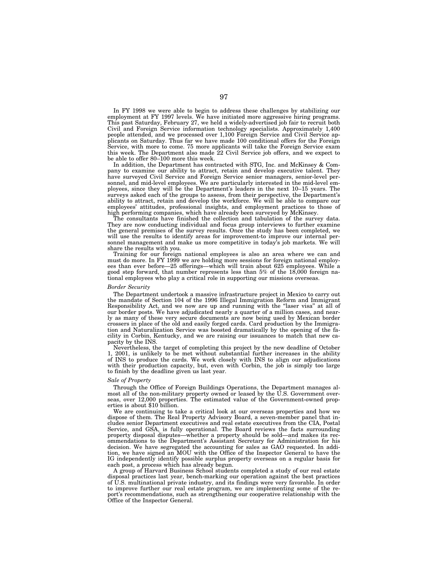In FY 1998 we were able to begin to address these challenges by stabilizing our employment at FY 1997 levels. We have initiated more aggressive hiring programs. This past Saturday, February 27, we held a widely-advertised job fair to recruit both Civil and Foreign Service information technology specialists. Approximately 1,400 people attended, and we processed over 1,100 Foreign Service and Civil Service applicants on Saturday. Thus far we have made 100 conditional offers for the Foreign Service, with more to come. 75 more applicants will take the Foreign Service exam this week. The Department also made 22 Civil Service job offers, and we expect to be able to offer 80–100 more this week.

In addition, the Department has contracted with STG, Inc. and McKinsey & Company to examine our ability to attract, retain and develop executive talent. They have surveyed Civil Service and Foreign Service senior managers, senior-level personnel, and mid-level employees. We are particularly interested in the mid-level employees, since they will be the Department's leaders in the next 10–15 years. The surveys asked each of the groups to assess, from their perspective, the Department's ability to attract, retain and develop the workforce. We will be able to compare our employees' attitudes, professional insights, and employment practices to those of high performing companies, which have already been surveyed by McKinsey.

The consultants have finished the collection and tabulation of the survey data. They are now conducting individual and focus group interviews to further examine the general premises of the survey results. Once the study has been completed, we will use the results to identify areas for improvement-to improve our internal personnel management and make us more competitive in today's job markets. We will share the results with you.

Training for our foreign national employees is also an area where we can and must do more. In FY 1999 we are holding more sessions for foreign national employees than ever before—25 offerings—which will train about 625 employees. While a good step forward, that number represents less than 5% of the 18,000 foreign national employees who play a critical role in supporting our missions overseas.

## *Border Security*

The Department undertook a massive infrastructure project in Mexico to carry out the mandate of Section 104 of the 1996 Illegal Immigration Reform and Immigrant Responsibility Act, and we now are up and running with the ''laser visa'' at all of our border posts. We have adjudicated nearly a quarter of a million cases, and nearly as many of these very secure documents are now being used by Mexican border crossers in place of the old and easily forged cards. Card production by the Immigration and Naturalization Service was boosted dramatically by the opening of the facility in Corbin, Kentucky, and we are raising our issuances to match that new capacity by the INS.

Nevertheless, the target of completing this project by the new deadline of October 1, 2001, is unlikely to be met without substantial further increases in the ability of INS to produce the cards. We work closely with INS to align our adjudications with their production capacity, but, even with Corbin, the job is simply too large to finish by the deadline given us last year.

#### *Sale of Property*

Through the Office of Foreign Buildings Operations, the Department manages almost all of the non-military property owned or leased by the U.S. Government overseas, over 12,000 properties. The estimated value of the Government-owned properties is about \$10 billion.

We are continuing to take a critical look at our overseas properties and how we dispose of them. The Real Property Advisory Board, a seven-member panel that includes senior Department executives and real estate executives from the CIA, Postal Service, and GSA, is fully operational. The Board reviews the facts surrounding property disposal disputes—whether a property should be sold—and makes its recommendations to the Department's Assistant Secretary for Administration for his decision. We have segregated the accounting for sales as GAO requested. In addition, we have signed an MOU with the Office of the Inspector General to have the IG independently identify possible surplus property overseas on a regular basis for each post, a process which has already begun.

A group of Harvard Business School students completed a study of our real estate disposal practices last year, bench-marking our operation against the best practices of U.S. multinational private industry, and its findings were very favorable. In order to improve further our real estate program, we are implementing some of the report's recommendations, such as strengthening our cooperative relationship with the Office of the Inspector General.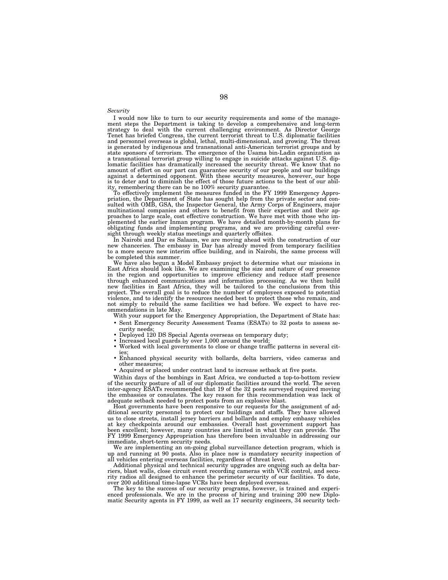*Security*

I would now like to turn to our security requirements and some of the management steps the Department is taking to develop a comprehensive and long-term strategy to deal with the current challenging environment. As Directo and personnel overseas is global, lethal, multi-dimensional, and growing. The threat is generated by indigenous and transnational anti-American terrorist groups and by state sponsors of terrorism. The emergence of the Usama bin-Ladin organization as a transnational terrorist group willing to engage in suicide attacks against U.S. diplomatic facilities has dramatically increased the security threat. We know that no amount of effort on our part can guarantee security of our people and our buildings against a determined opponent. With these security measures, however, our hope is to deter and to diminish the effect of those future actions to the best of our abil-

ity, remembering there can be no 100% security guarantee. To effectively implement the measures funded in the FY 1999 Emergency Appropriation, the Department of State has sought help from the private sector and consulted with OMB, GSA, the Inspector General, the Army Corps of Engineers, major multinational companies and others to benefit from their expertise and their approaches to large scale, cost effective construction. We have met with those who implemented the earlier Inman program. We have detailed month-by-month plans for obligating funds and implementing programs, and we are providing careful oversight through weekly status meetings and quarterly offsites.

In Nairobi and Dar es Salaam, we are moving ahead with the construction of our new chanceries. The embassy in Dar has already moved from temporary facilities to a more secure new interim office building, and in Nairobi, the same process will be completed this summer.

We have also begun a Model Embassy project to determine what our missions in East Africa should look like. We are examining the size and nature of our presence in the region and opportunities to improve efficiency and reduce staff presence through enhanced communications and information processing. As we then build new facilities in East Africa, they will be tailored to the conclusions from this project. The overall goal is to reduce the number of employees exposed to potential violence, and to identify the resources needed best to protect those who remain, and not simply to rebuild the same facilities we had before. We expect to have recommendations in late May.

With your support for the Emergency Appropriation, the Department of State has: • Sent Emergency Security Assessment Teams (ESATs) to 32 posts to assess se-

- curity needs;
- Deployed 120 DS Special Agents overseas on temporary duty;
- Increased local guards by over 1,000 around the world;
- Worked with local governments to close or change traffic patterns in several cit $i$ es
- Enhanced physical security with bollards, delta barriers, video cameras and other measures;
- Acquired or placed under contract land to increase setback at five posts.

Within days of the bombings in East Africa, we conducted a top-to-bottom review of the security posture of all of our diplomatic facilities around the world. The seven inter-agency ESATs recommended that 19 of the 32 posts surveyed required moving the embassies or consulates. The key reason for this recommendation was lack of adequate setback needed to protect posts from an explosive blast.

Host governments have been responsive to our requests for the assignment of additional security personnel to protect our buildings and staffs. They have allowed us to close streets, install jersey barriers and bollards and employ embassy vehicles at key checkpoints around our embassies. Overall host government support has been excellent; however, many countries are limited in what they can provide. The FY 1999 Emergency Appropriation has therefore been invaluable in addressing our immediate, short-term security needs.

We are implementing an on-going global surveillance detection program, which is up and running at 90 posts. Also in place now is mandatory security inspection of all vehicles entering overseas facilities, regardless of threat level.

Additional physical and technical security upgrades are ongoing such as delta barriers, blast walls, close circuit event recording cameras with VCR control, and security radios all designed to enhance the perimeter security of our facilities. To date, over 200 additional time-lapse VCRs have been deployed overseas.

The key to the success of our security programs, however, is trained and experienced professionals. We are in the process of hiring and training 200 new Diplomatic Security agents in FY 1999, as well as 17 security engineers, 34 security tech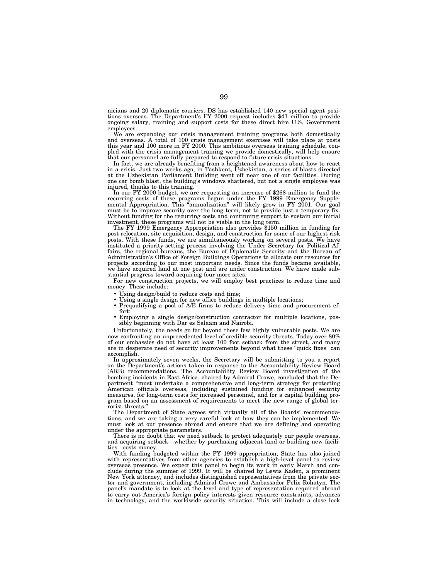nicians and 20 diplomatic couriers. DS has established 140 new special agent positions overseas. The Department's FY 2000 request includes \$41 million to provide ongoing salary, training and support costs for these direct hire U.S. Government employees.

We are expanding our crisis management training programs both domestically and overseas. A total of 100 crisis management exercises will take place at posts and overseas. A total of 100 crisis management exercises will take place at posts this year and 100 more in FY 2000. This ambitious overseas training schedule, coupled with the crisis management training we provide domestically, will help ensure that our personnel are fully prepared to respond to future crisis situations.

In fact, we are already benefiting from a heightened awareness about how to react in a crisis. Just two weeks ago, in Tashkent, Uzbekistan, a series of blasts directed at the Uzbekistan Parliament Building went off near one of our facilities. During one car bomb blast, the building's windows shattered, but not a single employee was injured, thanks to this training.

In our FY 2000 budget, we are requesting an increase of \$268 million to fund the recurring costs of these programs begun under the FY 1999 Emergency Supplemental Appropriation. This ''annualization'' will likely grow in FY 2001. Our goal must be to improve security over the long term, not to provide just a temporary fix. Without funding for the recurring costs and continuing support to sustain our initial investment, these programs will not be viable in the long term.

The FY 1999 Emergency Appropriation also provides \$150 million in funding for post relocation, site acquisition, design, and construction for some of our highest risk posts. With these funds, we are simultaneously working on several posts. We have instituted a priority-setting process involving the Under Secretary for Political Affairs, the regional bureaus, the Bureau of Diplomatic Security and the Bureau of Administration's Office of Foreign Buildings Operations to allocate our resources for projects according to our most important needs. Since the funds became available, we have acquired land at one post and are under construction. We have made substantial progress toward acquiring four more sites.

For new construction projects, we will employ best practices to reduce time and money. These include:

- Using design/build to reduce costs and time;
- Using a single design for new office buildings in multiple locations;
- Prequalifying a pool of A/E firms to reduce delivery time and procurement effort;
- Employing a single design/construction contractor for multiple locations, possibly beginning with Dar es Salaam and Nairobi.

Unfortunately, the needs go far beyond these few highly vulnerable posts. We are now confronting an unprecedented level of credible security threats. Today over 80% of our embassies do not have at least 100 foot setback from the street, and many are in desperate need of security improvements beyond what these "quick fixes" can accomplish.

In approximately seven weeks, the Secretary will be submitting to you a report on the Department's actions taken in response to the Accountability Review Board (ARB) recommendations. The Accountability Review Board investigation of the bombing incidents in East Africa, chaired by Admiral Crowe, concluded that the Department ''must undertake a comprehensive and long-term strategy for protecting American officials overseas, including sustained funding for enhanced security measures, for long-term costs for increased personnel, and for a capital building program based on an assessment of requirements to meet the new range of global terrorist threats.

The Department of State agrees with virtually all of the Boards' recommendations, and we are taking a very careful look at how they can be implemented. We must look at our presence abroad and ensure that we are defining and operating under the appropriate parameters.

There is no doubt that we need setback to protect adequately our people overseas, and acquiring setback—whether by purchasing adjacent land or building new facilities—costs money.

With funding budgeted within the FY 1999 appropriation, State has also joined with representatives from other agencies to establish a high-level panel to review overseas presence. We expect this panel to begin its work in early March and conclude during the summer of 1999. It will be chaired by Lewis Kaden, a prominent New York attorney, and includes distinguished representatives from the private sector and government, including Admiral Crowe and Ambassador Felix Rohatyn. The panel's mandate is to look at the level and type of representation required abroad to carry out America's foreign policy interests given resource constraints, advances in technology, and the worldwide security situation. This will include a close look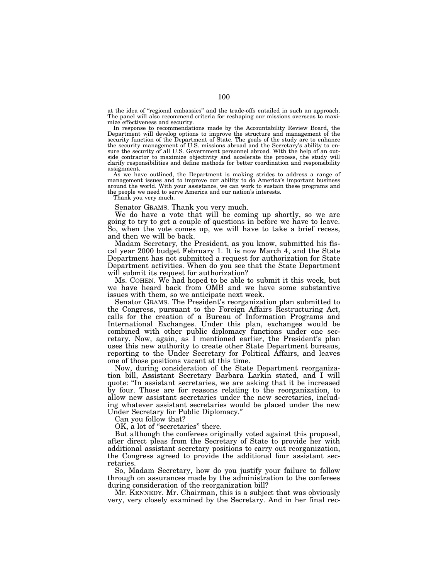at the idea of ''regional embassies'' and the trade-offs entailed in such an approach. The panel will also recommend criteria for reshaping our missions overseas to maximize effectiveness and security.

In response to recommendations made by the Accountability Review Board, the Department will develop options to improve the structure and management of the security function of the Department of State. The goals of the study are to enhance the security management of U.S. missions abroad and the Secretary's ability to en-sure the security of all U.S. Government personnel abroad. With the help of an outside contractor to maximize objectivity and accelerate the process, the study will clarify responsibilities and define methods for better coordination and responsibility assignment.

As we have outlined, the Department is making strides to address a range of management issues and to improve our ability to do America's important business around the world. With your assistance, we can work to sustain these programs and the people we need to serve America and our nation's interests.

Thank you very much.

Senator GRAMS. Thank you very much.

We do have a vote that will be coming up shortly, so we are going to try to get a couple of questions in before we have to leave. So, when the vote comes up, we will have to take a brief recess, and then we will be back.

Madam Secretary, the President, as you know, submitted his fiscal year 2000 budget February 1. It is now March 4, and the State Department has not submitted a request for authorization for State Department activities. When do you see that the State Department will submit its request for authorization?

Ms. COHEN. We had hoped to be able to submit it this week, but we have heard back from OMB and we have some substantive issues with them, so we anticipate next week.

Senator GRAMS. The President's reorganization plan submitted to the Congress, pursuant to the Foreign Affairs Restructuring Act, calls for the creation of a Bureau of Information Programs and International Exchanges. Under this plan, exchanges would be combined with other public diplomacy functions under one secretary. Now, again, as I mentioned earlier, the President's plan uses this new authority to create other State Department bureaus, reporting to the Under Secretary for Political Affairs, and leaves one of those positions vacant at this time.

Now, during consideration of the State Department reorganization bill, Assistant Secretary Barbara Larkin stated, and I will quote: ''In assistant secretaries, we are asking that it be increased by four. Those are for reasons relating to the reorganization, to allow new assistant secretaries under the new secretaries, including whatever assistant secretaries would be placed under the new Under Secretary for Public Diplomacy.''

Can you follow that?

OK, a lot of "secretaries" there.

But although the conferees originally voted against this proposal, after direct pleas from the Secretary of State to provide her with additional assistant secretary positions to carry out reorganization, the Congress agreed to provide the additional four assistant secretaries.

So, Madam Secretary, how do you justify your failure to follow through on assurances made by the administration to the conferees during consideration of the reorganization bill?

Mr. KENNEDY. Mr. Chairman, this is a subject that was obviously very, very closely examined by the Secretary. And in her final rec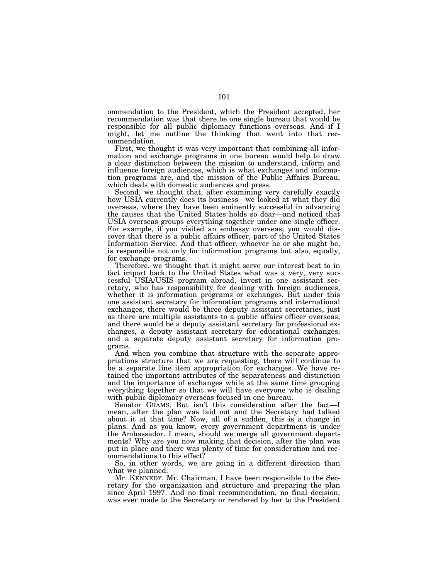ommendation to the President, which the President accepted, her recommendation was that there be one single bureau that would be responsible for all public diplomacy functions overseas. And if I might, let me outline the thinking that went into that recommendation.

First, we thought it was very important that combining all information and exchange programs in one bureau would help to draw a clear distinction between the mission to understand, inform and influence foreign audiences, which is what exchanges and information programs are, and the mission of the Public Affairs Bureau, which deals with domestic audiences and press.

Second, we thought that, after examining very carefully exactly how USIA currently does its business—we looked at what they did overseas, where they have been eminently successful in advancing the causes that the United States holds so dear—and noticed that USIA overseas groups everything together under one single officer. For example, if you visited an embassy overseas, you would discover that there is a public affairs officer, part of the United States Information Service. And that officer, whoever he or she might be, is responsible not only for information programs but also, equally, for exchange programs.

Therefore, we thought that it might serve our interest best to in fact import back to the United States what was a very, very successful USIA/USIS program abroad, invest in one assistant secretary, who has responsibility for dealing with foreign audiences, whether it is information programs or exchanges. But under this one assistant secretary for information programs and international exchanges, there would be three deputy assistant secretaries, just as there are multiple assistants to a public affairs officer overseas, and there would be a deputy assistant secretary for professional exchanges, a deputy assistant secretary for educational exchanges, and a separate deputy assistant secretary for information programs.

And when you combine that structure with the separate appropriations structure that we are requesting, there will continue to be a separate line item appropriation for exchanges. We have retained the important attributes of the separateness and distinction and the importance of exchanges while at the same time grouping everything together so that we will have everyone who is dealing with public diplomacy overseas focused in one bureau.

Senator GRAMS. But isn't this consideration after the fact—I mean, after the plan was laid out and the Secretary had talked about it at that time? Now, all of a sudden, this is a change in plans. And as you know, every government department is under the Ambassador. I mean, should we merge all government departments? Why are you now making that decision, after the plan was put in place and there was plenty of time for consideration and recommendations to this effect?

So, in other words, we are going in a different direction than what we planned.

Mr. KENNEDY. Mr. Chairman, I have been responsible to the Secretary for the organization and structure and preparing the plan since April 1997. And no final recommendation, no final decision, was ever made to the Secretary or rendered by her to the President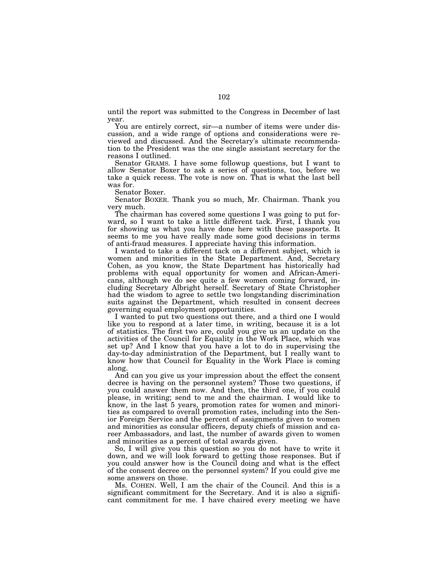until the report was submitted to the Congress in December of last year.

You are entirely correct, sir—a number of items were under discussion, and a wide range of options and considerations were reviewed and discussed. And the Secretary's ultimate recommendation to the President was the one single assistant secretary for the reasons I outlined.

Senator GRAMS. I have some followup questions, but I want to allow Senator Boxer to ask a series of questions, too, before we take a quick recess. The vote is now on. That is what the last bell was for.

Senator Boxer.

Senator BOXER. Thank you so much, Mr. Chairman. Thank you very much.

The chairman has covered some questions I was going to put forward, so I want to take a little different tack. First, I thank you for showing us what you have done here with these passports. It seems to me you have really made some good decisions in terms of anti-fraud measures. I appreciate having this information.

I wanted to take a different tack on a different subject, which is women and minorities in the State Department. And, Secretary Cohen, as you know, the State Department has historically had problems with equal opportunity for women and African-Americans, although we do see quite a few women coming forward, including Secretary Albright herself. Secretary of State Christopher had the wisdom to agree to settle two longstanding discrimination suits against the Department, which resulted in consent decrees governing equal employment opportunities.

I wanted to put two questions out there, and a third one I would like you to respond at a later time, in writing, because it is a lot of statistics. The first two are, could you give us an update on the activities of the Council for Equality in the Work Place, which was set up? And I know that you have a lot to do in supervising the day-to-day administration of the Department, but I really want to know how that Council for Equality in the Work Place is coming along.

And can you give us your impression about the effect the consent decree is having on the personnel system? Those two questions, if you could answer them now. And then, the third one, if you could please, in writing; send to me and the chairman. I would like to know, in the last 5 years, promotion rates for women and minorities as compared to overall promotion rates, including into the Senior Foreign Service and the percent of assignments given to women and minorities as consular officers, deputy chiefs of mission and career Ambassadors, and last, the number of awards given to women and minorities as a percent of total awards given.

So, I will give you this question so you do not have to write it down, and we will look forward to getting those responses. But if you could answer how is the Council doing and what is the effect of the consent decree on the personnel system? If you could give me some answers on those.

Ms. COHEN. Well, I am the chair of the Council. And this is a significant commitment for the Secretary. And it is also a significant commitment for me. I have chaired every meeting we have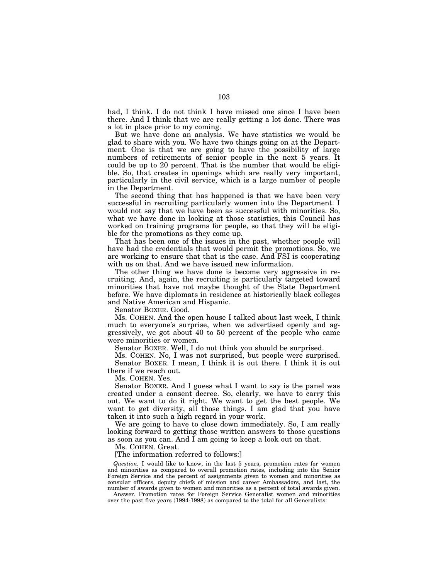had, I think. I do not think I have missed one since I have been there. And I think that we are really getting a lot done. There was a lot in place prior to my coming.

But we have done an analysis. We have statistics we would be glad to share with you. We have two things going on at the Department. One is that we are going to have the possibility of large numbers of retirements of senior people in the next 5 years. It could be up to 20 percent. That is the number that would be eligible. So, that creates in openings which are really very important, particularly in the civil service, which is a large number of people in the Department.

The second thing that has happened is that we have been very successful in recruiting particularly women into the Department. I would not say that we have been as successful with minorities. So, what we have done in looking at those statistics, this Council has worked on training programs for people, so that they will be eligible for the promotions as they come up.

That has been one of the issues in the past, whether people will have had the credentials that would permit the promotions. So, we are working to ensure that that is the case. And FSI is cooperating with us on that. And we have issued new information.

The other thing we have done is become very aggressive in recruiting. And, again, the recruiting is particularly targeted toward minorities that have not maybe thought of the State Department before. We have diplomats in residence at historically black colleges and Native American and Hispanic.

Senator BOXER. Good.

Ms. COHEN. And the open house I talked about last week, I think much to everyone's surprise, when we advertised openly and aggressively, we got about 40 to 50 percent of the people who came were minorities or women.

Senator BOXER. Well, I do not think you should be surprised.

Ms. COHEN. No, I was not surprised, but people were surprised. Senator BOXER. I mean, I think it is out there. I think it is out there if we reach out.

Ms. COHEN. Yes.

Senator BOXER. And I guess what I want to say is the panel was created under a consent decree. So, clearly, we have to carry this out. We want to do it right. We want to get the best people. We want to get diversity, all those things. I am glad that you have taken it into such a high regard in your work.

We are going to have to close down immediately. So, I am really looking forward to getting those written answers to those questions as soon as you can. And I am going to keep a look out on that.

Ms. COHEN. Great.

[The information referred to follows:]

*Question.* I would like to know, in the last 5 years, promotion rates for women and minorities as compared to overall promotion rates, including into the Senior Foreign Service and the percent of assignments given to women and minorities as consular officers, deputy chiefs of mission and career Ambassadors, and last, the number of awards given to women and minorities as a percent of total awards given.

Answer. Promotion rates for Foreign Service Generalist women and minorities over the past five years (1994-1998) as compared to the total for all Generalists: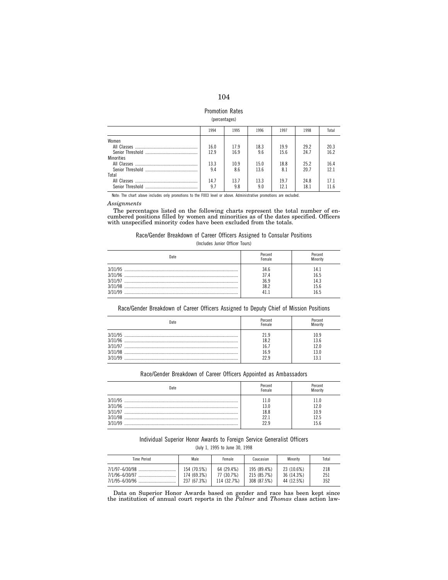## Promotion Rates (percentages)

|                   | 1994 | 1995 | 1996 | 1997 | 1998 | Total |
|-------------------|------|------|------|------|------|-------|
| Women             |      |      |      |      |      |       |
|                   | 16.0 | 17.9 | 18.3 | 19.9 | 29.2 | 20.3  |
|                   | 12.9 | 16.9 | 9.6  | 15.6 | 24.7 | 16.2  |
| <b>Minorities</b> |      |      |      |      |      |       |
|                   | 13.3 | 10.9 | 15.0 | 18.8 | 25.2 | 16.4  |
|                   | 9.4  | 8.6  | 13.6 | 8.1  | 20.7 | 121   |
| Total             |      |      |      |      |      |       |
|                   | 14.7 | 13.7 | 13.3 | 19.7 | 24.8 | 17.1  |
| Senior Threshold  | 9.7  | 9.8  | 9.0  | 12.1 | 18.1 | 11.6  |
|                   |      |      |      |      |      |       |

Note: The chart above includes only promotions to the F003 level or above. Administrative promotions are excluded.

## *Assignments*

The percentages listed on the following charts represent the total number of en-cumbered positions filled by women and minorities as of the dates specified. Officers with unspecified minority codes have been excluded from the totals.

## Race/Gender Breakdown of Career Officers Assigned to Consular Positions (Includes Junior Officer Tours)

| Date                                                | Percent<br>Female    | Percent<br><b>Minority</b>      |
|-----------------------------------------------------|----------------------|---------------------------------|
| 3/31/95<br>3/31/96<br>3/31/97<br>3/31/98<br>3/31/99 | 34.6<br>36.9<br>38 2 | 4.1<br>6.5<br>l4.3<br>5.6<br>65 |

Race/Gender Breakdown of Career Officers Assigned to Deputy Chief of Mission Positions

|                                                     | Percent<br>emale    | 'ercent                                      |
|-----------------------------------------------------|---------------------|----------------------------------------------|
| 3/31/95<br>3/31/96<br>3/31/97<br>3/31/98<br>3/31/99 | 21 Q<br>18 Z<br>6.9 | 10.9<br>13.6<br>12 O<br>13.0<br>$\mathbf{3}$ |

## Race/Gender Breakdown of Career Officers Appointed as Ambassadors

| Date                                                | 'ercent<br>emale | 'ercent               |
|-----------------------------------------------------|------------------|-----------------------|
| 3/31/95<br>3/31/96<br>3/31/97<br>3/31/98<br>3/31/90 |                  | 20<br>0.9<br>クら<br>56 |

# Individual Superior Honor Awards to Foreign Service Generalist Officers

(July 1, 1995 to June 30, 1998

| Time Period    | Male        | Female      | Caucasian   | Minority   | Total |
|----------------|-------------|-------------|-------------|------------|-------|
| 7/1/97-6/30/98 | 154 (70.5%) | 64 (29.4%)  | 195 (89.4%) | 23 (10.6%) | 218   |
| 7/1/96-6/30/97 | 174 (69.3%) | 77 (30.7%)  | 215 (85.7%) | 36 (14.3%) | 251   |
| 7/1/95-6/30/96 | 237 (67.3%) | 114 (32.7%) | 308 (87.5%) | 44 (12.5%) | 352   |

Data on Superior Honor Awards based on gender and race has been kept since the institution of annual court reports in the *Palmer* and *Thomas* class action law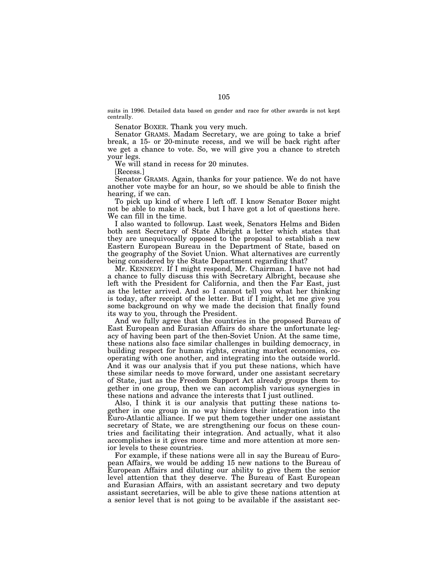suits in 1996. Detailed data based on gender and race for other awards is not kept centrally.

Senator BOXER. Thank you very much.

Senator GRAMS. Madam Secretary, we are going to take a brief break, a 15- or 20-minute recess, and we will be back right after we get a chance to vote. So, we will give you a chance to stretch your legs.

We will stand in recess for 20 minutes.

[Recess.]

Senator GRAMS. Again, thanks for your patience. We do not have another vote maybe for an hour, so we should be able to finish the hearing, if we can.

To pick up kind of where I left off. I know Senator Boxer might not be able to make it back, but I have got a lot of questions here. We can fill in the time.

I also wanted to followup. Last week, Senators Helms and Biden both sent Secretary of State Albright a letter which states that they are unequivocally opposed to the proposal to establish a new Eastern European Bureau in the Department of State, based on the geography of the Soviet Union. What alternatives are currently being considered by the State Department regarding that?

Mr. KENNEDY. If I might respond, Mr. Chairman. I have not had a chance to fully discuss this with Secretary Albright, because she left with the President for California, and then the Far East, just as the letter arrived. And so I cannot tell you what her thinking is today, after receipt of the letter. But if I might, let me give you some background on why we made the decision that finally found its way to you, through the President.

And we fully agree that the countries in the proposed Bureau of East European and Eurasian Affairs do share the unfortunate legacy of having been part of the then-Soviet Union. At the same time, these nations also face similar challenges in building democracy, in building respect for human rights, creating market economies, cooperating with one another, and integrating into the outside world. And it was our analysis that if you put these nations, which have these similar needs to move forward, under one assistant secretary of State, just as the Freedom Support Act already groups them together in one group, then we can accomplish various synergies in these nations and advance the interests that I just outlined.

Also, I think it is our analysis that putting these nations together in one group in no way hinders their integration into the Euro-Atlantic alliance. If we put them together under one assistant secretary of State, we are strengthening our focus on these countries and facilitating their integration. And actually, what it also accomplishes is it gives more time and more attention at more senior levels to these countries.

For example, if these nations were all in say the Bureau of European Affairs, we would be adding 15 new nations to the Bureau of European Affairs and diluting our ability to give them the senior level attention that they deserve. The Bureau of East European and Eurasian Affairs, with an assistant secretary and two deputy assistant secretaries, will be able to give these nations attention at a senior level that is not going to be available if the assistant sec-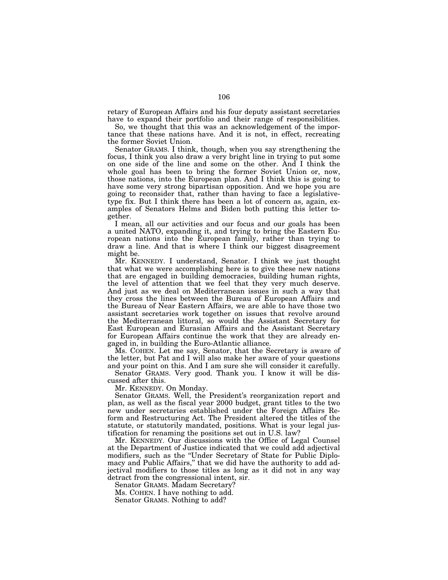retary of European Affairs and his four deputy assistant secretaries have to expand their portfolio and their range of responsibilities.

So, we thought that this was an acknowledgement of the importance that these nations have. And it is not, in effect, recreating the former Soviet Union.

Senator GRAMS. I think, though, when you say strengthening the focus, I think you also draw a very bright line in trying to put some on one side of the line and some on the other. And I think the whole goal has been to bring the former Soviet Union or, now, those nations, into the European plan. And I think this is going to have some very strong bipartisan opposition. And we hope you are going to reconsider that, rather than having to face a legislativetype fix. But I think there has been a lot of concern as, again, examples of Senators Helms and Biden both putting this letter together.

I mean, all our activities and our focus and our goals has been a united NATO, expanding it, and trying to bring the Eastern European nations into the European family, rather than trying to draw a line. And that is where I think our biggest disagreement might be.

Mr. KENNEDY. I understand, Senator. I think we just thought that what we were accomplishing here is to give these new nations that are engaged in building democracies, building human rights, the level of attention that we feel that they very much deserve. And just as we deal on Mediterranean issues in such a way that they cross the lines between the Bureau of European Affairs and the Bureau of Near Eastern Affairs, we are able to have those two assistant secretaries work together on issues that revolve around the Mediterranean littoral, so would the Assistant Secretary for East European and Eurasian Affairs and the Assistant Secretary for European Affairs continue the work that they are already engaged in, in building the Euro-Atlantic alliance.

Ms. COHEN. Let me say, Senator, that the Secretary is aware of the letter, but Pat and I will also make her aware of your questions and your point on this. And I am sure she will consider it carefully.

Senator GRAMS. Very good. Thank you. I know it will be discussed after this.

Mr. KENNEDY. On Monday.

Senator GRAMS. Well, the President's reorganization report and plan, as well as the fiscal year 2000 budget, grant titles to the two new under secretaries established under the Foreign Affairs Reform and Restructuring Act. The President altered the titles of the statute, or statutorily mandated, positions. What is your legal justification for renaming the positions set out in U.S. law?

Mr. KENNEDY. Our discussions with the Office of Legal Counsel at the Department of Justice indicated that we could add adjectival modifiers, such as the ''Under Secretary of State for Public Diplomacy and Public Affairs,'' that we did have the authority to add adjectival modifiers to those titles as long as it did not in any way detract from the congressional intent, sir.

Senator GRAMS. Madam Secretary?

Ms. COHEN. I have nothing to add.

Senator GRAMS. Nothing to add?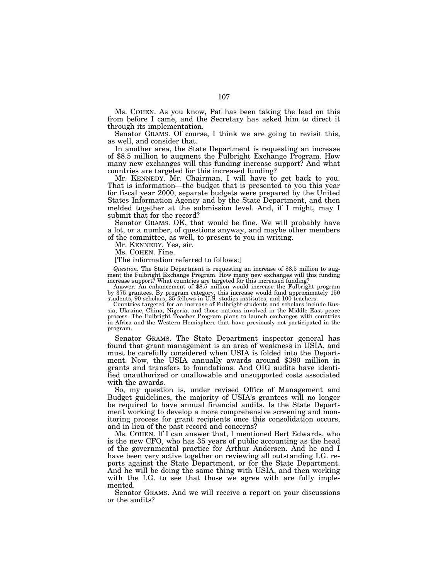Ms. COHEN. As you know, Pat has been taking the lead on this from before I came, and the Secretary has asked him to direct it through its implementation.

Senator GRAMS. Of course, I think we are going to revisit this, as well, and consider that.

In another area, the State Department is requesting an increase of \$8.5 million to augment the Fulbright Exchange Program. How many new exchanges will this funding increase support? And what countries are targeted for this increased funding?

Mr. KENNEDY. Mr. Chairman, I will have to get back to you. That is information—the budget that is presented to you this year for fiscal year 2000, separate budgets were prepared by the United States Information Agency and by the State Department, and then melded together at the submission level. And, if I might, may I submit that for the record?

Senator GRAMS. OK, that would be fine. We will probably have a lot, or a number, of questions anyway, and maybe other members of the committee, as well, to present to you in writing.

Mr. KENNEDY. Yes, sir.

Ms. COHEN. Fine.

[The information referred to follows:]

*Question.* The State Department is requesting an increase of \$8.5 million to augment the Fulbright Exchange Program. How many new exchanges will this funding increase support? What countries are targeted for this increased funding?

Answer. An enhancement of \$8.5 million would increase the Fulbright program by 375 grantees. By program category, this increase would fund approximately 150 students, 90 scholars, 35 fellows in U.S. studies institutes, and 100 teachers.

Countries targeted for an increase of Fulbright students and scholars include Russia, Ukraine, China, Nigeria, and those nations involved in the Middle East peace process. The Fulbright Teacher Program plans to launch exchanges with countries in Africa and the Western Hemisphere that have previously not participated in the program.

Senator GRAMS. The State Department inspector general has found that grant management is an area of weakness in USIA, and must be carefully considered when USIA is folded into the Department. Now, the USIA annually awards around \$380 million in grants and transfers to foundations. And OIG audits have identified unauthorized or unallowable and unsupported costs associated with the awards.

So, my question is, under revised Office of Management and Budget guidelines, the majority of USIA's grantees will no longer be required to have annual financial audits. Is the State Department working to develop a more comprehensive screening and monitoring process for grant recipients once this consolidation occurs, and in lieu of the past record and concerns?

Ms. COHEN. If I can answer that, I mentioned Bert Edwards, who is the new CFO, who has 35 years of public accounting as the head of the governmental practice for Arthur Andersen. And he and I have been very active together on reviewing all outstanding I.G. reports against the State Department, or for the State Department. And he will be doing the same thing with USIA, and then working with the I.G. to see that those we agree with are fully implemented.

Senator GRAMS. And we will receive a report on your discussions or the audits?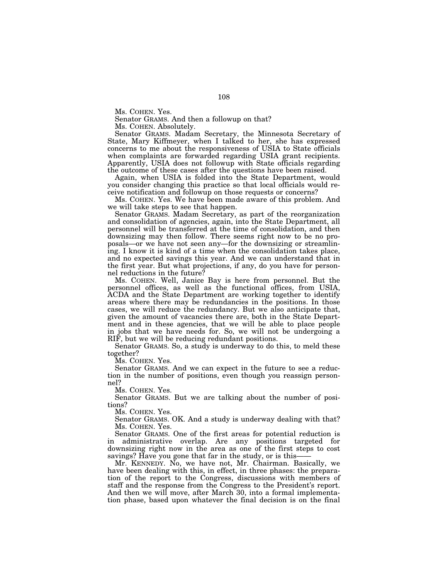Ms. COHEN. Yes.

Senator GRAMS. And then a followup on that?

Ms. COHEN. Absolutely.

Senator GRAMS. Madam Secretary, the Minnesota Secretary of State, Mary Kiffmeyer, when I talked to her, she has expressed concerns to me about the responsiveness of USIA to State officials when complaints are forwarded regarding USIA grant recipients. Apparently, USIA does not followup with State officials regarding the outcome of these cases after the questions have been raised.

Again, when USIA is folded into the State Department, would you consider changing this practice so that local officials would receive notification and followup on those requests or concerns?

Ms. COHEN. Yes. We have been made aware of this problem. And we will take steps to see that happen.

Senator GRAMS. Madam Secretary, as part of the reorganization and consolidation of agencies, again, into the State Department, all personnel will be transferred at the time of consolidation, and then downsizing may then follow. There seems right now to be no proposals—or we have not seen any—for the downsizing or streamlining. I know it is kind of a time when the consolidation takes place, and no expected savings this year. And we can understand that in the first year. But what projections, if any, do you have for personnel reductions in the future?

Ms. COHEN. Well, Janice Bay is here from personnel. But the personnel offices, as well as the functional offices, from USIA, ACDA and the State Department are working together to identify areas where there may be redundancies in the positions. In those cases, we will reduce the redundancy. But we also anticipate that, given the amount of vacancies there are, both in the State Department and in these agencies, that we will be able to place people in jobs that we have needs for. So, we will not be undergoing a RIF, but we will be reducing redundant positions.

Senator GRAMS. So, a study is underway to do this, to meld these together?

Ms. COHEN. Yes.

Senator GRAMS. And we can expect in the future to see a reduction in the number of positions, even though you reassign personnel?

Ms. COHEN. Yes.

Senator GRAMS. But we are talking about the number of positions?

Ms. COHEN. Yes.

Senator GRAMS. OK. And a study is underway dealing with that? Ms. COHEN. Yes.

Senator GRAMS. One of the first areas for potential reduction is in administrative overlap. Are any positions targeted for downsizing right now in the area as one of the first steps to cost savings? Have you gone that far in the study, or is this-

Mr. KENNEDY. No, we have not, Mr. Chairman. Basically, we have been dealing with this, in effect, in three phases: the preparation of the report to the Congress, discussions with members of staff and the response from the Congress to the President's report. And then we will move, after March 30, into a formal implementation phase, based upon whatever the final decision is on the final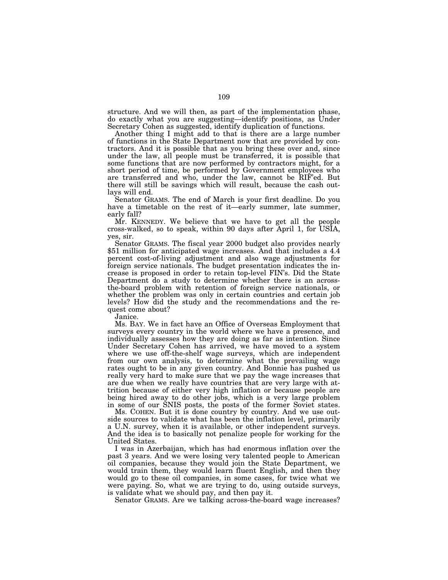structure. And we will then, as part of the implementation phase, do exactly what you are suggesting—identify positions, as Under Secretary Cohen as suggested, identify duplication of functions.

Another thing I might add to that is there are a large number of functions in the State Department now that are provided by contractors. And it is possible that as you bring these over and, since under the law, all people must be transferred, it is possible that some functions that are now performed by contractors might, for a short period of time, be performed by Government employees who are transferred and who, under the law, cannot be RIF'ed. But there will still be savings which will result, because the cash outlays will end.

Senator GRAMS. The end of March is your first deadline. Do you have a timetable on the rest of it—early summer, late summer, early fall?

Mr. KENNEDY. We believe that we have to get all the people cross-walked, so to speak, within 90 days after April 1, for USIA, yes, sir.

Senator GRAMS. The fiscal year 2000 budget also provides nearly \$51 million for anticipated wage increases. And that includes a 4.4 percent cost-of-living adjustment and also wage adjustments for foreign service nationals. The budget presentation indicates the increase is proposed in order to retain top-level FIN's. Did the State Department do a study to determine whether there is an acrossthe-board problem with retention of foreign service nationals, or whether the problem was only in certain countries and certain job levels? How did the study and the recommendations and the request come about?

Janice.

Ms. BAY. We in fact have an Office of Overseas Employment that surveys every country in the world where we have a presence, and individually assesses how they are doing as far as intention. Since Under Secretary Cohen has arrived, we have moved to a system where we use off-the-shelf wage surveys, which are independent from our own analysis, to determine what the prevailing wage rates ought to be in any given country. And Bonnie has pushed us really very hard to make sure that we pay the wage increases that are due when we really have countries that are very large with attrition because of either very high inflation or because people are being hired away to do other jobs, which is a very large problem in some of our SNIS posts, the posts of the former Soviet states.

Ms. COHEN. But it is done country by country. And we use outside sources to validate what has been the inflation level, primarily a U.N. survey, when it is available, or other independent surveys. And the idea is to basically not penalize people for working for the United States.

I was in Azerbaijan, which has had enormous inflation over the past 3 years. And we were losing very talented people to American oil companies, because they would join the State Department, we would train them, they would learn fluent English, and then they would go to these oil companies, in some cases, for twice what we were paying. So, what we are trying to do, using outside surveys, is validate what we should pay, and then pay it.

Senator GRAMS. Are we talking across-the-board wage increases?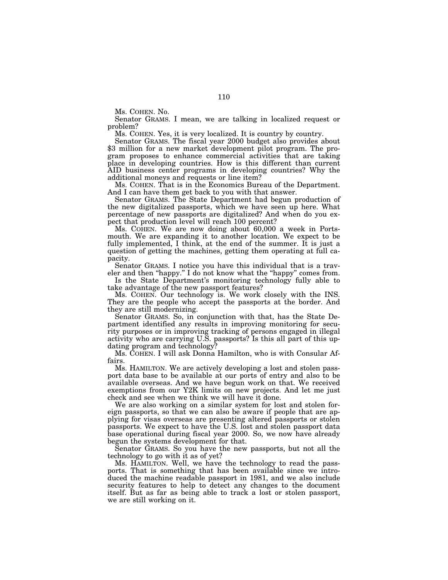Ms. COHEN. No.

Senator GRAMS. I mean, we are talking in localized request or problem?

Ms. COHEN. Yes, it is very localized. It is country by country. \$3 million for a new market development pilot program. The program proposes to enhance commercial activities that are taking place in developing countries. How is this different than current AID business center programs in developing countries? Why the additional moneys and requests or line item?

Ms. COHEN. That is in the Economics Bureau of the Department. And I can have them get back to you with that answer.

Senator GRAMS. The State Department had begun production of the new digitalized passports, which we have seen up here. What percentage of new passports are digitalized? And when do you expect that production level will reach 100 percent?

Ms. COHEN. We are now doing about 60,000 a week in Portsmouth. We are expanding it to another location. We expect to be fully implemented, I think, at the end of the summer. It is just a question of getting the machines, getting them operating at full capacity.

Senator GRAMS. I notice you have this individual that is a traveler and then "happy." I do not know what the "happy" comes from.

Is the State Department's monitoring technology fully able to take advantage of the new passport features?

Ms. COHEN. Our technology is. We work closely with the INS. They are the people who accept the passports at the border. And they are still modernizing.

Senator GRAMS. So, in conjunction with that, has the State Department identified any results in improving monitoring for security purposes or in improving tracking of persons engaged in illegal activity who are carrying U.S. passports? Is this all part of this updating program and technology?

Ms. COHEN. I will ask Donna Hamilton, who is with Consular Affairs.

Ms. HAMILTON. We are actively developing a lost and stolen passport data base to be available at our ports of entry and also to be available overseas. And we have begun work on that. We received exemptions from our Y2K limits on new projects. And let me just check and see when we think we will have it done.

We are also working on a similar system for lost and stolen foreign passports, so that we can also be aware if people that are applying for visas overseas are presenting altered passports or stolen passports. We expect to have the U.S. lost and stolen passport data base operational during fiscal year 2000. So, we now have already begun the systems development for that.

Senator GRAMS. So you have the new passports, but not all the technology to go with it as of yet?

Ms. HAMILTON. Well, we have the technology to read the passports. That is something that has been available since we introduced the machine readable passport in 1981, and we also include security features to help to detect any changes to the document itself. But as far as being able to track a lost or stolen passport, we are still working on it.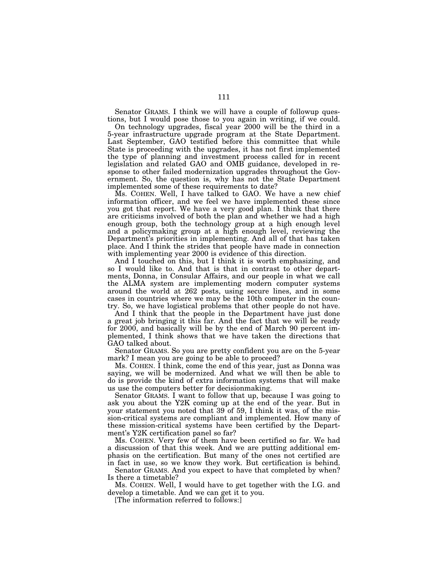Senator GRAMS. I think we will have a couple of followup questions, but I would pose those to you again in writing, if we could.

On technology upgrades, fiscal year 2000 will be the third in a 5-year infrastructure upgrade program at the State Department. Last September, GAO testified before this committee that while State is proceeding with the upgrades, it has not first implemented the type of planning and investment process called for in recent legislation and related GAO and OMB guidance, developed in response to other failed modernization upgrades throughout the Government. So, the question is, why has not the State Department implemented some of these requirements to date?

Ms. COHEN. Well, I have talked to GAO. We have a new chief information officer, and we feel we have implemented these since you got that report. We have a very good plan. I think that there are criticisms involved of both the plan and whether we had a high enough group, both the technology group at a high enough level and a policymaking group at a high enough level, reviewing the Department's priorities in implementing. And all of that has taken place. And I think the strides that people have made in connection with implementing year 2000 is evidence of this direction.

And I touched on this, but I think it is worth emphasizing, and so I would like to. And that is that in contrast to other departments, Donna, in Consular Affairs, and our people in what we call the ALMA system are implementing modern computer systems around the world at 262 posts, using secure lines, and in some cases in countries where we may be the 10th computer in the country. So, we have logistical problems that other people do not have.

And I think that the people in the Department have just done a great job bringing it this far. And the fact that we will be ready for 2000, and basically will be by the end of March 90 percent implemented, I think shows that we have taken the directions that GAO talked about.

Senator GRAMS. So you are pretty confident you are on the 5-year mark? I mean you are going to be able to proceed?

Ms. COHEN. I think, come the end of this year, just as Donna was saying, we will be modernized. And what we will then be able to do is provide the kind of extra information systems that will make us use the computers better for decisionmaking.

Senator GRAMS. I want to follow that up, because I was going to ask you about the Y2K coming up at the end of the year. But in your statement you noted that 39 of 59, I think it was, of the mission-critical systems are compliant and implemented. How many of these mission-critical systems have been certified by the Department's Y2K certification panel so far?

Ms. COHEN. Very few of them have been certified so far. We had a discussion of that this week. And we are putting additional emphasis on the certification. But many of the ones not certified are in fact in use, so we know they work. But certification is behind.

Senator GRAMS. And you expect to have that completed by when? Is there a timetable?

Ms. COHEN. Well, I would have to get together with the I.G. and develop a timetable. And we can get it to you.

[The information referred to follows:]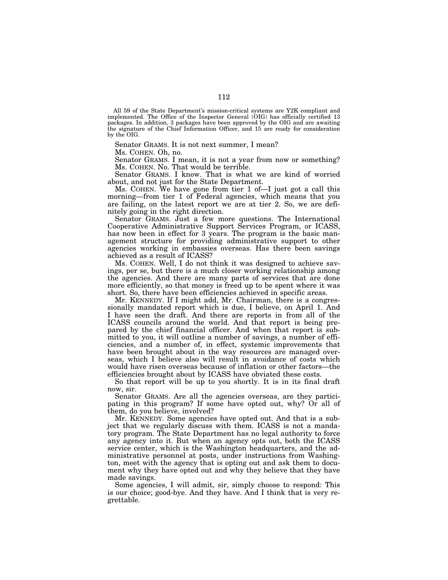All 59 of the State Department's mission-critical systems are Y2K compliant and implemented. The Office of the Inspector General (OIG) has officially certified 13 packages. In addition, 3 packages have been approved by the OIG and are awaiting the signature of the Chief Information Officer, and 15 are ready for consideration by the OIG.

Senator GRAMS. It is not next summer, I mean?

Ms. COHEN. Oh, no.

Senator GRAMS. I mean, it is not a year from now or something? Ms. COHEN. No. That would be terrible.

Senator GRAMS. I know. That is what we are kind of worried about, and not just for the State Department.

Ms. COHEN. We have gone from tier 1 of—I just got a call this morning—from tier 1 of Federal agencies, which means that you are failing, on the latest report we are at tier 2. So, we are definitely going in the right direction.

Senator GRAMS. Just a few more questions. The International Cooperative Administrative Support Services Program, or ICASS, has now been in effect for 3 years. The program is the basic management structure for providing administrative support to other agencies working in embassies overseas. Has there been savings achieved as a result of ICASS?

Ms. COHEN. Well, I do not think it was designed to achieve savings, per se, but there is a much closer working relationship among the agencies. And there are many parts of services that are done more efficiently, so that money is freed up to be spent where it was short. So, there have been efficiencies achieved in specific areas.

Mr. KENNEDY. If I might add, Mr. Chairman, there is a congressionally mandated report which is due, I believe, on April 1. And I have seen the draft. And there are reports in from all of the ICASS councils around the world. And that report is being prepared by the chief financial officer. And when that report is submitted to you, it will outline a number of savings, a number of efficiencies, and a number of, in effect, systemic improvements that have been brought about in the way resources are managed overseas, which I believe also will result in avoidance of costs which would have risen overseas because of inflation or other factors—the efficiencies brought about by ICASS have obviated these costs.

So that report will be up to you shortly. It is in its final draft now, sir.

Senator GRAMS. Are all the agencies overseas, are they participating in this program? If some have opted out, why? Or all of them, do you believe, involved?

Mr. KENNEDY. Some agencies have opted out. And that is a subject that we regularly discuss with them. ICASS is not a mandatory program. The State Department has no legal authority to force any agency into it. But when an agency opts out, both the ICASS service center, which is the Washington headquarters, and the administrative personnel at posts, under instructions from Washington, meet with the agency that is opting out and ask them to document why they have opted out and why they believe that they have made savings.

Some agencies, I will admit, sir, simply choose to respond: This is our choice; good-bye. And they have. And I think that is very regrettable.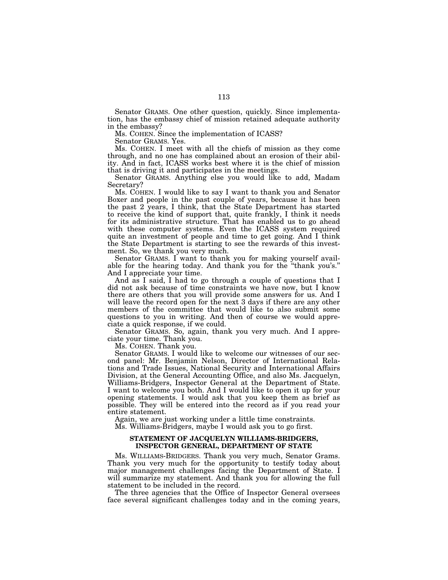Senator GRAMS. One other question, quickly. Since implementation, has the embassy chief of mission retained adequate authority in the embassy?

Ms. COHEN. Since the implementation of ICASS?

Senator GRAMS. Yes.

Ms. COHEN. I meet with all the chiefs of mission as they come through, and no one has complained about an erosion of their ability. And in fact, ICASS works best where it is the chief of mission that is driving it and participates in the meetings.

Senator GRAMS. Anything else you would like to add, Madam Secretary?

Ms. COHEN. I would like to say I want to thank you and Senator Boxer and people in the past couple of years, because it has been the past 2 years, I think, that the State Department has started to receive the kind of support that, quite frankly, I think it needs for its administrative structure. That has enabled us to go ahead with these computer systems. Even the ICASS system required quite an investment of people and time to get going. And I think the State Department is starting to see the rewards of this investment. So, we thank you very much.

Senator GRAMS. I want to thank you for making yourself available for the hearing today. And thank you for the ''thank you's.'' And I appreciate your time.

And as I said, I had to go through a couple of questions that I did not ask because of time constraints we have now, but I know there are others that you will provide some answers for us. And I will leave the record open for the next 3 days if there are any other members of the committee that would like to also submit some questions to you in writing. And then of course we would appreciate a quick response, if we could.

Senator GRAMS. So, again, thank you very much. And I appreciate your time. Thank you.

Ms. COHEN. Thank you.

Senator GRAMS. I would like to welcome our witnesses of our second panel: Mr. Benjamin Nelson, Director of International Relations and Trade Issues, National Security and International Affairs Division, at the General Accounting Office, and also Ms. Jacquelyn, Williams-Bridgers, Inspector General at the Department of State. I want to welcome you both. And I would like to open it up for your opening statements. I would ask that you keep them as brief as possible. They will be entered into the record as if you read your entire statement.

Again, we are just working under a little time constraints.

Ms. Williams-Bridgers, maybe I would ask you to go first.

# **STATEMENT OF JACQUELYN WILLIAMS-BRIDGERS, INSPECTOR GENERAL, DEPARTMENT OF STATE**

Ms. WILLIAMS-BRIDGERS. Thank you very much, Senator Grams. Thank you very much for the opportunity to testify today about major management challenges facing the Department of State. I will summarize my statement. And thank you for allowing the full statement to be included in the record.

The three agencies that the Office of Inspector General oversees face several significant challenges today and in the coming years,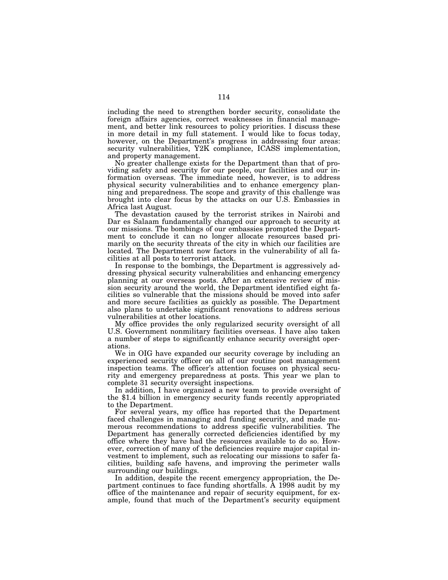including the need to strengthen border security, consolidate the foreign affairs agencies, correct weaknesses in financial management, and better link resources to policy priorities. I discuss these in more detail in my full statement. I would like to focus today, however, on the Department's progress in addressing four areas: security vulnerabilities, Y2K compliance, ICASS implementation, and property management.

No greater challenge exists for the Department than that of providing safety and security for our people, our facilities and our information overseas. The immediate need, however, is to address physical security vulnerabilities and to enhance emergency planning and preparedness. The scope and gravity of this challenge was brought into clear focus by the attacks on our U.S. Embassies in Africa last August.

The devastation caused by the terrorist strikes in Nairobi and Dar es Salaam fundamentally changed our approach to security at our missions. The bombings of our embassies prompted the Department to conclude it can no longer allocate resources based primarily on the security threats of the city in which our facilities are located. The Department now factors in the vulnerability of all facilities at all posts to terrorist attack.

In response to the bombings, the Department is aggressively addressing physical security vulnerabilities and enhancing emergency planning at our overseas posts. After an extensive review of mission security around the world, the Department identified eight facilities so vulnerable that the missions should be moved into safer and more secure facilities as quickly as possible. The Department also plans to undertake significant renovations to address serious vulnerabilities at other locations.

My office provides the only regularized security oversight of all U.S. Government nonmilitary facilities overseas. I have also taken a number of steps to significantly enhance security oversight operations.

We in OIG have expanded our security coverage by including an experienced security officer on all of our routine post management inspection teams. The officer's attention focuses on physical security and emergency preparedness at posts. This year we plan to complete 31 security oversight inspections.

In addition, I have organized a new team to provide oversight of the \$1.4 billion in emergency security funds recently appropriated to the Department.

For several years, my office has reported that the Department faced challenges in managing and funding security, and made numerous recommendations to address specific vulnerabilities. The Department has generally corrected deficiencies identified by my office where they have had the resources available to do so. However, correction of many of the deficiencies require major capital investment to implement, such as relocating our missions to safer facilities, building safe havens, and improving the perimeter walls surrounding our buildings.

In addition, despite the recent emergency appropriation, the Department continues to face funding shortfalls. A 1998 audit by my office of the maintenance and repair of security equipment, for example, found that much of the Department's security equipment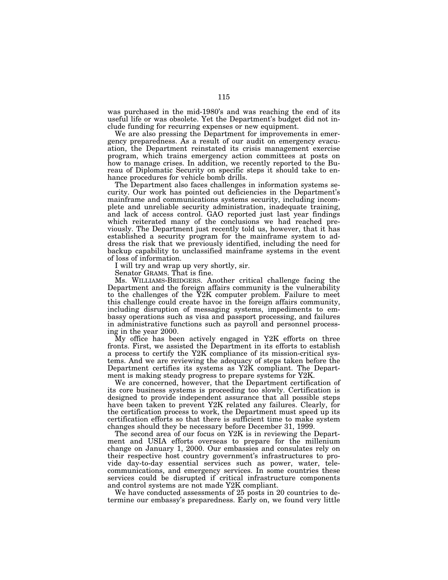was purchased in the mid-1980's and was reaching the end of its useful life or was obsolete. Yet the Department's budget did not include funding for recurring expenses or new equipment.

We are also pressing the Department for improvements in emergency preparedness. As a result of our audit on emergency evacuation, the Department reinstated its crisis management exercise program, which trains emergency action committees at posts on how to manage crises. In addition, we recently reported to the Bureau of Diplomatic Security on specific steps it should take to enhance procedures for vehicle bomb drills.

The Department also faces challenges in information systems security. Our work has pointed out deficiencies in the Department's mainframe and communications systems security, including incomplete and unreliable security administration, inadequate training, and lack of access control. GAO reported just last year findings which reiterated many of the conclusions we had reached previously. The Department just recently told us, however, that it has established a security program for the mainframe system to address the risk that we previously identified, including the need for backup capability to unclassified mainframe systems in the event of loss of information.

I will try and wrap up very shortly, sir.

Senator GRAMS. That is fine.

Ms. WILLIAMS-BRIDGERS. Another critical challenge facing the Department and the foreign affairs community is the vulnerability to the challenges of the Y2K computer problem. Failure to meet this challenge could create havoc in the foreign affairs community, including disruption of messaging systems, impediments to embassy operations such as visa and passport processing, and failures in administrative functions such as payroll and personnel processing in the year 2000.

My office has been actively engaged in Y2K efforts on three fronts. First, we assisted the Department in its efforts to establish a process to certify the Y2K compliance of its mission-critical systems. And we are reviewing the adequacy of steps taken before the Department certifies its systems as Y2K compliant. The Department is making steady progress to prepare systems for Y2K.

We are concerned, however, that the Department certification of its core business systems is proceeding too slowly. Certification is designed to provide independent assurance that all possible steps have been taken to prevent Y2K related any failures. Clearly, for the certification process to work, the Department must speed up its certification efforts so that there is sufficient time to make system changes should they be necessary before December 31, 1999.

The second area of our focus on Y2K is in reviewing the Department and USIA efforts overseas to prepare for the millenium change on January 1, 2000. Our embassies and consulates rely on their respective host country government's infrastructures to provide day-to-day essential services such as power, water, telecommunications, and emergency services. In some countries these services could be disrupted if critical infrastructure components and control systems are not made Y2K compliant.

We have conducted assessments of 25 posts in 20 countries to determine our embassy's preparedness. Early on, we found very little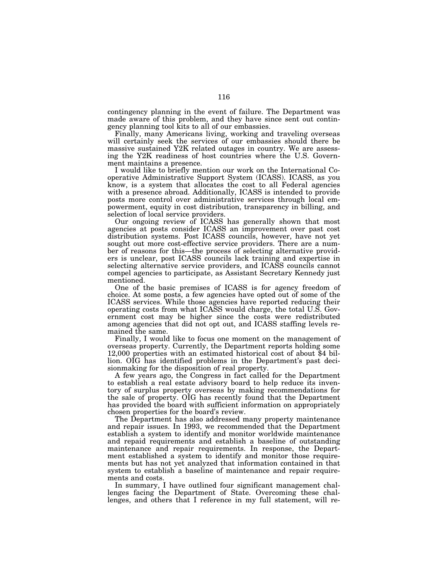contingency planning in the event of failure. The Department was made aware of this problem, and they have since sent out contingency planning tool kits to all of our embassies.

Finally, many Americans living, working and traveling overseas will certainly seek the services of our embassies should there be massive sustained Y2K related outages in country. We are assessing the Y2K readiness of host countries where the U.S. Government maintains a presence.

I would like to briefly mention our work on the International Cooperative Administrative Support System (ICASS). ICASS, as you know, is a system that allocates the cost to all Federal agencies with a presence abroad. Additionally, ICASS is intended to provide posts more control over administrative services through local empowerment, equity in cost distribution, transparency in billing, and selection of local service providers.

Our ongoing review of ICASS has generally shown that most agencies at posts consider ICASS an improvement over past cost distribution systems. Post ICASS councils, however, have not yet sought out more cost-effective service providers. There are a number of reasons for this—the process of selecting alternative providers is unclear, post ICASS councils lack training and expertise in selecting alternative service providers, and ICASS councils cannot compel agencies to participate, as Assistant Secretary Kennedy just mentioned.

One of the basic premises of ICASS is for agency freedom of choice. At some posts, a few agencies have opted out of some of the ICASS services. While those agencies have reported reducing their operating costs from what ICASS would charge, the total U.S. Government cost may be higher since the costs were redistributed among agencies that did not opt out, and ICASS staffing levels remained the same.

Finally, I would like to focus one moment on the management of overseas property. Currently, the Department reports holding some 12,000 properties with an estimated historical cost of about \$4 billion. OIG has identified problems in the Department's past decisionmaking for the disposition of real property.

A few years ago, the Congress in fact called for the Department to establish a real estate advisory board to help reduce its inventory of surplus property overseas by making recommendations for the sale of property. OIG has recently found that the Department has provided the board with sufficient information on appropriately chosen properties for the board's review.

The Department has also addressed many property maintenance and repair issues. In 1993, we recommended that the Department establish a system to identify and monitor worldwide maintenance and repaid requirements and establish a baseline of outstanding maintenance and repair requirements. In response, the Department established a system to identify and monitor those requirements but has not yet analyzed that information contained in that system to establish a baseline of maintenance and repair requirements and costs.

In summary, I have outlined four significant management challenges facing the Department of State. Overcoming these challenges, and others that I reference in my full statement, will re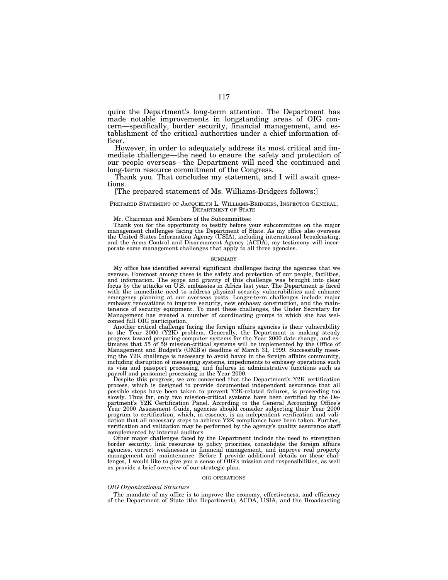quire the Department's long-term attention. The Department has made notable improvements in longstanding areas of OIG concern—specifically, border security, financial management, and establishment of the critical authorities under a chief information officer.

However, in order to adequately address its most critical and immediate challenge—the need to ensure the safety and protection of our people overseas—the Department will need the continued and long-term resource commitment of the Congress.

Thank you. That concludes my statement, and I will await questions.

# [The prepared statement of Ms. Williams-Bridgers follows:]

PREPARED STATEMENT OF JACQUELYN L. WILLIAMS-BRIDGERS, INSPECTOR GENERAL, DEPARTMENT OF STATE

Mr. Chairman and Members of the Subcommittee:

Thank you for the opportunity to testify before your subcommittee on the major management challenges facing the Department of State. As my office also oversees the United States Information Agency (USIA), including international broadcasting, and the Arms Control and Disarmament Agency (ACDA), my testimony will incorporate some management challenges that apply to all three agencies.

#### SUMMARY

My office has identified several significant challenges facing the agencies that we oversee. Foremost among these is the safety and protection of our people, facilities, and information. The scope and gravity of this challenge was brought into clear focus by the attacks on U.S. embassies in Africa last year. The Department is faced with the immediate need to address physical security vulnerabilities and enhance emergency planning at our overseas posts. Longer-term challenges include major embassy renovations to improve security, new embassy construction, and the maintenance of security equipment. To meet these challenges, the Under Secretary for Management has created a number of coordinating groups to which she has welcomed full OIG participation.

Another critical challenge facing the foreign affairs agencies is their vulnerability to the Year 2000 (Y2K) problem. Generally, the Department is making steady progress toward preparing computer systems for the Year 2000 date change, and estimates that 55 of 59 mission-critical systems will be implemented by the Office of Management and Budget's (OMB's) deadline of March 31, 1999. Successfully meeting the Y2K challenge is necessary to avoid havoc in the foreign affairs community, including disruption of messaging systems, impediments to embassy operations such as visa and passport processing, and failures in administrative functions such as payroll and personnel processing in the Year 2000.

Despite this progress, we are concerned that the Department's Y2K certification process, which is designed to provide documented independent assurance that all possible steps have been taken to prevent Y2K-related failures, is proceeding too slowly. Thus far, only two mission-critical systems have been certified by the Department's Y2K Certification Panel. According to the General Accounting Office's Year 2000 Assessment Guide, agencies should consider subjecting their Year 2000 program to certification, which, in essence, is an independent verification and validation that all necessary steps to achieve Y2K compliance have been taken. Further, verification and validation may be performed by the agency's quality assurance staff complemented by internal auditors.

Other major challenges faced by the Department include the need to strengthen border security, link resources to policy priorities, consolidate the foreign affairs agencies, correct weaknesses in financial management, and improve real property management and maintenance. Before I provide additional details on these challenges, I would like to give you a sense of OIG's mission and responsibilities, as well as provide a brief overview of our strategic plan.

## OIG OPERATIONS

# *OIG Organizational Structure*

The mandate of my office is to improve the economy, effectiveness, and efficiency of the Department of State (the Department), ACDA, USIA, and the Broadcasting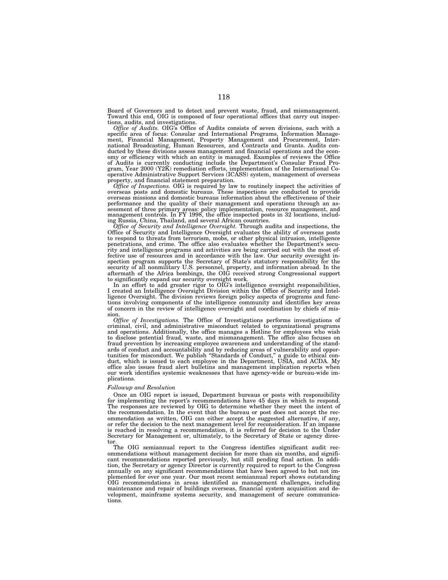Board of Governors and to detect and prevent waste, fraud, and mismanagement. Toward this end, OIG is composed of four operational offices that carry out inspec-tions, audits, and investigations.

*Office of Audits.* OIG's Office of Audits consists of seven divisions, each with a specific area of focus: Consular and International Programs, Information Management, Financial Management, Property Management and Procurement, Inter-national Broadcasting, Human Resources, and Contracts and Grants. Audits conducted by these divisions assess management and financial operations and the economy or efficiency with which an entity is managed. Examples of reviews the Office<br>of Audits is currently conducting include the Department's Consular Fraud Pro-<br>gram, Year 2000 (Y2K) remediation efforts, implementation of property, and financial statement preparation.

*Office of Inspections.* OIG is required by law to routinely inspect the activities of overseas posts and domestic bureaus. These inspections are conducted to provide overseas missions and domestic bureaus information about the effectiveness of their performance and the quality of their management and operations through an assessment of three primary areas: policy implementation, resource management, and management controls. In FY 1998, the office inspected posts in 32 locations, including Russia, China, Thailand, and several African countries.

*Office of Security and Intelligence Oversight.* Through audits and inspections, the Office of Security and Intelligence Oversight evaluates the ability of overseas posts to respond to threats from terrorism, mobs, or other physical intrusion, intelligence penetrations, and crime. The office also evaluates whether the Department's security and intelligence programs and activities are being carried out with the most effective use of resources and in accordance with the law. Our security oversight inspection program supports the Secretary of State's statutory responsibility for the security of all nonmilitary U.S. personnel, property, and information abroad. In the aftermath of the Africa bombings, the OIG received strong Congressional support to significantly expand our security oversight work.

In an effort to add greater rigor to OIG's intelligence oversight responsibilities, I created an Intelligence Oversight Division within the Office of Security and Intelligence Oversight. The division reviews foreign policy aspects of programs and functions involving components of the intelligence community and identifies key areas of concern in the review of intelligence oversight and coordination by chiefs of mission.

*Office of Investigations.* The Office of Investigations performs investigations of criminal, civil, and administrative misconduct related to organizational programs and operations. Additionally, the office manages a Hotline for employees who wish to disclose potential fraud, waste, and mismanagement. The office also focuses on fraud prevention by increasing employee awareness and understanding of the standards of conduct and accountability and by reducing areas of vulnerability and opportunities for misconduct. We publish ''Standards of Conduct,'' a guide to ethical conduct, which is issued to each employee in the Department, USIA, and ACDA. My office also issues fraud alert bulletins and management implication reports when our work identifies systemic weaknesses that have agency-wide or bureau-wide implications.

# *Followup and Resolution*

Once an OIG report is issued, Department bureaus or posts with responsibility for implementing the report's recommendations have 45 days in which to respond. The responses are reviewed by OIG to determine whether they meet the intent of the recommendation. In the event that the bureau or post does not accept the recommendation as written, OIG can either accept the suggested alternative, if any, or refer the decision to the next management level for reconsideration. If an impasse is reached in resolving a recommendation, it is referred for decision to the Under Secretary for Management or, ultimately, to the Secretary of State or agency director.

The OIG semiannual report to the Congress identifies significant audit recommendations without management decision for more than six months, and significant recommendations reported previously, but still pending final action. In addition, the Secretary or agency Director is currently required to report to the Congress annually on any significant recommendations that have been agreed to but not implemented for over one year. Our most recent semiannual report shows outstanding OIG recommendations in areas identified as management challenges, including maintenance and repair of buildings overseas, financial system acquisition and development, mainframe systems security, and management of secure communications.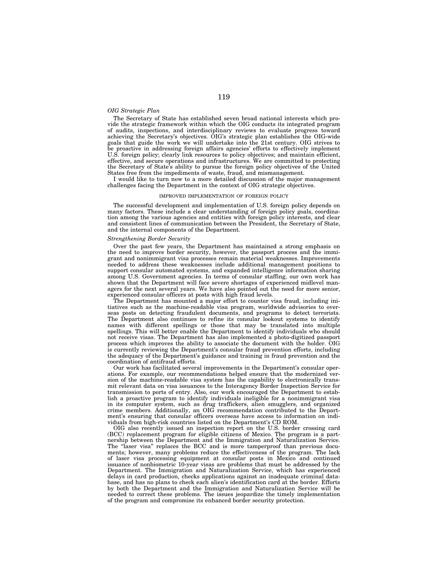## *OIG Strategic Plan*

The Secretary of State has established seven broad national interests which provide the strategic framework within which the OIG conducts its integrated program of audits, inspections, and interdisciplinary reviews to evaluate progress toward achieving the Secretary's objectives. OIG's strategic plan establishes the OIG-wide goals that guide the work we will undertake into the 21st century. OIG strives to be proactive in addressing foreign affairs agencies' efforts to effectively implement U.S. foreign policy; clearly link resources to policy objectives; and maintain efficient, effective, and secure operations and infrastructures. We are committed to protecting the Secretary of State's ability to pursue the foreign policy objectives of the United States free from the impediments of waste, fraud, and mismanagement.

I would like to turn now to a more detailed discussion of the major management challenges facing the Department in the context of OIG strategic objectives.

# IMPROVED IMPLEMENTATION OF FOREIGN POLICY

The successful development and implementation of U.S. foreign policy depends on many factors. These include a clear understanding of foreign policy goals, coordination among the various agencies and entities with foreign policy interests, and clear and consistent lines of communication between the President, the Secretary of State, and the internal components of the Department.

# *Strengthening Border Security*

Over the past few years, the Department has maintained a strong emphasis on the need to improve border security, however, the passport process and the immigrant and nonimmigrant visa processes remain material weaknesses. Improvements needed to address these weaknesses include additional management positions to support consular automated systems, and expanded intelligence information sharing among U.S. Government agencies. In terms of consular staffing, our own work has shown that the Department will face severe shortages of experienced midlevel managers for the next several years. We have also pointed out the need for more senior, experienced consular officers at posts with high fraud levels.

The Department has mounted a major effort to counter visa fraud, including initiatives such as the machine-readable visa program, worldwide advisories to overseas posts on detecting fraudulent documents, and programs to detect terrorists. The Department also continues to refine its consular lookout systems to identify names with different spellings or those that may be translated into multiple spellings. This will better enable the Department to identify individuals who should not receive visas. The Department has also implemented a photo-digitized passport process which improves the ability to associate the document with the holder. OIG is currently reviewing the Department's consular fraud prevention efforts, including the adequacy of the Department's guidance and training in fraud prevention and the coordination of antifraud efforts.

Our work has facilitated several improvements in the Department's consular operations. For example, our recommendations helped ensure that the modernized version of the machine-readable visa system has the capability to electronically transmit relevant data on visa issuances to the Interagency Border Inspection Service for transmission to ports of entry. Also, our work encouraged the Department to establish a proactive program to identify individuals ineligible for a nonimmigrant visa in its computer system, such as drug traffickers, alien smugglers, and organized crime members. Additionally, an OIG recommendation contributed to the Department's ensuring that consular officers overseas have access to information on individuals from high-risk countries listed on the Department's CD ROM.

OIG also recently issued an inspection report on the U.S. border crossing card (BCC) replacement program for eligible citizens of Mexico. The program is a partnership between the Department and the Immigration and Naturalization Service. The "laser visa" replaces the BCC and is more tamperproof than previous documents; however, many problems reduce the effectiveness of the program. The lack of laser visa processing equipment at consular posts in Mexico and continued issuance of nonbiometric 10-year visas are problems that must be addressed by the Department. The Immigration and Naturalization Service, which has experienced delays in card production, checks applications against an inadequate criminal database, and has no plans to check each alien's identification card at the border. Efforts by both the Department and the Immigration and Naturalization Service will be needed to correct these problems. The issues jeopardize the timely implementation of the program and compromise its enhanced border security protection.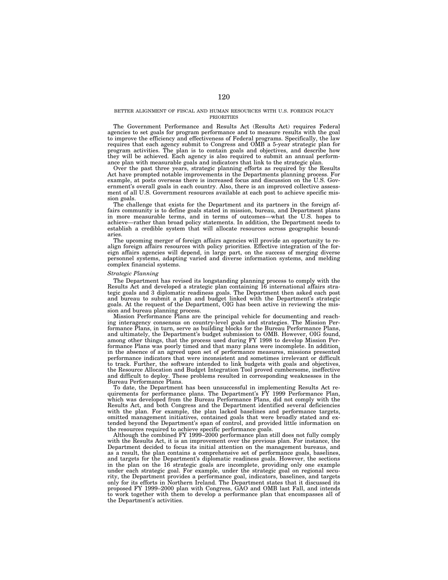## BETTER ALIGNMENT OF FISCAL AND HUMAN RESOURCES WITH U.S. FOREIGN POLICY PRIORITIES

The Government Performance and Results Act (Results Act) requires Federal agencies to set goals for program performance and to measure results with the goal to improve the efficiency and effectiveness of Federal programs. Specifically, the law requires that each agency submit to Congress and OMB a 5-year strategic plan for program activities. The plan is to contain goals and objectives, and describe how they will be achieved. Each agency is also required to submit an annual performance plan with measurable goals and indicators that link to the strategic plan.

Over the past three years, strategic planning efforts as required by the Results Act have prompted notable improvements in the Departments planning process. For example, at posts overseas there is increased focus and discussion on the U.S. Government's overall goals in each country. Also, there is an improved collective assessment of all U.S. Government resources available at each post to achieve specific mission goals.

The challenge that exists for the Department and its partners in the foreign affairs community is to define goals stated in mission, bureau, and Department plans in more measurable terms, and in terms of outcomes—what the U.S. hopes to achieve—rather than broad policy statements. In addition, the Department needs to establish a credible system that will allocate resources across geographic boundaries.

The upcoming merger of foreign affairs agencies will provide an opportunity to realign foreign affairs resources with policy priorities. Effective integration of the foreign affairs agencies will depend, in large part, on the success of merging diverse personnel systems, adapting varied and diverse information systems, and melding complex financial systems.

## *Strategic Planning*

The Department has revised its longstanding planning process to comply with the Results Act and developed a strategic plan containing 16 international affairs strategic goals and 3 diplomatic readiness goals. The Department then asked each post and bureau to submit a plan and budget linked with the Department's strategic goals. At the request of the Department, OIG has been active in reviewing the mission and bureau planning process.

Mission Performance Plans are the principal vehicle for documenting and reaching interagency consensus on country-level goals and strategies. The Mission Performance Plans, in turn, serve as building blocks for the Bureau Performance Plans, and ultimately, the Department's budget submission to OMB. However, OIG found, among other things, that the process used during FY 1998 to develop Mission Performance Plans was poorly timed and that many plans were incomplete. In addition, in the absence of an agreed upon set of performance measures, missions presented performance indicators that were inconsistent and sometimes irrelevant or difficult to track. Further, the software intended to link budgets with goals and objectives, the Resource Allocation and Budget Integration Tool proved cumbersome, ineffective and difficult to deploy. These problems resulted in corresponding weaknesses in the Bureau Performance Plans.

To date, the Department has been unsuccessful in implementing Results Act requirements for performance plans. The Department's FY 1999 Performance Plan, which was developed from the Bureau Performance Plans, did not comply with the Results Act, and both Congress and the Department identified several deficiencies with the plan. For example, the plan lacked baselines and performance targets, omitted management initiatives, contained goals that were broadly stated and extended beyond the Department's span of control, and provided little information on the resources required to achieve specific performance goals.

Although the combined FY 1999–2000 performance plan still does not fully comply with the Results Act, it is an improvement over the previous plan. For instance, the Department decided to focus its initial attention on the management bureaus, and as a result, the plan contains a comprehensive set of performance goals, baselines, and targets for the Department's diplomatic readiness goals. However, the sections in the plan on the 16 strategic goals are incomplete, providing only one example under each strategic goal. For example, under the strategic goal on regional security, the Department provides a performance goal, indicators, baselines, and targets only for its efforts in Northern Ireland. The Department states that it discussed its proposed FY 1999–2000 plan with Congress, GAO and OMB last Fall, and intends to work together with them to develop a performance plan that encompasses all of the Department's activities.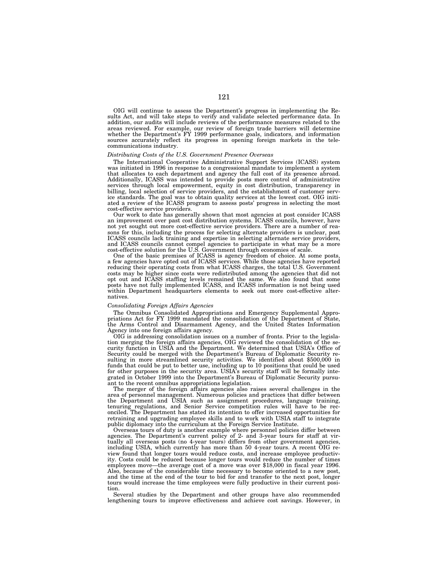OIG will continue to assess the Department's progress in implementing the Results Act, and will take steps to verify and validate selected performance data. In addition, our audits will include reviews of the performance measures related to the areas reviewed. For example, our review of foreign trade barriers will determine whether the Department's FY 1999 performance goals, indicators, and information sources accurately reflect its progress in opening foreign markets in the telecommunications industry.

## *Distributing Costs of the U.S. Government Presence Overseas*

The International Cooperative Administrative Support Services (ICASS) system was initiated in 1996 in response to a congressional mandate to implement a system that allocates to each department and agency the full cost of its presence abroad. Additionally, ICASS was intended to provide posts more control of administrative services through local empowerment, equity in cost distribution, transparency in billing, local selection of service providers, and the establishment of customer service standards. The goal was to obtain quality services at the lowest cost. OIG initiated a review of the ICASS program to assess posts' progress in selecting the most cost-effective service providers.

Our work to date has generally shown that most agencies at post consider ICASS an improvement over past cost distribution systems. ICASS councils, however, have not yet sought out more cost-effective service providers. There are a number of reasons for this, including the process for selecting alternate providers is unclear, post ICASS councils lack training and expertise in selecting alternate service providers, and ICASS councils cannot compel agencies to participate in what may be a more cost-effective solution for the U.S. Government through economies of scale.

One of the basic premises of ICASS is agency freedom of choice. At some posts, a few agencies have opted out of ICASS services. While those agencies have reported reducing their operating costs from what ICASS charges, the total U.S. Government costs may be higher since costs were redistributed among the agencies that did not opt out and ICASS staffing levels remained the same. We also found that some posts have not fully implemented ICASS, and ICASS information is not being used within Department headquarters elements to seek out more cost-effective alternatives.

# *Consolidating Foreign Affairs Agencies*

The Omnibus Consolidated Appropriations and Emergency Supplemental Appropriations Act for FY 1999 mandated the consolidation of the Department of State, the Arms Control and Disarmament Agency, and the United States Information Agency into one foreign affairs agency.

OIG is addressing consolidation issues on a number of fronts. Prior to the legislation merging the foreign affairs agencies, OIG reviewed the consolidation of the security function in USIA and the Department. We determined that USIA's Office of Security could be merged with the Department's Bureau of Diplomatic Security resulting in more streamlined security activities. We identified about \$500,000 in funds that could be put to better use, including up to 10 positions that could be used for other purposes in the security area. USIA's security staff will be formally integrated in October 1999 into the Department's Bureau of Diplomatic Security pursuant to the recent omnibus appropriations legislation.

The merger of the foreign affairs agencies also raises several challenges in the area of personnel management. Numerous policies and practices that differ between the Department and USIA such as assignment procedures, language training, tenuring regulations, and Senior Service competition rules will have to be reconciled. The Department has stated its intention to offer increased opportunities for retraining and upgrading employee skills and to work with USIA staff to integrate public diplomacy into the curriculum at the Foreign Service Institute.

Overseas tours of duty is another example where personnel policies differ between agencies. The Department's current policy of 2- and 3-year tours for staff at virtually all overseas posts (no 4-year tours) differs from other government agencies, including USIA, which currently has more than 50 4-year tours. A recent OIG review found that longer tours would reduce costs, and increase employee productivity. Costs could be reduced because longer tours would reduce the number of times employees move—the average cost of a move was over \$18,000 in fiscal year 1996. Also, because of the considerable time necessary to become oriented to a new post, and the time at the end of the tour to bid for and transfer to the next post, longer tours would increase the time employees were fully productive in their current position.

Several studies by the Department and other groups have also recommended lengthening tours to improve effectiveness and achieve cost savings. However, in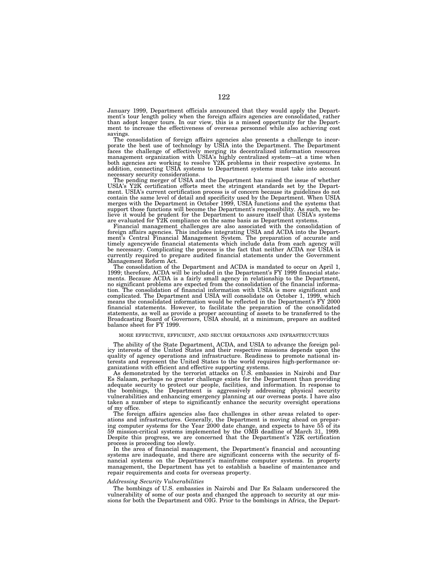January 1999, Department officials announced that they would apply the Department's tour length policy when the foreign affairs agencies are consolidated, rather than adopt longer tours. In our view, this is a missed opportunity for the Department to increase the effectiveness of overseas personnel while also achieving cost savings.

The consolidation of foreign affairs agencies also presents a challenge to incor-<br>porate the best use of technology by USIA into the Department. The Department<br>faces the challenge of effectively merging its decentralized i addition, connecting USIA systems to Department systems must take into account necessary security considerations.

The pending merger of USIA and the Department has raised the issue of whether USIA's Y2K certification efforts meet the stringent standards set by the Department. USIA's current certification process is of concern because its guidelines do not contain the same level of detail and specificity used by the Department. When USIA merges with the Department in October 1999, USIA functions and the systems that support those functions will become the Department's responsibility. As such, we believe it would be prudent for the Department to assure itself that USIA's systems are evaluated for Y2K compliance on the same basis as Department systems.

Financial management challenges are also associated with the consolidation of foreign affairs agencies. This includes integrating USIA and ACDA into the Depart-ment's Central Financial Management System. The preparation of accurate and timely agencywide financial statements which include data from each agency will be necessary. Complicating the process is the fact that neither ACDA nor USIA is currently required to prepare audited financial statements under the Government Management Reform Act.

The consolidation of the Department and ACDA is mandated to occur on April 1, 1999; therefore, ACDA will be included in the Department's FY 1999 financial statements. Because ACDA is a fairly small agency in relationship to the Department, no significant problems are expected from the consolidation of the financial information. The consolidation of financial information with USIA is more significant and complicated. The Department and USIA will consolidate on October 1, 1999, which means the consolidated information would be reflected in the Department's FY 2000 financial statements. However, to facilitate the preparation of the consolidated statements, as well as provide a proper accounting of assets to be transferred to the Broadcasting Board of Governors, USIA should, at a minimum, prepare an audited balance sheet for FY 1999.

#### MORE EFFECTIVE, EFFICIENT, AND SECURE OPERATIONS AND INFRASTRUCTURES

The ability of the State Department, ACDA, and USIA to advance the foreign pol-icy interests of the United States and their respective missions depends upon the quality of agency operations and infrastructure. Readiness to promote national in-terests and represent the United States to the world requires high-performance organizations with efficient and effective supporting systems. As demonstrated by the terrorist attacks on U.S. embassies in Nairobi and Dar

Es Salaam, perhaps no greater challenge exists for the Department than providing adequate security to protect our people, facilities, and information. In response to<br>the bombings, the Department is aggressively addressing physical security<br>vulnerabilities and enhancing emergency planning at our oversea of my office.

The foreign affairs agencies also face challenges in other areas related to operations and infrastructures. Generally, the Department is moving ahead on preparing computer systems for the Year 2000 date change, and expects to have 55 of its 59 mission-critical systems implemented by the OMB deadline of March 31, 1999. Despite this progress, we are concerned that the Department's Y2K certification process is proceeding too slowly.

In the area of financial management, the Department's financial and accounting systems are inadequate, and there are significant concerns with the security of financial systems on the Department's mainframe computer systems. In property management, the Department has yet to establish a baseline of maintenance and repair requirements and costs for overseas property.

#### *Addressing Security Vulnerabilities*

The bombings of U.S. embassies in Nairobi and Dar Es Salaam underscored the vulnerability of some of our posts and changed the approach to security at our missions for both the Department and OIG. Prior to the bombings in Africa, the Depart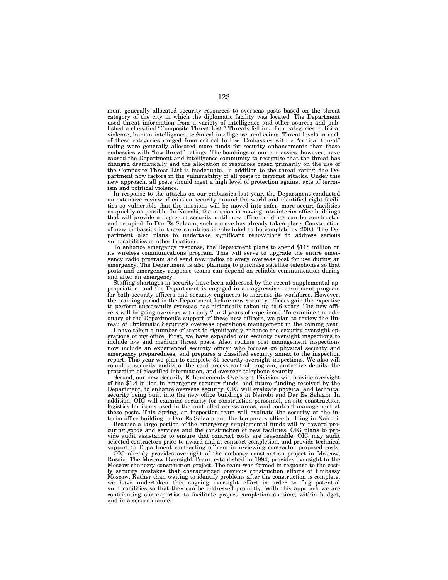ment generally allocated security resources to overseas posts based on the threat category of the city in which the diplomatic facility was located. The Department used threat information from a variety of intelligence and other sources and published a classified ''Composite Threat List.'' Threats fell into four categories: political violence, human intelligence, technical intelligence, and crime. Threat levels in each of these categories ranged from critical to low. Embassies with a ''critical threat'' rating were generally allocated more funds for security enhancements than those embassies with ''low threat'' ratings. The bombings of our embassies, however, have caused the Department and intelligence community to recognize that the threat has changed dramatically and the allocation of resources based primarily on the use of the Composite Threat List is inadequate. In addition to the threat rating, the Department now factors in the vulnerability of all posts to terrorist attacks. Under this new approach, all posts should meet a high level of protection against acts of terrorism and political violence.

In response to the attacks on our embassies last year, the Department conducted an extensive review of mission security around the world and identified eight facilities so vulnerable that the missions will be moved into safer, more secure facilities as quickly as possible. In Nairobi, the mission is moving into interim office buildings that will provide a degree of security until new office buildings can be constructed and occupied. In Dar Es Salaam, such a move has already taken place. Construction of new embassies in these countries is scheduled to be complete by 2003. The Department also plans to undertake significant renovations to address serious vulnerabilities at other locations.

To enhance emergency response, the Department plans to spend \$118 million on its wireless communications program. This will serve to upgrade the entire emergency radio program and send new radios to every overseas post for use during an emergency. The Department is also planning to purchase satellite telephones so that posts and emergency response teams can depend on reliable communication during and after an emergency.

Staffing shortages in security have been addressed by the recent supplemental appropriation, and the Department is engaged in an aggressive recruitment program for both security officers and security engineers to increase its workforce. However, the training period in the Department before new security officers gain the expertise to perform successfully overseas has historically taken up to 6 years. The new officers will be going overseas with only 2 or 3 years of experience. To examine the adequacy of the Department's support of these new officers, we plan to review the Bureau of Diplomatic Security's overseas operations management in the coming year.

I have taken a number of steps to significantly enhance the security oversight operations of my office. First, we have expanded our security oversight inspections to include low and medium threat posts. Also, routine post management inspections now include an experienced security officer who focuses on physical security and emergency preparedness, and prepares a classified security annex to the inspection report. This year we plan to complete 31 security oversight inspections. We also will complete security audits of the card access control program, protective details, the protection of classified information, and overseas telephone security.

Second, our new Security Enhancements Oversight Division will provide oversight of the \$1.4 billion in emergency security funds, and future funding received by the Department, to enhance overseas security. OIG will evaluate physical and technical security being built into the new office buildings in Nairobi and Dar Es Salaam. In addition, OIG will examine security for construction personnel, on-site construction, logistics for items used in the controlled access areas, and contract management at these posts. This Spring, an inspection team will evaluate the security at the interim office building in Dar Es Salaam and the temporary office building in Nairobi.

Because a large portion of the emergency supplemental funds will go toward procuring goods and services and the construction of new facilities, OIG plans to provide audit assistance to ensure that contract costs are reasonable. OIG may audit selected contractors prior to award and at contract completion, and provide technical support to Department contracting officers in reviewing contractor proposed costs.

OIG already provides oversight of the embassy construction project in Moscow, Russia. The Moscow Oversight Team, established in 1994, provides oversight to the Moscow chancery construction project. The team was formed in response to the costly security mistakes that characterized previous construction efforts of Embassy Moscow. Rather than waiting to identify problems after the construction is complete, we have undertaken this ongoing oversight effort in order to flag potential vulnerabilities so that they can be addressed promptly. With this approach we are contributing our expertise to facilitate project completion on time, within budget, and in a secure manner.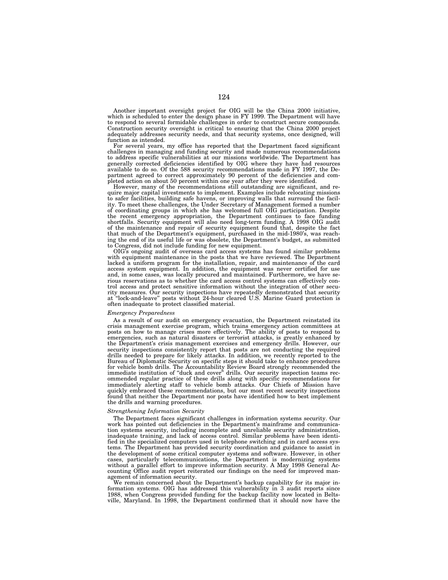Another important oversight project for OIG will be the China 2000 initiative, which is scheduled to enter the design phase in FY 1999. The Department will have to respond to several formidable challenges in order to construct secure compounds. Construction security oversight is critical to ensuring that the China 2000 project adequately addresses security needs, and that security systems, once designed, will function as intended.

For several years, my office has reported that the Department faced significant challenges in managing and funding security and made numerous recommendations to address specific vulnerabilities at our missions worldwide. The Department has generally corrected deficiencies identified by OIG where they have had resources available to do so. Of the 588 security recommendations made in FY 1997, the Department agreed to correct approximately 90 percent of the deficiencies and completed action on about 50 percent within one year after they were identified.

However, many of the recommendations still outstanding are significant, and require major capital investments to implement. Examples include relocating missions to safer facilities, building safe havens, or improving walls that surround the facility. To meet these challenges, the Under Secretary of Management formed a number of coordinating groups in which she has welcomed full OIG participation. Despite the recent emergency appropriation, the Department continues to face funding shortfalls. Security equipment will also need long-term funding. A 1998 OIG audit of the maintenance and repair of security equipment found that, despite the fact that much of the Department's equipment, purchased in the mid-1980's, was reaching the end of its useful life or was obsolete, the Department's budget, as submitted to Congress, did not include funding for new equipment.

OIG's ongoing audit of overseas card access systems has found similar problems with equipment maintenance in the posts that we have reviewed. The Department lacked a uniform program for the installation, repair, and maintenance of the card access system equipment. In addition, the equipment was never certified for use and, in some cases, was locally procured and maintained. Furthermore, we have serious reservations as to whether the card access control systems can effectively control access and protect sensitive information without the integration of other security measures. Our security inspections have repeatedly demonstrated that security at ''lock-and-leave'' posts without 24-hour cleared U.S. Marine Guard protection is often inadequate to protect classified material.

#### *Emergency Preparedness*

As a result of our audit on emergency evacuation, the Department reinstated its crisis management exercise program, which trains emergency action committees at posts on how to manage crises more effectively. The ability of posts to respond to emergencies, such as natural disasters or terrorist attacks, is greatly enhanced by the Department's crisis management exercises and emergency drills. However, our security inspections consistently report that posts are not conducting the required drills needed to prepare for likely attacks. In addition, we recently reported to the Bureau of Diplomatic Security on specific steps it should take to enhance procedures for vehicle bomb drills. The Accountability Review Board strongly recommended the immediate institution of ''duck and cover'' drills. Our security inspection teams recommended regular practice of these drills along with specific recommendations for immediately alerting staff to vehicle bomb attacks. Our Chiefs of Mission have quickly embraced these recommendations, but our most recent security inspections found that neither the Department nor posts have identified how to best implement the drills and warning procedures.

## *Strengthening Information Security*

The Department faces significant challenges in information systems security. Our work has pointed out deficiencies in the Department's mainframe and communication systems security, including incomplete and unreliable security administration, inadequate training, and lack of access control. Similar problems have been identified in the specialized computers used in telephone switching and in card access systems. The Department has provided security coordination and guidance to assist in the development of some critical computer systems and software. However, in other cases, particularly telecommunications, the Department is modernizing systems without a parallel effort to improve information security. A May 1998 General Accounting Office audit report reiterated our findings on the need for improved management of information security.

We remain concerned about the Department's backup capability for its major information systems. OIG has addressed this vulnerability in 3 audit reports since 1988, when Congress provided funding for the backup facility now located in Beltsville, Maryland. In 1998, the Department confirmed that it should now have the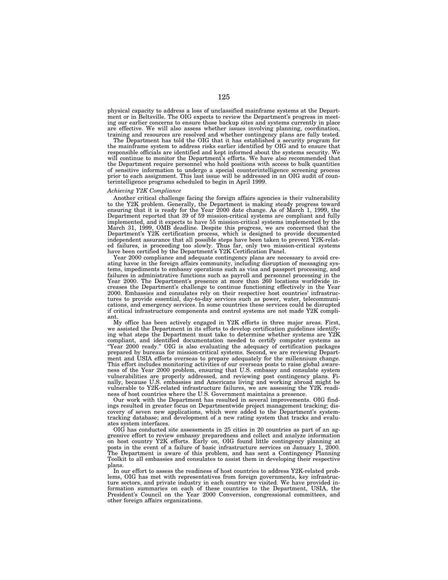physical capacity to address a loss of unclassified mainframe systems at the Department or in Beltsville. The OIG expects to review the Department's progress in meeting our earlier concerns to ensure those backup sites and systems currently in place are effective. We will also assess whether issues involving planning, coordination, training and resources are resolved and whether contingency plans are fully tested.

The Department has told the OIG that it has established a security program for the mainframe system to address risks earlier identified by OIG and to ensure that responsible officials are identified and kept informed about the systems security. We will continue to monitor the Department's efforts. We have also recommended that the Department require personnel who hold positions with access to bulk quantities of sensitive information to undergo a special counterintelligence screening process prior to each assignment. This last issue will be addressed in an OIG audit of counterintelligence programs scheduled to begin in April 1999.

## *Achieving Y2K Compliance*

Another critical challenge facing the foreign affairs agencies is their vulnerability to the Y2K problem. Generally, the Department is making steady progress toward ensuring that it is ready for the Year 2000 date change. As of March 1, 1999, the Department reported that 39 of 59 mission-critical systems are compliant and fully implemented, and it expects to have 55 mission-critical systems implemented by the March 31, 1999, OMB deadline. Despite this progress, we are concerned that the Department's Y2K certification process, which is designed to provide documented independent assurance that all possible steps have been taken to prevent Y2K-related failures, is proceeding too slowly. Thus far, only two mission-critical systems have been certified by the Department's Y2K Certification Panel.

Year 2000 compliance and adequate contingency plans are necessary to avoid creating havoc in the foreign affairs community, including disruption of messaging systems, impediments to embassy operations such as visa and passport processing, and failures in administrative functions such as payroll and personnel processing in the Year 2000. The Department's presence at more than 260 locations worldwide increases the Department's challenge to continue functioning effectively in the Year 2000. Embassies and consulates rely on their respective host countries' infrastructures to provide essential, day-to-day services such as power, water, telecommunications, and emergency services. In some countries these services could be disrupted if critical infrastructure components and control systems are not made Y2K compliant.

My office has been actively engaged in Y2K efforts in three major areas. First, we assisted the Department in its efforts to develop certification guidelines identifying what steps the Department must take to determine whether systems are Y2K compliant, and identified documentation needed to certify computer systems as ''Year 2000 ready.'' OIG is also evaluating the adequacy of certification packages prepared by bureaus for mission-critical systems. Second, we are reviewing Department and USIA efforts overseas to prepare adequately for the millennium change. This effort includes monitoring activities of our overseas posts to raise global awareness of the Year 2000 problem, ensuring that U.S. embassy and consulate system vulnerabilities are properly addressed, and reviewing post contingency plans. Finally, because U.S. embassies and Americans living and working abroad might be vulnerable to Y2K-related infrastructure failures, we are assessing the Y2K readiness of host countries where the U.S. Government maintains a presence.

Our work with the Department has resulted in several improvements. OIG findings resulted in greater focus on Departmentwide project management tracking; discovery of seven new applications, which were added to the Department's systemtracking database; and development of a new rating system that tracks and evaluates system interfaces.

OIG has conducted site assessments in 25 cities in 20 countries as part of an aggressive effort to review embassy preparedness and collect and analyze information on host country Y2K efforts. Early on, OIG found little contingency planning at posts in the event of a failure of basic infrastructure services on January 1, 2000. The Department is aware of this problem, and has sent a Contingency Planning Toolkit to all embassies and consulates to assist them in developing their respective plans.

In our effort to assess the readiness of host countries to address Y2K-related problems, OIG has met with representatives from foreign governments, key infrastructure sectors, and private industry in each country we visited. We have provided information summaries on each of these countries to the Department, USIA, the President's Council on the Year 2000 Conversion, congressional committees, and other foreign affairs organizations.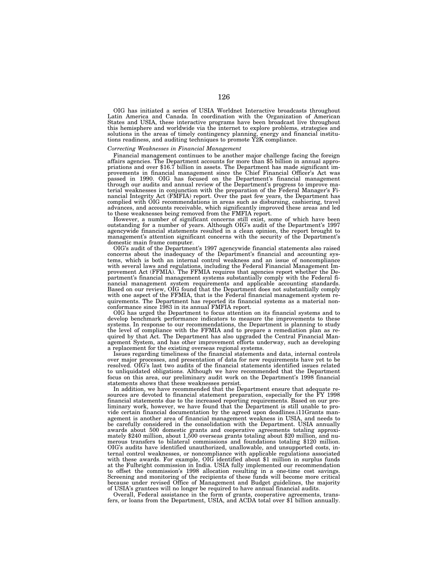OIG has initiated a series of USIA Worldnet Interactive broadcasts throughout Latin America and Canada. In coordination with the Organization of American States and USIA, these interactive programs have been broadcast live throughout this hemisphere and worldwide via the internet to explore problems, strategies and solutions in the areas of timely contingency planning, energy and financial institutions readiness, and auditing techniques to promote Y2K

## *Correcting Weaknesses in Financial Management*

Financial management continues to be another major challenge facing the foreign affairs agencies. The Department accounts for more than \$5 billion in annual appropriations and over \$16.7 billion in assets. The Department has made significant improvements in financial management since the Chief Financial Officer's Act was passed in 1990. OIG has focused on the Department's financial management through our audits and annual review of the Department's progress to improve material weaknesses in conjunction with the preparation of the Federal Manager's Financial Integrity Act (FMFIA) report. Over the past few years, the Department has complied with OIG recommendations in areas such as disbursing, cashiering, travel advances, and accounts receivable, which significantly improved these areas and led to these weaknesses being removed from the FMFIA report.

However, a number of significant concerns still exist, some of which have been outstanding for a number of years. Although OIG's audit of the Department's 1997 agencywide financial statements resulted in a clean opinion, the report brought to management's attention significant concerns with the security of the Department's domestic main frame computer.

OIG's audit of the Department's 1997 agencywide financial statements also raised concerns about the inadequacy of the Department's financial and accounting systems, which is both an internal control weakness and an issue of noncompliance with several laws and regulations, including the Federal Financial Management Improvement Act (FFMIA). The FFMIA requires that agencies report whether the Department's financial management systems substantially comply with the Federal financial management system requirements and applicable accounting standards. Based on our review, OIG found that the Department does not substantially comply with one aspect of the FFMIA, that is the Federal financial management system requirements. The Department has reported its financial systems as a material nonconformance since 1983 in its annual FMFIA report.

OIG has urged the Department to focus attention on its financial systems and to develop benchmark performance indicators to measure the improvements to these systems. In response to our recommendations, the Department is planning to study the level of compliance with the FFMIA and to prepare a remediation plan as required by that Act. The Department has also upgraded the Central Financial Management System, and has other improvement efforts underway, such as developing a replacement for the existing overseas regional systems.

Issues regarding timeliness of the financial statements and data, internal controls over major processes, and presentation of data for new requirements have yet to be resolved. OIG's last two audits of the financial statements identified issues related to unliquidated obligations. Although we have recommended that the Department focus on this area, our preliminary audit work on the Department's 1998 financial statements shows that these weaknesses persist.

In addition, we have recommended that the Department ensure that adequate resources are devoted to financial statement preparation, especially for the FY 1998 financial statements due to the increased reporting requirements. Based on our preliminary work, however, we have found that the Department is still unable to provide certain financial documentation by the agreed upon deadlines.i11Grants management is another area of financial management weakness in USIA, and needs to be carefully considered in the consolidation with the Department. USIA annually awards about 500 domestic grants and cooperative agreements totaling approximately \$240 million, about 1,500 overseas grants totaling about \$20 million, and numerous transfers to bilateral commissions and foundations totaling \$120 million. OIG's audits have identified unauthorized, unallowable, and unsupported costs, internal control weaknesses, or noncompliance with applicable regulations associated with these awards. For example, OIG identified about \$1 million in surplus funds at the Fulbright commission in India. USIA fully implemented our recommendation to offset the commission's 1998 allocation resulting in a one-time cost savings. Screening and monitoring of the recipients of these funds will become more critical because under revised Office of Management and Budget guidelines, the majority of USIA's grantees will no longer be required to have annual financial audits.

Overall, Federal assistance in the form of grants, cooperative agreements, transfers, or loans from the Department, USIA, and ACDA total over \$1 billion annually.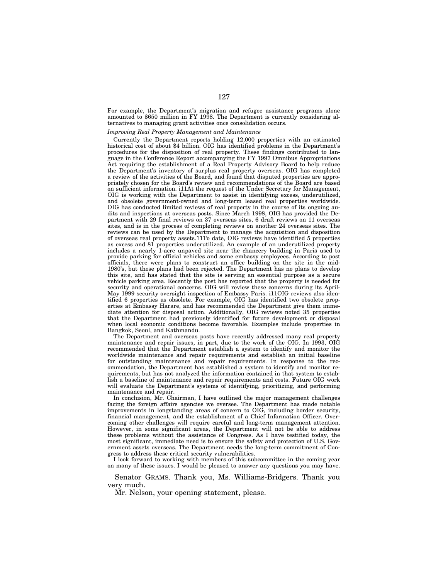For example, the Department's migration and refugee assistance programs alone amounted to \$650 million in FY 1998. The Department is currently considering alternatives to managing grant activities once consolidation occurs.

# *Improving Real Property Management and Maintenance*

Currently the Department reports holding 12,000 properties with an estimated historical cost of about \$4 billion. OIG has identified problems in the Department's procedures for the disposition of real property. These findings contributed to language in the Conference Report accompanying the FY 1997 Omnibus Appropriations Act requiring the establishment of a Real Property Advisory Board to help reduce the Department's inventory of surplus real property overseas. OIG has completed a review of the activities of the Board, and found that disputed properties are appropriately chosen for the Board's review and recommendations of the Board are based on sufficient information. i11At the request of the Under Secretary for Management, OIG is working with the Department to assist in identifying excess, underutilized, and obsolete government-owned and long-term leased real properties worldwide. OIG has conducted limited reviews of real property in the course of its ongoing audits and inspections at overseas posts. Since March 1998, OIG has provided the Department with 29 final reviews on 37 overseas sites, 6 draft reviews on 11 overseas sites, and is in the process of completing reviews on another 24 overseas sites. The reviews can be used by the Department to manage the acquisition and disposition of overseas real property assets.11To date, OIG reviews have identified 5 properties as excess and 81 properties underutilized. An example of an underutilized property includes a nearly 1-acre unpaved site near the chancery building in Paris used to provide parking for official vehicles and some embassy employees. According to post officials, there were plans to construct an office building on the site in the mid-1980's, but those plans had been rejected. The Department has no plans to develop this site, and has stated that the site is serving an essential purpose as a secure vehicle parking area. Recently the post has reported that the property is needed for security and operational concerns. OIG will review these concerns during its April-May 1999 security oversight inspection of Embassy Paris. i11OIG reviews also identified 6 properties as obsolete. For example, OIG has identified two obsolete properties at Embassy Harare, and has recommended the Department give them immediate attention for disposal action. Additionally, OIG reviews noted 35 properties that the Department had previously identified for future development or disposal when local economic conditions become favorable. Examples include properties in Bangkok, Seoul, and Kathmandu.

The Department and overseas posts have recently addressed many real property maintenance and repair issues, in part, due to the work of the OIG. In 1993, OIG recommended that the Department establish a system to identify and monitor the worldwide maintenance and repair requirements and establish an initial baseline for outstanding maintenance and repair requirements. In response to the recommendation, the Department has established a system to identify and monitor requirements, but has not analyzed the information contained in that system to establish a baseline of maintenance and repair requirements and costs. Future OIG work will evaluate the Department's systems of identifying, prioritizing, and performing maintenance and repair.

In conclusion, Mr. Chairman, I have outlined the major management challenges facing the foreign affairs agencies we oversee. The Department has made notable improvements in longstanding areas of concern to OIG, including border security, financial management, and the establishment of a Chief Information Officer. Overcoming other challenges will require careful and long-term management attention. However, in some significant areas, the Department will not be able to address these problems without the assistance of Congress. As I have testified today, the most significant, immediate need is to ensure the safety and protection of U.S. Government assets overseas. The Department needs the long-term commitment of Congress to address these critical security vulnerabilities.

I look forward to working with members of this subcommittee in the coming year on many of these issues. I would be pleased to answer any questions you may have.

Senator GRAMS. Thank you, Ms. Williams-Bridgers. Thank you very much.

Mr. Nelson, your opening statement, please.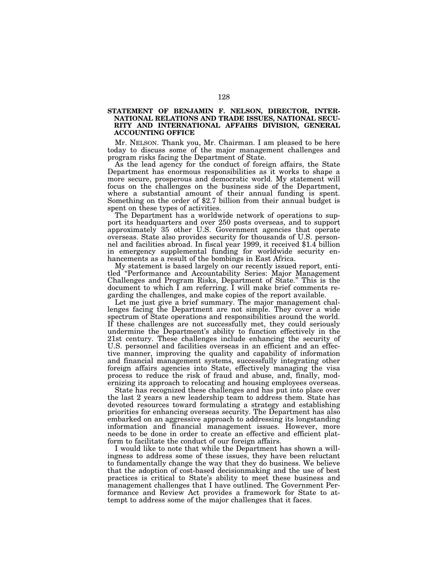# **STATEMENT OF BENJAMIN F. NELSON, DIRECTOR, INTER-NATIONAL RELATIONS AND TRADE ISSUES, NATIONAL SECU-RITY AND INTERNATIONAL AFFAIRS DIVISION, GENERAL ACCOUNTING OFFICE**

Mr. NELSON. Thank you, Mr. Chairman. I am pleased to be here today to discuss some of the major management challenges and program risks facing the Department of State.

As the lead agency for the conduct of foreign affairs, the State Department has enormous responsibilities as it works to shape a more secure, prosperous and democratic world. My statement will focus on the challenges on the business side of the Department, where a substantial amount of their annual funding is spent. Something on the order of \$2.7 billion from their annual budget is spent on these types of activities.

The Department has a worldwide network of operations to support its headquarters and over 250 posts overseas, and to support approximately 35 other U.S. Government agencies that operate overseas. State also provides security for thousands of U.S. personnel and facilities abroad. In fiscal year 1999, it received \$1.4 billion in emergency supplemental funding for worldwide security enhancements as a result of the bombings in East Africa.

My statement is based largely on our recently issued report, entitled ''Performance and Accountability Series: Major Management Challenges and Program Risks, Department of State.'' This is the document to which I am referring. I will make brief comments regarding the challenges, and make copies of the report available.

Let me just give a brief summary. The major management challenges facing the Department are not simple. They cover a wide spectrum of State operations and responsibilities around the world. If these challenges are not successfully met, they could seriously undermine the Department's ability to function effectively in the 21st century. These challenges include enhancing the security of U.S. personnel and facilities overseas in an efficient and an effective manner, improving the quality and capability of information and financial management systems, successfully integrating other foreign affairs agencies into State, effectively managing the visa process to reduce the risk of fraud and abuse, and, finally, modernizing its approach to relocating and housing employees overseas.

State has recognized these challenges and has put into place over the last 2 years a new leadership team to address them. State has devoted resources toward formulating a strategy and establishing priorities for enhancing overseas security. The Department has also embarked on an aggressive approach to addressing its longstanding information and financial management issues. However, more needs to be done in order to create an effective and efficient platform to facilitate the conduct of our foreign affairs.

I would like to note that while the Department has shown a willingness to address some of these issues, they have been reluctant to fundamentally change the way that they do business. We believe that the adoption of cost-based decisionmaking and the use of best practices is critical to State's ability to meet these business and management challenges that I have outlined. The Government Performance and Review Act provides a framework for State to attempt to address some of the major challenges that it faces.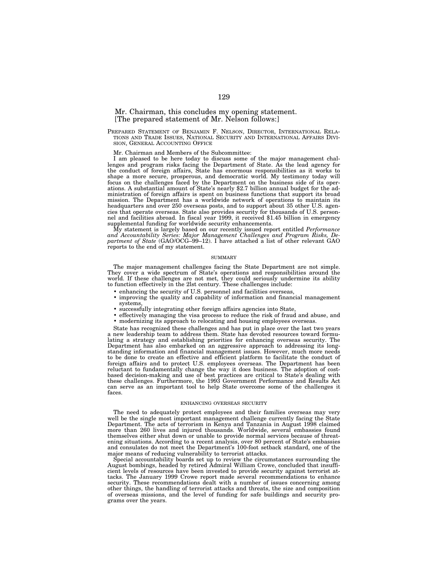# Mr. Chairman, this concludes my opening statement. [The prepared statement of Mr. Nelson follows:]

PREPARED STATEMENT OF BENJAMIN F. NELSON, DIRECTOR, INTERNATIONAL RELA-TIONS AND TRADE ISSUES, NATIONAL SECURITY AND INTERNATIONAL AFFAIRS DIVI-SION, GENERAL ACCOUNTING OFFICE

Mr. Chairman and Members of the Subcommittee:

I am pleased to be here today to discuss some of the major management challenges and program risks facing the Department of State. As the lead agency for the conduct of foreign affairs, State has enormous responsibilities as it works to shape a more secure, prosperous, and democratic world. My testimony today will focus on the challenges faced by the Department on the business side of its operations. A substantial amount of State's nearly \$2.7 billion annual budget for the administration of foreign affairs is spent on business functions that support its broad mission. The Department has a worldwide network of operations to maintain its headquarters and over 250 overseas posts, and to support about 35 other U.S. agencies that operate overseas. State also provides security for thousands of U.S. personnel and facilities abroad. In fiscal year 1999, it received \$1.45 billion in emergency supplemental funding for worldwide security enhancements.

My statement is largely based on our recently issued report entitled *Performance and Accountability Series: Major Management Challenges and Program Risks, Department of State* (GAO/OCG–99–12). I have attached a list of other relevant GAO reports to the end of my statement.

## **SUMMARY**

The major management challenges facing the State Department are not simple. They cover a wide spectrum of State's operations and responsibilities around the world. If these challenges are not met, they could seriously undermine its ability to function effectively in the 2lst century. These challenges include:

- enhancing the security of U.S. personnel and facilities overseas,
- improving the quality and capability of information and financial management systems,
- successfully integrating other foreign affairs agencies into State,
- effectively managing the visa process to reduce the risk of fraud and abuse, and <br>• modernizing its approach to relocating and housing employees overseas.
- modernizing its approach to relocating and housing employees overseas.

State has recognized these challenges and has put in place over the last two years a new leadership team to address them. State has devoted resources toward formulating a strategy and establishing priorities for enhancing overseas security. The Department has also embarked on an aggressive approach to addressing its longstanding information and financial management issues. However, much more needs to be done to create an effective and efficient platform to facilitate the conduct of foreign affairs and to protect U.S. employees overseas. The Department has been reluctant to fundamentally change the way it does business. The adoption of costbased decision-making and use of best practices are critical to State's dealing with these challenges. Furthermore, the 1993 Government Performance and Results Act can serve as an important tool to help State overcome some of the challenges it faces.

#### ENHANCING OVERSEAS SECURITY

The need to adequately protect employees and their families overseas may very well be the single most important management challenge currently facing the State Department. The acts of terrorism in Kenya and Tanzania in August 1998 claimed more than 260 lives and injured thousands. Worldwide, several embassies found themselves either shut down or unable to provide normal services because of threatening situations. According to a recent analysis, over 80 percent of State's embassies and consulates do not meet the Department's 100-foot setback standard, one of the major means of reducing vulnerability to terrorist attacks.

Special accountability boards set up to review the circumstances surrounding the August bombings, headed by retired Admiral William Crowe, concluded that insufficient levels of resources have been invested to provide security against terrorist attacks. The January 1999 Crowe report made several recommendations to enhance security. These recommendations dealt with a number of issues concerning among other things, the handling of terrorist attacks and threats, the size and composition of overseas missions, and the level of funding for safe buildings and security programs over the years.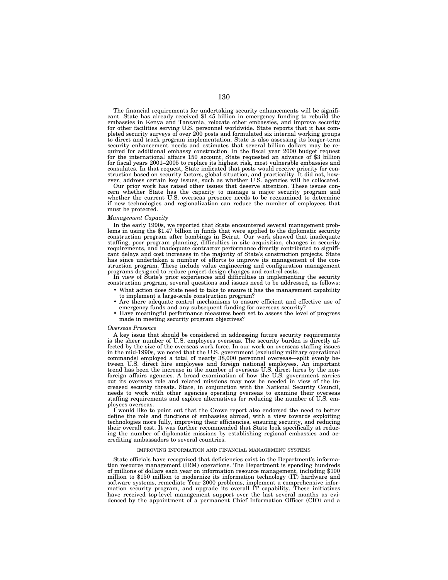The financial requirements for undertaking security enhancements will be significant. State has already received \$1.45 billion in emergency funding to rebuild the embassies in Kenya and Tanzania, relocate other embassies, for other facilities serving U.S. personnel worldwide. State reports that it has com-pleted security surveys of over 200 posts and formulated six internal working groups to direct and track program implementation. State is also assessing its longer-term security enhancement needs and estimates that several billion dollars may be required for additional embassy construction. In the fiscal year 2000 budget request for the international affairs 150 account, State requested an advance of \$3 billion for fiscal years 2001–2005 to replace its highest risk, most vulnerable embassies and consulates. In that request, State indicated that posts would receive priority for construction based on security factors, global situation, and practicality. It did not, however, address certain key issues, such as whethe

cern whether State has the capacity to manage a major security program and<br>whether the current U.S. overseas presence needs to be reexamined to determine<br>if new technologies and regionalization can reduce the number of emp must be protected.

*Management Capacity* lems in using the \$1.47 billion in funds that were applied to the diplomatic security construction program after bombings in Beirut. Our work showed that inadequate staffing, poor program planning, difficulties in site acquisition, changes in security requirements, and inadequate contractor performance directly contributed to significant delays and cost increases in the majority of State's construction projects. State has since undertaken a number of efforts to improve its management of the con-struction program. These include value engineering and configuration management programs designed to reduce project design changes and control costs. In view of State's prior experiences and difficulties in implementing the security

construction program, several questions and issues need to be addressed, as follows:

- What action does State need to take to ensure it has the management capability to implement a large-scale construction program?
- Are there adequate control mechanisms to ensure efficient and effective use of emergency funds and any subsequent funding for overseas security?
- Have meaningful performance measures been set to assess the level of progress
- made in meeting security program objectives?

# *Overseas Presence*

A key issue that should be considered in addressing future security requirements is the sheer number of U.S. employees overseas. The security burden is directly affected by the size of the overseas work force. In our work on overseas staffing issues in the mid-1990s, we noted that the U.S. government (excluding military operational commands) employed a total of nearly 38,000 personnel overseas—split evenly between U.S. direct hire employees and foreign national employees. An important trend has been the increase in the number of overseas U.S. direct hires by the nonforeign affairs agencies. A broad examination of how the U.S. government carries out its overseas role and related missions may now be needed in view of the increased security threats. State, in conjunction with the National Security Council, needs to work with other agencies operating overseas to examine their overseas staffing requirements and explore alternatives for reducing the number of U.S. employees overseas.

I would like to point out that the Crowe report also endorsed the need to better define the role and functions of embassies abroad, with a view towards exploiting technologies more fully, improving their efficiencies, ensuring security, and reducing their overall cost. It was further recommended that State look specifically at reducing the number of diplomatic missions by establishing regional embassies and accrediting ambassadors to several countries.

# IMPROVING INFORMATION AND FINANCIAL MANAGEMENT SYSTEMS

State officials have recognized that deficiencies exist in the Department's information resource management (IRM) operations. The Department is spending hundreds of millions of dollars each year on information resource management, including \$100 million to \$150 million to modernize its information technology (IT) hardware and software systems, remediate Year 2000 problems, implement a comprehensive information security program, and upgrade its overall IT capability. These initiatives have received top-level management support over the last several months as evidenced by the appointment of a permanent Chief Information Officer (CIO) and a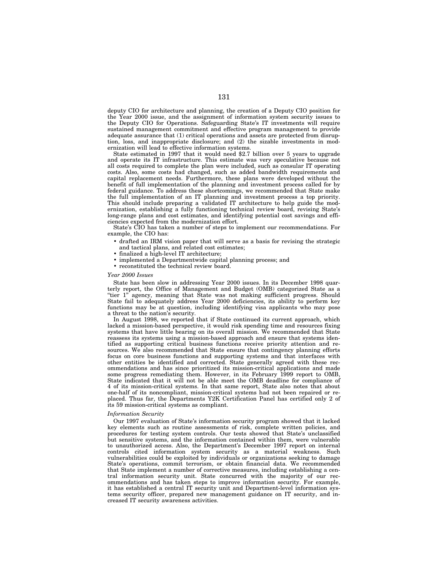deputy CIO for architecture and planning, the creation of a Deputy CIO position for the Year 2000 issue, and the assignment of information system security issues to the Deputy CIO for Operations. Safeguarding State's IT investments will require sustained management commitment and effective program management to provide adequate assurance that (1) critical operations and assets are protected from disruption, loss, and inappropriate disclosure; and (2) the sizable investments in modernization will lead to effective information systems.

State estimated in 1997 that it would need \$2.7 billion over 5 years to upgrade and operate its IT infrastructure. This estimate was very speculative because not all costs required to complete the plan were included, such as consular IT operating costs. Also, some costs had changed, such as added bandwidth requirements and capital replacement needs. Furthermore, these plans were developed without the benefit of full implementation of the planning and investment process called for by federal guidance. To address these shortcomings, we recommended that State make the full implementation of an IT planning and investment process a top priority. This should include preparing a validated IT architecture to help guide the modernization, establishing a fully functioning technical review board, revising State's long-range plans and cost estimates, and identifying potential cost savings and efficiencies expected from the modernization effort.

State's CIO has taken a number of steps to implement our recommendations. For example, the CIO has:

- drafted an IRM vision paper that will serve as a basis for revising the strategic and tactical plans, and related cost estimates;
- finalized a high-level IT architecture;
- implemented a Departmentwide capital planning process; and
- reconstituted the technical review board.

## *Year 2000 Issues*

State has been slow in addressing Year 2000 issues. In its December 1998 quarterly report, the Office of Management and Budget (OMB) categorized State as a ''tier 1'' agency, meaning that State was not making sufficient progress. Should State fail to adequately address Year 2000 deficiencies, its ability to perform key functions may be at question, including identifying visa applicants who may pose a threat to the nation's security.

In August 1998, we reported that if State continued its current approach, which lacked a mission-based perspective, it would risk spending time and resources fixing systems that have little bearing on its overall mission. We recommended that State reassess its systems using a mission-based approach and ensure that systems identified as supporting critical business functions receive priority attention and resources. We also recommended that State ensure that contingency planning efforts focus on core business functions and supporting systems and that interfaces with other entities be identified and corrected. State generally agreed with these recommendations and has since prioritized its mission-critical applications and made some progress remediating them. However, in its February 1999 report to OMB, State indicated that it will not be able meet the OMB deadline for compliance of 4 of its mission-critical systems. In that same report, State also notes that about one-half of its noncompliant, mission-critical systems had not been repaired or replaced. Thus far, the Departments Y2K Certification Panel has certified only 2 of its 59 mission-critical systems as compliant.

# *Information Security*

Our 1997 evaluation of State's information security program showed that it lacked key elements such as routine assessments of risk, complete written policies, and procedures for testing system controls. Our tests showed that State's unclassified but sensitive systems, and the information contained within them, were vulnerable to unauthorized access. Also, the Department's December 1997 report on internal controls cited information system security as a material weakness. Such vulnerabilities could be exploited by individuals or organizations seeking to damage State's operations, commit terrorism, or obtain financial data. We recommended that State implement a number of corrective measures, including establishing a central information security unit. State concurred with the majority of our recommendations and has taken steps to improve information security. For example, it has established a central IT security unit and Department-level information systems security officer, prepared new management guidance on IT security, and increased IT security awareness activities.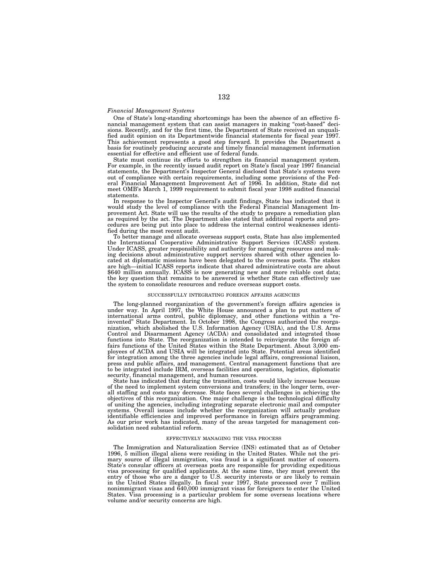## *Financial Management Systems*

One of State's long-standing shortcomings has been the absence of an effective financial management system that can assist managers in making ''cost-based'' decisions. Recently, and for the first time, the Department of State received an unqualified audit opinion on its Departmentwide financial statements for fiscal year 1997. This achievement represents a good step forward. It provides the Department a basis for routinely producing accurate and timely financial management information essential for effective and efficient use of federal funds.

State must continue its efforts to strengthen its financial management system. For example, in the recently issued audit report on State's fiscal year 1997 financial statements, the Department's Inspector General disclosed that State's systems were out of compliance with certain requirements, including some provisions of the Federal Financial Management Improvement Act of 1996. In addition, State did not meet OMB's March 1, 1999 requirement to submit fiscal year 1998 audited financial statements.

In response to the Inspector General's audit findings, State has indicated that it would study the level of compliance with the Federal Financial Management Improvement Act. State will use the results of the study to prepare a remediation plan as required by the act. The Department also stated that additional reports and procedures are being put into place to address the internal control weaknesses identified during the most recent audit.

To better manage and allocate overseas support costs, State has also implemented the International Cooperative Administrative Support Services (ICASS) system. Under ICASS, greater responsibility and authority for managing resources and making decisions about administrative support services shared with other agencies located at diplomatic missions have been delegated to the overseas posts. The stakes are high—initial ICASS reports indicate that shared administrative costs are about \$640 million annually. ICASS is now generating new and more reliable cost data; the key question that remains to be answered is whether State can effectively use the system to consolidate resources and reduce overseas support costs.

## SUCCESSFULLY INTEGRATING FOREIGN AFFAIRS AGENCIES

The long-planned reorganization of the government's foreign affairs agencies is under way. In April 1997, the White House announced a plan to put matters of international arms control, public diplomacy, and other functions within a ''reinvented'' State Department. In October 1998, the Congress authorized the reorganization, which abolished the U.S. Information Agency (USIA), and the U.S. Arms Control and Disarmament Agency (ACDA) and consolidated and integrated those functions into State. The reorganization is intended to reinvigorate the foreign affairs functions of the United States within the State Department. About 3,000 employees of ACDA and USIA will be integrated into State. Potential areas identified for integration among the three agencies include legal affairs, congressional liaison, press and public affairs, and management. Central management functions that are to be integrated include IRM, overseas facilities and operations, logistics, diplomatic security, financial management, and human resources.

State has indicated that during the transition, costs would likely increase because of the need to implement system conversions and transfers; in the longer term, overall staffing and costs may decrease. State faces several challenges in achieving the objectives of this reorganization. One major challenge is the technological difficulty of uniting the agencies, including integrating separate electronic mail and computer systems. Overall issues include whether the reorganization will actually produce identifiable efficiencies and improved performance in foreign affairs programming. As our prior work has indicated, many of the areas targeted for management consolidation need substantial reform.

#### EFFECTIVELY MANAGING THE VISA PROCESS

The Immigration and Naturalization Service (INS) estimated that as of October 1996, 5 million illegal aliens were residing in the United States. While not the primary source of illegal immigration, visa fraud is a significant matter of concern. State's consular officers at overseas posts are responsible for providing expeditious visa processing for qualified applicants. At the same time, they must prevent the entry of those who are a danger to U.S. security interests or are likely to remain in the United States illegally. In fiscal year 1997, State processed over 7 million nonimmigrant visas and 640,000 immigrant visas for foreigners to enter the United States. Visa processing is a particular problem for some overseas locations where volume and/or security concerns are high.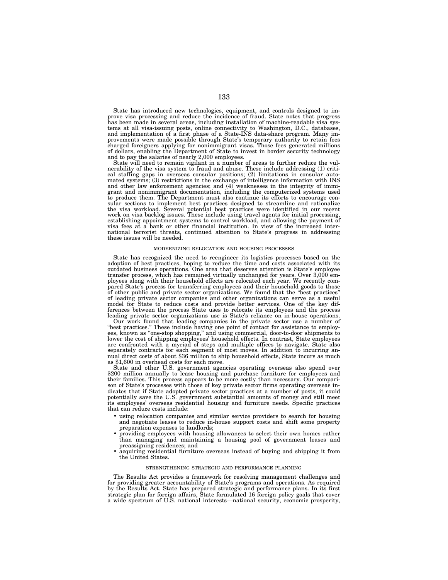State has introduced new technologies, equipment, and controls designed to improve visa processing and reduce the incidence of fraud. State notes that progress has been made in several areas, including installation of machine-readable visa systems at all visa-issuing posts, online connectivity to Washington, D.C., databases, and implementation of a first phase of a State-INS data-share program. Many improvements were made possible through State's temporary authority to retain fees charged foreigners applying for nonimmigrant visas. Those fees generated millions of dollars, enabling the Department of State to invest in border security technology and to pay the salaries of nearly 2,000 employees.

State will need to remain vigilant in a number of areas to further reduce the vulnerability of the visa system to fraud and abuse. These include addressing (1) critical staffing gaps in overseas consular positions; (2) limitations in consular auto-mated systems; (3) restrictions in the exchange of intelligence information with INS and other law enforcement agencies; and (4) weaknesses in the integrity of immigrant and nonimmigrant documentation, including the computerized systems used to produce them. The Department must also continue its efforts to encourage consular sections to implement best practices designed to streamline and rationalize the visa workload. Several potential best practices were identified in our recent<br>work on visa backlog issues. These include using travel agents for initial processing,<br>establishing appointment systems to control workload, visa fees at a bank or other financial institution. In view of the increased international terrorist threats, continued attention to State's progress in addressing these issues will be needed.

## MODERNIZING RELOCATION AND HOUSING PROCESSES

State has recognized the need to reengineer its logistics processes based on the adoption of best practices, hoping to reduce the time and costs associated with its outdated business operations. One area that deserves attention is State's employee transfer process, which has remained virtually unchanged for years. Over 3,000 employees along with their household effects are relocated each year. We recently compared State's process for transferring employees and their household goods to those of other public and private sector organizations. We found that the ''best practices'' of leading private sector companies and other organizations can serve as a useful model for State to reduce costs and provide better services. One of the key differences between the process State uses to relocate its employees and the process leading private sector organizations use is State's reliance on in-house operations.

Our work found that leading companies in the private sector use a number of "best practices." These include having one point of contact for assistance to employees, known as ''one-stop shopping,'' and using commercial, door-to-door shipments to lower the cost of shipping employees' household effects. In contrast, State employees are confronted with a myriad of steps and multiple offices to navigate. State also separately contracts for each segment of most moves. In addition to incurring annual direct costs of about \$36 million to ship household effects, State incurs as much as \$1,600 in overhead costs for each move.

State and other U.S. government agencies operating overseas also spend over \$200 million annually to lease housing and purchase furniture for employees and their families. This process appears to be more costly than necessary. Our comparison of State's processes with those of key private sector firms operating overseas indicates that if State adopted private sector practices at a number of posts, it could potentially save the U.S. government substantial amounts of money and still meet its employees' overseas residential housing and furniture needs. Specific practices that can reduce costs include:

- using relocation companies and similar service providers to search for housing and negotiate leases to reduce in-house support costs and shift some property preparation expenses to landlords;
- providing employees with housing allowances to select their own homes rather than managing and maintaining a housing pool of government leases and preassigning residences; and
- acquiring residential furniture overseas instead of buying and shipping it from the United States.

## STRENGTHENING STRATEGIC AND PERFORMANCE PLANNING

The Results Act provides a framework for resolving management challenges and for providing greater accountability of State's programs and operations. As required by the Results Act. State has prepared strategic and performance plans. In its first strategic plan for foreign affairs, State formulated 16 foreign policy goals that cover a wide spectrum of U.S. national interests—national security, economic prosperity,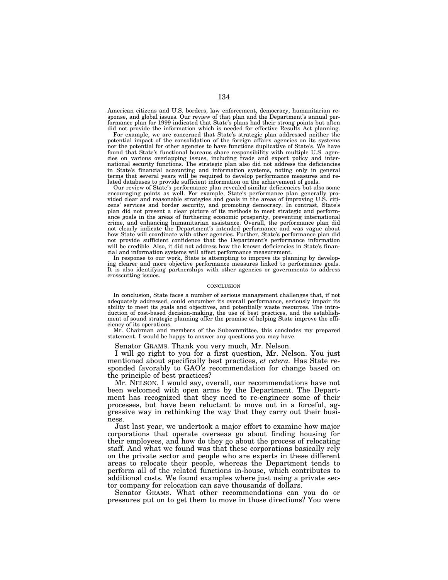American citizens and U.S. borders, law enforcement, democracy, humanitarian response, and global issues. Our review of that plan and the Department's annual performance plan for 1999 indicated that State's plans had their strong points but often did not provide the information which is needed for effective Results Act planning.

For example, we are concerned that State's strategic plan addressed neither the potential impact of the consolidation of the foreign affairs agencies on its systems nor the potential for other agencies to have functions duplicative of State's. We have found that State's functional bureaus share responsibility with multiple U.S. agencies on various overlapping issues, including trade and export policy and international security functions. The strategic plan also did not address the deficiencies in State's financial accounting and information systems, noting only in general terms that several years will be required to develop performance measures and related databases to provide sufficient information on the achievement of goals.

Our review of State's performance plan revealed similar deficiencies but also some encouraging points as well. For example, State's performance plan generally provided clear and reasonable strategies and goals in the areas of improving U.S. citizens' services and border security, and promoting democracy. In contrast, State's plan did not present a clear picture of its methods to meet strategic and performance goals in the areas of furthering economic prosperity, preventing international crime, and enhancing humanitarian assistance. Overall, the performance plan did not clearly indicate the Department's intended performance and was vague about how State will coordinate with other agencies. Further, State's performance plan did not provide sufficient confidence that the Department's performance information will be credible. Also, it did not address how the known deficiencies in State's financial and information systems will affect performance measurement.

In response to our work, State is attempting to improve its planning by developing clearer and more objective performance measures linked to performance goals. It is also identifying partnerships with other agencies or governments to address crosscutting issues.

# **CONCLUSION**

In conclusion, State faces a number of serious management challenges that, if not adequately addressed, could encumber its overall performance, seriously impair its ability to meet its goals and objectives, and potentially waste resources. The introduction of cost-based decision-making, the use of best practices, and the establishment of sound strategic planning offer the promise of helping State improve the efficiency of its operations.

Mr. Chairman and members of the Subcommittee, this concludes my prepared statement. I would be happy to answer any questions you may have.

Senator GRAMS. Thank you very much, Mr. Nelson.

I will go right to you for a first question, Mr. Nelson. You just mentioned about specifically best practices, *et cetera.* Has State responded favorably to GAO's recommendation for change based on the principle of best practices?

Mr. NELSON. I would say, overall, our recommendations have not been welcomed with open arms by the Department. The Department has recognized that they need to re-engineer some of their processes, but have been reluctant to move out in a forceful, aggressive way in rethinking the way that they carry out their business.

Just last year, we undertook a major effort to examine how major corporations that operate overseas go about finding housing for their employees, and how do they go about the process of relocating staff. And what we found was that these corporations basically rely on the private sector and people who are experts in these different areas to relocate their people, whereas the Department tends to perform all of the related functions in-house, which contributes to additional costs. We found examples where just using a private sector company for relocation can save thousands of dollars.

Senator GRAMS. What other recommendations can you do or pressures put on to get them to move in those directions? You were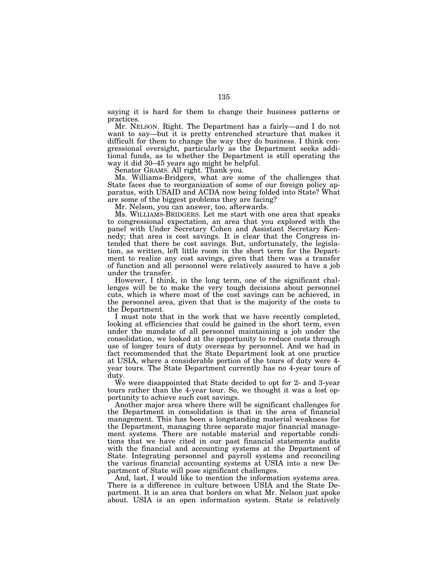saying it is hard for them to change their business patterns or practices.

Mr. NELSON. Right. The Department has a fairly—and I do not want to say—but it is pretty entrenched structure that makes it difficult for them to change the way they do business. I think congressional oversight, particularly as the Department seeks additional funds, as to whether the Department is still operating the way it did 30–45 years ago might be helpful.

Senator GRAMS. All right. Thank you.

Ms. Williams-Bridgers, what are some of the challenges that State faces due to reorganization of some of our foreign policy apparatus, with USAID and ACDA now being folded into State? What are some of the biggest problems they are facing?

Mr. Nelson, you can answer, too, afterwards.

Ms. WILLIAMS-BRIDGERS. Let me start with one area that speaks to congressional expectation, an area that you explored with the panel with Under Secretary Cohen and Assistant Secretary Kennedy; that area is cost savings. It is clear that the Congress intended that there be cost savings. But, unfortunately, the legislation, as written, left little room in the short term for the Department to realize any cost savings, given that there was a transfer of function and all personnel were relatively assured to have a job under the transfer.

However, I think, in the long term, one of the significant challenges will be to make the very tough decisions about personnel cuts, which is where most of the cost savings can be achieved, in the personnel area, given that that is the majority of the costs to the Department.

I must note that in the work that we have recently completed, looking at efficiencies that could be gained in the short term, even under the mandate of all personnel maintaining a job under the consolidation, we looked at the opportunity to reduce costs through use of longer tours of duty overseas by personnel. And we had in fact recommended that the State Department look at one practice at USIA, where a considerable portion of the tours of duty were 4 year tours. The State Department currently has no 4-year tours of duty.

We were disappointed that State decided to opt for 2- and 3-year tours rather than the 4-year tour. So, we thought it was a lost opportunity to achieve such cost savings.

Another major area where there will be significant challenges for the Department in consolidation is that in the area of financial management. This has been a longstanding material weakness for the Department, managing three separate major financial management systems. There are notable material and reportable conditions that we have cited in our past financial statements audits with the financial and accounting systems at the Department of State. Integrating personnel and payroll systems and reconciling the various financial accounting systems at USIA into a new Department of State will pose significant challenges.

And, last, I would like to mention the information systems area. There is a difference in culture between USIA and the State Department. It is an area that borders on what Mr. Nelson just spoke about. USIA is an open information system. State is relatively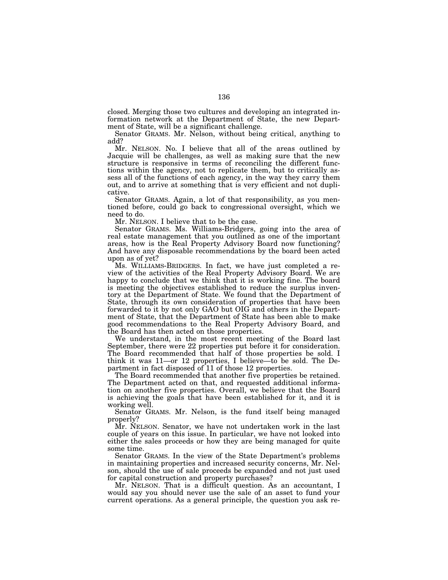closed. Merging those two cultures and developing an integrated information network at the Department of State, the new Department of State, will be a significant challenge.

Senator GRAMS. Mr. Nelson, without being critical, anything to add?

Mr. NELSON. No. I believe that all of the areas outlined by Jacquie will be challenges, as well as making sure that the new structure is responsive in terms of reconciling the different functions within the agency, not to replicate them, but to critically assess all of the functions of each agency, in the way they carry them out, and to arrive at something that is very efficient and not duplicative.

Senator GRAMS. Again, a lot of that responsibility, as you mentioned before, could go back to congressional oversight, which we need to do.

Mr. NELSON. I believe that to be the case.

Senator GRAMS. Ms. Williams-Bridgers, going into the area of real estate management that you outlined as one of the important areas, how is the Real Property Advisory Board now functioning? And have any disposable recommendations by the board been acted upon as of yet?

Ms. WILLIAMS-BRIDGERS. In fact, we have just completed a review of the activities of the Real Property Advisory Board. We are happy to conclude that we think that it is working fine. The board is meeting the objectives established to reduce the surplus inventory at the Department of State. We found that the Department of State, through its own consideration of properties that have been forwarded to it by not only GAO but OIG and others in the Department of State, that the Department of State has been able to make good recommendations to the Real Property Advisory Board, and the Board has then acted on those properties.

We understand, in the most recent meeting of the Board last September, there were 22 properties put before it for consideration. The Board recommended that half of those properties be sold. I think it was 11—or 12 properties, I believe—to be sold. The Department in fact disposed of 11 of those 12 properties.

The Board recommended that another five properties be retained. The Department acted on that, and requested additional information on another five properties. Overall, we believe that the Board is achieving the goals that have been established for it, and it is working well.

Senator GRAMS. Mr. Nelson, is the fund itself being managed properly?

Mr. NELSON. Senator, we have not undertaken work in the last couple of years on this issue. In particular, we have not looked into either the sales proceeds or how they are being managed for quite some time.

Senator GRAMS. In the view of the State Department's problems in maintaining properties and increased security concerns, Mr. Nelson, should the use of sale proceeds be expanded and not just used for capital construction and property purchases?

Mr. NELSON. That is a difficult question. As an accountant, I would say you should never use the sale of an asset to fund your current operations. As a general principle, the question you ask re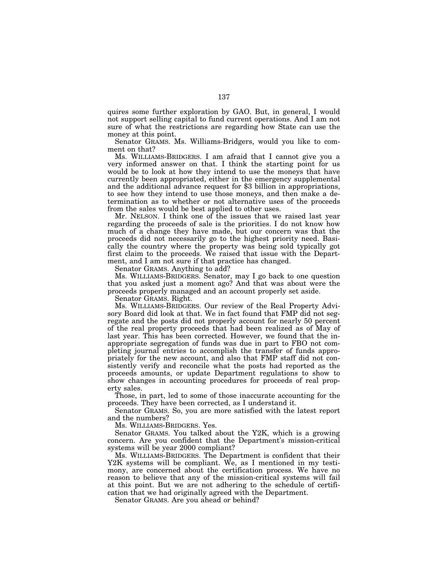quires some further exploration by GAO. But, in general, I would not support selling capital to fund current operations. And I am not sure of what the restrictions are regarding how State can use the money at this point.

Senator GRAMS. Ms. Williams-Bridgers, would you like to comment on that?

Ms. WILLIAMS-BRIDGERS. I am afraid that I cannot give you a very informed answer on that. I think the starting point for us would be to look at how they intend to use the moneys that have currently been appropriated, either in the emergency supplemental and the additional advance request for \$3 billion in appropriations, to see how they intend to use those moneys, and then make a determination as to whether or not alternative uses of the proceeds from the sales would be best applied to other uses.

Mr. NELSON. I think one of the issues that we raised last year regarding the proceeds of sale is the priorities. I do not know how much of a change they have made, but our concern was that the proceeds did not necessarily go to the highest priority need. Basically the country where the property was being sold typically got first claim to the proceeds. We raised that issue with the Department, and I am not sure if that practice has changed.

Senator GRAMS. Anything to add?

Ms. WILLIAMS-BRIDGERS. Senator, may I go back to one question that you asked just a moment ago? And that was about were the proceeds properly managed and an account properly set aside.

Senator GRAMS. Right.

Ms. WILLIAMS-BRIDGERS. Our review of the Real Property Advisory Board did look at that. We in fact found that FMP did not segregate and the posts did not properly account for nearly 50 percent of the real property proceeds that had been realized as of May of last year. This has been corrected. However, we found that the inappropriate segregation of funds was due in part to FBO not completing journal entries to accomplish the transfer of funds appropriately for the new account, and also that FMP staff did not consistently verify and reconcile what the posts had reported as the proceeds amounts, or update Department regulations to show to show changes in accounting procedures for proceeds of real property sales.

Those, in part, led to some of those inaccurate accounting for the proceeds. They have been corrected, as I understand it.

Senator GRAMS. So, you are more satisfied with the latest report and the numbers?

Ms. WILLIAMS-BRIDGERS. Yes.

Senator GRAMS. You talked about the Y2K, which is a growing concern. Are you confident that the Department's mission-critical systems will be year 2000 compliant?

Ms. WILLIAMS-BRIDGERS. The Department is confident that their Y2K systems will be compliant. We, as I mentioned in my testimony, are concerned about the certification process. We have no reason to believe that any of the mission-critical systems will fail at this point. But we are not adhering to the schedule of certification that we had originally agreed with the Department.

Senator GRAMS. Are you ahead or behind?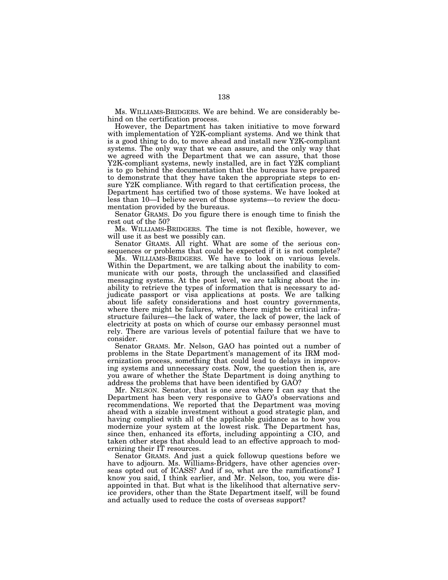Ms. WILLIAMS-BRIDGERS. We are behind. We are considerably behind on the certification process.

However, the Department has taken initiative to move forward with implementation of Y2K-compliant systems. And we think that is a good thing to do, to move ahead and install new Y2K-compliant systems. The only way that we can assure, and the only way that we agreed with the Department that we can assure, that those Y2K-compliant systems, newly installed, are in fact Y2K compliant is to go behind the documentation that the bureaus have prepared to demonstrate that they have taken the appropriate steps to ensure Y2K compliance. With regard to that certification process, the Department has certified two of those systems. We have looked at less than 10—I believe seven of those systems—to review the documentation provided by the bureaus.

Senator GRAMS. Do you figure there is enough time to finish the rest out of the 50?

Ms. WILLIAMS-BRIDGERS. The time is not flexible, however, we will use it as best we possibly can.

Senator GRAMS. All right. What are some of the serious consequences or problems that could be expected if it is not complete?

Ms. WILLIAMS-BRIDGERS. We have to look on various levels. Within the Department, we are talking about the inability to communicate with our posts, through the unclassified and classified messaging systems. At the post level, we are talking about the inability to retrieve the types of information that is necessary to adjudicate passport or visa applications at posts. We are talking about life safety considerations and host country governments, where there might be failures, where there might be critical infrastructure failures—the lack of water, the lack of power, the lack of electricity at posts on which of course our embassy personnel must rely. There are various levels of potential failure that we have to consider.

Senator GRAMS. Mr. Nelson, GAO has pointed out a number of problems in the State Department's management of its IRM modernization process, something that could lead to delays in improving systems and unnecessary costs. Now, the question then is, are you aware of whether the State Department is doing anything to address the problems that have been identified by GAO?

Mr. NELSON. Senator, that is one area where I can say that the Department has been very responsive to GAO's observations and recommendations. We reported that the Department was moving ahead with a sizable investment without a good strategic plan, and having complied with all of the applicable guidance as to how you modernize your system at the lowest risk. The Department has, since then, enhanced its efforts, including appointing a CIO, and taken other steps that should lead to an effective approach to modernizing their IT resources.

Senator GRAMS. And just a quick followup questions before we have to adjourn. Ms. Williams-Bridgers, have other agencies overseas opted out of ICASS? And if so, what are the ramifications? I know you said, I think earlier, and Mr. Nelson, too, you were disappointed in that. But what is the likelihood that alternative service providers, other than the State Department itself, will be found and actually used to reduce the costs of overseas support?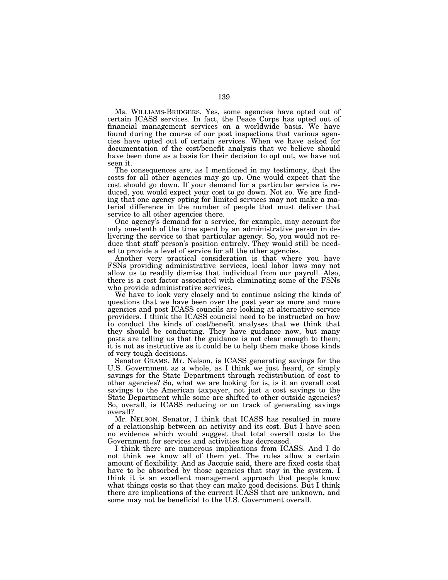Ms. WILLIAMS-BRIDGERS. Yes, some agencies have opted out of certain ICASS services. In fact, the Peace Corps has opted out of financial management services on a worldwide basis. We have found during the course of our post inspections that various agencies have opted out of certain services. When we have asked for documentation of the cost/benefit analysis that we believe should have been done as a basis for their decision to opt out, we have not seen it.

The consequences are, as I mentioned in my testimony, that the costs for all other agencies may go up. One would expect that the cost should go down. If your demand for a particular service is reduced, you would expect your cost to go down. Not so. We are finding that one agency opting for limited services may not make a material difference in the number of people that must deliver that service to all other agencies there.

One agency's demand for a service, for example, may account for only one-tenth of the time spent by an administrative person in delivering the service to that particular agency. So, you would not reduce that staff person's position entirely. They would still be needed to provide a level of service for all the other agencies.

Another very practical consideration is that where you have FSNs providing administrative services, local labor laws may not allow us to readily dismiss that individual from our payroll. Also, there is a cost factor associated with eliminating some of the FSNs who provide administrative services.

We have to look very closely and to continue asking the kinds of questions that we have been over the past year as more and more agencies and post ICASS councils are looking at alternative service providers. I think the ICASS councisl need to be instructed on how to conduct the kinds of cost/benefit analyses that we think that they should be conducting. They have guidance now, but many posts are telling us that the guidance is not clear enough to them; it is not as instructive as it could be to help them make those kinds of very tough decisions.

Senator GRAMS. Mr. Nelson, is ICASS generating savings for the U.S. Government as a whole, as I think we just heard, or simply savings for the State Department through redistribution of cost to other agencies? So, what we are looking for is, is it an overall cost savings to the American taxpayer, not just a cost savings to the State Department while some are shifted to other outside agencies? So, overall, is ICASS reducing or on track of generating savings overall?

Mr. NELSON. Senator, I think that ICASS has resulted in more of a relationship between an activity and its cost. But I have seen no evidence which would suggest that total overall costs to the Government for services and activities has decreased.

I think there are numerous implications from ICASS. And I do not think we know all of them yet. The rules allow a certain amount of flexibility. And as Jacquie said, there are fixed costs that have to be absorbed by those agencies that stay in the system. I think it is an excellent management approach that people know what things costs so that they can make good decisions. But I think there are implications of the current ICASS that are unknown, and some may not be beneficial to the U.S. Government overall.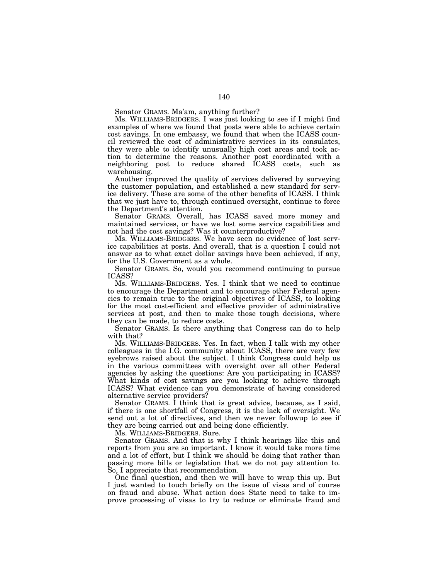Senator GRAMS. Ma'am, anything further?

Ms. WILLIAMS-BRIDGERS. I was just looking to see if I might find examples of where we found that posts were able to achieve certain cost savings. In one embassy, we found that when the ICASS council reviewed the cost of administrative services in its consulates, they were able to identify unusually high cost areas and took action to determine the reasons. Another post coordinated with a neighboring post to reduce shared ICASS costs, such as warehousing.

Another improved the quality of services delivered by surveying the customer population, and established a new standard for service delivery. These are some of the other benefits of ICASS. I think that we just have to, through continued oversight, continue to force the Department's attention.

Senator GRAMS. Overall, has ICASS saved more money and maintained services, or have we lost some service capabilities and not had the cost savings? Was it counterproductive?

Ms. WILLIAMS-BRIDGERS. We have seen no evidence of lost service capabilities at posts. And overall, that is a question I could not answer as to what exact dollar savings have been achieved, if any, for the U.S. Government as a whole.

Senator GRAMS. So, would you recommend continuing to pursue ICASS?

Ms. WILLIAMS-BRIDGERS. Yes. I think that we need to continue to encourage the Department and to encourage other Federal agencies to remain true to the original objectives of ICASS, to looking for the most cost-efficient and effective provider of administrative services at post, and then to make those tough decisions, where they can be made, to reduce costs.

Senator GRAMS. Is there anything that Congress can do to help with that?

Ms. WILLIAMS-BRIDGERS. Yes. In fact, when I talk with my other colleagues in the I.G. community about ICASS, there are very few eyebrows raised about the subject. I think Congress could help us in the various committees with oversight over all other Federal agencies by asking the questions: Are you participating in ICASS? What kinds of cost savings are you looking to achieve through ICASS? What evidence can you demonstrate of having considered alternative service providers?

Senator GRAMS. I think that is great advice, because, as I said, if there is one shortfall of Congress, it is the lack of oversight. We send out a lot of directives, and then we never followup to see if they are being carried out and being done efficiently.

Ms. WILLIAMS-BRIDGERS. Sure.

Senator GRAMS. And that is why I think hearings like this and reports from you are so important. I know it would take more time and a lot of effort, but I think we should be doing that rather than passing more bills or legislation that we do not pay attention to. So, I appreciate that recommendation.

One final question, and then we will have to wrap this up. But I just wanted to touch briefly on the issue of visas and of course on fraud and abuse. What action does State need to take to improve processing of visas to try to reduce or eliminate fraud and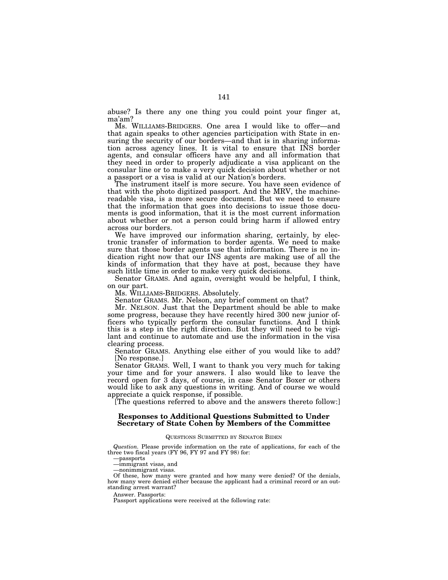abuse? Is there any one thing you could point your finger at, ma'am?

Ms. WILLIAMS-BRIDGERS. One area I would like to offer—and that again speaks to other agencies participation with State in ensuring the security of our borders—and that is in sharing information across agency lines. It is vital to ensure that INS border agents, and consular officers have any and all information that they need in order to properly adjudicate a visa applicant on the consular line or to make a very quick decision about whether or not a passport or a visa is valid at our Nation's borders.

The instrument itself is more secure. You have seen evidence of that with the photo digitized passport. And the MRV, the machinereadable visa, is a more secure document. But we need to ensure that the information that goes into decisions to issue those documents is good information, that it is the most current information about whether or not a person could bring harm if allowed entry across our borders.

We have improved our information sharing, certainly, by electronic transfer of information to border agents. We need to make sure that those border agents use that information. There is no indication right now that our INS agents are making use of all the kinds of information that they have at post, because they have such little time in order to make very quick decisions.

Senator GRAMS. And again, oversight would be helpful, I think, on our part.

Ms. WILLIAMS-BRIDGERS. Absolutely.

Senator GRAMS. Mr. Nelson, any brief comment on that?

Mr. NELSON. Just that the Department should be able to make some progress, because they have recently hired 300 new junior officers who typically perform the consular functions. And I think this is a step in the right direction. But they will need to be vigilant and continue to automate and use the information in the visa clearing process.

Senator GRAMS. Anything else either of you would like to add? [No response.]

Senator GRAMS. Well, I want to thank you very much for taking your time and for your answers. I also would like to leave the record open for 3 days, of course, in case Senator Boxer or others would like to ask any questions in writing. And of course we would appreciate a quick response, if possible.

[The questions referred to above and the answers thereto follow:]

# **Responses to Additional Questions Submitted to Under Secretary of State Cohen by Members of the Committee**

## QUESTIONS SUBMITTED BY SENATOR BIDEN

*Question.* Please provide information on the rate of applications, for each of the three two fiscal years (FY 96, FY 97 and FY 98) for:

—passports

—immigrant visas, and

—nonimmigrant visas.

Of these, how many were granted and how many were denied? Of the denials, how many were denied either because the applicant had a criminal record or an outstanding arrest warrant?

Answer. Passports:

Passport applications were received at the following rate: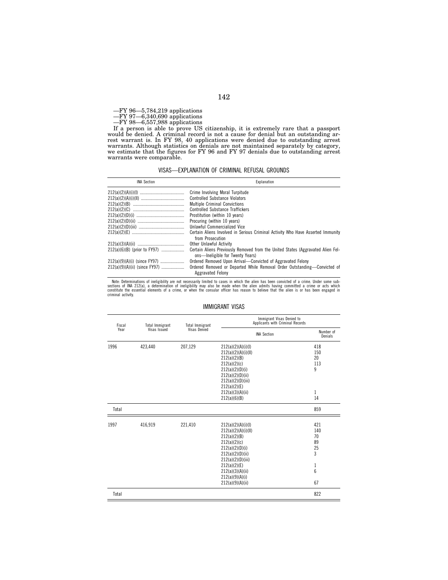—FY 96—5,784,219 applications

—FY 97—6,340,690 applications

—FY 98—6,557,988 applications

If a person is able to prove US citizenship, it is extremely rare that a passport would be denied. A criminal record is not a cause for denial but an outstanding arrest warrant is. In FY 98, 40 applications were denied due to outstanding arrest warrants. Although statistics on denials are not maintained separately by category, we estimate that the figures for FY 96 and FY 97 denials due to outstanding arrest warrants were comparable.

VISAS—EXPLANATION OF CRIMINAL REFUSAL GROUNDS

| <b>INA Section</b>            | Explanation                                                                                                         |
|-------------------------------|---------------------------------------------------------------------------------------------------------------------|
|                               | Crime Involving Moral Turpitude                                                                                     |
|                               | <b>Controlled Substance Violators</b>                                                                               |
|                               | <b>Multiple Criminal Convictions</b>                                                                                |
|                               | <b>Controlled Substance Traffickers</b>                                                                             |
|                               | Prostitution (within 10 years)                                                                                      |
|                               | Procuring (within 10 years)                                                                                         |
|                               | Unlawful Commercialized Vice                                                                                        |
|                               | Certain Aliens Involved in Serious Criminal Activity Who Have Asserted Immunity<br>from Prosecution                 |
|                               | Other Unlawful Activity                                                                                             |
| 212(a)(6)(B) (prior to FY97)  | Certain Aliens Previously Removed from the United States (Aggravated Alien Fel-<br>ons—Ineligible for Twenty Years) |
| 212(a)(9)(A)(i) (since FY97)  | Ordered Removed Upon Arrival-Convicted of Aggravated Felony                                                         |
| 212(a)(9)(A)(ii) (since FY97) | Ordered Removed or Departed While Removal Order Outstanding-Convicted of<br>Aggravated Felony                       |

Note: Determinations of ineligibility are not necessarily limited to cases in which the alien has been convicted of a crime. Under some sub-<br>sections of INA 212(a), a determination of ineligibility may also be made when th

| IMMIGRANT VISAS |  |
|-----------------|--|
|-----------------|--|

| Fiscal<br>Year | <b>Total Immigrant</b><br>Visas Issued | <b>Total Immigrant</b><br>Visas Denied | Immigrant Visas Denied to<br>Applicants with Criminal Records                                                                                                                                                    |                                                   |  |
|----------------|----------------------------------------|----------------------------------------|------------------------------------------------------------------------------------------------------------------------------------------------------------------------------------------------------------------|---------------------------------------------------|--|
|                |                                        |                                        | <b>INA Section</b>                                                                                                                                                                                               | Number of<br>Denials                              |  |
| 1996           | 423,440                                | 207,129                                | 212(a)(2)(A)(i)(I)<br>212(a)(2)(A)(i)(II)<br>212(a)(2)(B)<br>212(a)(2)(c)<br>212(a)(2)(D)(i)<br>212(a)(2)(D)(ii)<br>212(a)(2)(D)(iii)<br>212(a)(2)(E)<br>212(a)(3)(A)(ii)<br>212(a)(6)(B)                        | 418<br>150<br>20<br>113<br>9<br>1<br>14           |  |
| Total          |                                        |                                        |                                                                                                                                                                                                                  | 859                                               |  |
| 1997           | 416,919                                | 221,410                                | 212(a)(2)(A)(i)(I)<br>212(a)(2)(A)(i)(II)<br>212(a)(2)(B)<br>212(a)(2)(c)<br>212(a)(2)(D)(i)<br>212(a)(2)(D)(ii)<br>212(a)(2)(D)(iii)<br>212(a)(2)(E)<br>212(a)(3)(A)(ii)<br>212(a)(9)(A)(i)<br>212(a)(9)(A)(ii) | 421<br>140<br>70<br>89<br>25<br>3<br>1<br>6<br>67 |  |
| Total          |                                        |                                        |                                                                                                                                                                                                                  | 822                                               |  |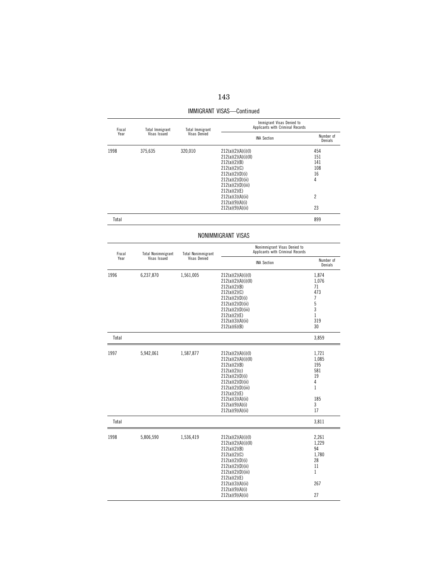| 143 |  |
|-----|--|
|     |  |

| Fiscal<br>Year | Total Immigrant | Total Immigrant<br>Visas Issued<br>Visas Denied | Immigrant Visas Denied to<br>Applicants with Criminal Records |                      |  |
|----------------|-----------------|-------------------------------------------------|---------------------------------------------------------------|----------------------|--|
|                |                 |                                                 | <b>INA Section</b>                                            | Number of<br>Denials |  |
| 1998           | 375,635         | 320,010                                         | 212(a)(2)(A)(i)(I)                                            | 454                  |  |
|                |                 |                                                 | 212(a)(2)(A)(i)(II)                                           | 151                  |  |
|                |                 |                                                 | 212(a)(2)(B)                                                  | 141                  |  |
|                |                 |                                                 | 212(a)(2)(C)                                                  | 108                  |  |
|                |                 |                                                 | 212(a)(2)(D)(i)                                               | 16                   |  |
|                |                 |                                                 | 212(a)(2)(D)(ii)                                              | 4                    |  |
|                |                 |                                                 | 212(a)(2)(D)(iii)                                             |                      |  |
|                |                 |                                                 | 212(a)(2)(E)                                                  |                      |  |
|                |                 |                                                 | 212(a)(3)(A)(ii)                                              | $\overline{c}$       |  |
|                |                 |                                                 | 212(a)(9)(A)(i)                                               |                      |  |
|                |                 |                                                 | 212(a)(9)(A)(ii)                                              | 23                   |  |
| Total          |                 |                                                 |                                                               | 899                  |  |

IMMIGRANT VISAS—Continued

# NONIMMIGRANT VISAS

| Fiscal<br>Year | <b>Total Nonimmigrant</b> | <b>Total Nonimmigrant</b><br>Visas Denied | Nonimmigrant Visas Denied to<br>Applicants with Criminal Records                                                                                                                                                 |                                                                           |  |
|----------------|---------------------------|-------------------------------------------|------------------------------------------------------------------------------------------------------------------------------------------------------------------------------------------------------------------|---------------------------------------------------------------------------|--|
|                | Visas Issued              |                                           | <b>INA Section</b>                                                                                                                                                                                               | Number of<br>Denials                                                      |  |
| 1996           | 6,237,870                 | 1,561,005                                 | 212(a)(2)(A)(i)(I)<br>212(a)(2)(A)(i)(II)<br>212(a)(2)(B)<br>212(a)(2)(C)<br>212(a)(2)(D)(i)<br>212(a)(2)(D)(ii)<br>212(a)(2)(D)(iii)<br>212(a)(2)(E)<br>212(a)(3)(A)(ii)<br>212(a)(6)(B)                        | 1,874<br>1,076<br>71<br>473<br>7<br>5<br>3<br>$\mathbf{1}$<br>319<br>30   |  |
| Total          |                           |                                           |                                                                                                                                                                                                                  | 3,859                                                                     |  |
| 1997           | 5,942,061                 | 1,587,877                                 | 212(a)(2)(A)(i)(I)<br>212(a)(2)(A)(i)(II)<br>212(a)(2)(B)<br>212(a)(2)(c)<br>212(a)(2)(D)(i)<br>212(a)(2)(D)(ii)<br>212(a)(2)(D)(iii)<br>212(a)(2)(E)<br>212(a)(3)(A)(ii)<br>212(a)(9)(A)(i)<br>212(a)(9)(A)(ii) | 1,721<br>1,085<br>195<br>581<br>19<br>4<br>$\mathbf{1}$<br>185<br>3<br>17 |  |
| Total          |                           |                                           |                                                                                                                                                                                                                  | 3,811                                                                     |  |
| 1998           | 5,806,590                 | 1,536,419                                 | 212(a)(2)(A)(i)(I)<br>212(a)(2)(A)(i)(II)<br>212(a)(2)(B)<br>212(a)(2)(C)<br>212(a)(2)(D)(i)<br>212(a)(2)(D)(ii)<br>212(a)(2)(D)(iii)<br>212(a)(2)(E)<br>212(a)(3)(A)(ii)<br>212(a)(9)(A)(i)<br>212(a)(9)(A)(ii) | 2,261<br>1,229<br>94<br>1,780<br>28<br>11<br>$\mathbf{1}$<br>267<br>27    |  |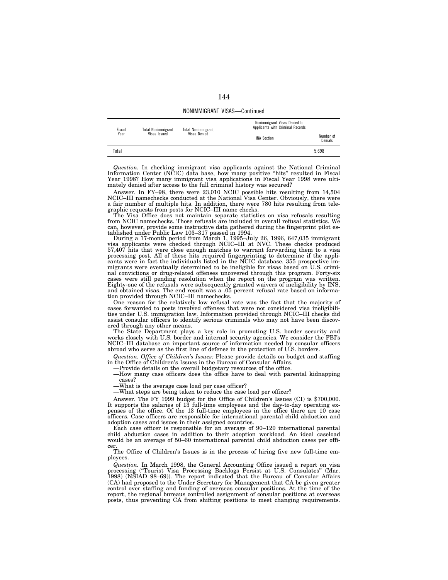NONIMMIGRANT VISAS—Continued

| Fiscal<br><b>Total Nonimmigrant</b><br>Year<br>Visas Issued | <b>Total Nonimmigrant</b> | Nonimmigrant Visas Denied to<br>Applicants with Criminal Records |                    |                      |
|-------------------------------------------------------------|---------------------------|------------------------------------------------------------------|--------------------|----------------------|
|                                                             |                           | Visas Denied                                                     | <b>INA Section</b> | Number of<br>Denials |
| Total                                                       |                           |                                                                  |                    | 5.698                |

*Question.* In checking immigrant visa applicants against the National Criminal Information Center (NCIC) data base, how many positive "hits" resulted in Fiscal Year 1998? How many immigrant visa applications in Fiscal Year 1998 were ultimately denied after access to the full criminal history was secured?

Answer. In FY–98, there were 23,010 NCIC possible hits resulting from 14,504 NCIC–III namechecks conducted at the National Visa Center. Obviously, there were a fair number of multiple hits. In addition, there were 780 hits resulting from tele-graphic requests from posts for NCIC–III name checks. The Visa Office does not maintain separate statistics on visa refusals resulting

from NCIC namechecks. Those refusals are included in overall refusal statistics. We can, however, provide some instructive data gathered during the fingerprint pilot established under Public Law 103–317 passed in 1994.

During a 17-month period from March 1, 1995–July 26, 1996, 647,035 immigrant visa applicants were checked through NCIC–III at NVC. These checks produced 57,407 hits that were close enough matches to warrant forwarding them to a visa processing post. All of these hits required fingerprinting to determine if the appli-cants were in fact the individuals listed in the NCIC database. 355 prospective immigrants were eventually determined to be ineligible for visas based on U.S. criminal convictions or drug-related offenses uncovered through this program. Forty-six cases were still pending resolution when the report on the program was written. Eighty-one of the refusals were subsequently granted waivers of ineligibility by INS, and obtained visas. The end result was a .05 percent refusal rate based on information provided through NCIC–III namechecks.

One reason for the relatively low refusal rate was the fact that the majority of cases forwarded to posts involved offenses that were not considered visa ineligibilities under U.S. immigration law. Information provided through NCIC–III checks did assist consular officers to identify serious criminals who may not have been discovered through any other means.

The State Department plays a key role in promoting U.S. border security and works closely with U.S. border and internal security agencies. We consider the FBI's NCIC–III database an important source of information needed by consular officers abroad who serve as the first line of defense in the protection of U.S. borders.

*Question. Office of Children's Issues:* Please provide details on budget and staffing in the Office of Children's Issues in the Bureau of Consular Affairs.

—Provide details on the overall budgetary resources of the office.

—How many case officers does the office have to deal with parental kidnapping cases?

—What is the average case load per case officer?

—What steps are being taken to reduce the case load per officer?

Answer. The FY 1999 budget for the Office of Children's Issues (CI) is \$700,000. It supports the salaries of 13 full-time employees and the day-to-day operating expenses of the office. Of the 13 full-time employees in the office there are 10 case officers. Case officers are responsible for international parental child abduction and adoption cases and issues in their assigned countries.

Each case officer is responsible for an average of 90–120 international parental child abduction cases in addition to their adoption workload. An ideal caseload would be an average of 50–60 international parental child abduction cases per officer.

The Office of Children's Issues is in the process of hiring five new full-time employees.

*Question.* In March 1998, the General Accounting Office issued a report on visa processing (''Tourist Visa Processing Backlogs Persist at U.S. Consulates'' (Mar. 1998) (NSIAD 98–69)). The report indicated that the Bureau of Consular Affairs (CA) had proposed to the Under Secretary for Management that CA be given greater control over staffing and funding of overseas consular positions. At the time of the report, the regional bureaus controlled assignment of consular positions at overseas posts, thus preventing CA from shifting positions to meet changing requirements.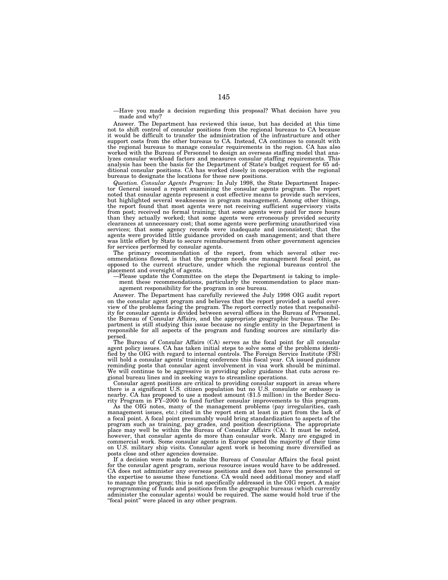—Have you made a decision regarding this proposal? What decision have you made and why?

Answer. The Department has reviewed this issue, but has decided at this time not to shift control of consular positions from the regional bureaus to CA because it would be difficult to transfer the administration of the infrastructure and other support costs from the other bureaus to CA. Instead, CA continues to consult with the regional bureaus to manage consular requirements in the region. CA has also worked with the Bureau of Personnel to design an overseas staffing model that analyzes consular workload factors and measures consular staffing requirements. This analysis has been the basis for the Department of State's budget request for 65 additional consular positions. CA has worked closely in cooperation with the regional bureaus to designate the locations for these new positions.

*Question. Consular Agents Program:* In July 1998, the State Department Inspector General issued a report examining the consular agents program. The report noted that consular agents represent a cost effective means to provide such services, but highlighted several weaknesses in program management. Among other things, the report found that most agents were not receiving sufficient supervisory visits from post; received no formal training; that some agents were paid for more hours than they actually worked; that some agents were erroneously provided security clearances at unnecessary cost; that some agents were performing unauthorized visa services; that some agency records were inadequate and inconsistent; that the agents were provided little guidance provided on cash management; and that there was little effort by State to secure reimubursement from other government agencies for services performed by consular agents.

The primary recommendation of the report, from which several other recommendations flowed, is that the program needs one management focal point, as opposed to the current structure, under which the regional bureaus control the placement and oversight of agents.

—Please update the Committee on the steps the Department is taking to implement these recommendations, particularly the recommendation to place management responsibility for the program in one bureau.

Answer. The Department has carefully reviewed the July 1998 OIG audit report on the consular agent program and believes that the report provided a useful overview of the problems facing the program. The report correctly notes that responsibility for consular agents is divided between several offices in the Bureau of Personnel, the Bureau of Consular Affairs, and the appropriate geographic bureaus. The Department is still studying this issue because no single entity in the Department is responsible for all aspects of the program and funding sources are similarly dispersed.

The Bureau of Consular Affairs (CA) serves as the focal point for all consular agent policy issues. CA has taken initial steps to solve some of the problems identified by the OIG with regard to internal controls. The Foreign Service Institute (FSI) will hold a consular agents' training conference this fiscal year. CA issued guidance reminding posts that consular agent involvement in visa work should be minimal. We will continue to be aggressive in providing policy guidance that cuts across regional bureau lines and in seeking ways to streamline operations.

Consular agent positions are critical to providing consular support in areas where there is a significant U.S. citizen population but no U.S. consulate or embassy is nearby. CA has proposed to use a modest amount (\$1.5 million) in the Border Security Program in FY–2000 to fund further consular improvements to this program.

As the OIG notes, many of the management problems (pay irregularities, cash management issues, etc.) cited in the report stem at least in part from the lack of a focal point. A focal point presumably would bring standardization to aspects of the program such as training, pay grades, and position descriptions. The appropriate place may well be within the Bureau of Consular Affairs (CA). It must be noted, however, that consular agents do more than consular work. Many are engaged in commercial work. Some consular agents in Europe spend the majority of their time on U.S. military ship visits. Consular agent work is becoming more diversified as posts close and other agencies downsize.

If a decision were made to make the Bureau of Consular Affairs the focal point for the consular agent program, serious resource issues would have to be addressed. CA does not administer any overseas positions and does not have the personnel or the expertise to assume these functions. CA would need additional money and staff to manage the program; this is not specifically addressed in the OIG report. A major reprogramming of funds and positions from the geographic bureaus (which currently administer the consular agents) would be required. The same would hold true if the "focal point" were placed in any other program.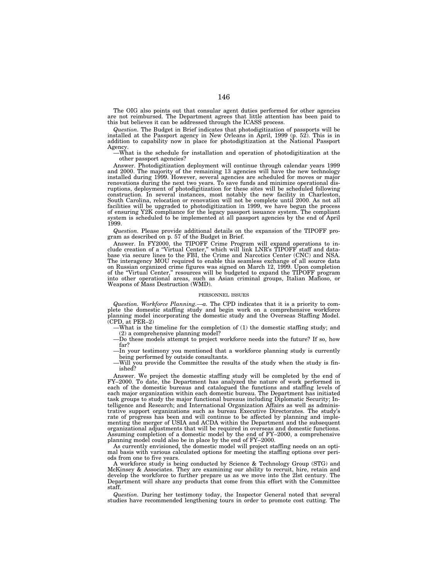The OIG also points out that consular agent duties performed for other agencies are not reimbursed. The Department agrees that little attention has been paid to this but believes it can be addressed through the ICASS process.

Question. The Budget in Brief indicates that photodigitization of passports will be installed at the Passport agency in New Orleans in April, 1999 (p. 52). This is in addition to capability now in place for photodigitizati Agency.

—What is the schedule for installation and operation of photodigitization at the other passport agencies?

Answer. Photodigitization deployment will continue through calendar years 1999 and 2000. The majority of the remaining 13 agencies will have the new technology installed during 1999. However, several agencies are scheduled for moves or major renovations during the next two years. To save funds and minimize operational disruptions, deployment of photodigitization for these sites will be scheduled following construction. In several instances, most notably the new facility in Charleston, South Carolina, relocation or renovation will not be complete until 2000. As not all facilities will be upgraded to photodigitization in 1999, we have begun the process of ensuring Y2K compliance for the legacy passport issuance system. The compliant system is scheduled to be implemented at all passport agencies by the end of April 1999.

*Question.* Please provide additional details on the expansion of the TIPOFF program as described on p. 57 of the Budget in Brief.

Answer. In FY2000, the TIPOFF Crime Program will expand operations to include creation of a "Virtual Center," which will link LNR's TIPOFF staff and database via secure lines to the FBI, the Crime and Narcotics Center (CNC) and NSA. The interagency MOU required to enable this seamless exchange of all source data on Russian organized crime figures was signed on March 12, 1999. Upon completion of the ''Virtual Center,'' resources will be budgeted to expand the TIPOFF program into other operational areas, such as Asian criminal groups, Italian Mafioso, or Weapons of Mass Destruction (WMD).

### PERSONNEL ISSUES

*Question. Workforce Planning.—a.* The CPD indicates that it is a priority to complete the domestic staffing study and begin work on a comprehensive workforce planning model incorporating the domestic study and the Overseas Staffing Model.  $(CPD, at PER-2)$ 

—What is the timeline for the completion of (1) the domestic staffing study; and (2) a comprehensive planning model?

—Do these models attempt to project workforce needs into the future? If so, how far?

—In your testimony you mentioned that a workforce planning study is currently being performed by outside consultants.

—Will you provide the Committee the results of the study when the study is finished?

Answer. We project the domestic staffing study will be completed by the end of FY–2000. To date, the Department has analyzed the nature of work performed in each of the domestic bureaus and catalogued the functions and staffing levels of each major organization within each domestic bureau. The Department has initiated task groups to study the major functional bureaus including Diplomatic Security; Intelligence and Research; and International Organization Affairs as well as administrative support organizations such as bureau Executive Directorates. The study's rate of progress has been and will continue to be affected by planning and implementing the merger of USIA and ACDA within the Department and the subsequent organizational adjustments that will be required in overseas and domestic functions. Assuming completion of a domestic model by the end of FY–2000, a comprehensive planning model could also be in place by the end of FY–2000.

As currently envisioned, the domestic model will project staffing needs on an optimal basis with various calculated options for meeting the staffing options over periods from one to five years.

A workforce study is being conducted by Science & Technology Group (STG) and McKinsey & Associates. They are examining our ability to recruit, hire, retain and develop the workforce to further prepare us as we move into the 2lst century. The Department will share any products that come from this effort with the Committee staff.

*Question.* During her testimony today, the Inspector General noted that several studies have recommended lengthening tours in order to promote cost cutting. The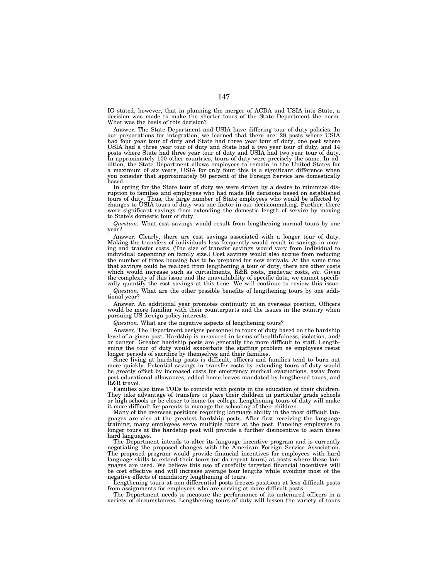IG stated, however, that in planning the merger of ACDA and USIA into State, a decision was made to make the shorter tours of the State Department the norm. What was the basis of this decision?

Answer. The State Department and USIA have differing tour of duty policies. In our preparations for integration, we learned that there are: 28 posts where USIA had four year tour of duty and State had three year tour of duty, one post where USIA had a three year tour of duty and State had a two year tour of duty, and 14 posts where State had three year tour of duty and USIA had two year tour of duty. In approximately 100 other countries, tours of duty were precisely the same. In addition, the State Department allows employees to remain in the United States for a maximum of six years, USIA for only four; this is a significant difference when you consider that approximately 50 percent of the Foreign Service are domestically based.

In opting for the State tour of duty we were driven by a desire to minimize disruption to families and employees who had made life decisions based on established tours of duty. Thus, the large number of State employees who would be affected by changes to USIA tours of duty was one factor in our decisionmaking. Further, there were significant savings from extending the domestic length of service by moving to State's domestic tour of duty.

*Question.* What cost savings would result from lengthening normal tours by one year?

Answer. Clearly, there are cost savings associated with a longer tour of duty. Making the transfers of individuals less frequently would result in savings in moving and transfer costs. (The size of transfer savings would vary from individual to individual depending on family size.) Cost savings would also accrue from reducing the number of times housing has to be prepared for new arrivals. At the same time that savings could be realized from lengthening a tour of duty, there are other costs which would increase such as curtailments, R&R costs, medevac costs, *etc.* Given the complexity of this issue and the unavailability of specific data, we cannot specifically quantify the cost savings at this time. We will continue to review this issue.

*Question.* What are the other possible benefits of lengthening tours by one additional year?

Answer. An additional year promotes continuity in an overseas position. Officers would be more familiar with their counterparts and the issues in the country when pursuing US foreign policy interests.

*Question.* What are the negative aspects of lengthening tours?

Answer. The Department assigns personnel to tours of duty based on the hardship level of a given post. Hardship is measured in terms of healthfulness, isolation, and/ or danger. Greater hardship posts are generally the more difficult to staff. Lengthening the tour of duty would exacerbate the staffing problem as employees resist longer periods of sacrifice by themselves and their families.

Since living at hardship posts is difficult, officers and families tend to burn out more quickly. Potential savings in transfer costs by extending tours of duty would be greatly offset by increased costs for emergency medical evacuations, away from post educational allowances, added home leaves mandated by lengthened tours, and R&R travel.

Families also time TODs to coincide with points in the education of their children. They take advantage of transfers to place their children in particular grade schools or high schools or be closer to home for college. Lengthening tours of duty will make it more difficult for parents to manage the schooling of their children.

Many of the overseas positions requiring language ability in the most difficult languages are also at the greatest hardship posts. After first receiving the language training, many employees serve multiple tours at the post. Paneling employees to longer tours at the hardship post will provide a further disincentive to learn these hard languages.

The Department intends to alter its language incentive program and is currently negotiating the proposed changes with the American Foreign Service Association. The proposed program would provide financial incentives for employees with hard language skills to extend their tours (or do repeat tours) at posts where these languages are used. We believe this use of carefully targeted financial incentives will be cost effective and will increase average tour lengths while avoiding most of the negative effects of mandatory lengthening of tours.

Lengthening tours at non-differential posts freezes positions at less difficult posts from assignments for employees who are serving at more difficult posts.

The Department needs to measure the performance of its untenured officers in a variety of circumstances. Lengthening tours of duty will lessen the variety of tours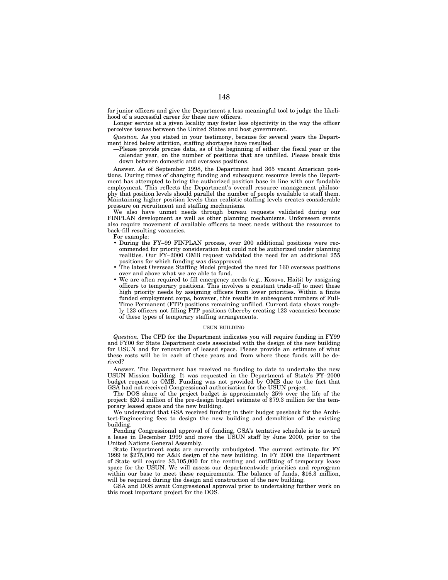for junior officers and give the Department a less meaningful tool to judge the likelihood of a successful career for these new officers.

Longer service at a given locality may foster less objectivity in the way the officer perceives issues between the United States and host government.

*Question.* As you stated in your testimony, because for several years the Department hired below attrition, staffing shortages have resulted.

—Please provide precise data, as of the beginning of either the fiscal year or the calendar year, on the number of positions that are unfilled. Please break this down between domestic and overseas positions.

Answer. As of September 1998, the Department had 365 vacant American positions. During times of changing funding and subsequent resource levels the Department has attempted to bring the authorized position base in line with our fundable employment. This reflects the Department's overall resource management philosophy that position levels should parallel the number of people available to staff them. Maintaining higher position levels than realistic staffing levels creates considerable pressure on recruitment and staffing mechanisms.

We also have unmet needs through bureau requests validated during our FINPLAN development as well as other planning mechanisms. Unforeseen events also require movement of available officers to meet needs without the resources to back-fill resulting vacancies.

For example:

- During the FY–99 FINPLAN process, over 200 additional positions were recommended for priority consideration but could not be authorized under planning realities. Our FY–2000 OMB request validated the need for an additional 255 positions for which funding was disapproved.
- The latest Overseas Staffing Model projected the need for 160 overseas positions over and above what we are able to fund.
- We are often required to fill emergency needs (e.g., Kosovo, Haiti) by assigning officers to temporary positions. This involves a constant trade-off to meet these high priority needs by assigning officers from lower priorities. Within a finite funded employment corps, however, this results in subsequent numbers of Full-Time Permanent (FTP) positions remaining unfilled. Current data shows roughly 123 officers not filling FTP positions (thereby creating 123 vacancies) because of these types of temporary staffing arrangements.

## USUN BUILDING

*Question.* The CPD for the Department indicates you will require funding in FY99 and FY00 for State Department costs associated with the design of the new building for USUN and for renovation of leased space. Please provide an estimate of what these costs will be in each of these years and from where these funds will be derived?

Answer. The Department has received no funding to date to undertake the new USUN Mission building. It was requested in the Department of State's FY–2000 budget request to OMB. Funding was not provided by OMB due to the fact that GSA had not received Congressional authorization for the USUN project.

The DOS share of the project budget is approximately 25% over the life of the project: \$20.4 million of the pre-design budget estimate of \$79.3 million for the temporary leased space and the new building.

We understand that GSA received funding in their budget passback for the Architect-Engineering fees to design the new building and demolition of the existing building.

Pending Congressional approval of funding, GSA's tentative schedule is to award a lease in December 1999 and move the USUN staff by June 2000, prior to the United Nations General Assembly.

State Department costs are currently unbudgeted. The current estimate for FY 1999 is \$275,000 for A&E design of the new building. In FY 2000 the Department of State will require \$3,105,000 for the renting and outfitting of temporary lease space for the USUN. We will assess our departmentwide priorities and reprogram within our base to meet these requirements. The balance of funds, \$16.3 million, will be required during the design and construction of the new building.

GSA and DOS await Congressional approval prior to undertaking further work on this most important project for the DOS.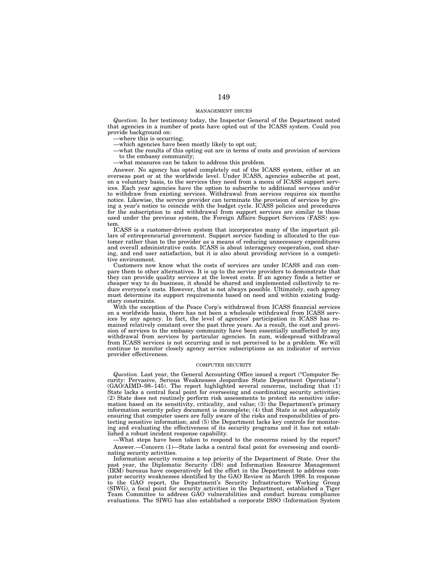### MANAGEMENT ISSUES

*Question.* In her testimony today, the Inspector General of the Department noted that agencies in a number of posts have opted out of the ICASS system. Could you provide background on:

—where this is occurring;

—which agencies have been mostly likely to opt out;

—what the results of this opting out are in terms of costs and provision of services to the embassy community;

—what measures can be taken to address this problem.

Answer. No agency has opted completely out of the ICASS system, either at an overseas post or at the worldwide level. Under ICASS, agencies subscribe at post, on a voluntary basis, to the services they need from a menu of ICASS support services. Each year agencies have the option to subscribe to additional services and/or to withdraw from existing services. Withdrawal from services requires six months notice. Likewise, the service provider can terminate the provision of services by giving a year's notice to coincide with the budget cycle. ICASS policies and procedures for the subscription to and withdrawal from support services are similar to those used under the previous system, the Foreign Affairs Support Services (FASS) system.

ICASS is a customer-driven system that incorporates many of the important pillars of entrepreneurial government. Support service funding is allocated to the customer rather than to the provider as a means of reducing unnecessary expenditures and overall administrative costs. ICASS is about interagency cooperation, cost sharing, and end user satisfaction, but it is also about providing services in a competitive environment.

Customers now know what the costs of services are under ICASS and can compare them to other alternatives. It is up to the service providers to demonstrate that they can provide quality services at the lowest costs. If an agency finds a better or cheaper way to do business, it should be shared and implemented collectively to reduce everyone's costs. However, that is not always possible. Ultimately, each agency must determine its support requirements based on need and within existing budgetary constraints.

With the exception of the Peace Corp's withdrawal from ICASS financial services on a worldwide basis, there has not been a wholesale withdrawal from ICASS services by any agency. In fact, the level of agencies' participation in ICASS has remained relatively constant over the past three years. As a result, the cost and provision of services to the embassy community have been essentially unaffected by any withdrawal from services by particular agencies. In sum, widespread withdrawal from ICASS services is not occurring and is not perceived to be a problem. We will continue to monitor closely agency service subscriptions as an indicator of service provider effectiveness.

## COMPUTER SECURITY

*Question.* Last year, the General Accounting Office issued a report (''Computer Security: Pervasive, Serious Weaknesses Jeopardize State Department Operations'') (GAO/AIMD–98–145). The report highlighted several concerns, including that (1) State lacks a central focal point for overseeing and coordinating security activities; (2) State does not routinely perform risk assessments to protect its sensitive information based on its sensitivity, criticality, and value;  $(3)$  the Department's primary information security policy document is incomplete; (4) that State is not adequately ensuring that computer users are fully aware of the risks and responsibilities of protecting sensitive information; and (5) the Department lacks key controls for monitoring and evaluating the effectiveness of its security programs and it has not established a robust incident response capability.

—What steps have been taken to respond to the concerns raised by the report? Answer.—Concern (1)—State lacks a central focal point for overseeing and coordinating security activities.

Information security remains a top priority of the Department of State. Over the past year, the Diplomatic Security (DS) and Information Resource Management (IRM) bureaus have cooperatively led the effort in the Department to address computer security weaknesses identified by the GAO Review in March 1998. In response to the GAO report, the Department's Security Infrastructure Working Group (SIWG), a focal point for security activities in the Department, established a Tiger Team Committee to address GAO vulnerabilities and conduct bureau compliance evaluations. The SIWG has also established a corporate ISSO (Information System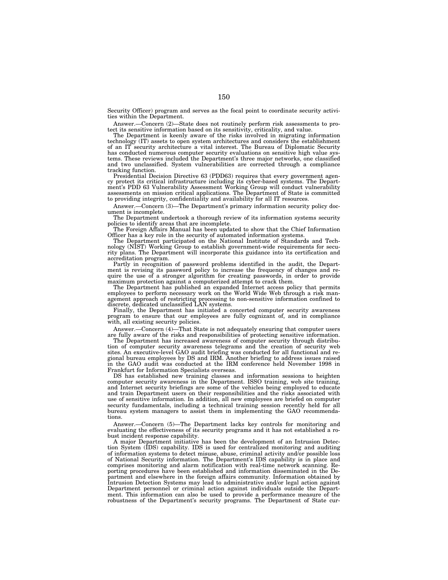Security Officer) program and serves as the focal point to coordinate security activities within the Department.

Answer.—Concern (2)—State does not routinely perform risk assessments to protect its sensitive information based on its sensitivity, criticality, and value.

The Department is keenly aware of the risks involved in migrating information technology (IT) assets to open system architectures and considers the establishment of an IT security architecture a vital interest. The Bureau of Diplomatic Security has conducted numerous computer security evaluations on sensitive high value systems. These reviews included the Department's three major networks, one classified and two unclassified. System vulnerabilities are corrected through a compliance tracking function.

Presidential Decision Directive 63 (PDD63) requires that every government agency protect its critical infrastructure including its cyber-based systems. The Department's PDD 63 Vulnerability Assessment Working Group will conduct vulnerability assessments on mission critical applications. The Department of State is committed to providing integrity, confidentiality and availability for all IT resources.

Answer.—Concern (3)—The Department's primary information security policy document is incomplete.

The Department undertook a thorough review of its information systems security policies to identify areas that are incomplete.

The Foreign Affairs Manual has been updated to show that the Chief Information Officer has a key role in the security of automated information systems.

The Department participated on the National Institute of Standards and Technology (NIST) Working Group to establish government-wide requirements for security plans. The Department will incorporate this guidance into its certification and accreditation program.

Partly in recognition of password problems identified in the audit, the Depart-ment is revising its password policy to increase the frequency of changes and require the use of a stronger algorithm for creating passwords, in order to provide maximum protection against a computerized attempt to crack them.

The Department has published an expanded Internet access policy that permits employees to perform necessary work on the World Wide Web through a risk management approach of restricting processing to non-sensitive information confined to discrete, dedicated unclassified LAN systems.

Finally, the Department has initiated a concerted computer security awareness program to ensure that our employees are fully cognizant of, and in compliance with, all existing security policies.

Answer.—Concern (4)—That State is not adequately ensuring that computer users are fully aware of the risks and responsibilities of protecting sensitive information.

The Department has increased awareness of computer security through distribution of computer security awareness telegrams and the creation of security web sites. An executive-level GAO audit briefing was conducted for all functional and regional bureau employees by DS and IRM. Another briefing to address issues raised in the GAO audit was conducted at the IRM conference held November 1998 in Frankfurt for Information Specialists overseas.

DS has established new training classes and information sessions to heighten computer security awareness in the Department. ISSO training, web site training, and Internet security briefings are some of the vehicles being employed to educate and train Department users on their responsibilities and the risks associated with use of sensitive information. In addition, all new employees are briefed on computer security fundamentals, including a technical training session recently held for all bureau system managers to assist them in implementing the GAO recommendations.

Answer.—Concern (5)—The Department lacks key controls for monitoring and evaluating the effectiveness of its security programs and it has not established a robust incident response capability.

A major Department initiative has been the development of an Intrusion Detection System (IDS) capability. IDS is used for centralized monitoring and auditing of information systems to detect misuse, abuse, criminal activity and/or possible loss of National Security information. The Department's IDS capability is in place and comprises monitoring and alarm notification with real-time network scanning. Reporting procedures have been established and information disseminated in the Department and elsewhere in the foreign affairs community. Information obtained by Intrusion Detection Systems may lead to administrative and/or legal action against Department personnel or criminal action against individuals outside the Department. This information can also be used to provide a performance measure of the robustness of the Department's security programs. The Department of State cur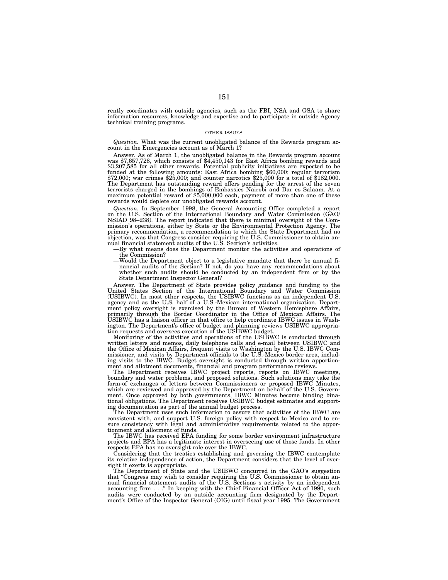rently coordinates with outside agencies, such as the FBI, NSA and GSA to share information resources, knowledge and expertise and to participate in outside Agency technical training programs.

### OTHER ISSUES

*Question.* What was the current unobligated balance of the Rewards program account in the Emergencies account as of March 1?

Answer. As of March 1, the unobligated balance in the Rewards program account was \$7,657,728, which consists of \$4,450,143 for East Africa bombing rewards and \$3,207,585 for all other rewards. Potential publicity initiatives are expected to be funded at the following amounts: East Africa bombing \$60,000; regular terrorism \$72,000; war crimes \$25,000; and counter narcotics \$25,000 for a total of \$182,000. The Department has outstanding reward offers pending for the arrest of the seven terrorists charged in the bombings of Embassies Nairobi and Dar es Salaam. At a maximum potential reward of \$5,000,000 each, payment of more than one of these rewards would deplete our unobligated rewards account.

*Question.* In September 1998, the General Accounting Office completed a report on the U.S. Section of the International Boundary and Water Commission (GAO/ NSIAD 98–238). The report indicated that there is minimal oversight of the Commission's operations, either by State or the Environmental Protection Agency. The primary recommendation, a recommendation to which the State Department had no objection, was that Congress consider requiring the U.S. Commissioner to obtain an-nual financial statement audits of the U.S. Section's activities.

—By what means does the Department monitor the activities and operations of the Commission?

—Would the Department object to a legislative mandate that there be annual financial audits of the Section? If not, do you have any recommendations about whether such audits should be conducted by an independent firm or by the State Department Inspector General?

Answer. The Department of State provides policy guidance and funding to the United States Section of the International Boundary and Water Commission (USIBWC). In most other respects, the USIBWC functions as an independent U.S. agency and as the U.S. half of a U.S.-Mexican international organization. Department policy oversight is exercised by the Bureau of Western Hemisphere Affairs, primarily through the Border Coordinator in the Office of Mexican Affairs. The USIBWC has a liaison officer in that office to help coordinate IBWC issues in Washington. The Department's office of budget and planning reviews USIBWC appropria-tion requests and oversees execution of the USIBWC budget.

Monitoring of the activities and operations of the USIBWC is conducted through written letters and memos, daily telephone calls and e-mail between USIBWC and the Office of Mexican Affairs, frequent visits to Washington by the U.S. IBWC Com-missioner, and visits by Department officials to the U.S.-Mexico border area, including visits to the IBWC. Budget oversight is conducted through written apportionment and allotment documents, financial and program performance reviews.

The Department receives IBWC project reports, reports on IBWC meetings, boundary and water problems, and proposed solutions. Such solutions may take the form-of exchanges of letters between Commissioners or proposed IBWC Minutes, which are reviewed and approved by the Department on behalf of the U.S. Government. Once approved by both governments, IBWC Minutes become binding binational obligations. The Department receives USIBWC budget estimates and ing documentation as part of the annual budget process.

The Department uses such information to assure that activities of the IBWC are consistent with, and support U.S. foreign policy with respect to Mexico and to ensure consistency with legal and administrative requirements related to the apportionment and allotment of funds.

The IBWC has received EPA funding for some border environment infrastructure projects and EPA has a legitimate interest in overseeing use of those funds. In other respects EPA has no oversight role over the IBWC.

Considering that the treaties establishing and governing the IBWC contemplate its relative independence of action, the Department considers that the level of oversight it exerts is appropriate.

The Department of State and the USIBWC concurred in the GAO's suggestion that "Congress may wish to consider requiring the U.S. Commissioner to obtain annual financial statement audits of the U.S. Sections s activity by an independent accounting firm . . .'' In keeping with the Chief Financial Officer Act of 1990, such audits were conducted by an outside accounting firm designated by the Department's Office of the Inspector General (OIG) until fiscal year 1995. The Government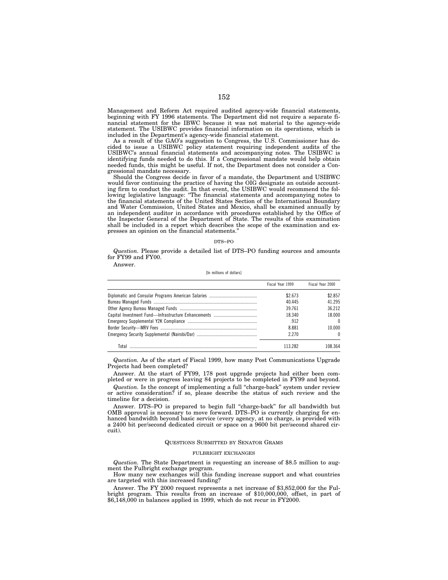Management and Reform Act required audited agency-wide financial statements, beginning with FY 1996 statements. The Department did not require a separate financial statement for the IBWC because it was not material to the agency-wide statement. The USIBWC provides financial information on its operations, which is included in the Department's agency-wide financial statement.

As a result of the GAO's suggestion to Congress, the U.S. Commissioner has decided to issue a USIBWC policy statement requiring independent audits of the USIBWC's annual financial statements and accompanying notes. The USIBWC is identifying funds needed to do this. If a Congressional mandate would help obtain needed funds, this might be useful. If not, the Department does not consider a Congressional mandate necessary.

Should the Congress decide in favor of a mandate, the Department and USIBWC would favor continuing the practice of having the OIG designate an outside accounting firm to conduct the audit. In that event, the USIBWC would recommend the following legislative language: "The financial statements and accompanying notes to the financial statements of the United States Section of the International Boundary and Water Commission, United States and Mexico, shall be examined annually by an independent auditor in accordance with procedures established by the Office of the Inspector General of the Department of State. The results of this examination shall be included in a report which describes the scope of the examination and expresses an opinion on the financial statements.''

### DTS–PO

*Question.* Please provide a detailed list of DTS–PO funding sources and amounts for FY99 and FY00.

Answer.

[In millions of dollars]

|       | Fiscal Year 1999 | Fiscal Year 2000 |
|-------|------------------|------------------|
|       | \$2.673          | \$2.857          |
|       | 40.445           | 41.295           |
|       | 39 7 61          | 36 212           |
|       | 18.340           | 18 000           |
|       | .912             | $\Omega$         |
|       | 8.881            | 10 000           |
|       | 2 2 7 0          |                  |
| Tntal | 113 282          |                  |

*Question.* As of the start of Fiscal 1999, how many Post Communications Upgrade Projects had been completed?

Answer. At the start of FY99, 178 post upgrade projects had either been completed or were in progress leaving 84 projects to be completed in FY99 and beyond.

*Question.* Is the concept of implementing a full "charge-back" system under review or active consideration? if so, please describe the status of such review and the timeline for a decision.

Answer. DTS–PO is prepared to begin full ''charge-back'' for all bandwidth but OMB approval is necessary to move forward. DTS–PO is currently charging for enhanced bandwidth beyond basic service (every agency, at no charge, is provided with a 2400 bit per/second dedicated circuit or space on a 9600 bit per/second shared circuit).

## QUESTIONS SUBMITTED BY SENATOR GRAMS

# FULBRIGHT EXCHANGES

*Question.* The State Department is requesting an increase of \$8.5 million to augment the Fulbright exchange program.

How many new exchanges will this funding increase support and what countries are targeted with this increased funding?

Answer. The FY 2000 request represents a net increase of \$3,852,000 for the Fulbright program. This results from an increase of \$10,000,000, offset, in part of \$6,148,000 in balances applied in 1999, which do not recur in FY2000.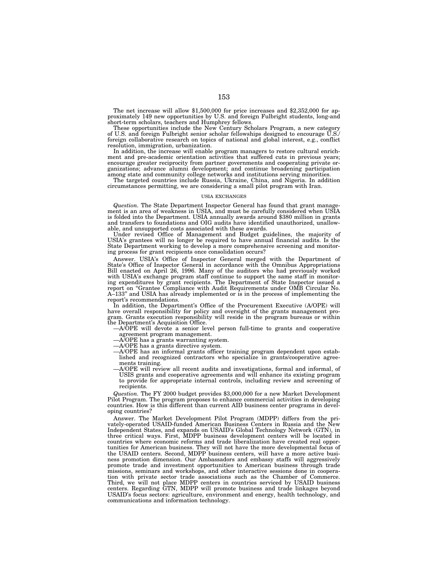The net increase will allow \$1,500,000 for price increases and \$2,352,000 for approximately 149 new opportunities by U.S. and foreign Fulbright students, long-and short-term scholars, teachers and Humphrey fellows.

These opportunities include the New Century Scholars Program, a new category of U.S. and foreign Fulbright senior scholar fellowships designed to encourage U.S./ foreign collaborative research on topics of national and global interest, e.g., conflict resolution, immigration, urbanization.

In addition, the increase will enable program managers to restore cultural enrichment and pre-academic orientation activities that suffered cuts in previous years; encourage greater reciprocity from partner governments and cooperating private organizations; advance alumni development; and continue broadening participation among state and community college networks and institutions serving minorities.

The targeted countries include Russia, Ukraine, China, and Nigeria. In addition circumstances permitting, we are considering a small pilot program with Iran.

### USIA EXCHANGES

*Question.* The State Department Inspector General has found that grant management is an area of weakness in USIA, and must be carefully considered when USIA is folded into the Department. USIA annually awards around \$380 million in grants and transfers to foundations and OIG audits have identified unauthorized, unallow-

able, and unsupported costs associated with these awards. Under revised Office of Management and Budget guidelines, the majority of USIA's grantees will no longer be required to have annual financial audits. Is the State Department working to develop a more comprehensive screening and monitoring process for grant recipients once consolidation occurs?

Answer. USIA's Office of Inspector General merged with the Department of State's Office of Inspector General in accordance with the Omnibus Appropriations Bill enacted on April 26, 1996. Many of the auditors who had previously worked with USIA's exchange program staff continue to support the same staff in monitoring expenditures by grant recipients. The Department of State Inspector issued a report on ''Grantee Compliance with Audit Requirements under OMB Circular No. A–133'' and USIA has already implemented or is in the process of implementing the report's recommendations.

In addition, the Department's Office of the Procurement Executive (A/OPE) will have overall responsibility for policy and oversight of the grants management program. Grants execution responsibility will reside in the program bureaus or within the Department's Acquisition Office.

—A/OPE will devote a senior level person full-time to grants and cooperative agreement program management.

- —A/OPE has a grants warranting system.
- —A/OPE has a grants directive system.
- —A/OPE has an informal grants officer training program dependent upon established and recognized contractors who specialize in grants/cooperative agreements training.
- —A/OPE will review all recent audits and investigations, formal and informal, of USIS grants and cooperative agreements and will enhance its existing program to provide for appropriate internal controls, including review and screening of recipients.

*Question.* The FY 2000 budget provides \$3,000,000 for a new Market Development Pilot Program. The program proposes to enhance commercial activities in developing countries. How is this different than current AID business center programs in developing countries?

Answer. The Market Development Pilot Program (MDPP) differs from the privately-operated USAID-funded American Business Centers in Russia and the New Independent States, and expands on USAID's Global Technology Network (GTN), in three critical ways. First, MDPP business development centers will be located in countries where economic reforms and trade liberalization have created real opportunities for American business. They will not have the more developmental focus of the USAID centers. Second, MDPP business centers, will have a more active business promotion dimension. Our Ambassadors and embassy staffs will aggressively promote trade and investment opportunities to American business through trade missions, seminars and workshops, and other interactive sessions done in cooperation with private sector trade associations such as the Chamber of Commerce. Third, we will not place MDPP centers in countries serviced by USAID business centers. Regarding GTN, MDPP will promote business and trade linkages beyond USAID's focus sectors: agriculture, environment and energy, health technology, and communications and information technology.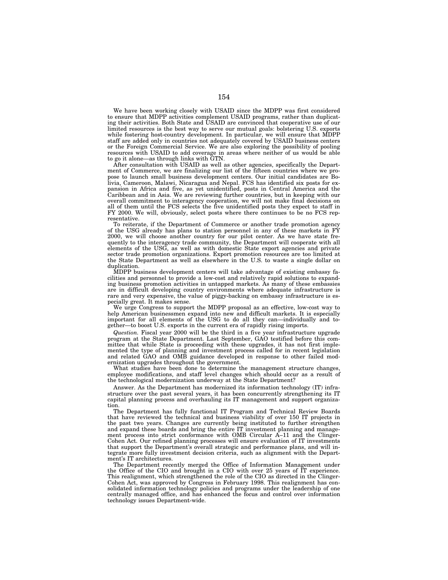We have been working closely with USAID since the MDPP was first considered to ensure that MDPP activities complement USAID programs, rather than duplicating their activities. Both State and USAID are convinced that cooperative use of our limited resources is the best way to serve our mutual goals: bolstering U.S. exports while fostering host-country development. In particular, we will ensure that MDPP staff are added only in countries not adequately covered by USAID business centers or the Foreign Commercial Service. We are also exploring the possibility of pooling resources with USAID to add coverage in areas where neither of us would be able to go it alone—as through links with GTN.

After consultation with USAID as well as other agencies, specifically the Department of Commerce, we are finalizing our list of the fifteen countries where we propose to launch small business development centers. Our initial candidates are Bolivia, Cameroon, Malawi, Nicaragua and Nepal. FCS has identified six posts for expansion in Africa and five, as yet unidentified, posts in Central America and the Caribbean and in Asia. We are reviewing further countries, but in keeping with our overall commitment to interagency cooperation, we will not make final decisions on all of them until the FCS selects the five unidentified posts they expect to staff in FY 2000. We will, obviously, select posts where there continues to be no FCS representative.

To reiterate, if the Department of Commerce or another trade promotion agency of the USG already has plans to station personnel in any of these markets in FY 2000, we will choose another country for our pilot center. As we have state frequently to the interagency trade community, the Department will cooperate with all elements of the USG, as well as with domestic State export agencies and private sector trade promotion organizations. Export promotion resources are too limited at the State Department as well as elsewhere in the U.S. to waste a single dollar on duplication.

MDPP business development centers will take advantage of existing embassy facilities and personnel to provide a low-cost and relatively rapid solutions to expanding business promotion activities in untapped markets. As many of these embassies are in difficult developing country environments where adequate infrastructure is rare and very expensive, the value of piggy-backing on embassy infrastructure is especially great. It makes sense.

We urge Congress to support the MDPP proposal as an effective, low-cost way to help American businessmen expand into new and difficult markets. It is especially important for all elements of the USG to do all they can—individually and together—to boost U.S. exports in the current era of rapidly rising imports.

*Question.* Fiscal year 2000 will be the third in a five year infrastructure upgrade program at the State Department. Last September, GAO testified before this committee that while State is proceeding with these upgrades, it has not first implemented the type of planning and investment process called for in recent legislation and related GAO and OMB guidance developed in response to other failed modernization upgrades throughout the government.

What studies have been done to determine the management structure changes, employee modifications, and staff level changes which should occur as a result of the technological modernization underway at the State Department?

Answer. As the Department has modernized its information technology (IT) infrastructure over the past several years, it has been concurrently strengthening its IT capital planning process and overhauling its IT management and support organization.

The Department has fully functional IT Program and Technical Review Boards that have reviewed the technical and business viability of over 150 IT projects in the past two years. Changes are currently being instituted to further strengthen and expand these boards and bring the entire IT investment planning and management process into strict conformance with OMB Circular A–11 and the Clinger-Cohen Act. Our refined planning processes will ensure evaluation of IT investments that support the Department's overall strategic and performance plans, and will integrate more fully investment decision criteria, such as alignment with the Department's IT architectures.

The Department recently merged the Office of Information Management under the Office of the CIO and brought in a CIO with over 25 years of IT experience. This realignment, which strengthened the role of the CIO as directed in the Clinger-Cohen Act, was approved by Congress in February 1998. This realignment has consolidated information technology policies and programs under the leadership of one centrally managed office, and has enhanced the focus and control over information technology issues Department-wide.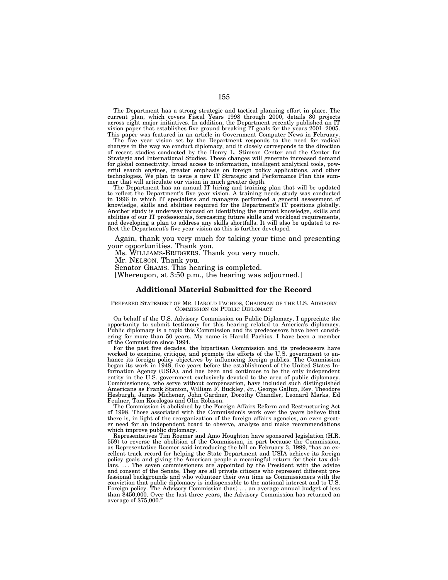The Department has a strong strategic and tactical planning effort in place. The current plan, which covers Fiscal Years 1998 through 2000, details 80 projects across eight major initiatives. In addition, the Department recently published an IT vision paper that establishes five ground breaking IT goals for the years 2001–2005. This paper was featured in an article in Government Computer News in February.

The five year vision set by the Department responds to the need for radical changes in the way we conduct diplomacy, and it closely corresponds to the direction of recent studies conducted by the Henry L. Stimson Center and the Center for Strategic and International Studies. These changes will generate increased demand for global connectivity, broad access to information, intelligent analytical tools, powerful search engines, greater emphasis on foreign policy applications, and other technologies. We plan to issue a new IT Strategic and Performance Plan this summer that will articulate our vision in much greater depth.

The Department has an annual IT hiring and training plan that will be updated to reflect the Department's five year vision. A training needs study was conducted in 1996 in which IT specialists and managers performed a general assessment of knowledge, skills and abilities required for the Department's IT positions globally. Another study is underway focused on identifying the current knowledge, skills and abilities of our IT professionals, forecasting future skills and workload requirements, and developing a plan to address any skills shortfalls. It will also be updated to reflect the Department's five year vision as this is further developed.

Again, thank you very much for taking your time and presenting your opportunities. Thank you.

Ms. WILLIAMS-BRIDGERS. Thank you very much.

Mr. NELSON. Thank you.

Senator GRAMS. This hearing is completed.

[Whereupon, at 3:50 p.m., the hearing was adjourned.]

# **Additional Material Submitted for the Record**

### PREPARED STATEMENT OF MR. HAROLD PACHIOS, CHAIRMAN OF THE U.S. ADVISORY COMMISSION ON PUBLIC DIPLOMACY

On behalf of the U.S. Advisory Commission on Public Diplomacy, I appreciate the opportunity to submit testimony for this hearing related to America's diplomacy. Public diplomacy is a topic this Commission and its predecessors have been considering for more than 50 years. My name is Harold Pachios. I have been a member of the Commission since 1994.

For the past five decades, the bipartisan Commission and its predecessors have worked to examine, critique, and promote the efforts of the U.S. government to enhance its foreign policy objectives by influencing foreign publics. The Commission began its work in 1948, five years before the establishment of the United States Information Agency (USIA), and has been and continues to be the only independent entity in the U.S. government exclusively devoted to the area of public diplomacy. Commissioners, who serve without compensation, have included such distinguished Americans as Frank Stanton, William F. Buckley, Jr., George Gallup, Rev. Theodore Hesburgh, James Michener, John Gardner, Dorothy Chandler, Leonard Marks, Ed Feulner, Tom Korologos and Olin Robison.

The Commission is abolished by the Foreign Affairs Reform and Restructuring Act of 1998. Those associated with the Commission's work over the years believe that there is, in light of the reorganization of the foreign affairs agencies, an even greater need for an independent board to observe, analyze and make recommendations which improve public diplomacy.

Representatives Tim Roemer and Amo Houghton have sponsored legislation (H.R. 559) to reverse the abolition of the Commission, in part because the Commission, as Representative Roemer said introducing the bill on February 3, 1999, ''has an excellent track record for helping the State Department and USIA achieve its foreign policy goals and giving the American people a meaningful return for their tax dollars. ... The seven commissioners are appointed by the President with the advice and consent of the Senate. They are all private citizens who represent different professional backgrounds and who volunteer their own time as Commissioners with the conviction that public diplomacy is indispensable to the national interest and to U.S. Foreign policy. The Advisory Commission (has) ... an average annual budget of less than \$450,000. Over the last three years, the Advisory Commission has returned an average of \$75,000.''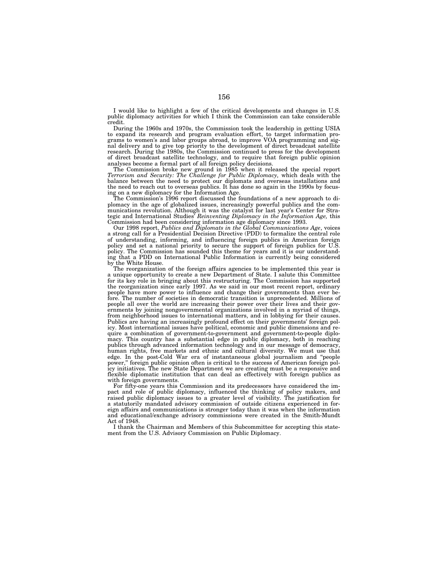I would like to highlight a few of the critical developments and changes in U.S. public diplomacy activities for which I think the Commission can take considerable credit.

During the 1960s and 1970s, the Commission took the leadership in getting USIA to expand its research and program evaluation effort, to target information programs to women's and labor groups abroad, to improve VOA programming and signal delivery and to give top priority to the development of direct broadcast satellite research. During the 1980s, the Commission continued to press for the development of direct broadcast satellite technology, and to require that foreign public opinion analyses become a formal part of all foreign policy decisions.

The Commission broke new ground in 1985 when it released the special report *Terrorism and Security: The Challenge for Public Diplomacy,* which deals with the balance between the need to protect our diplomats and overseas installations and the need to reach out to overseas publics. It has done so again in the 1990s by focusing on a new diplomacy for the Information Age.

The Commission's 1996 report discussed the foundations of a new approach to diplomacy in the age of globalized issues, increasingly powerful publics and the communications revolution. Although it was the catalyst for last year's Center for Strategic and International Studies' *Reinventing Diplomacy in the Information Age,* this Commission had been considering information age diplomacy since 1993.

Our 1998 report, *Publics and Diplomats in the Global Communications Age*, voices a strong call for a Presidential Decision Directive (PDD) to formalize the central role of understanding, informing, and influencing foreign publics in American foreign policy and set a national priority to secure the support of foreign publics for U.S. policy. The Commission has sounded this theme for years and it is our understanding that a PDD on International Public Information is currently being considered by the White House.

The reorganization of the foreign affairs agencies to be implemented this year is a unique opportunity to create a new Department of State. I salute this Committee for its key role in bringing about this restructuring. The Commission has supported the reorganization since early 1997. As we said in our most recent report, ordinary people have more power to influence and change their governments than ever before. The number of societies in democratic transition is unprecedented. Millions of people all over the world are increasing their power over their lives and their governments by joining nongovernmental organizations involved in a myriad of things, from neighborhood issues to international matters, and in lobbying for their causes. Publics are having an increasingly profound effect on their governments' foreign policy. Most international issues have political, economic and public dimensions and require a combination of government-to-government and government-to-people diplomacy. This country has a substantial edge in public diplomacy, both in reaching publics through advanced information technology and in our message of democracy, human rights, free markets and ethnic and cultural diversity. We must use that edge. In the post-Cold War era of instantaneous global journalism and ''people power,'' foreign public opinion often is critical to the success of American foreign policy initiatives. The new State Department we are creating must be a responsive and flexible diplomatic institution that can deal as effectively with foreign publics as with foreign governments.

For fifty-one years this Commission and its predecessors have considered the impact and role of public diplomacy, influenced the thinking of policy makers, and raised public diplomacy issues to a greater level of visibility. The justification for a statutorily mandated advisory commission of outside citizens experienced in foreign affairs and communications is stronger today than it was when the information and educational/exchange advisory commissions were created in the Smith-Mundt Act of 1948.

I thank the Chairman and Members of this Subcommittee for accepting this statement from the U.S. Advisory Commission on Public Diplomacy.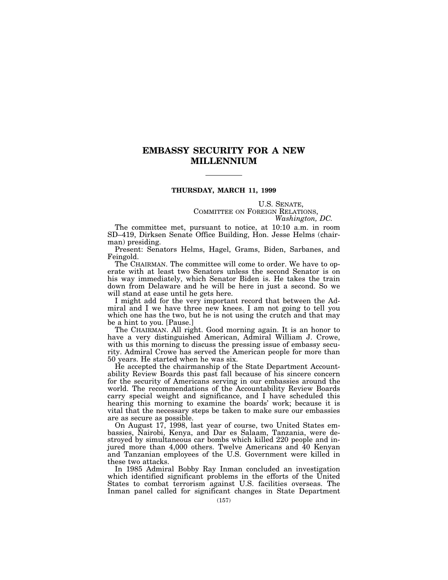# **EMBASSY SECURITY FOR A NEW MILLENNIUM**

# **THURSDAY, MARCH 11, 1999**

U.S. SENATE, COMMITTEE ON FOREIGN RELATIONS, *Washington, DC.*

The committee met, pursuant to notice, at 10:10 a.m. in room SD–419, Dirksen Senate Office Building, Hon. Jesse Helms (chairman) presiding.

Present: Senators Helms, Hagel, Grams, Biden, Sarbanes, and Feingold.

The CHAIRMAN. The committee will come to order. We have to operate with at least two Senators unless the second Senator is on his way immediately, which Senator Biden is. He takes the train down from Delaware and he will be here in just a second. So we will stand at ease until he gets here.

I might add for the very important record that between the Admiral and I we have three new knees. I am not going to tell you which one has the two, but he is not using the crutch and that may be a hint to you. [Pause.]

The CHAIRMAN. All right. Good morning again. It is an honor to have a very distinguished American, Admiral William J. Crowe, with us this morning to discuss the pressing issue of embassy security. Admiral Crowe has served the American people for more than 50 years. He started when he was six.

He accepted the chairmanship of the State Department Accountability Review Boards this past fall because of his sincere concern for the security of Americans serving in our embassies around the world. The recommendations of the Accountability Review Boards carry special weight and significance, and I have scheduled this hearing this morning to examine the boards' work; because it is vital that the necessary steps be taken to make sure our embassies are as secure as possible.

On August 17, 1998, last year of course, two United States embassies, Nairobi, Kenya, and Dar es Salaam, Tanzania, were destroyed by simultaneous car bombs which killed 220 people and injured more than 4,000 others. Twelve Americans and 40 Kenyan and Tanzanian employees of the U.S. Government were killed in these two attacks.

In 1985 Admiral Bobby Ray Inman concluded an investigation which identified significant problems in the efforts of the United States to combat terrorism against U.S. facilities overseas. The Inman panel called for significant changes in State Department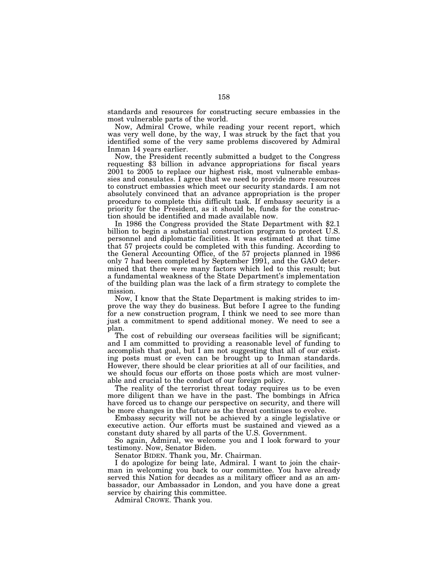standards and resources for constructing secure embassies in the most vulnerable parts of the world.

Now, Admiral Crowe, while reading your recent report, which was very well done, by the way, I was struck by the fact that you identified some of the very same problems discovered by Admiral Inman 14 years earlier.

Now, the President recently submitted a budget to the Congress requesting \$3 billion in advance appropriations for fiscal years 2001 to 2005 to replace our highest risk, most vulnerable embassies and consulates. I agree that we need to provide more resources to construct embassies which meet our security standards. I am not absolutely convinced that an advance appropriation is the proper procedure to complete this difficult task. If embassy security is a priority for the President, as it should be, funds for the construction should be identified and made available now.

In 1986 the Congress provided the State Department with \$2.1 billion to begin a substantial construction program to protect U.S. personnel and diplomatic facilities. It was estimated at that time that 57 projects could be completed with this funding. According to the General Accounting Office, of the 57 projects planned in 1986 only 7 had been completed by September 1991, and the GAO determined that there were many factors which led to this result; but a fundamental weakness of the State Department's implementation of the building plan was the lack of a firm strategy to complete the mission.

Now, I know that the State Department is making strides to improve the way they do business. But before I agree to the funding for a new construction program, I think we need to see more than just a commitment to spend additional money. We need to see a plan.

The cost of rebuilding our overseas facilities will be significant; and I am committed to providing a reasonable level of funding to accomplish that goal, but I am not suggesting that all of our existing posts must or even can be brought up to Inman standards. However, there should be clear priorities at all of our facilities, and we should focus our efforts on those posts which are most vulnerable and crucial to the conduct of our foreign policy.

The reality of the terrorist threat today requires us to be even more diligent than we have in the past. The bombings in Africa have forced us to change our perspective on security, and there will be more changes in the future as the threat continues to evolve.

Embassy security will not be achieved by a single legislative or executive action. Our efforts must be sustained and viewed as a constant duty shared by all parts of the U.S. Government.

So again, Admiral, we welcome you and I look forward to your testimony. Now, Senator Biden.

Senator BIDEN. Thank you, Mr. Chairman.

I do apologize for being late, Admiral. I want to join the chairman in welcoming you back to our committee. You have already served this Nation for decades as a military officer and as an ambassador, our Ambassador in London, and you have done a great service by chairing this committee.

Admiral CROWE. Thank you.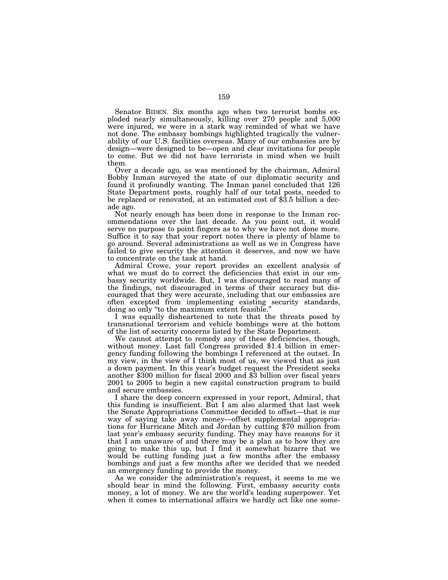Senator BIDEN. Six months ago when two terrorist bombs exploded nearly simultaneously, killing over 270 people and 5,000 were injured, we were in a stark way reminded of what we have not done. The embassy bombings highlighted tragically the vulnerability of our U.S. facilities overseas. Many of our embassies are by design—were designed to be—open and clear invitations for people to come. But we did not have terrorists in mind when we built them.

Over a decade ago, as was mentioned by the chairman, Admiral Bobby Inman surveyed the state of our diplomatic security and found it profoundly wanting. The Inman panel concluded that 126 State Department posts, roughly half of our total posts, needed to be replaced or renovated, at an estimated cost of \$3.5 billion a decade ago.

Not nearly enough has been done in response to the Inman recommendations over the last decade. As you point out, it would serve no purpose to point fingers as to why we have not done more. Suffice it to say that your report notes there is plenty of blame to go around. Several administrations as well as we in Congress have failed to give security the attention it deserves, and now we have to concentrate on the task at hand.

Admiral Crowe, your report provides an excellent analysis of what we must do to correct the deficiencies that exist in our embassy security worldwide. But, I was discouraged to read many of the findings, not discouraged in terms of their accuracy but discouraged that they were accurate, including that our embassies are often excepted from implementing existing security standards, doing so only ''to the maximum extent feasible.''

I was equally disheartened to note that the threats posed by transnational terrorism and vehicle bombings were at the bottom of the list of security concerns listed by the State Department.

without money. Last fall Congress provided \$1.4 billion in emergency funding following the bombings I referenced at the outset. In my view, in the view of I think most of us, we viewed that as just a down payment. In this year's budget request the President seeks another \$300 million for fiscal 2000 and \$3 billion over fiscal years 2001 to 2005 to begin a new capital construction program to build and secure embassies.

I share the deep concern expressed in your report, Admiral, that this funding is insufficient. But I am also alarmed that last week the Senate Appropriations Committee decided to offset—that is our way of saying take away money—offset supplemental appropriations for Hurricane Mitch and Jordan by cutting \$70 million from last year's embassy security funding. They may have reasons for it that I am unaware of and there may be a plan as to how they are going to make this up, but I find it somewhat bizarre that we would be cutting funding just a few months after the embassy bombings and just a few months after we decided that we needed an emergency funding to provide the money.

As we consider the administration's request, it seems to me we should bear in mind the following. First, embassy security costs money, a lot of money. We are the world's leading superpower. Yet when it comes to international affairs we hardly act like one some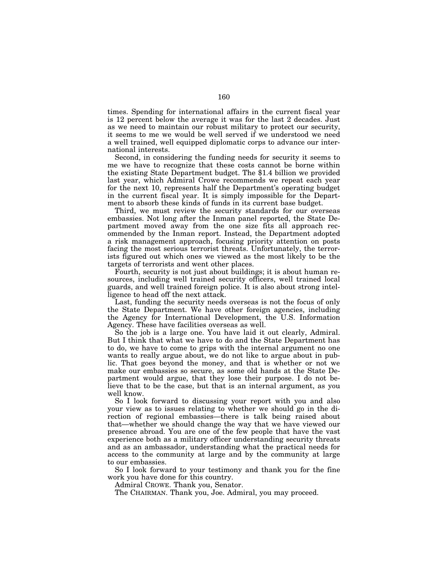times. Spending for international affairs in the current fiscal year is 12 percent below the average it was for the last 2 decades. Just as we need to maintain our robust military to protect our security, it seems to me we would be well served if we understood we need a well trained, well equipped diplomatic corps to advance our international interests.

Second, in considering the funding needs for security it seems to me we have to recognize that these costs cannot be borne within the existing State Department budget. The \$1.4 billion we provided last year, which Admiral Crowe recommends we repeat each year for the next 10, represents half the Department's operating budget in the current fiscal year. It is simply impossible for the Department to absorb these kinds of funds in its current base budget.

Third, we must review the security standards for our overseas embassies. Not long after the Inman panel reported, the State Department moved away from the one size fits all approach recommended by the Inman report. Instead, the Department adopted a risk management approach, focusing priority attention on posts facing the most serious terrorist threats. Unfortunately, the terrorists figured out which ones we viewed as the most likely to be the targets of terrorists and went other places.

Fourth, security is not just about buildings; it is about human resources, including well trained security officers, well trained local guards, and well trained foreign police. It is also about strong intelligence to head off the next attack.

Last, funding the security needs overseas is not the focus of only the State Department. We have other foreign agencies, including the Agency for International Development, the U.S. Information Agency. These have facilities overseas as well.

So the job is a large one. You have laid it out clearly, Admiral. But I think that what we have to do and the State Department has to do, we have to come to grips with the internal argument no one wants to really argue about, we do not like to argue about in public. That goes beyond the money, and that is whether or not we make our embassies so secure, as some old hands at the State Department would argue, that they lose their purpose. I do not believe that to be the case, but that is an internal argument, as you well know.

So I look forward to discussing your report with you and also your view as to issues relating to whether we should go in the direction of regional embassies—there is talk being raised about that—whether we should change the way that we have viewed our presence abroad. You are one of the few people that have the vast experience both as a military officer understanding security threats and as an ambassador, understanding what the practical needs for access to the community at large and by the community at large to our embassies.

So I look forward to your testimony and thank you for the fine work you have done for this country.

Admiral CROWE. Thank you, Senator.

The CHAIRMAN. Thank you, Joe. Admiral, you may proceed.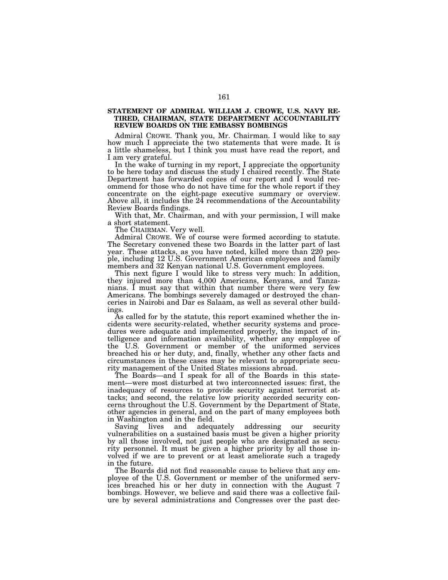# **STATEMENT OF ADMIRAL WILLIAM J. CROWE, U.S. NAVY RE-TIRED, CHAIRMAN, STATE DEPARTMENT ACCOUNTABILITY REVIEW BOARDS ON THE EMBASSY BOMBINGS**

Admiral CROWE. Thank you, Mr. Chairman. I would like to say how much I appreciate the two statements that were made. It is a little shameless, but I think you must have read the report, and I am very grateful.

In the wake of turning in my report, I appreciate the opportunity to be here today and discuss the study I chaired recently. The State Department has forwarded copies of our report and I would recommend for those who do not have time for the whole report if they concentrate on the eight-page executive summary or overview. Above all, it includes the 24 recommendations of the Accountability Review Boards findings.

With that, Mr. Chairman, and with your permission, I will make a short statement.

The CHAIRMAN. Very well.

Admiral CROWE. We of course were formed according to statute. The Secretary convened these two Boards in the latter part of last year. These attacks, as you have noted, killed more than 220 people, including 12 U.S. Government American employees and family members and 32 Kenyan national U.S. Government employees.

This next figure I would like to stress very much: In addition, they injured more than 4,000 Americans, Kenyans, and Tanzanians. I must say that within that number there were very few Americans. The bombings severely damaged or destroyed the chanceries in Nairobi and Dar es Salaam, as well as several other buildings.

As called for by the statute, this report examined whether the incidents were security-related, whether security systems and procedures were adequate and implemented properly, the impact of intelligence and information availability, whether any employee of the U.S. Government or member of the uniformed services breached his or her duty, and, finally, whether any other facts and circumstances in these cases may be relevant to appropriate security management of the United States missions abroad.

The Boards—and I speak for all of the Boards in this statement—were most disturbed at two interconnected issues: first, the inadequacy of resources to provide security against terrorist attacks; and second, the relative low priority accorded security concerns throughout the U.S. Government by the Department of State, other agencies in general, and on the part of many employees both in Washington and in the field.

Saving lives and adequately addressing our security vulnerabilities on a sustained basis must be given a higher priority by all those involved, not just people who are designated as security personnel. It must be given a higher priority by all those involved if we are to prevent or at least ameliorate such a tragedy in the future.

The Boards did not find reasonable cause to believe that any employee of the U.S. Government or member of the uniformed services breached his or her duty in connection with the August 7 bombings. However, we believe and said there was a collective failure by several administrations and Congresses over the past dec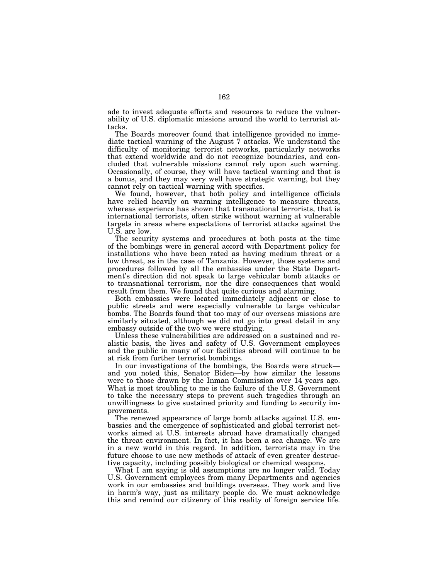ade to invest adequate efforts and resources to reduce the vulnerability of U.S. diplomatic missions around the world to terrorist attacks.

The Boards moreover found that intelligence provided no immediate tactical warning of the August 7 attacks. We understand the difficulty of monitoring terrorist networks, particularly networks that extend worldwide and do not recognize boundaries, and concluded that vulnerable missions cannot rely upon such warning. Occasionally, of course, they will have tactical warning and that is a bonus, and they may very well have strategic warning, but they cannot rely on tactical warning with specifics.

We found, however, that both policy and intelligence officials have relied heavily on warning intelligence to measure threats, whereas experience has shown that transnational terrorists, that is international terrorists, often strike without warning at vulnerable targets in areas where expectations of terrorist attacks against the U.S. are low.

The security systems and procedures at both posts at the time of the bombings were in general accord with Department policy for installations who have been rated as having medium threat or a low threat, as in the case of Tanzania. However, those systems and procedures followed by all the embassies under the State Department's direction did not speak to large vehicular bomb attacks or to transnational terrorism, nor the dire consequences that would result from them. We found that quite curious and alarming.

Both embassies were located immediately adjacent or close to public streets and were especially vulnerable to large vehicular bombs. The Boards found that too may of our overseas missions are similarly situated, although we did not go into great detail in any embassy outside of the two we were studying.

Unless these vulnerabilities are addressed on a sustained and realistic basis, the lives and safety of U.S. Government employees and the public in many of our facilities abroad will continue to be at risk from further terrorist bombings.

In our investigations of the bombings, the Boards were struck and you noted this, Senator Biden—by how similar the lessons were to those drawn by the Inman Commission over 14 years ago. What is most troubling to me is the failure of the U.S. Government to take the necessary steps to prevent such tragedies through an unwillingness to give sustained priority and funding to security improvements.

The renewed appearance of large bomb attacks against U.S. embassies and the emergence of sophisticated and global terrorist networks aimed at U.S. interests abroad have dramatically changed the threat environment. In fact, it has been a sea change. We are in a new world in this regard. In addition, terrorists may in the future choose to use new methods of attack of even greater destructive capacity, including possibly biological or chemical weapons.

What I am saying is old assumptions are no longer valid. Today U.S. Government employees from many Departments and agencies work in our embassies and buildings overseas. They work and live in harm's way, just as military people do. We must acknowledge this and remind our citizenry of this reality of foreign service life.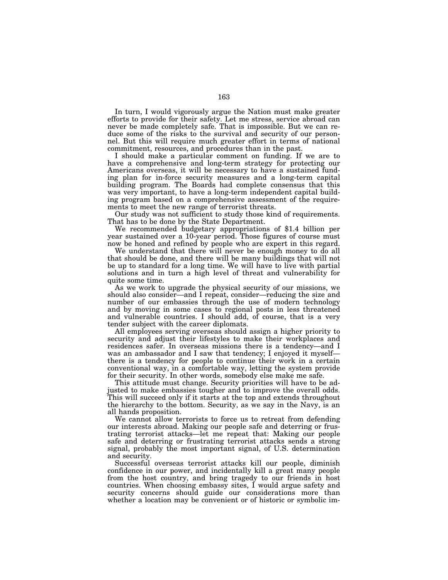In turn, I would vigorously argue the Nation must make greater efforts to provide for their safety. Let me stress, service abroad can never be made completely safe. That is impossible. But we can reduce some of the risks to the survival and security of our personnel. But this will require much greater effort in terms of national commitment, resources, and procedures than in the past.

I should make a particular comment on funding. If we are to have a comprehensive and long-term strategy for protecting our Americans overseas, it will be necessary to have a sustained funding plan for in-force security measures and a long-term capital building program. The Boards had complete consensus that this was very important, to have a long-term independent capital building program based on a comprehensive assessment of the requirements to meet the new range of terrorist threats.

Our study was not sufficient to study those kind of requirements.<br>That has to be done by the State Department.

We recommended budgetary appropriations of \$1.4 billion per year sustained over a 10-year period. Those figures of course must now be honed and refined by people who are expert in this regard.

We understand that there will never be enough money to do all that should be done, and there will be many buildings that will not be up to standard for a long time. We will have to live with partial solutions and in turn a high level of threat and vulnerability for quite some time.

As we work to upgrade the physical security of our missions, we should also consider—and I repeat, consider—reducing the size and number of our embassies through the use of modern technology and by moving in some cases to regional posts in less threatened and vulnerable countries. I should add, of course, that is a very tender subject with the career diplomats.

All employees serving overseas should assign a higher priority to security and adjust their lifestyles to make their workplaces and residences safer. In overseas missions there is a tendency—and I was an ambassador and I saw that tendency; I enjoyed it myself there is a tendency for people to continue their work in a certain conventional way, in a comfortable way, letting the system provide for their security. In other words, somebody else make me safe.

This attitude must change. Security priorities will have to be adjusted to make embassies tougher and to improve the overall odds. This will succeed only if it starts at the top and extends throughout the hierarchy to the bottom. Security, as we say in the Navy, is an all hands proposition.

We cannot allow terrorists to force us to retreat from defending our interests abroad. Making our people safe and deterring or frustrating terrorist attacks—let me repeat that: Making our people safe and deterring or frustrating terrorist attacks sends a strong signal, probably the most important signal, of U.S. determination and security.

Successful overseas terrorist attacks kill our people, diminish confidence in our power, and incidentally kill a great many people from the host country, and bring tragedy to our friends in host countries. When choosing embassy sites, I would argue safety and security concerns should guide our considerations more than whether a location may be convenient or of historic or symbolic im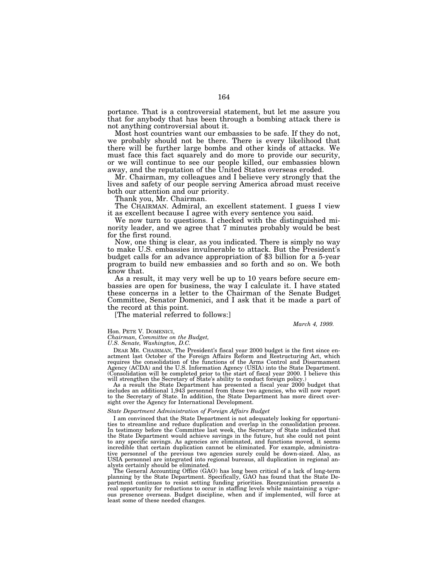portance. That is a controversial statement, but let me assure you that for anybody that has been through a bombing attack there is not anything controversial about it.

Most host countries want our embassies to be safe. If they do not, we probably should not be there. There is every likelihood that there will be further large bombs and other kinds of attacks. We must face this fact squarely and do more to provide our security, or we will continue to see our people killed, our embassies blown away, and the reputation of the United States overseas eroded.

Mr. Chairman, my colleagues and I believe very strongly that the lives and safety of our people serving America abroad must receive both our attention and our priority.

Thank you, Mr. Chairman.

The CHAIRMAN. Admiral, an excellent statement. I guess I view it as excellent because I agree with every sentence you said.

We now turn to questions. I checked with the distinguished minority leader, and we agree that 7 minutes probably would be best for the first round.

Now, one thing is clear, as you indicated. There is simply no way to make U.S. embassies invulnerable to attack. But the President's budget calls for an advance appropriation of \$3 billion for a 5-year program to build new embassies and so forth and so on. We both know that.

As a result, it may very well be up to 10 years before secure embassies are open for business, the way I calculate it. I have stated these concerns in a letter to the Chairman of the Senate Budget Committee, Senator Domenici, and I ask that it be made a part of the record at this point.

[The material referred to follows:]

*March 4, 1999.*

## Hon. PETE V. DOMENICI,

*Chairman, Committee on the Budget,*

*U.S. Senate, Washington, D.C.*

DEAR MR. CHAIRMAN, The President's fiscal year 2000 budget is the first since enactment last October of the Foreign Affairs Reform and Restructuring Act, which requires the consolidation of the functions of the Arms Control and Disarmament Agency (ACDA) and the U.S. Information Agency (USIA) into the State Department. (Consolidation will be completed prior to the start of fiscal year 2000. I believe this will strengthen the Secretary of State's ability to conduct foreign policy.)

As a result the State Department has presented a fiscal year 2000 budget that includes an additional 1,943 personnel from these two agencies, who will now report to the Secretary of State. In addition, the State Department has more direct oversight over the Agency for International Development.

## *State Department Administration of Foreign Affairs Budget*

I am convinced that the State Department is not adequately looking for opportunities to streamline and reduce duplication and overlap in the consolidation process. In testimony before the Committee last week, the Secretary of State indicated that the State Department would achieve savings in the future, hut she could not point to any specific savings. As agencies are eliminated, and functions moved, it seems incredible that certain duplication cannot be eliminated. For example, administrative personnel of the previous two agencies surely could be down-sized. Also, as USIA personnel are integrated into regional bureaus, all duplication in regional analysts certainly should be eliminated.

The General Accounting Office (GAO) has long been critical of a lack of long-term planning by the State Department. Specifically, GAO has found that the State Department continues to resist setting funding priorities. Reorganization presents a real opportunity for reductions to occur in staffing levels while maintaining a vigorous presence overseas. Budget discipline, when and if implemented, will force at least some of these needed changes.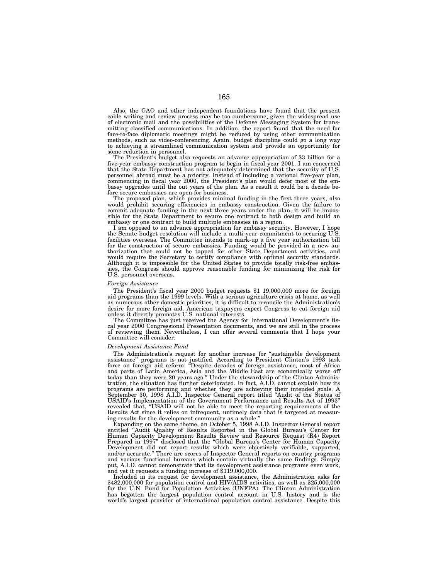Also, the GAO and other independent foundations have found that the present cable writing and review process may be too cumbersome, given the widespread use of electronic mail and the possibilities of the Defense Messaging System for transmitting classified communications. In addition, the report found that the need for face-to-face diplomatic meetings might be reduced by using other communication methods, such as video-conferencing. Again, budget discipline could go a long way to achieving a streamlined communication system and provide an opportunity for some reduction in personnel.

The President's budget also requests an advance appropriation of \$3 billion for a five-year embassy construction program to begin in fiscal year 2001. I am concerned that the State Department has not adequately determined that the security of U.S. personnel abroad must be a priority. Instead of including a rational five-year plan, commencing in fiscal year 2000, the President's plan would defer most of the embassy upgrades until the out years of the plan. As a result it could be a decade before secure embassies are open for business.

The proposed plan, which provides minimal funding in the first three years, also would prohibit securing efficiencies in embassy construction. Given the failure to commit adequate funding in the next three years under the plan, it will be impossible for the State Department to secure one contract to both design and build an embassy or one contract to build multiple embassies in a region.

I am opposed to an advance appropriation for embassy security. However, I hope the Senate budget resolution will include a multi-year commitment to securing U.S. facilities overseas. The Committee intends to mark-up a five year authorization bill for the construction of secure embassies. Funding would be provided in a new authorization that could not be tapped for other State Department activities, and would require the Secretary to certify compliance with optimal security standards. Although it is impossible for the United States to provide totally risk-free embassies, the Congress should approve reasonable funding for minimizing the risk for U.S. personnel overseas.

### *Foreign Assistance*

The President's fiscal year 2000 budget requests \$1 19,000,000 more for foreign aid programs than the 1999 levels. With a serious agriculture crisis at home, as well as numerous other domestic priorities, it is difficult to reconcile the Administration's desire for more foreign aid. American taxpayers expect Congress to cut foreign aid unless it directly promotes U.S. national interests.

The Committee has just received the Agency for International Development's fiscal year 2000 Congressional Presentation documents, and we are still in the process of reviewing them. Nevertheless, I can offer several comments that I hope your Committee will consider:

## *Development Assistance Fund*

The Administration's request for another increase for ''sustainable development assistance'' programs is not justified. According to President Clinton's 1993 task force on foreign aid reform: ''Despite decades of foreign assistance, most of Africa and parts of Latin America, Asia and the Middle East are economically worse off today than they were 20 years ago.'' Under the stewardship of the Clinton Administration, the situation has further deteriorated. In fact, A.I.D. cannot explain how its programs are performing and whether they are achieving their intended goals. A September 30, 1998 A.I.D. Inspector General report titled ''Audit of the Status of USAID's Implementation of the Government Performance and Results Act of 1993'' revealed that, ''USAID will not be able to meet the reporting requirements of the Results Act since it relies on infrequent, untimely data that is targeted at measuring results for the development community as a whole.''

Expanding on the same theme, an October 5, 1998 A.I.D. Inspector General report entitled ''Audit Quality of Results Reported in the Global Bureau's Center for Human Capacity Development Results Review and Resource Request (R4) Report Prepared in 1997" disclosed that the "Global Bureau's Center for Human Capacity Development did not report results which were objectively verifiable, supported, and/or accurate.'' There are scores of Inspector General reports on country programs and various functional bureaus which contain virtually the same findings. Simply put, A.I.D. cannot demonstrate that its development assistance programs even work, and yet it requests a funding increase of \$119,000,000.

Included in its request for development assistance, the Administration asks for \$482,000,000 for population control and HIV/AIDS activities, as well as \$25,000,000 for the U.N. Fund for Population Activities (UNFPA). The Clinton Administration has begotten the largest population control account in U.S. history and is the world's largest provider of international population control assistance. Despite this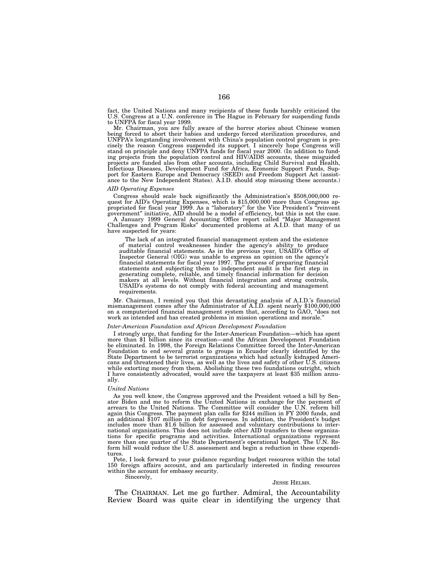fact, the United Nations and many recipients of these funds harshly criticized the U.S. Congress at a U.N. conference in The Hague in February for suspending funds to UNFPA for fiscal year 1999.

Mr. Chairman, you are fully aware of the horror stories about Chinese women being forced to abort their babies and undergo forced sterilization procedures, and UNFPA's longstanding involvement with China's population control program is precisely the reason Congress suspended its support. I sincerely hope Congress will<br>stand on principle and deny UNFPA funds for fiscal year 2000. (In addition to fund-<br>ing projects from the population control and HIV/AIDS acc projects are funded also from other accounts, including Child Survival and Health, Infectious Diseases, Development Fund for Africa, Economic Support Funds, Support for Eastern Europe and Democracy (SEED) and Freedom Support Act (assist-ance to the New Independent States). A.I.D. should stop misusing these accounts.)

### *AID Operating Expenses*

Congress should scale back significantly the Administration's \$508,000,000 request for AID's Operating Expenses, which is \$15,000,000 more than Congress appropriated for fiscal year 1999. As a "laboratory" for the Vice Pre government'' initiative, AID should be a model of efficiency, but this is not the case. A January 1999 General Accounting Office report called ''Major Management Challenges and Program Risks'' documented problems at A.I.D. that many of us have suspected for years:

The lack of an integrated financial management system and the existence of material control weaknesses hinder the agency's ability to produce auditable financial statements. As in the previous year, USAID's Office of Inspector General (OIG) was unable to express an opinion on the agency's financial statements for fiscal year 1997. The process of preparing financial statements and subjecting them to independent audit is the first step in generating complete, reliable, and timely financial information for decision makers at all levels. Without financial integration and strong controls, USAID's systems do not comply with federal accounting and management requirements.

Mr. Chairman, I remind you that this devastating analysis of A.I.D.'s financial mismanagement comes after the Administrator of A.I.D. spent nearly \$100,000,000 on a computerized financial management system that, according to GAO, ''does not work as intended and has created problems in mission operations and morale.''

## *Inter-American Foundation and African Development Foundation*

I strongly urge, that funding for the Inter-American Foundation—which has spent more than \$1 billion since its creation—and the African Development Foundation<br>be eliminated. In 1998, the Foreign Relations Committee forced Foundation to end several grants to groups in Ecuador clearly identified by the State Department to be terrorist organizations which had actually kidnaped Americans and threatened their lives, as well as the lives and safety of other U.S. citizens while extorting money from them. Abolishing these two foundations outright, which I have consistently advocated, would save the taxpayers at least \$35 million annually.

### *United Nations*

As you well know, the Congress approved and the President vetoed a bill by Sen-ator Biden and me to reform the United Nations in exchange for the payment of arrears to the United Nations. The Committee will consider the U.N. reform bill again this Congress. The payment plan calls for \$244 million in FY 2000 funds, and an additional \$107 million in debt forgiveness. In addition, the President's budget includes more than \$1.6 billion for assessed and voluntary contributions to international organizations. This does not include other AID transfers to these organizations for specific programs and activities. International organizations represent more than one quarter of the State Department's operational budget. The U.N. Reform bill would reduce the U.S. assessment and begin a reduction in these expenditures.

Pete, I look forward to your guidance regarding budget resources within the total 150 foreign affairs account, and am particularly interested in finding resources within the account for embassy security.

Sincerely,

## JESSE HELMS.

The CHAIRMAN. Let me go further. Admiral, the Accountability Review Board was quite clear in identifying the urgency that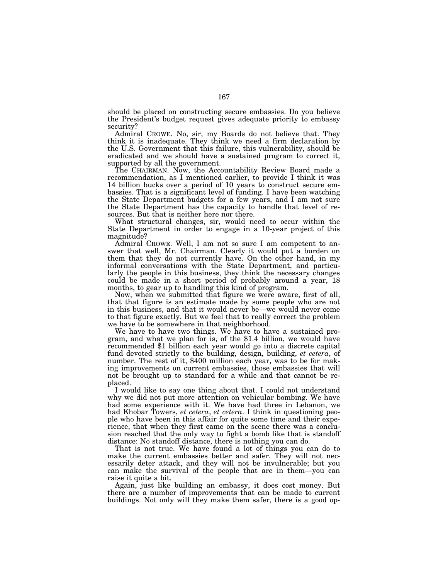should be placed on constructing secure embassies. Do you believe the President's budget request gives adequate priority to embassy security?

Admiral CROWE. No, sir, my Boards do not believe that. They think it is inadequate. They think we need a firm declaration by the U.S. Government that this failure, this vulnerability, should be eradicated and we should have a sustained program to correct it, supported by all the government.

The CHAIRMAN. Now, the Accountability Review Board made a recommendation, as I mentioned earlier, to provide I think it was 14 billion bucks over a period of 10 years to construct secure embassies. That is a significant level of funding. I have been watching the State Department budgets for a few years, and I am not sure the State Department has the capacity to handle that level of resources. But that is neither here nor there.

What structural changes, sir, would need to occur within the State Department in order to engage in a 10-year project of this magnitude?

Admiral CROWE. Well, I am not so sure I am competent to answer that well, Mr. Chairman. Clearly it would put a burden on them that they do not currently have. On the other hand, in my informal conversations with the State Department, and particularly the people in this business, they think the necessary changes could be made in a short period of probably around a year, 18 months, to gear up to handling this kind of program.

Now, when we submitted that figure we were aware, first of all, that that figure is an estimate made by some people who are not in this business, and that it would never be—we would never come to that figure exactly. But we feel that to really correct the problem

we have to be somewhere in that neighborhood.<br>We have to have two things. We have to have a sustained program, and what we plan for is, of the \$1.4 billion, we would have recommended \$1 billion each year would go into a discrete capital fund devoted strictly to the building, design, building, *et cetera*, of number. The rest of it, \$400 million each year, was to be for making improvements on current embassies, those embassies that will not be brought up to standard for a while and that cannot be replaced.

I would like to say one thing about that. I could not understand why we did not put more attention on vehicular bombing. We have had some experience with it. We have had three in Lebanon, we had Khobar Towers, *et cetera*, *et cetera*. I think in questioning people who have been in this affair for quite some time and their experience, that when they first came on the scene there was a conclusion reached that the only way to fight a bomb like that is standoff distance: No standoff distance, there is nothing you can do.

That is not true. We have found a lot of things you can do to make the current embassies better and safer. They will not necessarily deter attack, and they will not be invulnerable; but you can make the survival of the people that are in them—you can raise it quite a bit.

Again, just like building an embassy, it does cost money. But there are a number of improvements that can be made to current buildings. Not only will they make them safer, there is a good op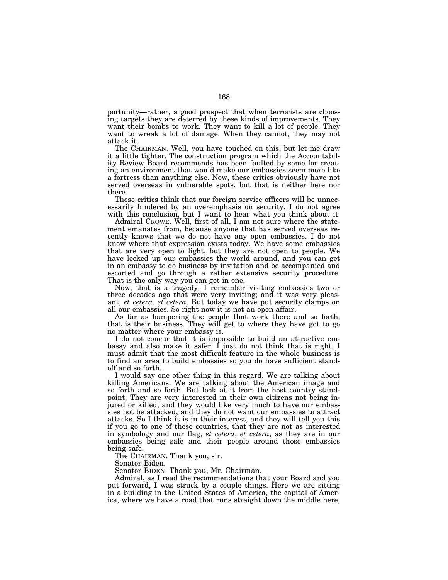portunity—rather, a good prospect that when terrorists are choosing targets they are deterred by these kinds of improvements. They want their bombs to work. They want to kill a lot of people. They want to wreak a lot of damage. When they cannot, they may not attack it.

The CHAIRMAN. Well, you have touched on this, but let me draw it a little tighter. The construction program which the Accountability Review Board recommends has been faulted by some for creating an environment that would make our embassies seem more like a fortress than anything else. Now, these critics obviously have not served overseas in vulnerable spots, but that is neither here nor there.

These critics think that our foreign service officers will be unnecessarily hindered by an overemphasis on security. I do not agree with this conclusion, but I want to hear what you think about it.

Admiral CROWE. Well, first of all, I am not sure where the statement emanates from, because anyone that has served overseas recently knows that we do not have any open embassies. I do not know where that expression exists today. We have some embassies that are very open to light, but they are not open to people. We have locked up our embassies the world around, and you can get in an embassy to do business by invitation and be accompanied and escorted and go through a rather extensive security procedure. That is the only way you can get in one.

Now, that is a tragedy. I remember visiting embassies two or three decades ago that were very inviting; and it was very pleasant, *et cetera*, *et cetera*. But today we have put security clamps on all our embassies. So right now it is not an open affair.

As far as hampering the people that work there and so forth, that is their business. They will get to where they have got to go no matter where your embassy is.

I do not concur that it is impossible to build an attractive embassy and also make it safer. I just do not think that is right. I must admit that the most difficult feature in the whole business is to find an area to build embassies so you do have sufficient standoff and so forth.

I would say one other thing in this regard. We are talking about killing Americans. We are talking about the American image and so forth and so forth. But look at it from the host country standpoint. They are very interested in their own citizens not being injured or killed; and they would like very much to have our embassies not be attacked, and they do not want our embassies to attract attacks. So I think it is in their interest, and they will tell you this if you go to one of these countries, that they are not as interested in symbology and our flag, *et cetera*, *et cetera*, as they are in our embassies being safe and their people around those embassies being safe.

The CHAIRMAN. Thank you, sir.

Senator Biden.

Senator BIDEN. Thank you, Mr. Chairman.

Admiral, as I read the recommendations that your Board and you put forward, I was struck by a couple things. Here we are sitting in a building in the United States of America, the capital of America, where we have a road that runs straight down the middle here,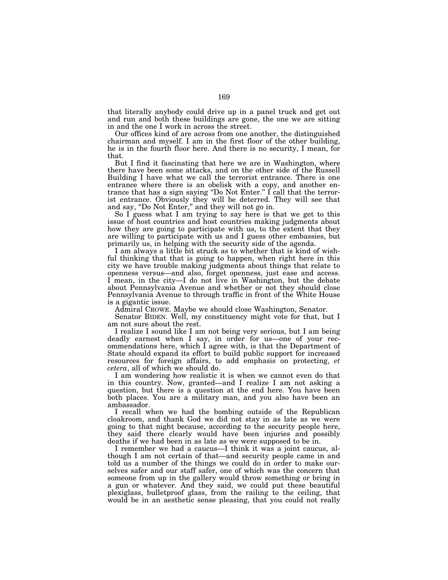that literally anybody could drive up in a panel truck and get out and run and both these buildings are gone, the one we are sitting in and the one I work in across the street.

Our offices kind of are across from one another, the distinguished chairman and myself. I am in the first floor of the other building, he is in the fourth floor here. And there is no security, I mean, for that.

But I find it fascinating that here we are in Washington, where there have been some attacks, and on the other side of the Russell Building I have what we call the terrorist entrance. There is one entrance where there is an obelisk with a copy, and another entrance that has a sign saying ''Do Not Enter.'' I call that the terrorist entrance. Obviously they will be deterred. They will see that and say, ''Do Not Enter,'' and they will not go in.

So I guess what I am trying to say here is that we get to this issue of host countries and host countries making judgments about how they are going to participate with us, to the extent that they are willing to participate with us and I guess other embassies, but primarily us, in helping with the security side of the agenda.

I am always a little bit struck as to whether that is kind of wishful thinking that that is going to happen, when right here in this city we have trouble making judgments about things that relate to openness versus—and also, forget openness, just ease and access. I mean, in the city—I do not live in Washington, but the debate about Pennsylvania Avenue and whether or not they should close Pennsylvania Avenue to through traffic in front of the White House is a gigantic issue.

Admiral CROWE. Maybe we should close Washington, Senator.

Senator BIDEN. Well, my constituency might vote for that, but I am not sure about the rest.

I realize I sound like I am not being very serious, but I am being deadly earnest when I say, in order for us—one of your recommendations here, which I agree with, is that the Department of State should expand its effort to build public support for increased resources for foreign affairs, to add emphasis on protecting, *et cetera*, all of which we should do.

I am wondering how realistic it is when we cannot even do that in this country. Now, granted—and I realize I am not asking a question, but there is a question at the end here. You have been both places. You are a military man, and you also have been an ambassador.

I recall when we had the bombing outside of the Republican cloakroom, and thank God we did not stay in as late as we were going to that night because, according to the security people here, they said there clearly would have been injuries and possibly deaths if we had been in as late as we were supposed to be in.

I remember we had a caucus—I think it was a joint caucus, although I am not certain of that—and security people came in and told us a number of the things we could do in order to make ourselves safer and our staff safer, one of which was the concern that someone from up in the gallery would throw something or bring in a gun or whatever. And they said, we could put these beautiful plexiglass, bulletproof glass, from the railing to the ceiling, that would be in an aesthetic sense pleasing, that you could not really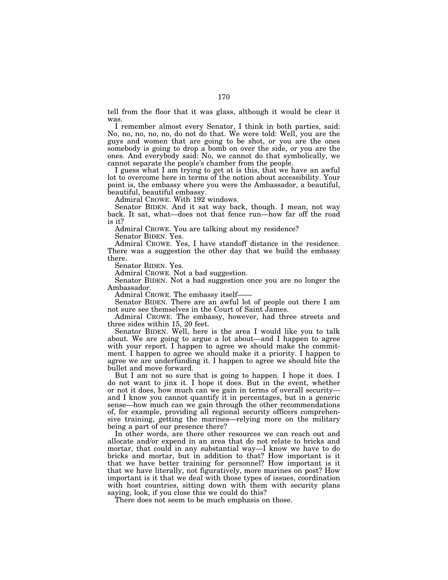tell from the floor that it was glass, although it would be clear it was.

I remember almost every Senator, I think in both parties, said: No, no, no, no, no, do not do that. We were told: Well, you are the guys and women that are going to be shot, or you are the ones somebody is going to drop a bomb on over the side, or you are the ones. And everybody said: No, we cannot do that symbolically, we cannot separate the people's chamber from the people.

I guess what I am trying to get at is this, that we have an awful lot to overcome here in terms of the notion about accessibility. Your point is, the embassy where you were the Ambassador, a beautiful, beautiful, beautiful embassy.

Admiral CROWE. With 192 windows.

Senator BIDEN. And it sat way back, though. I mean, not way back. It sat, what—does not that fence run—how far off the road is it?

Admiral CROWE. You are talking about my residence?

Senator BIDEN. Yes.

Admiral CROWE. Yes, I have standoff distance in the residence. There was a suggestion the other day that we build the embassy there.

Senator BIDEN. Yes.

Admiral CROWE. Not a bad suggestion.

Senator BIDEN. Not a bad suggestion once you are no longer the Ambassador.

Admiral CROWE. The embassy itself——

Senator BIDEN. There are an awful lot of people out there I am not sure see themselves in the Court of Saint James.

Admiral CROWE. The embassy, however, had three streets and three sides within 15, 20 feet.

Senator BIDEN. Well, here is the area I would like you to talk about. We are going to argue a lot about—and I happen to agree with your report. I happen to agree we should make the commitment. I happen to agree we should make it a priority. I happen to agree we are underfunding it. I happen to agree we should bite the bullet and move forward.

But I am not so sure that is going to happen. I hope it does. I do not want to jinx it. I hope it does. But in the event, whether or not it does, how much can we gain in terms of overall security and I know you cannot quantify it in percentages, but in a generic sense—how much can we gain through the other recommendations of, for example, providing all regional security officers comprehensive training, getting the marines—relying more on the military being a part of our presence there?

In other words, are there other resources we can reach out and allocate and/or expend in an area that do not relate to bricks and mortar, that could in any substantial way—I know we have to do bricks and mortar, but in addition to that? How important is it that we have better training for personnel? How important is it that we have literally, not figuratively, more marines on post? How important is it that we deal with those types of issues, coordination with host countries, sitting down with them with security plans saying, look, if you close this we could do this?

There does not seem to be much emphasis on those.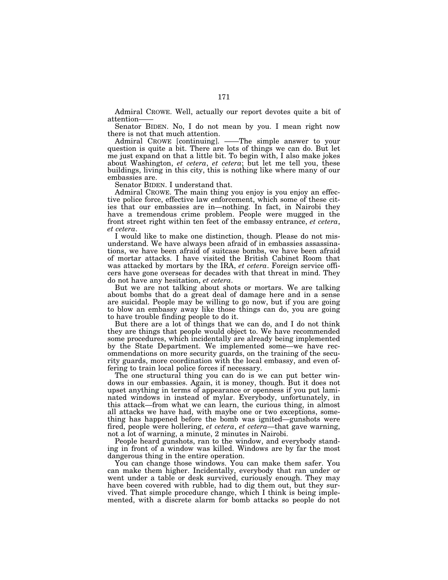Admiral CROWE. Well, actually our report devotes quite a bit of attention

Senator BIDEN. No, I do not mean by you. I mean right now there is not that much attention.

Admiral CROWE [continuing]. ——The simple answer to your question is quite a bit. There are lots of things we can do. But let me just expand on that a little bit. To begin with, I also make jokes about Washington, *et cetera*, *et cetera*; but let me tell you, these buildings, living in this city, this is nothing like where many of our embassies are.

Senator BIDEN. I understand that.

Admiral CROWE. The main thing you enjoy is you enjoy an effective police force, effective law enforcement, which some of these cities that our embassies are in—nothing. In fact, in Nairobi they have a tremendous crime problem. People were mugged in the front street right within ten feet of the embassy entrance, *et cetera*, *et cetera*. I would like to make one distinction, though. Please do not mis-

understand. We have always been afraid of in embassies assassinations, we have been afraid of suitcase bombs, we have been afraid of mortar attacks. I have visited the British Cabinet Room that was attacked by mortars by the IRA, *et cetera*. Foreign service officers have gone overseas for decades with that threat in mind. They do not have any hesitation, *et cetera*. But we are not talking about shots or mortars. We are talking

about bombs that do a great deal of damage here and in a sense are suicidal. People may be willing to go now, but if you are going to blow an embassy away like those things can do, you are going to have trouble finding people to do it.

But there are a lot of things that we can do, and I do not think they are things that people would object to. We have recommended some procedures, which incidentally are already being implemented by the State Department. We implemented some—we have recommendations on more security guards, on the training of the security guards, more coordination with the local embassy, and even offering to train local police forces if necessary.

The one structural thing you can do is we can put better windows in our embassies. Again, it is money, though. But it does not upset anything in terms of appearance or openness if you put laminated windows in instead of mylar. Everybody, unfortunately, in this attack—from what we can learn, the curious thing, in almost all attacks we have had, with maybe one or two exceptions, something has happened before the bomb was ignited—gunshots were fired, people were hollering, *et cetera*, *et cetera*—that gave warning, not a lot of warning, a minute, 2 minutes in Nairobi.

People heard gunshots, ran to the window, and everybody standing in front of a window was killed. Windows are by far the most dangerous thing in the entire operation.

You can change those windows. You can make them safer. You can make them higher. Incidentally, everybody that ran under or went under a table or desk survived, curiously enough. They may have been covered with rubble, had to dig them out, but they survived. That simple procedure change, which I think is being implemented, with a discrete alarm for bomb attacks so people do not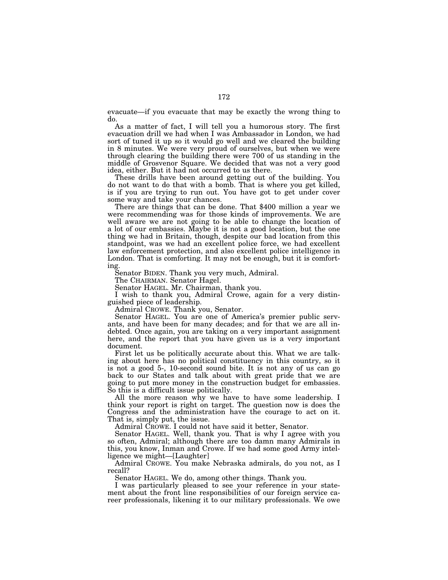evacuate—if you evacuate that may be exactly the wrong thing to do.

As a matter of fact, I will tell you a humorous story. The first evacuation drill we had when I was Ambassador in London, we had sort of tuned it up so it would go well and we cleared the building in 8 minutes. We were very proud of ourselves, but when we were through clearing the building there were 700 of us standing in the middle of Grosvenor Square. We decided that was not a very good idea, either. But it had not occurred to us there.

These drills have been around getting out of the building. You do not want to do that with a bomb. That is where you get killed, is if you are trying to run out. You have got to get under cover

There are things that can be done. That \$400 million a year we were recommending was for those kinds of improvements. We are well aware we are not going to be able to change the location of a lot of our embassies. Maybe it is not a good location, but the one thing we had in Britain, though, despite our bad location from this standpoint, was we had an excellent police force, we had excellent law enforcement protection, and also excellent police intelligence in London. That is comforting. It may not be enough, but it is comforting.

Senator BIDEN. Thank you very much, Admiral.

The CHAIRMAN. Senator Hagel.

Senator HAGEL. Mr. Chairman, thank you.

I wish to thank you, Admiral Crowe, again for a very distinguished piece of leadership.

Admiral CROWE. Thank you, Senator.

Senator HAGEL. You are one of America's premier public servants, and have been for many decades; and for that we are all indebted. Once again, you are taking on a very important assignment here, and the report that you have given us is a very important document.

First let us be politically accurate about this. What we are talking about here has no political constituency in this country, so it is not a good 5-, 10-second sound bite. It is not any of us can go back to our States and talk about with great pride that we are going to put more money in the construction budget for embassies. So this is a difficult issue politically.

All the more reason why we have to have some leadership. I think your report is right on target. The question now is does the Congress and the administration have the courage to act on it. That is, simply put, the issue.

Admiral CROWE. I could not have said it better, Senator.

Senator HAGEL. Well, thank you. That is why I agree with you so often, Admiral; although there are too damn many Admirals in this, you know, Inman and Crowe. If we had some good Army intelligence we might—[Laughter]

Admiral CROWE. You make Nebraska admirals, do you not, as I recall?

Senator HAGEL. We do, among other things. Thank you.

I was particularly pleased to see your reference in your statement about the front line responsibilities of our foreign service career professionals, likening it to our military professionals. We owe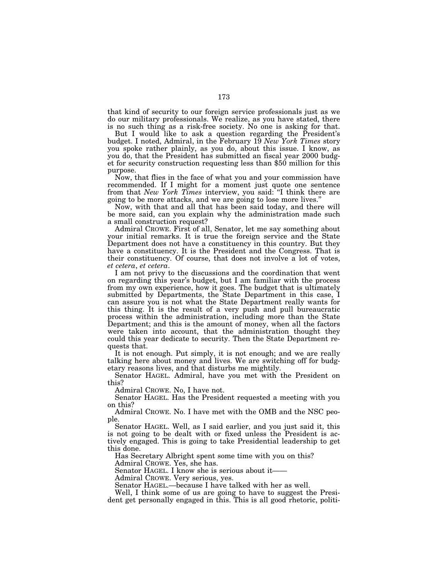that kind of security to our foreign service professionals just as we do our military professionals. We realize, as you have stated, there is no such thing as a risk-free society. No one is asking for that.

But I would like to ask a question regarding the President's budget. I noted, Admiral, in the February 19 *New York Times* story you spoke rather plainly, as you do, about this issue. I know, as you do, that the President has submitted an fiscal year 2000 budget for security construction requesting less than \$50 million for this purpose.

Now, that flies in the face of what you and your commission have recommended. If I might for a moment just quote one sentence from that *New York Times* interview, you said: ''I think there are going to be more attacks, and we are going to lose more lives.''

Now, with that and all that has been said today, and there will be more said, can you explain why the administration made such a small construction request?

Admiral CROWE. First of all, Senator, let me say something about your initial remarks. It is true the foreign service and the State Department does not have a constituency in this country. But they have a constituency. It is the President and the Congress. That is their constituency. Of course, that does not involve a lot of votes, *et cetera*, *et cetera*. I am not privy to the discussions and the coordination that went

on regarding this year's budget, but I am familiar with the process from my own experience, how it goes. The budget that is ultimately submitted by Departments, the State Department in this case, I can assure you is not what the State Department really wants for this thing. It is the result of a very push and pull bureaucratic process within the administration, including more than the State Department; and this is the amount of money, when all the factors were taken into account, that the administration thought they could this year dedicate to security. Then the State Department requests that.

It is not enough. Put simply, it is not enough; and we are really talking here about money and lives. We are switching off for budgetary reasons lives, and that disturbs me mightily.

Senator HAGEL. Admiral, have you met with the President on this?

Admiral CROWE. No, I have not.

Senator HAGEL. Has the President requested a meeting with you on this?

Admiral CROWE. No. I have met with the OMB and the NSC people.

Senator HAGEL. Well, as I said earlier, and you just said it, this is not going to be dealt with or fixed unless the President is actively engaged. This is going to take Presidential leadership to get this done.

Has Secretary Albright spent some time with you on this? Admiral CROWE. Yes, she has.

Senator HAGEL. I know she is serious about it-

Admiral CROWE. Very serious, yes.

Senator HAGEL.—because I have talked with her as well.

Well, I think some of us are going to have to suggest the President get personally engaged in this. This is all good rhetoric, politi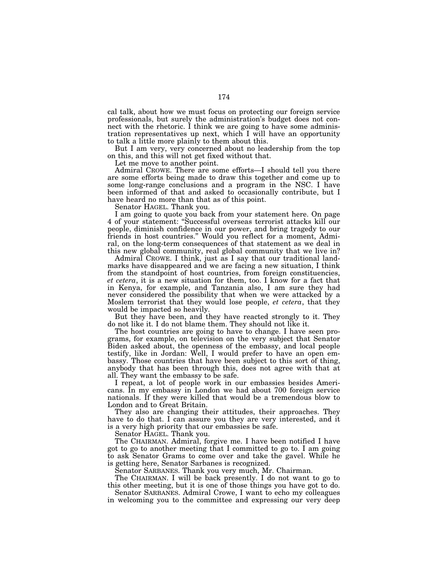cal talk, about how we must focus on protecting our foreign service professionals, but surely the administration's budget does not connect with the rhetoric. I think we are going to have some administration representatives up next, which I will have an opportunity to talk a little more plainly to them about this.

But I am very, very concerned about no leadership from the top on this, and this will not get fixed without that.

Let me move to another point.

Admiral CROWE. There are some efforts—I should tell you there are some efforts being made to draw this together and come up to some long-range conclusions and a program in the NSC. I have been informed of that and asked to occasionally contribute, but I have heard no more than that as of this point.

Senator HAGEL. Thank you.

I am going to quote you back from your statement here. On page 4 of your statement: ''Successful overseas terrorist attacks kill our people, diminish confidence in our power, and bring tragedy to our friends in host countries.'' Would you reflect for a moment, Admiral, on the long-term consequences of that statement as we deal in this new global community, real global community that we live in?

Admiral CROWE. I think, just as I say that our traditional landmarks have disappeared and we are facing a new situation, I think from the standpoint of host countries, from foreign constituencies, *et cetera*, it is a new situation for them, too. I know for a fact that in Kenya, for example, and Tanzania also, I am sure they had never considered the possibility that when we were attacked by a Moslem terrorist that they would lose people, *et cetera*, that they would be impacted so heavily.

But they have been, and they have reacted strongly to it. They do not like it. I do not blame them. They should not like it.

The host countries are going to have to change. I have seen programs, for example, on television on the very subject that Senator Biden asked about, the openness of the embassy, and local people testify, like in Jordan: Well, I would prefer to have an open embassy. Those countries that have been subject to this sort of thing, anybody that has been through this, does not agree with that at all. They want the embassy to be safe.

I repeat, a lot of people work in our embassies besides Americans. In my embassy in London we had about 700 foreign service nationals. If they were killed that would be a tremendous blow to London and to Great Britain.

They also are changing their attitudes, their approaches. They have to do that. I can assure you they are very interested, and it is a very high priority that our embassies be safe.

Senator HAGEL. Thank you.

The CHAIRMAN. Admiral, forgive me. I have been notified I have got to go to another meeting that I committed to go to. I am going to ask Senator Grams to come over and take the gavel. While he is getting here, Senator Sarbanes is recognized.

Senator SARBANES. Thank you very much, Mr. Chairman.

The CHAIRMAN. I will be back presently. I do not want to go to this other meeting, but it is one of those things you have got to do.

Senator SARBANES. Admiral Crowe, I want to echo my colleagues in welcoming you to the committee and expressing our very deep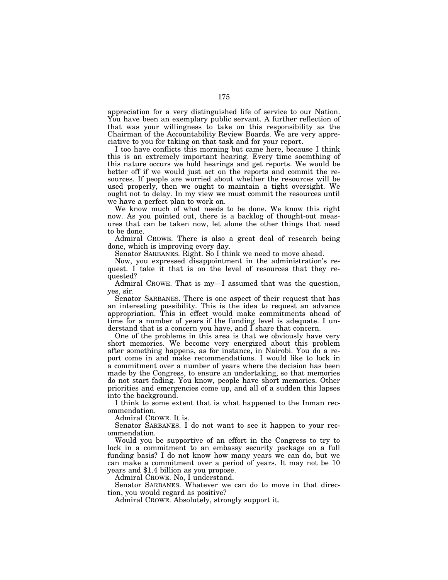appreciation for a very distinguished life of service to our Nation. You have been an exemplary public servant. A further reflection of that was your willingness to take on this responsibility as the Chairman of the Accountability Review Boards. We are very appreciative to you for taking on that task and for your report.

I too have conflicts this morning but came here, because I think this is an extremely important hearing. Every time soemthing of this nature occurs we hold hearings and get reports. We would be better off if we would just act on the reports and commit the resources. If people are worried about whether the resources will be used properly, then we ought to maintain a tight oversight. We ought not to delay. In my view we must commit the resources until we have a perfect plan to work on.

We know much of what needs to be done. We know this right now. As you pointed out, there is a backlog of thought-out measures that can be taken now, let alone the other things that need to be done.

Admiral CROWE. There is also a great deal of research being done, which is improving every day.

Senator SARBANES. Right. So I think we need to move ahead.

Now, you expressed disappointment in the administration's request. I take it that is on the level of resources that they requested?

Admiral CROWE. That is my—I assumed that was the question, yes, sir.

Senator SARBANES. There is one aspect of their request that has an interesting possibility. This is the idea to request an advance appropriation. This in effect would make commitments ahead of time for a number of years if the funding level is adequate. I understand that is a concern you have, and I share that concern.

One of the problems in this area is that we obviously have very short memories. We become very energized about this problem after something happens, as for instance, in Nairobi. You do a report come in and make recommendations. I would like to lock in a commitment over a number of years where the decision has been made by the Congress, to ensure an undertaking, so that memories do not start fading. You know, people have short memories. Other priorities and emergencies come up, and all of a sudden this lapses into the background.

I think to some extent that is what happened to the Inman recommendation.

Admiral CROWE. It is.

Senator SARBANES. I do not want to see it happen to your recommendation.

Would you be supportive of an effort in the Congress to try to lock in a commitment to an embassy security package on a full funding basis? I do not know how many years we can do, but we can make a commitment over a period of years. It may not be 10 years and \$1.4 billion as you propose.

Admiral CROWE. No, I understand.

Senator SARBANES. Whatever we can do to move in that direction, you would regard as positive?

Admiral CROWE. Absolutely, strongly support it.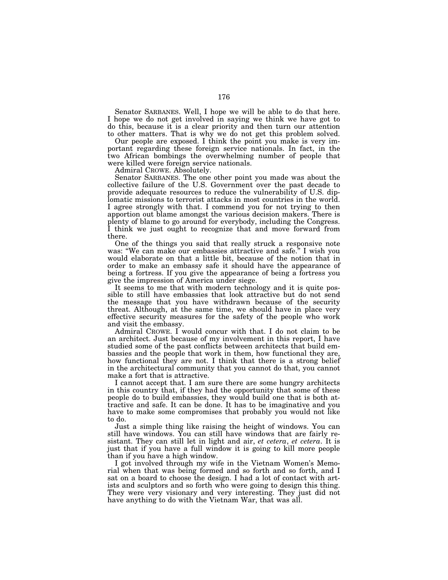Senator SARBANES. Well, I hope we will be able to do that here. I hope we do not get involved in saying we think we have got to do this, because it is a clear priority and then turn our attention to other matters. That is why we do not get this problem solved.

Our people are exposed. I think the point you make is very important regarding these foreign service nationals. In fact, in the two African bombings the overwhelming number of people that were killed were foreign service nationals.

Admiral CROWE. Absolutely.

Senator SARBANES. The one other point you made was about the collective failure of the U.S. Government over the past decade to provide adequate resources to reduce the vulnerability of U.S. diplomatic missions to terrorist attacks in most countries in the world. I agree strongly with that. I commend you for not trying to then apportion out blame amongst the various decision makers. There is plenty of blame to go around for everybody, including the Congress. I think we just ought to recognize that and move forward from there.

One of the things you said that really struck a responsive note was: ''We can make our embassies attractive and safe.'' I wish you would elaborate on that a little bit, because of the notion that in order to make an embassy safe it should have the appearance of being a fortress. If you give the appearance of being a fortress you give the impression of America under siege.

It seems to me that with modern technology and it is quite possible to still have embassies that look attractive but do not send the message that you have withdrawn because of the security threat. Although, at the same time, we should have in place very effective security measures for the safety of the people who work and visit the embassy.

Admiral CROWE. I would concur with that. I do not claim to be an architect. Just because of my involvement in this report, I have studied some of the past conflicts between architects that build embassies and the people that work in them, how functional they are, how functional they are not. I think that there is a strong belief in the architectural community that you cannot do that, you cannot make a fort that is attractive.

I cannot accept that. I am sure there are some hungry architects in this country that, if they had the opportunity that some of these people do to build embassies, they would build one that is both attractive and safe. It can be done. It has to be imaginative and you have to make some compromises that probably you would not like to do.

Just a simple thing like raising the height of windows. You can still have windows. You can still have windows that are fairly resistant. They can still let in light and air, *et cetera*, *et cetera*. It is just that if you have a full window it is going to kill more people than if you have a high window.

I got involved through my wife in the Vietnam Women's Memorial when that was being formed and so forth and so forth, and I sat on a board to choose the design. I had a lot of contact with artists and sculptors and so forth who were going to design this thing. They were very visionary and very interesting. They just did not have anything to do with the Vietnam War, that was all.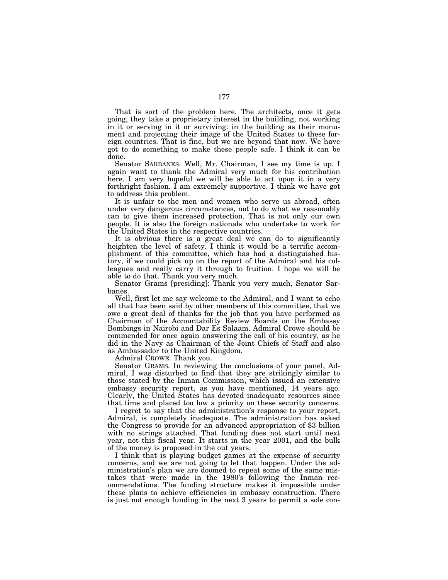That is sort of the problem here. The architects, once it gets going, they take a proprietary interest in the building, not working in it or serving in it or surviving: in the building as their monument and projecting their image of the United States to these foreign countries. That is fine, but we are beyond that now. We have got to do something to make these people safe. I think it can be done.

Senator SARBANES. Well, Mr. Chairman, I see my time is up. I again want to thank the Admiral very much for his contribution here. I am very hopeful we will be able to act upon it in a very forthright fashion. I am extremely supportive. I think we have got to address this problem.

It is unfair to the men and women who serve us abroad, often under very dangerous circumstances, not to do what we reasonably can to give them increased protection. That is not only our own people. It is also the foreign nationals who undertake to work for the United States in the respective countries.

It is obvious there is a great deal we can do to significantly heighten the level of safety. I think it would be a terrific accomplishment of this committee, which has had a distinguished history, if we could pick up on the report of the Admiral and his colleagues and really carry it through to fruition. I hope we will be able to do that. Thank you very much.

Senator Grams [presiding]: Thank you very much, Senator Sarbanes.

Well, first let me say welcome to the Admiral, and I want to echo all that has been said by other members of this committee, that we owe a great deal of thanks for the job that you have performed as Chairman of the Accountability Review Boards on the Embassy Bombings in Nairobi and Dar Es Salaam. Admiral Crowe should be commended for once again answering the call of his country, as he did in the Navy as Chairman of the Joint Chiefs of Staff and also as Ambassador to the United Kingdom.

Admiral CROWE. Thank you.

Senator GRAMS. In reviewing the conclusions of your panel, Admiral, I was disturbed to find that they are strikingly similar to those stated by the Inman Commission, which issued an extensive embassy security report, as you have mentioned, 14 years ago. Clearly, the United States has devoted inadequate resources since that time and placed too low a priority on these security concerns.

I regret to say that the administration's response to your report, Admiral, is completely inadequate. The administration has asked the Congress to provide for an advanced appropriation of \$3 billion with no strings attached. That funding does not start until next year, not this fiscal year. It starts in the year 2001, and the bulk of the money is proposed in the out years.

I think that is playing budget games at the expense of security concerns, and we are not going to let that happen. Under the administration's plan we are doomed to repeat some of the same mistakes that were made in the 1980's following the Inman recommendations. The funding structure makes it impossible under these plans to achieve efficiencies in embassy construction. There is just not enough funding in the next 3 years to permit a sole con-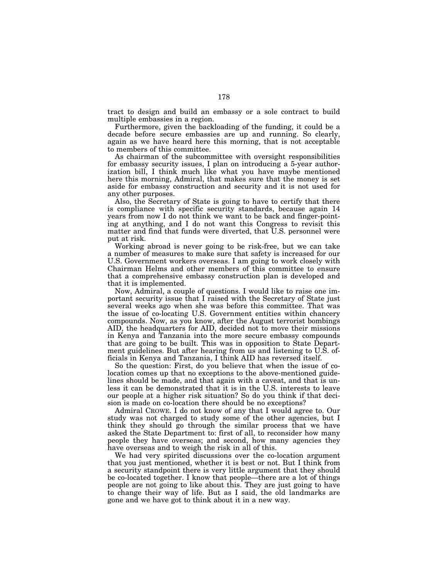tract to design and build an embassy or a sole contract to build multiple embassies in a region.

Furthermore, given the backloading of the funding, it could be a decade before secure embassies are up and running. So clearly, again as we have heard here this morning, that is not acceptable to members of this committee.

As chairman of the subcommittee with oversight responsibilities for embassy security issues, I plan on introducing a 5-year authorization bill, I think much like what you have maybe mentioned here this morning, Admiral, that makes sure that the money is set aside for embassy construction and security and it is not used for any other purposes.

Also, the Secretary of State is going to have to certify that there is compliance with specific security standards, because again 14 years from now I do not think we want to be back and finger-pointing at anything, and I do not want this Congress to revisit this matter and find that funds were diverted, that U.S. personnel were put at risk.

Working abroad is never going to be risk-free, but we can take a number of measures to make sure that safety is increased for our U.S. Government workers overseas. I am going to work closely with Chairman Helms and other members of this committee to ensure that a comprehensive embassy construction plan is developed and that it is implemented.

Now, Admiral, a couple of questions. I would like to raise one important security issue that I raised with the Secretary of State just several weeks ago when she was before this committee. That was the issue of co-locating U.S. Government entities within chancery compounds. Now, as you know, after the August terrorist bombings AID, the headquarters for AID, decided not to move their missions in Kenya and Tanzania into the more secure embassy compounds that are going to be built. This was in opposition to State Department guidelines. But after hearing from us and listening to U.S. officials in Kenya and Tanzania, I think AID has reversed itself.

So the question: First, do you believe that when the issue of colocation comes up that no exceptions to the above-mentioned guidelines should be made, and that again with a caveat, and that is unless it can be demonstrated that it is in the U.S. interests to leave our people at a higher risk situation? So do you think if that decision is made on co-location there should be no exceptions?

Admiral CROWE. I do not know of any that I would agree to. Our study was not charged to study some of the other agencies, but I think they should go through the similar process that we have asked the State Department to: first of all, to reconsider how many people they have overseas; and second, how many agencies they have overseas and to weigh the risk in all of this.

We had very spirited discussions over the co-location argument that you just mentioned, whether it is best or not. But I think from a security standpoint there is very little argument that they should be co-located together. I know that people—there are a lot of things people are not going to like about this. They are just going to have to change their way of life. But as I said, the old landmarks are gone and we have got to think about it in a new way.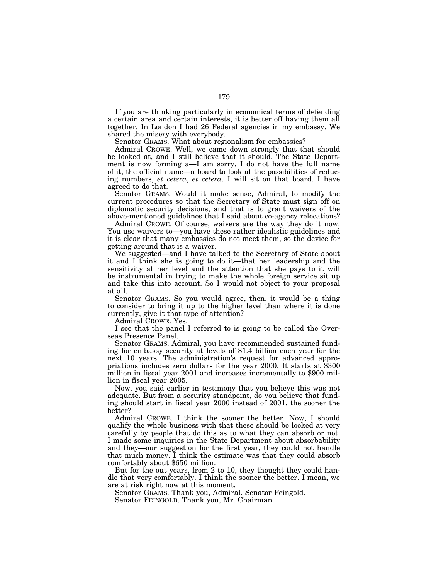If you are thinking particularly in economical terms of defending a certain area and certain interests, it is better off having them all together. In London I had 26 Federal agencies in my embassy. We shared the misery with everybody.

Senator GRAMS. What about regionalism for embassies?

Admiral CROWE. Well, we came down strongly that that should be looked at, and I still believe that it should. The State Department is now forming a—I am sorry, I do not have the full name of it, the official name—a board to look at the possibilities of reducing numbers, *et cetera*, *et cetera*. I will sit on that board. I have agreed to do that.

Senator GRAMS. Would it make sense, Admiral, to modify the current procedures so that the Secretary of State must sign off on diplomatic security decisions, and that is to grant waivers of the above-mentioned guidelines that I said about co-agency relocations?

Admiral CROWE. Of course, waivers are the way they do it now. You use waivers to—you have these rather idealistic guidelines and it is clear that many embassies do not meet them, so the device for getting around that is a waiver.

We suggested—and I have talked to the Secretary of State about it and I think she is going to do it—that her leadership and the sensitivity at her level and the attention that she pays to it will be instrumental in trying to make the whole foreign service sit up and take this into account. So I would not object to your proposal at all.

Senator GRAMS. So you would agree, then, it would be a thing to consider to bring it up to the higher level than where it is done currently, give it that type of attention?

Admiral CROWE. Yes.

I see that the panel I referred to is going to be called the Overseas Presence Panel.

Senator GRAMS. Admiral, you have recommended sustained funding for embassy security at levels of \$1.4 billion each year for the next 10 years. The administration's request for advanced appropriations includes zero dollars for the year 2000. It starts at \$300 million in fiscal year 2001 and increases incrementally to \$900 million in fiscal year 2005.

Now, you said earlier in testimony that you believe this was not adequate. But from a security standpoint, do you believe that funding should start in fiscal year 2000 instead of 2001, the sooner the better?

Admiral CROWE. I think the sooner the better. Now, I should qualify the whole business with that these should be looked at very carefully by people that do this as to what they can absorb or not. I made some inquiries in the State Department about absorbability and they—our suggestion for the first year, they could not handle that much money. I think the estimate was that they could absorb comfortably about \$650 million.

But for the out years, from 2 to 10, they thought they could handle that very comfortably. I think the sooner the better. I mean, we are at risk right now at this moment.

Senator GRAMS. Thank you, Admiral. Senator Feingold.

Senator FEINGOLD. Thank you, Mr. Chairman.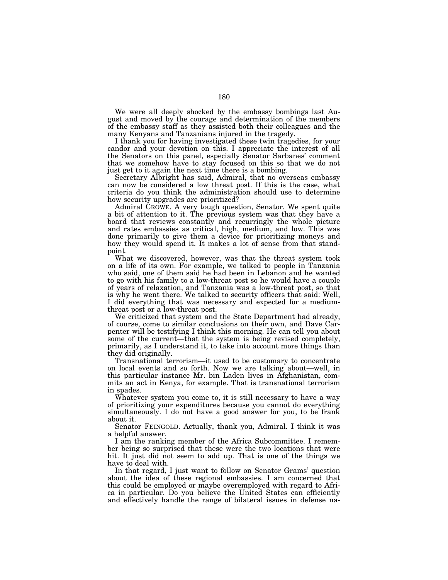We were all deeply shocked by the embassy bombings last August and moved by the courage and determination of the members of the embassy staff as they assisted both their colleagues and the many Kenyans and Tanzanians injured in the tragedy.

I thank you for having investigated these twin tragedies, for your candor and your devotion on this. I appreciate the interest of all the Senators on this panel, especially Senator Sarbanes' comment that we somehow have to stay focused on this so that we do not just get to it again the next time there is a bombing.

Secretary Albright has said, Admiral, that no overseas embassy can now be considered a low threat post. If this is the case, what criteria do you think the administration should use to determine how security upgrades are prioritized?

Admiral CROWE. A very tough question, Senator. We spent quite a bit of attention to it. The previous system was that they have a board that reviews constantly and recurringly the whole picture and rates embassies as critical, high, medium, and low. This was done primarily to give them a device for prioritizing moneys and how they would spend it. It makes a lot of sense from that standpoint.

What we discovered, however, was that the threat system took on a life of its own. For example, we talked to people in Tanzania who said, one of them said he had been in Lebanon and he wanted to go with his family to a low-threat post so he would have a couple of years of relaxation, and Tanzania was a low-threat post, so that is why he went there. We talked to security officers that said: Well, I did everything that was necessary and expected for a mediumthreat post or a low-threat post.

We criticized that system and the State Department had already, of course, come to similar conclusions on their own, and Dave Carpenter will be testifying I think this morning. He can tell you about some of the current—that the system is being revised completely, primarily, as I understand it, to take into account more things than they did originally.

Transnational terrorism—it used to be customary to concentrate on local events and so forth. Now we are talking about—well, in this particular instance Mr. bin Laden lives in Afghanistan, commits an act in Kenya, for example. That is transnational terrorism in spades.

Whatever system you come to, it is still necessary to have a way of prioritizing your expenditures because you cannot do everything simultaneously. I do not have a good answer for you, to be frank about it.

Senator FEINGOLD. Actually, thank you, Admiral. I think it was a helpful answer.

I am the ranking member of the Africa Subcommittee. I remember being so surprised that these were the two locations that were hit. It just did not seem to add up. That is one of the things we have to deal with.

In that regard, I just want to follow on Senator Grams' question about the idea of these regional embassies. I am concerned that this could be employed or maybe overemployed with regard to Africa in particular. Do you believe the United States can efficiently and effectively handle the range of bilateral issues in defense na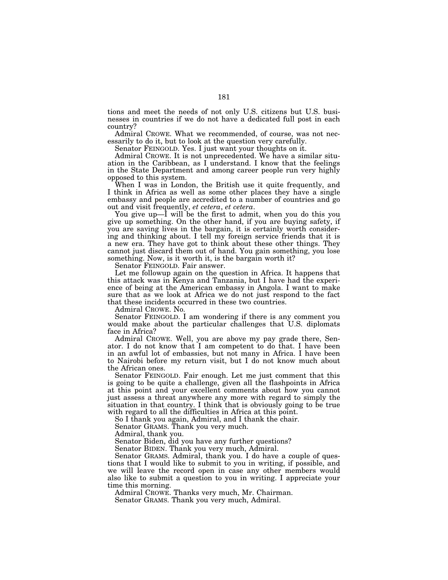tions and meet the needs of not only U.S. citizens but U.S. businesses in countries if we do not have a dedicated full post in each country?

Admiral CROWE. What we recommended, of course, was not necessarily to do it, but to look at the question very carefully.

Senator FEINGOLD. Yes. I just want your thoughts on it.

Admiral CROWE. It is not unprecedented. We have a similar situation in the Caribbean, as I understand. I know that the feelings in the State Department and among career people run very highly opposed to this system.

When I was in London, the British use it quite frequently, and I think in Africa as well as some other places they have a single embassy and people are accredited to a number of countries and go<br>out and visit frequently, et cetera, et cetera.

You give up—I will be the first to admit, when you do this you give up something. On the other hand, if you are buying safety, if you are saving lives in the bargain, it is certainly worth considering and thinking about. I tell my foreign service friends that it is a new era. They have got to think about these other things. They cannot just discard them out of hand. You gain something, you lose something. Now, is it worth it, is the bargain worth it?

Senator FEINGOLD. Fair answer.

Let me followup again on the question in Africa. It happens that this attack was in Kenya and Tanzania, but I have had the experience of being at the American embassy in Angola. I want to make sure that as we look at Africa we do not just respond to the fact that these incidents occurred in these two countries.

Admiral CROWE. No.

Senator FEINGOLD. I am wondering if there is any comment you would make about the particular challenges that U.S. diplomats face in Africa?

Admiral CROWE. Well, you are above my pay grade there, Senator. I do not know that I am competent to do that. I have been in an awful lot of embassies, but not many in Africa. I have been to Nairobi before my return visit, but I do not know much about the African ones.

Senator FEINGOLD. Fair enough. Let me just comment that this is going to be quite a challenge, given all the flashpoints in Africa at this point and your excellent comments about how you cannot just assess a threat anywhere any more with regard to simply the situation in that country. I think that is obviously going to be true with regard to all the difficulties in Africa at this point.

So I thank you again, Admiral, and I thank the chair.

Senator GRAMS. Thank you very much.

Admiral, thank you.

Senator Biden, did you have any further questions?

Senator BIDEN. Thank you very much, Admiral.

Senator GRAMS. Admiral, thank you. I do have a couple of questions that I would like to submit to you in writing, if possible, and we will leave the record open in case any other members would also like to submit a question to you in writing. I appreciate your time this morning.

Admiral CROWE. Thanks very much, Mr. Chairman.

Senator GRAMS. Thank you very much, Admiral.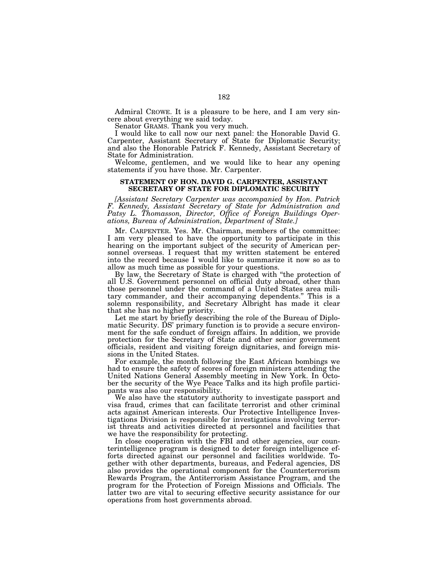Admiral CROWE. It is a pleasure to be here, and I am very sincere about everything we said today.

Senator GRAMS. Thank you very much.

I would like to call now our next panel: the Honorable David G. Carpenter, Assistant Secretary of State for Diplomatic Security; and also the Honorable Patrick F. Kennedy, Assistant Secretary of State for Administration.

Welcome, gentlemen, and we would like to hear any opening statements if you have those. Mr. Carpenter.

# **STATEMENT OF HON. DAVID G. CARPENTER, ASSISTANT SECRETARY OF STATE FOR DIPLOMATIC SECURITY**

*[Assistant Secretary Carpenter was accompanied by Hon. Patrick F. Kennedy, Assistant Secretary of State for Administration and Patsy L. Thomasson, Director, Office of Foreign Buildings Operations, Bureau of Administration, Department of State.]*

Mr. CARPENTER. Yes. Mr. Chairman, members of the committee: I am very pleased to have the opportunity to participate in this hearing on the important subject of the security of American personnel overseas. I request that my written statement be entered into the record because I would like to summarize it now so as to allow as much time as possible for your questions.

By law, the Secretary of State is charged with "the protection of all U.S. Government personnel on official duty abroad, other than those personnel under the command of a United States area military commander, and their accompanying dependents.'' This is a solemn responsibility, and Secretary Albright has made it clear that she has no higher priority.

Let me start by briefly describing the role of the Bureau of Diplomatic Security. DS' primary function is to provide a secure environment for the safe conduct of foreign affairs. In addition, we provide protection for the Secretary of State and other senior government officials, resident and visiting foreign dignitaries, and foreign missions in the United States.

For example, the month following the East African bombings we had to ensure the safety of scores of foreign ministers attending the United Nations General Assembly meeting in New York. In October the security of the Wye Peace Talks and its high profile participants was also our responsibility.

We also have the statutory authority to investigate passport and visa fraud, crimes that can facilitate terrorist and other criminal acts against American interests. Our Protective Intelligence Investigations Division is responsible for investigations involving terrorist threats and activities directed at personnel and facilities that we have the responsibility for protecting.

In close cooperation with the FBI and other agencies, our counterintelligence program is designed to deter foreign intelligence efforts directed against our personnel and facilities worldwide. Together with other departments, bureaus, and Federal agencies, DS also provides the operational component for the Counterterrorism Rewards Program, the Antiterrorism Assistance Program, and the program for the Protection of Foreign Missions and Officials. The latter two are vital to securing effective security assistance for our operations from host governments abroad.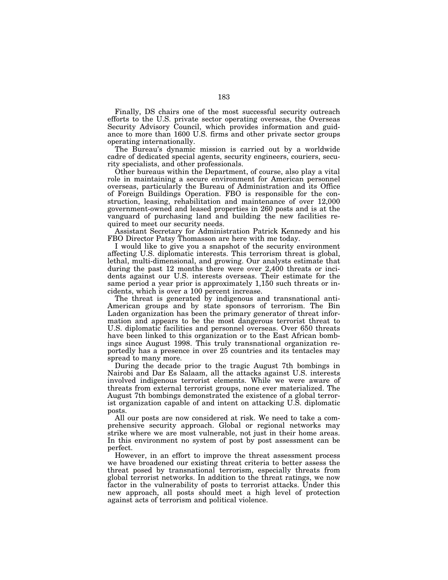Finally, DS chairs one of the most successful security outreach efforts to the U.S. private sector operating overseas, the Overseas Security Advisory Council, which provides information and guidance to more than 1600 U.S. firms and other private sector groups operating internationally.

The Bureau's dynamic mission is carried out by a worldwide cadre of dedicated special agents, security engineers, couriers, security specialists, and other professionals.

Other bureaus within the Department, of course, also play a vital role in maintaining a secure environment for American personnel overseas, particularly the Bureau of Administration and its Office of Foreign Buildings Operation. FBO is responsible for the construction, leasing, rehabilitation and maintenance of over 12,000 government-owned and leased properties in 260 posts and is at the vanguard of purchasing land and building the new facilities required to meet our security needs.

Assistant Secretary for Administration Patrick Kennedy and his FBO Director Patsy Thomasson are here with me today.

I would like to give you a snapshot of the security environment affecting U.S. diplomatic interests. This terrorism threat is global, lethal, multi-dimensional, and growing. Our analysts estimate that during the past 12 months there were over 2,400 threats or incidents against our U.S. interests overseas. Their estimate for the same period a year prior is approximately 1,150 such threats or incidents, which is over a 100 percent increase.

The threat is generated by indigenous and transnational anti-American groups and by state sponsors of terrorism. The Bin Laden organization has been the primary generator of threat information and appears to be the most dangerous terrorist threat to U.S. diplomatic facilities and personnel overseas. Over 650 threats have been linked to this organization or to the East African bombings since August 1998. This truly transnational organization reportedly has a presence in over 25 countries and its tentacles may spread to many more.

During the decade prior to the tragic August 7th bombings in Nairobi and Dar Es Salaam, all the attacks against U.S. interests involved indigenous terrorist elements. While we were aware of threats from external terrorist groups, none ever materialized. The August 7th bombings demonstrated the existence of a global terrorist organization capable of and intent on attacking U.S. diplomatic posts.

All our posts are now considered at risk. We need to take a comprehensive security approach. Global or regional networks may strike where we are most vulnerable, not just in their home areas. In this environment no system of post by post assessment can be perfect.

However, in an effort to improve the threat assessment process we have broadened our existing threat criteria to better assess the threat posed by transnational terrorism, especially threats from global terrorist networks. In addition to the threat ratings, we now factor in the vulnerability of posts to terrorist attacks. Under this new approach, all posts should meet a high level of protection against acts of terrorism and political violence.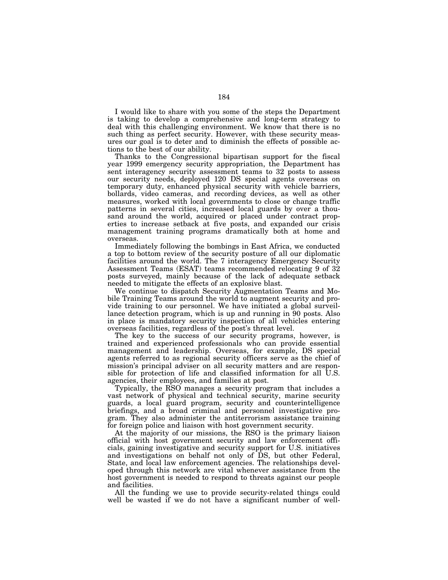I would like to share with you some of the steps the Department is taking to develop a comprehensive and long-term strategy to deal with this challenging environment. We know that there is no such thing as perfect security. However, with these security measures our goal is to deter and to diminish the effects of possible actions to the best of our ability.

Thanks to the Congressional bipartisan support for the fiscal year 1999 emergency security appropriation, the Department has sent interagency security assessment teams to 32 posts to assess our security needs, deployed 120 DS special agents overseas on temporary duty, enhanced physical security with vehicle barriers, bollards, video cameras, and recording devices, as well as other measures, worked with local governments to close or change traffic patterns in several cities, increased local guards by over a thousand around the world, acquired or placed under contract properties to increase setback at five posts, and expanded our crisis management training programs dramatically both at home and overseas.

Immediately following the bombings in East Africa, we conducted a top to bottom review of the security posture of all our diplomatic facilities around the world. The 7 interagency Emergency Security Assessment Teams (ESAT) teams recommended relocating 9 of 32 posts surveyed, mainly because of the lack of adequate setback needed to mitigate the effects of an explosive blast.

We continue to dispatch Security Augmentation Teams and Mobile Training Teams around the world to augment security and provide training to our personnel. We have initiated a global surveillance detection program, which is up and running in 90 posts. Also in place is mandatory security inspection of all vehicles entering overseas facilities, regardless of the post's threat level.

The key to the success of our security programs, however, is trained and experienced professionals who can provide essential management and leadership. Overseas, for example, DS special agents referred to as regional security officers serve as the chief of mission's principal adviser on all security matters and are responsible for protection of life and classified information for all U.S. agencies, their employees, and families at post.

Typically, the RSO manages a security program that includes a vast network of physical and technical security, marine security guards, a local guard program, security and counterintelligence briefings, and a broad criminal and personnel investigative program. They also administer the antiterrorism assistance training for foreign police and liaison with host government security.

At the majority of our missions, the RSO is the primary liaison official with host government security and law enforcement officials, gaining investigative and security support for U.S. initiatives and investigations on behalf not only of DS, but other Federal, State, and local law enforcement agencies. The relationships developed through this network are vital whenever assistance from the host government is needed to respond to threats against our people and facilities.

All the funding we use to provide security-related things could well be wasted if we do not have a significant number of well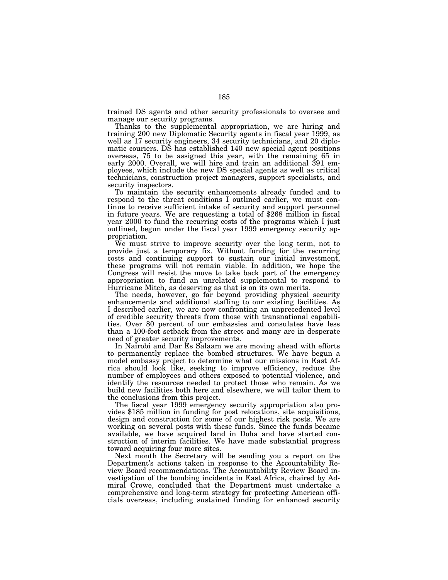trained DS agents and other security professionals to oversee and manage our security programs.

Thanks to the supplemental appropriation, we are hiring and training 200 new Diplomatic Security agents in fiscal year 1999, as well as 17 security engineers, 34 security technicians, and 20 diplomatic couriers. DS has established 140 new special agent positions overseas, 75 to be assigned this year, with the remaining 65 in early 2000. Overall, we will hire and train an additional 391 employees, which include the new DS special agents as well as critical technicians, construction project managers, support specialists, and security inspectors.

To maintain the security enhancements already funded and to respond to the threat conditions I outlined earlier, we must continue to receive sufficient intake of security and support personnel in future years. We are requesting a total of \$268 million in fiscal year 2000 to fund the recurring costs of the programs which I just outlined, begun under the fiscal year 1999 emergency security appropriation.

We must strive to improve security over the long term, not to provide just a temporary fix. Without funding for the recurring costs and continuing support to sustain our initial investment, these programs will not remain viable. In addition, we hope the Congress will resist the move to take back part of the emergency appropriation to fund an unrelated supplemental to respond to Hurricane Mitch, as deserving as that is on its own merits.

The needs, however, go far beyond providing physical security enhancements and additional staffing to our existing facilities. As I described earlier, we are now confronting an unprecedented level of credible security threats from those with transnational capabilities. Over 80 percent of our embassies and consulates have less than a 100-foot setback from the street and many are in desperate need of greater security improvements.

In Nairobi and Dar Es Salaam we are moving ahead with efforts to permanently replace the bombed structures. We have begun a model embassy project to determine what our missions in East Africa should look like, seeking to improve efficiency, reduce the number of employees and others exposed to potential violence, and identify the resources needed to protect those who remain. As we build new facilities both here and elsewhere, we will tailor them to the conclusions from this project.

The fiscal year 1999 emergency security appropriation also provides \$185 million in funding for post relocations, site acquisitions, design and construction for some of our highest risk posts. We are working on several posts with these funds. Since the funds became available, we have acquired land in Doha and have started construction of interim facilities. We have made substantial progress toward acquiring four more sites.

Next month the Secretary will be sending you a report on the Department's actions taken in response to the Accountability Review Board recommendations. The Accountability Review Board investigation of the bombing incidents in East Africa, chaired by Admiral Crowe, concluded that the Department must undertake a comprehensive and long-term strategy for protecting American officials overseas, including sustained funding for enhanced security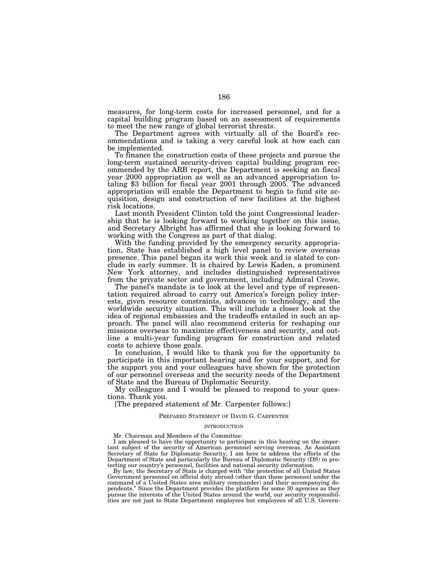measures, for long-term costs for increased personnel, and for a capital building program based on an assessment of requirements to meet the new range of global terrorist threats.

The Department agrees with virtually all of the Board's recommendations and is taking a very careful look at how each can be implemented.

To finance the construction costs of these projects and pursue the long-term sustained security-driven capital building program recommended by the ARB report, the Department is seeking an fiscal year 2000 appropriation as well as an advanced appropriation totaling \$3 billion for fiscal year 2001 through 2005. The advanced appropriation will enable the Department to begin to fund site acquisition, design and construction of new facilities at the highest risk locations.

Last month President Clinton told the joint Congressional leadership that he is looking forward to working together on this issue, and Secretary Albright has affirmed that she is looking forward to working with the Congress as part of that dialog.

With the funding provided by the emergency security appropriation, State has established a high level panel to review overseas presence. This panel began its work this week and is slated to conclude in early summer. It is chaired by Lewis Kaden, a prominent New York attorney, and includes distinguished representatives from the private sector and government, including Admiral Crowe.

The panel's mandate is to look at the level and type of representation required abroad to carry out America's foreign policy interests, given resource constraints, advances in technology, and the worldwide security situation. This will include a closer look at the idea of regional embassies and the tradeoffs entailed in such an approach. The panel will also recommend criteria for reshaping our missions overseas to maximize effectiveness and security, and outline a multi-year funding program for construction and related costs to achieve those goals.

In conclusion, I would like to thank you for the opportunity to participate in this important hearing and for your support, and for the support you and your colleagues have shown for the protection of our personnel overseas and the security needs of the Department of State and the Bureau of Diplomatic Security.

My colleagues and I would be pleased to respond to your questions. Thank you.

[The prepared statement of Mr. Carpenter follows:]

## PREPARED STATEMENT OF DAVID G. CARPENTER

#### INTRODUCTION

Mr. Chairman and Members of the Committee:

I am pleased to have the opportunity to participate in this hearing on the important subject of the security of American personnel serving overseas. As Assistant Secretary of State for Diplomatic Security, I am here to address the efforts of the Department of State and particularly the Bureau of Diplomatic Security (DS) in protecting our country's personnel, facilities and national security information.

By law, the Secretary of State is charged with ''the protection of all United States Government personnel on official duty abroad (other than those personnel under the command of a United States area military commander) and their accompanying de-pendents.'' Since the Department provides the platform for some 30 agencies as they pursue the interests of the United States around the world, our security responsibilities are not just to State Department employees but employees of all U.S. Govern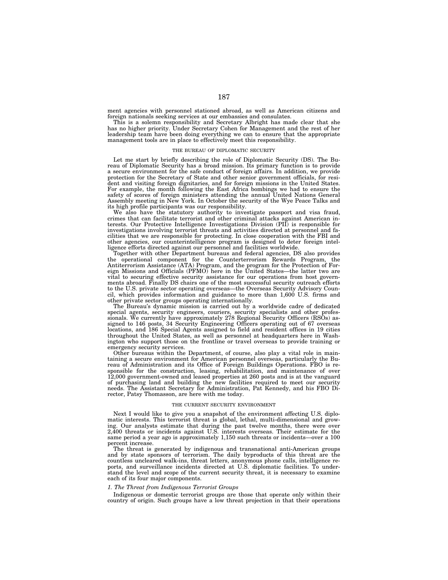ment agencies with personnel stationed abroad, as well as American citizens and foreign nationals seeking services at our embassies and consulates.

This is a solemn responsibility and Secretary Albright has made clear that she has no higher priority. Under Secretary Cohen for Management and the rest of her leadership team have been doing everything we can to ensure that the appropriate management tools are in place to effectively meet this responsibility.

#### THE BUREAU OF DIPLOMATIC SECURITY

Let me start by briefly describing the role of Diplomatic Security (DS). The Bureau of Diplomatic Security has a broad mission. Its primary function is to provide a secure environment for the safe conduct of foreign affairs. In addition, we provide protection for the Secretary of State and other senior government officials, for resident and visiting foreign dignitaries, and for foreign missions in the United States. For example, the month following the East Africa bombings we had to ensure the safety of scores of foreign ministers attending the annual United Nations General Assembly meeting in New York. In October the security of the Wye Peace Talks and its high profile participants was our responsibility.

We also have the statutory authority to investigate passport and visa fraud, crimes that can facilitate terrorist and other criminal attacks against American interests. Our Protective Intelligence Investigations Division (PII) is responsible for investigations involving terrorist threats and activities directed at personnel and facilities that we are responsible for protecting. In close cooperation with the FBI and other agencies, our counterintelligence program is designed to deter foreign intelligence efforts directed against our personnel and facilities worldwide.

Together with other Department bureaus and federal agencies, DS also provides the operational component for the Counterterrorism Rewards Program, the Antiterrorism Assistance (ATA) Program, and the program for the Protection of Foreign Missions and Officials (PFMO) here in the United States—the latter two are vital to securing effective security assistance for our operations from host governments abroad. Finally DS chairs one of the most successful security outreach efforts to the U.S. private sector operating overseas—the Overseas Security Advisory Council, which provides information and guidance to more than 1,600 U.S. firms and other private sector groups operating internationally.

The Bureau's dynamic mission is carried out by a worldwide cadre of dedicated special agents, security engineers, couriers, security specialists and other professionals. We currently have approximately 278 Regional Security Officers (RSOs) assigned to 146 posts, 34 Security Engineering Officers operating out of 67 overseas locations, and 186 Special Agents assigned to field and resident offices in 19 cities throughout the United States, as well as personnel at headquarters here in Washington who support those on the frontline or travel overseas to provide training or emergency security services.

Other bureaus within the Department, of course, also play a vital role in maintaining a secure environment for American personnel overseas, particularly the Bureau of Administration and its Office of Foreign Buildings Operations. FBO is responsible for the construction, leasing, rehabilitation, and maintenance of over 12,000 government-owned and leased properties at 260 posts and is at the vanguard of purchasing land and building the new facilities required to meet our security needs. The Assistant Secretary for Administration, Pat Kennedy, and his FBO Director, Patsy Thomasson, are here with me today.

### THE CURRENT SECURITY ENVIRONMENT

Next I would like to give you a snapshot of the environment affecting U.S. diplomatic interests. This terrorist threat is global, lethal, multi-dimensional and growing. Our analysts estimate that during the past twelve months, there were over 2,400 threats or incidents against U.S. interests overseas. Their estimate for the same period a year ago is approximately 1,150 such threats or incidents—over a 100 percent increase.

The threat is generated by indigenous and transnational anti-American groups and by state sponsors of terrorism. The daily byproducts of this threat are the countless uncleared walk-ins, threat letters, anonymous phone calls, intelligence reports, and surveillance incidents directed at U.S. diplomatic facilities. To understand the level and scope of the current security threat, it is necessary to examine each of its four major components.

## *1. The Threat from Indigenous Terrorist Groups*

Indigenous or domestic terrorist groups are those that operate only within their country of origin. Such groups have a low threat projection in that their operations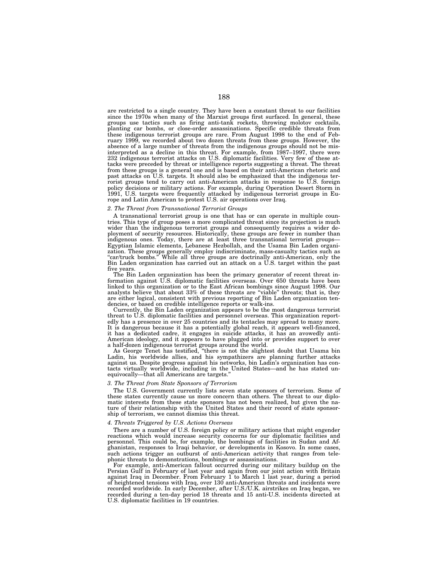are restricted to a single country. They have been a constant threat to our facilities since the 1970s when many of the Marxist groups first surfaced. In general, these groups use tactics such as firing anti-tank rockets, throwing molotov cocktails, planting car bombs, or close-order assassinations. Specific credible threats from these indigenous terrorist groups are rare. From August 1998 to the end of February 1999, we recorded about two dozen threats from these groups. However, the absence of a large number of threats from the indigenous groups should not be misinterpreted as a decline in this threat. For example, from 1987–1997, there were 232 indigenous terrorist attacks on U.S. diplomatic facilities. Very few of these attacks were preceded by threat or intelligence reports suggesting a threat. The threat from these groups is a general one and is based on their anti-American rhetoric and past attacks on U.S. targets. It should also be emphasized that the indigenous terrorist groups tend to carry out anti-American attacks in response to U.S. foreign policy decisions or military actions. For example, during Operation Desert Storm in 1991, U.S. targets were frequently attacked by indigenous terrorist groups in Europe and Latin American to protest U.S. air operations over Iraq.

# *2. The Threat from Transnational Terrorist Groups*

A transnational terrorist group is one that has or can operate in multiple countries. This type of group poses a more complicated threat since its projection is much wider than the indigenous terrorist groups and consequently requires a wider deployment of security resources. Historically, these groups are fewer in number than indigenous ones. Today, there are at least three transnational terrorist groups— Egyptian Islamic elements, Lebanese Hezbollah, and the Usama Bin Laden organization. These groups generally employ indiscriminate, mass-casualty tactics such as "car/truck bombs." While all three groups are doctrinally anti-American, only the Bin Laden organization has carried out an attack on a U.S. target within the past five years.

The Bin Laden organization has been the primary generator of recent threat information against U.S. diplomatic facilities overseas. Over 650 threats have been linked to this organization or to the East African bombings since August 1998. Our analysts believe that about 33% of these threats are "viable" threats; that is, they are either logical, consistent with previous reporting of Bin Laden organization tendencies, or based on credible intelligence reports or walk-ins.

Currently, the Bin Laden organization appears to be the most dangerous terrorist threat to U.S. diplomatic facilities and personnel overseas. This organization reportedly has a presence in over 25 countries and its tentacles may spread to many more. It is dangerous because it has a potentially global reach, it appears well-financed, it has a dedicated cadre, it engages in suicide attacks, it has an avowedly anti-American ideology, and it appears to have plugged into or provides support to over a half-dozen indigenous terrorist groups around the world.

As George Tenet has testified, ''there is not the slightest doubt that Usama bin Ladin, his worldwide allies, and his sympathizers are planning further attacks against us. Despite progress against his networks, bin Ladin's organization has contacts virtually worldwide, including in the United States—and he has stated unequivocally—that all Americans are targets.''

#### *3. The Threat from State Sponsors of Terrorism*

The U.S. Government currently lists seven state sponsors of terrorism. Some of these states currently cause us more concern than others. The threat to our diplomatic interests from these state sponsors has not been realized, but given the nature of their relationship with the United States and their record of state sponsorship of terrorism, we cannot dismiss this threat.

### *4. Threats Triggered by U.S. Actions Overseas*

There are a number of U.S. foreign policy or military actions that might engender reactions which would increase security concerns for our diplomatic facilities and personnel. This could be, for example, the bombings of facilities in Sudan and Afghanistan, responses to Iraqi behavior, or developments in Kosovo. In some cases, such actions trigger an outburst of anti-American activity that ranges from telephonic threats to demonstrations, bombings or assassinations.

For example, anti-American fallout occurred during our military buildup on the Persian Gulf in February of last year and again from our joint action with Britain against Iraq in December. From February 1 to March 1 last year, during a period of heightened tensions with Iraq, over 130 anti-American threats and incidents were recorded worldwide. In early December, after U.S./U.K. airstrikes on Iraq began, we recorded during a ten-day period 18 threats and 15 anti-U.S. incidents directed at U.S. diplomatic facilities in 19 countries.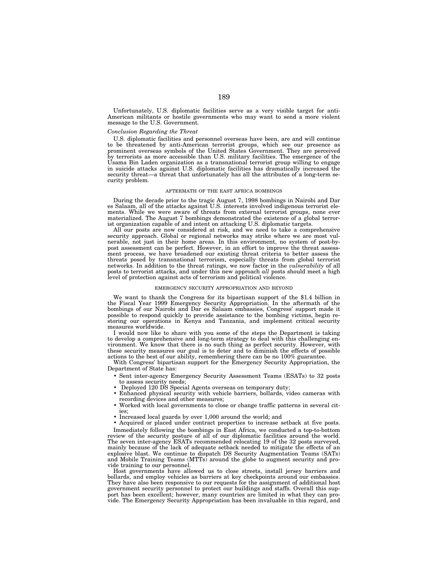Unfortunately, U.S. diplomatic facilities serve as a very visible target for anti-American militants or hostile governments who may want to send a more violent message to the U.S. Government.

### *Conclusion Regarding the Threat*

U.S. diplomatic facilities and personnel overseas have been, are and will continue to be threatened by anti-American terrorist groups, which see our presence as prominent overseas symbols of the United States Government. They are perceived by terrorists as more accessible than U.S. military facilities. The emergence of the Usama Bin Laden organization as a transnational terrorist group willing to engage in suicide attacks against U.S. diplomatic facilities has dramatically increased the security threat—a threat that unfortunately has all the attributes of a long-term security problem.

### AFTERMATH OF THE EAST AFRICA BOMBINGS

During the decade prior to the tragic August 7, 1998 bombings in Nairobi and Dar es Salaam, all of the attacks against U.S. interests involved indigenous terrorist elements. While we were aware of threats from external terrorist groups, none ever materialized. The August 7 bombings demonstrated the existence of a global terrorist organization capable of and intent on attacking U.S. diplomatic targets.

All our posts are now considered at risk, and we need to take a comprehensive security approach. Global or regional networks may strike where we are most vulnerable, not just in their home areas. In this environment, no system of post-bypost assessment can be perfect. However, in an effort to improve the threat assessment process, we have broadened our existing threat criteria to better assess the threats posed by transnational terrorism, especially threats from global terrorist networks. In addition to the threat ratings, we now factor in the *vulnerability* of all posts to terrorist attacks, and under this new approach *all* posts should meet a high level of protection against acts of terrorism and political violence.

#### EMERGENCY SECURITY APPROPRIATION AND BEYOND

We want to thank the Congress for its bipartisan support of the \$1.4 billion in the Fiscal Year 1999 Emergency Security Appropriation. In the aftermath of the bombings of our Nairobi and Dar es Salaam embassies, Congress' support made it possible to respond quickly to provide assistance to the bombing victims, begin restoring our operations in Kenya and Tanzania, and implement critical security measures worldwide.

I would now like to share with you some of the steps the Department is taking to develop a comprehensive and long-term strategy to deal with this challenging environment. We know that there is no such thing as perfect security. However, with these security measures our goal is to deter and to diminish the effects of possible actions to the best of our ability, remembering there can be no 100% guarantee.

With Congress' bipartisan support for the Emergency Security Appropriation, the Department of State has:

- Sent inter-agency Emergency Security Assessment Teams (ESATs) to 32 posts to assess security needs;
- Deployed 120 DS Special Agents overseas on temporary duty;
- Enhanced physical security with vehicle barriers, bollards, video cameras with recording devices and other measures;
- Worked with local governments to close or change traffic patterns in several cities;
- Increased local guards by over 1,000 around the world; and
- Acquired or placed under contract properties to increase setback at five posts.

Immediately following the bombings in East Africa, we conducted a top-to-bottom review of the security posture of all of our diplomatic facilities around the world. The seven inter-agency ESATs recommended relocating 19 of the 32 posts surveyed, mainly because of the lack of adequate setback needed to mitigate the effects of an explosive blast. We continue to dispatch DS Security Augmentation Teams (SATs) and Mobile Training Teams (MTTs) around the globe to augment security and provide training to our personnel.

Host governments have allowed us to close streets, install jersey barriers and bollards, and employ vehicles as barriers at key checkpoints around our embassies. They have also been responsive to our requests for the assignment of additional host government security personnel to protect our buildings and staffs. Overall this support has been excellent; however, many countries are limited in what they can provide. The Emergency Security Appropriation has been invaluable in this regard, and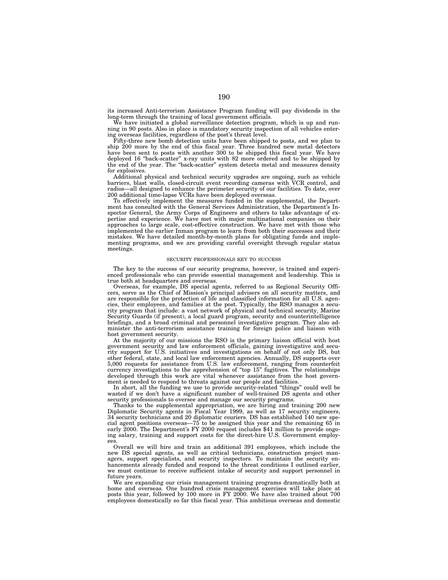its increased Anti-terrorism Assistance Program funding will pay dividends in the long-term through the training of local government officials.

We have initiated a global surveillance detection program, which is up and running in 90 posts. Also in place is mandatory security inspection of all vehicles entering overseas facilities, regardless of the post's threat level.

Fifty-three new bomb detection units have been shipped to posts, and we plan to ship 200 more by the end of this fiscal year. Three hundred new metal detectors have been sent to posts with another 300 to be shipped this fiscal year. We have deployed 16 "back-scatter" x-ray units with 82 more ordered and to be shipped by the end of the year. The ''back-scatter'' system detects metal and measures density for explosives.

Additional physical and technical security upgrades are ongoing, such as vehicle barriers, blast walls, closed-circuit event recording cameras with VCR control, and radios—all designed to enhance the perimeter security of our facilities. To date, over 200 additional time-lapse VCRs have been deployed overseas.

To effectively implement the measures funded in the supplemental, the Department has consulted with the General Services Administration, the Department's Inspector General, the Army Corps of Engineers and others to take advantage of expertise and experience. We have met with major multinational companies on their approaches to large scale, cost-effective construction. We have met with those who implemented the earlier Inman program to learn from both their successes and their mistakes. We have detailed month-by-month plans for obligating funds and implementing programs, and we are providing careful oversight through regular status meetings.

### SECURITY PROFESSIONALS KEY TO SUCCESS

The key to the success of our security programs, however, is trained and experienced professionals who can provide essential management and leadership. This is true both at headquarters and overseas.

Overseas, for example, DS special agents, referred to as Regional Security Officers, serve as the Chief of Mission's principal advisers on all security matters, and are responsible for the protection of life and classified information for all U.S. agencies, their employees, and families at the post. Typically, the RSO manages a security program that include: a vast network of physical and technical security, Marine Security Guards (if present), a local guard program, security and counterintelligence briefings, and a broad criminal and personnel investigative program. They also administer the anti-terrorism assistance training for foreign police and liaison with host government security.

At the majority of our missions the RSO is the primary liaison official with host government security and law enforcement officials, gaining investigative and security support for U.S. initiatives and investigations on behalf of not only DS, but other federal, state, and local law enforcement agencies. Annually, DS supports over 5,000 requests for assistance from U.S. law enforcement, ranging from counterfeit currency investigations to the apprehension of ''top 15'' fugitives. The relationships developed through this work are vital whenever assistance from the host government is needed to respond to threats against our people and facilities.

In short, all the funding we use to provide security-related ''things'' could well be wasted if we don't have a significant number of well-trained DS agents and other security professionals to oversee and manage our security programs.

Thanks to the supplemental appropriation, we are hiring and training 200 new Diplomatic Security agents in Fiscal Year 1999, as well as 17 security engineers, 34 security technicians and 20 diplomatic couriers. DS has established 140 new special agent positions overseas—75 to be assigned this year and the remaining 65 in early 2000. The Department's FY 2000 request includes \$41 million to provide ongoing salary, training and support costs for the direct-hire U.S. Government employees.

Overall we will hire and train an additional 391 employees, which include the new DS special agents, as well as critical technicians, construction project managers, support specialists, and security inspectors. To maintain the security enhancements already funded and respond to the threat conditions I outlined earlier, we must continue to receive sufficient intake of security and support personnel in future years.

We are expanding our crisis management training programs dramatically both at home and overseas. One hundred crisis management exercises will take place at posts this year, followed by 100 more in FY 2000. We have also trained about 700 employees domestically so far this fiscal year. This ambitious overseas and domestic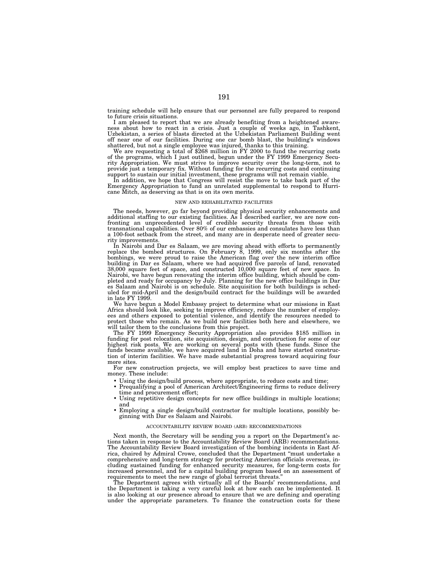training schedule will help ensure that our personnel are fully prepared to respond to future crisis situations.

I am pleased to report that we are already benefiting from a heightened awareness about how to react in a crisis. Just a couple of weeks ago, in Tashkent, Uzbekistan, a series of blasts directed at the Uzbekistan Parliament Building went off near one of our facilities. During one car bomb blast, the building's windows shattered, but not a single employee was injured, thanks to this training. We are requesting a total of \$268 million in FY 2000 to fund the recurring costs

of the programs, which I just outlined, begun under the FY 1999 Emergency Security Appropriation. We must strive to improve security over the long-term, not to provide just a temporary fix. Without funding for the recurring costs and continuing support to sustain our initial investment, these programs will not remain viable.

In addition, we hope that Congress will resist the move to take back part of the Emergency Appropriation to fund an unrelated supplemental to respond to Hurricane Mitch, as deserving as that is on its own merits.

#### NEW AND REHABILITATED FACILITIES

The needs, however, go far beyond providing physical security enhancements and additional staffing to our existing facilities. As I described earlier, we are now confronting an unprecedented level of credible security threats from those with transnational capabilities. Over 80% of our embassies and consulates have less than a 100-foot setback from the street, and many are in desperate need of greater secu-

rity improvements.<br>In Nairobi and Dar es Salaam, we are moving ahead with efforts to permanently<br>replace the bombings, we were proud to raise the American flag over the new interim office<br>bombings, we were proud to raise t in late FY 1999.

We have begun a Model Embassy project to determine what our missions in East Africa should look like, seeking to improve efficiency, reduce the number of employ-ees and others exposed to potential violence, and identify the resources needed to protect those who remain. As we build new facilities both here and elsewhere, we will tailor them to the conclusions from this project.

will tailor them to the conclusions from this project. The FY 1999 Emergency Security Appropriation also provides \$185 million in funding for post relocation, site acquisition, design, and construction for some of our highest risk posts. We are working on several posts with these funds. Since the funds became available, we have acquired land in Doha and have started construction of interim facilities. We have made substantial progress toward acquiring four more sites.

For new construction projects, we will employ best practices to save time and money. These include:

- Using the design/build process, where appropriate, to reduce costs and time;
- Prequalifying a pool of American Architect/Engineering firms to reduce delivery time and procurement effort;
- Using repetitive design concepts for new office buildings in multiple locations; and
- Employing a single design/build contractor for multiple locations, possibly be-ginning with Dar es Salaam and Nairobi.

### ACCOUNTABILITY REVIEW BOARD (ARB) RECOMMENDATIONS

Next month, the Secretary will be sending you a report on the Department's actions taken in response to the Accountability Review Board (ARB) recommendations. The Accountability Review Board investigation of the bombing incidents in East Africa, chaired by Admiral Crowe, concluded that the Department ''must undertake a comprehensive and long-term strategy for protecting American officials overseas, including sustained funding for enhanced security measures, for long-term costs for increased personnel, and for a capital building program based on an assessment of requirements to meet the new range of global terrorist threats.''

The Department agrees with virtually all of the Boards' recommendations, and the Department is taking a very careful look at how each can be implemented. It is also looking at our presence abroad to ensure that we are defining and operating under the appropriate parameters. To finance the construction costs for these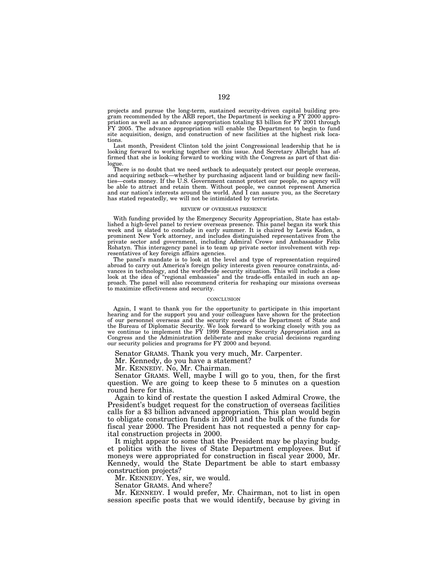projects and pursue the long-term, sustained security-driven capital building program recommended by the ARB report, the Department is seeking a FY 2000 appropriation as well as an advance appropriation totaling \$3 billion for FY 2001 through FY 2005. The advance appropriation will enable the Department to begin to fund site acquisition, design, and construction of new facilities at the highest risk locations.

Last month, President Clinton told the joint Congressional leadership that he is looking forward to working together on this issue. And Secretary Albright has affirmed that she is looking forward to working with the Congress as part of that dialogue.

There is no doubt that we need setback to adequately protect our people overseas, and acquiring setback—whether by purchasing adjacent land or building new facilities—costs money. If the U.S. Government cannot protect our people, no agency will be able to attract and retain them. Without people, we cannot represent America and our nation's interests around the world. And I can assure you, as the Secretary has stated repeatedly, we will not be intimidated by terrorists.

### REVIEW OF OVERSEAS PRESENCE

With funding provided by the Emergency Security Appropriation, State has established a high-level panel to review overseas presence. This panel began its work this week and is slated to conclude in early summer. It is chaired by Lewis Kaden, a prominent New York attorney, and includes distinguished representatives from the private sector and government, including Admiral Crowe and Ambassador Felix Rohatyn. This interagency panel is to team up private sector involvement with representatives of key foreign affairs agencies.

The panel's mandate is to look at the level and type of representation required abroad to carry out America's foreign policy interests given resource constraints, advances in technology, and the worldwide security situation. This will include a close look at the idea of ''regional embassies'' and the trade-offs entailed in such an approach. The panel will also recommend criteria for reshaping our missions overseas to maximize effectiveness and security.

### **CONCLUSION**

Again, I want to thank you for the opportunity to participate in this important hearing and for the support you and your colleagues have shown for the protection of our personnel overseas and the security needs of the Department of State and the Bureau of Diplomatic Security. We look forward to working closely with you as we continue to implement the FY 1999 Emergency Security Appropriation and as Congress and the Administration deliberate and make crucial decisions regarding our security policies and programs for FY 2000 and beyond.

Senator GRAMS. Thank you very much, Mr. Carpenter.

Mr. Kennedy, do you have a statement?

Mr. KENNEDY. No, Mr. Chairman.

Senator GRAMS. Well, maybe I will go to you, then, for the first question. We are going to keep these to 5 minutes on a question round here for this.

Again to kind of restate the question I asked Admiral Crowe, the President's budget request for the construction of overseas facilities calls for a \$3 billion advanced appropriation. This plan would begin to obligate construction funds in 2001 and the bulk of the funds for fiscal year 2000. The President has not requested a penny for capital construction projects in 2000.

It might appear to some that the President may be playing budget politics with the lives of State Department employees. But if moneys were appropriated for construction in fiscal year 2000, Mr. Kennedy, would the State Department be able to start embassy construction projects?

Mr. KENNEDY. Yes, sir, we would.

Senator GRAMS. And where?

Mr. KENNEDY. I would prefer, Mr. Chairman, not to list in open session specific posts that we would identify, because by giving in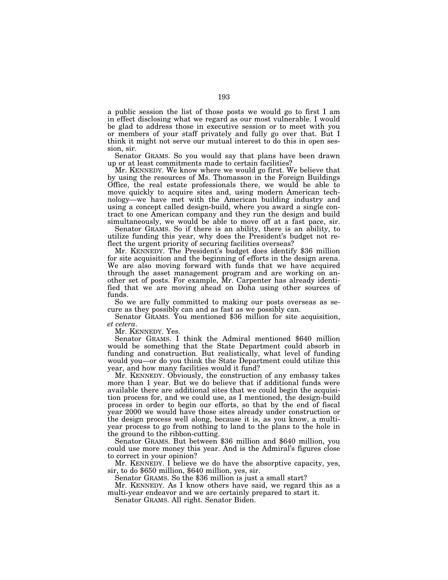a public session the list of those posts we would go to first I am in effect disclosing what we regard as our most vulnerable. I would be glad to address those in executive session or to meet with you or members of your staff privately and fully go over that. But I think it might not serve our mutual interest to do this in open session, sir.

Senator GRAMS. So you would say that plans have been drawn up or at least commitments made to certain facilities?

Mr. KENNEDY. We know where we would go first. We believe that by using the resources of Ms. Thomasson in the Foreign Buildings Office, the real estate professionals there, we would be able to move quickly to acquire sites and, using modern American technology—we have met with the American building industry and using a concept called design-build, where you award a single contract to one American company and they run the design and build simultaneously, we would be able to move off at a fast pace, sir.

Senator GRAMS. So if there is an ability, there is an ability, to utilize funding this year, why does the President's budget not reflect the urgent priority of securing facilities overseas?

Mr. KENNEDY. The President's budget does identify \$36 million for site acquisition and the beginning of efforts in the design arena. We are also moving forward with funds that we have acquired through the asset management program and are working on another set of posts. For example, Mr. Carpenter has already identified that we are moving ahead on Doha using other sources of funds.

So we are fully committed to making our posts overseas as secure as they possibly can and as fast as we possibly can.

Senator GRAMS. You mentioned \$36 million for site acquisition,

*et cetera*. Mr. KENNEDY. Yes.

Senator GRAMS. I think the Admiral mentioned \$640 million would be something that the State Department could absorb in funding and construction. But realistically, what level of funding would you—or do you think the State Department could utilize this year, and how many facilities would it fund?

Mr. KENNEDY. Obviously, the construction of any embassy takes more than 1 year. But we do believe that if additional funds were available there are additional sites that we could begin the acquisition process for, and we could use, as I mentioned, the design-build process in order to begin our efforts, so that by the end of fiscal year 2000 we would have those sites already under construction or the design process well along, because it is, as you know, a multiyear process to go from nothing to land to the plans to the hole in the ground to the ribbon-cutting.

Senator GRAMS. But between \$36 million and \$640 million, you could use more money this year. And is the Admiral's figures close to correct in your opinion?

Mr. KENNEDY. I believe we do have the absorptive capacity, yes, sir, to do \$650 million, \$640 million, yes, sir.

Senator GRAMS. So the \$36 million is just a small start?

Mr. KENNEDY. As I know others have said, we regard this as a multi-year endeavor and we are certainly prepared to start it.

Senator GRAMS. All right. Senator Biden.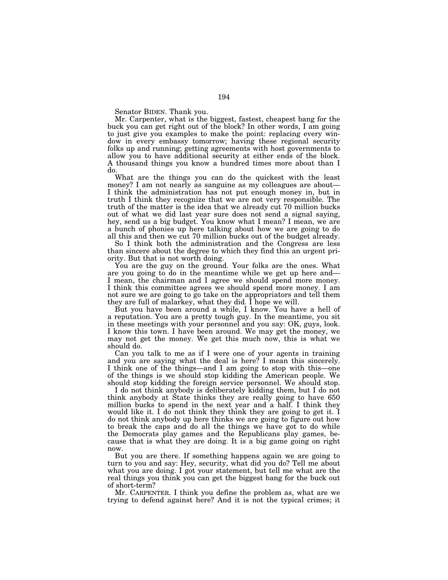Senator BIDEN. Thank you.

Mr. Carpenter, what is the biggest, fastest, cheapest bang for the buck you can get right out of the block? In other words, I am going to just give you examples to make the point: replacing every window in every embassy tomorrow; having these regional security folks up and running; getting agreements with host governments to allow you to have additional security at either ends of the block. A thousand things you know a hundred times more about than I do.

What are the things you can do the quickest with the least money? I am not nearly as sanguine as my colleagues are about-I think the administration has not put enough money in, but in truth I think they recognize that we are not very responsible. The truth of the matter is the idea that we already cut 70 million bucks out of what we did last year sure does not send a signal saying, hey, send us a big budget. You know what I mean? I mean, we are a bunch of phonies up here talking about how we are going to do all this and then we cut 70 million bucks out of the budget already.

So I think both the administration and the Congress are less than sincere about the degree to which they find this an urgent priority. But that is not worth doing.

You are the guy on the ground. Your folks are the ones. What are you going to do in the meantime while we get up here and— I mean, the chairman and I agree we should spend more money. I think this committee agrees we should spend more money. I am not sure we are going to go take on the appropriators and tell them they are full of malarkey, what they did. I hope we will.

But you have been around a while, I know. You have a hell of a reputation. You are a pretty tough guy. In the meantime, you sit in these meetings with your personnel and you say: OK, guys, look. I know this town. I have been around. We may get the money, we may not get the money. We get this much now, this is what we should do.

Can you talk to me as if I were one of your agents in training and you are saying what the deal is here? I mean this sincerely. I think one of the things—and I am going to stop with this—one of the things is we should stop kidding the American people. We should stop kidding the foreign service personnel. We should stop.

I do not think anybody is deliberately kidding them, but I do not think anybody at State thinks they are really going to have 650 million bucks to spend in the next year and a half. I think they would like it. I do not think they think they are going to get it. I do not think anybody up here thinks we are going to figure out how to break the caps and do all the things we have got to do while the Democrats play games and the Republicans play games, because that is what they are doing. It is a big game going on right now.

But you are there. If something happens again we are going to turn to you and say: Hey, security, what did you do? Tell me about what you are doing. I got your statement, but tell me what are the real things you think you can get the biggest bang for the buck out of short-term?

Mr. CARPENTER. I think you define the problem as, what are we trying to defend against here? And it is not the typical crimes; it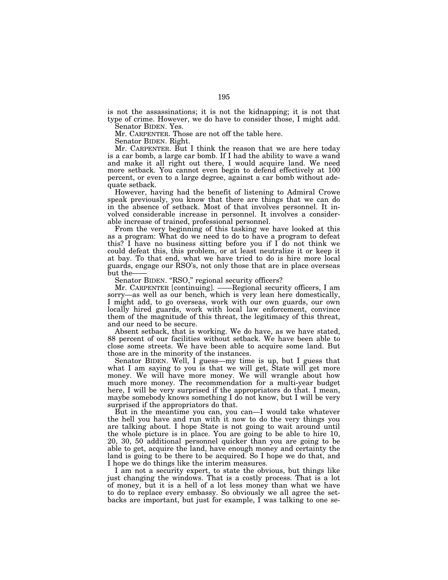is not the assassinations; it is not the kidnapping; it is not that type of crime. However, we do have to consider those, I might add. Senator BIDEN. Yes.

Mr. CARPENTER. Those are not off the table here.

Senator BIDEN. Right.

Mr. CARPENTER. But I think the reason that we are here today is a car bomb, a large car bomb. If I had the ability to wave a wand and make it all right out there, I would acquire land. We need more setback. You cannot even begin to defend effectively at 100 percent, or even to a large degree, against a car bomb without adequate setback.

However, having had the benefit of listening to Admiral Crowe speak previously, you know that there are things that we can do in the absence of setback. Most of that involves personnel. It involved considerable increase in personnel. It involves a considerable increase of trained, professional personnel.

From the very beginning of this tasking we have looked at this as a program: What do we need to do to have a program to defeat this? I have no business sitting before you if I do not think we could defeat this, this problem, or at least neutralize it or keep it at bay. To that end, what we have tried to do is hire more local guards, engage our RSO's, not only those that are in place overseas but the-

Senator BIDEN. "RSO," regional security officers?

Mr. CARPENTER [continuing]. ——Regional security officers, I am sorry—as well as our bench, which is very lean here domestically, I might add, to go overseas, work with our own guards, our own locally hired guards, work with local law enforcement, convince them of the magnitude of this threat, the legitimacy of this threat, and our need to be secure.

Absent setback, that is working. We do have, as we have stated, 88 percent of our facilities without setback. We have been able to close some streets. We have been able to acquire some land. But those are in the minority of the instances.

Senator BIDEN. Well, I guess—my time is up, but I guess that what I am saying to you is that we will get, State will get more money. We will have more money. We will wrangle about how much more money. The recommendation for a multi-year budget here, I will be very surprised if the appropriators do that. I mean, maybe somebody knows something I do not know, but I will be very surprised if the appropriators do that.

But in the meantime you can, you can—I would take whatever the hell you have and run with it now to do the very things you are talking about. I hope State is not going to wait around until the whole picture is in place. You are going to be able to hire 10, 20, 30, 50 additional personnel quicker than you are going to be able to get, acquire the land, have enough money and certainty the land is going to be there to be acquired. So I hope we do that, and I hope we do things like the interim measures.

I am not a security expert, to state the obvious, but things like just changing the windows. That is a costly process. That is a lot of money, but it is a hell of a lot less money than what we have to do to replace every embassy. So obviously we all agree the setbacks are important, but just for example, I was talking to one se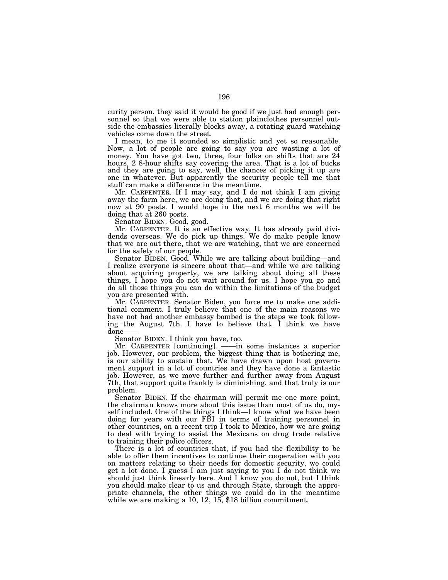curity person, they said it would be good if we just had enough personnel so that we were able to station plainclothes personnel outside the embassies literally blocks away, a rotating guard watching vehicles come down the street.

I mean, to me it sounded so simplistic and yet so reasonable. Now, a lot of people are going to say you are wasting a lot of money. You have got two, three, four folks on shifts that are 24 hours, 2 8-hour shifts say covering the area. That is a lot of bucks and they are going to say, well, the chances of picking it up are one in whatever. But apparently the security people tell me that stuff can make a difference in the meantime.

Mr. CARPENTER. If I may say, and I do not think I am giving away the farm here, we are doing that, and we are doing that right now at 90 posts. I would hope in the next 6 months we will be doing that at 260 posts.

Senator BIDEN. Good, good.

Mr. CARPENTER. It is an effective way. It has already paid dividends overseas. We do pick up things. We do make people know that we are out there, that we are watching, that we are concerned for the safety of our people.

Senator BIDEN. Good. While we are talking about building—and I realize everyone is sincere about that—and while we are talking about acquiring property, we are talking about doing all these things, I hope you do not wait around for us. I hope you go and do all those things you can do within the limitations of the budget you are presented with.

Mr. CARPENTER. Senator Biden, you force me to make one additional comment. I truly believe that one of the main reasons we have not had another embassy bombed is the steps we took following the August 7th. I have to believe that. I think we have done——

Senator BIDEN. I think you have, too.

Mr. CARPENTER [continuing]. ——in some instances a superior job. However, our problem, the biggest thing that is bothering me, is our ability to sustain that. We have drawn upon host government support in a lot of countries and they have done a fantastic job. However, as we move further and further away from August 7th, that support quite frankly is diminishing, and that truly is our problem.

Senator BIDEN. If the chairman will permit me one more point, the chairman knows more about this issue than most of us do, myself included. One of the things I think—I know what we have been doing for years with our FBI in terms of training personnel in other countries, on a recent trip I took to Mexico, how we are going to deal with trying to assist the Mexicans on drug trade relative to training their police officers.

There is a lot of countries that, if you had the flexibility to be able to offer them incentives to continue their cooperation with you on matters relating to their needs for domestic security, we could get a lot done. I guess I am just saying to you I do not think we should just think linearly here. And I know you do not, but I think you should make clear to us and through State, through the appropriate channels, the other things we could do in the meantime while we are making a 10, 12, 15, \$18 billion commitment.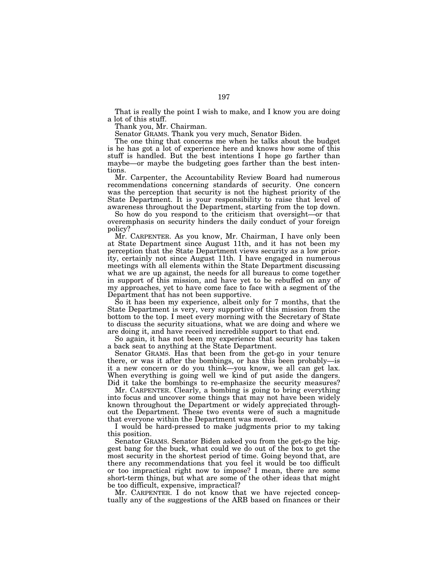That is really the point I wish to make, and I know you are doing a lot of this stuff.

Thank you, Mr. Chairman.

Senator GRAMS. Thank you very much, Senator Biden.

The one thing that concerns me when he talks about the budget is he has got a lot of experience here and knows how some of this stuff is handled. But the best intentions I hope go farther than maybe—or maybe the budgeting goes farther than the best intentions.

Mr. Carpenter, the Accountability Review Board had numerous recommendations concerning standards of security. One concern was the perception that security is not the highest priority of the State Department. It is your responsibility to raise that level of awareness throughout the Department, starting from the top down.

So how do you respond to the criticism that oversight—or that overemphasis on security hinders the daily conduct of your foreign policy?

Mr. CARPENTER. As you know, Mr. Chairman, I have only been at State Department since August 11th, and it has not been my perception that the State Department views security as a low priority, certainly not since August 11th. I have engaged in numerous meetings with all elements within the State Department discussing what we are up against, the needs for all bureaus to come together in support of this mission, and have yet to be rebuffed on any of my approaches, yet to have come face to face with a segment of the Department that has not been supportive.

So it has been my experience, albeit only for 7 months, that the State Department is very, very supportive of this mission from the bottom to the top. I meet every morning with the Secretary of State to discuss the security situations, what we are doing and where we are doing it, and have received incredible support to that end.

So again, it has not been my experience that security has taken a back seat to anything at the State Department.

Senator GRAMS. Has that been from the get-go in your tenure there, or was it after the bombings, or has this been probably—is it a new concern or do you think—you know, we all can get lax. When everything is going well we kind of put aside the dangers. Did it take the bombings to re-emphasize the security measures?

Mr. CARPENTER. Clearly, a bombing is going to bring everything into focus and uncover some things that may not have been widely known throughout the Department or widely appreciated throughout the Department. These two events were of such a magnitude that everyone within the Department was moved.

I would be hard-pressed to make judgments prior to my taking this position.

Senator GRAMS. Senator Biden asked you from the get-go the biggest bang for the buck, what could we do out of the box to get the most security in the shortest period of time. Going beyond that, are there any recommendations that you feel it would be too difficult or too impractical right now to impose? I mean, there are some short-term things, but what are some of the other ideas that might be too difficult, expensive, impractical?

Mr. CARPENTER. I do not know that we have rejected conceptually any of the suggestions of the ARB based on finances or their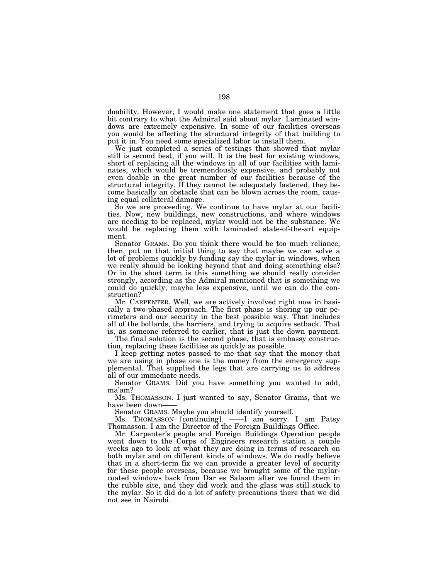doability. However, I would make one statement that goes a little bit contrary to what the Admiral said about mylar. Laminated windows are extremely expensive. In some of our facilities overseas you would be affecting the structural integrity of that building to put it in. You need some specialized labor to install them.

We just completed a series of testings that showed that mylar still is second best, if you will. It is the best for existing windows, short of replacing all the windows in all of our facilities with laminates, which would be tremendously expensive, and probably not even doable in the great number of our facilities because of the structural integrity. If they cannot be adequately fastened, they become basically an obstacle that can be blown across the room, causing equal collateral damage.

So we are proceeding. We continue to have mylar at our facilities. Now, new buildings, new constructions, and where windows are needing to be replaced, mylar would not be the substance. We would be replacing them with laminated state-of-the-art equipment.

Senator GRAMS. Do you think there would be too much reliance, then, put on that initial thing to say that maybe we can solve a lot of problems quickly by funding say the mylar in windows, when we really should be looking beyond that and doing something else? Or in the short term is this something we should really consider strongly, according as the Admiral mentioned that is something we could do quickly, maybe less expensive, until we can do the construction?

Mr. CARPENTER. Well, we are actively involved right now in basically a two-phased approach. The first phase is shoring up our perimeters and our security in the best possible way. That includes all of the bollards, the barriers, and trying to acquire setback. That is, as someone referred to earlier, that is just the down payment.

The final solution is the second phase, that is embassy construction, replacing these facilities as quickly as possible.

I keep getting notes passed to me that say that the money that we are using in phase one is the money from the emergency supplemental. That supplied the legs that are carrying us to address all of our immediate needs.

Senator GRAMS. Did you have something you wanted to add, ma'am?

Ms. THOMASSON. I just wanted to say, Senator Grams, that we have been down-

Senator GRAMS. Maybe you should identify yourself.

Ms. THOMASSON [continuing]. ——I am sorry. I am Patsy Thomasson. I am the Director of the Foreign Buildings Office.

Mr. Carpenter's people and Foreign Buildings Operation people went down to the Corps of Engineers research station a couple weeks ago to look at what they are doing in terms of research on both mylar and on different kinds of windows. We do really believe that in a short-term fix we can provide a greater level of security for these people overseas, because we brought some of the mylarcoated windows back from Dar es Salaam after we found them in the rubble site, and they did work and the glass was still stuck to the mylar. So it did do a lot of safety precautions there that we did not see in Nairobi.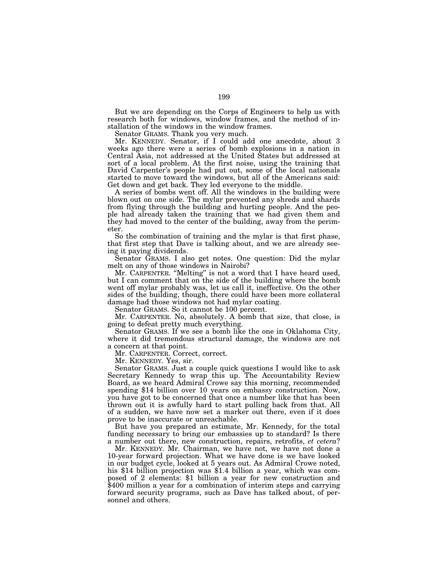But we are depending on the Corps of Engineers to help us with research both for windows, window frames, and the method of installation of the windows in the window frames.

Senator GRAMS. Thank you very much.

Mr. KENNEDY. Senator, if I could add one anecdote, about 3 weeks ago there were a series of bomb explosions in a nation in Central Asia, not addressed at the United States but addressed at sort of a local problem. At the first noise, using the training that David Carpenter's people had put out, some of the local nationals started to move toward the windows, but all of the Americans said: Get down and get back. They led everyone to the middle.

A series of bombs went off. All the windows in the building were blown out on one side. The mylar prevented any shreds and shards from flying through the building and hurting people. And the people had already taken the training that we had given them and they had moved to the center of the building, away from the perimeter.

So the combination of training and the mylar is that first phase, that first step that Dave is talking about, and we are already seeing it paying dividends.

Senator GRAMS. I also get notes. One question: Did the mylar melt on any of those windows in Nairobi?

Mr. CARPENTER. ''Melting'' is not a word that I have heard used, but I can comment that on the side of the building where the bomb went off mylar probably was, let us call it, ineffective. On the other sides of the building, though, there could have been more collateral damage had those windows not had mylar coating.

Senator GRAMS. So it cannot be 100 percent.

Mr. CARPENTER. No, absolutely. A bomb that size, that close, is going to defeat pretty much everything.

Senator GRAMS. If we see a bomb like the one in Oklahoma City, where it did tremendous structural damage, the windows are not a concern at that point.

Mr. CARPENTER. Correct, correct.

Mr. KENNEDY. Yes, sir.

Senator GRAMS. Just a couple quick questions I would like to ask Secretary Kennedy to wrap this up. The Accountability Review Board, as we heard Admiral Crowe say this morning, recommended spending \$14 billion over 10 years on embassy construction. Now, you have got to be concerned that once a number like that has been thrown out it is awfully hard to start pulling back from that. All of a sudden, we have now set a marker out there, even if it does prove to be inaccurate or unreachable.

But have you prepared an estimate, Mr. Kennedy, for the total funding necessary to bring our embassies up to standard? Is there a number out there, new construction, repairs, retrofits, *et cetera*?

Mr. KENNEDY. Mr. Chairman, we have not, we have not done a 10-year forward projection. What we have done is we have looked in our budget cycle, looked at 5 years out. As Admiral Crowe noted, his \$14 billion projection was \$1.4 billion a year, which was composed of 2 elements: \$1 billion a year for new construction and \$400 million a year for a combination of interim steps and carrying forward security programs, such as Dave has talked about, of personnel and others.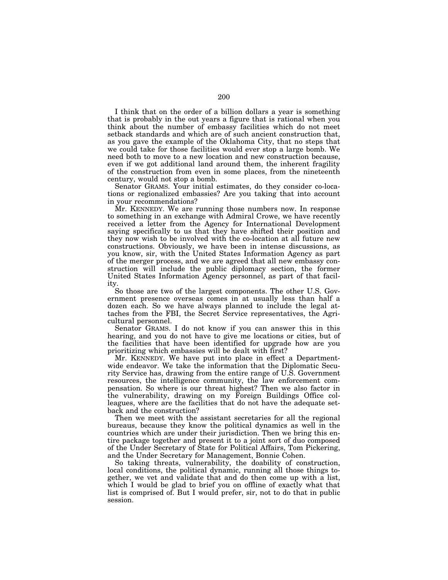I think that on the order of a billion dollars a year is something that is probably in the out years a figure that is rational when you think about the number of embassy facilities which do not meet setback standards and which are of such ancient construction that, as you gave the example of the Oklahoma City, that no steps that we could take for those facilities would ever stop a large bomb. We need both to move to a new location and new construction because, even if we got additional land around them, the inherent fragility of the construction from even in some places, from the nineteenth century, would not stop a bomb.

Senator GRAMS. Your initial estimates, do they consider co-locations or regionalized embassies? Are you taking that into account in your recommendations?

Mr. KENNEDY. We are running those numbers now. In response to something in an exchange with Admiral Crowe, we have recently received a letter from the Agency for International Development saying specifically to us that they have shifted their position and they now wish to be involved with the co-location at all future new constructions. Obviously, we have been in intense discussions, as you know, sir, with the United States Information Agency as part of the merger process, and we are agreed that all new embassy construction will include the public diplomacy section, the former United States Information Agency personnel, as part of that facility.

So those are two of the largest components. The other U.S. Government presence overseas comes in at usually less than half a dozen each. So we have always planned to include the legal attaches from the FBI, the Secret Service representatives, the Agricultural personnel.

Senator GRAMS. I do not know if you can answer this in this hearing, and you do not have to give me locations or cities, but of the facilities that have been identified for upgrade how are you prioritizing which embassies will be dealt with first?

Mr. KENNEDY. We have put into place in effect a Departmentwide endeavor. We take the information that the Diplomatic Security Service has, drawing from the entire range of U.S. Government resources, the intelligence community, the law enforcement compensation. So where is our threat highest? Then we also factor in the vulnerability, drawing on my Foreign Buildings Office colleagues, where are the facilities that do not have the adequate setback and the construction?

Then we meet with the assistant secretaries for all the regional bureaus, because they know the political dynamics as well in the countries which are under their jurisdiction. Then we bring this entire package together and present it to a joint sort of duo composed of the Under Secretary of State for Political Affairs, Tom Pickering, and the Under Secretary for Management, Bonnie Cohen.

So taking threats, vulnerability, the doability of construction, local conditions, the political dynamic, running all those things together, we vet and validate that and do then come up with a list, which I would be glad to brief you on offline of exactly what that list is comprised of. But I would prefer, sir, not to do that in public session.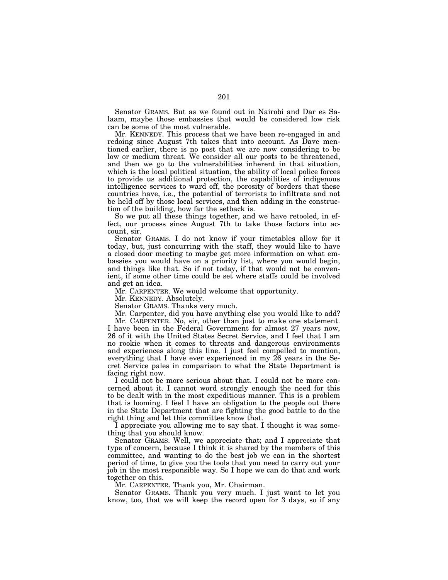Senator GRAMS. But as we found out in Nairobi and Dar es Salaam, maybe those embassies that would be considered low risk can be some of the most vulnerable.

Mr. KENNEDY. This process that we have been re-engaged in and redoing since August 7th takes that into account. As Dave mentioned earlier, there is no post that we are now considering to be low or medium threat. We consider all our posts to be threatened, and then we go to the vulnerabilities inherent in that situation, which is the local political situation, the ability of local police forces to provide us additional protection, the capabilities of indigenous intelligence services to ward off, the porosity of borders that these countries have, i.e., the potential of terrorists to infiltrate and not be held off by those local services, and then adding in the construction of the building, how far the setback is.

So we put all these things together, and we have retooled, in effect, our process since August 7th to take those factors into account, sir.

Senator GRAMS. I do not know if your timetables allow for it today, but, just concurring with the staff, they would like to have a closed door meeting to maybe get more information on what embassies you would have on a priority list, where you would begin, and things like that. So if not today, if that would not be convenient, if some other time could be set where staffs could be involved and get an idea.

Mr. CARPENTER. We would welcome that opportunity.

Mr. KENNEDY. Absolutely.

Senator GRAMS. Thanks very much.

Mr. Carpenter, did you have anything else you would like to add?

Mr. CARPENTER. No, sir, other than just to make one statement. I have been in the Federal Government for almost 27 years now, 26 of it with the United States Secret Service, and I feel that I am no rookie when it comes to threats and dangerous environments and experiences along this line. I just feel compelled to mention, everything that I have ever experienced in my 26 years in the Secret Service pales in comparison to what the State Department is facing right now.

I could not be more serious about that. I could not be more concerned about it. I cannot word strongly enough the need for this to be dealt with in the most expeditious manner. This is a problem that is looming. I feel I have an obligation to the people out there in the State Department that are fighting the good battle to do the right thing and let this committee know that.

I appreciate you allowing me to say that. I thought it was something that you should know.

Senator GRAMS. Well, we appreciate that; and I appreciate that type of concern, because I think it is shared by the members of this committee, and wanting to do the best job we can in the shortest period of time, to give you the tools that you need to carry out your job in the most responsible way. So I hope we can do that and work together on this.

Mr. CARPENTER. Thank you, Mr. Chairman.

Senator GRAMS. Thank you very much. I just want to let you know, too, that we will keep the record open for 3 days, so if any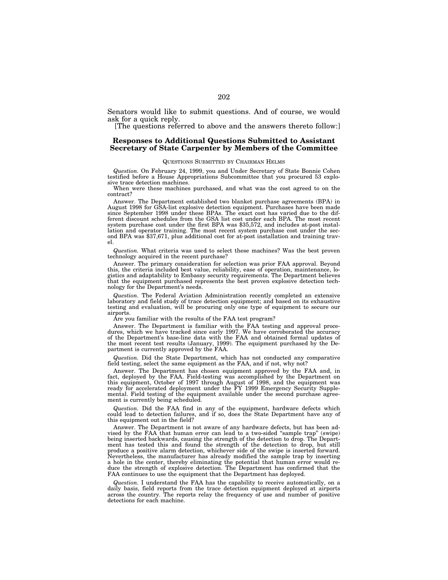Senators would like to submit questions. And of course, we would ask for a quick reply.

[The questions referred to above and the answers thereto follow:]

# **Responses to Additional Questions Submitted to Assistant Secretary of State Carpenter by Members of the Committee**

# QUESTIONS SUBMITTED BY CHAIRMAN HELMS

*Question.* On February 24, 1999, you and Under Secretary of State Bonnie Cohen testified before a House Appropriations Subcommittee that you procured 53 explosive trace detection machines.

When were these machines purchased, and what was the cost agreed to on the contract?

Answer. The Department established two blanket purchase agreements (BPA) in August 1998 for GSA-list explosive detection equipment. Purchases have been made since September 1998 under these BPAs. The exact cost has varied due to the dif-ferent discount schedules from the GSA list cost under each BPA. The most recent system purchase cost under the first BPA was \$35,572, and includes at-post instal-lation and operator training. The most recent system purchase cost under the second BPA was \$37,671, plus additional cost for at-post installation and training travel.

*Question.* What criteria was used to select these machines? Was the best proven technology acquired in the recent purchase?

Answer. The primary consideration for selection was prior FAA approval. Beyond this, the criteria included best value, reliability, ease of operation, maintenance, logistics and adaptability to Embassy security requirements. The Department believes that the equipment purchased represents the best proven explosive detection technology for the Department's needs.

*Question.* The Federal Aviation Administration recently completed an extensive laboratory and field study of trace detection equipment; and based on its exhaustive testing and evaluation, will be procuring only one type of equipment to secure our airports.

Are you familiar with the results of the FAA test program?

Answer. The Department is familiar with the FAA testing and approval procedures, which we have tracked since early 1997. We have corroborated the accuracy of the Department's base-line data with the FAA and obtained formal updates of the most recent test results (January, 1999). The equipment purchased by the Department is currently approved by the FAA.

*Question.* Did the State Department, which has not conducted any comparative field testing, select the same equipment as the FAA, and if not, why not?

Answer. The Department has chosen equipment approved by the FAA and, in fact, deployed by the FAA. Field-testing was accomplished by the Department on this equipment, October of 1997 through August of 1998, and the equipment was ready for accelerated deployment under the FY 1999 Emergency Security Supplemental. Field testing of the equipment available under the second purchase agreement is currently being scheduled.

*Question.* Did the FAA find in any of the equipment, hardware defects which could lead to detection failures, and if so, does the State Department have any of this equipment out in the field?

Answer. The Department is not aware of any hardware defects, but has been ad-<br>sed by the FAA that human error can lead to a two-sided "sample trap" (swipe) vised by the FAA that human error can lead to a two-sided "sample trap" being inserted backwards, causing the strength of the detection to drop. The Depart-ment has tested this and found the strength of the detection to drop, but still produce a positive alarm detection, whichever side of the swipe is inserted forward. Nevertheless, the manufacturer has already modified the sample trap by inserting a hole in the center, thereby eliminating the potential that human error would reduce the strength of explosive detection. The Department has confirmed that the FAA continues to use the equipment that the Department has deployed.

*Question.* I understand the FAA has the capability to receive automatically, on a daily basis, field reports from the trace detection equipment deployed at airports across the country. The reports relay the frequency of use and number of positive detections for each machine.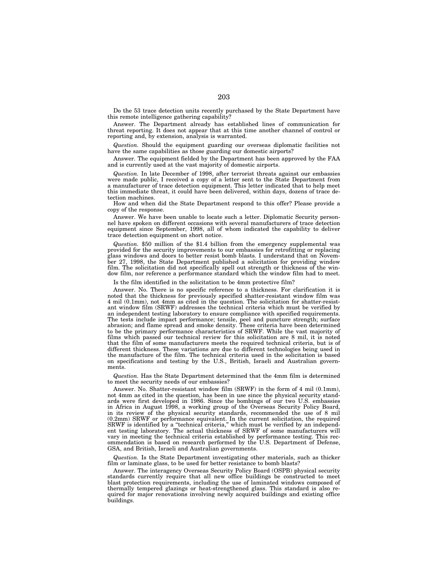Do the 53 trace detection units recently purchased by the State Department have this remote intelligence gathering capability?

Answer. The Department already has established lines of communication for threat reporting. It does not appear that at this time another channel of control or reporting and, by extension, analysis is warranted.

*Question.* Should the equipment guarding our overseas diplomatic facilities not have the same capabilities as those guarding our domestic airports?

Answer. The equipment fielded by the Department has been approved by the FAA and is currently used at the vast majority of domestic airports.

*Question.* In late December of 1998, after terrorist threats against our embassies were made public, I received a copy of a letter sent to the State Department from a manufacturer of trace detection equipment. This letter indicated that to help meet this immediate threat, it could have been delivered, within days, dozens of trace detection machines.

How and when did the State Department respond to this offer? Please provide a copy of the response.

Answer. We have been unable to locate such a letter. Diplomatic Security personnel have spoken on different occasions with several manufacturers of trace detection equipment since September, 1998, all of whom indicated the capability to deliver trace detection equipment on short notice.

*Question.* \$50 million of the \$1.4 billion from the emergency supplemental was provided for the security improvements to our embassies for retrofitting or replacing glass windows and doors to better resist bomb blasts. I understand that on November 27, 1998, the State Department published a solicitation for providing window film. The solicitation did not specifically spell out strength or thickness of the window film, nor reference a performance standard which the window film had to meet.

Is the film identified in the solicitation to be 4mm protective film?

Answer. No. There is no specific reference to a thickness. For clarification it is noted that the thickness for previously specified shatter-resistant window film was 4 mil (0.1mm), not 4mm as cited in the question. The solicitation for shatter-resistant window film (SRWF) addresses the technical criteria which must be verified by an independent testing laboratory to ensure compliance with specified requirements. The tests include impact performance; tensile, peel and puncture strength; surface abrasion; and flame spread and smoke density. These criteria have been determined to be the primary performance characteristics of SRWF. While the vast majority of films which passed our technical review for this solicitation are 8 mil, it is noted that the film of some manufacturers meets the required technical criteria, but is of different thickness. These variations are due to different technologies being used in the manufacture of the film. The technical criteria used in the solicitation is based on specifications and testing by the U.S., British, Israeli and Australian governments.

*Question.* Has the State Department determined that the 4mm film is determined to meet the security needs of our embassies?

Answer. No. Shatter-resistant window film (SRWF) in the form of 4 mil (0.1mm), not 4mm as cited in the question, has been in use since the physical security standards were first developed in 1986. Since the bombings of our two U.S. embassies in Africa in August 1998, a working group of the Overseas Security Policy Board, in its review of the physical security standards, recommended the use of 8 mil (0.2mm) SRWF or performance equivalent. In the current solicitation, the required SRWF is identified by a ''technical criteria,'' which must be verified by an independent testing laboratory. The actual thickness of SRWF of some manufacturers will vary in meeting the technical criteria established by performance testing. This recommendation is based on research performed by the U.S. Department of Defense, GSA, and British, Israeli and Australian governments.

*Question.* Is the State Department investigating other materials, such as thicker film or laminate glass, to be used for better resistance to bomb blasts?

Answer. The interagency Overseas Security Policy Board (OSPB) physical security standards currently require that all new office buildings be constructed to meet blast protection requirements, including the use of laminated windows composed of thermally tempered glazings or heat-strengthened glass. This standard is also required for major renovations involving newly acquired buildings and existing office buildings.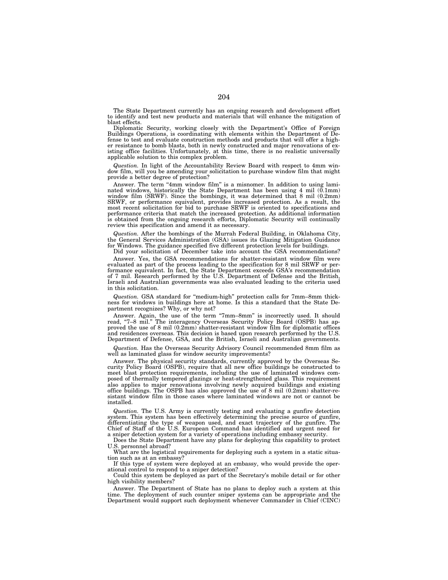The State Department currently has an ongoing research and development effort to identify and test new products and materials that will enhance the mitigation of blast effects.

Diplomatic Security, working closely with the Department's Office of Foreign Buildings Operations, is coordinating with elements within the Department of Defense to test and evaluate construction methods and products that will offer a higher resistance to bomb blasts, both in newly constructed and major renovations of existing office facilities. Unfortunately, at this time, there is no realistic universally applicable solution to this complex problem.

*Question.* In light of the Accountability Review Board with respect to 4mm window film, will you be amending your solicitation to purchase window film that might provide a better degree of protection?

Answer. The term "4mm window film" is a misnomer. In addition to using laminated windows, historically the State Department has been using 4 mil  $(0.1mm)$  window film (SRWF). Since the bombings, it was determined that 8 mi performance criteria that match the increased protection. As additional information is obtained from the ongoing research efforts, Diplomatic Security will continually review this specification and amend it as necessary.

*Question.* After the bombings of the Murrah Federal Building, in Oklahoma City, the General Services Administration (GSA) issues its Glazing Mitigation Guidance for Windows. The guidance specified five different protection levels for buildings.

Did your solicitation of December take into account the GSA recommendations? Answer. Yes, the GSA recommendations for shatter-resistant window film were evaluated as part of the process leading to the specification for 8 mil SRWF or performance equivalent. In fact, the State Department exceeds GSA's recommendation of 7 mil. Research performed by the U.S. Department of Defense and the British, Israeli and Australian governments was also evaluated leading to the criteria used in this solicitation.

*Question.* GSA standard for ''medium-high'' protection calls for 7mm–8mm thickness for windows in buildings here at home. Is this a standard that the State Department recognizes? Why, or why not?

Answer. Again, the use of the term ''7mm–8mm'' is incorrectly used. It should read, ''7–8 mil.'' The interagency Overseas Security Policy Board (OSPB) has apread, "7-8 mil." The interagency Overseas Security Policy Board (OSPB) has approved the use of 8 mil  $(0.2 \text{mm})$  shatter-resistant window film for diplomatic offices and residences overseas. This decision is based upon research performed by the U.S. Department of Defense, GSA, and the British, Israeli and Australian governments.

*Question.* Has the Overseas Security Advisory Council recommended 8mm film as well as laminated glass for window security improvements?

Answer. The physical security standards, currently approved by the Overseas Security Policy Board (OSPB), require that all new office buildings be constructed to meet blast protection requirements, including the use of laminated windows composed of thermally tempered glazings or heat-strengthened glass. This requirement also applies to major renovations involving newly acquired buildings and existing office buildings. The OSPB has also approved the use of 8 mil  $(0.2 \text{mm})$  shatter-resistant window film in those cases where laminated windows are not or cannot be installed.

*Question.* The U.S. Army is currently testing and evaluating a gunfire detection system. This system has been effectively determining the precise source of gunfire, differentiating the type of weapon used, and exact trajectory of the gunfire. The Chief of Staff of the U.S. European Command has identified and urgent need for a sniper detection system for a variety of operations including embassy security.

Does the State Department have any plans for deploying this capability to protect U.S. personnel abroad?

What are the logistical requirements for deploying such a system in a static situation such as at an embassy?

If this type of system were deployed at an embassy, who would provide the operational control to respond to a sniper detection?

Could this system be deployed as part of the Secretary's mobile detail or for other high visibility members?

Answer. The Department of State has no plans to deploy such a system at this time. The deployment of such counter sniper systems can be appropriate and the Department would support such deployment whenever Commander in Chief (CINC)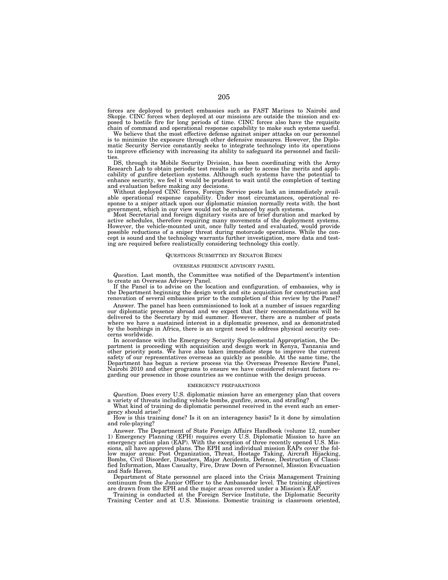forces are deployed to protect embassies such as FAST Marines to Nairobi and Skopje. CINC forces when deployed at our missions are outside the mission and ex-posed to hostile fire for long periods of time. CINC forces also have the requisite chain of command and operational response capability to make such systems useful.

We believe that the most effective defense against sniper attacks on our personnel is to minimize the exposure through other defensive measures. However, the Diplomatic Security Service constantly seeks to integrate technology into its operations to improve efficiency with increasing its ability to safeguard its personnel and facilities

DS, through its Mobile Security Division, has been coordinating with the Army Research Lab to obtain periodic test results in order to access the merits and applicability of gunfire detection systems. Although such systems have the potential to enhance security, we feel it would be prudent to wait until the completion of testing and evaluation before making any decisions.

Without deployed CINC forces, Foreign Service posts lack an immediately available operational response capability. Under most circumstances, operational response to a sniper attack upon our diplomatic mission normally rest government, which in our view would not be enhanced by such systems.

Most Secretarial and foreign dignitary visits are of brief duration and marked by active schedules, therefore requiring many movements of the deployment systems. However, the vehicle-mounted unit, once fully tested and evaluated, would provide possible reductions of a sniper threat during motorcade operations. While the con-cept is sound and the technology warrants further investigation, more data and testing are required before realistically considering technology this costly.

## QUESTIONS SUBMITTED BY SENATOR BIDEN

## OVERSEAS PRESENCE ADVISORY PANEL

*Question.* Last month, the Committee was notified of the Department's intention to create an Overseas Advisory Panel.

If the Panel is to advise on the location and configuration. of embassies, why is the Department beginning the design work and site acquisition for construction and renovation of several embassies prior to the completion of this review by the Panel?

Answer. The panel has been commissioned to look at a number of issues regarding our diplomatic presence abroad and we expect that their recommendations will be delivered to the Secretary by mid summer. However, there are a number of posts where we have a sustained interest in a diplomatic presence, and as demonstrated by the bombings in Africa, there is an urgent need to address physical security concerns worldwide.

In accordance with the Emergency Security Supplemental Appropriation, the Department is proceeding with acquisition and design work in Kenya, Tanzania and other priority posts. We have also taken immediate steps to improve the current safety of our representatives overseas as quickly as possible. At the same time, the Department has begun a review process via the Overseas Presence Review Panel, Nairobi 2010 and other programs to ensure we have considered relevant factors re-garding our presence in those countries as we continue with the design process.

# EMERGENCY PREPARATIONS

*Question.* Does every U.S. diplomatic mission have an emergency plan that covers

a variety of threats including vehicle bombs, gunfire, arson, and strafing? What kind of training do diplomatic personnel received in the event such an emergency should arise?

How is this training done? Is it on an interagency basis? Is it done by simulation and role-playing?

Answer. The Department of State Foreign Affairs Handbook (volume 12, number 1) Emergency Planning (EPH) requires every U.S. Diplomatic Mission to have an emergency action plan (EAP). With the exception of three recently opened U.S. Mis-sions, all have approved plans. The EPH and individual mission EAPs cover the follow major areas: Post Organization, Threat, Hostage Taking, Aircraft Hijacking, Bombs, Civil Disorder, Disasters, Major Accidents, Defense, Destruction of Classi-fied Information, Mass Casualty, Fire, Draw Down of Personnel, Mission Evacuation and Safe Haven.

Department of State personnel are placed into the Crisis Management Training continuum from the Junior Officer to the Ambassador level. The training objectives are drawn from the EPH and the major areas covered under a Mission's EAP.

Training is conducted at the Foreign Service Institute, the Diplomatic Security Training Center and at U.S. Missions. Domestic training is classroom oriented,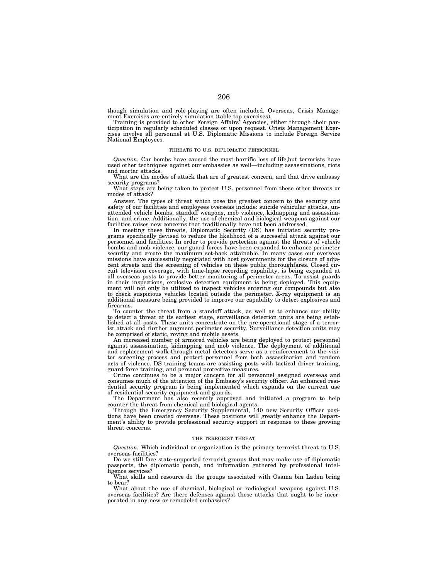though simulation and role-playing are often included. Overseas, Crisis Manage-

ment Exercises are entirely simulation (table top exercises).<br>Training is provided to other Foreign Affairs' Agencies, either through their par-<br>ticipation in regularly scheduled classes or upon request. Crisis Management National Employees.

### THREATS TO U.S. DIPLOMATIC PERSONNEL

*Question.* Car bombs have caused the most horrific loss of life,but terrorists have used other techniques against our embassies as well—including assassinations, riots and mortar attacks.

What are the modes of attack that are of greatest concern, and that drive embassy security programs?

What steps are being taken to protect U.S. personnel from these other threats or modes of attack?

Answer. The types of threat which pose the greatest concern to the security and safety of our facilities and employees overseas include: suicide vehicular attacks, unattended vehicle bombs, standoff weapons, mob violence, kidnapping and assassina-tion, and crime. Additionally, the use of chemical and biological weapons against our facilities raises new concerns that traditionally have not been addressed.

In meeting these threats, Diplomatic Security (DS) has initiated security programs specifically devised to reduce the likelihood of a successful attack against our personnel and facilities. In order to provide protection against the threats of vehicle bombs and mob violence, our guard forces have been expanded to enhance perimeter security and create the maximum set-back attainable. In many cases our overseas missions have successfully negotiated with host governments for the closure of adjacent streets and the screening of vehicles on these public thoroughfares. Closed circuit television coverage, with time-lapse recording capability, is being expanded at all overseas posts to provide better monitoring of perimeter areas. To assist guards in their inspections, explosive detection equipment is being deployed. This equip-ment will not only be utilized to inspect vehicles entering our compounds but also to check suspicious vehicles located outside the perimeter. X-ray equipment is an additional measure being provided to improve our capability to detect explosives and firearms.

To counter the threat from a standoff attack, as well as to enhance our ability to detect a threat at its earliest stage, surveillance detection units are being established at all posts. These units concentrate on the pre-operational stage of a terrorist attack and further augment perimeter security. Surveillance detection units may be comprised of static, roving and mobile assets.

An increased number of armored vehicles are being deployed to protect personnel against assassination, kidnapping and mob violence. The deployment of additional and replacement walk-through metal detectors serve as a reinforcement to the visitor screening process and protect personnel from both assassination and random acts of violence. DS training teams are assisting posts with tactical driver training, guard force training, and personal protective measures.

Crime continues to be a major concern for all personnel assigned overseas and consumes much of the attention of the Embassy's security officer. An enhanced residential security program is being implemented which expands on the current use of residential security equipment and guards.

The Department has also recently approved and initiated a program to help counter the threat from chemical and biological agents.

Through the Emergency Security Supplemental, 140 new Security Officer positions have been created overseas. These positions will greatly enhance the Department's ability to provide professional security support in response to these growing threat concerns.

### THE TERRORIST THREAT

*Question.* Which individual or organization is the primary terrorist threat to U.S. overseas facilities?

Do we still face state-supported terrorist groups that may make use of diplomatic passports, the diplomatic pouch, and information gathered by professional intelligence services?

What skills and resource do the groups associated with Osama bin Laden bring to bear?

What about the use of chemical, biological or radiological weapons against U.S. overseas facilities? Are there defenses against those attacks that ought to be incorporated in any new or remodeled embassies?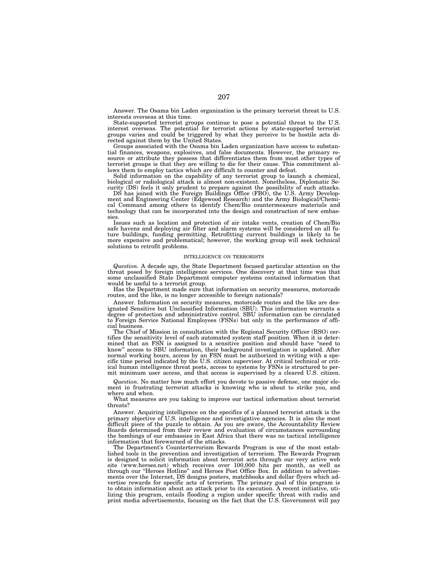Answer. The Osama bin Laden organization is the primary terrorist threat to U.S. interests overseas at this time.

State-supported terrorist groups continue to pose a potential threat to the U.S. interest overseas. The potential for terrorist actions by state-supported terrorist groups varies and could be triggered by what they perceive to be hostile acts directed against them by the United States.

Groups associated with the Osama bin Laden organization have access to substantial finances, weapons, explosives, and false documents. However, the primary resource or attribute they possess that differentiates them from most other types of terrorist groups is that they are willing to die for their cause. This commitment allows them to employ tactics which are difficult to counter and defeat.

Solid information on the capability of any terrorist group to launch a chemical, biological or radiological attack is almost non-existent. Nonetheless, Diplomatic Security (DS) feels it only prudent to prepare against the possibility of such attacks.

DS has joined with the Foreign Buildings Office (FBO), the U.S. Army Development and Engineering Center (Edgewood Research) and the Army Biological/Chemical Command among others to identify Chem/Bio countermeasure materials and technology that can be incorporated into the design and construction of new embassies.

Issues such as location and protection of air intake vents, creation of Chem/Bio safe havens and deploying air filter and alarm systems will be considered on all future buildings, funding permitting. Retrofitting current buildings is likely to be more expensive and problematical; however, the working group will seek technical solutions to retrofit problems.

### INTELLIGENCE ON TERRORISTS

*Question.* A decade ago, the State Department focused particular attention on the threat posed by foreign intelligence services. One discovery at that time was that some unclassified State Department computer systems contained information that would be useful to a terrorist group.

Has the Department made sure that information on security measures, motorcade routes, and the like, is no longer accessible to foreign nationals?

Answer. Information on security measures, motorcade routes and the like are designated Sensitive but Unclassified Information (SBU). This information warrants a degree of protection and administrative control. SBU information can be circulated to Foreign Service National Employees (FSNs) but only in the performance of official business.

The Chief of Mission in consultation with the Regional Security Officer (RSO) certifies the sensitivity level of each automated system staff position. When it is determined that an FSN is assigned to a sensitive position and should have ''need to know" access to SBU information, their background investigation is updated. After normal working hours, access by an FSN must be authorized in writing with a specific time period indicated by the U.S. citizen supervisor. At critical technical or critical human intelligence threat posts, access to systems by FSNs is structured to permit minimum user access, and that access is supervised by a cleared U.S. citizen.

*Question.* No matter how much effort you devote to passive defense, one major element in frustrating terrorist attacks is knowing who is about to strike you, and where and when.

What measures are you taking to improve our tactical information about terrorist threats?

Answer. Acquiring intelligence on the specifics of a planned terrorist attack is the primary objective of U.S. intelligence and investigative agencies. It is also the most difficult piece of the puzzle to obtain. As you are aware, the Accountability Review Boards determined from their review and evaluation of circumstances surrounding the bombings of our embassies in East Africa that there was no tactical intelligence information that forewarned of the attacks.

The Department's Counterterrorism Rewards Program is one of the most established tools in the prevention and investigation of terrorism. The Rewards Program is designed to solicit information about terrorist acts through our very active web site (www.heroes.net) which receives over 100,000 hits per month, as well as through our ''Heroes Hotline'' and Heroes Post Office Box. In addition to advertisements over the Internet, DS designs posters, matchbooks and dollar flyers which advertise rewards for specific acts of terrorism. The primary goal of this program is to obtain information about an attack prior to its execution. A recent initiative, utilizing this program, entails flooding a region under specific threat with radio and print media advertisements, focusing on the fact that the U.S. Government will pay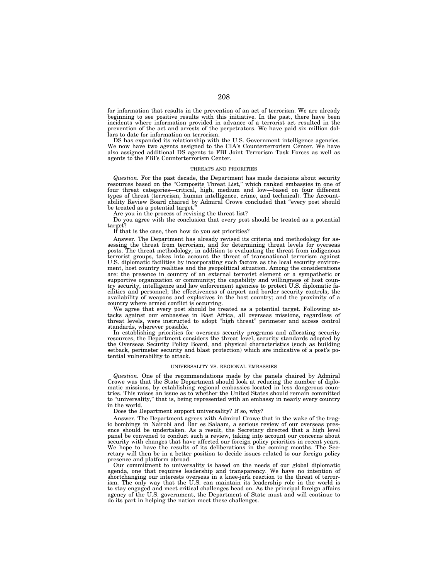for information that results in the prevention of an act of terrorism. We are already beginning to see positive results with this initiative. In the past, there have been incidents where information provided in advance of a terrorist act resulted in the prevention of the act and arrests of the perpetrators. We have paid six million dollars to date for information on terrorism.

DS has expanded its relationship with the U.S. Government intelligence agencies. We now have two agents assigned to the CIA's Counterterrorism Center. We have also assigned additional DS agents to FBI Joint Terrorism Task Forces as well as agents to the FBI's Counterterrorism Center.

# THREATS AND PRIORITIES

*Question.* For the past decade, the Department has made decisions about security resources based on the ''Composite Threat List,'' which ranked embassies in one of four threat categories—critical, high, medium and low—based on four different types of threat (terrorism, human intelligence, crime, and technical). The Accountability Review Board chaired by Admiral Crowe concluded that ''every post should be treated as a potential target.

Are you in the process of revising the threat list?

Do you agree with the conclusion that every post should be treated as a potential target?

If that is the case, then how do you set priorities?

Answer. The Department has already revised its criteria and methodology for assessing the threat from terrorism, and for determining threat levels for overseas posts. The threat methodology, in addition to evaluating the threat from indigenous terrorist groups, takes into account the threat of transnational terrorism against U.S. diplomatic facilities by incorporating such factors as the local security environment, host country realities and the geopolitical situation. Among the considerations are: the presence in country of an external terrorist element or a sympathetic or supportive organization or community; the capability and willingness of host country security, intelligence and law enforcement agencies to protect U.S. diplomatic facilities and personnel; the effectiveness of airport and border security controls; the availability of weapons and explosives in the host country; and the proximity of a country where armed conflict is occurring.

We agree that every post should be treated as a potential target. Following attacks against our embassies in East Africa, all overseas missions, regardless of threat levels, were instructed to adopt ''high threat'' perimeter and access control standards, wherever possible.

In establishing priorities for overseas security programs and allocating security resources, the Department considers the threat level, security standards adopted by the Overseas Security Policy Board, and physical characteristics (such as building setback, perimeter security and blast protection) which are indicative of a post's potential vulnerability to attack.

### UNIVERSALITY VS. REGIONAL EMBASSIES

*Question.* One of the recommendations made by the panels chaired by Admiral Crowe was that the State Department should look at reducing the number of diplomatic missions, by establishing regional embassies located in less dangerous countries. This raises an issue as to whether the United States should remain committed to "universality," that is, being represented with an embassy in nearly every country in the world.

Does the Department support universality? If so, why?

Answer. The Department agrees with Admiral Crowe that in the wake of the tragic bombings in Nairobi and Dar es Salaam, a serious review of our overseas presence should be undertaken. As a result, the Secretary directed that a high level panel be convened to conduct such a review, taking into account our concerns about security with changes that have affected our foreign policy priorities in recent years. We hope to have the results of its deliberations in the coming months. The Secretary will then be in a better position to decide issues related to our foreign policy presence and platform abroad.

Our commitment to universality is based on the needs of our global diplomatic agenda, one that requires leadership and transparency. We have no intention of shortchanging our interests overseas in a knee-jerk reaction to the threat of terrorism. The only way that the U.S. can maintain its leadership role in the world is to stay engaged and meet critical challenges head on. As the principal foreign affairs agency of the U.S. government, the Department of State must and will continue to do its part in helping the nation meet these challenges.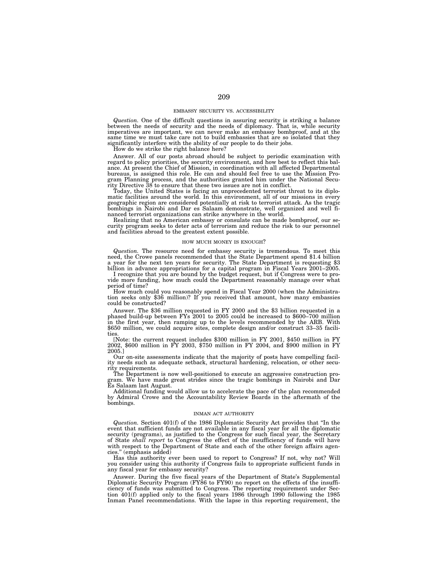### EMBASSY SECURITY VS. ACCESSIBILITY

Question. One of the difficult questions in assuring security is striking a balance<br>between the needs of security and the needs of diplomacy. That is, while security<br>imperatives are important, we can never make an embassy significantly interfere with the ability of our people to do their jobs. How do we strike the right balance here?

Answer. All of our posts abroad should be subject to periodic examination with regard to policy priorities, the security environment, and how best to reflect this balance. At present the Chief of Mission, in coordination with all affected Departmental bureaus, is assigned this role. He can and should feel free to use the Mission Program Planning process, and the authorities granted him under the National Secu-rity Directive 38 to ensure that these two issues are not in conflict.

Today, the United States is facing an unprecedented terrorist threat to its diplomatic facilities around the world. In this environment, all of our missions in every geographic region are considered potentially at risk to terrorist attack. As the tragic bombings in Nairobi and Dar es Salaam demonstrate, well organized and well financed terrorist organizations can strike anywhere in the world.

Realizing that no American embassy or consulate can be made bombproof, our security program seeks to deter acts of terrorism and reduce the risk to our personnel and facilities abroad to the greatest extent possible.

### HOW MUCH MONEY IS ENOUGH?

Question. The resource need for embassy security is tremendous. To meet this need, the Crowe panels recommended that the State Department spend \$1.4 billion a year for the next ten years for security. The State Department billion in advance appropriations for a capital program in Fiscal Years 2001–2005.

I recognize that you are bound by the budget request, but if Congress were to provide more funding, how much could the Department reasonably manage over what period of time?<br>How much could you reasonably spend in Fiscal Year 2000 (when the Administra-

tion seeks only \$36 million)? If you received that amount, how many embassies could be constructed?

Answer. The \$36 million requested in FY 2000 and the \$3 billion requested in a phased build-up between FYs 2001 to 2005 could be increased to \$600–700 million in the first year, then ramping up to the levels recommended by the ARB. With \$650 million, we could acquire sites, complete design and/or construct 33–35 facilities.

[Note: the current request includes \$300 million in FY 2001, \$450 million in FY 2002, \$600 million in FY 2003, \$750 million in FY 2004, and \$900 million in FY 2005.]

Our on-site assessments indicate that the majority of posts have compelling facility needs such as adequate setback, structural hardening, relocation, or other security requirements.

The Department is now well-positioned to execute an aggressive construction program. We have made great strides since the tragic bombings in Nairobi and Dar Es Salaam last August.

Additional funding would allow us to accelerate the pace of the plan recommended by Admiral Crowe and the Accountability Review Boards in the aftermath of the bombings.

#### INMAN ACT AUTHORITY

*Question.* Section 401(f) of the 1986 Diplomatic Security Act provides that ''In the event that sufficient funds are not available in any fiscal year for all the diplomatic security (programs), as justified to the Congress for such fiscal year, the Secretary of State *shall report* to Congress the effect of the insufficiency of funds will have with respect to the Department of State and each of the other foreign affairs agencies.'' (emphasis added)

Has this authority ever been used to report to Congress? If not, why not? Will you consider using this authority if Congress fails to appropriate sufficient funds in any fiscal year for embassy security?

Answer. During the five fiscal years of the Department of State's Supplemental Diplomatic Security Program (FY86 to FY90) no report on the effects of the insufficiency of funds was submitted to Congress. The reporting requirement under Section 401(f) applied only to the fiscal years 1986 through 1990 following the 1985 Inman Panel recommendations. With the lapse in this reporting requirement, the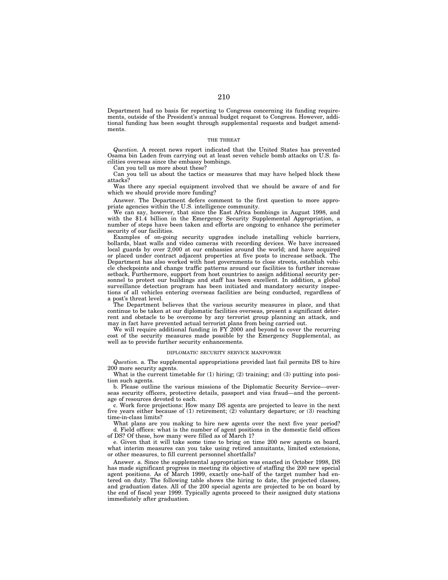Department had no basis for reporting to Congress concerning its funding requirements, outside of the President's annual budget request to Congress. However, additional funding has been sought through supplemental requests and budget amendments.

# THE THREAT

*Question.* A recent news report indicated that the United States has prevented Osama bin Laden from carrying out at least seven vehicle bomb attacks on U.S. facilities overseas since the embassy bombings.

Can you tell us more about these?

Can you tell us about the tactics or measures that may have helped block these attacks?

Was there any special equipment involved that we should be aware of and for which we should provide more funding?

Answer. The Department defers comment to the first question to more appropriate agencies within the U.S. intelligence community.

We can say, however, that since the East Africa bombings in August 1998, and with the \$1.4 billion in the Emergency Security Supplemental Appropriation, a number of steps have been taken and efforts are ongoing to enhance the perimeter security of our facilities.

Examples of on-going security upgrades include installing vehicle barriers, bollards, blast walls and video cameras with recording devices. We have increased local guards by over 2,000 at our embassies around the world; and have acquired or placed under contract adjacent properties at five posts to increase setback. The Department has also worked with host governments to close streets, establish vehicle checkpoints and change traffic patterns around our facilities to further increase setback, Furthermore, support from host countries to assign additional security personnel to protect our buildings and staff has been excellent. In addition, a global surveillance detection program has been initiated and mandatory security inspections of all vehicles entering overseas facilities are being conducted, regardless of a post's threat level.

The Department believes that the various security measures in place, and that continue to be taken at our diplomatic facilities overseas, present a significant deterrent and obstacle to be overcome by any terrorist group planning an attack, and may in fact have prevented actual terrorist plans from being carried out.

We will require additional funding in FY 2000 and beyond to cover the recurring cost of the security measures made possible by the Emergency Supplemental, as well as to provide further security enhancements.

#### DIPLOMATIC SECURITY SERVICE MANPOWER

*Question.* a. The supplemental appropriations provided last fail permits DS to hire 200 more security agents.

What is the current timetable for (1) hiring; (2) training; and (3) putting into position such agents.

b. Please outline the various missions of the Diplomatic Security Service—overseas security officers, protective details, passport and visa fraud—and the percentage of resources devoted to each.

c. Work force projections: How many DS agents are projected to leave in the next five years either because of (1) retirement; (2) voluntary departure; or (3) reaching time-in-class limits?

What plans are you making to hire new agents over the next five year period? d. Field offices: what is the number of agent positions in the domestic field offices of DS? Of these, how many were filled as of March 1?

e. Given that it will take some time to bring on time 200 new agents on board, what interim measures can you take using retired annuitants, limited extensions, or other measures, to fill current personnel shortfalls?

Answer. a. Since the supplemental appropriation was enacted in October 1998, DS has made significant progress in meeting its objective of staffing the 200 new special agent positions. As of March 1999, exactly one-half of the target number had entered on duty. The following table shows the hiring to date, the projected classes, and graduation dates. All of the 200 special agents are projected to be on board by the end of fiscal year 1999. Typically agents proceed to their assigned duty stations immediately after graduation.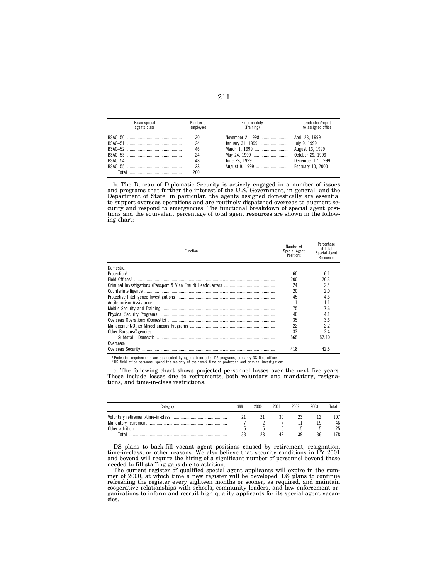| Basic special<br>agents class | Number of<br>employees | Enter on duty<br>(Training) | Graduation/report<br>to assigned office |  |  |
|-------------------------------|------------------------|-----------------------------|-----------------------------------------|--|--|
|                               | 30                     |                             |                                         |  |  |
|                               | 24                     |                             |                                         |  |  |
|                               | 46                     |                             | August 13, 1999                         |  |  |
|                               | 24                     | May 24, 1999                | October 29, 1999                        |  |  |
|                               | 48                     |                             | December 17, 1999                       |  |  |
|                               | 28                     |                             |                                         |  |  |
|                               | 200                    |                             |                                         |  |  |

b. The Bureau of Diplomatic Security is actively engaged in a number of issues and programs that further the interest of the U.S. Government, in general, and the Department of State, in particular. the agents assigned domestically are essential to support overseas operations and are routinely dispatched overseas to augment security and respond to emergencies. The functional breakdown of special agent positions and the equivalent percentage of total agent resources are shown in the following chart:

| <b>Function</b> |     | Percentage<br>of Total<br>Special Agent<br>Resources |  |
|-----------------|-----|------------------------------------------------------|--|
| Domestic-       |     |                                                      |  |
|                 | 60  | 6.1                                                  |  |
|                 | 200 | 20.3                                                 |  |
|                 | 24  | 24                                                   |  |
|                 | 20  | 20                                                   |  |
|                 | 45  | 46                                                   |  |
|                 | 11  | 11                                                   |  |
|                 | 75  | 76                                                   |  |
|                 | 40  | 41                                                   |  |
|                 | 35  | 36                                                   |  |
|                 | 22  | 22                                                   |  |
|                 | 33  | 34                                                   |  |
|                 | 565 | 57 40                                                |  |
| Overseas:       |     |                                                      |  |
|                 | 418 | 42.5                                                 |  |

1 Protection requirements are augmented by agents from other DS programs, primarily DS field offices. 2 DS field office personnel spend the majority of their work time on protection and criminal investigations.

c. The following chart shows projected personnel losses over the next five years. These include losses due to retirements, both voluntary and mandatory, resignations, and time-in-class restrictions.

| ategory، | 999 | 2000 | 2001 | 2002 | 2003 | Total           |
|----------|-----|------|------|------|------|-----------------|
|          |     |      |      |      | ١g   | 107<br>46<br>25 |
| Total    |     | 28   |      | 39   | 36   | 178             |

DS plans to back-fill vacant agent positions caused by retirement, resignation, time-in-class, or other reasons. We also believe that security conditions in FY 2001 and beyond will require the hiring of a significant number of personnel beyond those needed to fill staffing gaps due to attrition.

The current register of qualified special agent applicants will expire in the summer of 2000, at which time a new register will be developed. DS plans to continue refreshing the register every eighteen months or sooner, as required, and maintain cooperative relationships with schools, community leaders, and law enforcement or-ganizations to inform and recruit high quality applicants for its special agent vacancies.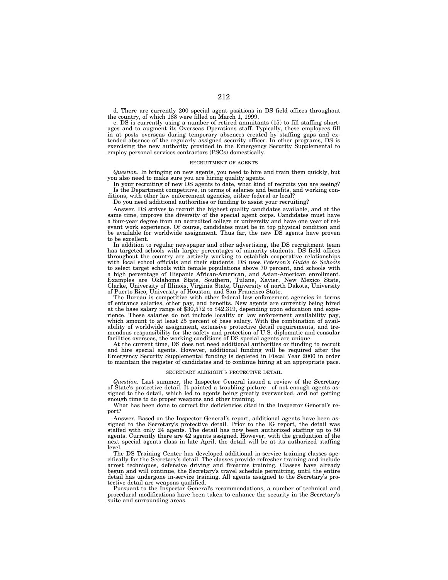d. There are currently 200 special agent positions in DS field offices throughout the country, of which 188 were filled on March 1, 1999.

e. DS is currently using a number of retired annuitants (15) to fill staffing shortages and to augment its Overseas Operations staff. Typically, these employees fill in at posts overseas during temporary absences created by staffing gaps and extended absence of the regularly assigned security officer. In other programs, DS is exercising the new authority provided in the Emergency Security Supplemental to employ personal services contractors (PSCs) domestically.

### RECRUITMENT OF AGENTS

*Question.* In bringing on new agents, you need to hire and train them quickly, but you also need to make sure you are hiring quality agents.

In your recruiting of new DS agents to date, what kind of recruits you are seeing? Is the Department competitive, in terms of salaries and benefits, and working conditions, with other law enforcement agencies, either federal or local?

Do you need additional authorities or funding to assist your recruiting?

Answer. DS strives to recruit the highest quality candidates available, and at the same time, improve the diversity of the special agent corps. Candidates must have a four-year degree from an accredited college or university and have one year of relevant work experience. Of course, candidates must be in top physical condition and be available for worldwide assignment. Thus far, the new DS agents have proven to be excellent.

In addition to regular newspaper and other advertising, the DS recruitment team has targeted schools with larger percentages of minority students. DS field offices throughout the country are actively working to establish cooperative relationships with local school officials and their students. DS uses *Peterson's Guide to Schools* to select target schools with female populations above 70 percent, and schools with a high percentage of Hispanic African-American, and Asian-American enrollment. Examples are Oklahoma State, Southern, Tulane, Xavier, New Mexico State, Clarke, University of Illinois, Virginia State, University of north Dakota, University of Puerto Rico, University of Houston, and San Francisco State.

The Bureau is competitive with other federal law enforcement agencies in terms of entrance salaries, other pay, and benefits. New agents are currently being hired at the base salary range of \$30,572 to \$42,319, depending upon education and experience. These salaries do not include locality or law enforcement availability pay, which amount to at least 25 percent of base salary. With the combination of availability of worldwide assignment, extensive protective detail requirements, and tremendous responsibility for the safety and protection of U.S. diplomatic and consular facilities overseas, the working conditions of DS special agents are unique.

At the current time, DS does not need additional authorities or funding to recruit and hire special agents. However, additional funding will be required after the Emergency Security Supplemental funding is depleted in Fiscal Year 2000 in order to maintain the register of candidates and to continue hiring at an appropriate pace.

#### SECRETARY ALBRIGHT'S PROTECTIVE DETAIL

*Question.* Last summer, the Inspector General issued a review of the Secretary of State's protective detail. It painted a troubling picture—of not enough agents assigned to the detail, which led to agents being greatly overworked, and not getting enough time to do proper weapons and other training.

What has been done to correct the deficiencies cited in the Inspector General's report?

Answer. Based on the Inspector General's report, additional agents have been assigned to the Secretary's protective detail. Prior to the IG report, the detail was staffed with only 24 agents. The detail has now been authorized staffing up to 50 agents. Currently there are 42 agents assigned. However, with the graduation of the next special agents class in late April, the detail will be at its authorized staffing level.

The DS Training Center has developed additional in-service training classes specifically for the Secretary's detail. The classes provide refresher training and include arrest techniques, defensive driving and firearms training. Classes have already begun and will continue, the Secretary's travel schedule permitting, until the entire detail has undergone in-service training. All agents assigned to the Secretary's protective detail are weapons qualified.

Pursuant to the Inspector General's recommendations, a number of technical and procedural modifications have been taken to enhance the security in the Secretary's suite and surrounding areas.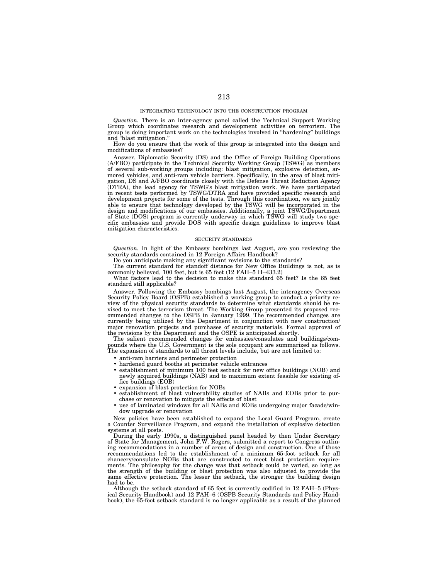#### INTEGRATING TECHNOLOGY INTO THE CONSTRUCTION PROGRAM

*Question.* There is an inter-agency panel called the Technical Support Working Group which coordinates research and development activities on terrorism. The group is doing important work on the technologies involved in ''hardening'' buildings and ''blast mitigation.''

How do you ensure that the work of this group is integrated into the design and modifications of embassies?

Answer. Diplomatic Security (DS) and the Office of Foreign Building Operations (A/FBO) participate in the Technical Security Working Group (TSWG) as members of several sub-working groups including: blast mitigation, explosive detection, armored vehicles, and anti-ram vehicle barriers. Specifically, in the area of blast mitigation, DS and A/FBO coordinate closely with the Defense Threat Reduction Agency (DTRA), the lead agency for TSWG's blast mitigation work. We have participated in recent tests performed by TSWG/DTRA and have provided specific research and development projects for some of the tests. Through this coordination, we are jointly able to ensure that technology developed by the TSWG will be incorporated in the design and modifications of our embassies. Additionally, a joint TSWG/Department of State (DOS) program is currently underway in which TSWG will study two specific embassies and provide DOS with specific design guidelines to improve blast mitigation characteristics.

#### SECURITY STANDARDS

*Question.* In light of the Embassy bombings last August, are you reviewing the security standards contained in 12 Foreign Affairs Handbook?

Do you anticipate making any significant revisions to the standards?

The current standard for standoff distance for New Office Buildings is not, as is commonly believed, 100 feet, but is 65 feet (12 FAH–5 H–433.2)

What factors lead to the decision to make this standard 65 feet? Is the 65 feet standard still applicable?

Answer. Following the Embassy bombings last August, the interagency Overseas Security Policy Board (OSPB) established a working group to conduct a priority review of the physical security standards to determine what standards should be revised to meet the terrorism threat. The Working Group presented its proposed recommended changes to the OSPB in January 1999. The recommended changes are currently being utilized by the Department in conjunction with new construction/ major renovation projects and purchases of security materials. Formal approval of the revisions by the Department and the OSPE is anticipated shortly.

The salient recommended changes for embassies/consulates and buildings/compounds where the U.S. Government is the sole occupant are summarized as follows. pounds where the U.S. Government is the sole occupant in a summer of standards to all threat levels include, but are not limited to:

- anti-ram barriers and perimeter protection
- hardened guard booths at perimeter vehicle entrances
- establishment of minimum 100 feet setback for new office buildings (NOB) and newly acquired buildings (NAB) and to maximum extent feasible for existing office buildings (EOB)
- expansion of blast protection for NOBs
- establishment of blast vulnerability studies of NABs and EOBs prior to purchase or renovation to mitigate the effects of blast
- use of laminated windows for all NABs and EOBs undergoing major facade/window upgrade or renovation

New policies have been established to expand the Local Guard Program, create a Counter Surveillance Program, and expand the installation of explosive detection systems at all posts.

During the early 1990s, a distinguished panel headed by then Under Secretary of State for Management, John F.W. Rogers, submitted a report to Congress outlining recommendations in a number of areas of design and construction. One of those recommendations led to the establishment of a minimum 65-foot setback for all chancery/consulate NOBs that are constructed to meet blast protection requirements. The philosophy for the change was that setback could be varied, so long as the strength of the building or blast protection was also adjusted to provide the same effective protection. The lesser the setback, the stronger the building design had to be.

Although the setback standard of 65 feet is currently codified in 12 FAH–5 (Physical Security Handbook) and 12 FAH–6 (OSPB Security Standards and Policy Handbook), the 65-foot setback standard is no longer applicable as a result of the planned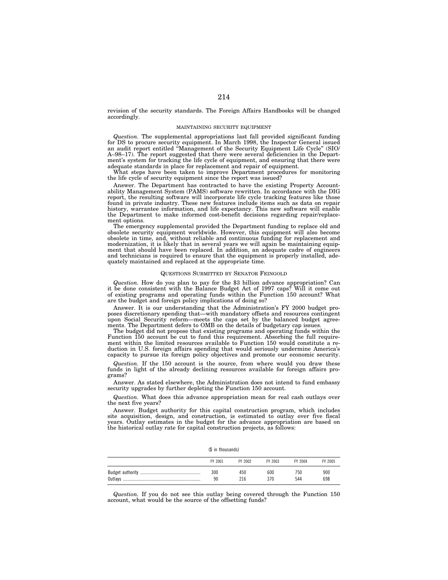revision of the security standards. The Foreign Affairs Handbooks will be changed accordingly.

## MAINTAINING SECURITY EQUIPMENT

*Question.* The supplemental appropriations last fall provided significant funding for DS to procure security equipment. In March 1998, the Inspector General issued an audit report entitled ''Management of the Security Equipment Life Cycle'' (SIO/ A–98–17). The report suggested that there were several deficiencies in the Department's system for tracking the life cycle of equipment, and ensuring that there were adequate standards in place for replacement and repair of equipment.

What steps have been taken to improve Department procedures for monitoring the life cycle of security equipment since the report was issued?

Answer. The Department has contracted to have the existing Property Accountability Management System (PAMS) software rewritten. In accordance with the DIG report, the resulting software will incorporate life cycle tracking features like those found in private industry. These new features include items such as data on repair history, warrantee information, and life expectancy. This new software will enable the Department to make informed cost-benefit decisions regarding repair/replacement options.

The emergency supplemental provided the Department funding to replace old and obsolete security equipment worldwide. However, this equipment will also become obsolete in time, and, without reliable and continuous funding for replacement and modernization, it is likely that in several years we will again be maintaining equipment that should have been replaced. In addition, an adequate cadre of engineers and technicians is required to ensure that the equipment is properly installed, adequately maintained and replaced at the appropriate time.

## QUESTIONS SUBMITTED BY SENATOR FEINGOLD

*Question.* How do you plan to pay for the \$3 billion advance appropriation? Can it be done consistent with the Balance Budget Act of 1997 caps? Will it come out of existing programs and operating funds within the Function 150 account? What are the budget and foreign policy implications of doing so?

Answer. It is our understanding that the Administration's FY 2000 budget proposes discretionary spending that—with mandatory offsets and resources contingent upon Social Security reform—meets the caps set by the balanced budget agreements. The Department defers to OMB on the details of budgetary cap issues.

The budget did not propose that existing programs and operating funds within the Function 150 account be cut to fund this requirement. Absorbing the full requirement within the limited resources available to Function 150 would constitute a reduction in U.S. foreign affairs spending that would seriously undermine America's capacity to pursue its foreign policy objectives and promote our economic security.

*Question.* If the 150 account is the source, from where would you draw these funds in light of the already declining resources available for foreign affairs programs?

Answer. As stated elsewhere, the Administration does not intend to fund embassy security upgrades by further depleting the Function 150 account.

*Question.* What does this advance appropriation mean for real cash outlays over the next five years?

Answer. Budget authority for this capital construction program, which includes site acquisition, design, and construction, is estimated to outlay over five fiscal years. Outlay estimates in the budget for the advance appropriation are based on the historical outlay rate for capital construction projects, as follows:

(\$ in thousands)

| FY 2001 | FY 2002 | FY 2003 | FY 2004 | FY 2005 |
|---------|---------|---------|---------|---------|
| 300     | 450     | 600     | 750     | 900     |
| 90      | 216     | 370     | 544     | 698     |

*Question.* If you do not see this outlay being covered through the Function 150 account, what would be the source of the offsetting funds?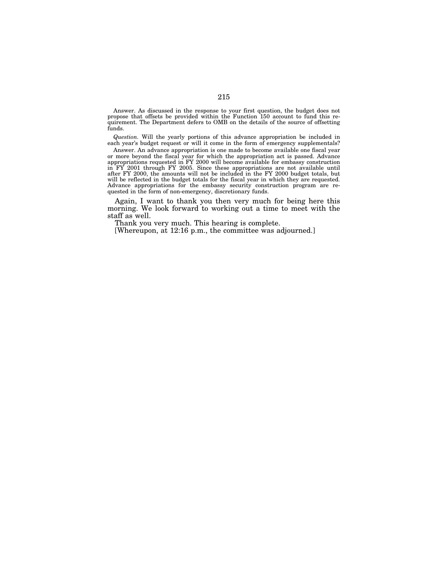Answer. As discussed in the response to your first question, the budget does not propose that offsets be provided within the Function 150 account to fund this requirement. The Department defers to OMB on the details of the source of offsetting funds.

*Question.* Will the yearly portions of this advance appropriation be included in each year's budget request or will it come in the form of emergency supplementals?

Answer. An advance appropriation is one made to become available one fiscal year or more beyond the fiscal year for which the appropriation act is passed. Advance appropriations requested in FY 2000 will become available for embassy construction in FY 2001 through FY 2005. Since these appropriations are not available until after FY 2000, the amounts will not be included in the FY 2000 budget totals, but will be reflected in the budget totals for the fiscal year in which they are requested. Advance appropriations for the embassy security construction program are requested in the form of non-emergency, discretionary funds.

Again, I want to thank you then very much for being here this morning. We look forward to working out a time to meet with the staff as well.

Thank you very much. This hearing is complete.

[Whereupon, at 12:16 p.m., the committee was adjourned.]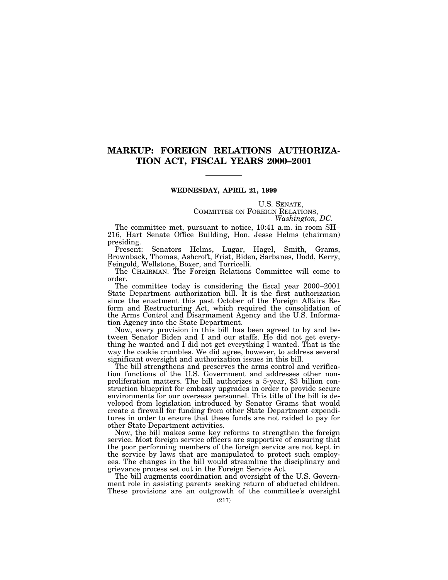## **MARKUP: FOREIGN RELATIONS AUTHORIZA-TION ACT, FISCAL YEARS 2000–2001**

## **WEDNESDAY, APRIL 21, 1999**

U.S. SENATE, COMMITTEE ON FOREIGN RELATIONS, *Washington, DC.*

The committee met, pursuant to notice, 10:41 a.m. in room SH– 216, Hart Senate Office Building, Hon. Jesse Helms (chairman) presiding.

Present: Senators Helms, Lugar, Hagel, Smith, Grams, Brownback, Thomas, Ashcroft, Frist, Biden, Sarbanes, Dodd, Kerry, Feingold, Wellstone, Boxer, and Torricelli.

The CHAIRMAN. The Foreign Relations Committee will come to order.

The committee today is considering the fiscal year 2000–2001 State Department authorization bill. It is the first authorization since the enactment this past October of the Foreign Affairs Reform and Restructuring Act, which required the consolidation of the Arms Control and Disarmament Agency and the U.S. Information Agency into the State Department.

Now, every provision in this bill has been agreed to by and between Senator Biden and I and our staffs. He did not get everything he wanted and I did not get everything I wanted. That is the way the cookie crumbles. We did agree, however, to address several significant oversight and authorization issues in this bill.

The bill strengthens and preserves the arms control and verification functions of the U.S. Government and addresses other nonproliferation matters. The bill authorizes a 5-year, \$3 billion construction blueprint for embassy upgrades in order to provide secure environments for our overseas personnel. This title of the bill is developed from legislation introduced by Senator Grams that would create a firewall for funding from other State Department expenditures in order to ensure that these funds are not raided to pay for other State Department activities.

Now, the bill makes some key reforms to strengthen the foreign service. Most foreign service officers are supportive of ensuring that the poor performing members of the foreign service are not kept in the service by laws that are manipulated to protect such employees. The changes in the bill would streamline the disciplinary and grievance process set out in the Foreign Service Act.

The bill augments coordination and oversight of the U.S. Government role in assisting parents seeking return of abducted children. These provisions are an outgrowth of the committee's oversight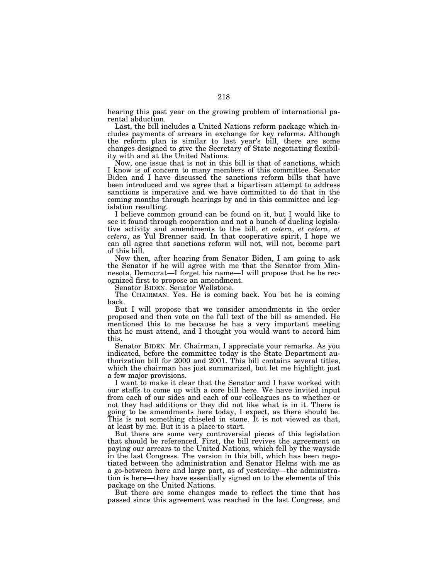hearing this past year on the growing problem of international parental abduction.

Last, the bill includes a United Nations reform package which includes payments of arrears in exchange for key reforms. Although the reform plan is similar to last year's bill, there are some changes designed to give the Secretary of State negotiating flexibility with and at the United Nations.

Now, one issue that is not in this bill is that of sanctions, which I know is of concern to many members of this committee. Senator Biden and I have discussed the sanctions reform bills that have been introduced and we agree that a bipartisan attempt to address sanctions is imperative and we have committed to do that in the coming months through hearings by and in this committee and legislation resulting.

I believe common ground can be found on it, but I would like to see it found through cooperation and not a bunch of dueling legislative activity and amendments to the bill, *et cetera*, *et cetera*, *et cetera*, as Yul Brenner said. In that cooperative spirit, I hope we can all agree that sanctions reform will not, will not, become part of this bill.

Now then, after hearing from Senator Biden, I am going to ask the Senator if he will agree with me that the Senator from Minnesota, Democrat—I forget his name—I will propose that he be recognized first to propose an amendment.

Senator BIDEN. Senator Wellstone.

The CHAIRMAN. Yes. He is coming back. You bet he is coming back.

But I will propose that we consider amendments in the order proposed and then vote on the full text of the bill as amended. He mentioned this to me because he has a very important meeting that he must attend, and I thought you would want to accord him this.

Senator BIDEN. Mr. Chairman, I appreciate your remarks. As you indicated, before the committee today is the State Department authorization bill for 2000 and 2001. This bill contains several titles, which the chairman has just summarized, but let me highlight just a few major provisions.

I want to make it clear that the Senator and I have worked with our staffs to come up with a core bill here. We have invited input from each of our sides and each of our colleagues as to whether or not they had additions or they did not like what is in it. There is going to be amendments here today, I expect, as there should be. This is not something chiseled in stone. It is not viewed as that, at least by me. But it is a place to start.

But there are some very controversial pieces of this legislation that should be referenced. First, the bill revives the agreement on paying our arrears to the United Nations, which fell by the wayside in the last Congress. The version in this bill, which has been negotiated between the administration and Senator Helms with me as a go-between here and large part, as of yesterday—the administration is here—they have essentially signed on to the elements of this package on the United Nations.

But there are some changes made to reflect the time that has passed since this agreement was reached in the last Congress, and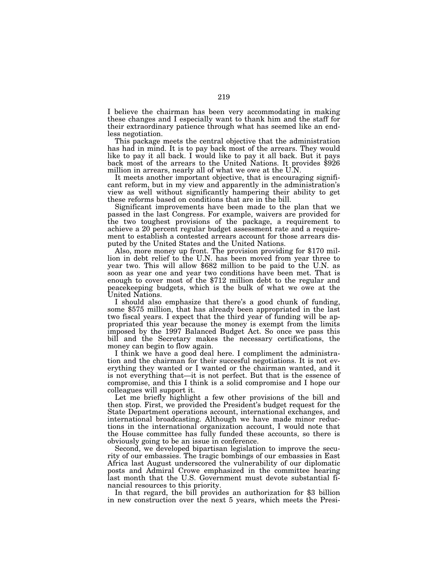I believe the chairman has been very accommodating in making these changes and I especially want to thank him and the staff for their extraordinary patience through what has seemed like an endless negotiation.

This package meets the central objective that the administration has had in mind. It is to pay back most of the arrears. They would like to pay it all back. I would like to pay it all back. But it pays back most of the arrears to the United Nations. It provides \$926 million in arrears, nearly all of what we owe at the U.N.

It meets another important objective, that is encouraging significant reform, but in my view and apparently in the administration's view as well without significantly hampering their ability to get these reforms based on conditions that are in the bill.

Significant improvements have been made to the plan that we passed in the last Congress. For example, waivers are provided for the two toughest provisions of the package, a requirement to achieve a 20 percent regular budget assessment rate and a requirement to establish a contested arrears account for those arrears dis-<br>puted by the United States and the United Nations.

puted by the United States and the United Nations. Also, more money up front. The provision providing for \$170 million in debt relief to the U.N. has been moved from year three to year two. This will allow \$682 million to be paid to the U.N. as soon as year one and year two conditions have been met. That is enough to cover most of the \$712 million debt to the regular and peacekeeping budgets, which is the bulk of what we owe at the United Nations.

I should also emphasize that there's a good chunk of funding, some \$575 million, that has already been appropriated in the last two fiscal years. I expect that the third year of funding will be appropriated this year because the money is exempt from the limits imposed by the 1997 Balanced Budget Act. So once we pass this bill and the Secretary makes the necessary certifications, the money can begin to flow again.

I think we have a good deal here. I compliment the administration and the chairman for their succesful negotiations. It is not everything they wanted or I wanted or the chairman wanted, and it is not everything that—it is not perfect. But that is the essence of compromise, and this I think is a solid compromise and I hope our colleagues will support it.

Let me briefly highlight a few other provisions of the bill and then stop. First, we provided the President's budget request for the State Department operations account, international exchanges, and international broadcasting. Although we have made minor reductions in the international organization account, I would note that the House committee has fully funded these accounts, so there is obviously going to be an issue in conference.

Second, we developed bipartisan legislation to improve the security of our embassies. The tragic bombings of our embassies in East Africa last August underscored the vulnerability of our diplomatic posts and Admiral Crowe emphasized in the committee hearing last month that the U.S. Government must devote substantial financial resources to this priority.

In that regard, the bill provides an authorization for \$3 billion in new construction over the next 5 years, which meets the Presi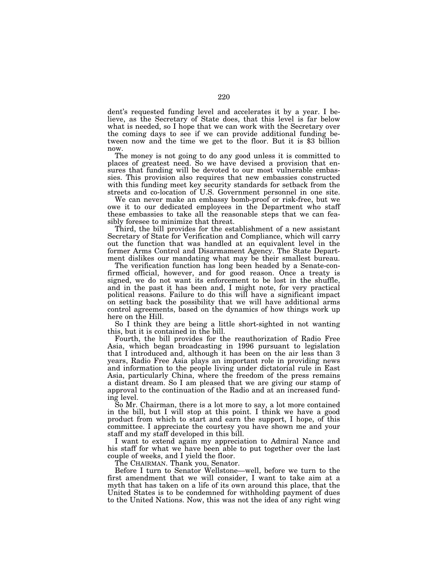dent's requested funding level and accelerates it by a year. I believe, as the Secretary of State does, that this level is far below what is needed, so I hope that we can work with the Secretary over the coming days to see if we can provide additional funding between now and the time we get to the floor. But it is \$3 billion now.

The money is not going to do any good unless it is committed to places of greatest need. So we have devised a provision that ensures that funding will be devoted to our most vulnerable embassies. This provision also requires that new embassies constructed with this funding meet key security standards for setback from the streets and co-location of U.S. Government personnel in one site.

We can never make an embassy bomb-proof or risk-free, but we owe it to our dedicated employees in the Department who staff these embassies to take all the reasonable steps that we can feasibly foresee to minimize that threat.

Third, the bill provides for the establishment of a new assistant Secretary of State for Verification and Compliance, which will carry out the function that was handled at an equivalent level in the former Arms Control and Disarmament Agency. The State Department dislikes our mandating what may be their smallest bureau.

The verification function has long been headed by a Senate-confirmed official, however, and for good reason. Once a treaty is signed, we do not want its enforcement to be lost in the shuffle, and in the past it has been and, I might note, for very practical political reasons. Failure to do this will have a significant impact on setting back the possibility that we will have additional arms control agreements, based on the dynamics of how things work up here on the Hill.

So I think they are being a little short-sighted in not wanting this, but it is contained in the bill.

Fourth, the bill provides for the reauthorization of Radio Free Asia, which began broadcasting in 1996 pursuant to legislation that I introduced and, although it has been on the air less than 3 years, Radio Free Asia plays an important role in providing news and information to the people living under dictatorial rule in East Asia, particularly China, where the freedom of the press remains a distant dream. So I am pleased that we are giving our stamp of approval to the continuation of the Radio and at an increased funding level.

So Mr. Chairman, there is a lot more to say, a lot more contained in the bill, but I will stop at this point. I think we have a good product from which to start and earn the support, I hope, of this committee. I appreciate the courtesy you have shown me and your staff and my staff developed in this bill.

I want to extend again my appreciation to Admiral Nance and his staff for what we have been able to put together over the last couple of weeks, and I yield the floor.

The CHAIRMAN. Thank you, Senator.

Before I turn to Senator Wellstone—well, before we turn to the first amendment that we will consider, I want to take aim at a myth that has taken on a life of its own around this place, that the United States is to be condemned for withholding payment of dues to the United Nations. Now, this was not the idea of any right wing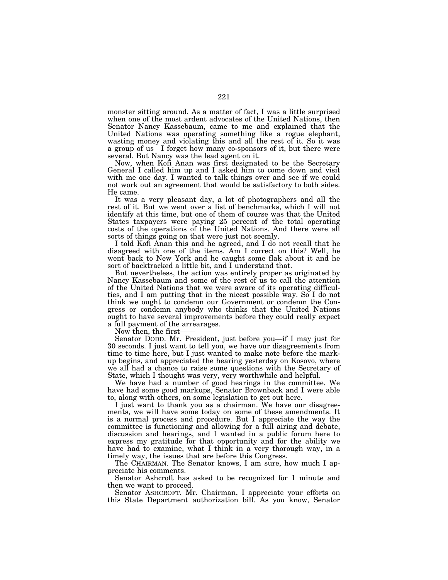monster sitting around. As a matter of fact, I was a little surprised when one of the most ardent advocates of the United Nations, then Senator Nancy Kassebaum, came to me and explained that the United Nations was operating something like a rogue elephant, wasting money and violating this and all the rest of it. So it was a group of us—I forget how many co-sponsors of it, but there were several. But Nancy was the lead agent on it.

Now, when Kofi Anan was first designated to be the Secretary General I called him up and I asked him to come down and visit with me one day. I wanted to talk things over and see if we could not work out an agreement that would be satisfactory to both sides. He came.

It was a very pleasant day, a lot of photographers and all the rest of it. But we went over a list of benchmarks, which I will not identify at this time, but one of them of course was that the United States taxpayers were paying 25 percent of the total operating costs of the operations of the United Nations. And there were all sorts of things going on that were just not seemly.

I told Kofi Anan this and he agreed, and I do not recall that he disagreed with one of the items. Am I correct on this? Well, he went back to New York and he caught some flak about it and he sort of backtracked a little bit, and I understand that.

But nevertheless, the action was entirely proper as originated by Nancy Kassebaum and some of the rest of us to call the attention of the United Nations that we were aware of its operating difficulties, and I am putting that in the nicest possible way. So I do not think we ought to condemn our Government or condemn the Congress or condemn anybody who thinks that the United Nations ought to have several improvements before they could really expect a full payment of the arrearages.

Now then, the first

Senator DODD. Mr. President, just before you—if I may just for 30 seconds. I just want to tell you, we have our disagreements from time to time here, but I just wanted to make note before the markup begins, and appreciated the hearing yesterday on Kosovo, where we all had a chance to raise some questions with the Secretary of State, which I thought was very, very worthwhile and helpful.

We have had a number of good hearings in the committee. We have had some good markups, Senator Brownback and I were able to, along with others, on some legislation to get out here.

I just want to thank you as a chairman. We have our disagreements, we will have some today on some of these amendments. It is a normal process and procedure. But I appreciate the way the committee is functioning and allowing for a full airing and debate, discussion and hearings, and I wanted in a public forum here to express my gratitude for that opportunity and for the ability we have had to examine, what I think in a very thorough way, in a timely way, the issues that are before this Congress.

The CHAIRMAN. The Senator knows, I am sure, how much I appreciate his comments.

Senator Ashcroft has asked to be recognized for 1 minute and then we want to proceed.

Senator ASHCROFT. Mr. Chairman, I appreciate your efforts on this State Department authorization bill. As you know, Senator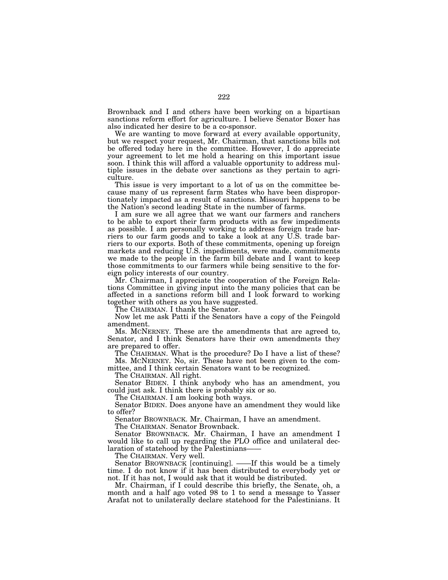Brownback and I and others have been working on a bipartisan sanctions reform effort for agriculture. I believe Senator Boxer has also indicated her desire to be a co-sponsor.

We are wanting to move forward at every available opportunity, but we respect your request, Mr. Chairman, that sanctions bills not be offered today here in the committee. However, I do appreciate your agreement to let me hold a hearing on this important issue soon. I think this will afford a valuable opportunity to address multiple issues in the debate over sanctions as they pertain to agriculture.

This issue is very important to a lot of us on the committee because many of us represent farm States who have been disproportionately impacted as a result of sanctions. Missouri happens to be the Nation's second leading State in the number of farms.

I am sure we all agree that we want our farmers and ranchers to be able to export their farm products with as few impediments as possible. I am personally working to address foreign trade barriers to our farm goods and to take a look at any U.S. trade barriers to our exports. Both of these commitments, opening up foreign markets and reducing U.S. impediments, were made, commitments we made to the people in the farm bill debate and I want to keep those commitments to our farmers while being sensitive to the foreign policy interests of our country.

Mr. Chairman, I appreciate the cooperation of the Foreign Relations Committee in giving input into the many policies that can be affected in a sanctions reform bill and I look forward to working together with others as you have suggested.

The CHAIRMAN. I thank the Senator.

Now let me ask Patti if the Senators have a copy of the Feingold amendment.

Ms. MCNERNEY. These are the amendments that are agreed to, Senator, and I think Senators have their own amendments they are prepared to offer.

The CHAIRMAN. What is the procedure? Do I have a list of these? Ms. MCNERNEY. No, sir. These have not been given to the com-

mittee, and I think certain Senators want to be recognized.

The CHAIRMAN. All right.

Senator BIDEN. I think anybody who has an amendment, you could just ask. I think there is probably six or so.

The CHAIRMAN. I am looking both ways.

Senator BIDEN. Does anyone have an amendment they would like to offer?

Senator BROWNBACK. Mr. Chairman, I have an amendment.

The CHAIRMAN. Senator Brownback.

Senator BROWNBACK. Mr. Chairman, I have an amendment I would like to call up regarding the PLO office and unilateral declaration of statehood by the Palestinians-

The CHAIRMAN. Very well.

Senator BROWNBACK [continuing]. ——If this would be a timely time. I do not know if it has been distributed to everybody yet or not. If it has not, I would ask that it would be distributed.

Mr. Chairman, if I could describe this briefly, the Senate, oh, a month and a half ago voted 98 to 1 to send a message to Yasser Arafat not to unilaterally declare statehood for the Palestinians. It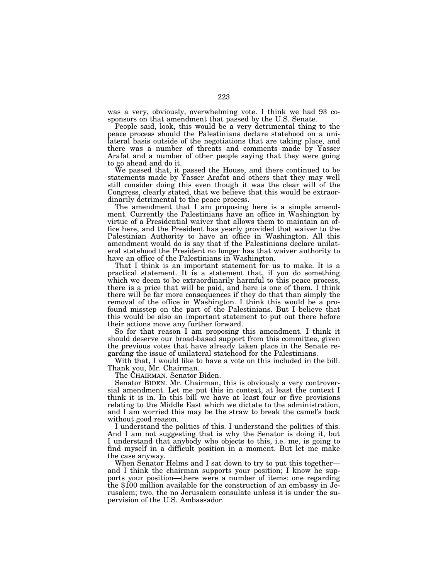was a very, obviously, overwhelming vote. I think we had 93 cosponsors on that amendment that passed by the U.S. Senate.

People said, look, this would be a very detrimental thing to the peace process should the Palestinians declare statehood on a unilateral basis outside of the negotiations that are taking place, and there was a number of threats and comments made by Yasser Arafat and a number of other people saying that they were going to go ahead and do it.

We passed that, it passed the House, and there continued to be statements made by Yasser Arafat and others that they may well still consider doing this even though it was the clear will of the Congress, clearly stated, that we believe that this would be extraordinarily detrimental to the peace process.

The amendment that I am proposing here is a simple amendment. Currently the Palestinians have an office in Washington by virtue of a Presidential waiver that allows them to maintain an office here, and the President has yearly provided that waiver to the Palestinian Authority to have an office in Washington. All this amendment would do is say that if the Palestinians declare unilateral statehood the President no longer has that waiver authority to have an office of the Palestinians in Washington.

That I think is an important statement for us to make. It is a practical statement. It is a statement that, if you do something which we deem to be extraordinarily harmful to this peace process, there is a price that will be paid, and here is one of them. I think there will be far more consequences if they do that than simply the removal of the office in Washington. I think this would be a profound misstep on the part of the Palestinians. But I believe that this would be also an important statement to put out there before their actions move any further forward.

So for that reason I am proposing this amendment. I think it should deserve our broad-based support from this committee, given the previous votes that have already taken place in the Senate regarding the issue of unilateral statehood for the Palestinians.

With that, I would like to have a vote on this included in the bill. Thank you, Mr. Chairman.

The CHAIRMAN. Senator Biden.

Senator BIDEN. Mr. Chairman, this is obviously a very controversial amendment. Let me put this in context, at least the context I think it is in. In this bill we have at least four or five provisions relating to the Middle East which we dictate to the administration, and I am worried this may be the straw to break the camel's back without good reason.

I understand the politics of this. I understand the politics of this. And I am not suggesting that is why the Senator is doing it, but I understand that anybody who objects to this, i.e. me, is going to find myself in a difficult position in a moment. But let me make the case anyway.

When Senator Helms and I sat down to try to put this together and I think the chairman supports your position; I know he supports your position—there were a number of items: one regarding the \$100 million available for the construction of an embassy in Jerusalem; two, the no Jerusalem consulate unless it is under the supervision of the U.S. Ambassador.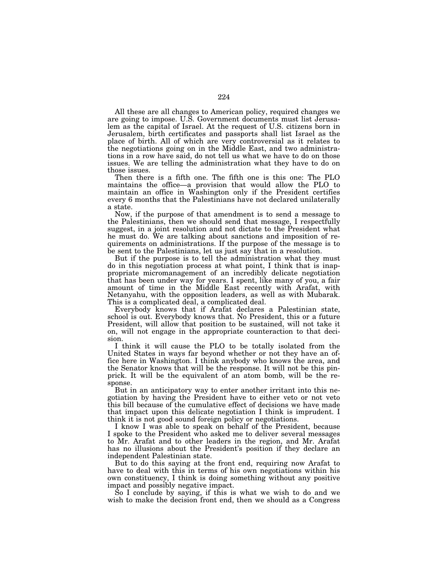All these are all changes to American policy, required changes we are going to impose. U.S. Government documents must list Jerusalem as the capital of Israel. At the request of U.S. citizens born in Jerusalem, birth certificates and passports shall list Israel as the place of birth. All of which are very controversial as it relates to the negotiations going on in the Middle East, and two administrations in a row have said, do not tell us what we have to do on those issues. We are telling the administration what they have to do on those issues.

Then there is a fifth one. The fifth one is this one: The PLO maintains the office—a provision that would allow the PLO to maintain an office in Washington only if the President certifies every 6 months that the Palestinians have not declared unilaterally a state.

Now, if the purpose of that amendment is to send a message to the Palestinians, then we should send that message, I respectfully suggest, in a joint resolution and not dictate to the President what he must do. We are talking about sanctions and imposition of requirements on administrations. If the purpose of the message is to be sent to the Palestinians, let us just say that in a resolution.

But if the purpose is to tell the administration what they must do in this negotiation process at what point, I think that is inappropriate micromanagement of an incredibly delicate negotiation that has been under way for years. I spent, like many of you, a fair amount of time in the Middle East recently with Arafat, with Netanyahu, with the opposition leaders, as well as with Mubarak. This is a complicated deal, a complicated deal.

Everybody knows that if Arafat declares a Palestinian state, school is out. Everybody knows that. No President, this or a future President, will allow that position to be sustained, will not take it on, will not engage in the appropriate counteraction to that decision.

I think it will cause the PLO to be totally isolated from the United States in ways far beyond whether or not they have an office here in Washington. I think anybody who knows the area, and the Senator knows that will be the response. It will not be this pinprick. It will be the equivalent of an atom bomb, will be the response.

But in an anticipatory way to enter another irritant into this negotiation by having the President have to either veto or not veto this bill because of the cumulative effect of decisions we have made that impact upon this delicate negotiation I think is imprudent. I think it is not good sound foreign policy or negotiations.

I know I was able to speak on behalf of the President, because I spoke to the President who asked me to deliver several messages to Mr. Arafat and to other leaders in the region, and Mr. Arafat has no illusions about the President's position if they declare an independent Palestinian state.

But to do this saying at the front end, requiring now Arafat to have to deal with this in terms of his own negotiations within his own constituency, I think is doing something without any positive impact and possibly negative impact.

So I conclude by saying, if this is what we wish to do and we wish to make the decision front end, then we should as a Congress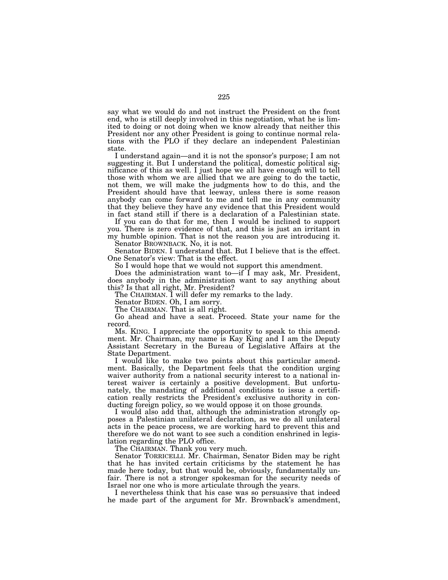say what we would do and not instruct the President on the front end, who is still deeply involved in this negotiation, what he is limited to doing or not doing when we know already that neither this President nor any other President is going to continue normal relations with the PLO if they declare an independent Palestinian state.

I understand again—and it is not the sponsor's purpose; I am not suggesting it. But I understand the political, domestic political significance of this as well. I just hope we all have enough will to tell those with whom we are allied that we are going to do the tactic, not them, we will make the judgments how to do this, and the President should have that leeway, unless there is some reason anybody can come forward to me and tell me in any community that they believe they have any evidence that this President would in fact stand still if there is a declaration of a Palestinian state.

If you can do that for me, then I would be inclined to support you. There is zero evidence of that, and this is just an irritant in my humble opinion. That is not the reason you are introducing it.

Senator BROWNBACK. No, it is not.

Senator BIDEN. I understand that. But I believe that is the effect. One Senator's view: That is the effect.

So I would hope that we would not support this amendment.

Does the administration want to—if I may ask, Mr. President, does anybody in the administration want to say anything about this? Is that all right, Mr. President?

The CHAIRMAN. I will defer my remarks to the lady.

Senator BIDEN. Oh, I am sorry.

The CHAIRMAN. That is all right.

Go ahead and have a seat. Proceed. State your name for the record.

Ms. KING. I appreciate the opportunity to speak to this amendment. Mr. Chairman, my name is Kay King and I am the Deputy Assistant Secretary in the Bureau of Legislative Affairs at the State Department.

I would like to make two points about this particular amendment. Basically, the Department feels that the condition urging waiver authority from a national security interest to a national interest waiver is certainly a positive development. But unfortunately, the mandating of additional conditions to issue a certification really restricts the President's exclusive authority in conducting foreign policy, so we would oppose it on those grounds.

I would also add that, although the administration strongly opposes a Palestinian unilateral declaration, as we do all unilateral acts in the peace process, we are working hard to prevent this and therefore we do not want to see such a condition enshrined in legislation regarding the PLO office.

The CHAIRMAN. Thank you very much.

Senator TORRICELLI. Mr. Chairman, Senator Biden may be right that he has invited certain criticisms by the statement he has made here today, but that would be, obviously, fundamentally unfair. There is not a stronger spokesman for the security needs of Israel nor one who is more articulate through the years.

I nevertheless think that his case was so persuasive that indeed he made part of the argument for Mr. Brownback's amendment,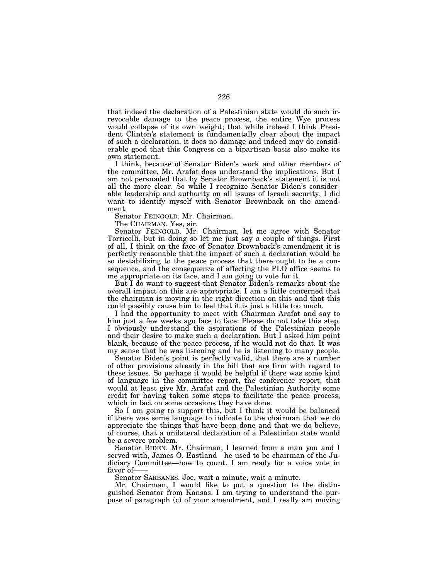that indeed the declaration of a Palestinian state would do such irrevocable damage to the peace process, the entire Wye process would collapse of its own weight; that while indeed I think President Clinton's statement is fundamentally clear about the impact of such a declaration, it does no damage and indeed may do considerable good that this Congress on a bipartisan basis also make its own statement.

I think, because of Senator Biden's work and other members of the committee, Mr. Arafat does understand the implications. But I am not persuaded that by Senator Brownback's statement it is not all the more clear. So while I recognize Senator Biden's considerable leadership and authority on all issues of Israeli security, I did want to identify myself with Senator Brownback on the amendment.

Senator FEINGOLD. Mr. Chairman.

The CHAIRMAN. Yes, sir.

Senator FEINGOLD. Mr. Chairman, let me agree with Senator Torricelli, but in doing so let me just say a couple of things. First of all, I think on the face of Senator Brownback's amendment it is perfectly reasonable that the impact of such a declaration would be so destabilizing to the peace process that there ought to be a consequence, and the consequence of affecting the PLO office seems to me appropriate on its face, and I am going to vote for it.

But I do want to suggest that Senator Biden's remarks about the overall impact on this are appropriate. I am a little concerned that the chairman is moving in the right direction on this and that this could possibly cause him to feel that it is just a little too much.

I had the opportunity to meet with Chairman Arafat and say to him just a few weeks ago face to face: Please do not take this step. I obviously understand the aspirations of the Palestinian people and their desire to make such a declaration. But I asked him point blank, because of the peace process, if he would not do that. It was my sense that he was listening and he is listening to many people.

Senator Biden's point is perfectly valid, that there are a number of other provisions already in the bill that are firm with regard to these issues. So perhaps it would be helpful if there was some kind of language in the committee report, the conference report, that would at least give Mr. Arafat and the Palestinian Authority some credit for having taken some steps to facilitate the peace process, which in fact on some occasions they have done.

So I am going to support this, but I think it would be balanced if there was some language to indicate to the chairman that we do appreciate the things that have been done and that we do believe, of course, that a unilateral declaration of a Palestinian state would be a severe problem.

Senator BIDEN. Mr. Chairman, I learned from a man you and I served with, James O. Eastland—he used to be chairman of the Judiciary Committee—how to count. I am ready for a voice vote in favor of-

Senator SARBANES. Joe, wait a minute, wait a minute.

Mr. Chairman, I would like to put a question to the distinguished Senator from Kansas. I am trying to understand the purpose of paragraph (c) of your amendment, and I really am moving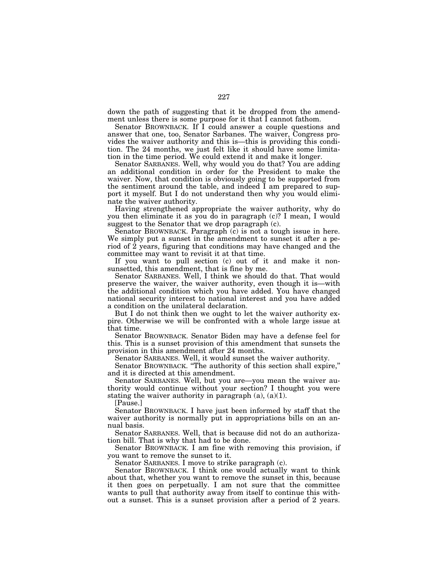down the path of suggesting that it be dropped from the amendment unless there is some purpose for it that I cannot fathom.

Senator BROWNBACK. If I could answer a couple questions and answer that one, too, Senator Sarbanes. The waiver, Congress provides the waiver authority and this is—this is providing this condition. The 24 months, we just felt like it should have some limitation in the time period. We could extend it and make it longer.

Senator SARBANES. Well, why would you do that? You are adding an additional condition in order for the President to make the waiver. Now, that condition is obviously going to be supported from the sentiment around the table, and indeed I am prepared to support it myself. But I do not understand then why you would eliminate the waiver authority.

Having strengthened appropriate the waiver authority, why do you then eliminate it as you do in paragraph (c)? I mean, I would suggest to the Senator that we drop paragraph (c).

Senator BROWNBACK. Paragraph (c) is not a tough issue in here. We simply put a sunset in the amendment to sunset it after a period of 2 years, figuring that conditions may have changed and the committee may want to revisit it at that time.

If you want to pull section (c) out of it and make it nonsunsetted, this amendment, that is fine by me.

Senator SARBANES. Well, I think we should do that. That would preserve the waiver, the waiver authority, even though it is—with the additional condition which you have added. You have changed national security interest to national interest and you have added a condition on the unilateral declaration.

But I do not think then we ought to let the waiver authority expire. Otherwise we will be confronted with a whole large issue at that time.

Senator BROWNBACK. Senator Biden may have a defense feel for this. This is a sunset provision of this amendment that sunsets the provision in this amendment after 24 months.

Senator SARBANES. Well, it would sunset the waiver authority.

Senator BROWNBACK. ''The authority of this section shall expire,'' and it is directed at this amendment.

Senator SARBANES. Well, but you are—you mean the waiver authority would continue without your section? I thought you were stating the waiver authority in paragraph  $(a)$ ,  $(a)(1)$ .

[Pause.]

Senator BROWNBACK. I have just been informed by staff that the waiver authority is normally put in appropriations bills on an annual basis.

Senator SARBANES. Well, that is because did not do an authorization bill. That is why that had to be done.

Senator BROWNBACK. I am fine with removing this provision, if you want to remove the sunset to it.

Senator SARBANES. I move to strike paragraph (c).

Senator BROWNBACK. I think one would actually want to think about that, whether you want to remove the sunset in this, because it then goes on perpetually. I am not sure that the committee wants to pull that authority away from itself to continue this without a sunset. This is a sunset provision after a period of 2 years.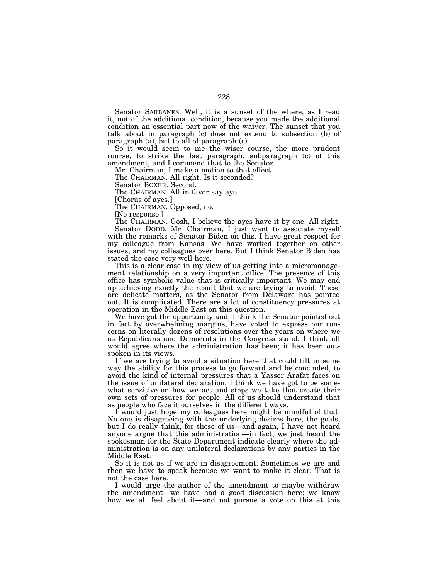Senator SARBANES. Well, it is a sunset of the where, as I read it, not of the additional condition, because you made the additional condition an essential part now of the waiver. The sunset that you talk about in paragraph (c) does not extend to subsection (b) of paragraph (a), but to all of paragraph (c).

So it would seem to me the wiser course, the more prudent course, to strike the last paragraph, subparagraph (c) of this amendment, and I commend that to the Senator.

Mr. Chairman, I make a motion to that effect.

The CHAIRMAN. All right. Is it seconded?

Senator BOXER. Second.

The CHAIRMAN. All in favor say aye.

[Chorus of ayes.]

The CHAIRMAN. Opposed, no.

[No response.]

The CHAIRMAN. Gosh, I believe the ayes have it by one. All right. Senator DODD. Mr. Chairman, I just want to associate myself with the remarks of Senator Biden on this. I have great respect for my colleague from Kansas. We have worked together on other issues, and my colleagues over here. But I think Senator Biden has stated the case very well here.

This is a clear case in my view of us getting into a micromanagement relationship on a very important office. The presence of this office has symbolic value that is critically important. We may end up achieving exactly the result that we are trying to avoid. These are delicate matters, as the Senator from Delaware has pointed out. It is complicated. There are a lot of constituency pressures at operation in the Middle East on this question.

We have got the opportunity and, I think the Senator pointed out in fact by overwhelming margins, have voted to express our concerns on literally dozens of resolutions over the years on where we as Republicans and Democrats in the Congress stand. I think all would agree where the administration has been; it has been outspoken in its views.

If we are trying to avoid a situation here that could tilt in some way the ability for this process to go forward and be concluded, to avoid the kind of internal pressures that a Yasser Arafat faces on the issue of unilateral declaration, I think we have got to be somewhat sensitive on how we act and steps we take that create their own sets of pressures for people. All of us should understand that as people who face it ourselves in the different ways.

I would just hope my colleagues here might be mindful of that. No one is disagreeing with the underlying desires here, the goals, but I do really think, for those of us—and again, I have not heard anyone argue that this administration—in fact, we just heard the spokesman for the State Department indicate clearly where the administration is on any unilateral declarations by any parties in the Middle East.

So it is not as if we are in disagreement. Sometimes we are and then we have to speak because we want to make it clear. That is not the case here.

I would urge the author of the amendment to maybe withdraw the amendment—we have had a good discussion here; we know how we all feel about it—and not pursue a vote on this at this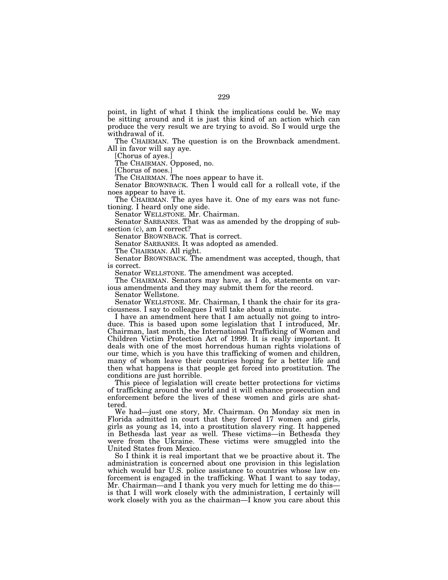point, in light of what I think the implications could be. We may be sitting around and it is just this kind of an action which can produce the very result we are trying to avoid. So I would urge the withdrawal of it.

The CHAIRMAN. The question is on the Brownback amendment. All in favor will say aye.

[Chorus of ayes.]

The CHAIRMAN. Opposed, no.

[Chorus of noes.]

The CHAIRMAN. The noes appear to have it.

Senator BROWNBACK. Then I would call for a rollcall vote, if the noes appear to have it.

The CHAIRMAN. The ayes have it. One of my ears was not functioning. I heard only one side.

Senator WELLSTONE. Mr. Chairman.

Senator SARBANES. That was as amended by the dropping of subsection (c), am I correct?

Senator BROWNBACK. That is correct.

Senator SARBANES. It was adopted as amended.

The CHAIRMAN. All right.

Senator BROWNBACK. The amendment was accepted, though, that is correct.

Senator WELLSTONE. The amendment was accepted.

The CHAIRMAN. Senators may have, as I do, statements on various amendments and they may submit them for the record.

Senator Wellstone.

Senator WELLSTONE. Mr. Chairman, I thank the chair for its graciousness. I say to colleagues I will take about a minute.

I have an amendment here that I am actually not going to introduce. This is based upon some legislation that I introduced, Mr. Chairman, last month, the International Trafficking of Women and Children Victim Protection Act of 1999. It is really important. It deals with one of the most horrendous human rights violations of our time, which is you have this trafficking of women and children, many of whom leave their countries hoping for a better life and then what happens is that people get forced into prostitution. The conditions are just horrible.

This piece of legislation will create better protections for victims of trafficking around the world and it will enhance prosecution and enforcement before the lives of these women and girls are shattered.

We had—just one story, Mr. Chairman. On Monday six men in Florida admitted in court that they forced 17 women and girls, girls as young as 14, into a prostitution slavery ring. It happened in Bethesda last year as well. These victims—in Bethesda they were from the Ukraine. These victims were smuggled into the United States from Mexico.

So I think it is real important that we be proactive about it. The administration is concerned about one provision in this legislation which would bar U.S. police assistance to countries whose law enforcement is engaged in the trafficking. What I want to say today, Mr. Chairman—and I thank you very much for letting me do this is that I will work closely with the administration, I certainly will work closely with you as the chairman—I know you care about this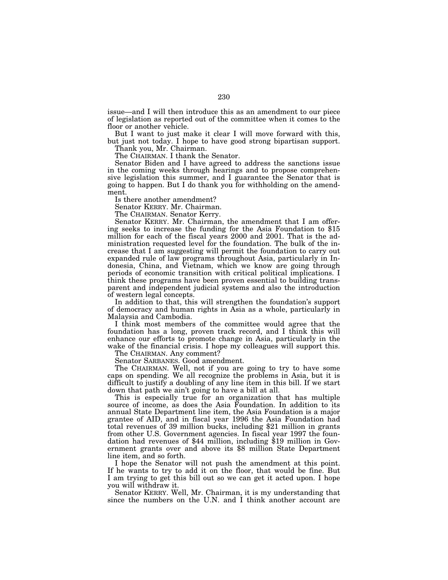issue—and I will then introduce this as an amendment to our piece of legislation as reported out of the committee when it comes to the floor or another vehicle.

But I want to just make it clear I will move forward with this, but just not today. I hope to have good strong bipartisan support.

Thank you, Mr. Chairman.

The CHAIRMAN. I thank the Senator.

Senator Biden and I have agreed to address the sanctions issue in the coming weeks through hearings and to propose comprehensive legislation this summer, and I guarantee the Senator that is going to happen. But I do thank you for withholding on the amendment.

Is there another amendment?

Senator KERRY. Mr. Chairman.

The CHAIRMAN. Senator Kerry.

Senator KERRY. Mr. Chairman, the amendment that I am offering seeks to increase the funding for the Asia Foundation to \$15 million for each of the fiscal years 2000 and 2001. That is the administration requested level for the foundation. The bulk of the increase that I am suggesting will permit the foundation to carry out expanded rule of law programs throughout Asia, particularly in Indonesia, China, and Vietnam, which we know are going through periods of economic transition with critical political implications. I think these programs have been proven essential to building transparent and independent judicial systems and also the introduction of western legal concepts.

In addition to that, this will strengthen the foundation's support of democracy and human rights in Asia as a whole, particularly in Malaysia and Cambodia.

I think most members of the committee would agree that the foundation has a long, proven track record, and I think this will enhance our efforts to promote change in Asia, particularly in the wake of the financial crisis. I hope my colleagues will support this.

The CHAIRMAN. Any comment?

Senator SARBANES. Good amendment.

The CHAIRMAN. Well, not if you are going to try to have some caps on spending. We all recognize the problems in Asia, but it is difficult to justify a doubling of any line item in this bill. If we start down that path we ain't going to have a bill at all.

This is especially true for an organization that has multiple source of income, as does the Asia Foundation. In addition to its annual State Department line item, the Asia Foundation is a major grantee of AID, and in fiscal year 1996 the Asia Foundation had total revenues of 39 million bucks, including \$21 million in grants from other U.S. Government agencies. In fiscal year 1997 the foundation had revenues of \$44 million, including \$19 million in Government grants over and above its \$8 million State Department line item, and so forth.

I hope the Senator will not push the amendment at this point. If he wants to try to add it on the floor, that would be fine. But I am trying to get this bill out so we can get it acted upon. I hope you will withdraw it.

Senator KERRY. Well, Mr. Chairman, it is my understanding that since the numbers on the U.N. and I think another account are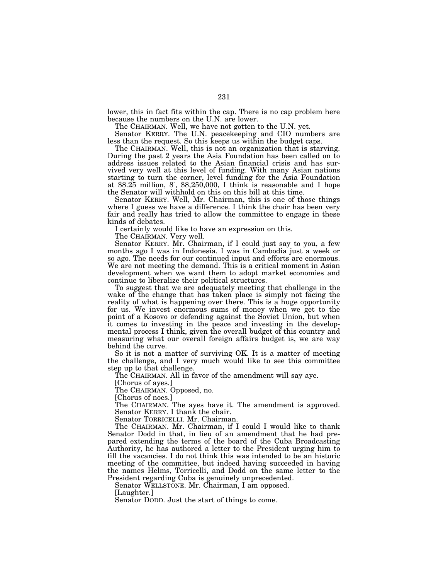lower, this in fact fits within the cap. There is no cap problem here because the numbers on the U.N. are lower.

The CHAIRMAN. Well, we have not gotten to the U.N. yet.

Senator KERRY. The U.N. peacekeeping and CIO numbers are less than the request. So this keeps us within the budget caps.

The CHAIRMAN. Well, this is not an organization that is starving. During the past 2 years the Asia Foundation has been called on to address issues related to the Asian financial crisis and has survived very well at this level of funding. With many Asian nations starting to turn the corner, level funding for the Asia Foundation at \$8.25 million, 8′, \$8,250,000, I think is reasonable and I hope the Senator will withhold on this on this bill at this time.

Senator KERRY. Well, Mr. Chairman, this is one of those things where I guess we have a difference. I think the chair has been very fair and really has tried to allow the committee to engage in these kinds of debates.

I certainly would like to have an expression on this.

The CHAIRMAN. Very well.

Senator KERRY. Mr. Chairman, if I could just say to you, a few months ago I was in Indonesia. I was in Cambodia just a week or so ago. The needs for our continued input and efforts are enormous. We are not meeting the demand. This is a critical moment in Asian development when we want them to adopt market economies and continue to liberalize their political structures.

To suggest that we are adequately meeting that challenge in the wake of the change that has taken place is simply not facing the reality of what is happening over there. This is a huge opportunity for us. We invest enormous sums of money when we get to the point of a Kosovo or defending against the Soviet Union, but when it comes to investing in the peace and investing in the developmental process I think, given the overall budget of this country and measuring what our overall foreign affairs budget is, we are way behind the curve.

So it is not a matter of surviving OK. It is a matter of meeting the challenge, and I very much would like to see this committee step up to that challenge.

The CHAIRMAN. All in favor of the amendment will say aye.

[Chorus of ayes.]

The CHAIRMAN. Opposed, no.

[Chorus of noes.]

The CHAIRMAN. The ayes have it. The amendment is approved. Senator KERRY. I thank the chair.

Senator TORRICELLI. Mr. Chairman.

The CHAIRMAN. Mr. Chairman, if I could I would like to thank Senator Dodd in that, in lieu of an amendment that he had prepared extending the terms of the board of the Cuba Broadcasting Authority, he has authored a letter to the President urging him to fill the vacancies. I do not think this was intended to be an historic meeting of the committee, but indeed having succeeded in having the names Helms, Torricelli, and Dodd on the same letter to the President regarding Cuba is genuinely unprecedented.

Senator WELLSTONE. Mr. Chairman, I am opposed.

[Laughter.]

Senator DODD. Just the start of things to come.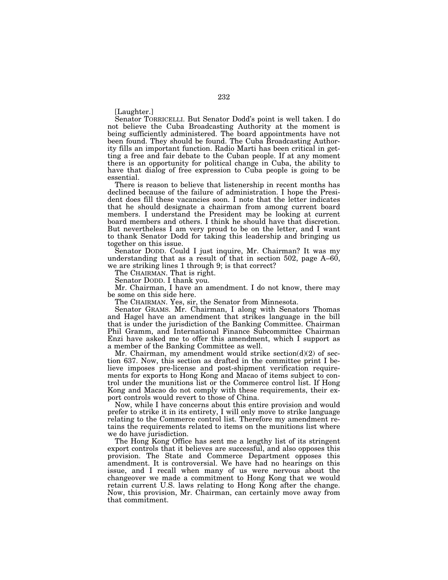[Laughter.]

Senator TORRICELLI. But Senator Dodd's point is well taken. I do not believe the Cuba Broadcasting Authority at the moment is being sufficiently administered. The board appointments have not been found. They should be found. The Cuba Broadcasting Authority fills an important function. Radio Marti has been critical in getting a free and fair debate to the Cuban people. If at any moment there is an opportunity for political change in Cuba, the ability to have that dialog of free expression to Cuba people is going to be essential.

There is reason to believe that listenership in recent months has declined because of the failure of administration. I hope the President does fill these vacancies soon. I note that the letter indicates that he should designate a chairman from among current board members. I understand the President may be looking at current board members and others. I think he should have that discretion. But nevertheless I am very proud to be on the letter, and I want to thank Senator Dodd for taking this leadership and bringing us together on this issue.

Senator DODD. Could I just inquire, Mr. Chairman? It was my understanding that as a result of that in section 502, page A–60, we are striking lines 1 through 9; is that correct?

The CHAIRMAN. That is right.

Senator DODD. I thank you.

Mr. Chairman, I have an amendment. I do not know, there may be some on this side here.

The CHAIRMAN. Yes, sir, the Senator from Minnesota.

Senator GRAMS. Mr. Chairman, I along with Senators Thomas and Hagel have an amendment that strikes language in the bill that is under the jurisdiction of the Banking Committee. Chairman Phil Gramm, and International Finance Subcommittee Chairman Enzi have asked me to offer this amendment, which I support as a member of the Banking Committee as well.

Mr. Chairman, my amendment would strike section(d)(2) of section 637. Now, this section as drafted in the committee print I believe imposes pre-license and post-shipment verification requirements for exports to Hong Kong and Macao of items subject to control under the munitions list or the Commerce control list. If Hong Kong and Macao do not comply with these requirements, their export controls would revert to those of China.

Now, while I have concerns about this entire provision and would prefer to strike it in its entirety, I will only move to strike language relating to the Commerce control list. Therefore my amendment retains the requirements related to items on the munitions list where we do have jurisdiction.

The Hong Kong Office has sent me a lengthy list of its stringent export controls that it believes are successful, and also opposes this provision. The State and Commerce Department opposes this amendment. It is controversial. We have had no hearings on this issue, and I recall when many of us were nervous about the changeover we made a commitment to Hong Kong that we would retain current U.S. laws relating to Hong Kong after the change. Now, this provision, Mr. Chairman, can certainly move away from that commitment.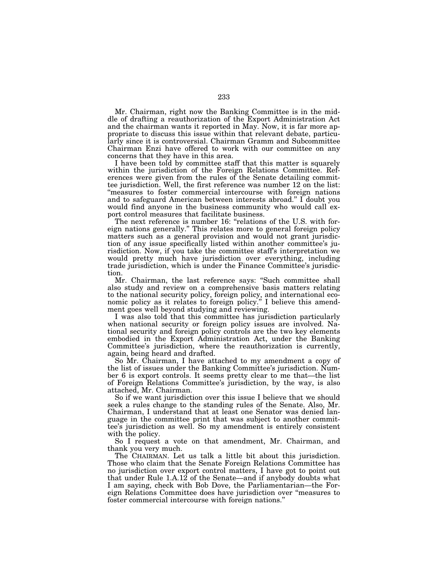Mr. Chairman, right now the Banking Committee is in the middle of drafting a reauthorization of the Export Administration Act and the chairman wants it reported in May. Now, it is far more appropriate to discuss this issue within that relevant debate, particularly since it is controversial. Chairman Gramm and Subcommittee Chairman Enzi have offered to work with our committee on any concerns that they have in this area.

I have been told by committee staff that this matter is squarely within the jurisdiction of the Foreign Relations Committee. References were given from the rules of the Senate detailing committee jurisdiction. Well, the first reference was number 12 on the list: "measures to foster commercial intercourse with foreign nations and to safeguard American between interests abroad.'' I doubt you would find anyone in the business community who would call export control measures that facilitate business.

The next reference is number 16: "relations of the U.S. with foreign nations generally.'' This relates more to general foreign policy matters such as a general provision and would not grant jurisdiction of any issue specifically listed within another committee's jurisdiction. Now, if you take the committee staff's interpretation we would pretty much have jurisdiction over everything, including trade jurisdiction, which is under the Finance Committee's jurisdiction.

Mr. Chairman, the last reference says: ''Such committee shall also study and review on a comprehensive basis matters relating to the national security policy, foreign policy, and international economic policy as it relates to foreign policy.'' I believe this amendment goes well beyond studying and reviewing.

I was also told that this committee has jurisdiction particularly when national security or foreign policy issues are involved. National security and foreign policy controls are the two key elements embodied in the Export Administration Act, under the Banking Committee's jurisdiction, where the reauthorization is currently, again, being heard and drafted.

So Mr. Chairman, I have attached to my amendment a copy of the list of issues under the Banking Committee's jurisdiction. Number 6 is export controls. It seems pretty clear to me that—the list of Foreign Relations Committee's jurisdiction, by the way, is also attached, Mr. Chairman.

So if we want jurisdiction over this issue I believe that we should seek a rules change to the standing rules of the Senate. Also, Mr. Chairman, I understand that at least one Senator was denied language in the committee print that was subject to another committee's jurisdiction as well. So my amendment is entirely consistent with the policy.

So I request a vote on that amendment, Mr. Chairman, and thank you very much.

The CHAIRMAN. Let us talk a little bit about this jurisdiction. Those who claim that the Senate Foreign Relations Committee has no jurisdiction over export control matters, I have got to point out that under Rule 1.A.12 of the Senate—and if anybody doubts what I am saying, check with Bob Dove, the Parliamentarian—the Foreign Relations Committee does have jurisdiction over ''measures to foster commercial intercourse with foreign nations.''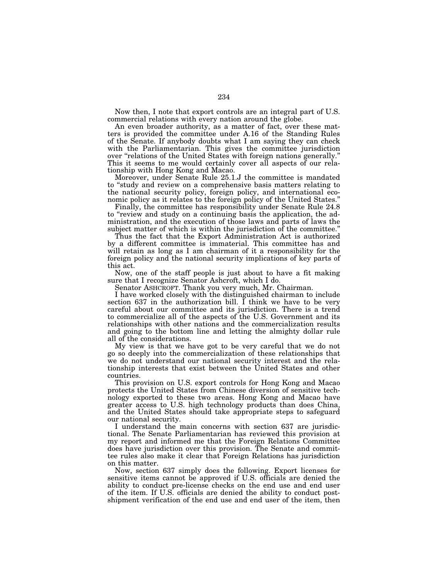Now then, I note that export controls are an integral part of U.S. commercial relations with every nation around the globe.

An even broader authority, as a matter of fact, over these matters is provided the committee under A.16 of the Standing Rules of the Senate. If anybody doubts what I am saying they can check with the Parliamentarian. This gives the committee jurisdiction over ''relations of the United States with foreign nations generally.'' This it seems to me would certainly cover all aspects of our relationship with Hong Kong and Macao.

Moreover, under Senate Rule 25.1.J the committee is mandated to ''study and review on a comprehensive basis matters relating to the national security policy, foreign policy, and international economic policy as it relates to the foreign policy of the United States.''

Finally, the committee has responsibility under Senate Rule 24.8 to ''review and study on a continuing basis the application, the administration, and the execution of those laws and parts of laws the subject matter of which is within the jurisdiction of the committee.''

Thus the fact that the Export Administration Act is authorized by a different committee is immaterial. This committee has and will retain as long as I am chairman of it a responsibility for the foreign policy and the national security implications of key parts of this act.

Now, one of the staff people is just about to have a fit making sure that I recognize Senator Ashcroft, which I do.

Senator ASHCROFT. Thank you very much, Mr. Chairman.

I have worked closely with the distinguished chairman to include section 637 in the authorization bill. I think we have to be very careful about our committee and its jurisdiction. There is a trend to commercialize all of the aspects of the U.S. Government and its relationships with other nations and the commercialization results and going to the bottom line and letting the almighty dollar rule all of the considerations.

My view is that we have got to be very careful that we do not go so deeply into the commercialization of these relationships that we do not understand our national security interest and the relationship interests that exist between the United States and other countries.

This provision on U.S. export controls for Hong Kong and Macao protects the United States from Chinese diversion of sensitive technology exported to these two areas. Hong Kong and Macao have greater access to U.S. high technology products than does China, and the United States should take appropriate steps to safeguard our national security.

I understand the main concerns with section 637 are jurisdictional. The Senate Parliamentarian has reviewed this provision at my report and informed me that the Foreign Relations Committee does have jurisdiction over this provision. The Senate and committee rules also make it clear that Foreign Relations has jurisdiction on this matter.

Now, section 637 simply does the following. Export licenses for sensitive items cannot be approved if U.S. officials are denied the ability to conduct pre-license checks on the end use and end user of the item. If U.S. officials are denied the ability to conduct postshipment verification of the end use and end user of the item, then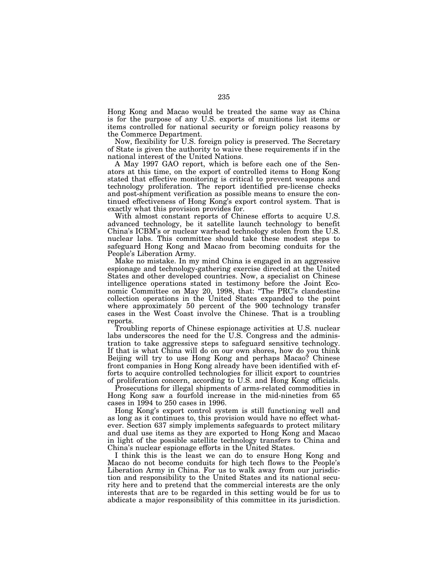Hong Kong and Macao would be treated the same way as China is for the purpose of any U.S. exports of munitions list items or items controlled for national security or foreign policy reasons by the Commerce Department.

Now, flexibility for U.S. foreign policy is preserved. The Secretary of State is given the authority to waive these requirements if in the national interest of the United Nations.

A May 1997 GAO report, which is before each one of the Senators at this time, on the export of controlled items to Hong Kong stated that effective monitoring is critical to prevent weapons and technology proliferation. The report identified pre-license checks and post-shipment verification as possible means to ensure the continued effectiveness of Hong Kong's export control system. That is exactly what this provision provides for.

With almost constant reports of Chinese efforts to acquire U.S. advanced technology, be it satellite launch technology to benefit China's ICBM's or nuclear warhead technology stolen from the U.S. nuclear labs. This committee should take these modest steps to safeguard Hong Kong and Macao from becoming conduits for the People's Liberation Army.

Make no mistake. In my mind China is engaged in an aggressive espionage and technology-gathering exercise directed at the United States and other developed countries. Now, a specialist on Chinese intelligence operations stated in testimony before the Joint Economic Committee on May 20, 1998, that: ''The PRC's clandestine collection operations in the United States expanded to the point where approximately 50 percent of the 900 technology transfer cases in the West Coast involve the Chinese. That is a troubling reports.

Troubling reports of Chinese espionage activities at U.S. nuclear labs underscores the need for the U.S. Congress and the administration to take aggressive steps to safeguard sensitive technology. If that is what China will do on our own shores, how do you think Beijing will try to use Hong Kong and perhaps Macao? Chinese front companies in Hong Kong already have been identified with efforts to acquire controlled technologies for illicit export to countries of proliferation concern, according to U.S. and Hong Kong officials.

Prosecutions for illegal shipments of arms-related commodities in Hong Kong saw a fourfold increase in the mid-nineties from 65 cases in 1994 to 250 cases in 1996.

Hong Kong's export control system is still functioning well and as long as it continues to, this provision would have no effect whatever. Section 637 simply implements safeguards to protect military and dual use items as they are exported to Hong Kong and Macao in light of the possible satellite technology transfers to China and China's nuclear espionage efforts in the United States.

I think this is the least we can do to ensure Hong Kong and Macao do not become conduits for high tech flows to the People's Liberation Army in China. For us to walk away from our jurisdiction and responsibility to the United States and its national security here and to pretend that the commercial interests are the only interests that are to be regarded in this setting would be for us to abdicate a major responsibility of this committee in its jurisdiction.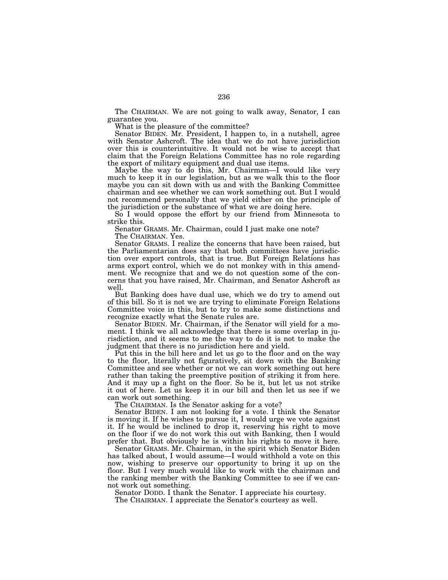The CHAIRMAN. We are not going to walk away, Senator, I can guarantee you.

What is the pleasure of the committee?

Senator BIDEN. Mr. President, I happen to, in a nutshell, agree with Senator Ashcroft. The idea that we do not have jurisdiction over this is counterintuitive. It would not be wise to accept that claim that the Foreign Relations Committee has no role regarding the export of military equipment and dual use items.

Maybe the way to do this, Mr. Chairman—I would like very much to keep it in our legislation, but as we walk this to the floor maybe you can sit down with us and with the Banking Committee chairman and see whether we can work something out. But I would not recommend personally that we yield either on the principle of the jurisdiction or the substance of what we are doing here.

So I would oppose the effort by our friend from Minnesota to strike this.

Senator GRAMS. Mr. Chairman, could I just make one note? The CHAIRMAN. Yes.

Senator GRAMS. I realize the concerns that have been raised, but the Parliamentarian does say that both committees have jurisdiction over export controls, that is true. But Foreign Relations has arms export control, which we do not monkey with in this amendment. We recognize that and we do not question some of the concerns that you have raised, Mr. Chairman, and Senator Ashcroft as well.

But Banking does have dual use, which we do try to amend out of this bill. So it is not we are trying to eliminate Foreign Relations Committee voice in this, but to try to make some distinctions and recognize exactly what the Senate rules are.

Senator BIDEN. Mr. Chairman, if the Senator will yield for a moment. I think we all acknowledge that there is some overlap in jurisdiction, and it seems to me the way to do it is not to make the judgment that there is no jurisdiction here and yield.

Put this in the bill here and let us go to the floor and on the way to the floor, literally not figuratively, sit down with the Banking Committee and see whether or not we can work something out here rather than taking the preemptive position of striking it from here. And it may up a fight on the floor. So be it, but let us not strike it out of here. Let us keep it in our bill and then let us see if we can work out something.

The CHAIRMAN. Is the Senator asking for a vote?

Senator BIDEN. I am not looking for a vote. I think the Senator is moving it. If he wishes to pursue it, I would urge we vote against it. If he would be inclined to drop it, reserving his right to move on the floor if we do not work this out with Banking, then I would prefer that. But obviously he is within his rights to move it here.

Senator GRAMS. Mr. Chairman, in the spirit which Senator Biden has talked about, I would assume—I would withhold a vote on this now, wishing to preserve our opportunity to bring it up on the floor. But I very much would like to work with the chairman and the ranking member with the Banking Committee to see if we cannot work out something.

Senator DODD. I thank the Senator. I appreciate his courtesy.

The CHAIRMAN. I appreciate the Senator's courtesy as well.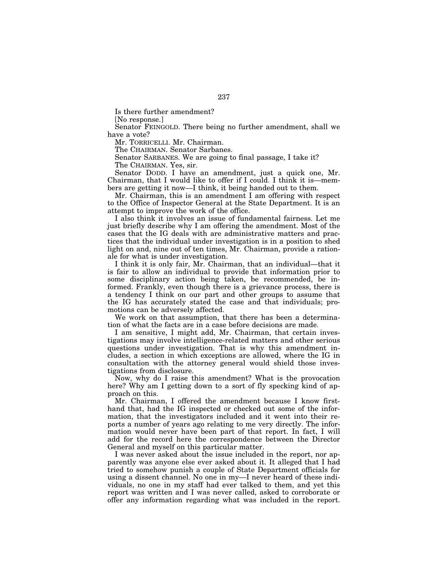Is there further amendment?

[No response.]

Senator FEINGOLD. There being no further amendment, shall we have a vote?

Mr. TORRICELLI. Mr. Chairman.

The CHAIRMAN. Senator Sarbanes.

Senator SARBANES. We are going to final passage, I take it? The CHAIRMAN. Yes, sir.

Senator DODD. I have an amendment, just a quick one, Mr. Chairman, that I would like to offer if I could. I think it is—members are getting it now—I think, it being handed out to them.

Mr. Chairman, this is an amendment I am offering with respect to the Office of Inspector General at the State Department. It is an attempt to improve the work of the office.

I also think it involves an issue of fundamental fairness. Let me just briefly describe why I am offering the amendment. Most of the cases that the IG deals with are administrative matters and practices that the individual under investigation is in a position to shed light on and, nine out of ten times, Mr. Chairman, provide a rationale for what is under investigation.

I think it is only fair, Mr. Chairman, that an individual—that it is fair to allow an individual to provide that information prior to some disciplinary action being taken, be recommended, be informed. Frankly, even though there is a grievance process, there is a tendency I think on our part and other groups to assume that the IG has accurately stated the case and that individuals; promotions can be adversely affected.

We work on that assumption, that there has been a determination of what the facts are in a case before decisions are made.

I am sensitive, I might add, Mr. Chairman, that certain investigations may involve intelligence-related matters and other serious questions under investigation. That is why this amendment includes, a section in which exceptions are allowed, where the IG in consultation with the attorney general would shield those investigations from disclosure.

Now, why do I raise this amendment? What is the provocation here? Why am I getting down to a sort of fly specking kind of approach on this.

Mr. Chairman, I offered the amendment because I know firsthand that, had the IG inspected or checked out some of the information, that the investigators included and it went into their reports a number of years ago relating to me very directly. The information would never have been part of that report. In fact, I will add for the record here the correspondence between the Director General and myself on this particular matter.

I was never asked about the issue included in the report, nor apparently was anyone else ever asked about it. It alleged that I had tried to somehow punish a couple of State Department officials for using a dissent channel. No one in my—I never heard of these individuals, no one in my staff had ever talked to them, and yet this report was written and I was never called, asked to corroborate or offer any information regarding what was included in the report.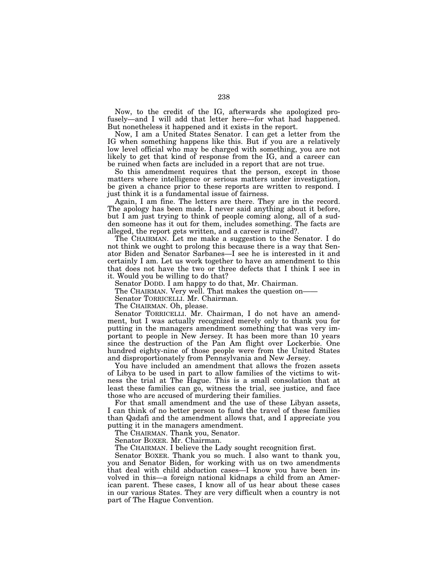Now, to the credit of the IG, afterwards she apologized profusely—and I will add that letter here—for what had happened. But nonetheless it happened and it exists in the report.

Now, I am a United States Senator. I can get a letter from the IG when something happens like this. But if you are a relatively low level official who may be charged with something, you are not likely to get that kind of response from the IG, and a career can be ruined when facts are included in a report that are not true.

So this amendment requires that the person, except in those matters where intelligence or serious matters under investigation, be given a chance prior to these reports are written to respond. I just think it is a fundamental issue of fairness.

Again, I am fine. The letters are there. They are in the record. The apology has been made. I never said anything about it before, but I am just trying to think of people coming along, all of a sudden someone has it out for them, includes something. The facts are alleged, the report gets written, and a career is ruined?.

The CHAIRMAN. Let me make a suggestion to the Senator. I do not think we ought to prolong this because there is a way that Senator Biden and Senator Sarbanes—I see he is interested in it and certainly I am. Let us work together to have an amendment to this that does not have the two or three defects that I think I see in it. Would you be willing to do that?

Senator DODD. I am happy to do that, Mr. Chairman.

The CHAIRMAN. Very well. That makes the question on—

Senator TORRICELLI. Mr. Chairman.

The CHAIRMAN. Oh, please.

Senator TORRICELLI. Mr. Chairman, I do not have an amendment, but I was actually recognized merely only to thank you for putting in the managers amendment something that was very important to people in New Jersey. It has been more than 10 years since the destruction of the Pan Am flight over Lockerbie. One hundred eighty-nine of those people were from the United States and disproportionately from Pennsylvania and New Jersey.

You have included an amendment that allows the frozen assets of Libya to be used in part to allow families of the victims to witness the trial at The Hague. This is a small consolation that at least these families can go, witness the trial, see justice, and face those who are accused of murdering their families.

For that small amendment and the use of these Libyan assets, I can think of no better person to fund the travel of these families than Qadafi and the amendment allows that, and I appreciate you putting it in the managers amendment.

The CHAIRMAN. Thank you, Senator.

Senator BOXER. Mr. Chairman.

The CHAIRMAN. I believe the Lady sought recognition first.

Senator BOXER. Thank you so much. I also want to thank you, you and Senator Biden, for working with us on two amendments that deal with child abduction cases—I know you have been involved in this—a foreign national kidnaps a child from an American parent. These cases, I know all of us hear about these cases in our various States. They are very difficult when a country is not part of The Hague Convention.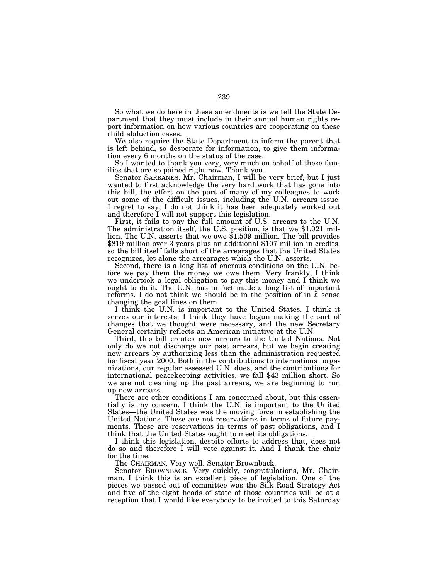So what we do here in these amendments is we tell the State Department that they must include in their annual human rights report information on how various countries are cooperating on these child abduction cases.

We also require the State Department to inform the parent that is left behind, so desperate for information, to give them information every 6 months on the status of the case.

So I wanted to thank you very, very much on behalf of these families that are so pained right now. Thank you.

Senator SARBANES. Mr. Chairman, I will be very brief, but I just wanted to first acknowledge the very hard work that has gone into this bill, the effort on the part of many of my colleagues to work out some of the difficult issues, including the U.N. arrears issue. I regret to say, I do not think it has been adequately worked out and therefore I will not support this legislation.

First, it fails to pay the full amount of U.S. arrears to the U.N. The administration itself, the U.S. position, is that we \$1.021 million. The U.N. asserts that we owe \$1.509 million. The bill provides \$819 million over 3 years plus an additional \$107 million in credits, so the bill itself falls short of the arrearages that the United States recognizes, let alone the arrearages which the U.N. asserts.

Second, there is a long list of onerous conditions on the U.N. before we pay them the money we owe them. Very frankly, I think we undertook a legal obligation to pay this money and I think we ought to do it. The U.N. has in fact made a long list of important reforms. I do not think we should be in the position of in a sense changing the goal lines on them.

I think the U.N. is important to the United States. I think it serves our interests. I think they have begun making the sort of changes that we thought were necessary, and the new Secretary General certainly reflects an American initiative at the U.N.

Third, this bill creates new arrears to the United Nations. Not only do we not discharge our past arrears, but we begin creating new arrears by authorizing less than the administration requested for fiscal year 2000. Both in the contributions to international organizations, our regular assessed U.N. dues, and the contributions for international peacekeeping activities, we fall \$43 million short. So we are not cleaning up the past arrears, we are beginning to run up new arrears.

There are other conditions I am concerned about, but this essentially is my concern. I think the U.N. is important to the United States—the United States was the moving force in establishing the United Nations. These are not reservations in terms of future payments. These are reservations in terms of past obligations, and I think that the United States ought to meet its obligations.

I think this legislation, despite efforts to address that, does not do so and therefore I will vote against it. And I thank the chair for the time.

The CHAIRMAN. Very well. Senator Brownback.

Senator BROWNBACK. Very quickly, congratulations, Mr. Chairman. I think this is an excellent piece of legislation. One of the pieces we passed out of committee was the Silk Road Strategy Act and five of the eight heads of state of those countries will be at a reception that I would like everybody to be invited to this Saturday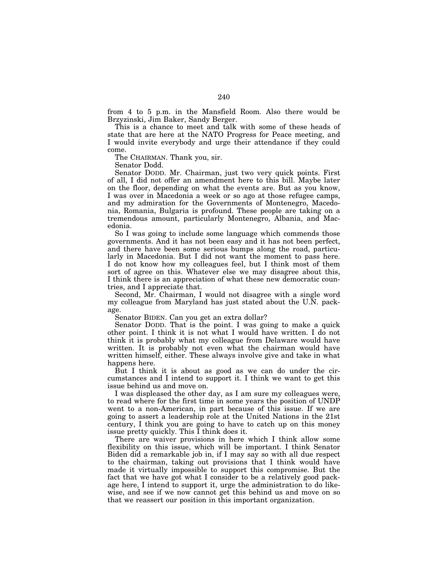from 4 to 5 p.m. in the Mansfield Room. Also there would be Brzyzinski, Jim Baker, Sandy Berger.

This is a chance to meet and talk with some of these heads of state that are here at the NATO Progress for Peace meeting, and I would invite everybody and urge their attendance if they could come.

The CHAIRMAN. Thank you, sir.

Senator Dodd.

Senator DODD. Mr. Chairman, just two very quick points. First of all, I did not offer an amendment here to this bill. Maybe later on the floor, depending on what the events are. But as you know, I was over in Macedonia a week or so ago at those refugee camps, and my admiration for the Governments of Montenegro, Macedonia, Romania, Bulgaria is profound. These people are taking on a tremendous amount, particularly Montenegro, Albania, and Macedonia.

So I was going to include some language which commends those governments. And it has not been easy and it has not been perfect, and there have been some serious bumps along the road, particularly in Macedonia. But I did not want the moment to pass here. I do not know how my colleagues feel, but I think most of them sort of agree on this. Whatever else we may disagree about this, I think there is an appreciation of what these new democratic countries, and I appreciate that.

Second, Mr. Chairman, I would not disagree with a single word my colleague from Maryland has just stated about the U.N. package.

Senator BIDEN. Can you get an extra dollar?

Senator DODD. That is the point. I was going to make a quick other point. I think it is not what I would have written. I do not think it is probably what my colleague from Delaware would have written. It is probably not even what the chairman would have written himself, either. These always involve give and take in what happens here.

But I think it is about as good as we can do under the circumstances and I intend to support it. I think we want to get this issue behind us and move on.

I was displeased the other day, as I am sure my colleagues were, to read where for the first time in some years the position of UNDP went to a non-American, in part because of this issue. If we are going to assert a leadership role at the United Nations in the 21st century, I think you are going to have to catch up on this money issue pretty quickly. This I think does it.

There are waiver provisions in here which I think allow some flexibility on this issue, which will be important. I think Senator Biden did a remarkable job in, if I may say so with all due respect to the chairman, taking out provisions that I think would have made it virtually impossible to support this compromise. But the fact that we have got what I consider to be a relatively good package here, I intend to support it, urge the administration to do likewise, and see if we now cannot get this behind us and move on so that we reassert our position in this important organization.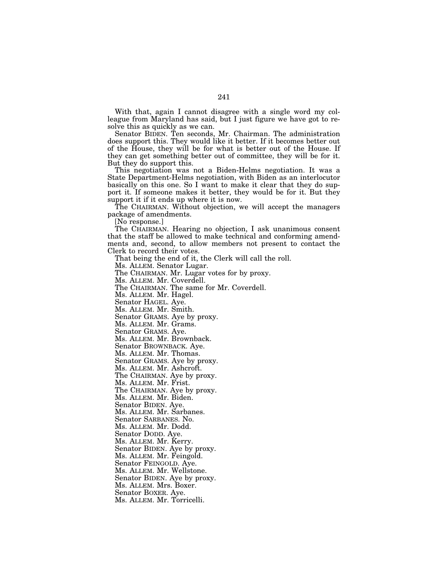With that, again I cannot disagree with a single word my colleague from Maryland has said, but I just figure we have got to resolve this as quickly as we can.

Senator BIDEN. Ten seconds, Mr. Chairman. The administration does support this. They would like it better. If it becomes better out of the House, they will be for what is better out of the House. If they can get something better out of committee, they will be for it. But they do support this.

This negotiation was not a Biden-Helms negotiation. It was a State Department-Helms negotiation, with Biden as an interlocutor basically on this one. So I want to make it clear that they do support it. If someone makes it better, they would be for it. But they support it if it ends up where it is now.

The CHAIRMAN. Without objection, we will accept the managers package of amendments.

[No response.]

The CHAIRMAN. Hearing no objection, I ask unanimous consent that the staff be allowed to make technical and conforming amendments and, second, to allow members not present to contact the Clerk to record their votes.

That being the end of it, the Clerk will call the roll.

Ms. ALLEM. Senator Lugar.

The CHAIRMAN. Mr. Lugar votes for by proxy.

Ms. ALLEM. Mr. Coverdell.

The CHAIRMAN. The same for Mr. Coverdell.

Ms. ALLEM. Mr. Hagel.

Senator HAGEL. Aye.

Ms. ALLEM. Mr. Smith.

Senator GRAMS. Aye by proxy.

Ms. ALLEM. Mr. Grams.

Senator GRAMS. Aye.

Ms. ALLEM. Mr. Brownback.

Senator BROWNBACK. Aye.

Ms. ALLEM. Mr. Thomas.

Senator GRAMS. Aye by proxy.

Ms. ALLEM. Mr. Ashcroft.

The CHAIRMAN. Aye by proxy.

Ms. ALLEM. Mr. Frist.

The CHAIRMAN. Aye by proxy. Ms. ALLEM. Mr. Biden.

Senator BIDEN. Aye.

Ms. ALLEM. Mr. Sarbanes.

Senator SARBANES. No.

Ms. ALLEM. Mr. Dodd.

Senator DODD. Aye.

Ms. ALLEM. Mr. Kerry. Senator BIDEN. Aye by proxy.

Ms. ALLEM. Mr. Feingold.

Senator FEINGOLD. Aye.

Ms. ALLEM. Mr. Wellstone.

Senator BIDEN. Aye by proxy.

Ms. ALLEM. Mrs. Boxer.

Senator BOXER. Aye.

Ms. ALLEM. Mr. Torricelli.